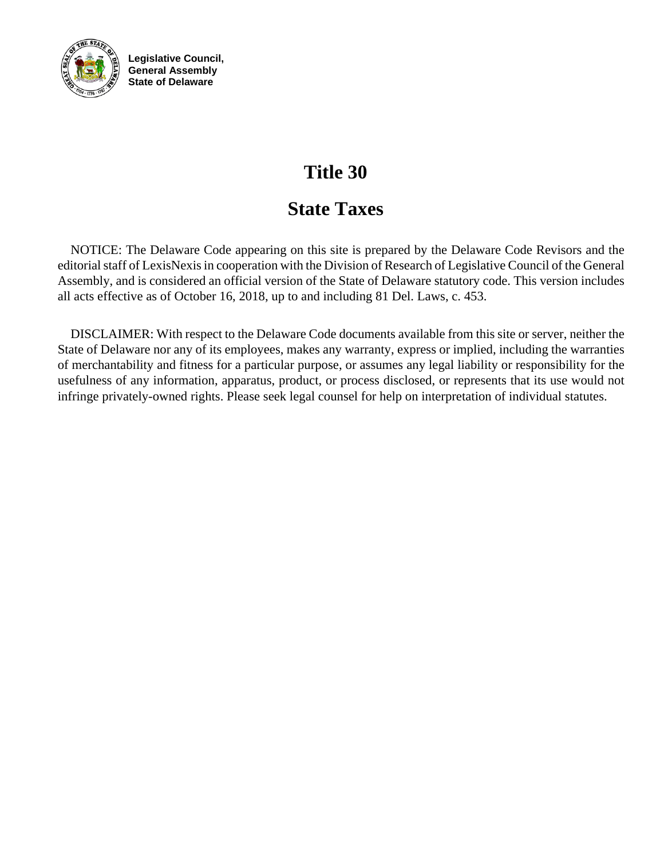

**Legislative Council, General Assembly State of Delaware**

# **Title 30**

# **State Taxes**

NOTICE: The Delaware Code appearing on this site is prepared by the Delaware Code Revisors and the editorial staff of LexisNexis in cooperation with the Division of Research of Legislative Council of the General Assembly, and is considered an official version of the State of Delaware statutory code. This version includes all acts effective as of October 16, 2018, up to and including 81 Del. Laws, c. 453.

DISCLAIMER: With respect to the Delaware Code documents available from this site or server, neither the State of Delaware nor any of its employees, makes any warranty, express or implied, including the warranties of merchantability and fitness for a particular purpose, or assumes any legal liability or responsibility for the usefulness of any information, apparatus, product, or process disclosed, or represents that its use would not infringe privately-owned rights. Please seek legal counsel for help on interpretation of individual statutes.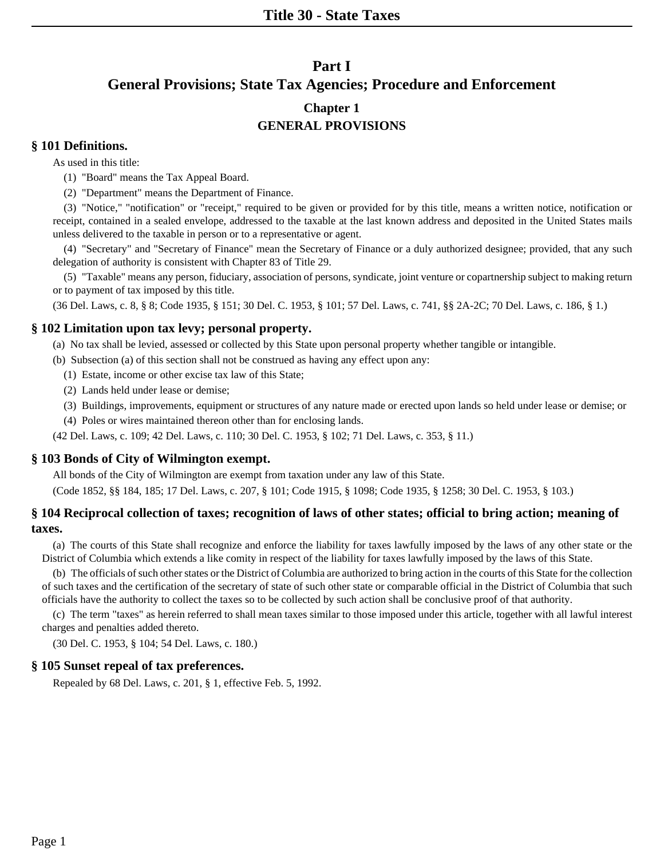# **Part I General Provisions; State Tax Agencies; Procedure and Enforcement Chapter 1 GENERAL PROVISIONS**

# **§ 101 Definitions.**

As used in this title:

- (1) "Board" means the Tax Appeal Board.
- (2) "Department" means the Department of Finance.

(3) "Notice," "notification" or "receipt," required to be given or provided for by this title, means a written notice, notification or receipt, contained in a sealed envelope, addressed to the taxable at the last known address and deposited in the United States mails unless delivered to the taxable in person or to a representative or agent.

(4) "Secretary" and "Secretary of Finance" mean the Secretary of Finance or a duly authorized designee; provided, that any such delegation of authority is consistent with Chapter 83 of Title 29.

(5) "Taxable" means any person, fiduciary, association of persons, syndicate, joint venture or copartnership subject to making return or to payment of tax imposed by this title.

(36 Del. Laws, c. 8, § 8; Code 1935, § 151; 30 Del. C. 1953, § 101; 57 Del. Laws, c. 741, §§ 2A-2C; 70 Del. Laws, c. 186, § 1.)

# **§ 102 Limitation upon tax levy; personal property.**

- (a) No tax shall be levied, assessed or collected by this State upon personal property whether tangible or intangible.
- (b) Subsection (a) of this section shall not be construed as having any effect upon any:
	- (1) Estate, income or other excise tax law of this State;
	- (2) Lands held under lease or demise;
	- (3) Buildings, improvements, equipment or structures of any nature made or erected upon lands so held under lease or demise; or
	- (4) Poles or wires maintained thereon other than for enclosing lands.
- (42 Del. Laws, c. 109; 42 Del. Laws, c. 110; 30 Del. C. 1953, § 102; 71 Del. Laws, c. 353, § 11.)

# **§ 103 Bonds of City of Wilmington exempt.**

All bonds of the City of Wilmington are exempt from taxation under any law of this State.

(Code 1852, §§ 184, 185; 17 Del. Laws, c. 207, § 101; Code 1915, § 1098; Code 1935, § 1258; 30 Del. C. 1953, § 103.)

# **§ 104 Reciprocal collection of taxes; recognition of laws of other states; official to bring action; meaning of taxes.**

(a) The courts of this State shall recognize and enforce the liability for taxes lawfully imposed by the laws of any other state or the District of Columbia which extends a like comity in respect of the liability for taxes lawfully imposed by the laws of this State.

(b) The officials of such other states or the District of Columbia are authorized to bring action in the courts of this State for the collection of such taxes and the certification of the secretary of state of such other state or comparable official in the District of Columbia that such officials have the authority to collect the taxes so to be collected by such action shall be conclusive proof of that authority.

(c) The term "taxes" as herein referred to shall mean taxes similar to those imposed under this article, together with all lawful interest charges and penalties added thereto.

(30 Del. C. 1953, § 104; 54 Del. Laws, c. 180.)

# **§ 105 Sunset repeal of tax preferences.**

Repealed by 68 Del. Laws, c. 201, § 1, effective Feb. 5, 1992.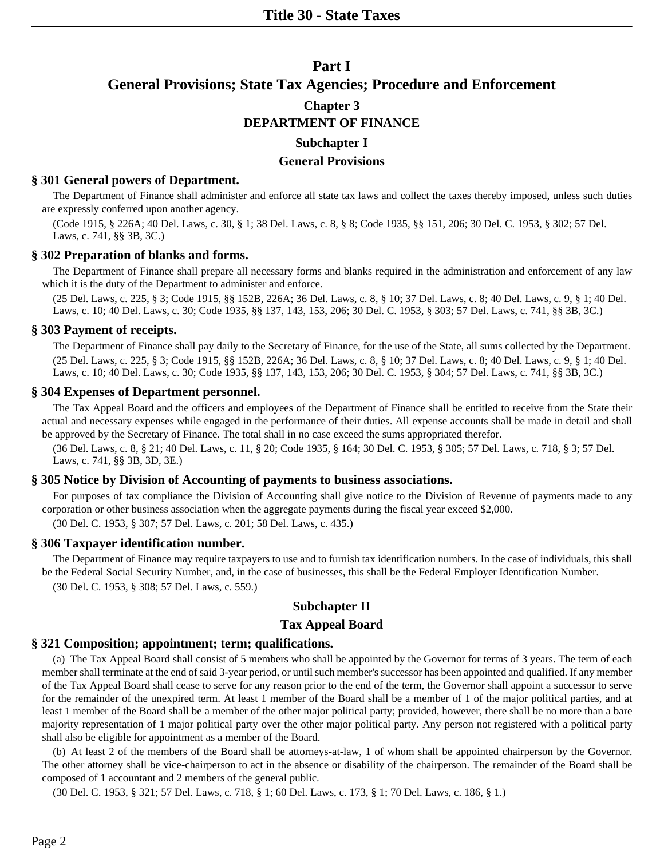# **Part I General Provisions; State Tax Agencies; Procedure and Enforcement Chapter 3 DEPARTMENT OF FINANCE**

# **Subchapter I**

## **General Provisions**

# **§ 301 General powers of Department.**

The Department of Finance shall administer and enforce all state tax laws and collect the taxes thereby imposed, unless such duties are expressly conferred upon another agency.

(Code 1915, § 226A; 40 Del. Laws, c. 30, § 1; 38 Del. Laws, c. 8, § 8; Code 1935, §§ 151, 206; 30 Del. C. 1953, § 302; 57 Del. Laws, c. 741, §§ 3B, 3C.)

#### **§ 302 Preparation of blanks and forms.**

The Department of Finance shall prepare all necessary forms and blanks required in the administration and enforcement of any law which it is the duty of the Department to administer and enforce.

(25 Del. Laws, c. 225, § 3; Code 1915, §§ 152B, 226A; 36 Del. Laws, c. 8, § 10; 37 Del. Laws, c. 8; 40 Del. Laws, c. 9, § 1; 40 Del. Laws, c. 10; 40 Del. Laws, c. 30; Code 1935, §§ 137, 143, 153, 206; 30 Del. C. 1953, § 303; 57 Del. Laws, c. 741, §§ 3B, 3C.)

## **§ 303 Payment of receipts.**

The Department of Finance shall pay daily to the Secretary of Finance, for the use of the State, all sums collected by the Department. (25 Del. Laws, c. 225, § 3; Code 1915, §§ 152B, 226A; 36 Del. Laws, c. 8, § 10; 37 Del. Laws, c. 8; 40 Del. Laws, c. 9, § 1; 40 Del. Laws, c. 10; 40 Del. Laws, c. 30; Code 1935, §§ 137, 143, 153, 206; 30 Del. C. 1953, § 304; 57 Del. Laws, c. 741, §§ 3B, 3C.)

## **§ 304 Expenses of Department personnel.**

The Tax Appeal Board and the officers and employees of the Department of Finance shall be entitled to receive from the State their actual and necessary expenses while engaged in the performance of their duties. All expense accounts shall be made in detail and shall be approved by the Secretary of Finance. The total shall in no case exceed the sums appropriated therefor.

(36 Del. Laws, c. 8, § 21; 40 Del. Laws, c. 11, § 20; Code 1935, § 164; 30 Del. C. 1953, § 305; 57 Del. Laws, c. 718, § 3; 57 Del. Laws, c. 741, §§ 3B, 3D, 3E.)

#### **§ 305 Notice by Division of Accounting of payments to business associations.**

For purposes of tax compliance the Division of Accounting shall give notice to the Division of Revenue of payments made to any corporation or other business association when the aggregate payments during the fiscal year exceed \$2,000.

(30 Del. C. 1953, § 307; 57 Del. Laws, c. 201; 58 Del. Laws, c. 435.)

#### **§ 306 Taxpayer identification number.**

The Department of Finance may require taxpayers to use and to furnish tax identification numbers. In the case of individuals, this shall be the Federal Social Security Number, and, in the case of businesses, this shall be the Federal Employer Identification Number. (30 Del. C. 1953, § 308; 57 Del. Laws, c. 559.)

# **Subchapter II**

# **Tax Appeal Board**

# **§ 321 Composition; appointment; term; qualifications.**

(a) The Tax Appeal Board shall consist of 5 members who shall be appointed by the Governor for terms of 3 years. The term of each member shall terminate at the end of said 3-year period, or until such member's successor has been appointed and qualified. If any member of the Tax Appeal Board shall cease to serve for any reason prior to the end of the term, the Governor shall appoint a successor to serve for the remainder of the unexpired term. At least 1 member of the Board shall be a member of 1 of the major political parties, and at least 1 member of the Board shall be a member of the other major political party; provided, however, there shall be no more than a bare majority representation of 1 major political party over the other major political party. Any person not registered with a political party shall also be eligible for appointment as a member of the Board.

(b) At least 2 of the members of the Board shall be attorneys-at-law, 1 of whom shall be appointed chairperson by the Governor. The other attorney shall be vice-chairperson to act in the absence or disability of the chairperson. The remainder of the Board shall be composed of 1 accountant and 2 members of the general public.

(30 Del. C. 1953, § 321; 57 Del. Laws, c. 718, § 1; 60 Del. Laws, c. 173, § 1; 70 Del. Laws, c. 186, § 1.)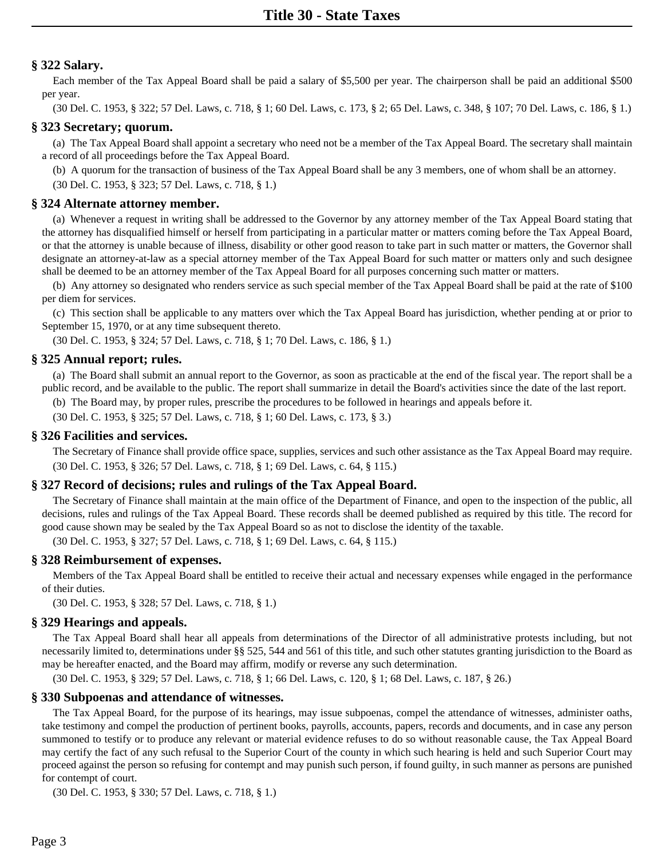# **§ 322 Salary.**

Each member of the Tax Appeal Board shall be paid a salary of \$5,500 per year. The chairperson shall be paid an additional \$500 per year.

(30 Del. C. 1953, § 322; 57 Del. Laws, c. 718, § 1; 60 Del. Laws, c. 173, § 2; 65 Del. Laws, c. 348, § 107; 70 Del. Laws, c. 186, § 1.)

## **§ 323 Secretary; quorum.**

(a) The Tax Appeal Board shall appoint a secretary who need not be a member of the Tax Appeal Board. The secretary shall maintain a record of all proceedings before the Tax Appeal Board.

(b) A quorum for the transaction of business of the Tax Appeal Board shall be any 3 members, one of whom shall be an attorney. (30 Del. C. 1953, § 323; 57 Del. Laws, c. 718, § 1.)

## **§ 324 Alternate attorney member.**

(a) Whenever a request in writing shall be addressed to the Governor by any attorney member of the Tax Appeal Board stating that the attorney has disqualified himself or herself from participating in a particular matter or matters coming before the Tax Appeal Board, or that the attorney is unable because of illness, disability or other good reason to take part in such matter or matters, the Governor shall designate an attorney-at-law as a special attorney member of the Tax Appeal Board for such matter or matters only and such designee shall be deemed to be an attorney member of the Tax Appeal Board for all purposes concerning such matter or matters.

(b) Any attorney so designated who renders service as such special member of the Tax Appeal Board shall be paid at the rate of \$100 per diem for services.

(c) This section shall be applicable to any matters over which the Tax Appeal Board has jurisdiction, whether pending at or prior to September 15, 1970, or at any time subsequent thereto.

(30 Del. C. 1953, § 324; 57 Del. Laws, c. 718, § 1; 70 Del. Laws, c. 186, § 1.)

## **§ 325 Annual report; rules.**

(a) The Board shall submit an annual report to the Governor, as soon as practicable at the end of the fiscal year. The report shall be a public record, and be available to the public. The report shall summarize in detail the Board's activities since the date of the last report.

(b) The Board may, by proper rules, prescribe the procedures to be followed in hearings and appeals before it.

(30 Del. C. 1953, § 325; 57 Del. Laws, c. 718, § 1; 60 Del. Laws, c. 173, § 3.)

#### **§ 326 Facilities and services.**

The Secretary of Finance shall provide office space, supplies, services and such other assistance as the Tax Appeal Board may require. (30 Del. C. 1953, § 326; 57 Del. Laws, c. 718, § 1; 69 Del. Laws, c. 64, § 115.)

# **§ 327 Record of decisions; rules and rulings of the Tax Appeal Board.**

The Secretary of Finance shall maintain at the main office of the Department of Finance, and open to the inspection of the public, all decisions, rules and rulings of the Tax Appeal Board. These records shall be deemed published as required by this title. The record for good cause shown may be sealed by the Tax Appeal Board so as not to disclose the identity of the taxable.

(30 Del. C. 1953, § 327; 57 Del. Laws, c. 718, § 1; 69 Del. Laws, c. 64, § 115.)

#### **§ 328 Reimbursement of expenses.**

Members of the Tax Appeal Board shall be entitled to receive their actual and necessary expenses while engaged in the performance of their duties.

(30 Del. C. 1953, § 328; 57 Del. Laws, c. 718, § 1.)

#### **§ 329 Hearings and appeals.**

The Tax Appeal Board shall hear all appeals from determinations of the Director of all administrative protests including, but not necessarily limited to, determinations under §§ 525, 544 and 561 of this title, and such other statutes granting jurisdiction to the Board as may be hereafter enacted, and the Board may affirm, modify or reverse any such determination.

(30 Del. C. 1953, § 329; 57 Del. Laws, c. 718, § 1; 66 Del. Laws, c. 120, § 1; 68 Del. Laws, c. 187, § 26.)

#### **§ 330 Subpoenas and attendance of witnesses.**

The Tax Appeal Board, for the purpose of its hearings, may issue subpoenas, compel the attendance of witnesses, administer oaths, take testimony and compel the production of pertinent books, payrolls, accounts, papers, records and documents, and in case any person summoned to testify or to produce any relevant or material evidence refuses to do so without reasonable cause, the Tax Appeal Board may certify the fact of any such refusal to the Superior Court of the county in which such hearing is held and such Superior Court may proceed against the person so refusing for contempt and may punish such person, if found guilty, in such manner as persons are punished for contempt of court.

(30 Del. C. 1953, § 330; 57 Del. Laws, c. 718, § 1.)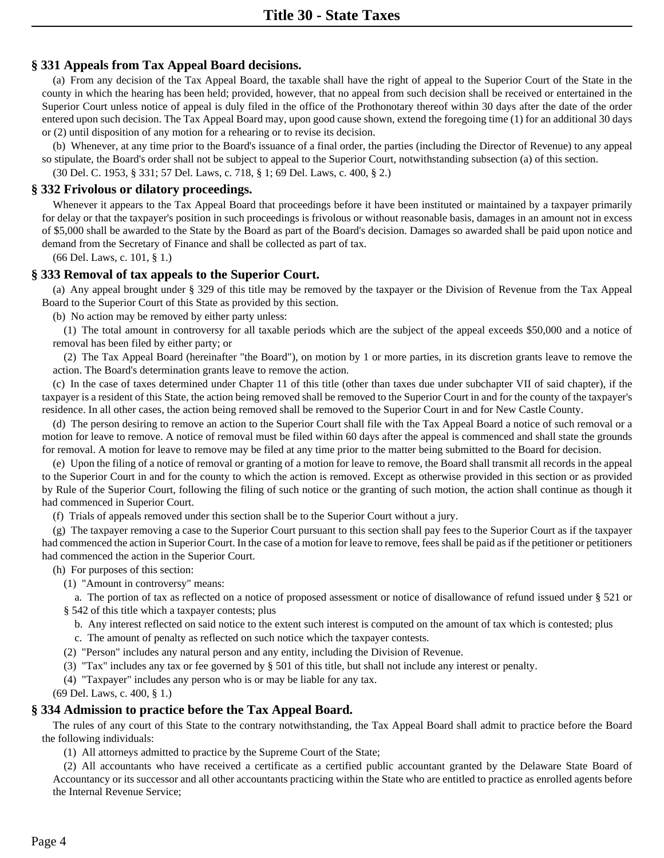# **§ 331 Appeals from Tax Appeal Board decisions.**

(a) From any decision of the Tax Appeal Board, the taxable shall have the right of appeal to the Superior Court of the State in the county in which the hearing has been held; provided, however, that no appeal from such decision shall be received or entertained in the Superior Court unless notice of appeal is duly filed in the office of the Prothonotary thereof within 30 days after the date of the order entered upon such decision. The Tax Appeal Board may, upon good cause shown, extend the foregoing time (1) for an additional 30 days or (2) until disposition of any motion for a rehearing or to revise its decision.

(b) Whenever, at any time prior to the Board's issuance of a final order, the parties (including the Director of Revenue) to any appeal so stipulate, the Board's order shall not be subject to appeal to the Superior Court, notwithstanding subsection (a) of this section. (30 Del. C. 1953, § 331; 57 Del. Laws, c. 718, § 1; 69 Del. Laws, c. 400, § 2.)

## **§ 332 Frivolous or dilatory proceedings.**

Whenever it appears to the Tax Appeal Board that proceedings before it have been instituted or maintained by a taxpayer primarily for delay or that the taxpayer's position in such proceedings is frivolous or without reasonable basis, damages in an amount not in excess of \$5,000 shall be awarded to the State by the Board as part of the Board's decision. Damages so awarded shall be paid upon notice and demand from the Secretary of Finance and shall be collected as part of tax.

(66 Del. Laws, c. 101, § 1.)

# **§ 333 Removal of tax appeals to the Superior Court.**

(a) Any appeal brought under § 329 of this title may be removed by the taxpayer or the Division of Revenue from the Tax Appeal Board to the Superior Court of this State as provided by this section.

(b) No action may be removed by either party unless:

(1) The total amount in controversy for all taxable periods which are the subject of the appeal exceeds \$50,000 and a notice of removal has been filed by either party; or

(2) The Tax Appeal Board (hereinafter "the Board"), on motion by 1 or more parties, in its discretion grants leave to remove the action. The Board's determination grants leave to remove the action.

(c) In the case of taxes determined under Chapter 11 of this title (other than taxes due under subchapter VII of said chapter), if the taxpayer is a resident of this State, the action being removed shall be removed to the Superior Court in and for the county of the taxpayer's residence. In all other cases, the action being removed shall be removed to the Superior Court in and for New Castle County.

(d) The person desiring to remove an action to the Superior Court shall file with the Tax Appeal Board a notice of such removal or a motion for leave to remove. A notice of removal must be filed within 60 days after the appeal is commenced and shall state the grounds for removal. A motion for leave to remove may be filed at any time prior to the matter being submitted to the Board for decision.

(e) Upon the filing of a notice of removal or granting of a motion for leave to remove, the Board shall transmit all records in the appeal to the Superior Court in and for the county to which the action is removed. Except as otherwise provided in this section or as provided by Rule of the Superior Court, following the filing of such notice or the granting of such motion, the action shall continue as though it had commenced in Superior Court.

(f) Trials of appeals removed under this section shall be to the Superior Court without a jury.

(g) The taxpayer removing a case to the Superior Court pursuant to this section shall pay fees to the Superior Court as if the taxpayer had commenced the action in Superior Court. In the case of a motion for leave to remove, fees shall be paid as if the petitioner or petitioners had commenced the action in the Superior Court.

(h) For purposes of this section:

(1) "Amount in controversy" means:

a. The portion of tax as reflected on a notice of proposed assessment or notice of disallowance of refund issued under § 521 or § 542 of this title which a taxpayer contests; plus

- b. Any interest reflected on said notice to the extent such interest is computed on the amount of tax which is contested; plus
- c. The amount of penalty as reflected on such notice which the taxpayer contests.
- (2) "Person" includes any natural person and any entity, including the Division of Revenue.
- (3) "Tax" includes any tax or fee governed by § 501 of this title, but shall not include any interest or penalty.

(4) "Taxpayer" includes any person who is or may be liable for any tax.

(69 Del. Laws, c. 400, § 1.)

# **§ 334 Admission to practice before the Tax Appeal Board.**

The rules of any court of this State to the contrary notwithstanding, the Tax Appeal Board shall admit to practice before the Board the following individuals:

(1) All attorneys admitted to practice by the Supreme Court of the State;

(2) All accountants who have received a certificate as a certified public accountant granted by the Delaware State Board of Accountancy or its successor and all other accountants practicing within the State who are entitled to practice as enrolled agents before the Internal Revenue Service;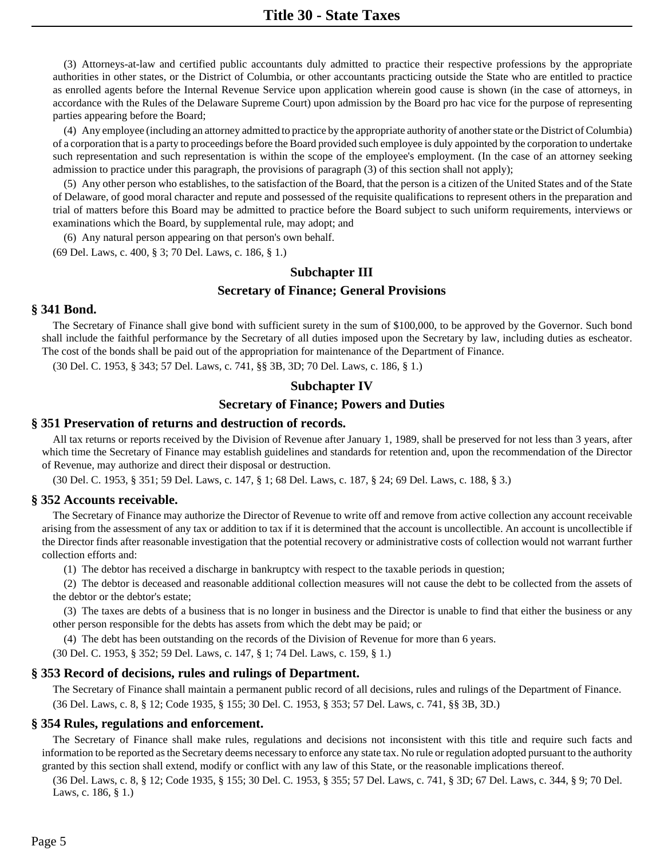(3) Attorneys-at-law and certified public accountants duly admitted to practice their respective professions by the appropriate authorities in other states, or the District of Columbia, or other accountants practicing outside the State who are entitled to practice as enrolled agents before the Internal Revenue Service upon application wherein good cause is shown (in the case of attorneys, in accordance with the Rules of the Delaware Supreme Court) upon admission by the Board pro hac vice for the purpose of representing parties appearing before the Board;

(4) Any employee (including an attorney admitted to practice by the appropriate authority of another state or the District of Columbia) of a corporation that is a party to proceedings before the Board provided such employee is duly appointed by the corporation to undertake such representation and such representation is within the scope of the employee's employment. (In the case of an attorney seeking admission to practice under this paragraph, the provisions of paragraph (3) of this section shall not apply);

(5) Any other person who establishes, to the satisfaction of the Board, that the person is a citizen of the United States and of the State of Delaware, of good moral character and repute and possessed of the requisite qualifications to represent others in the preparation and trial of matters before this Board may be admitted to practice before the Board subject to such uniform requirements, interviews or examinations which the Board, by supplemental rule, may adopt; and

(6) Any natural person appearing on that person's own behalf. (69 Del. Laws, c. 400, § 3; 70 Del. Laws, c. 186, § 1.)

# **Subchapter III**

# **Secretary of Finance; General Provisions**

## **§ 341 Bond.**

The Secretary of Finance shall give bond with sufficient surety in the sum of \$100,000, to be approved by the Governor. Such bond shall include the faithful performance by the Secretary of all duties imposed upon the Secretary by law, including duties as escheator. The cost of the bonds shall be paid out of the appropriation for maintenance of the Department of Finance.

(30 Del. C. 1953, § 343; 57 Del. Laws, c. 741, §§ 3B, 3D; 70 Del. Laws, c. 186, § 1.)

# **Subchapter IV**

## **Secretary of Finance; Powers and Duties**

#### **§ 351 Preservation of returns and destruction of records.**

All tax returns or reports received by the Division of Revenue after January 1, 1989, shall be preserved for not less than 3 years, after which time the Secretary of Finance may establish guidelines and standards for retention and, upon the recommendation of the Director of Revenue, may authorize and direct their disposal or destruction.

(30 Del. C. 1953, § 351; 59 Del. Laws, c. 147, § 1; 68 Del. Laws, c. 187, § 24; 69 Del. Laws, c. 188, § 3.)

#### **§ 352 Accounts receivable.**

The Secretary of Finance may authorize the Director of Revenue to write off and remove from active collection any account receivable arising from the assessment of any tax or addition to tax if it is determined that the account is uncollectible. An account is uncollectible if the Director finds after reasonable investigation that the potential recovery or administrative costs of collection would not warrant further collection efforts and:

(1) The debtor has received a discharge in bankruptcy with respect to the taxable periods in question;

(2) The debtor is deceased and reasonable additional collection measures will not cause the debt to be collected from the assets of the debtor or the debtor's estate;

(3) The taxes are debts of a business that is no longer in business and the Director is unable to find that either the business or any other person responsible for the debts has assets from which the debt may be paid; or

(4) The debt has been outstanding on the records of the Division of Revenue for more than 6 years.

(30 Del. C. 1953, § 352; 59 Del. Laws, c. 147, § 1; 74 Del. Laws, c. 159, § 1.)

#### **§ 353 Record of decisions, rules and rulings of Department.**

The Secretary of Finance shall maintain a permanent public record of all decisions, rules and rulings of the Department of Finance. (36 Del. Laws, c. 8, § 12; Code 1935, § 155; 30 Del. C. 1953, § 353; 57 Del. Laws, c. 741, §§ 3B, 3D.)

#### **§ 354 Rules, regulations and enforcement.**

The Secretary of Finance shall make rules, regulations and decisions not inconsistent with this title and require such facts and information to be reported as the Secretary deems necessary to enforce any state tax. No rule or regulation adopted pursuant to the authority granted by this section shall extend, modify or conflict with any law of this State, or the reasonable implications thereof.

(36 Del. Laws, c. 8, § 12; Code 1935, § 155; 30 Del. C. 1953, § 355; 57 Del. Laws, c. 741, § 3D; 67 Del. Laws, c. 344, § 9; 70 Del. Laws, c. 186, § 1.)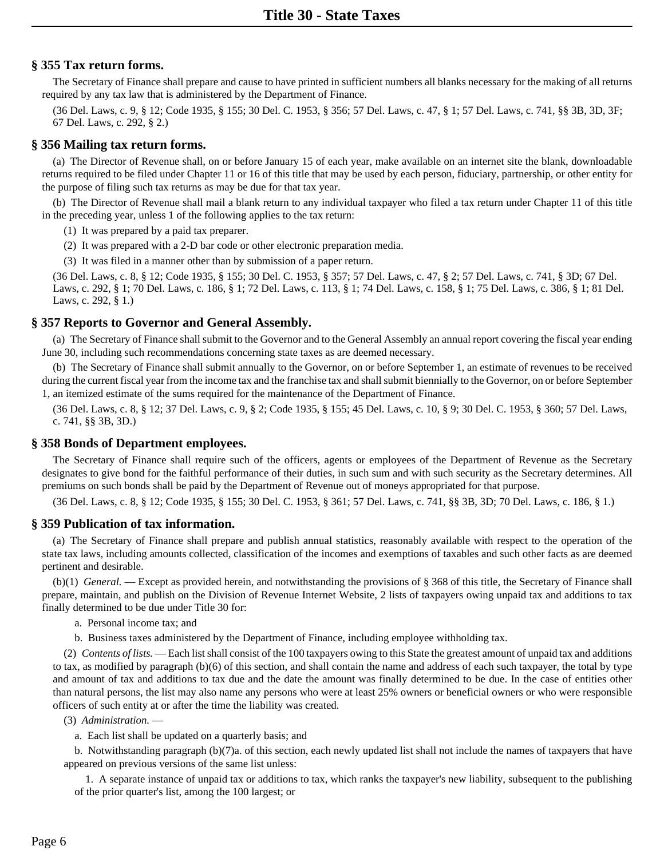# **§ 355 Tax return forms.**

The Secretary of Finance shall prepare and cause to have printed in sufficient numbers all blanks necessary for the making of all returns required by any tax law that is administered by the Department of Finance.

(36 Del. Laws, c. 9, § 12; Code 1935, § 155; 30 Del. C. 1953, § 356; 57 Del. Laws, c. 47, § 1; 57 Del. Laws, c. 741, §§ 3B, 3D, 3F; 67 Del. Laws, c. 292, § 2.)

# **§ 356 Mailing tax return forms.**

(a) The Director of Revenue shall, on or before January 15 of each year, make available on an internet site the blank, downloadable returns required to be filed under Chapter 11 or 16 of this title that may be used by each person, fiduciary, partnership, or other entity for the purpose of filing such tax returns as may be due for that tax year.

(b) The Director of Revenue shall mail a blank return to any individual taxpayer who filed a tax return under Chapter 11 of this title in the preceding year, unless 1 of the following applies to the tax return:

- (1) It was prepared by a paid tax preparer.
- (2) It was prepared with a 2-D bar code or other electronic preparation media.
- (3) It was filed in a manner other than by submission of a paper return.

(36 Del. Laws, c. 8, § 12; Code 1935, § 155; 30 Del. C. 1953, § 357; 57 Del. Laws, c. 47, § 2; 57 Del. Laws, c. 741, § 3D; 67 Del. Laws, c. 292, § 1; 70 Del. Laws, c. 186, § 1; 72 Del. Laws, c. 113, § 1; 74 Del. Laws, c. 158, § 1; 75 Del. Laws, c. 386, § 1; 81 Del. Laws, c. 292, § 1.)

# **§ 357 Reports to Governor and General Assembly.**

(a) The Secretary of Finance shall submit to the Governor and to the General Assembly an annual report covering the fiscal year ending June 30, including such recommendations concerning state taxes as are deemed necessary.

(b) The Secretary of Finance shall submit annually to the Governor, on or before September 1, an estimate of revenues to be received during the current fiscal year from the income tax and the franchise tax and shall submit biennially to the Governor, on or before September 1, an itemized estimate of the sums required for the maintenance of the Department of Finance.

(36 Del. Laws, c. 8, § 12; 37 Del. Laws, c. 9, § 2; Code 1935, § 155; 45 Del. Laws, c. 10, § 9; 30 Del. C. 1953, § 360; 57 Del. Laws, c. 741, §§ 3B, 3D.)

# **§ 358 Bonds of Department employees.**

The Secretary of Finance shall require such of the officers, agents or employees of the Department of Revenue as the Secretary designates to give bond for the faithful performance of their duties, in such sum and with such security as the Secretary determines. All premiums on such bonds shall be paid by the Department of Revenue out of moneys appropriated for that purpose.

(36 Del. Laws, c. 8, § 12; Code 1935, § 155; 30 Del. C. 1953, § 361; 57 Del. Laws, c. 741, §§ 3B, 3D; 70 Del. Laws, c. 186, § 1.)

# **§ 359 Publication of tax information.**

(a) The Secretary of Finance shall prepare and publish annual statistics, reasonably available with respect to the operation of the state tax laws, including amounts collected, classification of the incomes and exemptions of taxables and such other facts as are deemed pertinent and desirable.

(b)(1) *General.* — Except as provided herein, and notwithstanding the provisions of § 368 of this title, the Secretary of Finance shall prepare, maintain, and publish on the Division of Revenue Internet Website, 2 lists of taxpayers owing unpaid tax and additions to tax finally determined to be due under Title 30 for:

- a. Personal income tax; and
- b. Business taxes administered by the Department of Finance, including employee withholding tax.

(2) *Contents of lists.* — Each list shall consist of the 100 taxpayers owing to this State the greatest amount of unpaid tax and additions to tax, as modified by paragraph (b)(6) of this section, and shall contain the name and address of each such taxpayer, the total by type and amount of tax and additions to tax due and the date the amount was finally determined to be due. In the case of entities other than natural persons, the list may also name any persons who were at least 25% owners or beneficial owners or who were responsible officers of such entity at or after the time the liability was created.

(3) *Administration.* —

a. Each list shall be updated on a quarterly basis; and

b. Notwithstanding paragraph (b)(7)a. of this section, each newly updated list shall not include the names of taxpayers that have appeared on previous versions of the same list unless:

1. A separate instance of unpaid tax or additions to tax, which ranks the taxpayer's new liability, subsequent to the publishing of the prior quarter's list, among the 100 largest; or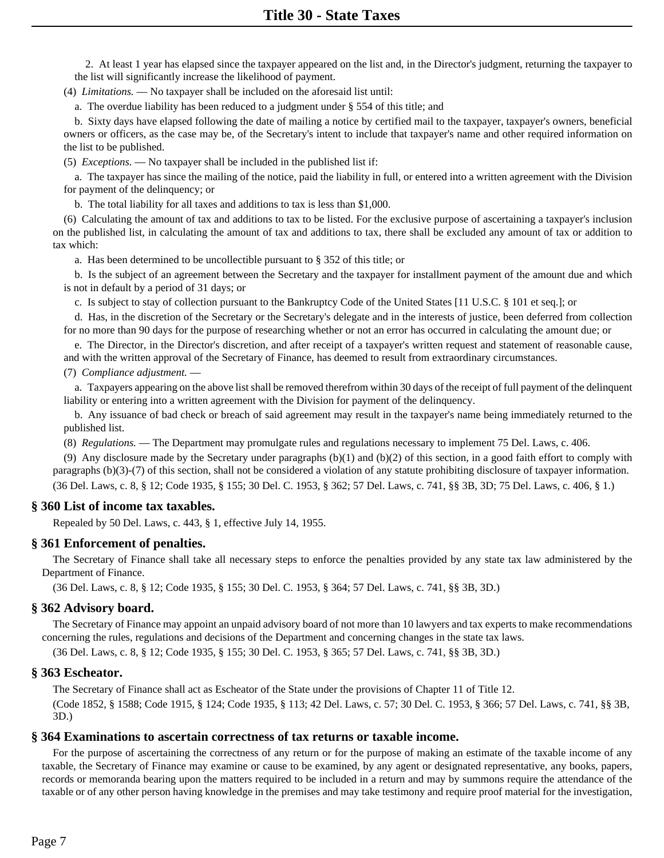2. At least 1 year has elapsed since the taxpayer appeared on the list and, in the Director's judgment, returning the taxpayer to the list will significantly increase the likelihood of payment.

(4) *Limitations.* — No taxpayer shall be included on the aforesaid list until:

a. The overdue liability has been reduced to a judgment under § 554 of this title; and

b. Sixty days have elapsed following the date of mailing a notice by certified mail to the taxpayer, taxpayer's owners, beneficial owners or officers, as the case may be, of the Secretary's intent to include that taxpayer's name and other required information on the list to be published.

(5) *Exceptions.* — No taxpayer shall be included in the published list if:

a. The taxpayer has since the mailing of the notice, paid the liability in full, or entered into a written agreement with the Division for payment of the delinquency; or

b. The total liability for all taxes and additions to tax is less than \$1,000.

(6) Calculating the amount of tax and additions to tax to be listed. For the exclusive purpose of ascertaining a taxpayer's inclusion on the published list, in calculating the amount of tax and additions to tax, there shall be excluded any amount of tax or addition to tax which:

a. Has been determined to be uncollectible pursuant to § 352 of this title; or

b. Is the subject of an agreement between the Secretary and the taxpayer for installment payment of the amount due and which is not in default by a period of 31 days; or

c. Is subject to stay of collection pursuant to the Bankruptcy Code of the United States [11 U.S.C. § 101 et seq.]; or

d. Has, in the discretion of the Secretary or the Secretary's delegate and in the interests of justice, been deferred from collection for no more than 90 days for the purpose of researching whether or not an error has occurred in calculating the amount due; or

e. The Director, in the Director's discretion, and after receipt of a taxpayer's written request and statement of reasonable cause, and with the written approval of the Secretary of Finance, has deemed to result from extraordinary circumstances.

#### (7) *Compliance adjustment.* —

a. Taxpayers appearing on the above list shall be removed therefrom within 30 days of the receipt of full payment of the delinquent liability or entering into a written agreement with the Division for payment of the delinquency.

b. Any issuance of bad check or breach of said agreement may result in the taxpayer's name being immediately returned to the published list.

(8) *Regulations.* — The Department may promulgate rules and regulations necessary to implement 75 Del. Laws, c. 406.

(9) Any disclosure made by the Secretary under paragraphs (b)(1) and (b)(2) of this section, in a good faith effort to comply with paragraphs (b)(3)-(7) of this section, shall not be considered a violation of any statute prohibiting disclosure of taxpayer information. (36 Del. Laws, c. 8, § 12; Code 1935, § 155; 30 Del. C. 1953, § 362; 57 Del. Laws, c. 741, §§ 3B, 3D; 75 Del. Laws, c. 406, § 1.)

# **§ 360 List of income tax taxables.**

Repealed by 50 Del. Laws, c. 443, § 1, effective July 14, 1955.

# **§ 361 Enforcement of penalties.**

The Secretary of Finance shall take all necessary steps to enforce the penalties provided by any state tax law administered by the Department of Finance.

(36 Del. Laws, c. 8, § 12; Code 1935, § 155; 30 Del. C. 1953, § 364; 57 Del. Laws, c. 741, §§ 3B, 3D.)

#### **§ 362 Advisory board.**

The Secretary of Finance may appoint an unpaid advisory board of not more than 10 lawyers and tax experts to make recommendations concerning the rules, regulations and decisions of the Department and concerning changes in the state tax laws.

(36 Del. Laws, c. 8, § 12; Code 1935, § 155; 30 Del. C. 1953, § 365; 57 Del. Laws, c. 741, §§ 3B, 3D.)

#### **§ 363 Escheator.**

The Secretary of Finance shall act as Escheator of the State under the provisions of Chapter 11 of Title 12.

(Code 1852, § 1588; Code 1915, § 124; Code 1935, § 113; 42 Del. Laws, c. 57; 30 Del. C. 1953, § 366; 57 Del. Laws, c. 741, §§ 3B, 3D.)

#### **§ 364 Examinations to ascertain correctness of tax returns or taxable income.**

For the purpose of ascertaining the correctness of any return or for the purpose of making an estimate of the taxable income of any taxable, the Secretary of Finance may examine or cause to be examined, by any agent or designated representative, any books, papers, records or memoranda bearing upon the matters required to be included in a return and may by summons require the attendance of the taxable or of any other person having knowledge in the premises and may take testimony and require proof material for the investigation,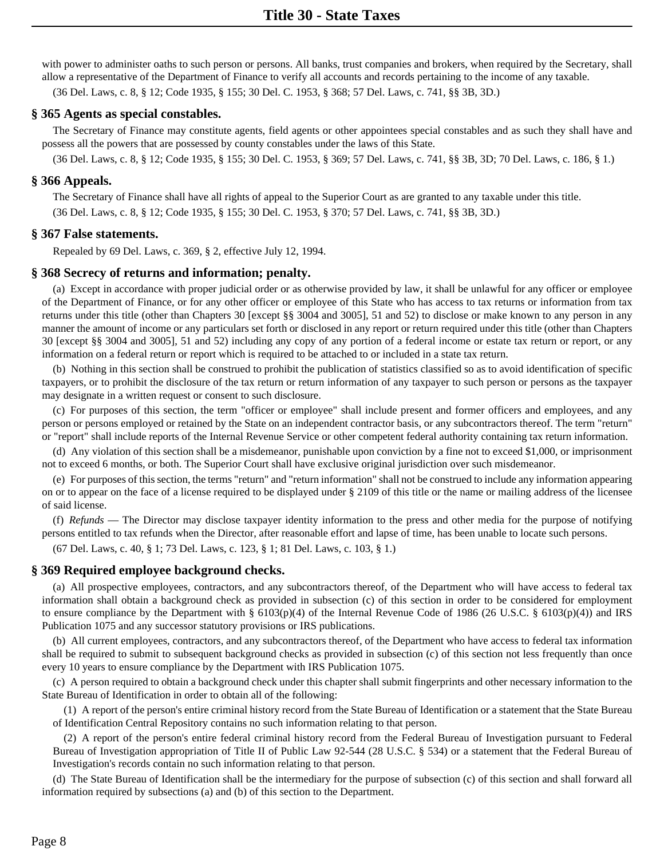with power to administer oaths to such person or persons. All banks, trust companies and brokers, when required by the Secretary, shall allow a representative of the Department of Finance to verify all accounts and records pertaining to the income of any taxable.

(36 Del. Laws, c. 8, § 12; Code 1935, § 155; 30 Del. C. 1953, § 368; 57 Del. Laws, c. 741, §§ 3B, 3D.)

# **§ 365 Agents as special constables.**

The Secretary of Finance may constitute agents, field agents or other appointees special constables and as such they shall have and possess all the powers that are possessed by county constables under the laws of this State.

(36 Del. Laws, c. 8, § 12; Code 1935, § 155; 30 Del. C. 1953, § 369; 57 Del. Laws, c. 741, §§ 3B, 3D; 70 Del. Laws, c. 186, § 1.)

# **§ 366 Appeals.**

The Secretary of Finance shall have all rights of appeal to the Superior Court as are granted to any taxable under this title. (36 Del. Laws, c. 8, § 12; Code 1935, § 155; 30 Del. C. 1953, § 370; 57 Del. Laws, c. 741, §§ 3B, 3D.)

# **§ 367 False statements.**

Repealed by 69 Del. Laws, c. 369, § 2, effective July 12, 1994.

# **§ 368 Secrecy of returns and information; penalty.**

(a) Except in accordance with proper judicial order or as otherwise provided by law, it shall be unlawful for any officer or employee of the Department of Finance, or for any other officer or employee of this State who has access to tax returns or information from tax returns under this title (other than Chapters 30 [except §§ 3004 and 3005], 51 and 52) to disclose or make known to any person in any manner the amount of income or any particulars set forth or disclosed in any report or return required under this title (other than Chapters 30 [except §§ 3004 and 3005], 51 and 52) including any copy of any portion of a federal income or estate tax return or report, or any information on a federal return or report which is required to be attached to or included in a state tax return.

(b) Nothing in this section shall be construed to prohibit the publication of statistics classified so as to avoid identification of specific taxpayers, or to prohibit the disclosure of the tax return or return information of any taxpayer to such person or persons as the taxpayer may designate in a written request or consent to such disclosure.

(c) For purposes of this section, the term "officer or employee" shall include present and former officers and employees, and any person or persons employed or retained by the State on an independent contractor basis, or any subcontractors thereof. The term "return" or "report" shall include reports of the Internal Revenue Service or other competent federal authority containing tax return information.

(d) Any violation of this section shall be a misdemeanor, punishable upon conviction by a fine not to exceed \$1,000, or imprisonment not to exceed 6 months, or both. The Superior Court shall have exclusive original jurisdiction over such misdemeanor.

(e) For purposes of this section, the terms "return" and "return information" shall not be construed to include any information appearing on or to appear on the face of a license required to be displayed under § 2109 of this title or the name or mailing address of the licensee of said license.

(f) *Refunds* — The Director may disclose taxpayer identity information to the press and other media for the purpose of notifying persons entitled to tax refunds when the Director, after reasonable effort and lapse of time, has been unable to locate such persons.

(67 Del. Laws, c. 40, § 1; 73 Del. Laws, c. 123, § 1; 81 Del. Laws, c. 103, § 1.)

# **§ 369 Required employee background checks.**

(a) All prospective employees, contractors, and any subcontractors thereof, of the Department who will have access to federal tax information shall obtain a background check as provided in subsection (c) of this section in order to be considered for employment to ensure compliance by the Department with §  $6103(p)(4)$  of the Internal Revenue Code of 1986 (26 U.S.C. §  $6103(p)(4)$ ) and IRS Publication 1075 and any successor statutory provisions or IRS publications.

(b) All current employees, contractors, and any subcontractors thereof, of the Department who have access to federal tax information shall be required to submit to subsequent background checks as provided in subsection (c) of this section not less frequently than once every 10 years to ensure compliance by the Department with IRS Publication 1075.

(c) A person required to obtain a background check under this chapter shall submit fingerprints and other necessary information to the State Bureau of Identification in order to obtain all of the following:

(1) A report of the person's entire criminal history record from the State Bureau of Identification or a statement that the State Bureau of Identification Central Repository contains no such information relating to that person.

(2) A report of the person's entire federal criminal history record from the Federal Bureau of Investigation pursuant to Federal Bureau of Investigation appropriation of Title II of Public Law 92-544 (28 U.S.C. § 534) or a statement that the Federal Bureau of Investigation's records contain no such information relating to that person.

(d) The State Bureau of Identification shall be the intermediary for the purpose of subsection (c) of this section and shall forward all information required by subsections (a) and (b) of this section to the Department.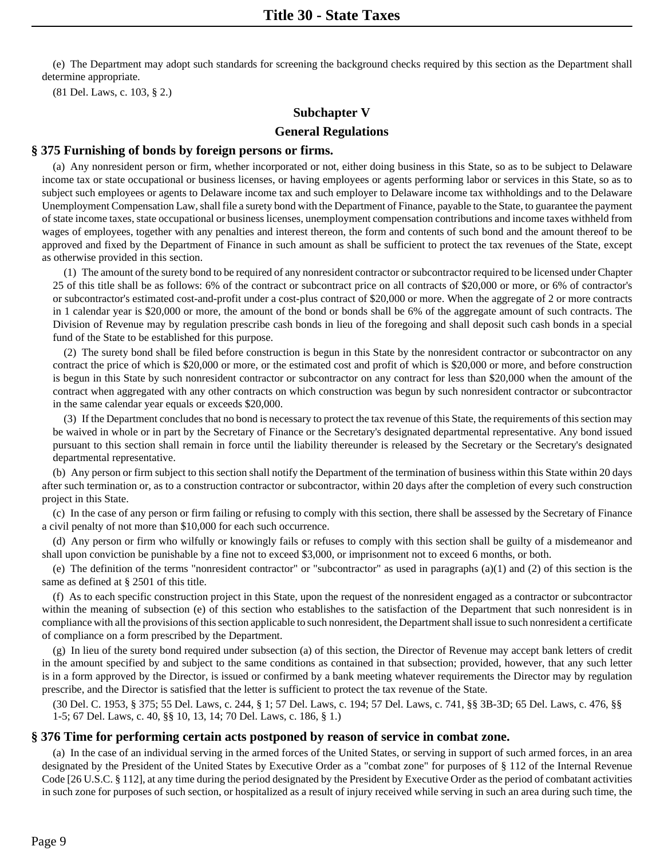(e) The Department may adopt such standards for screening the background checks required by this section as the Department shall determine appropriate.

(81 Del. Laws, c. 103, § 2.)

# **Subchapter V**

## **General Regulations**

#### **§ 375 Furnishing of bonds by foreign persons or firms.**

(a) Any nonresident person or firm, whether incorporated or not, either doing business in this State, so as to be subject to Delaware income tax or state occupational or business licenses, or having employees or agents performing labor or services in this State, so as to subject such employees or agents to Delaware income tax and such employer to Delaware income tax withholdings and to the Delaware Unemployment Compensation Law, shall file a surety bond with the Department of Finance, payable to the State, to guarantee the payment of state income taxes, state occupational or business licenses, unemployment compensation contributions and income taxes withheld from wages of employees, together with any penalties and interest thereon, the form and contents of such bond and the amount thereof to be approved and fixed by the Department of Finance in such amount as shall be sufficient to protect the tax revenues of the State, except as otherwise provided in this section.

(1) The amount of the surety bond to be required of any nonresident contractor or subcontractor required to be licensed under Chapter 25 of this title shall be as follows: 6% of the contract or subcontract price on all contracts of \$20,000 or more, or 6% of contractor's or subcontractor's estimated cost-and-profit under a cost-plus contract of \$20,000 or more. When the aggregate of 2 or more contracts in 1 calendar year is \$20,000 or more, the amount of the bond or bonds shall be 6% of the aggregate amount of such contracts. The Division of Revenue may by regulation prescribe cash bonds in lieu of the foregoing and shall deposit such cash bonds in a special fund of the State to be established for this purpose.

(2) The surety bond shall be filed before construction is begun in this State by the nonresident contractor or subcontractor on any contract the price of which is \$20,000 or more, or the estimated cost and profit of which is \$20,000 or more, and before construction is begun in this State by such nonresident contractor or subcontractor on any contract for less than \$20,000 when the amount of the contract when aggregated with any other contracts on which construction was begun by such nonresident contractor or subcontractor in the same calendar year equals or exceeds \$20,000.

(3) If the Department concludes that no bond is necessary to protect the tax revenue of this State, the requirements of this section may be waived in whole or in part by the Secretary of Finance or the Secretary's designated departmental representative. Any bond issued pursuant to this section shall remain in force until the liability thereunder is released by the Secretary or the Secretary's designated departmental representative.

(b) Any person or firm subject to this section shall notify the Department of the termination of business within this State within 20 days after such termination or, as to a construction contractor or subcontractor, within 20 days after the completion of every such construction project in this State.

(c) In the case of any person or firm failing or refusing to comply with this section, there shall be assessed by the Secretary of Finance a civil penalty of not more than \$10,000 for each such occurrence.

(d) Any person or firm who wilfully or knowingly fails or refuses to comply with this section shall be guilty of a misdemeanor and shall upon conviction be punishable by a fine not to exceed \$3,000, or imprisonment not to exceed 6 months, or both.

(e) The definition of the terms "nonresident contractor" or "subcontractor" as used in paragraphs (a)(1) and (2) of this section is the same as defined at § 2501 of this title.

(f) As to each specific construction project in this State, upon the request of the nonresident engaged as a contractor or subcontractor within the meaning of subsection (e) of this section who establishes to the satisfaction of the Department that such nonresident is in compliance with all the provisions of this section applicable to such nonresident, the Department shall issue to such nonresident a certificate of compliance on a form prescribed by the Department.

(g) In lieu of the surety bond required under subsection (a) of this section, the Director of Revenue may accept bank letters of credit in the amount specified by and subject to the same conditions as contained in that subsection; provided, however, that any such letter is in a form approved by the Director, is issued or confirmed by a bank meeting whatever requirements the Director may by regulation prescribe, and the Director is satisfied that the letter is sufficient to protect the tax revenue of the State.

(30 Del. C. 1953, § 375; 55 Del. Laws, c. 244, § 1; 57 Del. Laws, c. 194; 57 Del. Laws, c. 741, §§ 3B-3D; 65 Del. Laws, c. 476, §§ 1-5; 67 Del. Laws, c. 40, §§ 10, 13, 14; 70 Del. Laws, c. 186, § 1.)

#### **§ 376 Time for performing certain acts postponed by reason of service in combat zone.**

(a) In the case of an individual serving in the armed forces of the United States, or serving in support of such armed forces, in an area designated by the President of the United States by Executive Order as a "combat zone" for purposes of § 112 of the Internal Revenue Code [26 U.S.C. § 112], at any time during the period designated by the President by Executive Order as the period of combatant activities in such zone for purposes of such section, or hospitalized as a result of injury received while serving in such an area during such time, the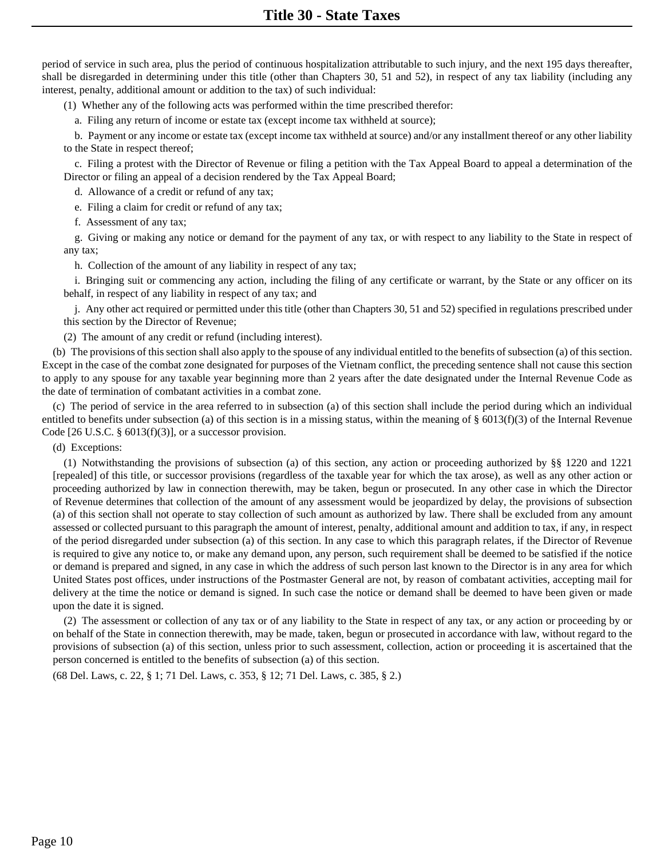period of service in such area, plus the period of continuous hospitalization attributable to such injury, and the next 195 days thereafter, shall be disregarded in determining under this title (other than Chapters 30, 51 and 52), in respect of any tax liability (including any interest, penalty, additional amount or addition to the tax) of such individual:

(1) Whether any of the following acts was performed within the time prescribed therefor:

a. Filing any return of income or estate tax (except income tax withheld at source);

b. Payment or any income or estate tax (except income tax withheld at source) and/or any installment thereof or any other liability to the State in respect thereof;

c. Filing a protest with the Director of Revenue or filing a petition with the Tax Appeal Board to appeal a determination of the Director or filing an appeal of a decision rendered by the Tax Appeal Board;

d. Allowance of a credit or refund of any tax;

e. Filing a claim for credit or refund of any tax;

f. Assessment of any tax;

g. Giving or making any notice or demand for the payment of any tax, or with respect to any liability to the State in respect of any tax;

h. Collection of the amount of any liability in respect of any tax;

i. Bringing suit or commencing any action, including the filing of any certificate or warrant, by the State or any officer on its behalf, in respect of any liability in respect of any tax; and

j. Any other act required or permitted under this title (other than Chapters 30, 51 and 52) specified in regulations prescribed under this section by the Director of Revenue;

(2) The amount of any credit or refund (including interest).

(b) The provisions of this section shall also apply to the spouse of any individual entitled to the benefits of subsection (a) of this section. Except in the case of the combat zone designated for purposes of the Vietnam conflict, the preceding sentence shall not cause this section to apply to any spouse for any taxable year beginning more than 2 years after the date designated under the Internal Revenue Code as the date of termination of combatant activities in a combat zone.

(c) The period of service in the area referred to in subsection (a) of this section shall include the period during which an individual entitled to benefits under subsection (a) of this section is in a missing status, within the meaning of § 6013(f)(3) of the Internal Revenue Code  $[26 \text{ U.S.C. } § 6013(f)(3)]$ , or a successor provision.

(d) Exceptions:

(1) Notwithstanding the provisions of subsection (a) of this section, any action or proceeding authorized by §§ 1220 and 1221 [repealed] of this title, or successor provisions (regardless of the taxable year for which the tax arose), as well as any other action or proceeding authorized by law in connection therewith, may be taken, begun or prosecuted. In any other case in which the Director of Revenue determines that collection of the amount of any assessment would be jeopardized by delay, the provisions of subsection (a) of this section shall not operate to stay collection of such amount as authorized by law. There shall be excluded from any amount assessed or collected pursuant to this paragraph the amount of interest, penalty, additional amount and addition to tax, if any, in respect of the period disregarded under subsection (a) of this section. In any case to which this paragraph relates, if the Director of Revenue is required to give any notice to, or make any demand upon, any person, such requirement shall be deemed to be satisfied if the notice or demand is prepared and signed, in any case in which the address of such person last known to the Director is in any area for which United States post offices, under instructions of the Postmaster General are not, by reason of combatant activities, accepting mail for delivery at the time the notice or demand is signed. In such case the notice or demand shall be deemed to have been given or made upon the date it is signed.

(2) The assessment or collection of any tax or of any liability to the State in respect of any tax, or any action or proceeding by or on behalf of the State in connection therewith, may be made, taken, begun or prosecuted in accordance with law, without regard to the provisions of subsection (a) of this section, unless prior to such assessment, collection, action or proceeding it is ascertained that the person concerned is entitled to the benefits of subsection (a) of this section.

(68 Del. Laws, c. 22, § 1; 71 Del. Laws, c. 353, § 12; 71 Del. Laws, c. 385, § 2.)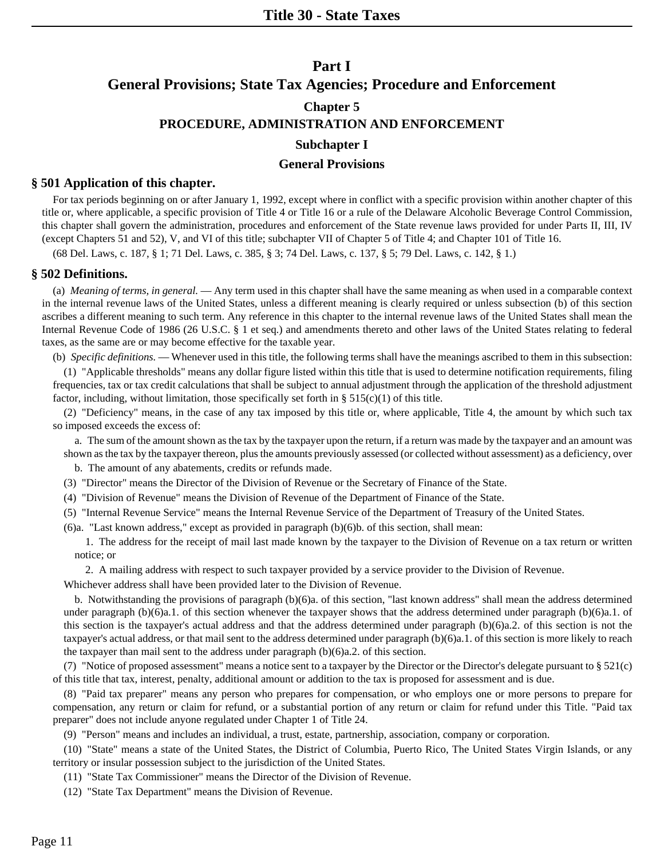# **Part I General Provisions; State Tax Agencies; Procedure and Enforcement Chapter 5 PROCEDURE, ADMINISTRATION AND ENFORCEMENT**

# **Subchapter I**

## **General Provisions**

# **§ 501 Application of this chapter.**

For tax periods beginning on or after January 1, 1992, except where in conflict with a specific provision within another chapter of this title or, where applicable, a specific provision of Title 4 or Title 16 or a rule of the Delaware Alcoholic Beverage Control Commission, this chapter shall govern the administration, procedures and enforcement of the State revenue laws provided for under Parts II, III, IV (except Chapters 51 and 52), V, and VI of this title; subchapter VII of Chapter 5 of Title 4; and Chapter 101 of Title 16.

(68 Del. Laws, c. 187, § 1; 71 Del. Laws, c. 385, § 3; 74 Del. Laws, c. 137, § 5; 79 Del. Laws, c. 142, § 1.)

# **§ 502 Definitions.**

(a) *Meaning of terms, in general.* — Any term used in this chapter shall have the same meaning as when used in a comparable context in the internal revenue laws of the United States, unless a different meaning is clearly required or unless subsection (b) of this section ascribes a different meaning to such term. Any reference in this chapter to the internal revenue laws of the United States shall mean the Internal Revenue Code of 1986 (26 U.S.C. § 1 et seq.) and amendments thereto and other laws of the United States relating to federal taxes, as the same are or may become effective for the taxable year.

(b) *Specific definitions.* — Whenever used in this title, the following terms shall have the meanings ascribed to them in this subsection:

(1) "Applicable thresholds" means any dollar figure listed within this title that is used to determine notification requirements, filing frequencies, tax or tax credit calculations that shall be subject to annual adjustment through the application of the threshold adjustment factor, including, without limitation, those specifically set forth in  $\S 515(c)(1)$  of this title.

(2) "Deficiency" means, in the case of any tax imposed by this title or, where applicable, Title 4, the amount by which such tax so imposed exceeds the excess of:

a. The sum of the amount shown as the tax by the taxpayer upon the return, if a return was made by the taxpayer and an amount was shown as the tax by the taxpayer thereon, plus the amounts previously assessed (or collected without assessment) as a deficiency, over

b. The amount of any abatements, credits or refunds made.

(3) "Director" means the Director of the Division of Revenue or the Secretary of Finance of the State.

(4) "Division of Revenue" means the Division of Revenue of the Department of Finance of the State.

(5) "Internal Revenue Service" means the Internal Revenue Service of the Department of Treasury of the United States.

 $(6)$ a. "Last known address," except as provided in paragraph  $(b)(6)$ b. of this section, shall mean:

1. The address for the receipt of mail last made known by the taxpayer to the Division of Revenue on a tax return or written notice; or

2. A mailing address with respect to such taxpayer provided by a service provider to the Division of Revenue.

Whichever address shall have been provided later to the Division of Revenue.

b. Notwithstanding the provisions of paragraph (b)(6)a. of this section, "last known address" shall mean the address determined under paragraph (b)(6)a.1. of this section whenever the taxpayer shows that the address determined under paragraph (b)(6)a.1. of this section is the taxpayer's actual address and that the address determined under paragraph (b)(6)a.2. of this section is not the taxpayer's actual address, or that mail sent to the address determined under paragraph (b)(6)a.1. of this section is more likely to reach the taxpayer than mail sent to the address under paragraph (b)(6)a.2. of this section.

(7) "Notice of proposed assessment" means a notice sent to a taxpayer by the Director or the Director's delegate pursuant to § 521(c) of this title that tax, interest, penalty, additional amount or addition to the tax is proposed for assessment and is due.

(8) "Paid tax preparer" means any person who prepares for compensation, or who employs one or more persons to prepare for compensation, any return or claim for refund, or a substantial portion of any return or claim for refund under this Title. "Paid tax preparer" does not include anyone regulated under Chapter 1 of Title 24.

(9) "Person" means and includes an individual, a trust, estate, partnership, association, company or corporation.

(10) "State" means a state of the United States, the District of Columbia, Puerto Rico, The United States Virgin Islands, or any territory or insular possession subject to the jurisdiction of the United States.

(11) "State Tax Commissioner" means the Director of the Division of Revenue.

(12) "State Tax Department" means the Division of Revenue.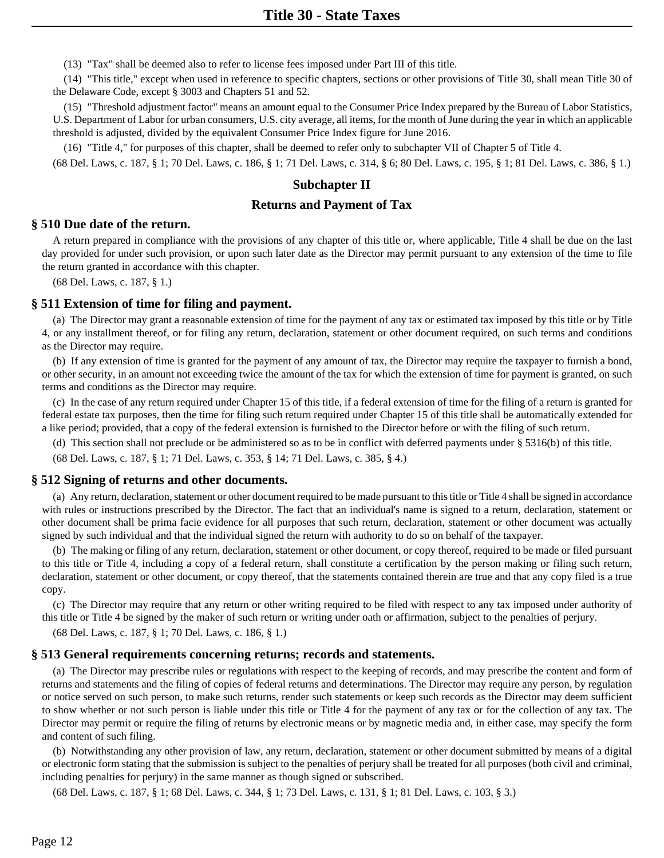(13) "Tax" shall be deemed also to refer to license fees imposed under Part III of this title.

(14) "This title," except when used in reference to specific chapters, sections or other provisions of Title 30, shall mean Title 30 of the Delaware Code, except § 3003 and Chapters 51 and 52.

(15) "Threshold adjustment factor" means an amount equal to the Consumer Price Index prepared by the Bureau of Labor Statistics, U.S. Department of Labor for urban consumers, U.S. city average, all items, for the month of June during the year in which an applicable threshold is adjusted, divided by the equivalent Consumer Price Index figure for June 2016.

(16) "Title 4," for purposes of this chapter, shall be deemed to refer only to subchapter VII of Chapter 5 of Title 4.

(68 Del. Laws, c. 187, § 1; 70 Del. Laws, c. 186, § 1; 71 Del. Laws, c. 314, § 6; 80 Del. Laws, c. 195, § 1; 81 Del. Laws, c. 386, § 1.)

#### **Subchapter II**

# **Returns and Payment of Tax**

## **§ 510 Due date of the return.**

A return prepared in compliance with the provisions of any chapter of this title or, where applicable, Title 4 shall be due on the last day provided for under such provision, or upon such later date as the Director may permit pursuant to any extension of the time to file the return granted in accordance with this chapter.

(68 Del. Laws, c. 187, § 1.)

#### **§ 511 Extension of time for filing and payment.**

(a) The Director may grant a reasonable extension of time for the payment of any tax or estimated tax imposed by this title or by Title 4, or any installment thereof, or for filing any return, declaration, statement or other document required, on such terms and conditions as the Director may require.

(b) If any extension of time is granted for the payment of any amount of tax, the Director may require the taxpayer to furnish a bond, or other security, in an amount not exceeding twice the amount of the tax for which the extension of time for payment is granted, on such terms and conditions as the Director may require.

(c) In the case of any return required under Chapter 15 of this title, if a federal extension of time for the filing of a return is granted for federal estate tax purposes, then the time for filing such return required under Chapter 15 of this title shall be automatically extended for a like period; provided, that a copy of the federal extension is furnished to the Director before or with the filing of such return.

(d) This section shall not preclude or be administered so as to be in conflict with deferred payments under § 5316(b) of this title.

(68 Del. Laws, c. 187, § 1; 71 Del. Laws, c. 353, § 14; 71 Del. Laws, c. 385, § 4.)

#### **§ 512 Signing of returns and other documents.**

(a) Any return, declaration, statement or other document required to be made pursuant to this title or Title 4 shall be signed in accordance with rules or instructions prescribed by the Director. The fact that an individual's name is signed to a return, declaration, statement or other document shall be prima facie evidence for all purposes that such return, declaration, statement or other document was actually signed by such individual and that the individual signed the return with authority to do so on behalf of the taxpayer.

(b) The making or filing of any return, declaration, statement or other document, or copy thereof, required to be made or filed pursuant to this title or Title 4, including a copy of a federal return, shall constitute a certification by the person making or filing such return, declaration, statement or other document, or copy thereof, that the statements contained therein are true and that any copy filed is a true copy.

(c) The Director may require that any return or other writing required to be filed with respect to any tax imposed under authority of this title or Title 4 be signed by the maker of such return or writing under oath or affirmation, subject to the penalties of perjury.

(68 Del. Laws, c. 187, § 1; 70 Del. Laws, c. 186, § 1.)

#### **§ 513 General requirements concerning returns; records and statements.**

(a) The Director may prescribe rules or regulations with respect to the keeping of records, and may prescribe the content and form of returns and statements and the filing of copies of federal returns and determinations. The Director may require any person, by regulation or notice served on such person, to make such returns, render such statements or keep such records as the Director may deem sufficient to show whether or not such person is liable under this title or Title 4 for the payment of any tax or for the collection of any tax. The Director may permit or require the filing of returns by electronic means or by magnetic media and, in either case, may specify the form and content of such filing.

(b) Notwithstanding any other provision of law, any return, declaration, statement or other document submitted by means of a digital or electronic form stating that the submission is subject to the penalties of perjury shall be treated for all purposes (both civil and criminal, including penalties for perjury) in the same manner as though signed or subscribed.

(68 Del. Laws, c. 187, § 1; 68 Del. Laws, c. 344, § 1; 73 Del. Laws, c. 131, § 1; 81 Del. Laws, c. 103, § 3.)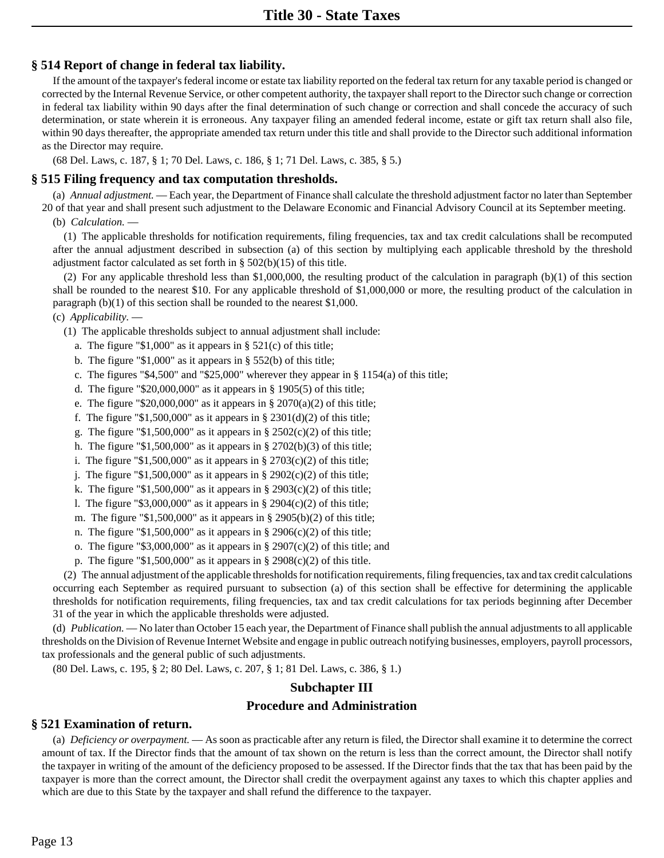# **§ 514 Report of change in federal tax liability.**

If the amount of the taxpayer's federal income or estate tax liability reported on the federal tax return for any taxable period is changed or corrected by the Internal Revenue Service, or other competent authority, the taxpayer shall report to the Director such change or correction in federal tax liability within 90 days after the final determination of such change or correction and shall concede the accuracy of such determination, or state wherein it is erroneous. Any taxpayer filing an amended federal income, estate or gift tax return shall also file, within 90 days thereafter, the appropriate amended tax return under this title and shall provide to the Director such additional information as the Director may require.

(68 Del. Laws, c. 187, § 1; 70 Del. Laws, c. 186, § 1; 71 Del. Laws, c. 385, § 5.)

# **§ 515 Filing frequency and tax computation thresholds.**

(a) *Annual adjustment.* — Each year, the Department of Finance shall calculate the threshold adjustment factor no later than September

20 of that year and shall present such adjustment to the Delaware Economic and Financial Advisory Council at its September meeting.

(b) *Calculation.* —

(1) The applicable thresholds for notification requirements, filing frequencies, tax and tax credit calculations shall be recomputed after the annual adjustment described in subsection (a) of this section by multiplying each applicable threshold by the threshold adjustment factor calculated as set forth in § 502(b)(15) of this title.

(2) For any applicable threshold less than \$1,000,000, the resulting product of the calculation in paragraph (b)(1) of this section shall be rounded to the nearest \$10. For any applicable threshold of \$1,000,000 or more, the resulting product of the calculation in paragraph (b)(1) of this section shall be rounded to the nearest \$1,000.

#### (c) *Applicability.* —

(1) The applicable thresholds subject to annual adjustment shall include:

- a. The figure "\$1,000" as it appears in  $\S$  521(c) of this title;
- b. The figure "\$1,000" as it appears in § 552(b) of this title;
- c. The figures "\$4,500" and "\$25,000" wherever they appear in § 1154(a) of this title;
- d. The figure " $$20,000,000$ " as it appears in  $§$  1905(5) of this title;
- e. The figure "\$20,000,000" as it appears in § 2070(a)(2) of this title;
- f. The figure " $$1,500,000$ " as it appears in  $§ 2301(d)(2)$  of this title;
- g. The figure "\$1,500,000" as it appears in  $\S 2502(c)(2)$  of this title;
- h. The figure "\$1,500,000" as it appears in  $\S 2702(b)(3)$  of this title;
- i. The figure "\$1,500,000" as it appears in  $\S 2703(c)(2)$  of this title;
- j. The figure "\$1,500,000" as it appears in  $\S 2902(c)(2)$  of this title;
- k. The figure "\$1,500,000" as it appears in  $\S$  2903(c)(2) of this title;
- 1. The figure "\$3,000,000" as it appears in  $\S 2904(c)(2)$  of this title;
- m. The figure "\$1,500,000" as it appears in  $\S 2905(b)(2)$  of this title;
- n. The figure " $$1,500,000$ " as it appears in  $§2906(c)(2)$  of this title;
- o. The figure "\$3,000,000" as it appears in  $\S 2907(c)(2)$  of this title; and
- p. The figure " $$1,500,000$ " as it appears in  $§2908(c)(2)$  of this title.

(2) The annual adjustment of the applicable thresholds for notification requirements, filing frequencies, tax and tax credit calculations occurring each September as required pursuant to subsection (a) of this section shall be effective for determining the applicable thresholds for notification requirements, filing frequencies, tax and tax credit calculations for tax periods beginning after December 31 of the year in which the applicable thresholds were adjusted.

(d) *Publication.* — No later than October 15 each year, the Department of Finance shall publish the annual adjustments to all applicable thresholds on the Division of Revenue Internet Website and engage in public outreach notifying businesses, employers, payroll processors, tax professionals and the general public of such adjustments.

(80 Del. Laws, c. 195, § 2; 80 Del. Laws, c. 207, § 1; 81 Del. Laws, c. 386, § 1.)

# **Subchapter III**

# **Procedure and Administration**

# **§ 521 Examination of return.**

(a) *Deficiency or overpayment.* — As soon as practicable after any return is filed, the Director shall examine it to determine the correct amount of tax. If the Director finds that the amount of tax shown on the return is less than the correct amount, the Director shall notify the taxpayer in writing of the amount of the deficiency proposed to be assessed. If the Director finds that the tax that has been paid by the taxpayer is more than the correct amount, the Director shall credit the overpayment against any taxes to which this chapter applies and which are due to this State by the taxpayer and shall refund the difference to the taxpayer.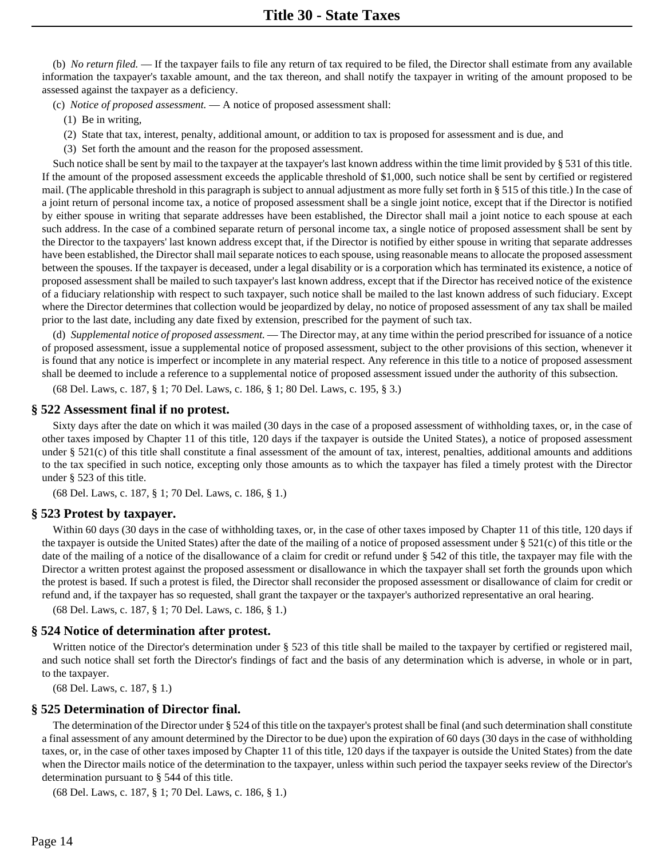(b) *No return filed.* — If the taxpayer fails to file any return of tax required to be filed, the Director shall estimate from any available information the taxpayer's taxable amount, and the tax thereon, and shall notify the taxpayer in writing of the amount proposed to be assessed against the taxpayer as a deficiency.

(c) *Notice of proposed assessment.* — A notice of proposed assessment shall:

- (1) Be in writing,
- (2) State that tax, interest, penalty, additional amount, or addition to tax is proposed for assessment and is due, and
- (3) Set forth the amount and the reason for the proposed assessment.

Such notice shall be sent by mail to the taxpayer at the taxpayer's last known address within the time limit provided by § 531 of this title. If the amount of the proposed assessment exceeds the applicable threshold of \$1,000, such notice shall be sent by certified or registered mail. (The applicable threshold in this paragraph is subject to annual adjustment as more fully set forth in § 515 of this title.) In the case of a joint return of personal income tax, a notice of proposed assessment shall be a single joint notice, except that if the Director is notified by either spouse in writing that separate addresses have been established, the Director shall mail a joint notice to each spouse at each such address. In the case of a combined separate return of personal income tax, a single notice of proposed assessment shall be sent by the Director to the taxpayers' last known address except that, if the Director is notified by either spouse in writing that separate addresses have been established, the Director shall mail separate notices to each spouse, using reasonable means to allocate the proposed assessment between the spouses. If the taxpayer is deceased, under a legal disability or is a corporation which has terminated its existence, a notice of proposed assessment shall be mailed to such taxpayer's last known address, except that if the Director has received notice of the existence of a fiduciary relationship with respect to such taxpayer, such notice shall be mailed to the last known address of such fiduciary. Except where the Director determines that collection would be jeopardized by delay, no notice of proposed assessment of any tax shall be mailed prior to the last date, including any date fixed by extension, prescribed for the payment of such tax.

(d) *Supplemental notice of proposed assessment.* — The Director may, at any time within the period prescribed for issuance of a notice of proposed assessment, issue a supplemental notice of proposed assessment, subject to the other provisions of this section, whenever it is found that any notice is imperfect or incomplete in any material respect. Any reference in this title to a notice of proposed assessment shall be deemed to include a reference to a supplemental notice of proposed assessment issued under the authority of this subsection.

(68 Del. Laws, c. 187, § 1; 70 Del. Laws, c. 186, § 1; 80 Del. Laws, c. 195, § 3.)

#### **§ 522 Assessment final if no protest.**

Sixty days after the date on which it was mailed (30 days in the case of a proposed assessment of withholding taxes, or, in the case of other taxes imposed by Chapter 11 of this title, 120 days if the taxpayer is outside the United States), a notice of proposed assessment under  $\S 521(c)$  of this title shall constitute a final assessment of the amount of tax, interest, penalties, additional amounts and additions to the tax specified in such notice, excepting only those amounts as to which the taxpayer has filed a timely protest with the Director under § 523 of this title.

(68 Del. Laws, c. 187, § 1; 70 Del. Laws, c. 186, § 1.)

#### **§ 523 Protest by taxpayer.**

Within 60 days (30 days in the case of withholding taxes, or, in the case of other taxes imposed by Chapter 11 of this title, 120 days if the taxpayer is outside the United States) after the date of the mailing of a notice of proposed assessment under  $\S 521(c)$  of this title or the date of the mailing of a notice of the disallowance of a claim for credit or refund under § 542 of this title, the taxpayer may file with the Director a written protest against the proposed assessment or disallowance in which the taxpayer shall set forth the grounds upon which the protest is based. If such a protest is filed, the Director shall reconsider the proposed assessment or disallowance of claim for credit or refund and, if the taxpayer has so requested, shall grant the taxpayer or the taxpayer's authorized representative an oral hearing.

# (68 Del. Laws, c. 187, § 1; 70 Del. Laws, c. 186, § 1.)

# **§ 524 Notice of determination after protest.**

Written notice of the Director's determination under § 523 of this title shall be mailed to the taxpayer by certified or registered mail, and such notice shall set forth the Director's findings of fact and the basis of any determination which is adverse, in whole or in part, to the taxpayer.

(68 Del. Laws, c. 187, § 1.)

# **§ 525 Determination of Director final.**

The determination of the Director under § 524 of this title on the taxpayer's protest shall be final (and such determination shall constitute a final assessment of any amount determined by the Director to be due) upon the expiration of 60 days (30 days in the case of withholding taxes, or, in the case of other taxes imposed by Chapter 11 of this title, 120 days if the taxpayer is outside the United States) from the date when the Director mails notice of the determination to the taxpayer, unless within such period the taxpayer seeks review of the Director's determination pursuant to § 544 of this title.

(68 Del. Laws, c. 187, § 1; 70 Del. Laws, c. 186, § 1.)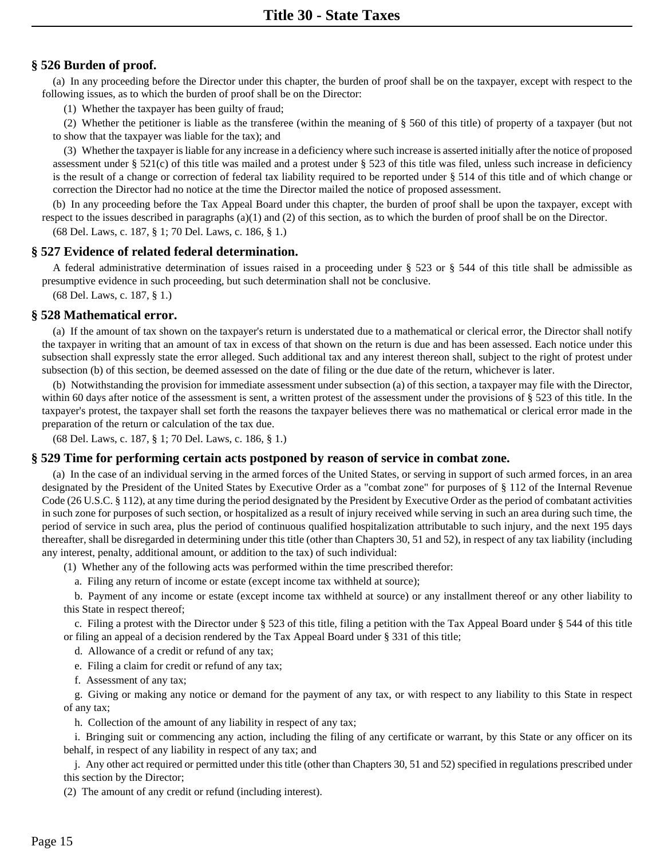# **§ 526 Burden of proof.**

(a) In any proceeding before the Director under this chapter, the burden of proof shall be on the taxpayer, except with respect to the following issues, as to which the burden of proof shall be on the Director:

(1) Whether the taxpayer has been guilty of fraud;

(2) Whether the petitioner is liable as the transferee (within the meaning of § 560 of this title) of property of a taxpayer (but not to show that the taxpayer was liable for the tax); and

(3) Whether the taxpayer is liable for any increase in a deficiency where such increase is asserted initially after the notice of proposed assessment under § 521(c) of this title was mailed and a protest under § 523 of this title was filed, unless such increase in deficiency is the result of a change or correction of federal tax liability required to be reported under § 514 of this title and of which change or correction the Director had no notice at the time the Director mailed the notice of proposed assessment.

(b) In any proceeding before the Tax Appeal Board under this chapter, the burden of proof shall be upon the taxpayer, except with respect to the issues described in paragraphs (a)(1) and (2) of this section, as to which the burden of proof shall be on the Director.

(68 Del. Laws, c. 187, § 1; 70 Del. Laws, c. 186, § 1.)

# **§ 527 Evidence of related federal determination.**

A federal administrative determination of issues raised in a proceeding under § 523 or § 544 of this title shall be admissible as presumptive evidence in such proceeding, but such determination shall not be conclusive.

(68 Del. Laws, c. 187, § 1.)

## **§ 528 Mathematical error.**

(a) If the amount of tax shown on the taxpayer's return is understated due to a mathematical or clerical error, the Director shall notify the taxpayer in writing that an amount of tax in excess of that shown on the return is due and has been assessed. Each notice under this subsection shall expressly state the error alleged. Such additional tax and any interest thereon shall, subject to the right of protest under subsection (b) of this section, be deemed assessed on the date of filing or the due date of the return, whichever is later.

(b) Notwithstanding the provision for immediate assessment under subsection (a) of this section, a taxpayer may file with the Director, within 60 days after notice of the assessment is sent, a written protest of the assessment under the provisions of § 523 of this title. In the taxpayer's protest, the taxpayer shall set forth the reasons the taxpayer believes there was no mathematical or clerical error made in the preparation of the return or calculation of the tax due.

(68 Del. Laws, c. 187, § 1; 70 Del. Laws, c. 186, § 1.)

# **§ 529 Time for performing certain acts postponed by reason of service in combat zone.**

(a) In the case of an individual serving in the armed forces of the United States, or serving in support of such armed forces, in an area designated by the President of the United States by Executive Order as a "combat zone" for purposes of § 112 of the Internal Revenue Code (26 U.S.C. § 112), at any time during the period designated by the President by Executive Order as the period of combatant activities in such zone for purposes of such section, or hospitalized as a result of injury received while serving in such an area during such time, the period of service in such area, plus the period of continuous qualified hospitalization attributable to such injury, and the next 195 days thereafter, shall be disregarded in determining under this title (other than Chapters 30, 51 and 52), in respect of any tax liability (including any interest, penalty, additional amount, or addition to the tax) of such individual:

(1) Whether any of the following acts was performed within the time prescribed therefor:

a. Filing any return of income or estate (except income tax withheld at source);

b. Payment of any income or estate (except income tax withheld at source) or any installment thereof or any other liability to this State in respect thereof;

c. Filing a protest with the Director under § 523 of this title, filing a petition with the Tax Appeal Board under § 544 of this title or filing an appeal of a decision rendered by the Tax Appeal Board under § 331 of this title;

d. Allowance of a credit or refund of any tax;

e. Filing a claim for credit or refund of any tax;

f. Assessment of any tax;

g. Giving or making any notice or demand for the payment of any tax, or with respect to any liability to this State in respect of any tax;

h. Collection of the amount of any liability in respect of any tax;

i. Bringing suit or commencing any action, including the filing of any certificate or warrant, by this State or any officer on its behalf, in respect of any liability in respect of any tax; and

j. Any other act required or permitted under this title (other than Chapters 30, 51 and 52) specified in regulations prescribed under this section by the Director;

(2) The amount of any credit or refund (including interest).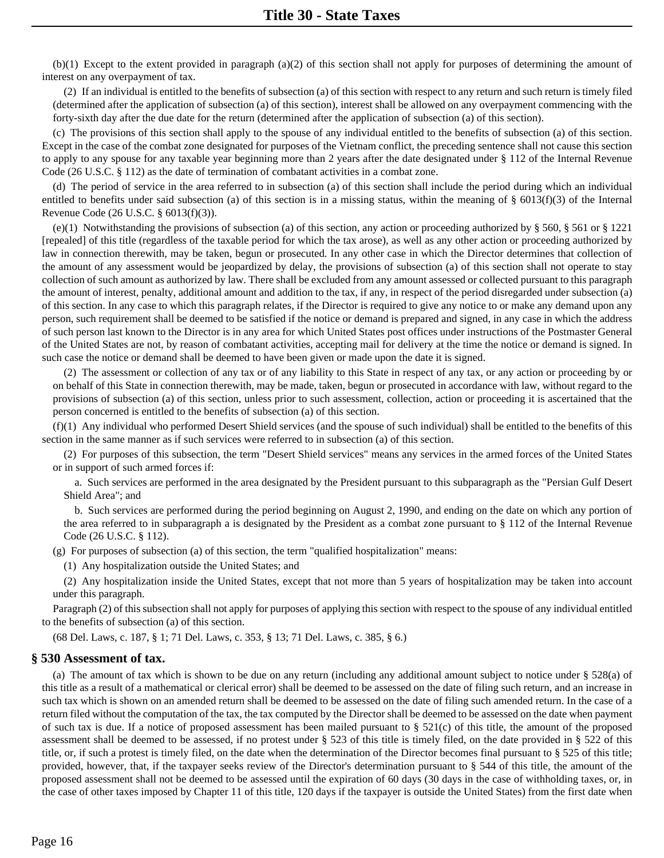(b)(1) Except to the extent provided in paragraph (a)(2) of this section shall not apply for purposes of determining the amount of interest on any overpayment of tax.

(2) If an individual is entitled to the benefits of subsection (a) of this section with respect to any return and such return is timely filed (determined after the application of subsection (a) of this section), interest shall be allowed on any overpayment commencing with the forty-sixth day after the due date for the return (determined after the application of subsection (a) of this section).

(c) The provisions of this section shall apply to the spouse of any individual entitled to the benefits of subsection (a) of this section. Except in the case of the combat zone designated for purposes of the Vietnam conflict, the preceding sentence shall not cause this section to apply to any spouse for any taxable year beginning more than 2 years after the date designated under § 112 of the Internal Revenue Code (26 U.S.C. § 112) as the date of termination of combatant activities in a combat zone.

(d) The period of service in the area referred to in subsection (a) of this section shall include the period during which an individual entitled to benefits under said subsection (a) of this section is in a missing status, within the meaning of  $\S$  6013(f)(3) of the Internal Revenue Code (26 U.S.C. § 6013(f)(3)).

(e)(1) Notwithstanding the provisions of subsection (a) of this section, any action or proceeding authorized by  $\S 560, \S 561$  or  $\S 1221$ [repealed] of this title (regardless of the taxable period for which the tax arose), as well as any other action or proceeding authorized by law in connection therewith, may be taken, begun or prosecuted. In any other case in which the Director determines that collection of the amount of any assessment would be jeopardized by delay, the provisions of subsection (a) of this section shall not operate to stay collection of such amount as authorized by law. There shall be excluded from any amount assessed or collected pursuant to this paragraph the amount of interest, penalty, additional amount and addition to the tax, if any, in respect of the period disregarded under subsection (a) of this section. In any case to which this paragraph relates, if the Director is required to give any notice to or make any demand upon any person, such requirement shall be deemed to be satisfied if the notice or demand is prepared and signed, in any case in which the address of such person last known to the Director is in any area for which United States post offices under instructions of the Postmaster General of the United States are not, by reason of combatant activities, accepting mail for delivery at the time the notice or demand is signed. In such case the notice or demand shall be deemed to have been given or made upon the date it is signed.

(2) The assessment or collection of any tax or of any liability to this State in respect of any tax, or any action or proceeding by or on behalf of this State in connection therewith, may be made, taken, begun or prosecuted in accordance with law, without regard to the provisions of subsection (a) of this section, unless prior to such assessment, collection, action or proceeding it is ascertained that the person concerned is entitled to the benefits of subsection (a) of this section.

 $(f)(1)$  Any individual who performed Desert Shield services (and the spouse of such individual) shall be entitled to the benefits of this section in the same manner as if such services were referred to in subsection (a) of this section.

(2) For purposes of this subsection, the term "Desert Shield services" means any services in the armed forces of the United States or in support of such armed forces if:

a. Such services are performed in the area designated by the President pursuant to this subparagraph as the "Persian Gulf Desert Shield Area"; and

b. Such services are performed during the period beginning on August 2, 1990, and ending on the date on which any portion of the area referred to in subparagraph a is designated by the President as a combat zone pursuant to § 112 of the Internal Revenue Code (26 U.S.C. § 112).

(g) For purposes of subsection (a) of this section, the term "qualified hospitalization" means:

(1) Any hospitalization outside the United States; and

(2) Any hospitalization inside the United States, except that not more than 5 years of hospitalization may be taken into account under this paragraph.

Paragraph (2) of this subsection shall not apply for purposes of applying this section with respect to the spouse of any individual entitled to the benefits of subsection (a) of this section.

(68 Del. Laws, c. 187, § 1; 71 Del. Laws, c. 353, § 13; 71 Del. Laws, c. 385, § 6.)

#### **§ 530 Assessment of tax.**

(a) The amount of tax which is shown to be due on any return (including any additional amount subject to notice under § 528(a) of this title as a result of a mathematical or clerical error) shall be deemed to be assessed on the date of filing such return, and an increase in such tax which is shown on an amended return shall be deemed to be assessed on the date of filing such amended return. In the case of a return filed without the computation of the tax, the tax computed by the Director shall be deemed to be assessed on the date when payment of such tax is due. If a notice of proposed assessment has been mailed pursuant to  $\S$  521(c) of this title, the amount of the proposed assessment shall be deemed to be assessed, if no protest under § 523 of this title is timely filed, on the date provided in § 522 of this title, or, if such a protest is timely filed, on the date when the determination of the Director becomes final pursuant to § 525 of this title; provided, however, that, if the taxpayer seeks review of the Director's determination pursuant to § 544 of this title, the amount of the proposed assessment shall not be deemed to be assessed until the expiration of 60 days (30 days in the case of withholding taxes, or, in the case of other taxes imposed by Chapter 11 of this title, 120 days if the taxpayer is outside the United States) from the first date when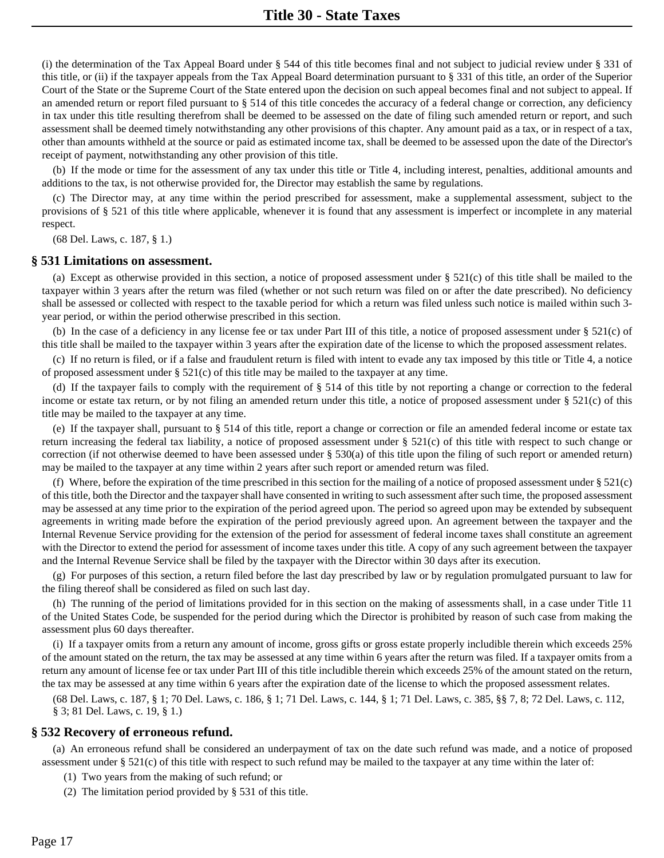(i) the determination of the Tax Appeal Board under § 544 of this title becomes final and not subject to judicial review under § 331 of this title, or (ii) if the taxpayer appeals from the Tax Appeal Board determination pursuant to § 331 of this title, an order of the Superior Court of the State or the Supreme Court of the State entered upon the decision on such appeal becomes final and not subject to appeal. If an amended return or report filed pursuant to § 514 of this title concedes the accuracy of a federal change or correction, any deficiency in tax under this title resulting therefrom shall be deemed to be assessed on the date of filing such amended return or report, and such assessment shall be deemed timely notwithstanding any other provisions of this chapter. Any amount paid as a tax, or in respect of a tax, other than amounts withheld at the source or paid as estimated income tax, shall be deemed to be assessed upon the date of the Director's receipt of payment, notwithstanding any other provision of this title.

(b) If the mode or time for the assessment of any tax under this title or Title 4, including interest, penalties, additional amounts and additions to the tax, is not otherwise provided for, the Director may establish the same by regulations.

(c) The Director may, at any time within the period prescribed for assessment, make a supplemental assessment, subject to the provisions of § 521 of this title where applicable, whenever it is found that any assessment is imperfect or incomplete in any material respect.

(68 Del. Laws, c. 187, § 1.)

#### **§ 531 Limitations on assessment.**

(a) Except as otherwise provided in this section, a notice of proposed assessment under § 521(c) of this title shall be mailed to the taxpayer within 3 years after the return was filed (whether or not such return was filed on or after the date prescribed). No deficiency shall be assessed or collected with respect to the taxable period for which a return was filed unless such notice is mailed within such 3 year period, or within the period otherwise prescribed in this section.

(b) In the case of a deficiency in any license fee or tax under Part III of this title, a notice of proposed assessment under  $\S 521(c)$  of this title shall be mailed to the taxpayer within 3 years after the expiration date of the license to which the proposed assessment relates.

(c) If no return is filed, or if a false and fraudulent return is filed with intent to evade any tax imposed by this title or Title 4, a notice of proposed assessment under  $\S 521(c)$  of this title may be mailed to the taxpayer at any time.

(d) If the taxpayer fails to comply with the requirement of § 514 of this title by not reporting a change or correction to the federal income or estate tax return, or by not filing an amended return under this title, a notice of proposed assessment under § 521(c) of this title may be mailed to the taxpayer at any time.

(e) If the taxpayer shall, pursuant to § 514 of this title, report a change or correction or file an amended federal income or estate tax return increasing the federal tax liability, a notice of proposed assessment under § 521(c) of this title with respect to such change or correction (if not otherwise deemed to have been assessed under § 530(a) of this title upon the filing of such report or amended return) may be mailed to the taxpayer at any time within 2 years after such report or amended return was filed.

(f) Where, before the expiration of the time prescribed in this section for the mailing of a notice of proposed assessment under  $\S 521(c)$ of this title, both the Director and the taxpayer shall have consented in writing to such assessment after such time, the proposed assessment may be assessed at any time prior to the expiration of the period agreed upon. The period so agreed upon may be extended by subsequent agreements in writing made before the expiration of the period previously agreed upon. An agreement between the taxpayer and the Internal Revenue Service providing for the extension of the period for assessment of federal income taxes shall constitute an agreement with the Director to extend the period for assessment of income taxes under this title. A copy of any such agreement between the taxpayer and the Internal Revenue Service shall be filed by the taxpayer with the Director within 30 days after its execution.

(g) For purposes of this section, a return filed before the last day prescribed by law or by regulation promulgated pursuant to law for the filing thereof shall be considered as filed on such last day.

(h) The running of the period of limitations provided for in this section on the making of assessments shall, in a case under Title 11 of the United States Code, be suspended for the period during which the Director is prohibited by reason of such case from making the assessment plus 60 days thereafter.

(i) If a taxpayer omits from a return any amount of income, gross gifts or gross estate properly includible therein which exceeds 25% of the amount stated on the return, the tax may be assessed at any time within 6 years after the return was filed. If a taxpayer omits from a return any amount of license fee or tax under Part III of this title includible therein which exceeds 25% of the amount stated on the return, the tax may be assessed at any time within 6 years after the expiration date of the license to which the proposed assessment relates.

(68 Del. Laws, c. 187, § 1; 70 Del. Laws, c. 186, § 1; 71 Del. Laws, c. 144, § 1; 71 Del. Laws, c. 385, §§ 7, 8; 72 Del. Laws, c. 112, § 3; 81 Del. Laws, c. 19, § 1.)

#### **§ 532 Recovery of erroneous refund.**

(a) An erroneous refund shall be considered an underpayment of tax on the date such refund was made, and a notice of proposed assessment under § 521(c) of this title with respect to such refund may be mailed to the taxpayer at any time within the later of:

- (1) Two years from the making of such refund; or
- (2) The limitation period provided by § 531 of this title.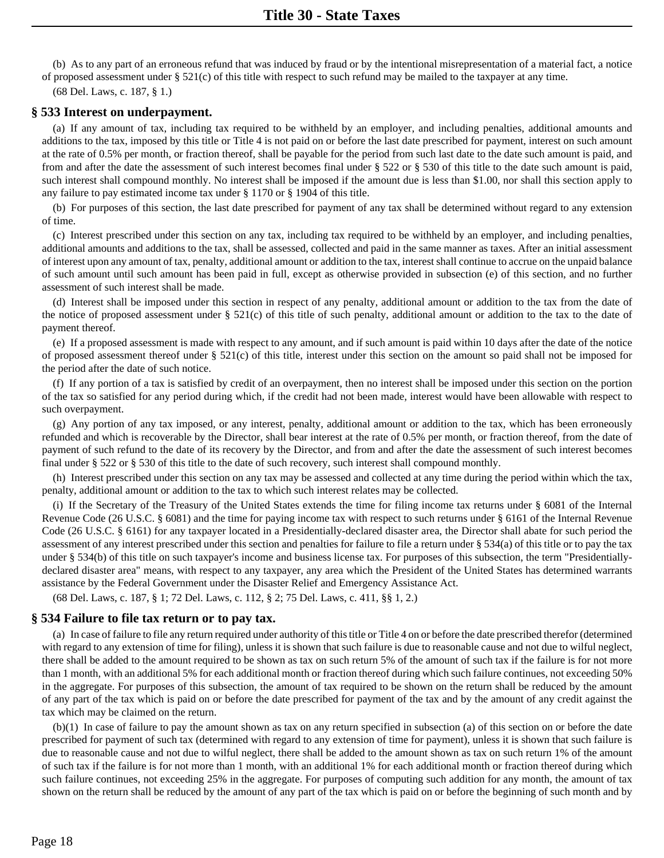(b) As to any part of an erroneous refund that was induced by fraud or by the intentional misrepresentation of a material fact, a notice of proposed assessment under § 521(c) of this title with respect to such refund may be mailed to the taxpayer at any time.

(68 Del. Laws, c. 187, § 1.)

# **§ 533 Interest on underpayment.**

(a) If any amount of tax, including tax required to be withheld by an employer, and including penalties, additional amounts and additions to the tax, imposed by this title or Title 4 is not paid on or before the last date prescribed for payment, interest on such amount at the rate of 0.5% per month, or fraction thereof, shall be payable for the period from such last date to the date such amount is paid, and from and after the date the assessment of such interest becomes final under § 522 or § 530 of this title to the date such amount is paid, such interest shall compound monthly. No interest shall be imposed if the amount due is less than \$1.00, nor shall this section apply to any failure to pay estimated income tax under § 1170 or § 1904 of this title.

(b) For purposes of this section, the last date prescribed for payment of any tax shall be determined without regard to any extension of time.

(c) Interest prescribed under this section on any tax, including tax required to be withheld by an employer, and including penalties, additional amounts and additions to the tax, shall be assessed, collected and paid in the same manner as taxes. After an initial assessment of interest upon any amount of tax, penalty, additional amount or addition to the tax, interest shall continue to accrue on the unpaid balance of such amount until such amount has been paid in full, except as otherwise provided in subsection (e) of this section, and no further assessment of such interest shall be made.

(d) Interest shall be imposed under this section in respect of any penalty, additional amount or addition to the tax from the date of the notice of proposed assessment under  $\S$  521(c) of this title of such penalty, additional amount or addition to the tax to the date of payment thereof.

(e) If a proposed assessment is made with respect to any amount, and if such amount is paid within 10 days after the date of the notice of proposed assessment thereof under § 521(c) of this title, interest under this section on the amount so paid shall not be imposed for the period after the date of such notice.

(f) If any portion of a tax is satisfied by credit of an overpayment, then no interest shall be imposed under this section on the portion of the tax so satisfied for any period during which, if the credit had not been made, interest would have been allowable with respect to such overpayment.

(g) Any portion of any tax imposed, or any interest, penalty, additional amount or addition to the tax, which has been erroneously refunded and which is recoverable by the Director, shall bear interest at the rate of 0.5% per month, or fraction thereof, from the date of payment of such refund to the date of its recovery by the Director, and from and after the date the assessment of such interest becomes final under § 522 or § 530 of this title to the date of such recovery, such interest shall compound monthly.

(h) Interest prescribed under this section on any tax may be assessed and collected at any time during the period within which the tax, penalty, additional amount or addition to the tax to which such interest relates may be collected.

(i) If the Secretary of the Treasury of the United States extends the time for filing income tax returns under § 6081 of the Internal Revenue Code (26 U.S.C. § 6081) and the time for paying income tax with respect to such returns under § 6161 of the Internal Revenue Code (26 U.S.C. § 6161) for any taxpayer located in a Presidentially-declared disaster area, the Director shall abate for such period the assessment of any interest prescribed under this section and penalties for failure to file a return under § 534(a) of this title or to pay the tax under § 534(b) of this title on such taxpayer's income and business license tax. For purposes of this subsection, the term "Presidentiallydeclared disaster area" means, with respect to any taxpayer, any area which the President of the United States has determined warrants assistance by the Federal Government under the Disaster Relief and Emergency Assistance Act.

(68 Del. Laws, c. 187, § 1; 72 Del. Laws, c. 112, § 2; 75 Del. Laws, c. 411, §§ 1, 2.)

#### **§ 534 Failure to file tax return or to pay tax.**

(a) In case of failure to file any return required under authority of this title or Title 4 on or before the date prescribed therefor (determined with regard to any extension of time for filing), unless it is shown that such failure is due to reasonable cause and not due to wilful neglect, there shall be added to the amount required to be shown as tax on such return 5% of the amount of such tax if the failure is for not more than 1 month, with an additional 5% for each additional month or fraction thereof during which such failure continues, not exceeding 50% in the aggregate. For purposes of this subsection, the amount of tax required to be shown on the return shall be reduced by the amount of any part of the tax which is paid on or before the date prescribed for payment of the tax and by the amount of any credit against the tax which may be claimed on the return.

(b)(1) In case of failure to pay the amount shown as tax on any return specified in subsection (a) of this section on or before the date prescribed for payment of such tax (determined with regard to any extension of time for payment), unless it is shown that such failure is due to reasonable cause and not due to wilful neglect, there shall be added to the amount shown as tax on such return 1% of the amount of such tax if the failure is for not more than 1 month, with an additional 1% for each additional month or fraction thereof during which such failure continues, not exceeding 25% in the aggregate. For purposes of computing such addition for any month, the amount of tax shown on the return shall be reduced by the amount of any part of the tax which is paid on or before the beginning of such month and by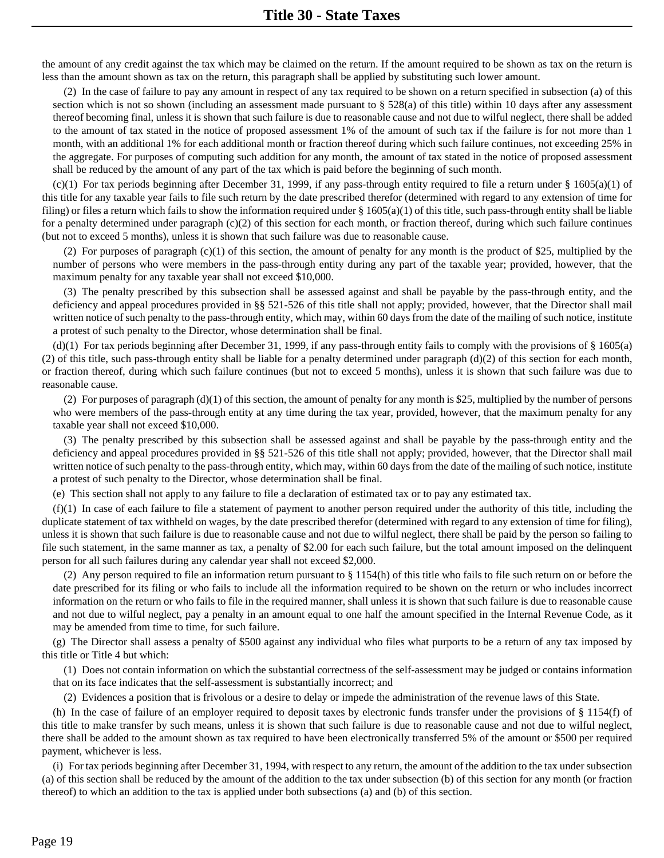the amount of any credit against the tax which may be claimed on the return. If the amount required to be shown as tax on the return is less than the amount shown as tax on the return, this paragraph shall be applied by substituting such lower amount.

(2) In the case of failure to pay any amount in respect of any tax required to be shown on a return specified in subsection (a) of this section which is not so shown (including an assessment made pursuant to § 528(a) of this title) within 10 days after any assessment thereof becoming final, unless it is shown that such failure is due to reasonable cause and not due to wilful neglect, there shall be added to the amount of tax stated in the notice of proposed assessment 1% of the amount of such tax if the failure is for not more than 1 month, with an additional 1% for each additional month or fraction thereof during which such failure continues, not exceeding 25% in the aggregate. For purposes of computing such addition for any month, the amount of tax stated in the notice of proposed assessment shall be reduced by the amount of any part of the tax which is paid before the beginning of such month.

(c)(1) For tax periods beginning after December 31, 1999, if any pass-through entity required to file a return under  $\S$  1605(a)(1) of this title for any taxable year fails to file such return by the date prescribed therefor (determined with regard to any extension of time for filing) or files a return which fails to show the information required under  $\S 1605(a)(1)$  of this title, such pass-through entity shall be liable for a penalty determined under paragraph (c)(2) of this section for each month, or fraction thereof, during which such failure continues (but not to exceed 5 months), unless it is shown that such failure was due to reasonable cause.

(2) For purposes of paragraph  $(c)(1)$  of this section, the amount of penalty for any month is the product of \$25, multiplied by the number of persons who were members in the pass-through entity during any part of the taxable year; provided, however, that the maximum penalty for any taxable year shall not exceed \$10,000.

(3) The penalty prescribed by this subsection shall be assessed against and shall be payable by the pass-through entity, and the deficiency and appeal procedures provided in §§ 521-526 of this title shall not apply; provided, however, that the Director shall mail written notice of such penalty to the pass-through entity, which may, within 60 days from the date of the mailing of such notice, institute a protest of such penalty to the Director, whose determination shall be final.

(d)(1) For tax periods beginning after December 31, 1999, if any pass-through entity fails to comply with the provisions of § 1605(a) (2) of this title, such pass-through entity shall be liable for a penalty determined under paragraph  $(d)(2)$  of this section for each month, or fraction thereof, during which such failure continues (but not to exceed 5 months), unless it is shown that such failure was due to reasonable cause.

(2) For purposes of paragraph  $(d)(1)$  of this section, the amount of penalty for any month is \$25, multiplied by the number of persons who were members of the pass-through entity at any time during the tax year, provided, however, that the maximum penalty for any taxable year shall not exceed \$10,000.

(3) The penalty prescribed by this subsection shall be assessed against and shall be payable by the pass-through entity and the deficiency and appeal procedures provided in §§ 521-526 of this title shall not apply; provided, however, that the Director shall mail written notice of such penalty to the pass-through entity, which may, within 60 days from the date of the mailing of such notice, institute a protest of such penalty to the Director, whose determination shall be final.

(e) This section shall not apply to any failure to file a declaration of estimated tax or to pay any estimated tax.

 $(f)(1)$  In case of each failure to file a statement of payment to another person required under the authority of this title, including the duplicate statement of tax withheld on wages, by the date prescribed therefor (determined with regard to any extension of time for filing), unless it is shown that such failure is due to reasonable cause and not due to wilful neglect, there shall be paid by the person so failing to file such statement, in the same manner as tax, a penalty of \$2.00 for each such failure, but the total amount imposed on the delinquent person for all such failures during any calendar year shall not exceed \$2,000.

(2) Any person required to file an information return pursuant to § 1154(h) of this title who fails to file such return on or before the date prescribed for its filing or who fails to include all the information required to be shown on the return or who includes incorrect information on the return or who fails to file in the required manner, shall unless it is shown that such failure is due to reasonable cause and not due to wilful neglect, pay a penalty in an amount equal to one half the amount specified in the Internal Revenue Code, as it may be amended from time to time, for such failure.

(g) The Director shall assess a penalty of \$500 against any individual who files what purports to be a return of any tax imposed by this title or Title 4 but which:

(1) Does not contain information on which the substantial correctness of the self-assessment may be judged or contains information that on its face indicates that the self-assessment is substantially incorrect; and

(2) Evidences a position that is frivolous or a desire to delay or impede the administration of the revenue laws of this State.

(h) In the case of failure of an employer required to deposit taxes by electronic funds transfer under the provisions of § 1154(f) of this title to make transfer by such means, unless it is shown that such failure is due to reasonable cause and not due to wilful neglect, there shall be added to the amount shown as tax required to have been electronically transferred 5% of the amount or \$500 per required payment, whichever is less.

(i) For tax periods beginning after December 31, 1994, with respect to any return, the amount of the addition to the tax under subsection (a) of this section shall be reduced by the amount of the addition to the tax under subsection (b) of this section for any month (or fraction thereof) to which an addition to the tax is applied under both subsections (a) and (b) of this section.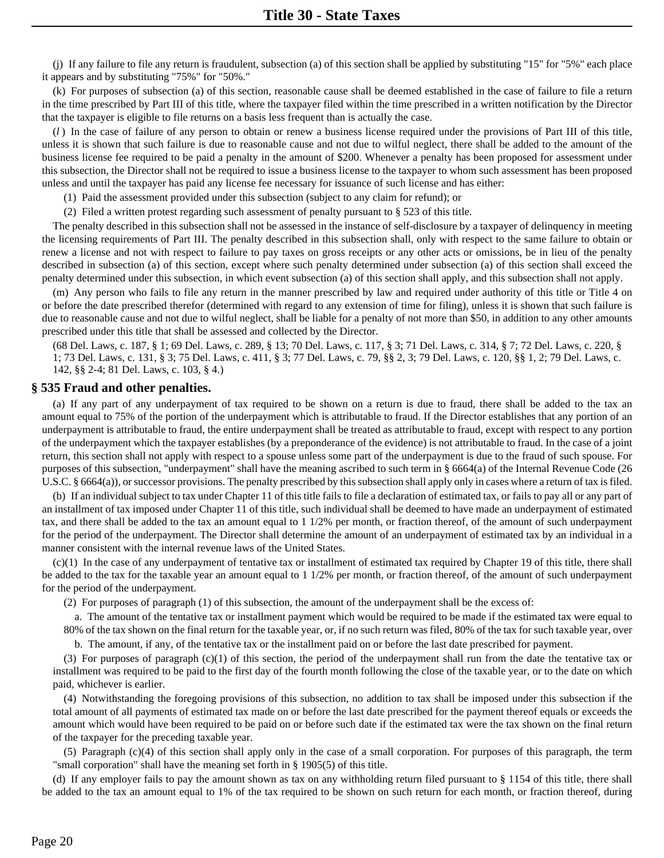(j) If any failure to file any return is fraudulent, subsection (a) of this section shall be applied by substituting "15" for "5%" each place it appears and by substituting "75%" for "50%."

(k) For purposes of subsection (a) of this section, reasonable cause shall be deemed established in the case of failure to file a return in the time prescribed by Part III of this title, where the taxpayer filed within the time prescribed in a written notification by the Director that the taxpayer is eligible to file returns on a basis less frequent than is actually the case.

(*l* ) In the case of failure of any person to obtain or renew a business license required under the provisions of Part III of this title, unless it is shown that such failure is due to reasonable cause and not due to wilful neglect, there shall be added to the amount of the business license fee required to be paid a penalty in the amount of \$200. Whenever a penalty has been proposed for assessment under this subsection, the Director shall not be required to issue a business license to the taxpayer to whom such assessment has been proposed unless and until the taxpayer has paid any license fee necessary for issuance of such license and has either:

(1) Paid the assessment provided under this subsection (subject to any claim for refund); or

(2) Filed a written protest regarding such assessment of penalty pursuant to § 523 of this title.

The penalty described in this subsection shall not be assessed in the instance of self-disclosure by a taxpayer of delinquency in meeting the licensing requirements of Part III. The penalty described in this subsection shall, only with respect to the same failure to obtain or renew a license and not with respect to failure to pay taxes on gross receipts or any other acts or omissions, be in lieu of the penalty described in subsection (a) of this section, except where such penalty determined under subsection (a) of this section shall exceed the penalty determined under this subsection, in which event subsection (a) of this section shall apply, and this subsection shall not apply.

(m) Any person who fails to file any return in the manner prescribed by law and required under authority of this title or Title 4 on or before the date prescribed therefor (determined with regard to any extension of time for filing), unless it is shown that such failure is due to reasonable cause and not due to wilful neglect, shall be liable for a penalty of not more than \$50, in addition to any other amounts prescribed under this title that shall be assessed and collected by the Director.

(68 Del. Laws, c. 187, § 1; 69 Del. Laws, c. 289, § 13; 70 Del. Laws, c. 117, § 3; 71 Del. Laws, c. 314, § 7; 72 Del. Laws, c. 220, § 1; 73 Del. Laws, c. 131, § 3; 75 Del. Laws, c. 411, § 3; 77 Del. Laws, c. 79, §§ 2, 3; 79 Del. Laws, c. 120, §§ 1, 2; 79 Del. Laws, c. 142, §§ 2-4; 81 Del. Laws, c. 103, § 4.)

#### **§ 535 Fraud and other penalties.**

(a) If any part of any underpayment of tax required to be shown on a return is due to fraud, there shall be added to the tax an amount equal to 75% of the portion of the underpayment which is attributable to fraud. If the Director establishes that any portion of an underpayment is attributable to fraud, the entire underpayment shall be treated as attributable to fraud, except with respect to any portion of the underpayment which the taxpayer establishes (by a preponderance of the evidence) is not attributable to fraud. In the case of a joint return, this section shall not apply with respect to a spouse unless some part of the underpayment is due to the fraud of such spouse. For purposes of this subsection, "underpayment" shall have the meaning ascribed to such term in § 6664(a) of the Internal Revenue Code (26 U.S.C. § 6664(a)), or successor provisions. The penalty prescribed by this subsection shall apply only in cases where a return of tax is filed.

(b) If an individual subject to tax under Chapter 11 of this title fails to file a declaration of estimated tax, or fails to pay all or any part of an installment of tax imposed under Chapter 11 of this title, such individual shall be deemed to have made an underpayment of estimated tax, and there shall be added to the tax an amount equal to 1 1/2% per month, or fraction thereof, of the amount of such underpayment for the period of the underpayment. The Director shall determine the amount of an underpayment of estimated tax by an individual in a manner consistent with the internal revenue laws of the United States.

 $(c)(1)$  In the case of any underpayment of tentative tax or installment of estimated tax required by Chapter 19 of this title, there shall be added to the tax for the taxable year an amount equal to 1 1/2% per month, or fraction thereof, of the amount of such underpayment for the period of the underpayment.

(2) For purposes of paragraph (1) of this subsection, the amount of the underpayment shall be the excess of:

a. The amount of the tentative tax or installment payment which would be required to be made if the estimated tax were equal to 80% of the tax shown on the final return for the taxable year, or, if no such return was filed, 80% of the tax for such taxable year, over b. The amount, if any, of the tentative tax or the installment paid on or before the last date prescribed for payment.

(3) For purposes of paragraph (c)(1) of this section, the period of the underpayment shall run from the date the tentative tax or installment was required to be paid to the first day of the fourth month following the close of the taxable year, or to the date on which paid, whichever is earlier.

(4) Notwithstanding the foregoing provisions of this subsection, no addition to tax shall be imposed under this subsection if the total amount of all payments of estimated tax made on or before the last date prescribed for the payment thereof equals or exceeds the amount which would have been required to be paid on or before such date if the estimated tax were the tax shown on the final return of the taxpayer for the preceding taxable year.

(5) Paragraph (c)(4) of this section shall apply only in the case of a small corporation. For purposes of this paragraph, the term "small corporation" shall have the meaning set forth in § 1905(5) of this title.

(d) If any employer fails to pay the amount shown as tax on any withholding return filed pursuant to § 1154 of this title, there shall be added to the tax an amount equal to 1% of the tax required to be shown on such return for each month, or fraction thereof, during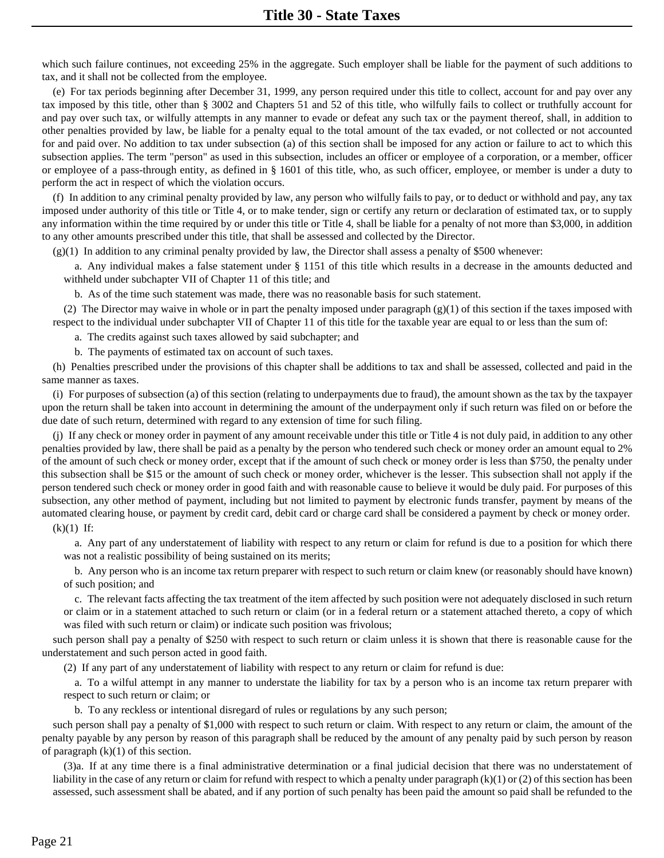which such failure continues, not exceeding 25% in the aggregate. Such employer shall be liable for the payment of such additions to tax, and it shall not be collected from the employee.

(e) For tax periods beginning after December 31, 1999, any person required under this title to collect, account for and pay over any tax imposed by this title, other than § 3002 and Chapters 51 and 52 of this title, who wilfully fails to collect or truthfully account for and pay over such tax, or wilfully attempts in any manner to evade or defeat any such tax or the payment thereof, shall, in addition to other penalties provided by law, be liable for a penalty equal to the total amount of the tax evaded, or not collected or not accounted for and paid over. No addition to tax under subsection (a) of this section shall be imposed for any action or failure to act to which this subsection applies. The term "person" as used in this subsection, includes an officer or employee of a corporation, or a member, officer or employee of a pass-through entity, as defined in § 1601 of this title, who, as such officer, employee, or member is under a duty to perform the act in respect of which the violation occurs.

(f) In addition to any criminal penalty provided by law, any person who wilfully fails to pay, or to deduct or withhold and pay, any tax imposed under authority of this title or Title 4, or to make tender, sign or certify any return or declaration of estimated tax, or to supply any information within the time required by or under this title or Title 4, shall be liable for a penalty of not more than \$3,000, in addition to any other amounts prescribed under this title, that shall be assessed and collected by the Director.

 $(g)(1)$  In addition to any criminal penalty provided by law, the Director shall assess a penalty of \$500 whenever:

a. Any individual makes a false statement under § 1151 of this title which results in a decrease in the amounts deducted and withheld under subchapter VII of Chapter 11 of this title; and

b. As of the time such statement was made, there was no reasonable basis for such statement.

(2) The Director may waive in whole or in part the penalty imposed under paragraph  $(g)(1)$  of this section if the taxes imposed with respect to the individual under subchapter VII of Chapter 11 of this title for the taxable year are equal to or less than the sum of:

a. The credits against such taxes allowed by said subchapter; and

b. The payments of estimated tax on account of such taxes.

(h) Penalties prescribed under the provisions of this chapter shall be additions to tax and shall be assessed, collected and paid in the same manner as taxes.

(i) For purposes of subsection (a) of this section (relating to underpayments due to fraud), the amount shown as the tax by the taxpayer upon the return shall be taken into account in determining the amount of the underpayment only if such return was filed on or before the due date of such return, determined with regard to any extension of time for such filing.

(j) If any check or money order in payment of any amount receivable under this title or Title 4 is not duly paid, in addition to any other penalties provided by law, there shall be paid as a penalty by the person who tendered such check or money order an amount equal to 2% of the amount of such check or money order, except that if the amount of such check or money order is less than \$750, the penalty under this subsection shall be \$15 or the amount of such check or money order, whichever is the lesser. This subsection shall not apply if the person tendered such check or money order in good faith and with reasonable cause to believe it would be duly paid. For purposes of this subsection, any other method of payment, including but not limited to payment by electronic funds transfer, payment by means of the automated clearing house, or payment by credit card, debit card or charge card shall be considered a payment by check or money order.

#### $(k)(1)$  If:

a. Any part of any understatement of liability with respect to any return or claim for refund is due to a position for which there was not a realistic possibility of being sustained on its merits;

b. Any person who is an income tax return preparer with respect to such return or claim knew (or reasonably should have known) of such position; and

c. The relevant facts affecting the tax treatment of the item affected by such position were not adequately disclosed in such return or claim or in a statement attached to such return or claim (or in a federal return or a statement attached thereto, a copy of which was filed with such return or claim) or indicate such position was frivolous;

such person shall pay a penalty of \$250 with respect to such return or claim unless it is shown that there is reasonable cause for the understatement and such person acted in good faith.

(2) If any part of any understatement of liability with respect to any return or claim for refund is due:

a. To a wilful attempt in any manner to understate the liability for tax by a person who is an income tax return preparer with respect to such return or claim; or

b. To any reckless or intentional disregard of rules or regulations by any such person;

such person shall pay a penalty of \$1,000 with respect to such return or claim. With respect to any return or claim, the amount of the penalty payable by any person by reason of this paragraph shall be reduced by the amount of any penalty paid by such person by reason of paragraph  $(k)(1)$  of this section.

(3)a. If at any time there is a final administrative determination or a final judicial decision that there was no understatement of liability in the case of any return or claim for refund with respect to which a penalty under paragraph (k)(1) or (2) of this section has been assessed, such assessment shall be abated, and if any portion of such penalty has been paid the amount so paid shall be refunded to the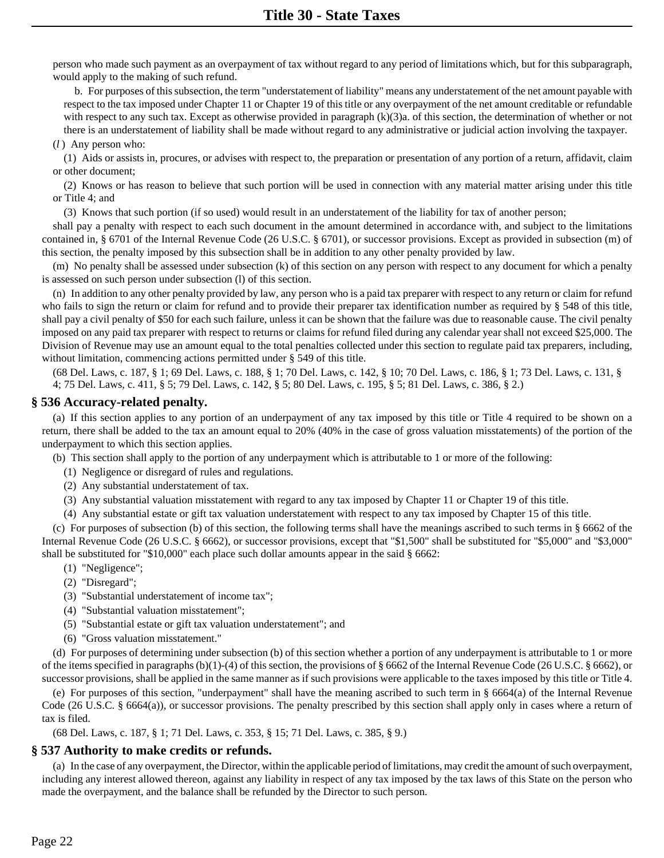person who made such payment as an overpayment of tax without regard to any period of limitations which, but for this subparagraph, would apply to the making of such refund.

b. For purposes of this subsection, the term "understatement of liability" means any understatement of the net amount payable with respect to the tax imposed under Chapter 11 or Chapter 19 of this title or any overpayment of the net amount creditable or refundable with respect to any such tax. Except as otherwise provided in paragraph (k)(3)a, of this section, the determination of whether or not there is an understatement of liability shall be made without regard to any administrative or judicial action involving the taxpayer.

#### (*l* ) Any person who:

(1) Aids or assists in, procures, or advises with respect to, the preparation or presentation of any portion of a return, affidavit, claim or other document;

(2) Knows or has reason to believe that such portion will be used in connection with any material matter arising under this title or Title 4; and

(3) Knows that such portion (if so used) would result in an understatement of the liability for tax of another person;

shall pay a penalty with respect to each such document in the amount determined in accordance with, and subject to the limitations contained in, § 6701 of the Internal Revenue Code (26 U.S.C. § 6701), or successor provisions. Except as provided in subsection (m) of this section, the penalty imposed by this subsection shall be in addition to any other penalty provided by law.

(m) No penalty shall be assessed under subsection (k) of this section on any person with respect to any document for which a penalty is assessed on such person under subsection (l) of this section.

(n) In addition to any other penalty provided by law, any person who is a paid tax preparer with respect to any return or claim for refund who fails to sign the return or claim for refund and to provide their preparer tax identification number as required by § 548 of this title, shall pay a civil penalty of \$50 for each such failure, unless it can be shown that the failure was due to reasonable cause. The civil penalty imposed on any paid tax preparer with respect to returns or claims for refund filed during any calendar year shall not exceed \$25,000. The Division of Revenue may use an amount equal to the total penalties collected under this section to regulate paid tax preparers, including, without limitation, commencing actions permitted under § 549 of this title.

(68 Del. Laws, c. 187, § 1; 69 Del. Laws, c. 188, § 1; 70 Del. Laws, c. 142, § 10; 70 Del. Laws, c. 186, § 1; 73 Del. Laws, c. 131, § 4; 75 Del. Laws, c. 411, § 5; 79 Del. Laws, c. 142, § 5; 80 Del. Laws, c. 195, § 5; 81 Del. Laws, c. 386, § 2.)

## **§ 536 Accuracy-related penalty.**

(a) If this section applies to any portion of an underpayment of any tax imposed by this title or Title 4 required to be shown on a return, there shall be added to the tax an amount equal to 20% (40% in the case of gross valuation misstatements) of the portion of the underpayment to which this section applies.

(b) This section shall apply to the portion of any underpayment which is attributable to 1 or more of the following:

- (1) Negligence or disregard of rules and regulations.
- (2) Any substantial understatement of tax.
- (3) Any substantial valuation misstatement with regard to any tax imposed by Chapter 11 or Chapter 19 of this title.

(4) Any substantial estate or gift tax valuation understatement with respect to any tax imposed by Chapter 15 of this title.

(c) For purposes of subsection (b) of this section, the following terms shall have the meanings ascribed to such terms in § 6662 of the Internal Revenue Code (26 U.S.C. § 6662), or successor provisions, except that "\$1,500" shall be substituted for "\$5,000" and "\$3,000" shall be substituted for " $$10,000$ " each place such dollar amounts appear in the said  $§$  6662:

- (1) "Negligence";
- (2) "Disregard";
- (3) "Substantial understatement of income tax";
- (4) "Substantial valuation misstatement";
- (5) "Substantial estate or gift tax valuation understatement"; and
- (6) "Gross valuation misstatement."

(d) For purposes of determining under subsection (b) of this section whether a portion of any underpayment is attributable to 1 or more of the items specified in paragraphs  $(b)(1)-(4)$  of this section, the provisions of § 6662 of the Internal Revenue Code (26 U.S.C. § 6662), or successor provisions, shall be applied in the same manner as if such provisions were applicable to the taxes imposed by this title or Title 4.

(e) For purposes of this section, "underpayment" shall have the meaning ascribed to such term in § 6664(a) of the Internal Revenue Code (26 U.S.C. § 6664(a)), or successor provisions. The penalty prescribed by this section shall apply only in cases where a return of tax is filed.

(68 Del. Laws, c. 187, § 1; 71 Del. Laws, c. 353, § 15; 71 Del. Laws, c. 385, § 9.)

#### **§ 537 Authority to make credits or refunds.**

(a) In the case of any overpayment, the Director, within the applicable period of limitations, may credit the amount of such overpayment, including any interest allowed thereon, against any liability in respect of any tax imposed by the tax laws of this State on the person who made the overpayment, and the balance shall be refunded by the Director to such person.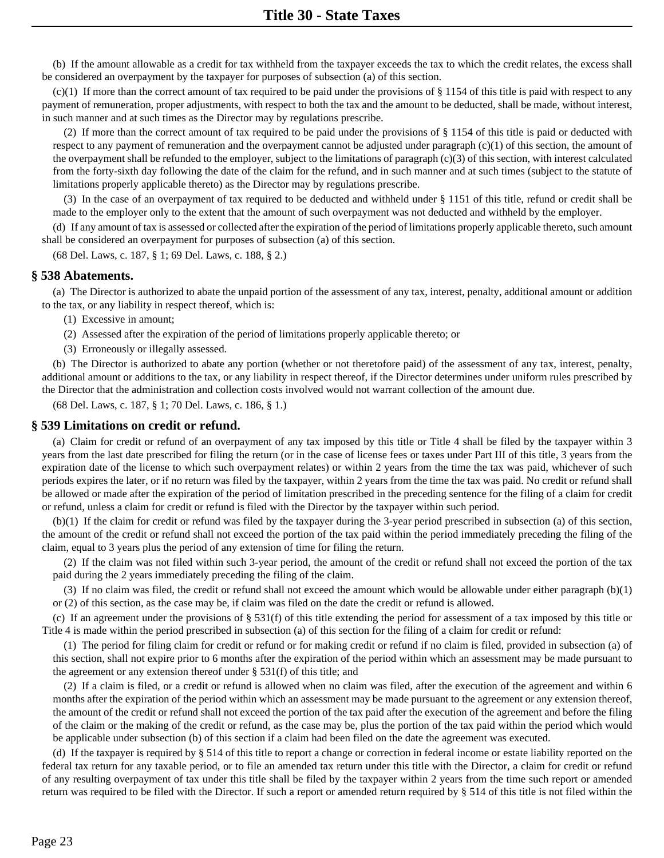(b) If the amount allowable as a credit for tax withheld from the taxpayer exceeds the tax to which the credit relates, the excess shall be considered an overpayment by the taxpayer for purposes of subsection (a) of this section.

 $(c)(1)$  If more than the correct amount of tax required to be paid under the provisions of § 1154 of this title is paid with respect to any payment of remuneration, proper adjustments, with respect to both the tax and the amount to be deducted, shall be made, without interest, in such manner and at such times as the Director may by regulations prescribe.

(2) If more than the correct amount of tax required to be paid under the provisions of § 1154 of this title is paid or deducted with respect to any payment of remuneration and the overpayment cannot be adjusted under paragraph  $(c)(1)$  of this section, the amount of the overpayment shall be refunded to the employer, subject to the limitations of paragraph  $(c)(3)$  of this section, with interest calculated from the forty-sixth day following the date of the claim for the refund, and in such manner and at such times (subject to the statute of limitations properly applicable thereto) as the Director may by regulations prescribe.

(3) In the case of an overpayment of tax required to be deducted and withheld under § 1151 of this title, refund or credit shall be made to the employer only to the extent that the amount of such overpayment was not deducted and withheld by the employer.

(d) If any amount of tax is assessed or collected after the expiration of the period of limitations properly applicable thereto, such amount shall be considered an overpayment for purposes of subsection (a) of this section.

(68 Del. Laws, c. 187, § 1; 69 Del. Laws, c. 188, § 2.)

#### **§ 538 Abatements.**

(a) The Director is authorized to abate the unpaid portion of the assessment of any tax, interest, penalty, additional amount or addition to the tax, or any liability in respect thereof, which is:

- (1) Excessive in amount;
- (2) Assessed after the expiration of the period of limitations properly applicable thereto; or
- (3) Erroneously or illegally assessed.

(b) The Director is authorized to abate any portion (whether or not theretofore paid) of the assessment of any tax, interest, penalty, additional amount or additions to the tax, or any liability in respect thereof, if the Director determines under uniform rules prescribed by the Director that the administration and collection costs involved would not warrant collection of the amount due.

(68 Del. Laws, c. 187, § 1; 70 Del. Laws, c. 186, § 1.)

#### **§ 539 Limitations on credit or refund.**

(a) Claim for credit or refund of an overpayment of any tax imposed by this title or Title 4 shall be filed by the taxpayer within 3 years from the last date prescribed for filing the return (or in the case of license fees or taxes under Part III of this title, 3 years from the expiration date of the license to which such overpayment relates) or within 2 years from the time the tax was paid, whichever of such periods expires the later, or if no return was filed by the taxpayer, within 2 years from the time the tax was paid. No credit or refund shall be allowed or made after the expiration of the period of limitation prescribed in the preceding sentence for the filing of a claim for credit or refund, unless a claim for credit or refund is filed with the Director by the taxpayer within such period.

(b)(1) If the claim for credit or refund was filed by the taxpayer during the 3-year period prescribed in subsection (a) of this section, the amount of the credit or refund shall not exceed the portion of the tax paid within the period immediately preceding the filing of the claim, equal to 3 years plus the period of any extension of time for filing the return.

(2) If the claim was not filed within such 3-year period, the amount of the credit or refund shall not exceed the portion of the tax paid during the 2 years immediately preceding the filing of the claim.

(3) If no claim was filed, the credit or refund shall not exceed the amount which would be allowable under either paragraph (b)(1) or (2) of this section, as the case may be, if claim was filed on the date the credit or refund is allowed.

(c) If an agreement under the provisions of § 531(f) of this title extending the period for assessment of a tax imposed by this title or Title 4 is made within the period prescribed in subsection (a) of this section for the filing of a claim for credit or refund:

(1) The period for filing claim for credit or refund or for making credit or refund if no claim is filed, provided in subsection (a) of this section, shall not expire prior to 6 months after the expiration of the period within which an assessment may be made pursuant to the agreement or any extension thereof under  $\S$  531(f) of this title; and

(2) If a claim is filed, or a credit or refund is allowed when no claim was filed, after the execution of the agreement and within 6 months after the expiration of the period within which an assessment may be made pursuant to the agreement or any extension thereof, the amount of the credit or refund shall not exceed the portion of the tax paid after the execution of the agreement and before the filing of the claim or the making of the credit or refund, as the case may be, plus the portion of the tax paid within the period which would be applicable under subsection (b) of this section if a claim had been filed on the date the agreement was executed.

(d) If the taxpayer is required by § 514 of this title to report a change or correction in federal income or estate liability reported on the federal tax return for any taxable period, or to file an amended tax return under this title with the Director, a claim for credit or refund of any resulting overpayment of tax under this title shall be filed by the taxpayer within 2 years from the time such report or amended return was required to be filed with the Director. If such a report or amended return required by § 514 of this title is not filed within the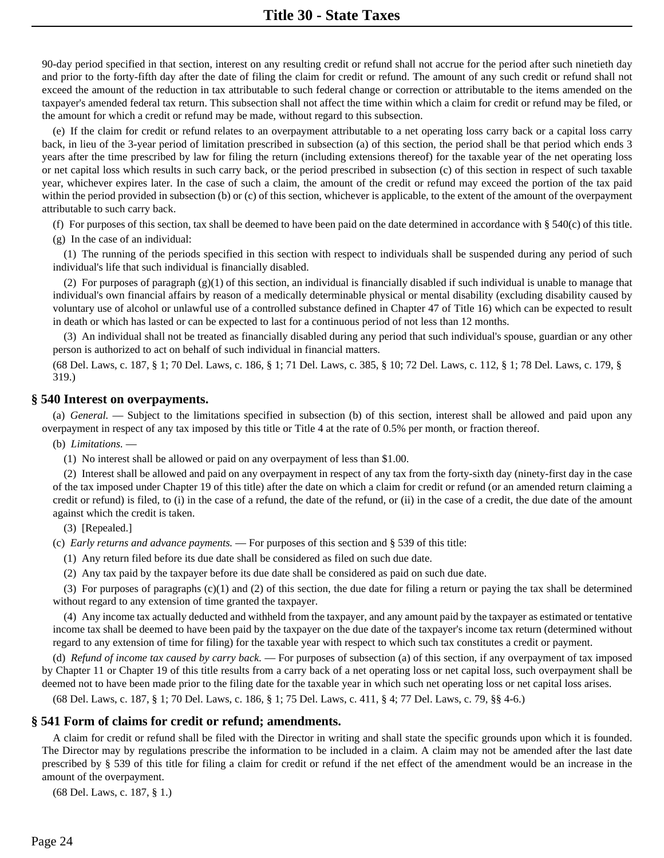90-day period specified in that section, interest on any resulting credit or refund shall not accrue for the period after such ninetieth day and prior to the forty-fifth day after the date of filing the claim for credit or refund. The amount of any such credit or refund shall not exceed the amount of the reduction in tax attributable to such federal change or correction or attributable to the items amended on the taxpayer's amended federal tax return. This subsection shall not affect the time within which a claim for credit or refund may be filed, or the amount for which a credit or refund may be made, without regard to this subsection.

(e) If the claim for credit or refund relates to an overpayment attributable to a net operating loss carry back or a capital loss carry back, in lieu of the 3-year period of limitation prescribed in subsection (a) of this section, the period shall be that period which ends 3 years after the time prescribed by law for filing the return (including extensions thereof) for the taxable year of the net operating loss or net capital loss which results in such carry back, or the period prescribed in subsection (c) of this section in respect of such taxable year, whichever expires later. In the case of such a claim, the amount of the credit or refund may exceed the portion of the tax paid within the period provided in subsection (b) or (c) of this section, whichever is applicable, to the extent of the amount of the overpayment attributable to such carry back.

(f) For purposes of this section, tax shall be deemed to have been paid on the date determined in accordance with  $\S 540(c)$  of this title.

(g) In the case of an individual:

(1) The running of the periods specified in this section with respect to individuals shall be suspended during any period of such individual's life that such individual is financially disabled.

(2) For purposes of paragraph  $(g)(1)$  of this section, an individual is financially disabled if such individual is unable to manage that individual's own financial affairs by reason of a medically determinable physical or mental disability (excluding disability caused by voluntary use of alcohol or unlawful use of a controlled substance defined in Chapter 47 of Title 16) which can be expected to result in death or which has lasted or can be expected to last for a continuous period of not less than 12 months.

(3) An individual shall not be treated as financially disabled during any period that such individual's spouse, guardian or any other person is authorized to act on behalf of such individual in financial matters.

(68 Del. Laws, c. 187, § 1; 70 Del. Laws, c. 186, § 1; 71 Del. Laws, c. 385, § 10; 72 Del. Laws, c. 112, § 1; 78 Del. Laws, c. 179, § 319.)

#### **§ 540 Interest on overpayments.**

(a) *General.* — Subject to the limitations specified in subsection (b) of this section, interest shall be allowed and paid upon any overpayment in respect of any tax imposed by this title or Title 4 at the rate of 0.5% per month, or fraction thereof.

(b) *Limitations.* —

(1) No interest shall be allowed or paid on any overpayment of less than \$1.00.

(2) Interest shall be allowed and paid on any overpayment in respect of any tax from the forty-sixth day (ninety-first day in the case of the tax imposed under Chapter 19 of this title) after the date on which a claim for credit or refund (or an amended return claiming a credit or refund) is filed, to (i) in the case of a refund, the date of the refund, or (ii) in the case of a credit, the due date of the amount against which the credit is taken.

(3) [Repealed.]

(c) *Early returns and advance payments.* — For purposes of this section and § 539 of this title:

(1) Any return filed before its due date shall be considered as filed on such due date.

(2) Any tax paid by the taxpayer before its due date shall be considered as paid on such due date.

(3) For purposes of paragraphs  $(c)(1)$  and (2) of this section, the due date for filing a return or paying the tax shall be determined without regard to any extension of time granted the taxpayer.

(4) Any income tax actually deducted and withheld from the taxpayer, and any amount paid by the taxpayer as estimated or tentative income tax shall be deemed to have been paid by the taxpayer on the due date of the taxpayer's income tax return (determined without regard to any extension of time for filing) for the taxable year with respect to which such tax constitutes a credit or payment.

(d) *Refund of income tax caused by carry back.* — For purposes of subsection (a) of this section, if any overpayment of tax imposed by Chapter 11 or Chapter 19 of this title results from a carry back of a net operating loss or net capital loss, such overpayment shall be deemed not to have been made prior to the filing date for the taxable year in which such net operating loss or net capital loss arises.

(68 Del. Laws, c. 187, § 1; 70 Del. Laws, c. 186, § 1; 75 Del. Laws, c. 411, § 4; 77 Del. Laws, c. 79, §§ 4-6.)

# **§ 541 Form of claims for credit or refund; amendments.**

A claim for credit or refund shall be filed with the Director in writing and shall state the specific grounds upon which it is founded. The Director may by regulations prescribe the information to be included in a claim. A claim may not be amended after the last date prescribed by § 539 of this title for filing a claim for credit or refund if the net effect of the amendment would be an increase in the amount of the overpayment.

(68 Del. Laws, c. 187, § 1.)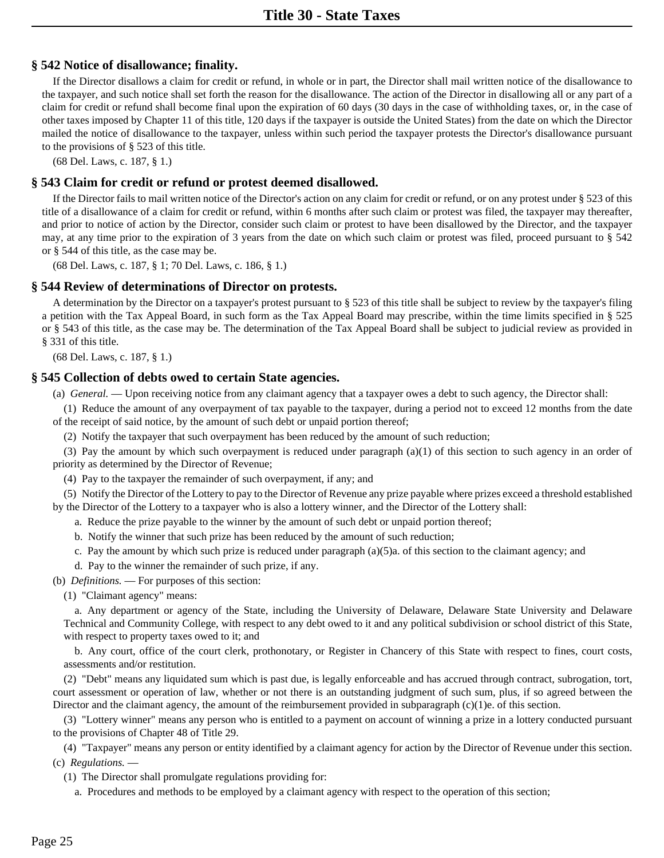# **§ 542 Notice of disallowance; finality.**

If the Director disallows a claim for credit or refund, in whole or in part, the Director shall mail written notice of the disallowance to the taxpayer, and such notice shall set forth the reason for the disallowance. The action of the Director in disallowing all or any part of a claim for credit or refund shall become final upon the expiration of 60 days (30 days in the case of withholding taxes, or, in the case of other taxes imposed by Chapter 11 of this title, 120 days if the taxpayer is outside the United States) from the date on which the Director mailed the notice of disallowance to the taxpayer, unless within such period the taxpayer protests the Director's disallowance pursuant to the provisions of § 523 of this title.

(68 Del. Laws, c. 187, § 1.)

## **§ 543 Claim for credit or refund or protest deemed disallowed.**

If the Director fails to mail written notice of the Director's action on any claim for credit or refund, or on any protest under § 523 of this title of a disallowance of a claim for credit or refund, within 6 months after such claim or protest was filed, the taxpayer may thereafter, and prior to notice of action by the Director, consider such claim or protest to have been disallowed by the Director, and the taxpayer may, at any time prior to the expiration of 3 years from the date on which such claim or protest was filed, proceed pursuant to § 542 or § 544 of this title, as the case may be.

(68 Del. Laws, c. 187, § 1; 70 Del. Laws, c. 186, § 1.)

#### **§ 544 Review of determinations of Director on protests.**

A determination by the Director on a taxpayer's protest pursuant to § 523 of this title shall be subject to review by the taxpayer's filing a petition with the Tax Appeal Board, in such form as the Tax Appeal Board may prescribe, within the time limits specified in § 525 or § 543 of this title, as the case may be. The determination of the Tax Appeal Board shall be subject to judicial review as provided in § 331 of this title.

(68 Del. Laws, c. 187, § 1.)

#### **§ 545 Collection of debts owed to certain State agencies.**

(a) *General.* — Upon receiving notice from any claimant agency that a taxpayer owes a debt to such agency, the Director shall:

(1) Reduce the amount of any overpayment of tax payable to the taxpayer, during a period not to exceed 12 months from the date of the receipt of said notice, by the amount of such debt or unpaid portion thereof;

(2) Notify the taxpayer that such overpayment has been reduced by the amount of such reduction;

(3) Pay the amount by which such overpayment is reduced under paragraph (a)(1) of this section to such agency in an order of priority as determined by the Director of Revenue;

(4) Pay to the taxpayer the remainder of such overpayment, if any; and

(5) Notify the Director of the Lottery to pay to the Director of Revenue any prize payable where prizes exceed a threshold established by the Director of the Lottery to a taxpayer who is also a lottery winner, and the Director of the Lottery shall:

a. Reduce the prize payable to the winner by the amount of such debt or unpaid portion thereof;

b. Notify the winner that such prize has been reduced by the amount of such reduction;

- c. Pay the amount by which such prize is reduced under paragraph (a)(5)a. of this section to the claimant agency; and
- d. Pay to the winner the remainder of such prize, if any.

(b) *Definitions.* — For purposes of this section:

(1) "Claimant agency" means:

a. Any department or agency of the State, including the University of Delaware, Delaware State University and Delaware Technical and Community College, with respect to any debt owed to it and any political subdivision or school district of this State, with respect to property taxes owed to it; and

b. Any court, office of the court clerk, prothonotary, or Register in Chancery of this State with respect to fines, court costs, assessments and/or restitution.

(2) "Debt" means any liquidated sum which is past due, is legally enforceable and has accrued through contract, subrogation, tort, court assessment or operation of law, whether or not there is an outstanding judgment of such sum, plus, if so agreed between the Director and the claimant agency, the amount of the reimbursement provided in subparagraph (c)(1)e. of this section.

(3) "Lottery winner" means any person who is entitled to a payment on account of winning a prize in a lottery conducted pursuant to the provisions of Chapter 48 of Title 29.

(4) "Taxpayer" means any person or entity identified by a claimant agency for action by the Director of Revenue under this section. (c) *Regulations.* —

(1) The Director shall promulgate regulations providing for:

a. Procedures and methods to be employed by a claimant agency with respect to the operation of this section;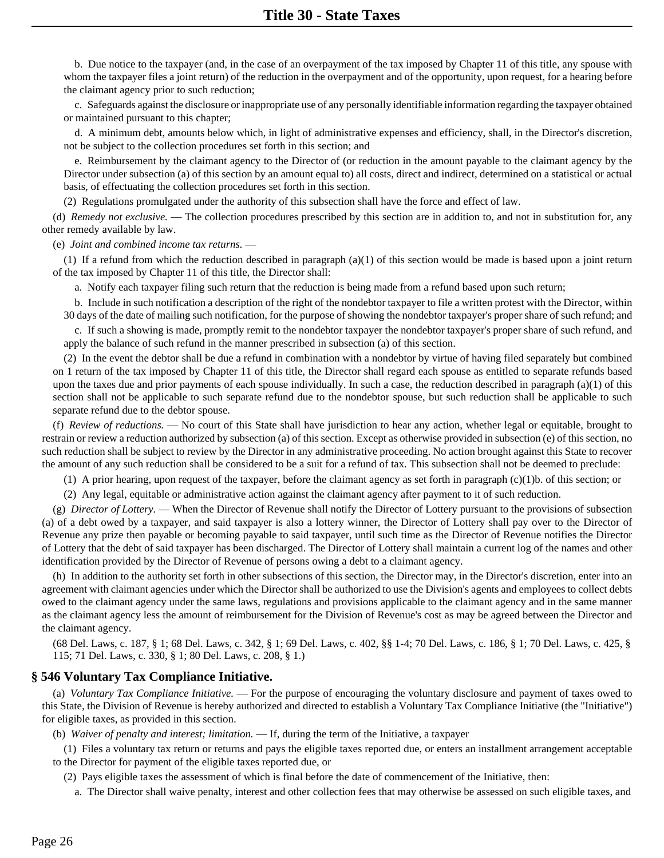b. Due notice to the taxpayer (and, in the case of an overpayment of the tax imposed by Chapter 11 of this title, any spouse with whom the taxpayer files a joint return) of the reduction in the overpayment and of the opportunity, upon request, for a hearing before the claimant agency prior to such reduction;

c. Safeguards against the disclosure or inappropriate use of any personally identifiable information regarding the taxpayer obtained or maintained pursuant to this chapter;

d. A minimum debt, amounts below which, in light of administrative expenses and efficiency, shall, in the Director's discretion, not be subject to the collection procedures set forth in this section; and

e. Reimbursement by the claimant agency to the Director of (or reduction in the amount payable to the claimant agency by the Director under subsection (a) of this section by an amount equal to) all costs, direct and indirect, determined on a statistical or actual basis, of effectuating the collection procedures set forth in this section.

(2) Regulations promulgated under the authority of this subsection shall have the force and effect of law.

(d) *Remedy not exclusive.* — The collection procedures prescribed by this section are in addition to, and not in substitution for, any other remedy available by law.

(e) *Joint and combined income tax returns.* —

(1) If a refund from which the reduction described in paragraph (a)(1) of this section would be made is based upon a joint return of the tax imposed by Chapter 11 of this title, the Director shall:

a. Notify each taxpayer filing such return that the reduction is being made from a refund based upon such return;

b. Include in such notification a description of the right of the nondebtor taxpayer to file a written protest with the Director, within 30 days of the date of mailing such notification, for the purpose of showing the nondebtor taxpayer's proper share of such refund; and

c. If such a showing is made, promptly remit to the nondebtor taxpayer the nondebtor taxpayer's proper share of such refund, and apply the balance of such refund in the manner prescribed in subsection (a) of this section.

(2) In the event the debtor shall be due a refund in combination with a nondebtor by virtue of having filed separately but combined on 1 return of the tax imposed by Chapter 11 of this title, the Director shall regard each spouse as entitled to separate refunds based upon the taxes due and prior payments of each spouse individually. In such a case, the reduction described in paragraph  $(a)(1)$  of this section shall not be applicable to such separate refund due to the nondebtor spouse, but such reduction shall be applicable to such separate refund due to the debtor spouse.

(f) *Review of reductions.* — No court of this State shall have jurisdiction to hear any action, whether legal or equitable, brought to restrain or review a reduction authorized by subsection (a) of this section. Except as otherwise provided in subsection (e) of this section, no such reduction shall be subject to review by the Director in any administrative proceeding. No action brought against this State to recover the amount of any such reduction shall be considered to be a suit for a refund of tax. This subsection shall not be deemed to preclude:

(1) A prior hearing, upon request of the taxpayer, before the claimant agency as set forth in paragraph  $(c)(1)b$ . of this section; or

(2) Any legal, equitable or administrative action against the claimant agency after payment to it of such reduction.

(g) *Director of Lottery.* — When the Director of Revenue shall notify the Director of Lottery pursuant to the provisions of subsection (a) of a debt owed by a taxpayer, and said taxpayer is also a lottery winner, the Director of Lottery shall pay over to the Director of Revenue any prize then payable or becoming payable to said taxpayer, until such time as the Director of Revenue notifies the Director of Lottery that the debt of said taxpayer has been discharged. The Director of Lottery shall maintain a current log of the names and other identification provided by the Director of Revenue of persons owing a debt to a claimant agency.

(h) In addition to the authority set forth in other subsections of this section, the Director may, in the Director's discretion, enter into an agreement with claimant agencies under which the Director shall be authorized to use the Division's agents and employees to collect debts owed to the claimant agency under the same laws, regulations and provisions applicable to the claimant agency and in the same manner as the claimant agency less the amount of reimbursement for the Division of Revenue's cost as may be agreed between the Director and the claimant agency.

(68 Del. Laws, c. 187, § 1; 68 Del. Laws, c. 342, § 1; 69 Del. Laws, c. 402, §§ 1-4; 70 Del. Laws, c. 186, § 1; 70 Del. Laws, c. 425, § 115; 71 Del. Laws, c. 330, § 1; 80 Del. Laws, c. 208, § 1.)

# **§ 546 Voluntary Tax Compliance Initiative.**

(a) *Voluntary Tax Compliance Initiative.* — For the purpose of encouraging the voluntary disclosure and payment of taxes owed to this State, the Division of Revenue is hereby authorized and directed to establish a Voluntary Tax Compliance Initiative (the "Initiative") for eligible taxes, as provided in this section.

(b) *Waiver of penalty and interest; limitation.* — If, during the term of the Initiative, a taxpayer

(1) Files a voluntary tax return or returns and pays the eligible taxes reported due, or enters an installment arrangement acceptable to the Director for payment of the eligible taxes reported due, or

(2) Pays eligible taxes the assessment of which is final before the date of commencement of the Initiative, then:

a. The Director shall waive penalty, interest and other collection fees that may otherwise be assessed on such eligible taxes, and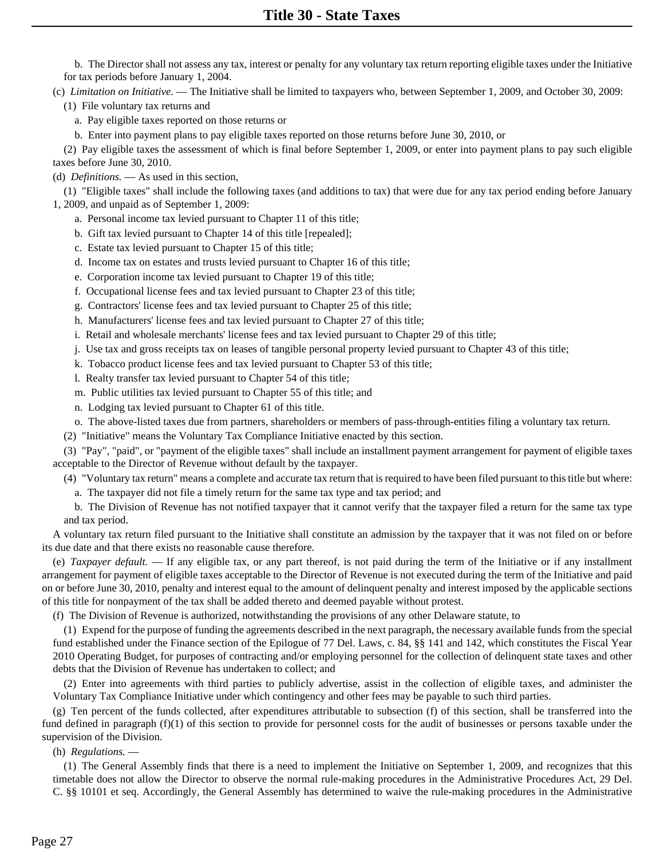b. The Director shall not assess any tax, interest or penalty for any voluntary tax return reporting eligible taxes under the Initiative for tax periods before January 1, 2004.

- (c) *Limitation on Initiative.*  The Initiative shall be limited to taxpayers who, between September 1, 2009, and October 30, 2009:
	- (1) File voluntary tax returns and
		- a. Pay eligible taxes reported on those returns or
		- b. Enter into payment plans to pay eligible taxes reported on those returns before June 30, 2010, or

(2) Pay eligible taxes the assessment of which is final before September 1, 2009, or enter into payment plans to pay such eligible taxes before June 30, 2010.

(d) *Definitions.* — As used in this section,

(1) "Eligible taxes" shall include the following taxes (and additions to tax) that were due for any tax period ending before January 1, 2009, and unpaid as of September 1, 2009:

- a. Personal income tax levied pursuant to Chapter 11 of this title;
- b. Gift tax levied pursuant to Chapter 14 of this title [repealed];
- c. Estate tax levied pursuant to Chapter 15 of this title;
- d. Income tax on estates and trusts levied pursuant to Chapter 16 of this title;
- e. Corporation income tax levied pursuant to Chapter 19 of this title;
- f. Occupational license fees and tax levied pursuant to Chapter 23 of this title;
- g. Contractors' license fees and tax levied pursuant to Chapter 25 of this title;
- h. Manufacturers' license fees and tax levied pursuant to Chapter 27 of this title;
- i. Retail and wholesale merchants' license fees and tax levied pursuant to Chapter 29 of this title;
- j. Use tax and gross receipts tax on leases of tangible personal property levied pursuant to Chapter 43 of this title;
- k. Tobacco product license fees and tax levied pursuant to Chapter 53 of this title;
- l. Realty transfer tax levied pursuant to Chapter 54 of this title;
- m. Public utilities tax levied pursuant to Chapter 55 of this title; and
- n. Lodging tax levied pursuant to Chapter 61 of this title.
- o. The above-listed taxes due from partners, shareholders or members of pass-through-entities filing a voluntary tax return.
- (2) "Initiative" means the Voluntary Tax Compliance Initiative enacted by this section.

(3) "Pay", "paid", or "payment of the eligible taxes" shall include an installment payment arrangement for payment of eligible taxes acceptable to the Director of Revenue without default by the taxpayer.

(4) "Voluntary tax return" means a complete and accurate tax return that is required to have been filed pursuant to this title but where:

a. The taxpayer did not file a timely return for the same tax type and tax period; and

b. The Division of Revenue has not notified taxpayer that it cannot verify that the taxpayer filed a return for the same tax type and tax period.

A voluntary tax return filed pursuant to the Initiative shall constitute an admission by the taxpayer that it was not filed on or before its due date and that there exists no reasonable cause therefore.

(e) *Taxpayer default.* — If any eligible tax, or any part thereof, is not paid during the term of the Initiative or if any installment arrangement for payment of eligible taxes acceptable to the Director of Revenue is not executed during the term of the Initiative and paid on or before June 30, 2010, penalty and interest equal to the amount of delinquent penalty and interest imposed by the applicable sections of this title for nonpayment of the tax shall be added thereto and deemed payable without protest.

(f) The Division of Revenue is authorized, notwithstanding the provisions of any other Delaware statute, to

(1) Expend for the purpose of funding the agreements described in the next paragraph, the necessary available funds from the special fund established under the Finance section of the Epilogue of 77 Del. Laws, c. 84, §§ 141 and 142, which constitutes the Fiscal Year 2010 Operating Budget, for purposes of contracting and/or employing personnel for the collection of delinquent state taxes and other debts that the Division of Revenue has undertaken to collect; and

(2) Enter into agreements with third parties to publicly advertise, assist in the collection of eligible taxes, and administer the Voluntary Tax Compliance Initiative under which contingency and other fees may be payable to such third parties.

(g) Ten percent of the funds collected, after expenditures attributable to subsection (f) of this section, shall be transferred into the fund defined in paragraph (f)(1) of this section to provide for personnel costs for the audit of businesses or persons taxable under the supervision of the Division.

(h) *Regulations.* —

(1) The General Assembly finds that there is a need to implement the Initiative on September 1, 2009, and recognizes that this timetable does not allow the Director to observe the normal rule-making procedures in the Administrative Procedures Act, 29 Del. C. §§ 10101 et seq. Accordingly, the General Assembly has determined to waive the rule-making procedures in the Administrative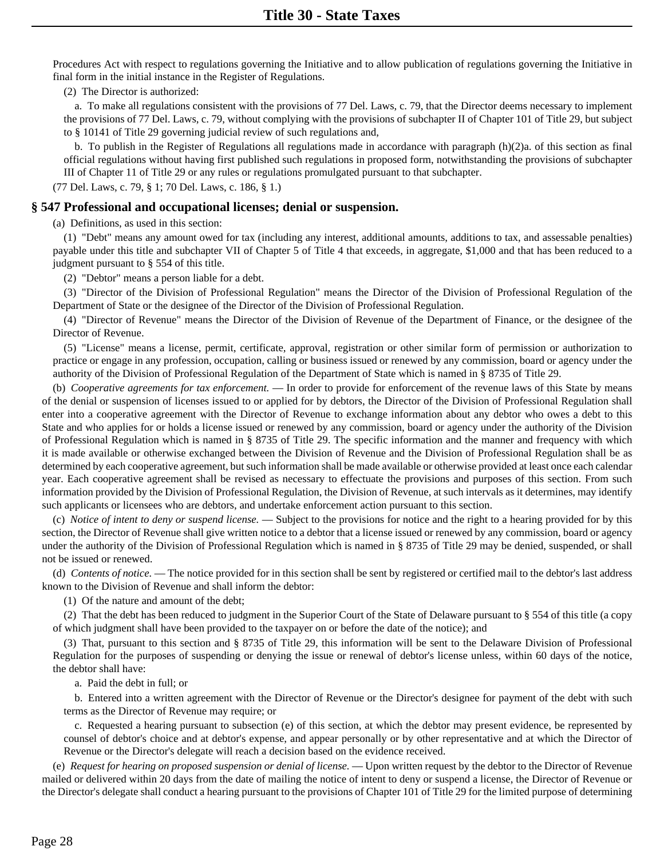Procedures Act with respect to regulations governing the Initiative and to allow publication of regulations governing the Initiative in final form in the initial instance in the Register of Regulations.

(2) The Director is authorized:

a. To make all regulations consistent with the provisions of 77 Del. Laws, c. 79, that the Director deems necessary to implement the provisions of 77 Del. Laws, c. 79, without complying with the provisions of subchapter II of Chapter 101 of Title 29, but subject to § 10141 of Title 29 governing judicial review of such regulations and,

b. To publish in the Register of Regulations all regulations made in accordance with paragraph (h)(2)a. of this section as final official regulations without having first published such regulations in proposed form, notwithstanding the provisions of subchapter III of Chapter 11 of Title 29 or any rules or regulations promulgated pursuant to that subchapter.

(77 Del. Laws, c. 79, § 1; 70 Del. Laws, c. 186, § 1.)

#### **§ 547 Professional and occupational licenses; denial or suspension.**

(a) Definitions, as used in this section:

(1) "Debt" means any amount owed for tax (including any interest, additional amounts, additions to tax, and assessable penalties) payable under this title and subchapter VII of Chapter 5 of Title 4 that exceeds, in aggregate, \$1,000 and that has been reduced to a judgment pursuant to § 554 of this title.

(2) "Debtor" means a person liable for a debt.

(3) "Director of the Division of Professional Regulation" means the Director of the Division of Professional Regulation of the Department of State or the designee of the Director of the Division of Professional Regulation.

(4) "Director of Revenue" means the Director of the Division of Revenue of the Department of Finance, or the designee of the Director of Revenue.

(5) "License" means a license, permit, certificate, approval, registration or other similar form of permission or authorization to practice or engage in any profession, occupation, calling or business issued or renewed by any commission, board or agency under the authority of the Division of Professional Regulation of the Department of State which is named in § 8735 of Title 29.

(b) *Cooperative agreements for tax enforcement.* — In order to provide for enforcement of the revenue laws of this State by means of the denial or suspension of licenses issued to or applied for by debtors, the Director of the Division of Professional Regulation shall enter into a cooperative agreement with the Director of Revenue to exchange information about any debtor who owes a debt to this State and who applies for or holds a license issued or renewed by any commission, board or agency under the authority of the Division of Professional Regulation which is named in § 8735 of Title 29. The specific information and the manner and frequency with which it is made available or otherwise exchanged between the Division of Revenue and the Division of Professional Regulation shall be as determined by each cooperative agreement, but such information shall be made available or otherwise provided at least once each calendar year. Each cooperative agreement shall be revised as necessary to effectuate the provisions and purposes of this section. From such information provided by the Division of Professional Regulation, the Division of Revenue, at such intervals as it determines, may identify such applicants or licensees who are debtors, and undertake enforcement action pursuant to this section.

(c) *Notice of intent to deny or suspend license.* — Subject to the provisions for notice and the right to a hearing provided for by this section, the Director of Revenue shall give written notice to a debtor that a license issued or renewed by any commission, board or agency under the authority of the Division of Professional Regulation which is named in § 8735 of Title 29 may be denied, suspended, or shall not be issued or renewed.

(d) *Contents of notice.* — The notice provided for in this section shall be sent by registered or certified mail to the debtor's last address known to the Division of Revenue and shall inform the debtor:

(1) Of the nature and amount of the debt;

(2) That the debt has been reduced to judgment in the Superior Court of the State of Delaware pursuant to § 554 of this title (a copy of which judgment shall have been provided to the taxpayer on or before the date of the notice); and

(3) That, pursuant to this section and § 8735 of Title 29, this information will be sent to the Delaware Division of Professional Regulation for the purposes of suspending or denying the issue or renewal of debtor's license unless, within 60 days of the notice, the debtor shall have:

a. Paid the debt in full; or

b. Entered into a written agreement with the Director of Revenue or the Director's designee for payment of the debt with such terms as the Director of Revenue may require; or

c. Requested a hearing pursuant to subsection (e) of this section, at which the debtor may present evidence, be represented by counsel of debtor's choice and at debtor's expense, and appear personally or by other representative and at which the Director of Revenue or the Director's delegate will reach a decision based on the evidence received.

(e) *Request for hearing on proposed suspension or denial of license.* — Upon written request by the debtor to the Director of Revenue mailed or delivered within 20 days from the date of mailing the notice of intent to deny or suspend a license, the Director of Revenue or the Director's delegate shall conduct a hearing pursuant to the provisions of Chapter 101 of Title 29 for the limited purpose of determining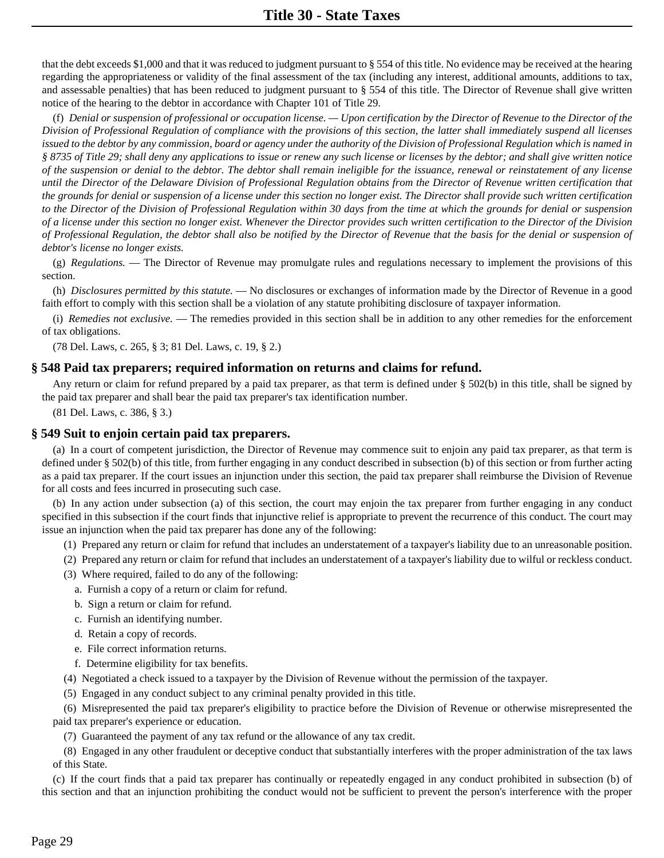that the debt exceeds \$1,000 and that it was reduced to judgment pursuant to § 554 of this title. No evidence may be received at the hearing regarding the appropriateness or validity of the final assessment of the tax (including any interest, additional amounts, additions to tax, and assessable penalties) that has been reduced to judgment pursuant to § 554 of this title. The Director of Revenue shall give written notice of the hearing to the debtor in accordance with Chapter 101 of Title 29.

(f) *Denial or suspension of professional or occupation license. — Upon certification by the Director of Revenue to the Director of the Division of Professional Regulation of compliance with the provisions of this section, the latter shall immediately suspend all licenses issued to the debtor by any commission, board or agency under the authority of the Division of Professional Regulation which is named in § 8735 of Title 29; shall deny any applications to issue or renew any such license or licenses by the debtor; and shall give written notice of the suspension or denial to the debtor. The debtor shall remain ineligible for the issuance, renewal or reinstatement of any license until the Director of the Delaware Division of Professional Regulation obtains from the Director of Revenue written certification that the grounds for denial or suspension of a license under this section no longer exist. The Director shall provide such written certification to the Director of the Division of Professional Regulation within 30 days from the time at which the grounds for denial or suspension of a license under this section no longer exist. Whenever the Director provides such written certification to the Director of the Division of Professional Regulation, the debtor shall also be notified by the Director of Revenue that the basis for the denial or suspension of debtor's license no longer exists.*

(g) *Regulations.* — The Director of Revenue may promulgate rules and regulations necessary to implement the provisions of this section.

(h) *Disclosures permitted by this statute.* — No disclosures or exchanges of information made by the Director of Revenue in a good faith effort to comply with this section shall be a violation of any statute prohibiting disclosure of taxpayer information.

(i) *Remedies not exclusive.* — The remedies provided in this section shall be in addition to any other remedies for the enforcement of tax obligations.

(78 Del. Laws, c. 265, § 3; 81 Del. Laws, c. 19, § 2.)

#### **§ 548 Paid tax preparers; required information on returns and claims for refund.**

Any return or claim for refund prepared by a paid tax preparer, as that term is defined under § 502(b) in this title, shall be signed by the paid tax preparer and shall bear the paid tax preparer's tax identification number.

(81 Del. Laws, c. 386, § 3.)

#### **§ 549 Suit to enjoin certain paid tax preparers.**

(a) In a court of competent jurisdiction, the Director of Revenue may commence suit to enjoin any paid tax preparer, as that term is defined under § 502(b) of this title, from further engaging in any conduct described in subsection (b) of this section or from further acting as a paid tax preparer. If the court issues an injunction under this section, the paid tax preparer shall reimburse the Division of Revenue for all costs and fees incurred in prosecuting such case.

(b) In any action under subsection (a) of this section, the court may enjoin the tax preparer from further engaging in any conduct specified in this subsection if the court finds that injunctive relief is appropriate to prevent the recurrence of this conduct. The court may issue an injunction when the paid tax preparer has done any of the following:

- (1) Prepared any return or claim for refund that includes an understatement of a taxpayer's liability due to an unreasonable position.
- (2) Prepared any return or claim for refund that includes an understatement of a taxpayer's liability due to wilful or reckless conduct.

(3) Where required, failed to do any of the following:

- a. Furnish a copy of a return or claim for refund.
- b. Sign a return or claim for refund.
- c. Furnish an identifying number.
- d. Retain a copy of records.
- e. File correct information returns.
- f. Determine eligibility for tax benefits.

(4) Negotiated a check issued to a taxpayer by the Division of Revenue without the permission of the taxpayer.

(5) Engaged in any conduct subject to any criminal penalty provided in this title.

(6) Misrepresented the paid tax preparer's eligibility to practice before the Division of Revenue or otherwise misrepresented the paid tax preparer's experience or education.

(7) Guaranteed the payment of any tax refund or the allowance of any tax credit.

(8) Engaged in any other fraudulent or deceptive conduct that substantially interferes with the proper administration of the tax laws of this State.

(c) If the court finds that a paid tax preparer has continually or repeatedly engaged in any conduct prohibited in subsection (b) of this section and that an injunction prohibiting the conduct would not be sufficient to prevent the person's interference with the proper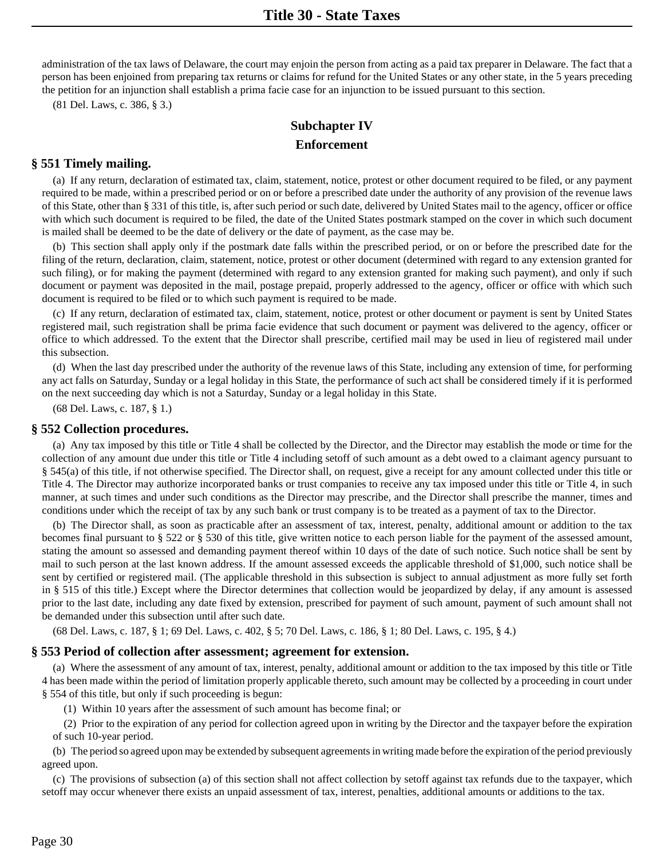administration of the tax laws of Delaware, the court may enjoin the person from acting as a paid tax preparer in Delaware. The fact that a person has been enjoined from preparing tax returns or claims for refund for the United States or any other state, in the 5 years preceding the petition for an injunction shall establish a prima facie case for an injunction to be issued pursuant to this section.

(81 Del. Laws, c. 386, § 3.)

# **Subchapter IV Enforcement**

#### **§ 551 Timely mailing.**

(a) If any return, declaration of estimated tax, claim, statement, notice, protest or other document required to be filed, or any payment required to be made, within a prescribed period or on or before a prescribed date under the authority of any provision of the revenue laws of this State, other than § 331 of this title, is, after such period or such date, delivered by United States mail to the agency, officer or office with which such document is required to be filed, the date of the United States postmark stamped on the cover in which such document is mailed shall be deemed to be the date of delivery or the date of payment, as the case may be.

(b) This section shall apply only if the postmark date falls within the prescribed period, or on or before the prescribed date for the filing of the return, declaration, claim, statement, notice, protest or other document (determined with regard to any extension granted for such filing), or for making the payment (determined with regard to any extension granted for making such payment), and only if such document or payment was deposited in the mail, postage prepaid, properly addressed to the agency, officer or office with which such document is required to be filed or to which such payment is required to be made.

(c) If any return, declaration of estimated tax, claim, statement, notice, protest or other document or payment is sent by United States registered mail, such registration shall be prima facie evidence that such document or payment was delivered to the agency, officer or office to which addressed. To the extent that the Director shall prescribe, certified mail may be used in lieu of registered mail under this subsection.

(d) When the last day prescribed under the authority of the revenue laws of this State, including any extension of time, for performing any act falls on Saturday, Sunday or a legal holiday in this State, the performance of such act shall be considered timely if it is performed on the next succeeding day which is not a Saturday, Sunday or a legal holiday in this State.

(68 Del. Laws, c. 187, § 1.)

#### **§ 552 Collection procedures.**

(a) Any tax imposed by this title or Title 4 shall be collected by the Director, and the Director may establish the mode or time for the collection of any amount due under this title or Title 4 including setoff of such amount as a debt owed to a claimant agency pursuant to § 545(a) of this title, if not otherwise specified. The Director shall, on request, give a receipt for any amount collected under this title or Title 4. The Director may authorize incorporated banks or trust companies to receive any tax imposed under this title or Title 4, in such manner, at such times and under such conditions as the Director may prescribe, and the Director shall prescribe the manner, times and conditions under which the receipt of tax by any such bank or trust company is to be treated as a payment of tax to the Director.

(b) The Director shall, as soon as practicable after an assessment of tax, interest, penalty, additional amount or addition to the tax becomes final pursuant to § 522 or § 530 of this title, give written notice to each person liable for the payment of the assessed amount, stating the amount so assessed and demanding payment thereof within 10 days of the date of such notice. Such notice shall be sent by mail to such person at the last known address. If the amount assessed exceeds the applicable threshold of \$1,000, such notice shall be sent by certified or registered mail. (The applicable threshold in this subsection is subject to annual adjustment as more fully set forth in § 515 of this title.) Except where the Director determines that collection would be jeopardized by delay, if any amount is assessed prior to the last date, including any date fixed by extension, prescribed for payment of such amount, payment of such amount shall not be demanded under this subsection until after such date.

(68 Del. Laws, c. 187, § 1; 69 Del. Laws, c. 402, § 5; 70 Del. Laws, c. 186, § 1; 80 Del. Laws, c. 195, § 4.)

#### **§ 553 Period of collection after assessment; agreement for extension.**

(a) Where the assessment of any amount of tax, interest, penalty, additional amount or addition to the tax imposed by this title or Title 4 has been made within the period of limitation properly applicable thereto, such amount may be collected by a proceeding in court under § 554 of this title, but only if such proceeding is begun:

(1) Within 10 years after the assessment of such amount has become final; or

(2) Prior to the expiration of any period for collection agreed upon in writing by the Director and the taxpayer before the expiration of such 10-year period.

(b) The period so agreed upon may be extended by subsequent agreements in writing made before the expiration of the period previously agreed upon.

(c) The provisions of subsection (a) of this section shall not affect collection by setoff against tax refunds due to the taxpayer, which setoff may occur whenever there exists an unpaid assessment of tax, interest, penalties, additional amounts or additions to the tax.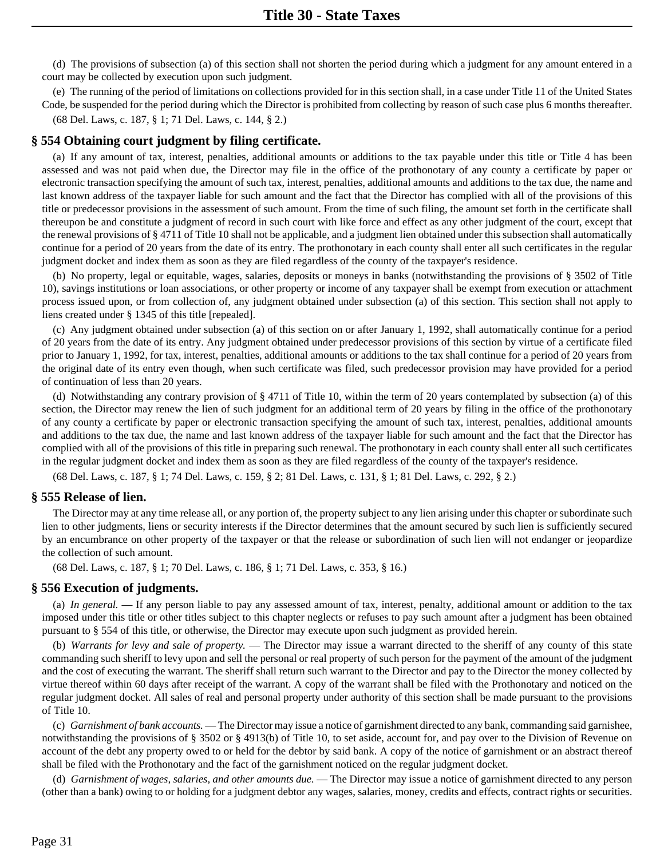(d) The provisions of subsection (a) of this section shall not shorten the period during which a judgment for any amount entered in a court may be collected by execution upon such judgment.

(e) The running of the period of limitations on collections provided for in this section shall, in a case under Title 11 of the United States Code, be suspended for the period during which the Director is prohibited from collecting by reason of such case plus 6 months thereafter.

(68 Del. Laws, c. 187, § 1; 71 Del. Laws, c. 144, § 2.)

#### **§ 554 Obtaining court judgment by filing certificate.**

(a) If any amount of tax, interest, penalties, additional amounts or additions to the tax payable under this title or Title 4 has been assessed and was not paid when due, the Director may file in the office of the prothonotary of any county a certificate by paper or electronic transaction specifying the amount of such tax, interest, penalties, additional amounts and additions to the tax due, the name and last known address of the taxpayer liable for such amount and the fact that the Director has complied with all of the provisions of this title or predecessor provisions in the assessment of such amount. From the time of such filing, the amount set forth in the certificate shall thereupon be and constitute a judgment of record in such court with like force and effect as any other judgment of the court, except that the renewal provisions of § 4711 of Title 10 shall not be applicable, and a judgment lien obtained under this subsection shall automatically continue for a period of 20 years from the date of its entry. The prothonotary in each county shall enter all such certificates in the regular judgment docket and index them as soon as they are filed regardless of the county of the taxpayer's residence.

(b) No property, legal or equitable, wages, salaries, deposits or moneys in banks (notwithstanding the provisions of § 3502 of Title 10), savings institutions or loan associations, or other property or income of any taxpayer shall be exempt from execution or attachment process issued upon, or from collection of, any judgment obtained under subsection (a) of this section. This section shall not apply to liens created under § 1345 of this title [repealed].

(c) Any judgment obtained under subsection (a) of this section on or after January 1, 1992, shall automatically continue for a period of 20 years from the date of its entry. Any judgment obtained under predecessor provisions of this section by virtue of a certificate filed prior to January 1, 1992, for tax, interest, penalties, additional amounts or additions to the tax shall continue for a period of 20 years from the original date of its entry even though, when such certificate was filed, such predecessor provision may have provided for a period of continuation of less than 20 years.

(d) Notwithstanding any contrary provision of § 4711 of Title 10, within the term of 20 years contemplated by subsection (a) of this section, the Director may renew the lien of such judgment for an additional term of 20 years by filing in the office of the prothonotary of any county a certificate by paper or electronic transaction specifying the amount of such tax, interest, penalties, additional amounts and additions to the tax due, the name and last known address of the taxpayer liable for such amount and the fact that the Director has complied with all of the provisions of this title in preparing such renewal. The prothonotary in each county shall enter all such certificates in the regular judgment docket and index them as soon as they are filed regardless of the county of the taxpayer's residence.

(68 Del. Laws, c. 187, § 1; 74 Del. Laws, c. 159, § 2; 81 Del. Laws, c. 131, § 1; 81 Del. Laws, c. 292, § 2.)

#### **§ 555 Release of lien.**

The Director may at any time release all, or any portion of, the property subject to any lien arising under this chapter or subordinate such lien to other judgments, liens or security interests if the Director determines that the amount secured by such lien is sufficiently secured by an encumbrance on other property of the taxpayer or that the release or subordination of such lien will not endanger or jeopardize the collection of such amount.

(68 Del. Laws, c. 187, § 1; 70 Del. Laws, c. 186, § 1; 71 Del. Laws, c. 353, § 16.)

#### **§ 556 Execution of judgments.**

(a) *In general.* — If any person liable to pay any assessed amount of tax, interest, penalty, additional amount or addition to the tax imposed under this title or other titles subject to this chapter neglects or refuses to pay such amount after a judgment has been obtained pursuant to § 554 of this title, or otherwise, the Director may execute upon such judgment as provided herein.

(b) *Warrants for levy and sale of property.* — The Director may issue a warrant directed to the sheriff of any county of this state commanding such sheriff to levy upon and sell the personal or real property of such person for the payment of the amount of the judgment and the cost of executing the warrant. The sheriff shall return such warrant to the Director and pay to the Director the money collected by virtue thereof within 60 days after receipt of the warrant. A copy of the warrant shall be filed with the Prothonotary and noticed on the regular judgment docket. All sales of real and personal property under authority of this section shall be made pursuant to the provisions of Title 10.

(c) *Garnishment of bank accounts.* — The Director may issue a notice of garnishment directed to any bank, commanding said garnishee, notwithstanding the provisions of § 3502 or § 4913(b) of Title 10, to set aside, account for, and pay over to the Division of Revenue on account of the debt any property owed to or held for the debtor by said bank. A copy of the notice of garnishment or an abstract thereof shall be filed with the Prothonotary and the fact of the garnishment noticed on the regular judgment docket.

(d) *Garnishment of wages, salaries, and other amounts due.* — The Director may issue a notice of garnishment directed to any person (other than a bank) owing to or holding for a judgment debtor any wages, salaries, money, credits and effects, contract rights or securities.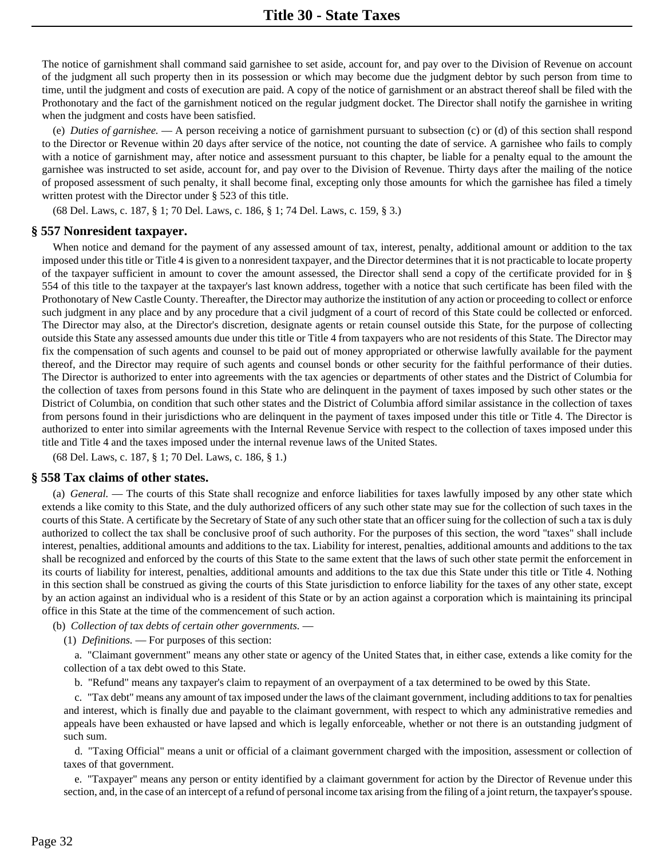The notice of garnishment shall command said garnishee to set aside, account for, and pay over to the Division of Revenue on account of the judgment all such property then in its possession or which may become due the judgment debtor by such person from time to time, until the judgment and costs of execution are paid. A copy of the notice of garnishment or an abstract thereof shall be filed with the Prothonotary and the fact of the garnishment noticed on the regular judgment docket. The Director shall notify the garnishee in writing when the judgment and costs have been satisfied.

(e) *Duties of garnishee.* — A person receiving a notice of garnishment pursuant to subsection (c) or (d) of this section shall respond to the Director or Revenue within 20 days after service of the notice, not counting the date of service. A garnishee who fails to comply with a notice of garnishment may, after notice and assessment pursuant to this chapter, be liable for a penalty equal to the amount the garnishee was instructed to set aside, account for, and pay over to the Division of Revenue. Thirty days after the mailing of the notice of proposed assessment of such penalty, it shall become final, excepting only those amounts for which the garnishee has filed a timely written protest with the Director under § 523 of this title.

(68 Del. Laws, c. 187, § 1; 70 Del. Laws, c. 186, § 1; 74 Del. Laws, c. 159, § 3.)

#### **§ 557 Nonresident taxpayer.**

When notice and demand for the payment of any assessed amount of tax, interest, penalty, additional amount or addition to the tax imposed under this title or Title 4 is given to a nonresident taxpayer, and the Director determines that it is not practicable to locate property of the taxpayer sufficient in amount to cover the amount assessed, the Director shall send a copy of the certificate provided for in § 554 of this title to the taxpayer at the taxpayer's last known address, together with a notice that such certificate has been filed with the Prothonotary of New Castle County. Thereafter, the Director may authorize the institution of any action or proceeding to collect or enforce such judgment in any place and by any procedure that a civil judgment of a court of record of this State could be collected or enforced. The Director may also, at the Director's discretion, designate agents or retain counsel outside this State, for the purpose of collecting outside this State any assessed amounts due under this title or Title 4 from taxpayers who are not residents of this State. The Director may fix the compensation of such agents and counsel to be paid out of money appropriated or otherwise lawfully available for the payment thereof, and the Director may require of such agents and counsel bonds or other security for the faithful performance of their duties. The Director is authorized to enter into agreements with the tax agencies or departments of other states and the District of Columbia for the collection of taxes from persons found in this State who are delinquent in the payment of taxes imposed by such other states or the District of Columbia, on condition that such other states and the District of Columbia afford similar assistance in the collection of taxes from persons found in their jurisdictions who are delinquent in the payment of taxes imposed under this title or Title 4. The Director is authorized to enter into similar agreements with the Internal Revenue Service with respect to the collection of taxes imposed under this title and Title 4 and the taxes imposed under the internal revenue laws of the United States.

(68 Del. Laws, c. 187, § 1; 70 Del. Laws, c. 186, § 1.)

#### **§ 558 Tax claims of other states.**

(a) *General.* — The courts of this State shall recognize and enforce liabilities for taxes lawfully imposed by any other state which extends a like comity to this State, and the duly authorized officers of any such other state may sue for the collection of such taxes in the courts of this State. A certificate by the Secretary of State of any such other state that an officer suing for the collection of such a tax is duly authorized to collect the tax shall be conclusive proof of such authority. For the purposes of this section, the word "taxes" shall include interest, penalties, additional amounts and additions to the tax. Liability for interest, penalties, additional amounts and additions to the tax shall be recognized and enforced by the courts of this State to the same extent that the laws of such other state permit the enforcement in its courts of liability for interest, penalties, additional amounts and additions to the tax due this State under this title or Title 4. Nothing in this section shall be construed as giving the courts of this State jurisdiction to enforce liability for the taxes of any other state, except by an action against an individual who is a resident of this State or by an action against a corporation which is maintaining its principal office in this State at the time of the commencement of such action.

(b) *Collection of tax debts of certain other governments.* —

(1) *Definitions.* — For purposes of this section:

a. "Claimant government" means any other state or agency of the United States that, in either case, extends a like comity for the collection of a tax debt owed to this State.

b. "Refund" means any taxpayer's claim to repayment of an overpayment of a tax determined to be owed by this State.

c. "Tax debt" means any amount of tax imposed under the laws of the claimant government, including additions to tax for penalties and interest, which is finally due and payable to the claimant government, with respect to which any administrative remedies and appeals have been exhausted or have lapsed and which is legally enforceable, whether or not there is an outstanding judgment of such sum.

d. "Taxing Official" means a unit or official of a claimant government charged with the imposition, assessment or collection of taxes of that government.

e. "Taxpayer" means any person or entity identified by a claimant government for action by the Director of Revenue under this section, and, in the case of an intercept of a refund of personal income tax arising from the filing of a joint return, the taxpayer's spouse.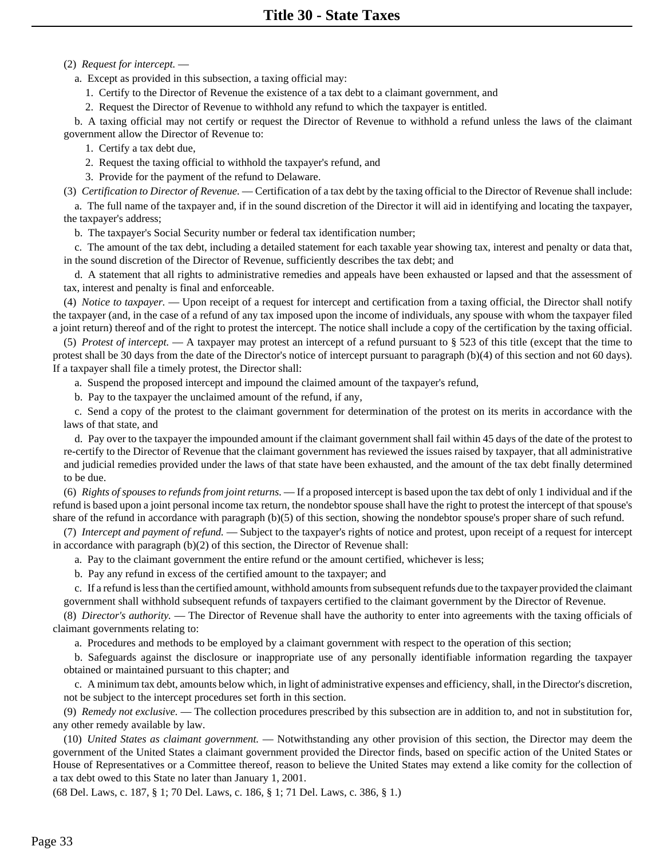#### (2) *Request for intercept.* —

a. Except as provided in this subsection, a taxing official may:

1. Certify to the Director of Revenue the existence of a tax debt to a claimant government, and

2. Request the Director of Revenue to withhold any refund to which the taxpayer is entitled.

b. A taxing official may not certify or request the Director of Revenue to withhold a refund unless the laws of the claimant government allow the Director of Revenue to:

1. Certify a tax debt due,

2. Request the taxing official to withhold the taxpayer's refund, and

3. Provide for the payment of the refund to Delaware.

(3) *Certification to Director of Revenue.* — Certification of a tax debt by the taxing official to the Director of Revenue shall include:

a. The full name of the taxpayer and, if in the sound discretion of the Director it will aid in identifying and locating the taxpayer, the taxpayer's address;

b. The taxpayer's Social Security number or federal tax identification number;

c. The amount of the tax debt, including a detailed statement for each taxable year showing tax, interest and penalty or data that, in the sound discretion of the Director of Revenue, sufficiently describes the tax debt; and

d. A statement that all rights to administrative remedies and appeals have been exhausted or lapsed and that the assessment of tax, interest and penalty is final and enforceable.

(4) *Notice to taxpayer.* — Upon receipt of a request for intercept and certification from a taxing official, the Director shall notify the taxpayer (and, in the case of a refund of any tax imposed upon the income of individuals, any spouse with whom the taxpayer filed a joint return) thereof and of the right to protest the intercept. The notice shall include a copy of the certification by the taxing official.

(5) *Protest of intercept.* — A taxpayer may protest an intercept of a refund pursuant to § 523 of this title (except that the time to protest shall be 30 days from the date of the Director's notice of intercept pursuant to paragraph (b)(4) of this section and not 60 days). If a taxpayer shall file a timely protest, the Director shall:

a. Suspend the proposed intercept and impound the claimed amount of the taxpayer's refund,

b. Pay to the taxpayer the unclaimed amount of the refund, if any,

c. Send a copy of the protest to the claimant government for determination of the protest on its merits in accordance with the laws of that state, and

d. Pay over to the taxpayer the impounded amount if the claimant government shall fail within 45 days of the date of the protest to re-certify to the Director of Revenue that the claimant government has reviewed the issues raised by taxpayer, that all administrative and judicial remedies provided under the laws of that state have been exhausted, and the amount of the tax debt finally determined to be due.

(6) *Rights of spouses to refunds from joint returns.* — If a proposed intercept is based upon the tax debt of only 1 individual and if the refund is based upon a joint personal income tax return, the nondebtor spouse shall have the right to protest the intercept of that spouse's share of the refund in accordance with paragraph (b)(5) of this section, showing the nondebtor spouse's proper share of such refund.

(7) *Intercept and payment of refund.* — Subject to the taxpayer's rights of notice and protest, upon receipt of a request for intercept in accordance with paragraph (b)(2) of this section, the Director of Revenue shall:

a. Pay to the claimant government the entire refund or the amount certified, whichever is less;

b. Pay any refund in excess of the certified amount to the taxpayer; and

c. If a refund is less than the certified amount, withhold amounts from subsequent refunds due to the taxpayer provided the claimant government shall withhold subsequent refunds of taxpayers certified to the claimant government by the Director of Revenue.

(8) *Director's authority.* — The Director of Revenue shall have the authority to enter into agreements with the taxing officials of claimant governments relating to:

a. Procedures and methods to be employed by a claimant government with respect to the operation of this section;

b. Safeguards against the disclosure or inappropriate use of any personally identifiable information regarding the taxpayer obtained or maintained pursuant to this chapter; and

c. A minimum tax debt, amounts below which, in light of administrative expenses and efficiency, shall, in the Director's discretion, not be subject to the intercept procedures set forth in this section.

(9) *Remedy not exclusive.* — The collection procedures prescribed by this subsection are in addition to, and not in substitution for, any other remedy available by law.

(10) *United States as claimant government.* — Notwithstanding any other provision of this section, the Director may deem the government of the United States a claimant government provided the Director finds, based on specific action of the United States or House of Representatives or a Committee thereof, reason to believe the United States may extend a like comity for the collection of a tax debt owed to this State no later than January 1, 2001.

(68 Del. Laws, c. 187, § 1; 70 Del. Laws, c. 186, § 1; 71 Del. Laws, c. 386, § 1.)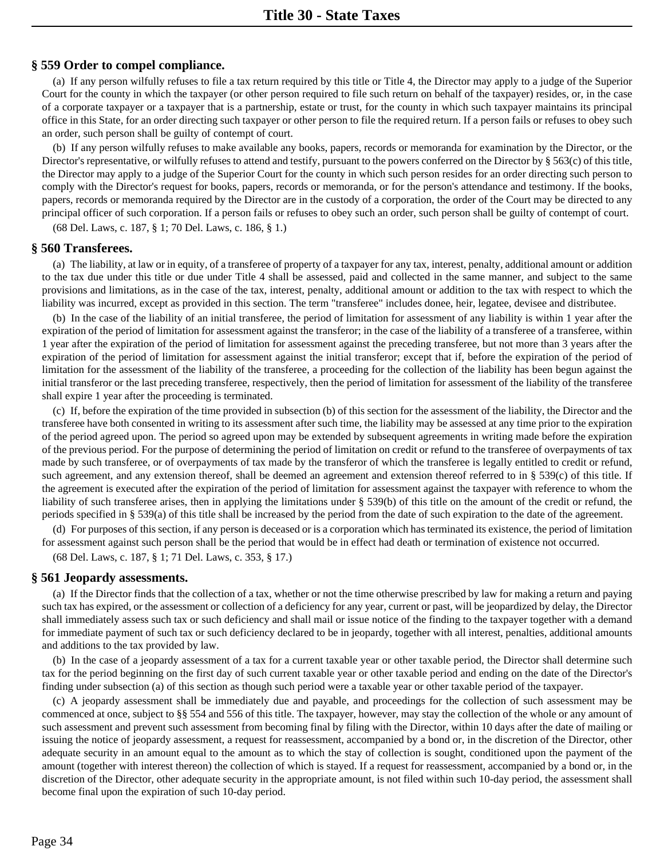#### **§ 559 Order to compel compliance.**

(a) If any person wilfully refuses to file a tax return required by this title or Title 4, the Director may apply to a judge of the Superior Court for the county in which the taxpayer (or other person required to file such return on behalf of the taxpayer) resides, or, in the case of a corporate taxpayer or a taxpayer that is a partnership, estate or trust, for the county in which such taxpayer maintains its principal office in this State, for an order directing such taxpayer or other person to file the required return. If a person fails or refuses to obey such an order, such person shall be guilty of contempt of court.

(b) If any person wilfully refuses to make available any books, papers, records or memoranda for examination by the Director, or the Director's representative, or wilfully refuses to attend and testify, pursuant to the powers conferred on the Director by § 563(c) of this title, the Director may apply to a judge of the Superior Court for the county in which such person resides for an order directing such person to comply with the Director's request for books, papers, records or memoranda, or for the person's attendance and testimony. If the books, papers, records or memoranda required by the Director are in the custody of a corporation, the order of the Court may be directed to any principal officer of such corporation. If a person fails or refuses to obey such an order, such person shall be guilty of contempt of court.

(68 Del. Laws, c. 187, § 1; 70 Del. Laws, c. 186, § 1.)

#### **§ 560 Transferees.**

(a) The liability, at law or in equity, of a transferee of property of a taxpayer for any tax, interest, penalty, additional amount or addition to the tax due under this title or due under Title 4 shall be assessed, paid and collected in the same manner, and subject to the same provisions and limitations, as in the case of the tax, interest, penalty, additional amount or addition to the tax with respect to which the liability was incurred, except as provided in this section. The term "transferee" includes donee, heir, legatee, devisee and distributee.

(b) In the case of the liability of an initial transferee, the period of limitation for assessment of any liability is within 1 year after the expiration of the period of limitation for assessment against the transferor; in the case of the liability of a transferee of a transferee, within 1 year after the expiration of the period of limitation for assessment against the preceding transferee, but not more than 3 years after the expiration of the period of limitation for assessment against the initial transferor; except that if, before the expiration of the period of limitation for the assessment of the liability of the transferee, a proceeding for the collection of the liability has been begun against the initial transferor or the last preceding transferee, respectively, then the period of limitation for assessment of the liability of the transferee shall expire 1 year after the proceeding is terminated.

(c) If, before the expiration of the time provided in subsection (b) of this section for the assessment of the liability, the Director and the transferee have both consented in writing to its assessment after such time, the liability may be assessed at any time prior to the expiration of the period agreed upon. The period so agreed upon may be extended by subsequent agreements in writing made before the expiration of the previous period. For the purpose of determining the period of limitation on credit or refund to the transferee of overpayments of tax made by such transferee, or of overpayments of tax made by the transferor of which the transferee is legally entitled to credit or refund, such agreement, and any extension thereof, shall be deemed an agreement and extension thereof referred to in  $\S$  539(c) of this title. If the agreement is executed after the expiration of the period of limitation for assessment against the taxpayer with reference to whom the liability of such transferee arises, then in applying the limitations under § 539(b) of this title on the amount of the credit or refund, the periods specified in § 539(a) of this title shall be increased by the period from the date of such expiration to the date of the agreement.

(d) For purposes of this section, if any person is deceased or is a corporation which has terminated its existence, the period of limitation for assessment against such person shall be the period that would be in effect had death or termination of existence not occurred.

(68 Del. Laws, c. 187, § 1; 71 Del. Laws, c. 353, § 17.)

#### **§ 561 Jeopardy assessments.**

(a) If the Director finds that the collection of a tax, whether or not the time otherwise prescribed by law for making a return and paying such tax has expired, or the assessment or collection of a deficiency for any year, current or past, will be jeopardized by delay, the Director shall immediately assess such tax or such deficiency and shall mail or issue notice of the finding to the taxpayer together with a demand for immediate payment of such tax or such deficiency declared to be in jeopardy, together with all interest, penalties, additional amounts and additions to the tax provided by law.

(b) In the case of a jeopardy assessment of a tax for a current taxable year or other taxable period, the Director shall determine such tax for the period beginning on the first day of such current taxable year or other taxable period and ending on the date of the Director's finding under subsection (a) of this section as though such period were a taxable year or other taxable period of the taxpayer.

(c) A jeopardy assessment shall be immediately due and payable, and proceedings for the collection of such assessment may be commenced at once, subject to §§ 554 and 556 of this title. The taxpayer, however, may stay the collection of the whole or any amount of such assessment and prevent such assessment from becoming final by filing with the Director, within 10 days after the date of mailing or issuing the notice of jeopardy assessment, a request for reassessment, accompanied by a bond or, in the discretion of the Director, other adequate security in an amount equal to the amount as to which the stay of collection is sought, conditioned upon the payment of the amount (together with interest thereon) the collection of which is stayed. If a request for reassessment, accompanied by a bond or, in the discretion of the Director, other adequate security in the appropriate amount, is not filed within such 10-day period, the assessment shall become final upon the expiration of such 10-day period.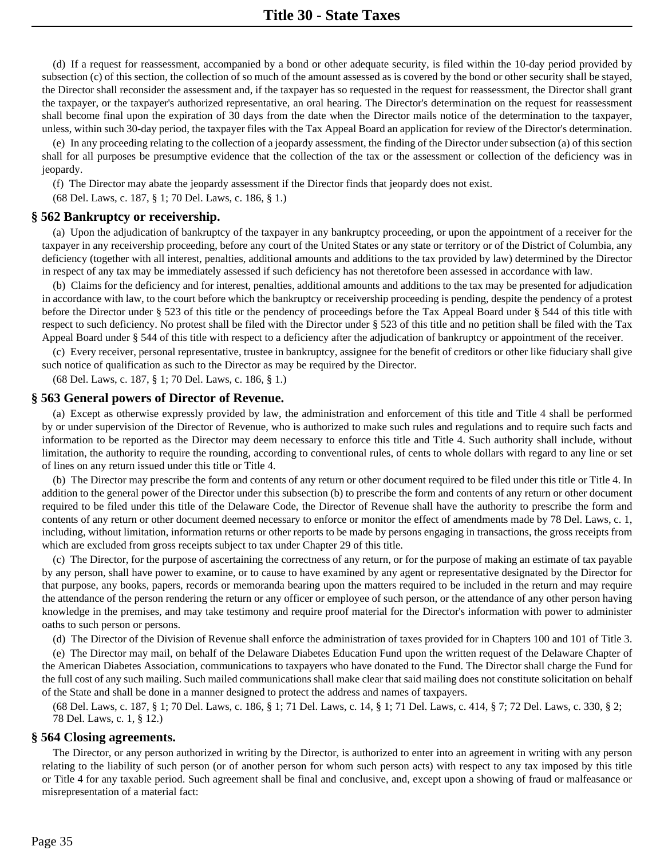(d) If a request for reassessment, accompanied by a bond or other adequate security, is filed within the 10-day period provided by subsection (c) of this section, the collection of so much of the amount assessed as is covered by the bond or other security shall be stayed, the Director shall reconsider the assessment and, if the taxpayer has so requested in the request for reassessment, the Director shall grant the taxpayer, or the taxpayer's authorized representative, an oral hearing. The Director's determination on the request for reassessment shall become final upon the expiration of 30 days from the date when the Director mails notice of the determination to the taxpayer, unless, within such 30-day period, the taxpayer files with the Tax Appeal Board an application for review of the Director's determination.

(e) In any proceeding relating to the collection of a jeopardy assessment, the finding of the Director under subsection (a) of this section shall for all purposes be presumptive evidence that the collection of the tax or the assessment or collection of the deficiency was in jeopardy.

(f) The Director may abate the jeopardy assessment if the Director finds that jeopardy does not exist.

(68 Del. Laws, c. 187, § 1; 70 Del. Laws, c. 186, § 1.)

#### **§ 562 Bankruptcy or receivership.**

(a) Upon the adjudication of bankruptcy of the taxpayer in any bankruptcy proceeding, or upon the appointment of a receiver for the taxpayer in any receivership proceeding, before any court of the United States or any state or territory or of the District of Columbia, any deficiency (together with all interest, penalties, additional amounts and additions to the tax provided by law) determined by the Director in respect of any tax may be immediately assessed if such deficiency has not theretofore been assessed in accordance with law.

(b) Claims for the deficiency and for interest, penalties, additional amounts and additions to the tax may be presented for adjudication in accordance with law, to the court before which the bankruptcy or receivership proceeding is pending, despite the pendency of a protest before the Director under § 523 of this title or the pendency of proceedings before the Tax Appeal Board under § 544 of this title with respect to such deficiency. No protest shall be filed with the Director under § 523 of this title and no petition shall be filed with the Tax Appeal Board under § 544 of this title with respect to a deficiency after the adjudication of bankruptcy or appointment of the receiver.

(c) Every receiver, personal representative, trustee in bankruptcy, assignee for the benefit of creditors or other like fiduciary shall give such notice of qualification as such to the Director as may be required by the Director.

(68 Del. Laws, c. 187, § 1; 70 Del. Laws, c. 186, § 1.)

#### **§ 563 General powers of Director of Revenue.**

(a) Except as otherwise expressly provided by law, the administration and enforcement of this title and Title 4 shall be performed by or under supervision of the Director of Revenue, who is authorized to make such rules and regulations and to require such facts and information to be reported as the Director may deem necessary to enforce this title and Title 4. Such authority shall include, without limitation, the authority to require the rounding, according to conventional rules, of cents to whole dollars with regard to any line or set of lines on any return issued under this title or Title 4.

(b) The Director may prescribe the form and contents of any return or other document required to be filed under this title or Title 4. In addition to the general power of the Director under this subsection (b) to prescribe the form and contents of any return or other document required to be filed under this title of the Delaware Code, the Director of Revenue shall have the authority to prescribe the form and contents of any return or other document deemed necessary to enforce or monitor the effect of amendments made by 78 Del. Laws, c. 1, including, without limitation, information returns or other reports to be made by persons engaging in transactions, the gross receipts from which are excluded from gross receipts subject to tax under Chapter 29 of this title.

(c) The Director, for the purpose of ascertaining the correctness of any return, or for the purpose of making an estimate of tax payable by any person, shall have power to examine, or to cause to have examined by any agent or representative designated by the Director for that purpose, any books, papers, records or memoranda bearing upon the matters required to be included in the return and may require the attendance of the person rendering the return or any officer or employee of such person, or the attendance of any other person having knowledge in the premises, and may take testimony and require proof material for the Director's information with power to administer oaths to such person or persons.

(d) The Director of the Division of Revenue shall enforce the administration of taxes provided for in Chapters 100 and 101 of Title 3.

(e) The Director may mail, on behalf of the Delaware Diabetes Education Fund upon the written request of the Delaware Chapter of the American Diabetes Association, communications to taxpayers who have donated to the Fund. The Director shall charge the Fund for the full cost of any such mailing. Such mailed communications shall make clear that said mailing does not constitute solicitation on behalf of the State and shall be done in a manner designed to protect the address and names of taxpayers.

(68 Del. Laws, c. 187, § 1; 70 Del. Laws, c. 186, § 1; 71 Del. Laws, c. 14, § 1; 71 Del. Laws, c. 414, § 7; 72 Del. Laws, c. 330, § 2; 78 Del. Laws, c. 1, § 12.)

#### **§ 564 Closing agreements.**

The Director, or any person authorized in writing by the Director, is authorized to enter into an agreement in writing with any person relating to the liability of such person (or of another person for whom such person acts) with respect to any tax imposed by this title or Title 4 for any taxable period. Such agreement shall be final and conclusive, and, except upon a showing of fraud or malfeasance or misrepresentation of a material fact: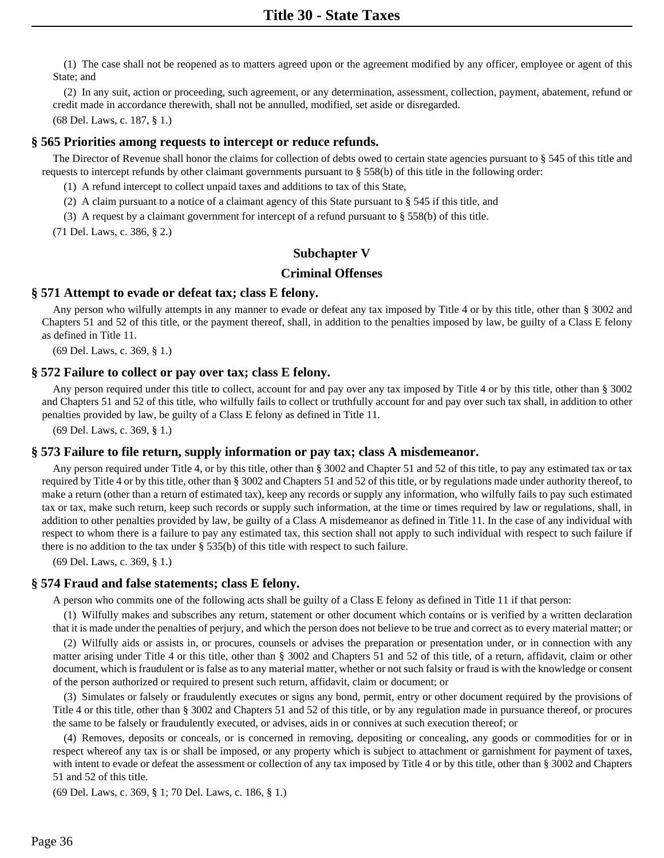(1) The case shall not be reopened as to matters agreed upon or the agreement modified by any officer, employee or agent of this State; and

(2) In any suit, action or proceeding, such agreement, or any determination, assessment, collection, payment, abatement, refund or credit made in accordance therewith, shall not be annulled, modified, set aside or disregarded.

(68 Del. Laws, c. 187, § 1.)

#### **§ 565 Priorities among requests to intercept or reduce refunds.**

The Director of Revenue shall honor the claims for collection of debts owed to certain state agencies pursuant to § 545 of this title and requests to intercept refunds by other claimant governments pursuant to § 558(b) of this title in the following order:

(1) A refund intercept to collect unpaid taxes and additions to tax of this State,

(2) A claim pursuant to a notice of a claimant agency of this State pursuant to § 545 if this title, and

(3) A request by a claimant government for intercept of a refund pursuant to § 558(b) of this title.

(71 Del. Laws, c. 386, § 2.)

## **Subchapter V**

## **Criminal Offenses**

#### **§ 571 Attempt to evade or defeat tax; class E felony.**

Any person who wilfully attempts in any manner to evade or defeat any tax imposed by Title 4 or by this title, other than § 3002 and Chapters 51 and 52 of this title, or the payment thereof, shall, in addition to the penalties imposed by law, be guilty of a Class E felony as defined in Title 11.

(69 Del. Laws, c. 369, § 1.)

#### **§ 572 Failure to collect or pay over tax; class E felony.**

Any person required under this title to collect, account for and pay over any tax imposed by Title 4 or by this title, other than § 3002 and Chapters 51 and 52 of this title, who wilfully fails to collect or truthfully account for and pay over such tax shall, in addition to other penalties provided by law, be guilty of a Class E felony as defined in Title 11.

(69 Del. Laws, c. 369, § 1.)

#### **§ 573 Failure to file return, supply information or pay tax; class A misdemeanor.**

Any person required under Title 4, or by this title, other than § 3002 and Chapter 51 and 52 of this title, to pay any estimated tax or tax required by Title 4 or by this title, other than § 3002 and Chapters 51 and 52 of this title, or by regulations made under authority thereof, to make a return (other than a return of estimated tax), keep any records or supply any information, who wilfully fails to pay such estimated tax or tax, make such return, keep such records or supply such information, at the time or times required by law or regulations, shall, in addition to other penalties provided by law, be guilty of a Class A misdemeanor as defined in Title 11. In the case of any individual with respect to whom there is a failure to pay any estimated tax, this section shall not apply to such individual with respect to such failure if there is no addition to the tax under § 535(b) of this title with respect to such failure.

(69 Del. Laws, c. 369, § 1.)

## **§ 574 Fraud and false statements; class E felony.**

A person who commits one of the following acts shall be guilty of a Class E felony as defined in Title 11 if that person:

(1) Wilfully makes and subscribes any return, statement or other document which contains or is verified by a written declaration that it is made under the penalties of perjury, and which the person does not believe to be true and correct as to every material matter; or

(2) Wilfully aids or assists in, or procures, counsels or advises the preparation or presentation under, or in connection with any matter arising under Title 4 or this title, other than § 3002 and Chapters 51 and 52 of this title, of a return, affidavit, claim or other document, which is fraudulent or is false as to any material matter, whether or not such falsity or fraud is with the knowledge or consent of the person authorized or required to present such return, affidavit, claim or document; or

(3) Simulates or falsely or fraudulently executes or signs any bond, permit, entry or other document required by the provisions of Title 4 or this title, other than § 3002 and Chapters 51 and 52 of this title, or by any regulation made in pursuance thereof, or procures the same to be falsely or fraudulently executed, or advises, aids in or connives at such execution thereof; or

(4) Removes, deposits or conceals, or is concerned in removing, depositing or concealing, any goods or commodities for or in respect whereof any tax is or shall be imposed, or any property which is subject to attachment or garnishment for payment of taxes, with intent to evade or defeat the assessment or collection of any tax imposed by Title 4 or by this title, other than § 3002 and Chapters 51 and 52 of this title.

(69 Del. Laws, c. 369, § 1; 70 Del. Laws, c. 186, § 1.)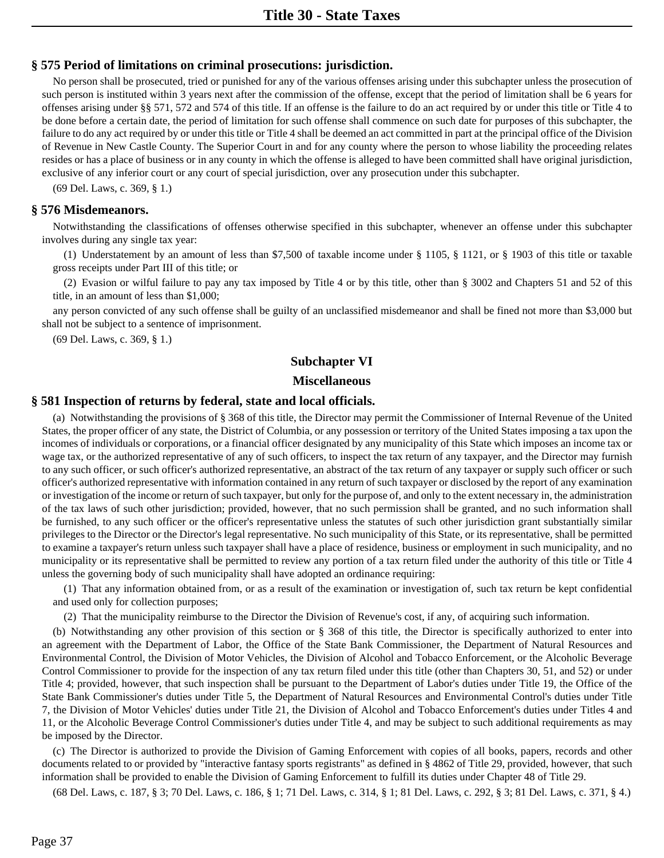## **§ 575 Period of limitations on criminal prosecutions: jurisdiction.**

No person shall be prosecuted, tried or punished for any of the various offenses arising under this subchapter unless the prosecution of such person is instituted within 3 years next after the commission of the offense, except that the period of limitation shall be 6 years for offenses arising under §§ 571, 572 and 574 of this title. If an offense is the failure to do an act required by or under this title or Title 4 to be done before a certain date, the period of limitation for such offense shall commence on such date for purposes of this subchapter, the failure to do any act required by or under this title or Title 4 shall be deemed an act committed in part at the principal office of the Division of Revenue in New Castle County. The Superior Court in and for any county where the person to whose liability the proceeding relates resides or has a place of business or in any county in which the offense is alleged to have been committed shall have original jurisdiction, exclusive of any inferior court or any court of special jurisdiction, over any prosecution under this subchapter.

(69 Del. Laws, c. 369, § 1.)

#### **§ 576 Misdemeanors.**

Notwithstanding the classifications of offenses otherwise specified in this subchapter, whenever an offense under this subchapter involves during any single tax year:

(1) Understatement by an amount of less than \$7,500 of taxable income under § 1105, § 1121, or § 1903 of this title or taxable gross receipts under Part III of this title; or

(2) Evasion or wilful failure to pay any tax imposed by Title 4 or by this title, other than § 3002 and Chapters 51 and 52 of this title, in an amount of less than \$1,000;

any person convicted of any such offense shall be guilty of an unclassified misdemeanor and shall be fined not more than \$3,000 but shall not be subject to a sentence of imprisonment.

(69 Del. Laws, c. 369, § 1.)

# **Subchapter VI**

## **Miscellaneous**

#### **§ 581 Inspection of returns by federal, state and local officials.**

(a) Notwithstanding the provisions of § 368 of this title, the Director may permit the Commissioner of Internal Revenue of the United States, the proper officer of any state, the District of Columbia, or any possession or territory of the United States imposing a tax upon the incomes of individuals or corporations, or a financial officer designated by any municipality of this State which imposes an income tax or wage tax, or the authorized representative of any of such officers, to inspect the tax return of any taxpayer, and the Director may furnish to any such officer, or such officer's authorized representative, an abstract of the tax return of any taxpayer or supply such officer or such officer's authorized representative with information contained in any return of such taxpayer or disclosed by the report of any examination or investigation of the income or return of such taxpayer, but only for the purpose of, and only to the extent necessary in, the administration of the tax laws of such other jurisdiction; provided, however, that no such permission shall be granted, and no such information shall be furnished, to any such officer or the officer's representative unless the statutes of such other jurisdiction grant substantially similar privileges to the Director or the Director's legal representative. No such municipality of this State, or its representative, shall be permitted to examine a taxpayer's return unless such taxpayer shall have a place of residence, business or employment in such municipality, and no municipality or its representative shall be permitted to review any portion of a tax return filed under the authority of this title or Title 4 unless the governing body of such municipality shall have adopted an ordinance requiring:

(1) That any information obtained from, or as a result of the examination or investigation of, such tax return be kept confidential and used only for collection purposes;

(2) That the municipality reimburse to the Director the Division of Revenue's cost, if any, of acquiring such information.

(b) Notwithstanding any other provision of this section or § 368 of this title, the Director is specifically authorized to enter into an agreement with the Department of Labor, the Office of the State Bank Commissioner, the Department of Natural Resources and Environmental Control, the Division of Motor Vehicles, the Division of Alcohol and Tobacco Enforcement, or the Alcoholic Beverage Control Commissioner to provide for the inspection of any tax return filed under this title (other than Chapters 30, 51, and 52) or under Title 4; provided, however, that such inspection shall be pursuant to the Department of Labor's duties under Title 19, the Office of the State Bank Commissioner's duties under Title 5, the Department of Natural Resources and Environmental Control's duties under Title 7, the Division of Motor Vehicles' duties under Title 21, the Division of Alcohol and Tobacco Enforcement's duties under Titles 4 and 11, or the Alcoholic Beverage Control Commissioner's duties under Title 4, and may be subject to such additional requirements as may be imposed by the Director.

(c) The Director is authorized to provide the Division of Gaming Enforcement with copies of all books, papers, records and other documents related to or provided by "interactive fantasy sports registrants" as defined in § 4862 of Title 29, provided, however, that such information shall be provided to enable the Division of Gaming Enforcement to fulfill its duties under Chapter 48 of Title 29.

(68 Del. Laws, c. 187, § 3; 70 Del. Laws, c. 186, § 1; 71 Del. Laws, c. 314, § 1; 81 Del. Laws, c. 292, § 3; 81 Del. Laws, c. 371, § 4.)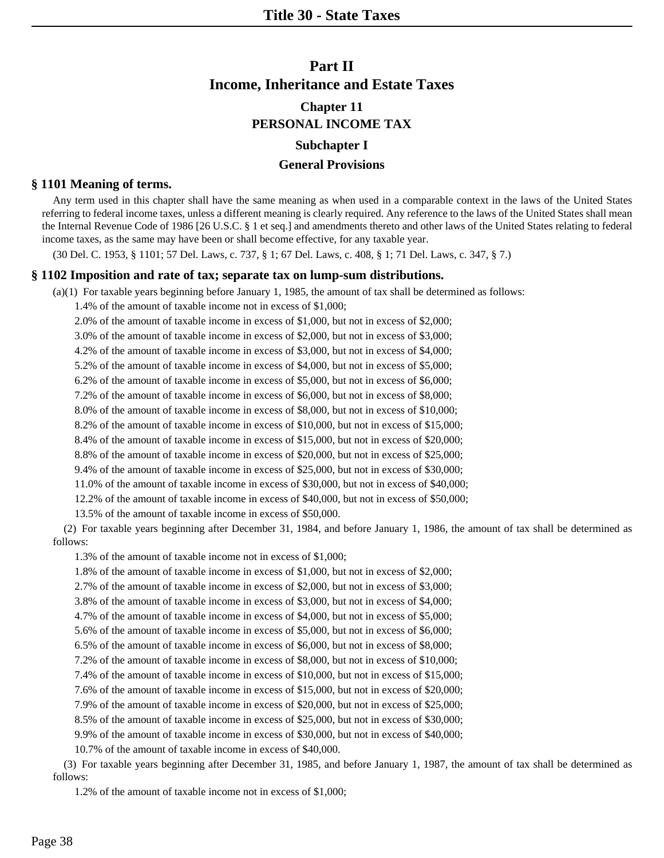## **Chapter 11 PERSONAL INCOME TAX**

## **Subchapter I**

#### **General Provisions**

## **§ 1101 Meaning of terms.**

Any term used in this chapter shall have the same meaning as when used in a comparable context in the laws of the United States referring to federal income taxes, unless a different meaning is clearly required. Any reference to the laws of the United States shall mean the Internal Revenue Code of 1986 [26 U.S.C. § 1 et seq.] and amendments thereto and other laws of the United States relating to federal income taxes, as the same may have been or shall become effective, for any taxable year.

(30 Del. C. 1953, § 1101; 57 Del. Laws, c. 737, § 1; 67 Del. Laws, c. 408, § 1; 71 Del. Laws, c. 347, § 7.)

## **§ 1102 Imposition and rate of tax; separate tax on lump-sum distributions.**

(a)(1) For taxable years beginning before January 1, 1985, the amount of tax shall be determined as follows:

1.4% of the amount of taxable income not in excess of \$1,000;

2.0% of the amount of taxable income in excess of \$1,000, but not in excess of \$2,000;

3.0% of the amount of taxable income in excess of \$2,000, but not in excess of \$3,000;

4.2% of the amount of taxable income in excess of \$3,000, but not in excess of \$4,000;

5.2% of the amount of taxable income in excess of \$4,000, but not in excess of \$5,000;

6.2% of the amount of taxable income in excess of \$5,000, but not in excess of \$6,000;

7.2% of the amount of taxable income in excess of \$6,000, but not in excess of \$8,000;

8.0% of the amount of taxable income in excess of \$8,000, but not in excess of \$10,000;

8.2% of the amount of taxable income in excess of \$10,000, but not in excess of \$15,000;

8.4% of the amount of taxable income in excess of \$15,000, but not in excess of \$20,000;

8.8% of the amount of taxable income in excess of \$20,000, but not in excess of \$25,000;

9.4% of the amount of taxable income in excess of \$25,000, but not in excess of \$30,000;

11.0% of the amount of taxable income in excess of \$30,000, but not in excess of \$40,000;

12.2% of the amount of taxable income in excess of \$40,000, but not in excess of \$50,000;

13.5% of the amount of taxable income in excess of \$50,000.

(2) For taxable years beginning after December 31, 1984, and before January 1, 1986, the amount of tax shall be determined as follows:

1.3% of the amount of taxable income not in excess of \$1,000;

1.8% of the amount of taxable income in excess of \$1,000, but not in excess of \$2,000;

2.7% of the amount of taxable income in excess of \$2,000, but not in excess of \$3,000;

3.8% of the amount of taxable income in excess of \$3,000, but not in excess of \$4,000;

4.7% of the amount of taxable income in excess of \$4,000, but not in excess of \$5,000;

5.6% of the amount of taxable income in excess of \$5,000, but not in excess of \$6,000;

6.5% of the amount of taxable income in excess of \$6,000, but not in excess of \$8,000;

7.2% of the amount of taxable income in excess of \$8,000, but not in excess of \$10,000;

7.4% of the amount of taxable income in excess of \$10,000, but not in excess of \$15,000;

7.6% of the amount of taxable income in excess of \$15,000, but not in excess of \$20,000;

7.9% of the amount of taxable income in excess of \$20,000, but not in excess of \$25,000;

8.5% of the amount of taxable income in excess of \$25,000, but not in excess of \$30,000;

9.9% of the amount of taxable income in excess of \$30,000, but not in excess of \$40,000;

10.7% of the amount of taxable income in excess of \$40,000.

(3) For taxable years beginning after December 31, 1985, and before January 1, 1987, the amount of tax shall be determined as follows:

1.2% of the amount of taxable income not in excess of \$1,000;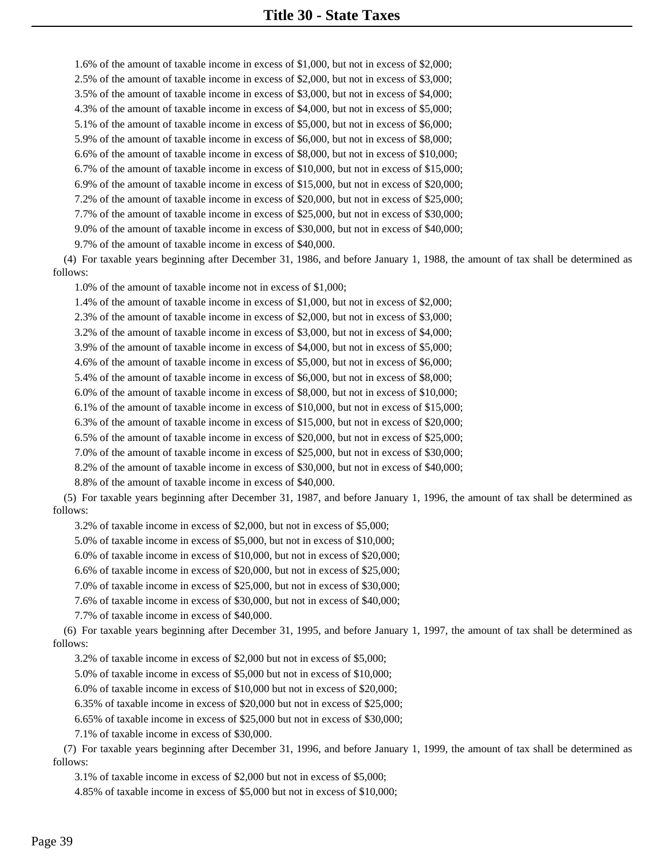1.6% of the amount of taxable income in excess of \$1,000, but not in excess of \$2,000;

2.5% of the amount of taxable income in excess of \$2,000, but not in excess of \$3,000;

3.5% of the amount of taxable income in excess of \$3,000, but not in excess of \$4,000;

4.3% of the amount of taxable income in excess of \$4,000, but not in excess of \$5,000;

5.1% of the amount of taxable income in excess of \$5,000, but not in excess of \$6,000;

5.9% of the amount of taxable income in excess of \$6,000, but not in excess of \$8,000;

6.6% of the amount of taxable income in excess of \$8,000, but not in excess of \$10,000;

6.7% of the amount of taxable income in excess of \$10,000, but not in excess of \$15,000;

6.9% of the amount of taxable income in excess of \$15,000, but not in excess of \$20,000;

7.2% of the amount of taxable income in excess of \$20,000, but not in excess of \$25,000;

7.7% of the amount of taxable income in excess of \$25,000, but not in excess of \$30,000; 9.0% of the amount of taxable income in excess of \$30,000, but not in excess of \$40,000;

9.7% of the amount of taxable income in excess of \$40,000.

(4) For taxable years beginning after December 31, 1986, and before January 1, 1988, the amount of tax shall be determined as follows:

1.0% of the amount of taxable income not in excess of \$1,000;

1.4% of the amount of taxable income in excess of \$1,000, but not in excess of \$2,000;

2.3% of the amount of taxable income in excess of \$2,000, but not in excess of \$3,000;

3.2% of the amount of taxable income in excess of \$3,000, but not in excess of \$4,000;

3.9% of the amount of taxable income in excess of \$4,000, but not in excess of \$5,000;

4.6% of the amount of taxable income in excess of \$5,000, but not in excess of \$6,000;

5.4% of the amount of taxable income in excess of \$6,000, but not in excess of \$8,000;

6.0% of the amount of taxable income in excess of \$8,000, but not in excess of \$10,000;

6.1% of the amount of taxable income in excess of \$10,000, but not in excess of \$15,000;

6.3% of the amount of taxable income in excess of \$15,000, but not in excess of \$20,000;

6.5% of the amount of taxable income in excess of \$20,000, but not in excess of \$25,000;

7.0% of the amount of taxable income in excess of \$25,000, but not in excess of \$30,000;

8.2% of the amount of taxable income in excess of \$30,000, but not in excess of \$40,000;

8.8% of the amount of taxable income in excess of \$40,000.

(5) For taxable years beginning after December 31, 1987, and before January 1, 1996, the amount of tax shall be determined as follows:

3.2% of taxable income in excess of \$2,000, but not in excess of \$5,000;

5.0% of taxable income in excess of \$5,000, but not in excess of \$10,000;

6.0% of taxable income in excess of \$10,000, but not in excess of \$20,000;

6.6% of taxable income in excess of \$20,000, but not in excess of \$25,000;

7.0% of taxable income in excess of \$25,000, but not in excess of \$30,000;

7.6% of taxable income in excess of \$30,000, but not in excess of \$40,000;

7.7% of taxable income in excess of \$40,000.

(6) For taxable years beginning after December 31, 1995, and before January 1, 1997, the amount of tax shall be determined as follows:

3.2% of taxable income in excess of \$2,000 but not in excess of \$5,000;

5.0% of taxable income in excess of \$5,000 but not in excess of \$10,000;

6.0% of taxable income in excess of \$10,000 but not in excess of \$20,000;

6.35% of taxable income in excess of \$20,000 but not in excess of \$25,000;

6.65% of taxable income in excess of \$25,000 but not in excess of \$30,000;

7.1% of taxable income in excess of \$30,000.

(7) For taxable years beginning after December 31, 1996, and before January 1, 1999, the amount of tax shall be determined as follows:

3.1% of taxable income in excess of \$2,000 but not in excess of \$5,000;

4.85% of taxable income in excess of \$5,000 but not in excess of \$10,000;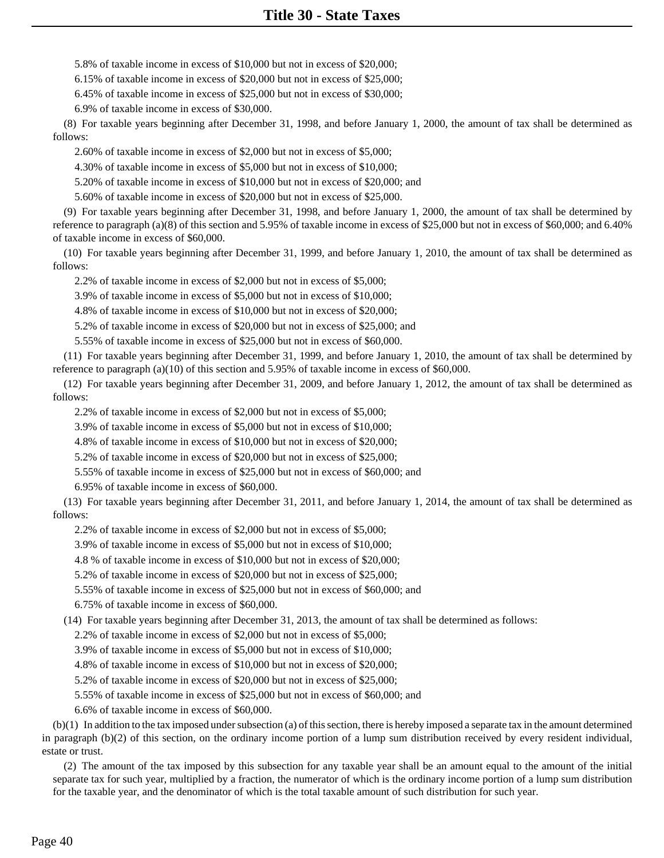5.8% of taxable income in excess of \$10,000 but not in excess of \$20,000;

6.15% of taxable income in excess of \$20,000 but not in excess of \$25,000;

6.45% of taxable income in excess of \$25,000 but not in excess of \$30,000;

6.9% of taxable income in excess of \$30,000.

(8) For taxable years beginning after December 31, 1998, and before January 1, 2000, the amount of tax shall be determined as follows:

2.60% of taxable income in excess of \$2,000 but not in excess of \$5,000;

4.30% of taxable income in excess of \$5,000 but not in excess of \$10,000;

5.20% of taxable income in excess of \$10,000 but not in excess of \$20,000; and

5.60% of taxable income in excess of \$20,000 but not in excess of \$25,000.

(9) For taxable years beginning after December 31, 1998, and before January 1, 2000, the amount of tax shall be determined by reference to paragraph (a)(8) of this section and 5.95% of taxable income in excess of \$25,000 but not in excess of \$60,000; and 6.40% of taxable income in excess of \$60,000.

(10) For taxable years beginning after December 31, 1999, and before January 1, 2010, the amount of tax shall be determined as follows:

2.2% of taxable income in excess of \$2,000 but not in excess of \$5,000;

3.9% of taxable income in excess of \$5,000 but not in excess of \$10,000;

4.8% of taxable income in excess of \$10,000 but not in excess of \$20,000;

5.2% of taxable income in excess of \$20,000 but not in excess of \$25,000; and

5.55% of taxable income in excess of \$25,000 but not in excess of \$60,000.

(11) For taxable years beginning after December 31, 1999, and before January 1, 2010, the amount of tax shall be determined by reference to paragraph (a)(10) of this section and 5.95% of taxable income in excess of \$60,000.

(12) For taxable years beginning after December 31, 2009, and before January 1, 2012, the amount of tax shall be determined as follows:

2.2% of taxable income in excess of \$2,000 but not in excess of \$5,000;

3.9% of taxable income in excess of \$5,000 but not in excess of \$10,000;

4.8% of taxable income in excess of \$10,000 but not in excess of \$20,000;

5.2% of taxable income in excess of \$20,000 but not in excess of \$25,000;

5.55% of taxable income in excess of \$25,000 but not in excess of \$60,000; and

6.95% of taxable income in excess of \$60,000.

(13) For taxable years beginning after December 31, 2011, and before January 1, 2014, the amount of tax shall be determined as follows:

2.2% of taxable income in excess of \$2,000 but not in excess of \$5,000;

3.9% of taxable income in excess of \$5,000 but not in excess of \$10,000;

4.8 % of taxable income in excess of \$10,000 but not in excess of \$20,000;

5.2% of taxable income in excess of \$20,000 but not in excess of \$25,000;

5.55% of taxable income in excess of \$25,000 but not in excess of \$60,000; and

6.75% of taxable income in excess of \$60,000.

(14) For taxable years beginning after December 31, 2013, the amount of tax shall be determined as follows:

2.2% of taxable income in excess of \$2,000 but not in excess of \$5,000;

3.9% of taxable income in excess of \$5,000 but not in excess of \$10,000;

4.8% of taxable income in excess of \$10,000 but not in excess of \$20,000;

5.2% of taxable income in excess of \$20,000 but not in excess of \$25,000;

5.55% of taxable income in excess of \$25,000 but not in excess of \$60,000; and

6.6% of taxable income in excess of \$60,000.

(b)(1) In addition to the tax imposed under subsection (a) of this section, there is hereby imposed a separate tax in the amount determined in paragraph (b)(2) of this section, on the ordinary income portion of a lump sum distribution received by every resident individual, estate or trust.

(2) The amount of the tax imposed by this subsection for any taxable year shall be an amount equal to the amount of the initial separate tax for such year, multiplied by a fraction, the numerator of which is the ordinary income portion of a lump sum distribution for the taxable year, and the denominator of which is the total taxable amount of such distribution for such year.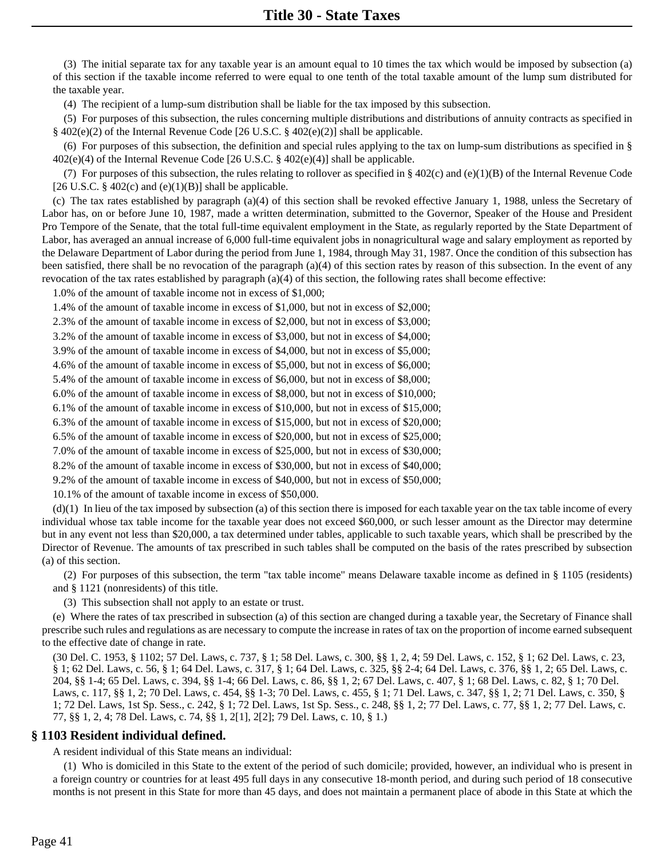(3) The initial separate tax for any taxable year is an amount equal to 10 times the tax which would be imposed by subsection (a) of this section if the taxable income referred to were equal to one tenth of the total taxable amount of the lump sum distributed for the taxable year.

(4) The recipient of a lump-sum distribution shall be liable for the tax imposed by this subsection.

(5) For purposes of this subsection, the rules concerning multiple distributions and distributions of annuity contracts as specified in § 402(e)(2) of the Internal Revenue Code [26 U.S.C. § 402(e)(2)] shall be applicable.

(6) For purposes of this subsection, the definition and special rules applying to the tax on lump-sum distributions as specified in  $\S$ 402(e)(4) of the Internal Revenue Code [26 U.S.C. § 402(e)(4)] shall be applicable.

(7) For purposes of this subsection, the rules relating to rollover as specified in § 402(c) and (e)(1)(B) of the Internal Revenue Code [26 U.S.C.  $\S$  402(c) and (e)(1)(B)] shall be applicable.

(c) The tax rates established by paragraph (a)(4) of this section shall be revoked effective January 1, 1988, unless the Secretary of Labor has, on or before June 10, 1987, made a written determination, submitted to the Governor, Speaker of the House and President Pro Tempore of the Senate, that the total full-time equivalent employment in the State, as regularly reported by the State Department of Labor, has averaged an annual increase of 6,000 full-time equivalent jobs in nonagricultural wage and salary employment as reported by the Delaware Department of Labor during the period from June 1, 1984, through May 31, 1987. Once the condition of this subsection has been satisfied, there shall be no revocation of the paragraph (a)(4) of this section rates by reason of this subsection. In the event of any revocation of the tax rates established by paragraph (a)(4) of this section, the following rates shall become effective:

1.0% of the amount of taxable income not in excess of \$1,000;

1.4% of the amount of taxable income in excess of \$1,000, but not in excess of \$2,000;

2.3% of the amount of taxable income in excess of \$2,000, but not in excess of \$3,000;

3.2% of the amount of taxable income in excess of \$3,000, but not in excess of \$4,000;

3.9% of the amount of taxable income in excess of \$4,000, but not in excess of \$5,000;

4.6% of the amount of taxable income in excess of \$5,000, but not in excess of \$6,000;

5.4% of the amount of taxable income in excess of \$6,000, but not in excess of \$8,000;

6.0% of the amount of taxable income in excess of \$8,000, but not in excess of \$10,000;

6.1% of the amount of taxable income in excess of \$10,000, but not in excess of \$15,000;

6.3% of the amount of taxable income in excess of \$15,000, but not in excess of \$20,000;

6.5% of the amount of taxable income in excess of \$20,000, but not in excess of \$25,000;

7.0% of the amount of taxable income in excess of \$25,000, but not in excess of \$30,000;

8.2% of the amount of taxable income in excess of \$30,000, but not in excess of \$40,000;

9.2% of the amount of taxable income in excess of \$40,000, but not in excess of \$50,000;

10.1% of the amount of taxable income in excess of \$50,000.

 $(d)(1)$  In lieu of the tax imposed by subsection (a) of this section there is imposed for each taxable year on the tax table income of every individual whose tax table income for the taxable year does not exceed \$60,000, or such lesser amount as the Director may determine but in any event not less than \$20,000, a tax determined under tables, applicable to such taxable years, which shall be prescribed by the Director of Revenue. The amounts of tax prescribed in such tables shall be computed on the basis of the rates prescribed by subsection (a) of this section.

(2) For purposes of this subsection, the term "tax table income" means Delaware taxable income as defined in § 1105 (residents) and § 1121 (nonresidents) of this title.

(3) This subsection shall not apply to an estate or trust.

(e) Where the rates of tax prescribed in subsection (a) of this section are changed during a taxable year, the Secretary of Finance shall prescribe such rules and regulations as are necessary to compute the increase in rates of tax on the proportion of income earned subsequent to the effective date of change in rate.

(30 Del. C. 1953, § 1102; 57 Del. Laws, c. 737, § 1; 58 Del. Laws, c. 300, §§ 1, 2, 4; 59 Del. Laws, c. 152, § 1; 62 Del. Laws, c. 23, § 1; 62 Del. Laws, c. 56, § 1; 64 Del. Laws, c. 317, § 1; 64 Del. Laws, c. 325, §§ 2-4; 64 Del. Laws, c. 376, §§ 1, 2; 65 Del. Laws, c. 204, §§ 1-4; 65 Del. Laws, c. 394, §§ 1-4; 66 Del. Laws, c. 86, §§ 1, 2; 67 Del. Laws, c. 407, § 1; 68 Del. Laws, c. 82, § 1; 70 Del. Laws, c. 117, §§ 1, 2; 70 Del. Laws, c. 454, §§ 1-3; 70 Del. Laws, c. 455, § 1; 71 Del. Laws, c. 347, §§ 1, 2; 71 Del. Laws, c. 350, § 1; 72 Del. Laws, 1st Sp. Sess., c. 242, § 1; 72 Del. Laws, 1st Sp. Sess., c. 248, §§ 1, 2; 77 Del. Laws, c. 77, §§ 1, 2; 77 Del. Laws, c. 77, §§ 1, 2, 4; 78 Del. Laws, c. 74, §§ 1, 2[1], 2[2]; 79 Del. Laws, c. 10, § 1.)

#### **§ 1103 Resident individual defined.**

A resident individual of this State means an individual:

(1) Who is domiciled in this State to the extent of the period of such domicile; provided, however, an individual who is present in a foreign country or countries for at least 495 full days in any consecutive 18-month period, and during such period of 18 consecutive months is not present in this State for more than 45 days, and does not maintain a permanent place of abode in this State at which the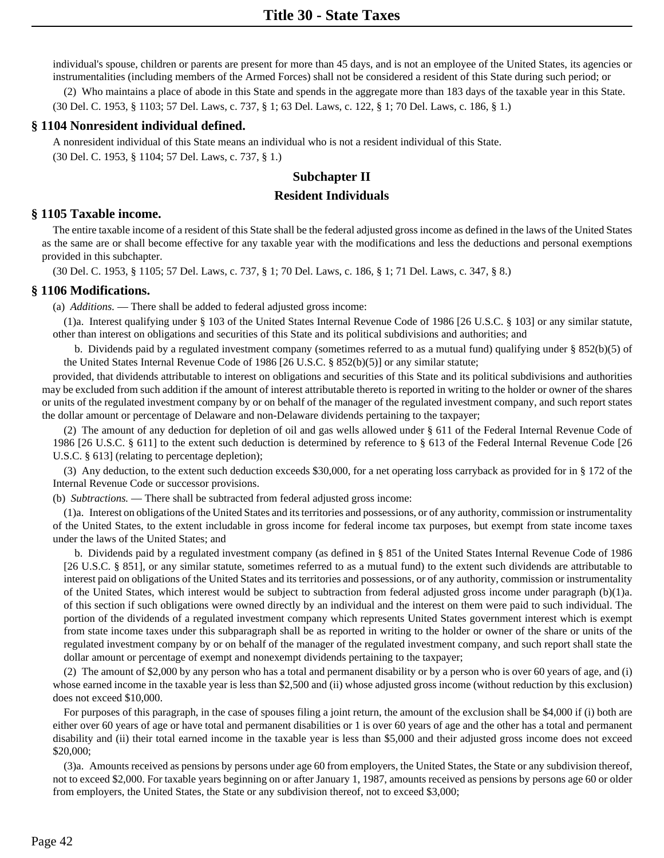individual's spouse, children or parents are present for more than 45 days, and is not an employee of the United States, its agencies or instrumentalities (including members of the Armed Forces) shall not be considered a resident of this State during such period; or

(2) Who maintains a place of abode in this State and spends in the aggregate more than 183 days of the taxable year in this State. (30 Del. C. 1953, § 1103; 57 Del. Laws, c. 737, § 1; 63 Del. Laws, c. 122, § 1; 70 Del. Laws, c. 186, § 1.)

#### **§ 1104 Nonresident individual defined.**

A nonresident individual of this State means an individual who is not a resident individual of this State.

(30 Del. C. 1953, § 1104; 57 Del. Laws, c. 737, § 1.)

## **Subchapter II**

## **Resident Individuals**

## **§ 1105 Taxable income.**

The entire taxable income of a resident of this State shall be the federal adjusted gross income as defined in the laws of the United States as the same are or shall become effective for any taxable year with the modifications and less the deductions and personal exemptions provided in this subchapter.

(30 Del. C. 1953, § 1105; 57 Del. Laws, c. 737, § 1; 70 Del. Laws, c. 186, § 1; 71 Del. Laws, c. 347, § 8.)

## **§ 1106 Modifications.**

(a) *Additions.* — There shall be added to federal adjusted gross income:

(1)a. Interest qualifying under § 103 of the United States Internal Revenue Code of 1986 [26 U.S.C. § 103] or any similar statute, other than interest on obligations and securities of this State and its political subdivisions and authorities; and

b. Dividends paid by a regulated investment company (sometimes referred to as a mutual fund) qualifying under  $\S 852(b)(5)$  of the United States Internal Revenue Code of 1986 [26 U.S.C. § 852(b)(5)] or any similar statute;

provided, that dividends attributable to interest on obligations and securities of this State and its political subdivisions and authorities may be excluded from such addition if the amount of interest attributable thereto is reported in writing to the holder or owner of the shares or units of the regulated investment company by or on behalf of the manager of the regulated investment company, and such report states the dollar amount or percentage of Delaware and non-Delaware dividends pertaining to the taxpayer;

(2) The amount of any deduction for depletion of oil and gas wells allowed under § 611 of the Federal Internal Revenue Code of 1986 [26 U.S.C. § 611] to the extent such deduction is determined by reference to § 613 of the Federal Internal Revenue Code [26 U.S.C. § 613] (relating to percentage depletion);

(3) Any deduction, to the extent such deduction exceeds \$30,000, for a net operating loss carryback as provided for in § 172 of the Internal Revenue Code or successor provisions.

(b) *Subtractions.* — There shall be subtracted from federal adjusted gross income:

(1)a. Interest on obligations of the United States and its territories and possessions, or of any authority, commission or instrumentality of the United States, to the extent includable in gross income for federal income tax purposes, but exempt from state income taxes under the laws of the United States; and

b. Dividends paid by a regulated investment company (as defined in § 851 of the United States Internal Revenue Code of 1986 [26 U.S.C. § 851], or any similar statute, sometimes referred to as a mutual fund) to the extent such dividends are attributable to interest paid on obligations of the United States and its territories and possessions, or of any authority, commission or instrumentality of the United States, which interest would be subject to subtraction from federal adjusted gross income under paragraph (b)(1)a. of this section if such obligations were owned directly by an individual and the interest on them were paid to such individual. The portion of the dividends of a regulated investment company which represents United States government interest which is exempt from state income taxes under this subparagraph shall be as reported in writing to the holder or owner of the share or units of the regulated investment company by or on behalf of the manager of the regulated investment company, and such report shall state the dollar amount or percentage of exempt and nonexempt dividends pertaining to the taxpayer;

(2) The amount of \$2,000 by any person who has a total and permanent disability or by a person who is over 60 years of age, and (i) whose earned income in the taxable year is less than \$2,500 and (ii) whose adjusted gross income (without reduction by this exclusion) does not exceed \$10,000.

For purposes of this paragraph, in the case of spouses filing a joint return, the amount of the exclusion shall be \$4,000 if (i) both are either over 60 years of age or have total and permanent disabilities or 1 is over 60 years of age and the other has a total and permanent disability and (ii) their total earned income in the taxable year is less than \$5,000 and their adjusted gross income does not exceed \$20,000;

(3)a. Amounts received as pensions by persons under age 60 from employers, the United States, the State or any subdivision thereof, not to exceed \$2,000. For taxable years beginning on or after January 1, 1987, amounts received as pensions by persons age 60 or older from employers, the United States, the State or any subdivision thereof, not to exceed \$3,000;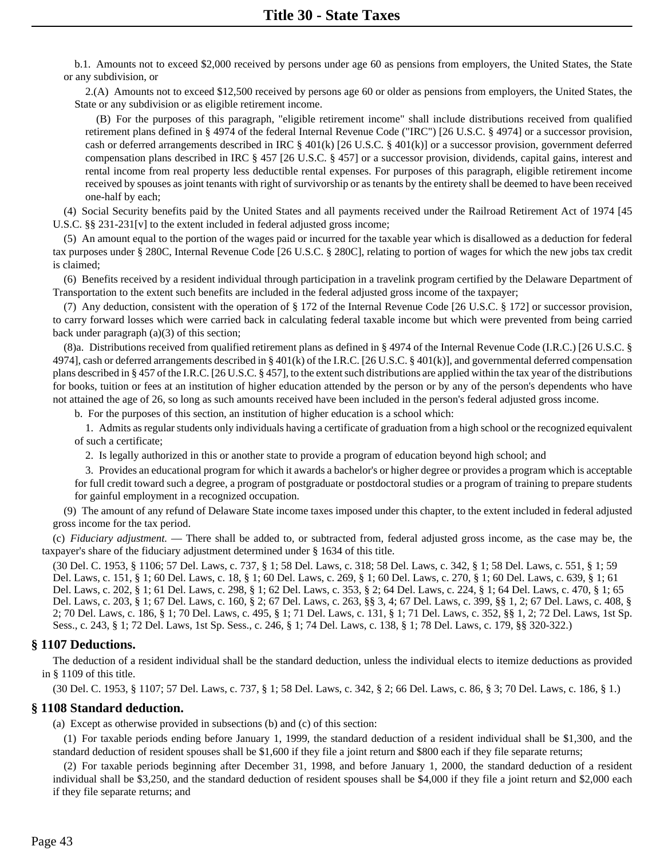b.1. Amounts not to exceed \$2,000 received by persons under age 60 as pensions from employers, the United States, the State or any subdivision, or

2.(A) Amounts not to exceed \$12,500 received by persons age 60 or older as pensions from employers, the United States, the State or any subdivision or as eligible retirement income.

(B) For the purposes of this paragraph, "eligible retirement income" shall include distributions received from qualified retirement plans defined in § 4974 of the federal Internal Revenue Code ("IRC") [26 U.S.C. § 4974] or a successor provision, cash or deferred arrangements described in IRC  $\S$  401(k) [26 U.S.C.  $\S$  401(k)] or a successor provision, government deferred compensation plans described in IRC § 457 [26 U.S.C. § 457] or a successor provision, dividends, capital gains, interest and rental income from real property less deductible rental expenses. For purposes of this paragraph, eligible retirement income received by spouses as joint tenants with right of survivorship or as tenants by the entirety shall be deemed to have been received one-half by each;

(4) Social Security benefits paid by the United States and all payments received under the Railroad Retirement Act of 1974 [45 U.S.C. §§ 231-231[v] to the extent included in federal adjusted gross income;

(5) An amount equal to the portion of the wages paid or incurred for the taxable year which is disallowed as a deduction for federal tax purposes under § 280C, Internal Revenue Code [26 U.S.C. § 280C], relating to portion of wages for which the new jobs tax credit is claimed;

(6) Benefits received by a resident individual through participation in a travelink program certified by the Delaware Department of Transportation to the extent such benefits are included in the federal adjusted gross income of the taxpayer;

(7) Any deduction, consistent with the operation of § 172 of the Internal Revenue Code [26 U.S.C. § 172] or successor provision, to carry forward losses which were carried back in calculating federal taxable income but which were prevented from being carried back under paragraph (a)(3) of this section;

(8)a. Distributions received from qualified retirement plans as defined in § 4974 of the Internal Revenue Code (I.R.C.) [26 U.S.C. § 4974], cash or deferred arrangements described in § 401(k) of the I.R.C. [26 U.S.C. § 401(k)], and governmental deferred compensation plans described in § 457 of the I.R.C. [26 U.S.C. § 457], to the extent such distributions are applied within the tax year of the distributions for books, tuition or fees at an institution of higher education attended by the person or by any of the person's dependents who have not attained the age of 26, so long as such amounts received have been included in the person's federal adjusted gross income.

b. For the purposes of this section, an institution of higher education is a school which:

1. Admits as regular students only individuals having a certificate of graduation from a high school or the recognized equivalent of such a certificate;

2. Is legally authorized in this or another state to provide a program of education beyond high school; and

3. Provides an educational program for which it awards a bachelor's or higher degree or provides a program which is acceptable for full credit toward such a degree, a program of postgraduate or postdoctoral studies or a program of training to prepare students for gainful employment in a recognized occupation.

(9) The amount of any refund of Delaware State income taxes imposed under this chapter, to the extent included in federal adjusted gross income for the tax period.

(c) *Fiduciary adjustment.* — There shall be added to, or subtracted from, federal adjusted gross income, as the case may be, the taxpayer's share of the fiduciary adjustment determined under § 1634 of this title.

(30 Del. C. 1953, § 1106; 57 Del. Laws, c. 737, § 1; 58 Del. Laws, c. 318; 58 Del. Laws, c. 342, § 1; 58 Del. Laws, c. 551, § 1; 59 Del. Laws, c. 151, § 1; 60 Del. Laws, c. 18, § 1; 60 Del. Laws, c. 269, § 1; 60 Del. Laws, c. 270, § 1; 60 Del. Laws, c. 639, § 1; 61 Del. Laws, c. 202, § 1; 61 Del. Laws, c. 298, § 1; 62 Del. Laws, c. 353, § 2; 64 Del. Laws, c. 224, § 1; 64 Del. Laws, c. 470, § 1; 65 Del. Laws, c. 203, § 1; 67 Del. Laws, c. 160, § 2; 67 Del. Laws, c. 263, §§ 3, 4; 67 Del. Laws, c. 399, §§ 1, 2; 67 Del. Laws, c. 408, § 2; 70 Del. Laws, c. 186, § 1; 70 Del. Laws, c. 495, § 1; 71 Del. Laws, c. 131, § 1; 71 Del. Laws, c. 352, §§ 1, 2; 72 Del. Laws, 1st Sp. Sess., c. 243, § 1; 72 Del. Laws, 1st Sp. Sess., c. 246, § 1; 74 Del. Laws, c. 138, § 1; 78 Del. Laws, c. 179, §§ 320-322.)

## **§ 1107 Deductions.**

The deduction of a resident individual shall be the standard deduction, unless the individual elects to itemize deductions as provided in § 1109 of this title.

(30 Del. C. 1953, § 1107; 57 Del. Laws, c. 737, § 1; 58 Del. Laws, c. 342, § 2; 66 Del. Laws, c. 86, § 3; 70 Del. Laws, c. 186, § 1.)

## **§ 1108 Standard deduction.**

(a) Except as otherwise provided in subsections (b) and (c) of this section:

(1) For taxable periods ending before January 1, 1999, the standard deduction of a resident individual shall be \$1,300, and the standard deduction of resident spouses shall be \$1,600 if they file a joint return and \$800 each if they file separate returns;

(2) For taxable periods beginning after December 31, 1998, and before January 1, 2000, the standard deduction of a resident individual shall be \$3,250, and the standard deduction of resident spouses shall be \$4,000 if they file a joint return and \$2,000 each if they file separate returns; and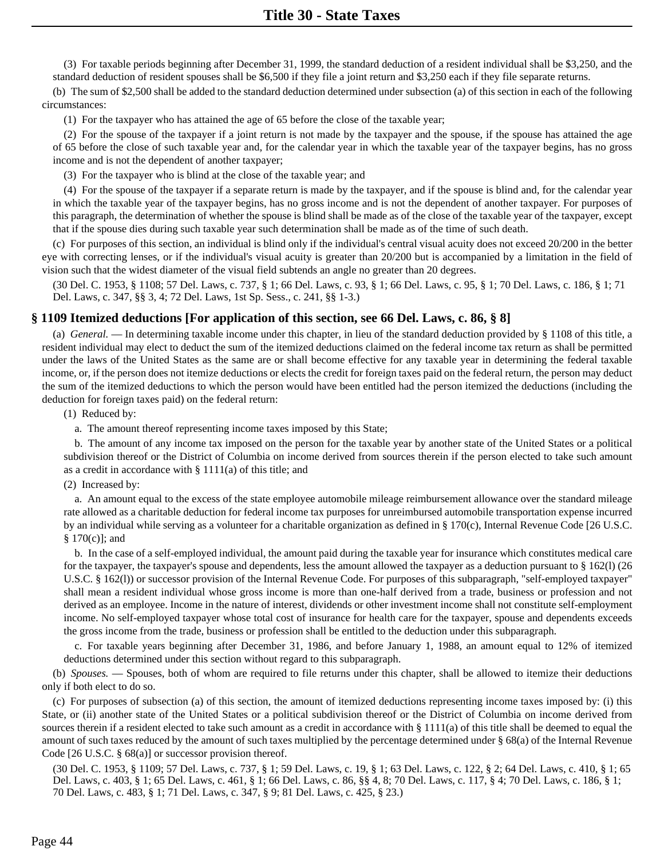(3) For taxable periods beginning after December 31, 1999, the standard deduction of a resident individual shall be \$3,250, and the standard deduction of resident spouses shall be \$6,500 if they file a joint return and \$3,250 each if they file separate returns.

(b) The sum of \$2,500 shall be added to the standard deduction determined under subsection (a) of this section in each of the following circumstances:

(1) For the taxpayer who has attained the age of 65 before the close of the taxable year;

(2) For the spouse of the taxpayer if a joint return is not made by the taxpayer and the spouse, if the spouse has attained the age of 65 before the close of such taxable year and, for the calendar year in which the taxable year of the taxpayer begins, has no gross income and is not the dependent of another taxpayer;

(3) For the taxpayer who is blind at the close of the taxable year; and

(4) For the spouse of the taxpayer if a separate return is made by the taxpayer, and if the spouse is blind and, for the calendar year in which the taxable year of the taxpayer begins, has no gross income and is not the dependent of another taxpayer. For purposes of this paragraph, the determination of whether the spouse is blind shall be made as of the close of the taxable year of the taxpayer, except that if the spouse dies during such taxable year such determination shall be made as of the time of such death.

(c) For purposes of this section, an individual is blind only if the individual's central visual acuity does not exceed 20/200 in the better eye with correcting lenses, or if the individual's visual acuity is greater than 20/200 but is accompanied by a limitation in the field of vision such that the widest diameter of the visual field subtends an angle no greater than 20 degrees.

(30 Del. C. 1953, § 1108; 57 Del. Laws, c. 737, § 1; 66 Del. Laws, c. 93, § 1; 66 Del. Laws, c. 95, § 1; 70 Del. Laws, c. 186, § 1; 71 Del. Laws, c. 347, §§ 3, 4; 72 Del. Laws, 1st Sp. Sess., c. 241, §§ 1-3.)

#### **§ 1109 Itemized deductions [For application of this section, see 66 Del. Laws, c. 86, § 8]**

(a) *General.* — In determining taxable income under this chapter, in lieu of the standard deduction provided by § 1108 of this title, a resident individual may elect to deduct the sum of the itemized deductions claimed on the federal income tax return as shall be permitted under the laws of the United States as the same are or shall become effective for any taxable year in determining the federal taxable income, or, if the person does not itemize deductions or elects the credit for foreign taxes paid on the federal return, the person may deduct the sum of the itemized deductions to which the person would have been entitled had the person itemized the deductions (including the deduction for foreign taxes paid) on the federal return:

(1) Reduced by:

a. The amount thereof representing income taxes imposed by this State;

b. The amount of any income tax imposed on the person for the taxable year by another state of the United States or a political subdivision thereof or the District of Columbia on income derived from sources therein if the person elected to take such amount as a credit in accordance with § 1111(a) of this title; and

(2) Increased by:

a. An amount equal to the excess of the state employee automobile mileage reimbursement allowance over the standard mileage rate allowed as a charitable deduction for federal income tax purposes for unreimbursed automobile transportation expense incurred by an individual while serving as a volunteer for a charitable organization as defined in § 170(c), Internal Revenue Code [26 U.S.C. § 170(c)]; and

b. In the case of a self-employed individual, the amount paid during the taxable year for insurance which constitutes medical care for the taxpayer, the taxpayer's spouse and dependents, less the amount allowed the taxpayer as a deduction pursuant to § 162(l) (26 U.S.C. § 162(l)) or successor provision of the Internal Revenue Code. For purposes of this subparagraph, "self-employed taxpayer" shall mean a resident individual whose gross income is more than one-half derived from a trade, business or profession and not derived as an employee. Income in the nature of interest, dividends or other investment income shall not constitute self-employment income. No self-employed taxpayer whose total cost of insurance for health care for the taxpayer, spouse and dependents exceeds the gross income from the trade, business or profession shall be entitled to the deduction under this subparagraph.

c. For taxable years beginning after December 31, 1986, and before January 1, 1988, an amount equal to 12% of itemized deductions determined under this section without regard to this subparagraph.

(b) *Spouses.* — Spouses, both of whom are required to file returns under this chapter, shall be allowed to itemize their deductions only if both elect to do so.

(c) For purposes of subsection (a) of this section, the amount of itemized deductions representing income taxes imposed by: (i) this State, or (ii) another state of the United States or a political subdivision thereof or the District of Columbia on income derived from sources therein if a resident elected to take such amount as a credit in accordance with § 1111(a) of this title shall be deemed to equal the amount of such taxes reduced by the amount of such taxes multiplied by the percentage determined under § 68(a) of the Internal Revenue Code [26 U.S.C. § 68(a)] or successor provision thereof.

(30 Del. C. 1953, § 1109; 57 Del. Laws, c. 737, § 1; 59 Del. Laws, c. 19, § 1; 63 Del. Laws, c. 122, § 2; 64 Del. Laws, c. 410, § 1; 65 Del. Laws, c. 403, § 1; 65 Del. Laws, c. 461, § 1; 66 Del. Laws, c. 86, §§ 4, 8; 70 Del. Laws, c. 117, § 4; 70 Del. Laws, c. 186, § 1; 70 Del. Laws, c. 483, § 1; 71 Del. Laws, c. 347, § 9; 81 Del. Laws, c. 425, § 23.)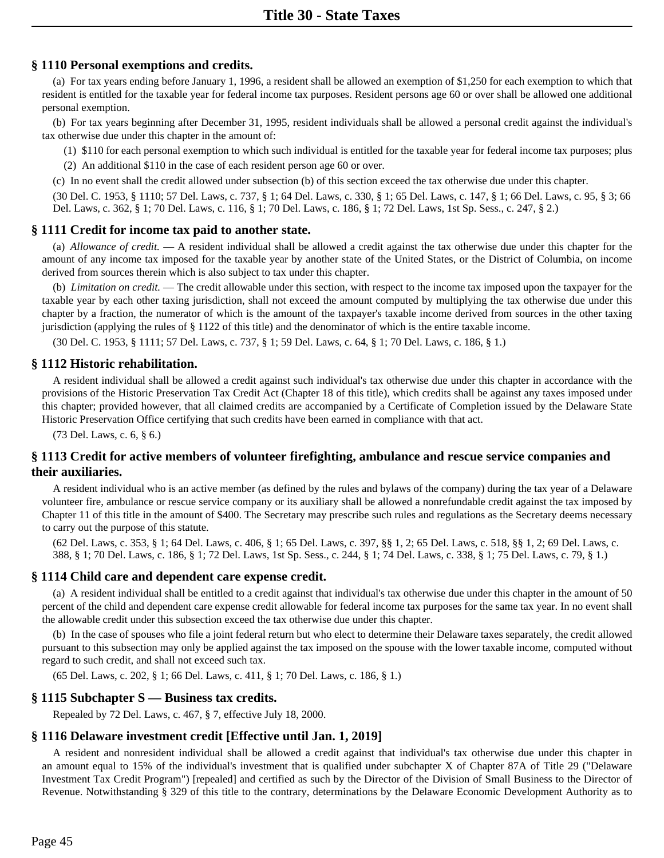## **§ 1110 Personal exemptions and credits.**

(a) For tax years ending before January 1, 1996, a resident shall be allowed an exemption of \$1,250 for each exemption to which that resident is entitled for the taxable year for federal income tax purposes. Resident persons age 60 or over shall be allowed one additional personal exemption.

(b) For tax years beginning after December 31, 1995, resident individuals shall be allowed a personal credit against the individual's tax otherwise due under this chapter in the amount of:

(1) \$110 for each personal exemption to which such individual is entitled for the taxable year for federal income tax purposes; plus

(2) An additional \$110 in the case of each resident person age 60 or over.

(c) In no event shall the credit allowed under subsection (b) of this section exceed the tax otherwise due under this chapter.

(30 Del. C. 1953, § 1110; 57 Del. Laws, c. 737, § 1; 64 Del. Laws, c. 330, § 1; 65 Del. Laws, c. 147, § 1; 66 Del. Laws, c. 95, § 3; 66 Del. Laws, c. 362, § 1; 70 Del. Laws, c. 116, § 1; 70 Del. Laws, c. 186, § 1; 72 Del. Laws, 1st Sp. Sess., c. 247, § 2.)

## **§ 1111 Credit for income tax paid to another state.**

(a) *Allowance of credit.* — A resident individual shall be allowed a credit against the tax otherwise due under this chapter for the amount of any income tax imposed for the taxable year by another state of the United States, or the District of Columbia, on income derived from sources therein which is also subject to tax under this chapter.

(b) *Limitation on credit.* — The credit allowable under this section, with respect to the income tax imposed upon the taxpayer for the taxable year by each other taxing jurisdiction, shall not exceed the amount computed by multiplying the tax otherwise due under this chapter by a fraction, the numerator of which is the amount of the taxpayer's taxable income derived from sources in the other taxing jurisdiction (applying the rules of § 1122 of this title) and the denominator of which is the entire taxable income.

(30 Del. C. 1953, § 1111; 57 Del. Laws, c. 737, § 1; 59 Del. Laws, c. 64, § 1; 70 Del. Laws, c. 186, § 1.)

#### **§ 1112 Historic rehabilitation.**

A resident individual shall be allowed a credit against such individual's tax otherwise due under this chapter in accordance with the provisions of the Historic Preservation Tax Credit Act (Chapter 18 of this title), which credits shall be against any taxes imposed under this chapter; provided however, that all claimed credits are accompanied by a Certificate of Completion issued by the Delaware State Historic Preservation Office certifying that such credits have been earned in compliance with that act.

(73 Del. Laws, c. 6, § 6.)

## **§ 1113 Credit for active members of volunteer firefighting, ambulance and rescue service companies and their auxiliaries.**

A resident individual who is an active member (as defined by the rules and bylaws of the company) during the tax year of a Delaware volunteer fire, ambulance or rescue service company or its auxiliary shall be allowed a nonrefundable credit against the tax imposed by Chapter 11 of this title in the amount of \$400. The Secretary may prescribe such rules and regulations as the Secretary deems necessary to carry out the purpose of this statute.

(62 Del. Laws, c. 353, § 1; 64 Del. Laws, c. 406, § 1; 65 Del. Laws, c. 397, §§ 1, 2; 65 Del. Laws, c. 518, §§ 1, 2; 69 Del. Laws, c. 388, § 1; 70 Del. Laws, c. 186, § 1; 72 Del. Laws, 1st Sp. Sess., c. 244, § 1; 74 Del. Laws, c. 338, § 1; 75 Del. Laws, c. 79, § 1.)

## **§ 1114 Child care and dependent care expense credit.**

(a) A resident individual shall be entitled to a credit against that individual's tax otherwise due under this chapter in the amount of 50 percent of the child and dependent care expense credit allowable for federal income tax purposes for the same tax year. In no event shall the allowable credit under this subsection exceed the tax otherwise due under this chapter.

(b) In the case of spouses who file a joint federal return but who elect to determine their Delaware taxes separately, the credit allowed pursuant to this subsection may only be applied against the tax imposed on the spouse with the lower taxable income, computed without regard to such credit, and shall not exceed such tax.

(65 Del. Laws, c. 202, § 1; 66 Del. Laws, c. 411, § 1; 70 Del. Laws, c. 186, § 1.)

## **§ 1115 Subchapter S — Business tax credits.**

Repealed by 72 Del. Laws, c. 467, § 7, effective July 18, 2000.

## **§ 1116 Delaware investment credit [Effective until Jan. 1, 2019]**

A resident and nonresident individual shall be allowed a credit against that individual's tax otherwise due under this chapter in an amount equal to 15% of the individual's investment that is qualified under subchapter X of Chapter 87A of Title 29 ("Delaware Investment Tax Credit Program") [repealed] and certified as such by the Director of the Division of Small Business to the Director of Revenue. Notwithstanding § 329 of this title to the contrary, determinations by the Delaware Economic Development Authority as to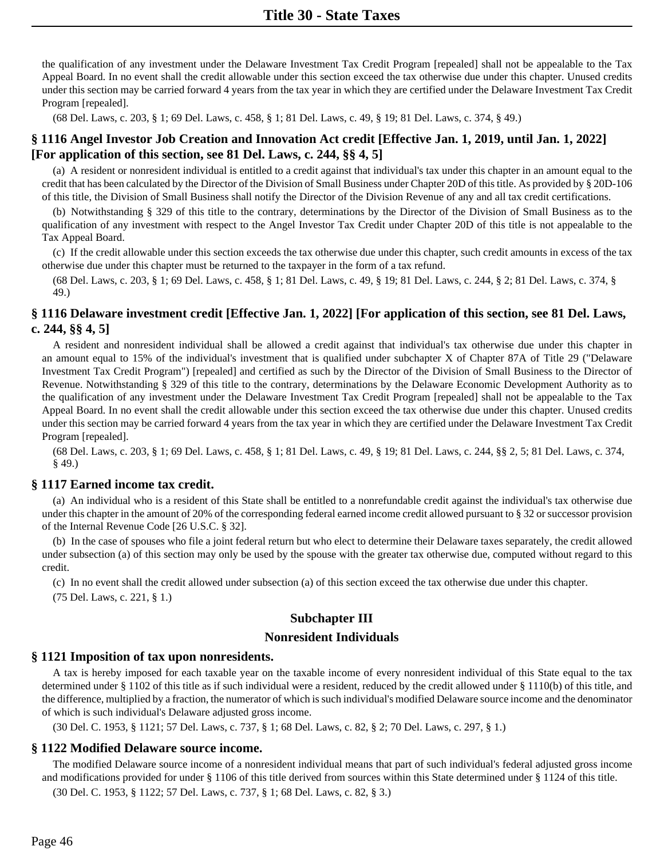the qualification of any investment under the Delaware Investment Tax Credit Program [repealed] shall not be appealable to the Tax Appeal Board. In no event shall the credit allowable under this section exceed the tax otherwise due under this chapter. Unused credits under this section may be carried forward 4 years from the tax year in which they are certified under the Delaware Investment Tax Credit Program [repealed].

(68 Del. Laws, c. 203, § 1; 69 Del. Laws, c. 458, § 1; 81 Del. Laws, c. 49, § 19; 81 Del. Laws, c. 374, § 49.)

## **§ 1116 Angel Investor Job Creation and Innovation Act credit [Effective Jan. 1, 2019, until Jan. 1, 2022] [For application of this section, see 81 Del. Laws, c. 244, §§ 4, 5]**

(a) A resident or nonresident individual is entitled to a credit against that individual's tax under this chapter in an amount equal to the credit that has been calculated by the Director of the Division of Small Business under Chapter 20D of this title. As provided by § 20D-106 of this title, the Division of Small Business shall notify the Director of the Division Revenue of any and all tax credit certifications.

(b) Notwithstanding § 329 of this title to the contrary, determinations by the Director of the Division of Small Business as to the qualification of any investment with respect to the Angel Investor Tax Credit under Chapter 20D of this title is not appealable to the Tax Appeal Board.

(c) If the credit allowable under this section exceeds the tax otherwise due under this chapter, such credit amounts in excess of the tax otherwise due under this chapter must be returned to the taxpayer in the form of a tax refund.

(68 Del. Laws, c. 203, § 1; 69 Del. Laws, c. 458, § 1; 81 Del. Laws, c. 49, § 19; 81 Del. Laws, c. 244, § 2; 81 Del. Laws, c. 374, § 49.)

## **§ 1116 Delaware investment credit [Effective Jan. 1, 2022] [For application of this section, see 81 Del. Laws, c. 244, §§ 4, 5]**

A resident and nonresident individual shall be allowed a credit against that individual's tax otherwise due under this chapter in an amount equal to 15% of the individual's investment that is qualified under subchapter X of Chapter 87A of Title 29 ("Delaware Investment Tax Credit Program") [repealed] and certified as such by the Director of the Division of Small Business to the Director of Revenue. Notwithstanding § 329 of this title to the contrary, determinations by the Delaware Economic Development Authority as to the qualification of any investment under the Delaware Investment Tax Credit Program [repealed] shall not be appealable to the Tax Appeal Board. In no event shall the credit allowable under this section exceed the tax otherwise due under this chapter. Unused credits under this section may be carried forward 4 years from the tax year in which they are certified under the Delaware Investment Tax Credit Program [repealed].

(68 Del. Laws, c. 203, § 1; 69 Del. Laws, c. 458, § 1; 81 Del. Laws, c. 49, § 19; 81 Del. Laws, c. 244, §§ 2, 5; 81 Del. Laws, c. 374, § 49.)

## **§ 1117 Earned income tax credit.**

(a) An individual who is a resident of this State shall be entitled to a nonrefundable credit against the individual's tax otherwise due under this chapter in the amount of 20% of the corresponding federal earned income credit allowed pursuant to § 32 or successor provision of the Internal Revenue Code [26 U.S.C. § 32].

(b) In the case of spouses who file a joint federal return but who elect to determine their Delaware taxes separately, the credit allowed under subsection (a) of this section may only be used by the spouse with the greater tax otherwise due, computed without regard to this credit.

(c) In no event shall the credit allowed under subsection (a) of this section exceed the tax otherwise due under this chapter.

(75 Del. Laws, c. 221, § 1.)

## **Subchapter III**

## **Nonresident Individuals**

## **§ 1121 Imposition of tax upon nonresidents.**

A tax is hereby imposed for each taxable year on the taxable income of every nonresident individual of this State equal to the tax determined under § 1102 of this title as if such individual were a resident, reduced by the credit allowed under § 1110(b) of this title, and the difference, multiplied by a fraction, the numerator of which is such individual's modified Delaware source income and the denominator of which is such individual's Delaware adjusted gross income.

(30 Del. C. 1953, § 1121; 57 Del. Laws, c. 737, § 1; 68 Del. Laws, c. 82, § 2; 70 Del. Laws, c. 297, § 1.)

#### **§ 1122 Modified Delaware source income.**

The modified Delaware source income of a nonresident individual means that part of such individual's federal adjusted gross income and modifications provided for under § 1106 of this title derived from sources within this State determined under § 1124 of this title.

(30 Del. C. 1953, § 1122; 57 Del. Laws, c. 737, § 1; 68 Del. Laws, c. 82, § 3.)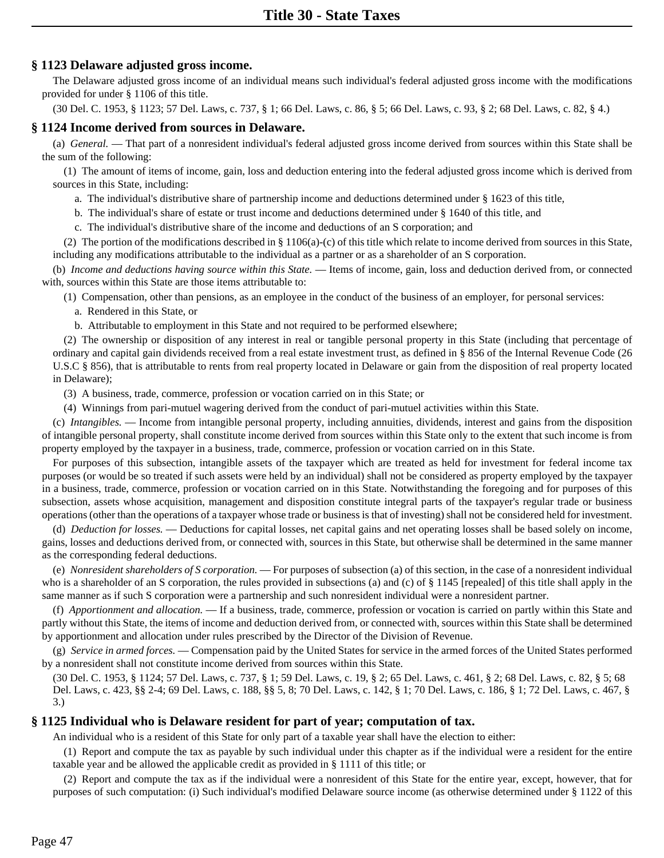## **§ 1123 Delaware adjusted gross income.**

The Delaware adjusted gross income of an individual means such individual's federal adjusted gross income with the modifications provided for under § 1106 of this title.

(30 Del. C. 1953, § 1123; 57 Del. Laws, c. 737, § 1; 66 Del. Laws, c. 86, § 5; 66 Del. Laws, c. 93, § 2; 68 Del. Laws, c. 82, § 4.)

#### **§ 1124 Income derived from sources in Delaware.**

(a) *General.* — That part of a nonresident individual's federal adjusted gross income derived from sources within this State shall be the sum of the following:

(1) The amount of items of income, gain, loss and deduction entering into the federal adjusted gross income which is derived from sources in this State, including:

a. The individual's distributive share of partnership income and deductions determined under § 1623 of this title,

b. The individual's share of estate or trust income and deductions determined under § 1640 of this title, and

c. The individual's distributive share of the income and deductions of an S corporation; and

(2) The portion of the modifications described in § 1106(a)-(c) of this title which relate to income derived from sources in this State, including any modifications attributable to the individual as a partner or as a shareholder of an S corporation.

(b) *Income and deductions having source within this State.* — Items of income, gain, loss and deduction derived from, or connected with, sources within this State are those items attributable to:

(1) Compensation, other than pensions, as an employee in the conduct of the business of an employer, for personal services:

a. Rendered in this State, or

b. Attributable to employment in this State and not required to be performed elsewhere;

(2) The ownership or disposition of any interest in real or tangible personal property in this State (including that percentage of ordinary and capital gain dividends received from a real estate investment trust, as defined in § 856 of the Internal Revenue Code (26 U.S.C § 856), that is attributable to rents from real property located in Delaware or gain from the disposition of real property located in Delaware);

(3) A business, trade, commerce, profession or vocation carried on in this State; or

(4) Winnings from pari-mutuel wagering derived from the conduct of pari-mutuel activities within this State.

(c) *Intangibles.* — Income from intangible personal property, including annuities, dividends, interest and gains from the disposition of intangible personal property, shall constitute income derived from sources within this State only to the extent that such income is from property employed by the taxpayer in a business, trade, commerce, profession or vocation carried on in this State.

For purposes of this subsection, intangible assets of the taxpayer which are treated as held for investment for federal income tax purposes (or would be so treated if such assets were held by an individual) shall not be considered as property employed by the taxpayer in a business, trade, commerce, profession or vocation carried on in this State. Notwithstanding the foregoing and for purposes of this subsection, assets whose acquisition, management and disposition constitute integral parts of the taxpayer's regular trade or business operations (other than the operations of a taxpayer whose trade or business is that of investing) shall not be considered held for investment.

(d) *Deduction for losses.* — Deductions for capital losses, net capital gains and net operating losses shall be based solely on income, gains, losses and deductions derived from, or connected with, sources in this State, but otherwise shall be determined in the same manner as the corresponding federal deductions.

(e) *Nonresident shareholders of S corporation.* — For purposes of subsection (a) of this section, in the case of a nonresident individual who is a shareholder of an S corporation, the rules provided in subsections (a) and (c) of § 1145 [repealed] of this title shall apply in the same manner as if such S corporation were a partnership and such nonresident individual were a nonresident partner.

(f) *Apportionment and allocation.* — If a business, trade, commerce, profession or vocation is carried on partly within this State and partly without this State, the items of income and deduction derived from, or connected with, sources within this State shall be determined by apportionment and allocation under rules prescribed by the Director of the Division of Revenue.

(g) *Service in armed forces.* — Compensation paid by the United States for service in the armed forces of the United States performed by a nonresident shall not constitute income derived from sources within this State.

(30 Del. C. 1953, § 1124; 57 Del. Laws, c. 737, § 1; 59 Del. Laws, c. 19, § 2; 65 Del. Laws, c. 461, § 2; 68 Del. Laws, c. 82, § 5; 68 Del. Laws, c. 423, §§ 2-4; 69 Del. Laws, c. 188, §§ 5, 8; 70 Del. Laws, c. 142, § 1; 70 Del. Laws, c. 186, § 1; 72 Del. Laws, c. 467, § 3.)

## **§ 1125 Individual who is Delaware resident for part of year; computation of tax.**

An individual who is a resident of this State for only part of a taxable year shall have the election to either:

(1) Report and compute the tax as payable by such individual under this chapter as if the individual were a resident for the entire taxable year and be allowed the applicable credit as provided in § 1111 of this title; or

(2) Report and compute the tax as if the individual were a nonresident of this State for the entire year, except, however, that for purposes of such computation: (i) Such individual's modified Delaware source income (as otherwise determined under § 1122 of this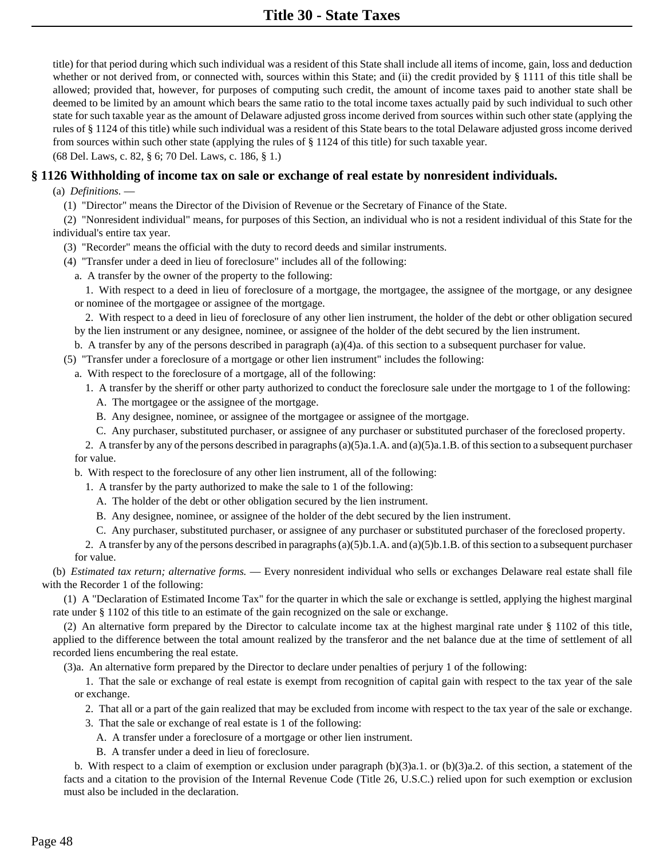title) for that period during which such individual was a resident of this State shall include all items of income, gain, loss and deduction whether or not derived from, or connected with, sources within this State; and (ii) the credit provided by § 1111 of this title shall be allowed; provided that, however, for purposes of computing such credit, the amount of income taxes paid to another state shall be deemed to be limited by an amount which bears the same ratio to the total income taxes actually paid by such individual to such other state for such taxable year as the amount of Delaware adjusted gross income derived from sources within such other state (applying the rules of § 1124 of this title) while such individual was a resident of this State bears to the total Delaware adjusted gross income derived from sources within such other state (applying the rules of § 1124 of this title) for such taxable year.

(68 Del. Laws, c. 82, § 6; 70 Del. Laws, c. 186, § 1.)

## **§ 1126 Withholding of income tax on sale or exchange of real estate by nonresident individuals.**

(a) *Definitions.* —

(1) "Director" means the Director of the Division of Revenue or the Secretary of Finance of the State.

(2) "Nonresident individual" means, for purposes of this Section, an individual who is not a resident individual of this State for the individual's entire tax year.

- (3) "Recorder" means the official with the duty to record deeds and similar instruments.
- (4) "Transfer under a deed in lieu of foreclosure" includes all of the following:
	- a. A transfer by the owner of the property to the following:

1. With respect to a deed in lieu of foreclosure of a mortgage, the mortgagee, the assignee of the mortgage, or any designee or nominee of the mortgagee or assignee of the mortgage.

2. With respect to a deed in lieu of foreclosure of any other lien instrument, the holder of the debt or other obligation secured by the lien instrument or any designee, nominee, or assignee of the holder of the debt secured by the lien instrument.

b. A transfer by any of the persons described in paragraph (a)(4)a. of this section to a subsequent purchaser for value.

(5) "Transfer under a foreclosure of a mortgage or other lien instrument" includes the following:

a. With respect to the foreclosure of a mortgage, all of the following:

- 1. A transfer by the sheriff or other party authorized to conduct the foreclosure sale under the mortgage to 1 of the following:
	- A. The mortgagee or the assignee of the mortgage.
	- B. Any designee, nominee, or assignee of the mortgagee or assignee of the mortgage.
	- C. Any purchaser, substituted purchaser, or assignee of any purchaser or substituted purchaser of the foreclosed property.

2. A transfer by any of the persons described in paragraphs (a)(5)a.1.A. and (a)(5)a.1.B. of this section to a subsequent purchaser for value.

b. With respect to the foreclosure of any other lien instrument, all of the following:

- 1. A transfer by the party authorized to make the sale to 1 of the following:
	- A. The holder of the debt or other obligation secured by the lien instrument.
	- B. Any designee, nominee, or assignee of the holder of the debt secured by the lien instrument.
- C. Any purchaser, substituted purchaser, or assignee of any purchaser or substituted purchaser of the foreclosed property.

2. A transfer by any of the persons described in paragraphs (a)(5)b.1.A. and (a)(5)b.1.B. of this section to a subsequent purchaser for value.

(b) *Estimated tax return; alternative forms.* — Every nonresident individual who sells or exchanges Delaware real estate shall file with the Recorder 1 of the following:

(1) A "Declaration of Estimated Income Tax" for the quarter in which the sale or exchange is settled, applying the highest marginal rate under § 1102 of this title to an estimate of the gain recognized on the sale or exchange.

(2) An alternative form prepared by the Director to calculate income tax at the highest marginal rate under § 1102 of this title, applied to the difference between the total amount realized by the transferor and the net balance due at the time of settlement of all recorded liens encumbering the real estate.

(3)a. An alternative form prepared by the Director to declare under penalties of perjury 1 of the following:

1. That the sale or exchange of real estate is exempt from recognition of capital gain with respect to the tax year of the sale or exchange.

- 2. That all or a part of the gain realized that may be excluded from income with respect to the tax year of the sale or exchange.
- 3. That the sale or exchange of real estate is 1 of the following:
	- A. A transfer under a foreclosure of a mortgage or other lien instrument.
	- B. A transfer under a deed in lieu of foreclosure.

b. With respect to a claim of exemption or exclusion under paragraph  $(b)(3)a.1$ . or  $(b)(3)a.2$ . of this section, a statement of the facts and a citation to the provision of the Internal Revenue Code (Title 26, U.S.C.) relied upon for such exemption or exclusion must also be included in the declaration.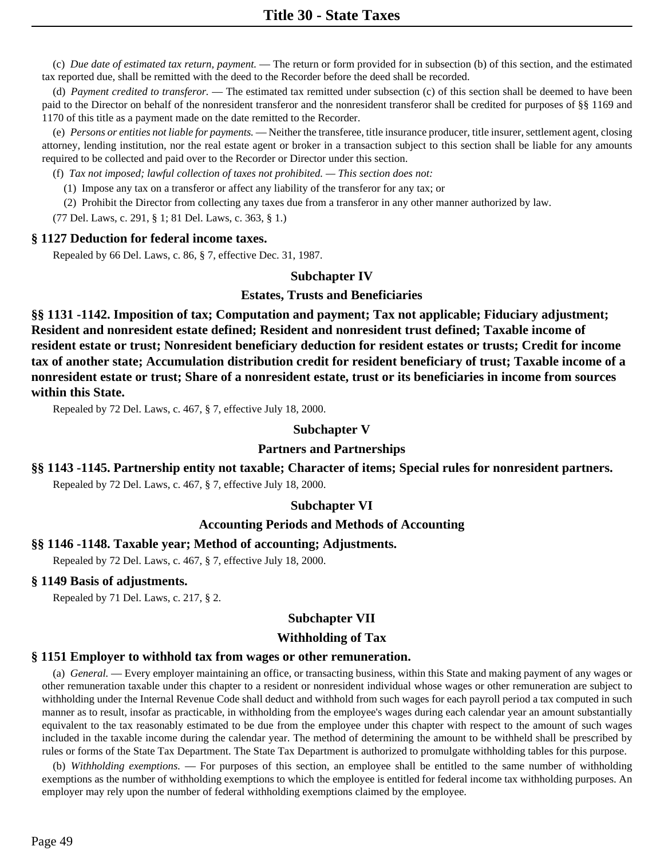(c) *Due date of estimated tax return, payment.* — The return or form provided for in subsection (b) of this section, and the estimated tax reported due, shall be remitted with the deed to the Recorder before the deed shall be recorded.

(d) *Payment credited to transferor.* — The estimated tax remitted under subsection (c) of this section shall be deemed to have been paid to the Director on behalf of the nonresident transferor and the nonresident transferor shall be credited for purposes of §§ 1169 and 1170 of this title as a payment made on the date remitted to the Recorder.

(e) *Persons or entities not liable for payments.* — Neither the transferee, title insurance producer, title insurer, settlement agent, closing attorney, lending institution, nor the real estate agent or broker in a transaction subject to this section shall be liable for any amounts required to be collected and paid over to the Recorder or Director under this section.

(f) *Tax not imposed; lawful collection of taxes not prohibited. — This section does not:*

(1) Impose any tax on a transferor or affect any liability of the transferor for any tax; or

(2) Prohibit the Director from collecting any taxes due from a transferor in any other manner authorized by law.

(77 Del. Laws, c. 291, § 1; 81 Del. Laws, c. 363, § 1.)

#### **§ 1127 Deduction for federal income taxes.**

Repealed by 66 Del. Laws, c. 86, § 7, effective Dec. 31, 1987.

### **Subchapter IV**

#### **Estates, Trusts and Beneficiaries**

**§§ 1131 -1142. Imposition of tax; Computation and payment; Tax not applicable; Fiduciary adjustment; Resident and nonresident estate defined; Resident and nonresident trust defined; Taxable income of resident estate or trust; Nonresident beneficiary deduction for resident estates or trusts; Credit for income tax of another state; Accumulation distribution credit for resident beneficiary of trust; Taxable income of a nonresident estate or trust; Share of a nonresident estate, trust or its beneficiaries in income from sources within this State.**

Repealed by 72 Del. Laws, c. 467, § 7, effective July 18, 2000.

#### **Subchapter V**

## **Partners and Partnerships**

#### **§§ 1143 -1145. Partnership entity not taxable; Character of items; Special rules for nonresident partners.**

Repealed by 72 Del. Laws, c. 467, § 7, effective July 18, 2000.

## **Subchapter VI**

## **Accounting Periods and Methods of Accounting**

#### **§§ 1146 -1148. Taxable year; Method of accounting; Adjustments.**

Repealed by 72 Del. Laws, c. 467, § 7, effective July 18, 2000.

#### **§ 1149 Basis of adjustments.**

Repealed by 71 Del. Laws, c. 217, § 2.

## **Subchapter VII**

#### **Withholding of Tax**

#### **§ 1151 Employer to withhold tax from wages or other remuneration.**

(a) *General.* — Every employer maintaining an office, or transacting business, within this State and making payment of any wages or other remuneration taxable under this chapter to a resident or nonresident individual whose wages or other remuneration are subject to withholding under the Internal Revenue Code shall deduct and withhold from such wages for each payroll period a tax computed in such manner as to result, insofar as practicable, in withholding from the employee's wages during each calendar year an amount substantially equivalent to the tax reasonably estimated to be due from the employee under this chapter with respect to the amount of such wages included in the taxable income during the calendar year. The method of determining the amount to be withheld shall be prescribed by rules or forms of the State Tax Department. The State Tax Department is authorized to promulgate withholding tables for this purpose.

(b) *Withholding exemptions.* — For purposes of this section, an employee shall be entitled to the same number of withholding exemptions as the number of withholding exemptions to which the employee is entitled for federal income tax withholding purposes. An employer may rely upon the number of federal withholding exemptions claimed by the employee.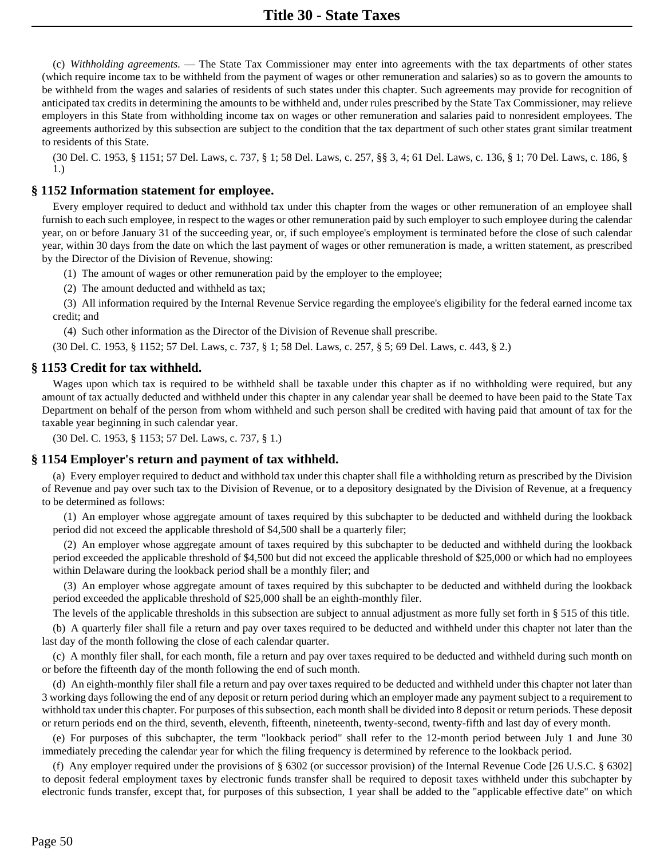(c) *Withholding agreements.* — The State Tax Commissioner may enter into agreements with the tax departments of other states (which require income tax to be withheld from the payment of wages or other remuneration and salaries) so as to govern the amounts to be withheld from the wages and salaries of residents of such states under this chapter. Such agreements may provide for recognition of anticipated tax credits in determining the amounts to be withheld and, under rules prescribed by the State Tax Commissioner, may relieve employers in this State from withholding income tax on wages or other remuneration and salaries paid to nonresident employees. The agreements authorized by this subsection are subject to the condition that the tax department of such other states grant similar treatment to residents of this State.

(30 Del. C. 1953, § 1151; 57 Del. Laws, c. 737, § 1; 58 Del. Laws, c. 257, §§ 3, 4; 61 Del. Laws, c. 136, § 1; 70 Del. Laws, c. 186, § 1.)

## **§ 1152 Information statement for employee.**

Every employer required to deduct and withhold tax under this chapter from the wages or other remuneration of an employee shall furnish to each such employee, in respect to the wages or other remuneration paid by such employer to such employee during the calendar year, on or before January 31 of the succeeding year, or, if such employee's employment is terminated before the close of such calendar year, within 30 days from the date on which the last payment of wages or other remuneration is made, a written statement, as prescribed by the Director of the Division of Revenue, showing:

(1) The amount of wages or other remuneration paid by the employer to the employee;

(2) The amount deducted and withheld as tax;

(3) All information required by the Internal Revenue Service regarding the employee's eligibility for the federal earned income tax credit; and

(4) Such other information as the Director of the Division of Revenue shall prescribe.

(30 Del. C. 1953, § 1152; 57 Del. Laws, c. 737, § 1; 58 Del. Laws, c. 257, § 5; 69 Del. Laws, c. 443, § 2.)

## **§ 1153 Credit for tax withheld.**

Wages upon which tax is required to be withheld shall be taxable under this chapter as if no withholding were required, but any amount of tax actually deducted and withheld under this chapter in any calendar year shall be deemed to have been paid to the State Tax Department on behalf of the person from whom withheld and such person shall be credited with having paid that amount of tax for the taxable year beginning in such calendar year.

(30 Del. C. 1953, § 1153; 57 Del. Laws, c. 737, § 1.)

## **§ 1154 Employer's return and payment of tax withheld.**

(a) Every employer required to deduct and withhold tax under this chapter shall file a withholding return as prescribed by the Division of Revenue and pay over such tax to the Division of Revenue, or to a depository designated by the Division of Revenue, at a frequency to be determined as follows:

(1) An employer whose aggregate amount of taxes required by this subchapter to be deducted and withheld during the lookback period did not exceed the applicable threshold of \$4,500 shall be a quarterly filer;

(2) An employer whose aggregate amount of taxes required by this subchapter to be deducted and withheld during the lookback period exceeded the applicable threshold of \$4,500 but did not exceed the applicable threshold of \$25,000 or which had no employees within Delaware during the lookback period shall be a monthly filer; and

(3) An employer whose aggregate amount of taxes required by this subchapter to be deducted and withheld during the lookback period exceeded the applicable threshold of \$25,000 shall be an eighth-monthly filer.

The levels of the applicable thresholds in this subsection are subject to annual adjustment as more fully set forth in § 515 of this title.

(b) A quarterly filer shall file a return and pay over taxes required to be deducted and withheld under this chapter not later than the last day of the month following the close of each calendar quarter.

(c) A monthly filer shall, for each month, file a return and pay over taxes required to be deducted and withheld during such month on or before the fifteenth day of the month following the end of such month.

(d) An eighth-monthly filer shall file a return and pay over taxes required to be deducted and withheld under this chapter not later than 3 working days following the end of any deposit or return period during which an employer made any payment subject to a requirement to withhold tax under this chapter. For purposes of this subsection, each month shall be divided into 8 deposit or return periods. These deposit or return periods end on the third, seventh, eleventh, fifteenth, nineteenth, twenty-second, twenty-fifth and last day of every month.

(e) For purposes of this subchapter, the term "lookback period" shall refer to the 12-month period between July 1 and June 30 immediately preceding the calendar year for which the filing frequency is determined by reference to the lookback period.

(f) Any employer required under the provisions of § 6302 (or successor provision) of the Internal Revenue Code [26 U.S.C. § 6302] to deposit federal employment taxes by electronic funds transfer shall be required to deposit taxes withheld under this subchapter by electronic funds transfer, except that, for purposes of this subsection, 1 year shall be added to the "applicable effective date" on which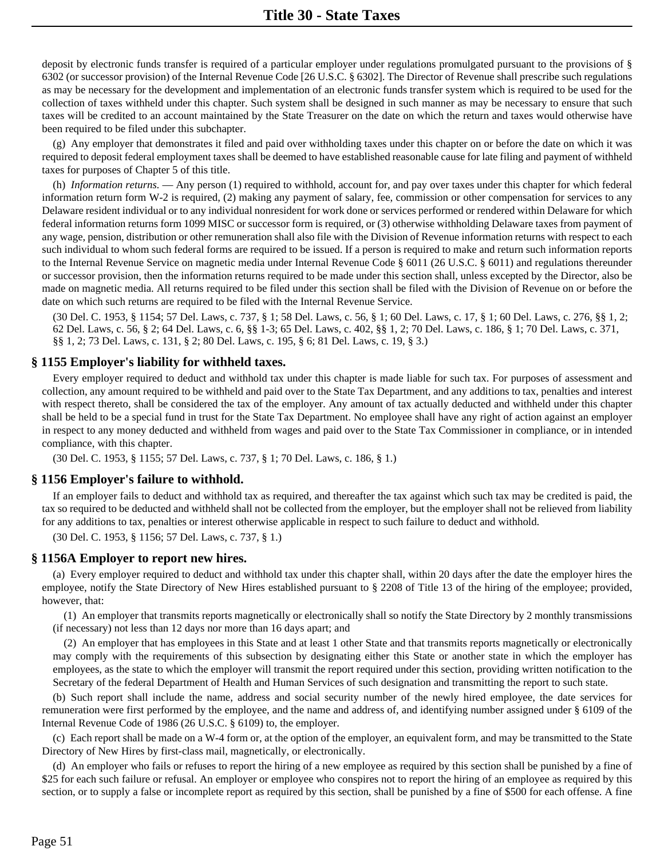deposit by electronic funds transfer is required of a particular employer under regulations promulgated pursuant to the provisions of § 6302 (or successor provision) of the Internal Revenue Code [26 U.S.C. § 6302]. The Director of Revenue shall prescribe such regulations as may be necessary for the development and implementation of an electronic funds transfer system which is required to be used for the collection of taxes withheld under this chapter. Such system shall be designed in such manner as may be necessary to ensure that such taxes will be credited to an account maintained by the State Treasurer on the date on which the return and taxes would otherwise have been required to be filed under this subchapter.

(g) Any employer that demonstrates it filed and paid over withholding taxes under this chapter on or before the date on which it was required to deposit federal employment taxes shall be deemed to have established reasonable cause for late filing and payment of withheld taxes for purposes of Chapter 5 of this title.

(h) *Information returns.* — Any person (1) required to withhold, account for, and pay over taxes under this chapter for which federal information return form W-2 is required, (2) making any payment of salary, fee, commission or other compensation for services to any Delaware resident individual or to any individual nonresident for work done or services performed or rendered within Delaware for which federal information returns form 1099 MISC or successor form is required, or (3) otherwise withholding Delaware taxes from payment of any wage, pension, distribution or other remuneration shall also file with the Division of Revenue information returns with respect to each such individual to whom such federal forms are required to be issued. If a person is required to make and return such information reports to the Internal Revenue Service on magnetic media under Internal Revenue Code § 6011 (26 U.S.C. § 6011) and regulations thereunder or successor provision, then the information returns required to be made under this section shall, unless excepted by the Director, also be made on magnetic media. All returns required to be filed under this section shall be filed with the Division of Revenue on or before the date on which such returns are required to be filed with the Internal Revenue Service.

(30 Del. C. 1953, § 1154; 57 Del. Laws, c. 737, § 1; 58 Del. Laws, c. 56, § 1; 60 Del. Laws, c. 17, § 1; 60 Del. Laws, c. 276, §§ 1, 2; 62 Del. Laws, c. 56, § 2; 64 Del. Laws, c. 6, §§ 1-3; 65 Del. Laws, c. 402, §§ 1, 2; 70 Del. Laws, c. 186, § 1; 70 Del. Laws, c. 371, §§ 1, 2; 73 Del. Laws, c. 131, § 2; 80 Del. Laws, c. 195, § 6; 81 Del. Laws, c. 19, § 3.)

## **§ 1155 Employer's liability for withheld taxes.**

Every employer required to deduct and withhold tax under this chapter is made liable for such tax. For purposes of assessment and collection, any amount required to be withheld and paid over to the State Tax Department, and any additions to tax, penalties and interest with respect thereto, shall be considered the tax of the employer. Any amount of tax actually deducted and withheld under this chapter shall be held to be a special fund in trust for the State Tax Department. No employee shall have any right of action against an employer in respect to any money deducted and withheld from wages and paid over to the State Tax Commissioner in compliance, or in intended compliance, with this chapter.

(30 Del. C. 1953, § 1155; 57 Del. Laws, c. 737, § 1; 70 Del. Laws, c. 186, § 1.)

#### **§ 1156 Employer's failure to withhold.**

If an employer fails to deduct and withhold tax as required, and thereafter the tax against which such tax may be credited is paid, the tax so required to be deducted and withheld shall not be collected from the employer, but the employer shall not be relieved from liability for any additions to tax, penalties or interest otherwise applicable in respect to such failure to deduct and withhold.

(30 Del. C. 1953, § 1156; 57 Del. Laws, c. 737, § 1.)

#### **§ 1156A Employer to report new hires.**

(a) Every employer required to deduct and withhold tax under this chapter shall, within 20 days after the date the employer hires the employee, notify the State Directory of New Hires established pursuant to § 2208 of Title 13 of the hiring of the employee; provided, however, that:

(1) An employer that transmits reports magnetically or electronically shall so notify the State Directory by 2 monthly transmissions (if necessary) not less than 12 days nor more than 16 days apart; and

(2) An employer that has employees in this State and at least 1 other State and that transmits reports magnetically or electronically may comply with the requirements of this subsection by designating either this State or another state in which the employer has employees, as the state to which the employer will transmit the report required under this section, providing written notification to the Secretary of the federal Department of Health and Human Services of such designation and transmitting the report to such state.

(b) Such report shall include the name, address and social security number of the newly hired employee, the date services for remuneration were first performed by the employee, and the name and address of, and identifying number assigned under § 6109 of the Internal Revenue Code of 1986 (26 U.S.C. § 6109) to, the employer.

(c) Each report shall be made on a W-4 form or, at the option of the employer, an equivalent form, and may be transmitted to the State Directory of New Hires by first-class mail, magnetically, or electronically.

(d) An employer who fails or refuses to report the hiring of a new employee as required by this section shall be punished by a fine of \$25 for each such failure or refusal. An employer or employee who conspires not to report the hiring of an employee as required by this section, or to supply a false or incomplete report as required by this section, shall be punished by a fine of \$500 for each offense. A fine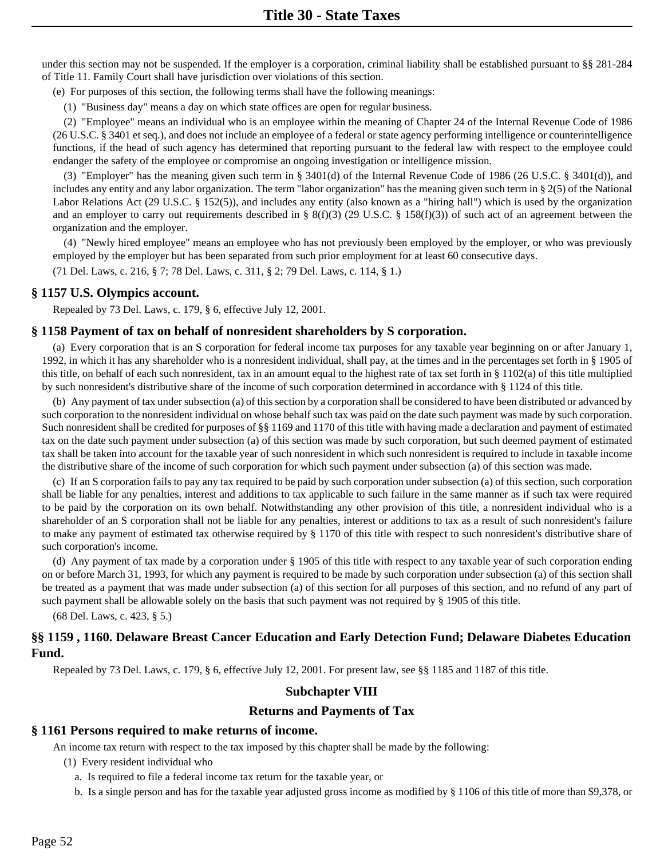under this section may not be suspended. If the employer is a corporation, criminal liability shall be established pursuant to §§ 281-284 of Title 11. Family Court shall have jurisdiction over violations of this section.

(e) For purposes of this section, the following terms shall have the following meanings:

(1) "Business day" means a day on which state offices are open for regular business.

(2) "Employee" means an individual who is an employee within the meaning of Chapter 24 of the Internal Revenue Code of 1986 (26 U.S.C. § 3401 et seq.), and does not include an employee of a federal or state agency performing intelligence or counterintelligence functions, if the head of such agency has determined that reporting pursuant to the federal law with respect to the employee could endanger the safety of the employee or compromise an ongoing investigation or intelligence mission.

(3) "Employer" has the meaning given such term in § 3401(d) of the Internal Revenue Code of 1986 (26 U.S.C. § 3401(d)), and includes any entity and any labor organization. The term "labor organization" has the meaning given such term in § 2(5) of the National Labor Relations Act (29 U.S.C. § 152(5)), and includes any entity (also known as a "hiring hall") which is used by the organization and an employer to carry out requirements described in § 8(f)(3) (29 U.S.C. § 158(f)(3)) of such act of an agreement between the organization and the employer.

(4) "Newly hired employee" means an employee who has not previously been employed by the employer, or who was previously employed by the employer but has been separated from such prior employment for at least 60 consecutive days.

(71 Del. Laws, c. 216, § 7; 78 Del. Laws, c. 311, § 2; 79 Del. Laws, c. 114, § 1.)

#### **§ 1157 U.S. Olympics account.**

Repealed by 73 Del. Laws, c. 179, § 6, effective July 12, 2001.

#### **§ 1158 Payment of tax on behalf of nonresident shareholders by S corporation.**

(a) Every corporation that is an S corporation for federal income tax purposes for any taxable year beginning on or after January 1, 1992, in which it has any shareholder who is a nonresident individual, shall pay, at the times and in the percentages set forth in § 1905 of this title, on behalf of each such nonresident, tax in an amount equal to the highest rate of tax set forth in  $\S 1102(a)$  of this title multiplied by such nonresident's distributive share of the income of such corporation determined in accordance with § 1124 of this title.

(b) Any payment of tax under subsection (a) of this section by a corporation shall be considered to have been distributed or advanced by such corporation to the nonresident individual on whose behalf such tax was paid on the date such payment was made by such corporation. Such nonresident shall be credited for purposes of §§ 1169 and 1170 of this title with having made a declaration and payment of estimated tax on the date such payment under subsection (a) of this section was made by such corporation, but such deemed payment of estimated tax shall be taken into account for the taxable year of such nonresident in which such nonresident is required to include in taxable income the distributive share of the income of such corporation for which such payment under subsection (a) of this section was made.

(c) If an S corporation fails to pay any tax required to be paid by such corporation under subsection (a) of this section, such corporation shall be liable for any penalties, interest and additions to tax applicable to such failure in the same manner as if such tax were required to be paid by the corporation on its own behalf. Notwithstanding any other provision of this title, a nonresident individual who is a shareholder of an S corporation shall not be liable for any penalties, interest or additions to tax as a result of such nonresident's failure to make any payment of estimated tax otherwise required by § 1170 of this title with respect to such nonresident's distributive share of such corporation's income.

(d) Any payment of tax made by a corporation under § 1905 of this title with respect to any taxable year of such corporation ending on or before March 31, 1993, for which any payment is required to be made by such corporation under subsection (a) of this section shall be treated as a payment that was made under subsection (a) of this section for all purposes of this section, and no refund of any part of such payment shall be allowable solely on the basis that such payment was not required by § 1905 of this title.

(68 Del. Laws, c. 423, § 5.)

## **§§ 1159 , 1160. Delaware Breast Cancer Education and Early Detection Fund; Delaware Diabetes Education Fund.**

Repealed by 73 Del. Laws, c. 179, § 6, effective July 12, 2001. For present law, see §§ 1185 and 1187 of this title.

## **Subchapter VIII**

#### **Returns and Payments of Tax**

#### **§ 1161 Persons required to make returns of income.**

An income tax return with respect to the tax imposed by this chapter shall be made by the following:

- (1) Every resident individual who
	- a. Is required to file a federal income tax return for the taxable year, or
	- b. Is a single person and has for the taxable year adjusted gross income as modified by § 1106 of this title of more than \$9,378, or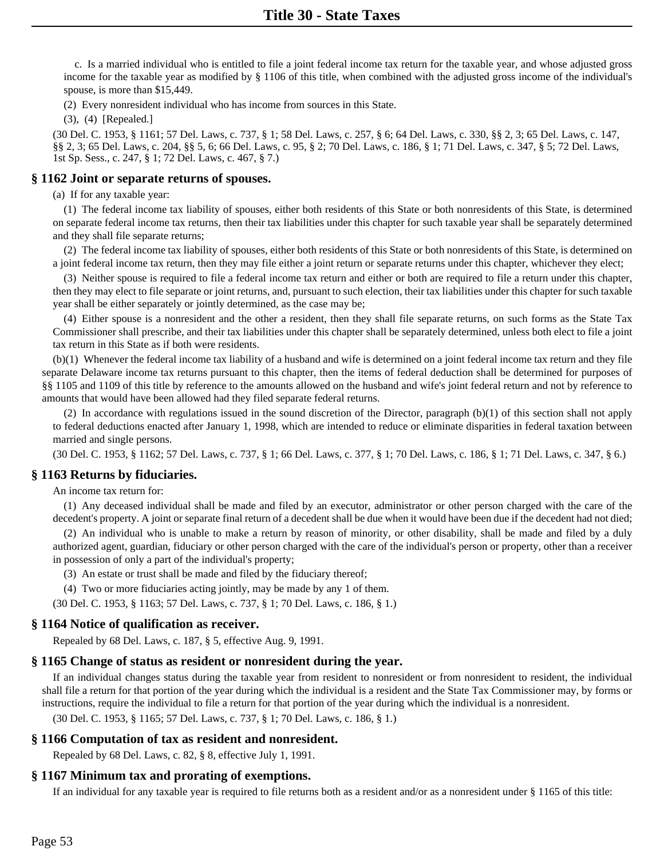c. Is a married individual who is entitled to file a joint federal income tax return for the taxable year, and whose adjusted gross income for the taxable year as modified by § 1106 of this title, when combined with the adjusted gross income of the individual's spouse, is more than \$15,449.

(2) Every nonresident individual who has income from sources in this State.

(3), (4) [Repealed.]

(30 Del. C. 1953, § 1161; 57 Del. Laws, c. 737, § 1; 58 Del. Laws, c. 257, § 6; 64 Del. Laws, c. 330, §§ 2, 3; 65 Del. Laws, c. 147, §§ 2, 3; 65 Del. Laws, c. 204, §§ 5, 6; 66 Del. Laws, c. 95, § 2; 70 Del. Laws, c. 186, § 1; 71 Del. Laws, c. 347, § 5; 72 Del. Laws, 1st Sp. Sess., c. 247, § 1; 72 Del. Laws, c. 467, § 7.)

#### **§ 1162 Joint or separate returns of spouses.**

(a) If for any taxable year:

(1) The federal income tax liability of spouses, either both residents of this State or both nonresidents of this State, is determined on separate federal income tax returns, then their tax liabilities under this chapter for such taxable year shall be separately determined and they shall file separate returns;

(2) The federal income tax liability of spouses, either both residents of this State or both nonresidents of this State, is determined on a joint federal income tax return, then they may file either a joint return or separate returns under this chapter, whichever they elect;

(3) Neither spouse is required to file a federal income tax return and either or both are required to file a return under this chapter, then they may elect to file separate or joint returns, and, pursuant to such election, their tax liabilities under this chapter for such taxable year shall be either separately or jointly determined, as the case may be;

(4) Either spouse is a nonresident and the other a resident, then they shall file separate returns, on such forms as the State Tax Commissioner shall prescribe, and their tax liabilities under this chapter shall be separately determined, unless both elect to file a joint tax return in this State as if both were residents.

(b)(1) Whenever the federal income tax liability of a husband and wife is determined on a joint federal income tax return and they file separate Delaware income tax returns pursuant to this chapter, then the items of federal deduction shall be determined for purposes of §§ 1105 and 1109 of this title by reference to the amounts allowed on the husband and wife's joint federal return and not by reference to amounts that would have been allowed had they filed separate federal returns.

(2) In accordance with regulations issued in the sound discretion of the Director, paragraph (b)(1) of this section shall not apply to federal deductions enacted after January 1, 1998, which are intended to reduce or eliminate disparities in federal taxation between married and single persons.

(30 Del. C. 1953, § 1162; 57 Del. Laws, c. 737, § 1; 66 Del. Laws, c. 377, § 1; 70 Del. Laws, c. 186, § 1; 71 Del. Laws, c. 347, § 6.)

## **§ 1163 Returns by fiduciaries.**

An income tax return for:

(1) Any deceased individual shall be made and filed by an executor, administrator or other person charged with the care of the decedent's property. A joint or separate final return of a decedent shall be due when it would have been due if the decedent had not died;

(2) An individual who is unable to make a return by reason of minority, or other disability, shall be made and filed by a duly authorized agent, guardian, fiduciary or other person charged with the care of the individual's person or property, other than a receiver in possession of only a part of the individual's property;

(3) An estate or trust shall be made and filed by the fiduciary thereof;

(4) Two or more fiduciaries acting jointly, may be made by any 1 of them.

(30 Del. C. 1953, § 1163; 57 Del. Laws, c. 737, § 1; 70 Del. Laws, c. 186, § 1.)

#### **§ 1164 Notice of qualification as receiver.**

Repealed by 68 Del. Laws, c. 187, § 5, effective Aug. 9, 1991.

#### **§ 1165 Change of status as resident or nonresident during the year.**

If an individual changes status during the taxable year from resident to nonresident or from nonresident to resident, the individual shall file a return for that portion of the year during which the individual is a resident and the State Tax Commissioner may, by forms or instructions, require the individual to file a return for that portion of the year during which the individual is a nonresident.

(30 Del. C. 1953, § 1165; 57 Del. Laws, c. 737, § 1; 70 Del. Laws, c. 186, § 1.)

## **§ 1166 Computation of tax as resident and nonresident.**

Repealed by 68 Del. Laws, c. 82, § 8, effective July 1, 1991.

## **§ 1167 Minimum tax and prorating of exemptions.**

If an individual for any taxable year is required to file returns both as a resident and/or as a nonresident under § 1165 of this title: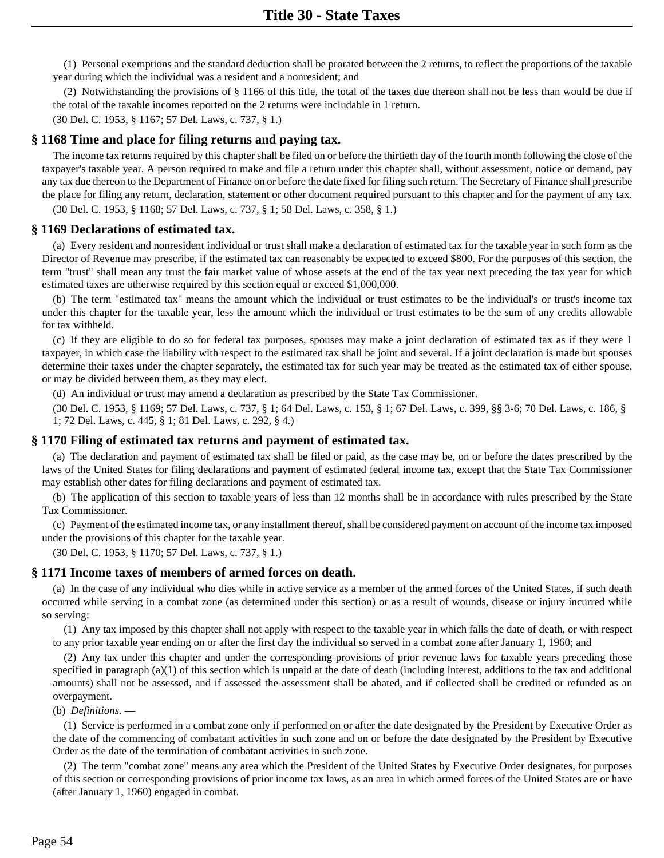(1) Personal exemptions and the standard deduction shall be prorated between the 2 returns, to reflect the proportions of the taxable year during which the individual was a resident and a nonresident; and

(2) Notwithstanding the provisions of § 1166 of this title, the total of the taxes due thereon shall not be less than would be due if the total of the taxable incomes reported on the 2 returns were includable in 1 return.

(30 Del. C. 1953, § 1167; 57 Del. Laws, c. 737, § 1.)

#### **§ 1168 Time and place for filing returns and paying tax.**

The income tax returns required by this chapter shall be filed on or before the thirtieth day of the fourth month following the close of the taxpayer's taxable year. A person required to make and file a return under this chapter shall, without assessment, notice or demand, pay any tax due thereon to the Department of Finance on or before the date fixed for filing such return. The Secretary of Finance shall prescribe the place for filing any return, declaration, statement or other document required pursuant to this chapter and for the payment of any tax.

(30 Del. C. 1953, § 1168; 57 Del. Laws, c. 737, § 1; 58 Del. Laws, c. 358, § 1.)

#### **§ 1169 Declarations of estimated tax.**

(a) Every resident and nonresident individual or trust shall make a declaration of estimated tax for the taxable year in such form as the Director of Revenue may prescribe, if the estimated tax can reasonably be expected to exceed \$800. For the purposes of this section, the term "trust" shall mean any trust the fair market value of whose assets at the end of the tax year next preceding the tax year for which estimated taxes are otherwise required by this section equal or exceed \$1,000,000.

(b) The term "estimated tax" means the amount which the individual or trust estimates to be the individual's or trust's income tax under this chapter for the taxable year, less the amount which the individual or trust estimates to be the sum of any credits allowable for tax withheld.

(c) If they are eligible to do so for federal tax purposes, spouses may make a joint declaration of estimated tax as if they were 1 taxpayer, in which case the liability with respect to the estimated tax shall be joint and several. If a joint declaration is made but spouses determine their taxes under the chapter separately, the estimated tax for such year may be treated as the estimated tax of either spouse, or may be divided between them, as they may elect.

(d) An individual or trust may amend a declaration as prescribed by the State Tax Commissioner.

(30 Del. C. 1953, § 1169; 57 Del. Laws, c. 737, § 1; 64 Del. Laws, c. 153, § 1; 67 Del. Laws, c. 399, §§ 3-6; 70 Del. Laws, c. 186, § 1; 72 Del. Laws, c. 445, § 1; 81 Del. Laws, c. 292, § 4.)

## **§ 1170 Filing of estimated tax returns and payment of estimated tax.**

(a) The declaration and payment of estimated tax shall be filed or paid, as the case may be, on or before the dates prescribed by the laws of the United States for filing declarations and payment of estimated federal income tax, except that the State Tax Commissioner may establish other dates for filing declarations and payment of estimated tax.

(b) The application of this section to taxable years of less than 12 months shall be in accordance with rules prescribed by the State Tax Commissioner.

(c) Payment of the estimated income tax, or any installment thereof, shall be considered payment on account of the income tax imposed under the provisions of this chapter for the taxable year.

(30 Del. C. 1953, § 1170; 57 Del. Laws, c. 737, § 1.)

## **§ 1171 Income taxes of members of armed forces on death.**

(a) In the case of any individual who dies while in active service as a member of the armed forces of the United States, if such death occurred while serving in a combat zone (as determined under this section) or as a result of wounds, disease or injury incurred while so serving:

(1) Any tax imposed by this chapter shall not apply with respect to the taxable year in which falls the date of death, or with respect to any prior taxable year ending on or after the first day the individual so served in a combat zone after January 1, 1960; and

(2) Any tax under this chapter and under the corresponding provisions of prior revenue laws for taxable years preceding those specified in paragraph (a)(1) of this section which is unpaid at the date of death (including interest, additions to the tax and additional amounts) shall not be assessed, and if assessed the assessment shall be abated, and if collected shall be credited or refunded as an overpayment.

#### (b) *Definitions.* —

(1) Service is performed in a combat zone only if performed on or after the date designated by the President by Executive Order as the date of the commencing of combatant activities in such zone and on or before the date designated by the President by Executive Order as the date of the termination of combatant activities in such zone.

(2) The term "combat zone" means any area which the President of the United States by Executive Order designates, for purposes of this section or corresponding provisions of prior income tax laws, as an area in which armed forces of the United States are or have (after January 1, 1960) engaged in combat.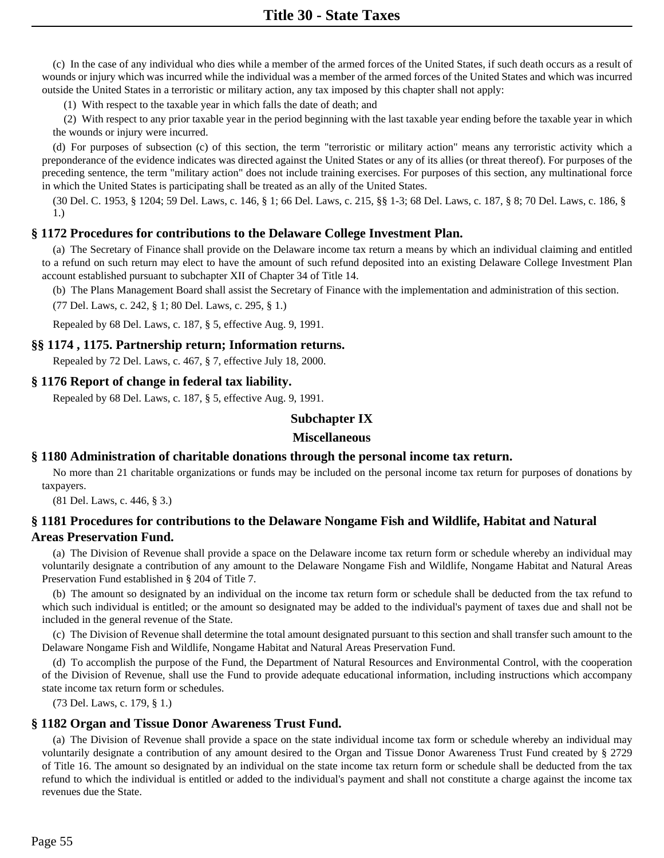(c) In the case of any individual who dies while a member of the armed forces of the United States, if such death occurs as a result of wounds or injury which was incurred while the individual was a member of the armed forces of the United States and which was incurred outside the United States in a terroristic or military action, any tax imposed by this chapter shall not apply:

(1) With respect to the taxable year in which falls the date of death; and

(2) With respect to any prior taxable year in the period beginning with the last taxable year ending before the taxable year in which the wounds or injury were incurred.

(d) For purposes of subsection (c) of this section, the term "terroristic or military action" means any terroristic activity which a preponderance of the evidence indicates was directed against the United States or any of its allies (or threat thereof). For purposes of the preceding sentence, the term "military action" does not include training exercises. For purposes of this section, any multinational force in which the United States is participating shall be treated as an ally of the United States.

(30 Del. C. 1953, § 1204; 59 Del. Laws, c. 146, § 1; 66 Del. Laws, c. 215, §§ 1-3; 68 Del. Laws, c. 187, § 8; 70 Del. Laws, c. 186, § 1.)

#### **§ 1172 Procedures for contributions to the Delaware College Investment Plan.**

(a) The Secretary of Finance shall provide on the Delaware income tax return a means by which an individual claiming and entitled to a refund on such return may elect to have the amount of such refund deposited into an existing Delaware College Investment Plan account established pursuant to subchapter XII of Chapter 34 of Title 14.

(b) The Plans Management Board shall assist the Secretary of Finance with the implementation and administration of this section.

(77 Del. Laws, c. 242, § 1; 80 Del. Laws, c. 295, § 1.)

Repealed by 68 Del. Laws, c. 187, § 5, effective Aug. 9, 1991.

#### **§§ 1174 , 1175. Partnership return; Information returns.**

Repealed by 72 Del. Laws, c. 467, § 7, effective July 18, 2000.

#### **§ 1176 Report of change in federal tax liability.**

Repealed by 68 Del. Laws, c. 187, § 5, effective Aug. 9, 1991.

#### **Subchapter IX**

#### **Miscellaneous**

#### **§ 1180 Administration of charitable donations through the personal income tax return.**

No more than 21 charitable organizations or funds may be included on the personal income tax return for purposes of donations by taxpayers.

(81 Del. Laws, c. 446, § 3.)

## **§ 1181 Procedures for contributions to the Delaware Nongame Fish and Wildlife, Habitat and Natural Areas Preservation Fund.**

(a) The Division of Revenue shall provide a space on the Delaware income tax return form or schedule whereby an individual may voluntarily designate a contribution of any amount to the Delaware Nongame Fish and Wildlife, Nongame Habitat and Natural Areas Preservation Fund established in § 204 of Title 7.

(b) The amount so designated by an individual on the income tax return form or schedule shall be deducted from the tax refund to which such individual is entitled; or the amount so designated may be added to the individual's payment of taxes due and shall not be included in the general revenue of the State.

(c) The Division of Revenue shall determine the total amount designated pursuant to this section and shall transfer such amount to the Delaware Nongame Fish and Wildlife, Nongame Habitat and Natural Areas Preservation Fund.

(d) To accomplish the purpose of the Fund, the Department of Natural Resources and Environmental Control, with the cooperation of the Division of Revenue, shall use the Fund to provide adequate educational information, including instructions which accompany state income tax return form or schedules.

(73 Del. Laws, c. 179, § 1.)

## **§ 1182 Organ and Tissue Donor Awareness Trust Fund.**

(a) The Division of Revenue shall provide a space on the state individual income tax form or schedule whereby an individual may voluntarily designate a contribution of any amount desired to the Organ and Tissue Donor Awareness Trust Fund created by § 2729 of Title 16. The amount so designated by an individual on the state income tax return form or schedule shall be deducted from the tax refund to which the individual is entitled or added to the individual's payment and shall not constitute a charge against the income tax revenues due the State.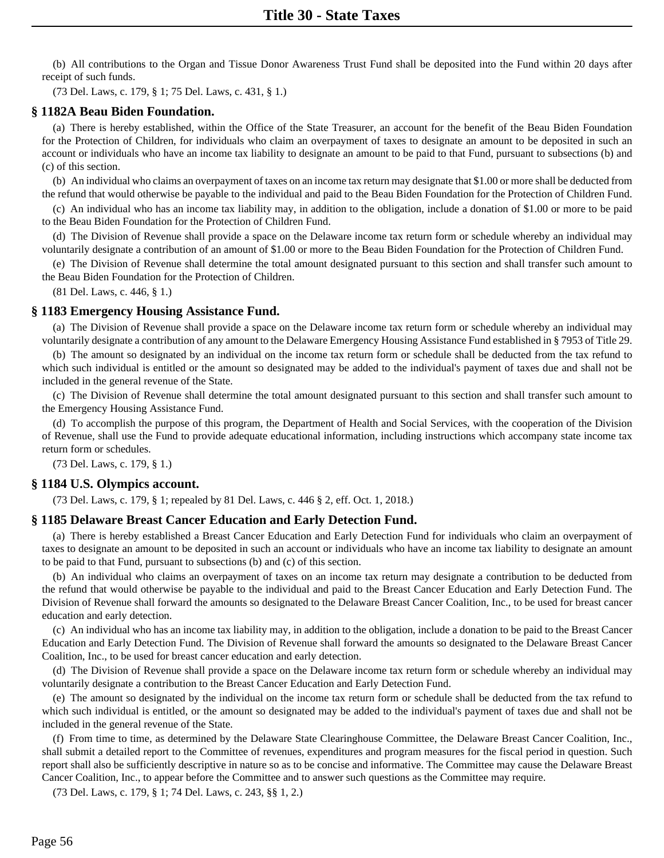(b) All contributions to the Organ and Tissue Donor Awareness Trust Fund shall be deposited into the Fund within 20 days after receipt of such funds.

(73 Del. Laws, c. 179, § 1; 75 Del. Laws, c. 431, § 1.)

#### **§ 1182A Beau Biden Foundation.**

(a) There is hereby established, within the Office of the State Treasurer, an account for the benefit of the Beau Biden Foundation for the Protection of Children, for individuals who claim an overpayment of taxes to designate an amount to be deposited in such an account or individuals who have an income tax liability to designate an amount to be paid to that Fund, pursuant to subsections (b) and (c) of this section.

(b) An individual who claims an overpayment of taxes on an income tax return may designate that \$1.00 or more shall be deducted from the refund that would otherwise be payable to the individual and paid to the Beau Biden Foundation for the Protection of Children Fund.

(c) An individual who has an income tax liability may, in addition to the obligation, include a donation of \$1.00 or more to be paid to the Beau Biden Foundation for the Protection of Children Fund.

(d) The Division of Revenue shall provide a space on the Delaware income tax return form or schedule whereby an individual may voluntarily designate a contribution of an amount of \$1.00 or more to the Beau Biden Foundation for the Protection of Children Fund.

(e) The Division of Revenue shall determine the total amount designated pursuant to this section and shall transfer such amount to the Beau Biden Foundation for the Protection of Children.

(81 Del. Laws, c. 446, § 1.)

#### **§ 1183 Emergency Housing Assistance Fund.**

(a) The Division of Revenue shall provide a space on the Delaware income tax return form or schedule whereby an individual may voluntarily designate a contribution of any amount to the Delaware Emergency Housing Assistance Fund established in § 7953 of Title 29.

(b) The amount so designated by an individual on the income tax return form or schedule shall be deducted from the tax refund to which such individual is entitled or the amount so designated may be added to the individual's payment of taxes due and shall not be included in the general revenue of the State.

(c) The Division of Revenue shall determine the total amount designated pursuant to this section and shall transfer such amount to the Emergency Housing Assistance Fund.

(d) To accomplish the purpose of this program, the Department of Health and Social Services, with the cooperation of the Division of Revenue, shall use the Fund to provide adequate educational information, including instructions which accompany state income tax return form or schedules.

(73 Del. Laws, c. 179, § 1.)

#### **§ 1184 U.S. Olympics account.**

(73 Del. Laws, c. 179, § 1; repealed by 81 Del. Laws, c. 446 § 2, eff. Oct. 1, 2018.)

#### **§ 1185 Delaware Breast Cancer Education and Early Detection Fund.**

(a) There is hereby established a Breast Cancer Education and Early Detection Fund for individuals who claim an overpayment of taxes to designate an amount to be deposited in such an account or individuals who have an income tax liability to designate an amount to be paid to that Fund, pursuant to subsections (b) and (c) of this section.

(b) An individual who claims an overpayment of taxes on an income tax return may designate a contribution to be deducted from the refund that would otherwise be payable to the individual and paid to the Breast Cancer Education and Early Detection Fund. The Division of Revenue shall forward the amounts so designated to the Delaware Breast Cancer Coalition, Inc., to be used for breast cancer education and early detection.

(c) An individual who has an income tax liability may, in addition to the obligation, include a donation to be paid to the Breast Cancer Education and Early Detection Fund. The Division of Revenue shall forward the amounts so designated to the Delaware Breast Cancer Coalition, Inc., to be used for breast cancer education and early detection.

(d) The Division of Revenue shall provide a space on the Delaware income tax return form or schedule whereby an individual may voluntarily designate a contribution to the Breast Cancer Education and Early Detection Fund.

(e) The amount so designated by the individual on the income tax return form or schedule shall be deducted from the tax refund to which such individual is entitled, or the amount so designated may be added to the individual's payment of taxes due and shall not be included in the general revenue of the State.

(f) From time to time, as determined by the Delaware State Clearinghouse Committee, the Delaware Breast Cancer Coalition, Inc., shall submit a detailed report to the Committee of revenues, expenditures and program measures for the fiscal period in question. Such report shall also be sufficiently descriptive in nature so as to be concise and informative. The Committee may cause the Delaware Breast Cancer Coalition, Inc., to appear before the Committee and to answer such questions as the Committee may require.

(73 Del. Laws, c. 179, § 1; 74 Del. Laws, c. 243, §§ 1, 2.)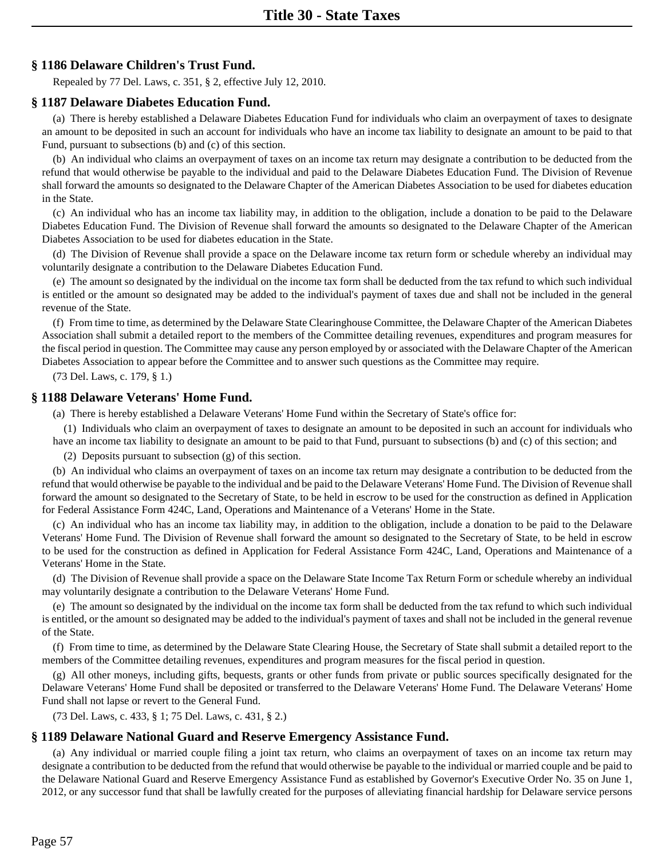## **§ 1186 Delaware Children's Trust Fund.**

Repealed by 77 Del. Laws, c. 351, § 2, effective July 12, 2010.

## **§ 1187 Delaware Diabetes Education Fund.**

(a) There is hereby established a Delaware Diabetes Education Fund for individuals who claim an overpayment of taxes to designate an amount to be deposited in such an account for individuals who have an income tax liability to designate an amount to be paid to that Fund, pursuant to subsections (b) and (c) of this section.

(b) An individual who claims an overpayment of taxes on an income tax return may designate a contribution to be deducted from the refund that would otherwise be payable to the individual and paid to the Delaware Diabetes Education Fund. The Division of Revenue shall forward the amounts so designated to the Delaware Chapter of the American Diabetes Association to be used for diabetes education in the State.

(c) An individual who has an income tax liability may, in addition to the obligation, include a donation to be paid to the Delaware Diabetes Education Fund. The Division of Revenue shall forward the amounts so designated to the Delaware Chapter of the American Diabetes Association to be used for diabetes education in the State.

(d) The Division of Revenue shall provide a space on the Delaware income tax return form or schedule whereby an individual may voluntarily designate a contribution to the Delaware Diabetes Education Fund.

(e) The amount so designated by the individual on the income tax form shall be deducted from the tax refund to which such individual is entitled or the amount so designated may be added to the individual's payment of taxes due and shall not be included in the general revenue of the State.

(f) From time to time, as determined by the Delaware State Clearinghouse Committee, the Delaware Chapter of the American Diabetes Association shall submit a detailed report to the members of the Committee detailing revenues, expenditures and program measures for the fiscal period in question. The Committee may cause any person employed by or associated with the Delaware Chapter of the American Diabetes Association to appear before the Committee and to answer such questions as the Committee may require.

(73 Del. Laws, c. 179, § 1.)

## **§ 1188 Delaware Veterans' Home Fund.**

(a) There is hereby established a Delaware Veterans' Home Fund within the Secretary of State's office for:

(1) Individuals who claim an overpayment of taxes to designate an amount to be deposited in such an account for individuals who have an income tax liability to designate an amount to be paid to that Fund, pursuant to subsections (b) and (c) of this section; and

(2) Deposits pursuant to subsection (g) of this section.

(b) An individual who claims an overpayment of taxes on an income tax return may designate a contribution to be deducted from the refund that would otherwise be payable to the individual and be paid to the Delaware Veterans' Home Fund. The Division of Revenue shall forward the amount so designated to the Secretary of State, to be held in escrow to be used for the construction as defined in Application for Federal Assistance Form 424C, Land, Operations and Maintenance of a Veterans' Home in the State.

(c) An individual who has an income tax liability may, in addition to the obligation, include a donation to be paid to the Delaware Veterans' Home Fund. The Division of Revenue shall forward the amount so designated to the Secretary of State, to be held in escrow to be used for the construction as defined in Application for Federal Assistance Form 424C, Land, Operations and Maintenance of a Veterans' Home in the State.

(d) The Division of Revenue shall provide a space on the Delaware State Income Tax Return Form or schedule whereby an individual may voluntarily designate a contribution to the Delaware Veterans' Home Fund.

(e) The amount so designated by the individual on the income tax form shall be deducted from the tax refund to which such individual is entitled, or the amount so designated may be added to the individual's payment of taxes and shall not be included in the general revenue of the State.

(f) From time to time, as determined by the Delaware State Clearing House, the Secretary of State shall submit a detailed report to the members of the Committee detailing revenues, expenditures and program measures for the fiscal period in question.

(g) All other moneys, including gifts, bequests, grants or other funds from private or public sources specifically designated for the Delaware Veterans' Home Fund shall be deposited or transferred to the Delaware Veterans' Home Fund. The Delaware Veterans' Home Fund shall not lapse or revert to the General Fund.

(73 Del. Laws, c. 433, § 1; 75 Del. Laws, c. 431, § 2.)

## **§ 1189 Delaware National Guard and Reserve Emergency Assistance Fund.**

(a) Any individual or married couple filing a joint tax return, who claims an overpayment of taxes on an income tax return may designate a contribution to be deducted from the refund that would otherwise be payable to the individual or married couple and be paid to the Delaware National Guard and Reserve Emergency Assistance Fund as established by Governor's Executive Order No. 35 on June 1, 2012, or any successor fund that shall be lawfully created for the purposes of alleviating financial hardship for Delaware service persons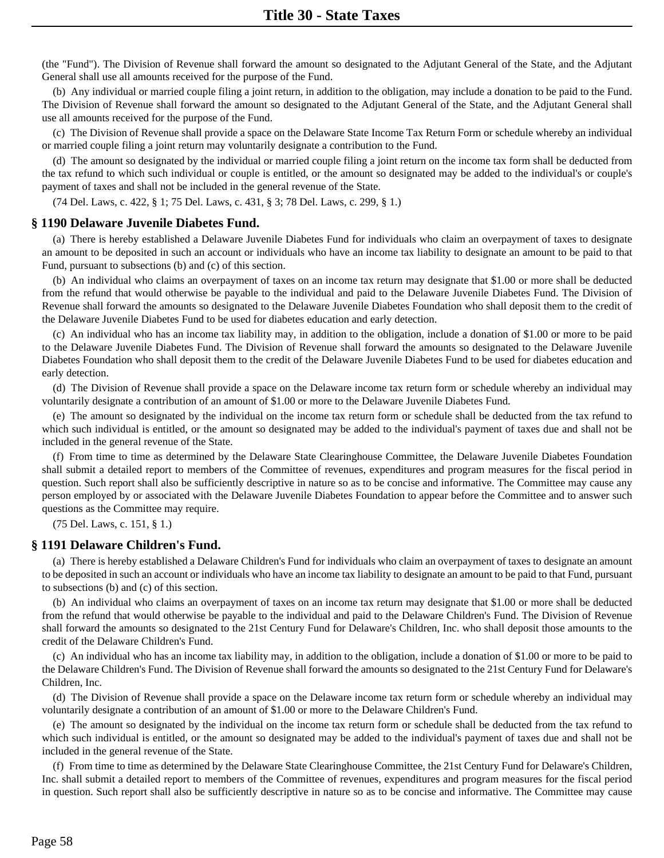(the "Fund"). The Division of Revenue shall forward the amount so designated to the Adjutant General of the State, and the Adjutant General shall use all amounts received for the purpose of the Fund.

(b) Any individual or married couple filing a joint return, in addition to the obligation, may include a donation to be paid to the Fund. The Division of Revenue shall forward the amount so designated to the Adjutant General of the State, and the Adjutant General shall use all amounts received for the purpose of the Fund.

(c) The Division of Revenue shall provide a space on the Delaware State Income Tax Return Form or schedule whereby an individual or married couple filing a joint return may voluntarily designate a contribution to the Fund.

(d) The amount so designated by the individual or married couple filing a joint return on the income tax form shall be deducted from the tax refund to which such individual or couple is entitled, or the amount so designated may be added to the individual's or couple's payment of taxes and shall not be included in the general revenue of the State.

(74 Del. Laws, c. 422, § 1; 75 Del. Laws, c. 431, § 3; 78 Del. Laws, c. 299, § 1.)

#### **§ 1190 Delaware Juvenile Diabetes Fund.**

(a) There is hereby established a Delaware Juvenile Diabetes Fund for individuals who claim an overpayment of taxes to designate an amount to be deposited in such an account or individuals who have an income tax liability to designate an amount to be paid to that Fund, pursuant to subsections (b) and (c) of this section.

(b) An individual who claims an overpayment of taxes on an income tax return may designate that \$1.00 or more shall be deducted from the refund that would otherwise be payable to the individual and paid to the Delaware Juvenile Diabetes Fund. The Division of Revenue shall forward the amounts so designated to the Delaware Juvenile Diabetes Foundation who shall deposit them to the credit of the Delaware Juvenile Diabetes Fund to be used for diabetes education and early detection.

(c) An individual who has an income tax liability may, in addition to the obligation, include a donation of \$1.00 or more to be paid to the Delaware Juvenile Diabetes Fund. The Division of Revenue shall forward the amounts so designated to the Delaware Juvenile Diabetes Foundation who shall deposit them to the credit of the Delaware Juvenile Diabetes Fund to be used for diabetes education and early detection.

(d) The Division of Revenue shall provide a space on the Delaware income tax return form or schedule whereby an individual may voluntarily designate a contribution of an amount of \$1.00 or more to the Delaware Juvenile Diabetes Fund.

(e) The amount so designated by the individual on the income tax return form or schedule shall be deducted from the tax refund to which such individual is entitled, or the amount so designated may be added to the individual's payment of taxes due and shall not be included in the general revenue of the State.

(f) From time to time as determined by the Delaware State Clearinghouse Committee, the Delaware Juvenile Diabetes Foundation shall submit a detailed report to members of the Committee of revenues, expenditures and program measures for the fiscal period in question. Such report shall also be sufficiently descriptive in nature so as to be concise and informative. The Committee may cause any person employed by or associated with the Delaware Juvenile Diabetes Foundation to appear before the Committee and to answer such questions as the Committee may require.

(75 Del. Laws, c. 151, § 1.)

#### **§ 1191 Delaware Children's Fund.**

(a) There is hereby established a Delaware Children's Fund for individuals who claim an overpayment of taxes to designate an amount to be deposited in such an account or individuals who have an income tax liability to designate an amount to be paid to that Fund, pursuant to subsections (b) and (c) of this section.

(b) An individual who claims an overpayment of taxes on an income tax return may designate that \$1.00 or more shall be deducted from the refund that would otherwise be payable to the individual and paid to the Delaware Children's Fund. The Division of Revenue shall forward the amounts so designated to the 21st Century Fund for Delaware's Children, Inc. who shall deposit those amounts to the credit of the Delaware Children's Fund.

(c) An individual who has an income tax liability may, in addition to the obligation, include a donation of \$1.00 or more to be paid to the Delaware Children's Fund. The Division of Revenue shall forward the amounts so designated to the 21st Century Fund for Delaware's Children, Inc.

(d) The Division of Revenue shall provide a space on the Delaware income tax return form or schedule whereby an individual may voluntarily designate a contribution of an amount of \$1.00 or more to the Delaware Children's Fund.

(e) The amount so designated by the individual on the income tax return form or schedule shall be deducted from the tax refund to which such individual is entitled, or the amount so designated may be added to the individual's payment of taxes due and shall not be included in the general revenue of the State.

(f) From time to time as determined by the Delaware State Clearinghouse Committee, the 21st Century Fund for Delaware's Children, Inc. shall submit a detailed report to members of the Committee of revenues, expenditures and program measures for the fiscal period in question. Such report shall also be sufficiently descriptive in nature so as to be concise and informative. The Committee may cause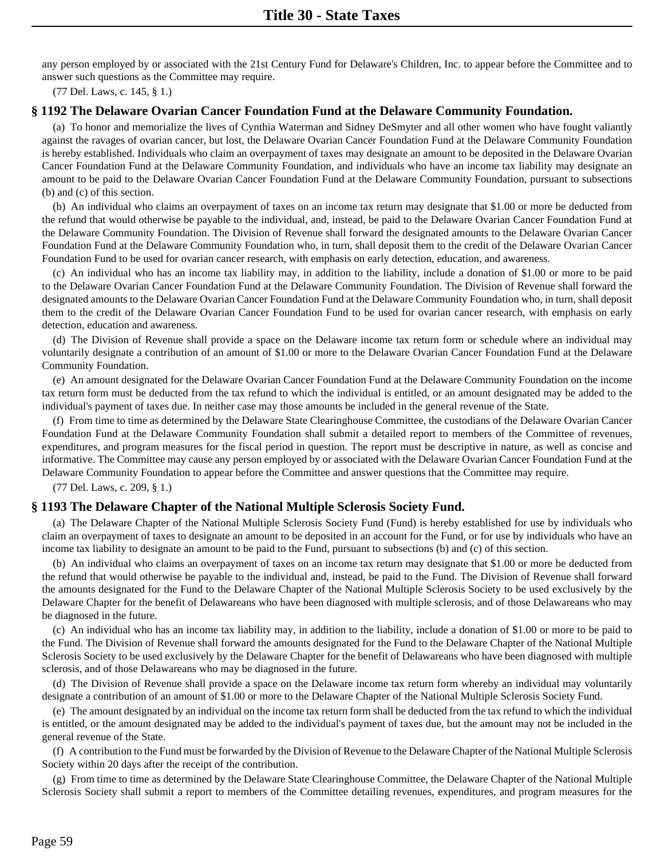any person employed by or associated with the 21st Century Fund for Delaware's Children, Inc. to appear before the Committee and to answer such questions as the Committee may require.

(77 Del. Laws, c. 145, § 1.)

## **§ 1192 The Delaware Ovarian Cancer Foundation Fund at the Delaware Community Foundation.**

(a) To honor and memorialize the lives of Cynthia Waterman and Sidney DeSmyter and all other women who have fought valiantly against the ravages of ovarian cancer, but lost, the Delaware Ovarian Cancer Foundation Fund at the Delaware Community Foundation is hereby established. Individuals who claim an overpayment of taxes may designate an amount to be deposited in the Delaware Ovarian Cancer Foundation Fund at the Delaware Community Foundation, and individuals who have an income tax liability may designate an amount to be paid to the Delaware Ovarian Cancer Foundation Fund at the Delaware Community Foundation, pursuant to subsections (b) and (c) of this section.

(b) An individual who claims an overpayment of taxes on an income tax return may designate that \$1.00 or more be deducted from the refund that would otherwise be payable to the individual, and, instead, be paid to the Delaware Ovarian Cancer Foundation Fund at the Delaware Community Foundation. The Division of Revenue shall forward the designated amounts to the Delaware Ovarian Cancer Foundation Fund at the Delaware Community Foundation who, in turn, shall deposit them to the credit of the Delaware Ovarian Cancer Foundation Fund to be used for ovarian cancer research, with emphasis on early detection, education, and awareness.

(c) An individual who has an income tax liability may, in addition to the liability, include a donation of \$1.00 or more to be paid to the Delaware Ovarian Cancer Foundation Fund at the Delaware Community Foundation. The Division of Revenue shall forward the designated amounts to the Delaware Ovarian Cancer Foundation Fund at the Delaware Community Foundation who, in turn, shall deposit them to the credit of the Delaware Ovarian Cancer Foundation Fund to be used for ovarian cancer research, with emphasis on early detection, education and awareness.

(d) The Division of Revenue shall provide a space on the Delaware income tax return form or schedule where an individual may voluntarily designate a contribution of an amount of \$1.00 or more to the Delaware Ovarian Cancer Foundation Fund at the Delaware Community Foundation.

(e) An amount designated for the Delaware Ovarian Cancer Foundation Fund at the Delaware Community Foundation on the income tax return form must be deducted from the tax refund to which the individual is entitled, or an amount designated may be added to the individual's payment of taxes due. In neither case may those amounts be included in the general revenue of the State.

(f) From time to time as determined by the Delaware State Clearinghouse Committee, the custodians of the Delaware Ovarian Cancer Foundation Fund at the Delaware Community Foundation shall submit a detailed report to members of the Committee of revenues, expenditures, and program measures for the fiscal period in question. The report must be descriptive in nature, as well as concise and informative. The Committee may cause any person employed by or associated with the Delaware Ovarian Cancer Foundation Fund at the Delaware Community Foundation to appear before the Committee and answer questions that the Committee may require.

(77 Del. Laws, c. 209, § 1.)

## **§ 1193 The Delaware Chapter of the National Multiple Sclerosis Society Fund.**

(a) The Delaware Chapter of the National Multiple Sclerosis Society Fund (Fund) is hereby established for use by individuals who claim an overpayment of taxes to designate an amount to be deposited in an account for the Fund, or for use by individuals who have an income tax liability to designate an amount to be paid to the Fund, pursuant to subsections (b) and (c) of this section.

(b) An individual who claims an overpayment of taxes on an income tax return may designate that \$1.00 or more be deducted from the refund that would otherwise be payable to the individual and, instead, be paid to the Fund. The Division of Revenue shall forward the amounts designated for the Fund to the Delaware Chapter of the National Multiple Sclerosis Society to be used exclusively by the Delaware Chapter for the benefit of Delawareans who have been diagnosed with multiple sclerosis, and of those Delawareans who may be diagnosed in the future.

(c) An individual who has an income tax liability may, in addition to the liability, include a donation of \$1.00 or more to be paid to the Fund. The Division of Revenue shall forward the amounts designated for the Fund to the Delaware Chapter of the National Multiple Sclerosis Society to be used exclusively by the Delaware Chapter for the benefit of Delawareans who have been diagnosed with multiple sclerosis, and of those Delawareans who may be diagnosed in the future.

(d) The Division of Revenue shall provide a space on the Delaware income tax return form whereby an individual may voluntarily designate a contribution of an amount of \$1.00 or more to the Delaware Chapter of the National Multiple Sclerosis Society Fund.

(e) The amount designated by an individual on the income tax return form shall be deducted from the tax refund to which the individual is entitled, or the amount designated may be added to the individual's payment of taxes due, but the amount may not be included in the general revenue of the State.

(f) A contribution to the Fund must be forwarded by the Division of Revenue to the Delaware Chapter of the National Multiple Sclerosis Society within 20 days after the receipt of the contribution.

(g) From time to time as determined by the Delaware State Clearinghouse Committee, the Delaware Chapter of the National Multiple Sclerosis Society shall submit a report to members of the Committee detailing revenues, expenditures, and program measures for the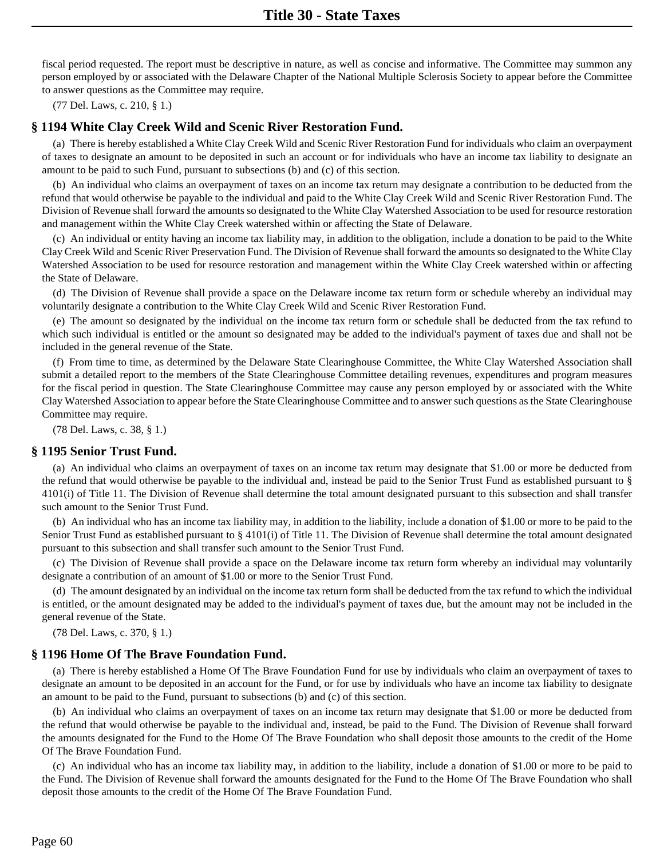fiscal period requested. The report must be descriptive in nature, as well as concise and informative. The Committee may summon any person employed by or associated with the Delaware Chapter of the National Multiple Sclerosis Society to appear before the Committee to answer questions as the Committee may require.

(77 Del. Laws, c. 210, § 1.)

#### **§ 1194 White Clay Creek Wild and Scenic River Restoration Fund.**

(a) There is hereby established a White Clay Creek Wild and Scenic River Restoration Fund for individuals who claim an overpayment of taxes to designate an amount to be deposited in such an account or for individuals who have an income tax liability to designate an amount to be paid to such Fund, pursuant to subsections (b) and (c) of this section.

(b) An individual who claims an overpayment of taxes on an income tax return may designate a contribution to be deducted from the refund that would otherwise be payable to the individual and paid to the White Clay Creek Wild and Scenic River Restoration Fund. The Division of Revenue shall forward the amounts so designated to the White Clay Watershed Association to be used for resource restoration and management within the White Clay Creek watershed within or affecting the State of Delaware.

(c) An individual or entity having an income tax liability may, in addition to the obligation, include a donation to be paid to the White Clay Creek Wild and Scenic River Preservation Fund. The Division of Revenue shall forward the amounts so designated to the White Clay Watershed Association to be used for resource restoration and management within the White Clay Creek watershed within or affecting the State of Delaware.

(d) The Division of Revenue shall provide a space on the Delaware income tax return form or schedule whereby an individual may voluntarily designate a contribution to the White Clay Creek Wild and Scenic River Restoration Fund.

(e) The amount so designated by the individual on the income tax return form or schedule shall be deducted from the tax refund to which such individual is entitled or the amount so designated may be added to the individual's payment of taxes due and shall not be included in the general revenue of the State.

(f) From time to time, as determined by the Delaware State Clearinghouse Committee, the White Clay Watershed Association shall submit a detailed report to the members of the State Clearinghouse Committee detailing revenues, expenditures and program measures for the fiscal period in question. The State Clearinghouse Committee may cause any person employed by or associated with the White Clay Watershed Association to appear before the State Clearinghouse Committee and to answer such questions as the State Clearinghouse Committee may require.

(78 Del. Laws, c. 38, § 1.)

#### **§ 1195 Senior Trust Fund.**

(a) An individual who claims an overpayment of taxes on an income tax return may designate that \$1.00 or more be deducted from the refund that would otherwise be payable to the individual and, instead be paid to the Senior Trust Fund as established pursuant to § 4101(i) of Title 11. The Division of Revenue shall determine the total amount designated pursuant to this subsection and shall transfer such amount to the Senior Trust Fund.

(b) An individual who has an income tax liability may, in addition to the liability, include a donation of \$1.00 or more to be paid to the Senior Trust Fund as established pursuant to § 4101(i) of Title 11. The Division of Revenue shall determine the total amount designated pursuant to this subsection and shall transfer such amount to the Senior Trust Fund.

(c) The Division of Revenue shall provide a space on the Delaware income tax return form whereby an individual may voluntarily designate a contribution of an amount of \$1.00 or more to the Senior Trust Fund.

(d) The amount designated by an individual on the income tax return form shall be deducted from the tax refund to which the individual is entitled, or the amount designated may be added to the individual's payment of taxes due, but the amount may not be included in the general revenue of the State.

(78 Del. Laws, c. 370, § 1.)

#### **§ 1196 Home Of The Brave Foundation Fund.**

(a) There is hereby established a Home Of The Brave Foundation Fund for use by individuals who claim an overpayment of taxes to designate an amount to be deposited in an account for the Fund, or for use by individuals who have an income tax liability to designate an amount to be paid to the Fund, pursuant to subsections (b) and (c) of this section.

(b) An individual who claims an overpayment of taxes on an income tax return may designate that \$1.00 or more be deducted from the refund that would otherwise be payable to the individual and, instead, be paid to the Fund. The Division of Revenue shall forward the amounts designated for the Fund to the Home Of The Brave Foundation who shall deposit those amounts to the credit of the Home Of The Brave Foundation Fund.

(c) An individual who has an income tax liability may, in addition to the liability, include a donation of \$1.00 or more to be paid to the Fund. The Division of Revenue shall forward the amounts designated for the Fund to the Home Of The Brave Foundation who shall deposit those amounts to the credit of the Home Of The Brave Foundation Fund.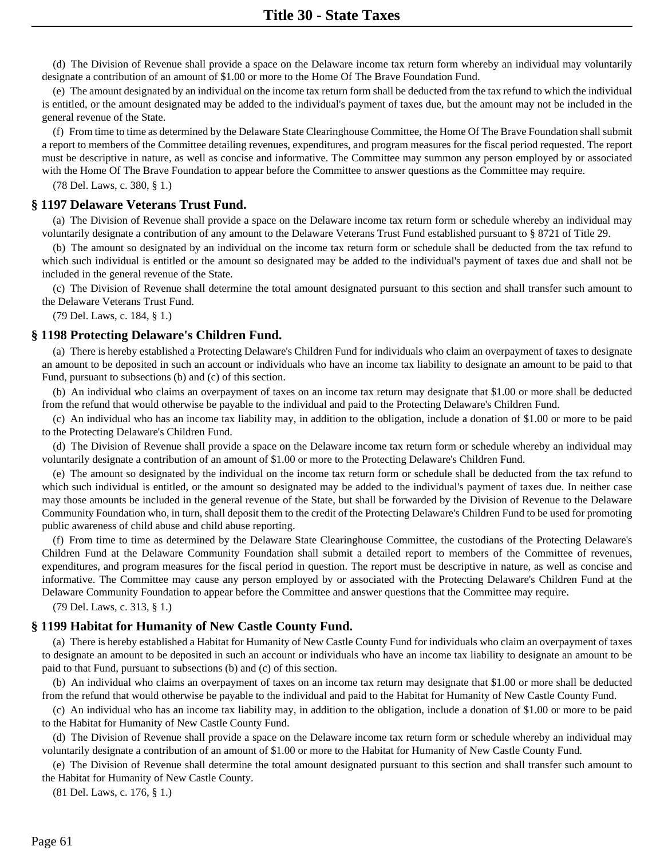(d) The Division of Revenue shall provide a space on the Delaware income tax return form whereby an individual may voluntarily designate a contribution of an amount of \$1.00 or more to the Home Of The Brave Foundation Fund.

(e) The amount designated by an individual on the income tax return form shall be deducted from the tax refund to which the individual is entitled, or the amount designated may be added to the individual's payment of taxes due, but the amount may not be included in the general revenue of the State.

(f) From time to time as determined by the Delaware State Clearinghouse Committee, the Home Of The Brave Foundation shall submit a report to members of the Committee detailing revenues, expenditures, and program measures for the fiscal period requested. The report must be descriptive in nature, as well as concise and informative. The Committee may summon any person employed by or associated with the Home Of The Brave Foundation to appear before the Committee to answer questions as the Committee may require.

(78 Del. Laws, c. 380, § 1.)

## **§ 1197 Delaware Veterans Trust Fund.**

(a) The Division of Revenue shall provide a space on the Delaware income tax return form or schedule whereby an individual may voluntarily designate a contribution of any amount to the Delaware Veterans Trust Fund established pursuant to § 8721 of Title 29.

(b) The amount so designated by an individual on the income tax return form or schedule shall be deducted from the tax refund to which such individual is entitled or the amount so designated may be added to the individual's payment of taxes due and shall not be included in the general revenue of the State.

(c) The Division of Revenue shall determine the total amount designated pursuant to this section and shall transfer such amount to the Delaware Veterans Trust Fund.

(79 Del. Laws, c. 184, § 1.)

#### **§ 1198 Protecting Delaware's Children Fund.**

(a) There is hereby established a Protecting Delaware's Children Fund for individuals who claim an overpayment of taxes to designate an amount to be deposited in such an account or individuals who have an income tax liability to designate an amount to be paid to that Fund, pursuant to subsections (b) and (c) of this section.

(b) An individual who claims an overpayment of taxes on an income tax return may designate that \$1.00 or more shall be deducted from the refund that would otherwise be payable to the individual and paid to the Protecting Delaware's Children Fund.

(c) An individual who has an income tax liability may, in addition to the obligation, include a donation of \$1.00 or more to be paid to the Protecting Delaware's Children Fund.

(d) The Division of Revenue shall provide a space on the Delaware income tax return form or schedule whereby an individual may voluntarily designate a contribution of an amount of \$1.00 or more to the Protecting Delaware's Children Fund.

(e) The amount so designated by the individual on the income tax return form or schedule shall be deducted from the tax refund to which such individual is entitled, or the amount so designated may be added to the individual's payment of taxes due. In neither case may those amounts be included in the general revenue of the State, but shall be forwarded by the Division of Revenue to the Delaware Community Foundation who, in turn, shall deposit them to the credit of the Protecting Delaware's Children Fund to be used for promoting public awareness of child abuse and child abuse reporting.

(f) From time to time as determined by the Delaware State Clearinghouse Committee, the custodians of the Protecting Delaware's Children Fund at the Delaware Community Foundation shall submit a detailed report to members of the Committee of revenues, expenditures, and program measures for the fiscal period in question. The report must be descriptive in nature, as well as concise and informative. The Committee may cause any person employed by or associated with the Protecting Delaware's Children Fund at the Delaware Community Foundation to appear before the Committee and answer questions that the Committee may require.

(79 Del. Laws, c. 313, § 1.)

## **§ 1199 Habitat for Humanity of New Castle County Fund.**

(a) There is hereby established a Habitat for Humanity of New Castle County Fund for individuals who claim an overpayment of taxes to designate an amount to be deposited in such an account or individuals who have an income tax liability to designate an amount to be paid to that Fund, pursuant to subsections (b) and (c) of this section.

(b) An individual who claims an overpayment of taxes on an income tax return may designate that \$1.00 or more shall be deducted from the refund that would otherwise be payable to the individual and paid to the Habitat for Humanity of New Castle County Fund.

(c) An individual who has an income tax liability may, in addition to the obligation, include a donation of \$1.00 or more to be paid to the Habitat for Humanity of New Castle County Fund.

(d) The Division of Revenue shall provide a space on the Delaware income tax return form or schedule whereby an individual may voluntarily designate a contribution of an amount of \$1.00 or more to the Habitat for Humanity of New Castle County Fund.

(e) The Division of Revenue shall determine the total amount designated pursuant to this section and shall transfer such amount to the Habitat for Humanity of New Castle County.

(81 Del. Laws, c. 176, § 1.)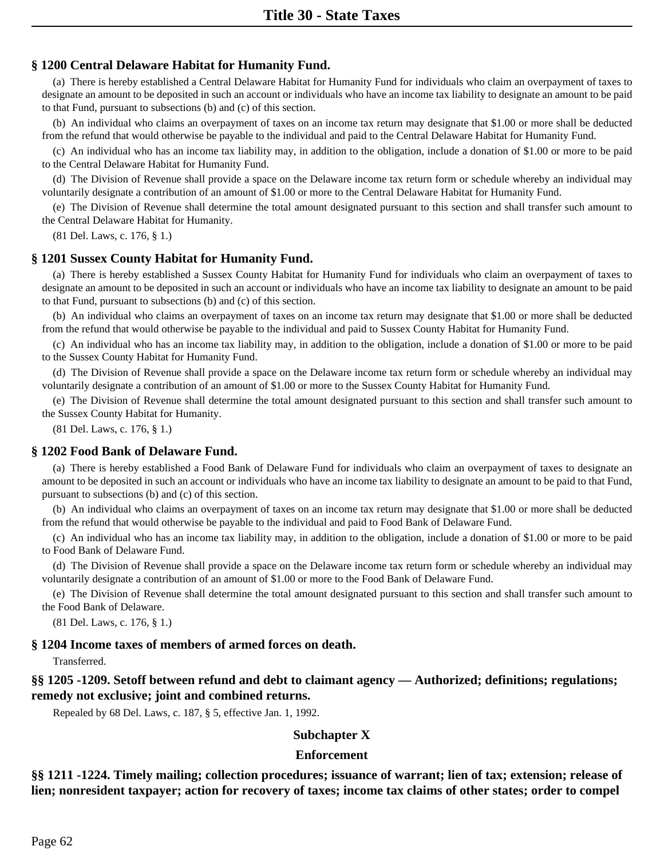## **§ 1200 Central Delaware Habitat for Humanity Fund.**

(a) There is hereby established a Central Delaware Habitat for Humanity Fund for individuals who claim an overpayment of taxes to designate an amount to be deposited in such an account or individuals who have an income tax liability to designate an amount to be paid to that Fund, pursuant to subsections (b) and (c) of this section.

(b) An individual who claims an overpayment of taxes on an income tax return may designate that \$1.00 or more shall be deducted from the refund that would otherwise be payable to the individual and paid to the Central Delaware Habitat for Humanity Fund.

(c) An individual who has an income tax liability may, in addition to the obligation, include a donation of \$1.00 or more to be paid to the Central Delaware Habitat for Humanity Fund.

(d) The Division of Revenue shall provide a space on the Delaware income tax return form or schedule whereby an individual may voluntarily designate a contribution of an amount of \$1.00 or more to the Central Delaware Habitat for Humanity Fund.

(e) The Division of Revenue shall determine the total amount designated pursuant to this section and shall transfer such amount to the Central Delaware Habitat for Humanity.

(81 Del. Laws, c. 176, § 1.)

## **§ 1201 Sussex County Habitat for Humanity Fund.**

(a) There is hereby established a Sussex County Habitat for Humanity Fund for individuals who claim an overpayment of taxes to designate an amount to be deposited in such an account or individuals who have an income tax liability to designate an amount to be paid to that Fund, pursuant to subsections (b) and (c) of this section.

(b) An individual who claims an overpayment of taxes on an income tax return may designate that \$1.00 or more shall be deducted from the refund that would otherwise be payable to the individual and paid to Sussex County Habitat for Humanity Fund.

(c) An individual who has an income tax liability may, in addition to the obligation, include a donation of \$1.00 or more to be paid to the Sussex County Habitat for Humanity Fund.

(d) The Division of Revenue shall provide a space on the Delaware income tax return form or schedule whereby an individual may voluntarily designate a contribution of an amount of \$1.00 or more to the Sussex County Habitat for Humanity Fund.

(e) The Division of Revenue shall determine the total amount designated pursuant to this section and shall transfer such amount to the Sussex County Habitat for Humanity.

(81 Del. Laws, c. 176, § 1.)

#### **§ 1202 Food Bank of Delaware Fund.**

(a) There is hereby established a Food Bank of Delaware Fund for individuals who claim an overpayment of taxes to designate an amount to be deposited in such an account or individuals who have an income tax liability to designate an amount to be paid to that Fund, pursuant to subsections (b) and (c) of this section.

(b) An individual who claims an overpayment of taxes on an income tax return may designate that \$1.00 or more shall be deducted from the refund that would otherwise be payable to the individual and paid to Food Bank of Delaware Fund.

(c) An individual who has an income tax liability may, in addition to the obligation, include a donation of \$1.00 or more to be paid to Food Bank of Delaware Fund.

(d) The Division of Revenue shall provide a space on the Delaware income tax return form or schedule whereby an individual may voluntarily designate a contribution of an amount of \$1.00 or more to the Food Bank of Delaware Fund.

(e) The Division of Revenue shall determine the total amount designated pursuant to this section and shall transfer such amount to the Food Bank of Delaware.

(81 Del. Laws, c. 176, § 1.)

## **§ 1204 Income taxes of members of armed forces on death.**

Transferred.

**§§ 1205 -1209. Setoff between refund and debt to claimant agency — Authorized; definitions; regulations; remedy not exclusive; joint and combined returns.**

Repealed by 68 Del. Laws, c. 187, § 5, effective Jan. 1, 1992.

## **Subchapter X**

## **Enforcement**

**§§ 1211 -1224. Timely mailing; collection procedures; issuance of warrant; lien of tax; extension; release of lien; nonresident taxpayer; action for recovery of taxes; income tax claims of other states; order to compel**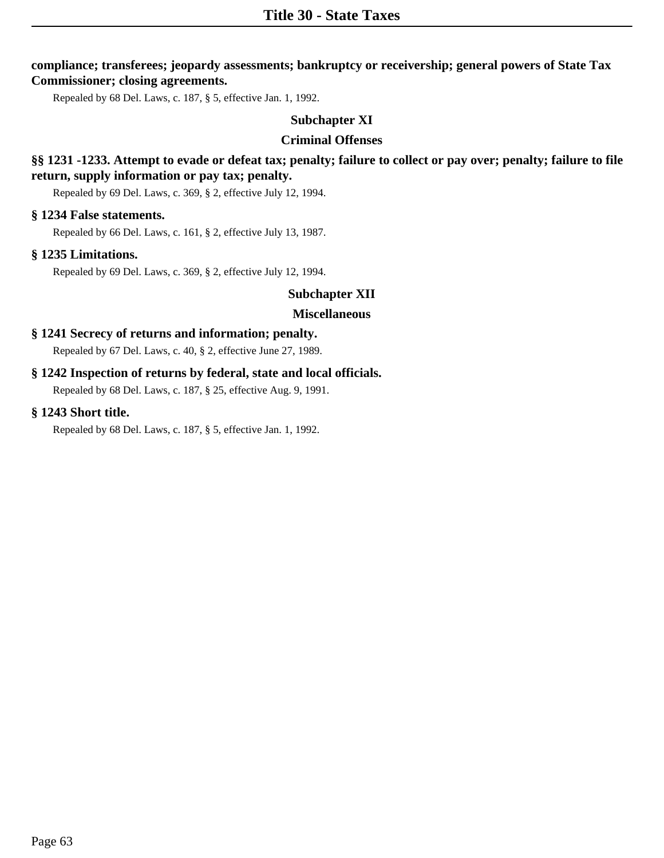**compliance; transferees; jeopardy assessments; bankruptcy or receivership; general powers of State Tax Commissioner; closing agreements.**

Repealed by 68 Del. Laws, c. 187, § 5, effective Jan. 1, 1992.

## **Subchapter XI**

## **Criminal Offenses**

## **§§ 1231 -1233. Attempt to evade or defeat tax; penalty; failure to collect or pay over; penalty; failure to file return, supply information or pay tax; penalty.**

Repealed by 69 Del. Laws, c. 369, § 2, effective July 12, 1994.

## **§ 1234 False statements.**

Repealed by 66 Del. Laws, c. 161, § 2, effective July 13, 1987.

## **§ 1235 Limitations.**

Repealed by 69 Del. Laws, c. 369, § 2, effective July 12, 1994.

## **Subchapter XII**

## **Miscellaneous**

## **§ 1241 Secrecy of returns and information; penalty.**

Repealed by 67 Del. Laws, c. 40, § 2, effective June 27, 1989.

## **§ 1242 Inspection of returns by federal, state and local officials.**

Repealed by 68 Del. Laws, c. 187, § 25, effective Aug. 9, 1991.

## **§ 1243 Short title.**

Repealed by 68 Del. Laws, c. 187, § 5, effective Jan. 1, 1992.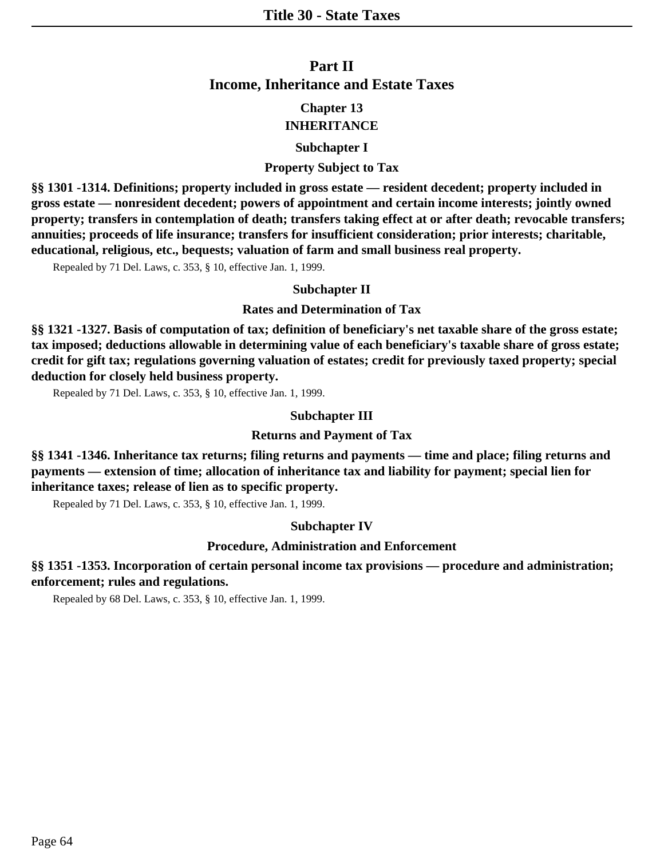## **Chapter 13 INHERITANCE**

## **Subchapter I**

## **Property Subject to Tax**

**§§ 1301 -1314. Definitions; property included in gross estate — resident decedent; property included in gross estate — nonresident decedent; powers of appointment and certain income interests; jointly owned property; transfers in contemplation of death; transfers taking effect at or after death; revocable transfers; annuities; proceeds of life insurance; transfers for insufficient consideration; prior interests; charitable, educational, religious, etc., bequests; valuation of farm and small business real property.**

Repealed by 71 Del. Laws, c. 353, § 10, effective Jan. 1, 1999.

## **Subchapter II**

## **Rates and Determination of Tax**

**§§ 1321 -1327. Basis of computation of tax; definition of beneficiary's net taxable share of the gross estate; tax imposed; deductions allowable in determining value of each beneficiary's taxable share of gross estate; credit for gift tax; regulations governing valuation of estates; credit for previously taxed property; special deduction for closely held business property.**

Repealed by 71 Del. Laws, c. 353, § 10, effective Jan. 1, 1999.

## **Subchapter III**

## **Returns and Payment of Tax**

**§§ 1341 -1346. Inheritance tax returns; filing returns and payments — time and place; filing returns and payments — extension of time; allocation of inheritance tax and liability for payment; special lien for inheritance taxes; release of lien as to specific property.**

Repealed by 71 Del. Laws, c. 353, § 10, effective Jan. 1, 1999.

## **Subchapter IV**

## **Procedure, Administration and Enforcement**

## **§§ 1351 -1353. Incorporation of certain personal income tax provisions — procedure and administration; enforcement; rules and regulations.**

Repealed by 68 Del. Laws, c. 353, § 10, effective Jan. 1, 1999.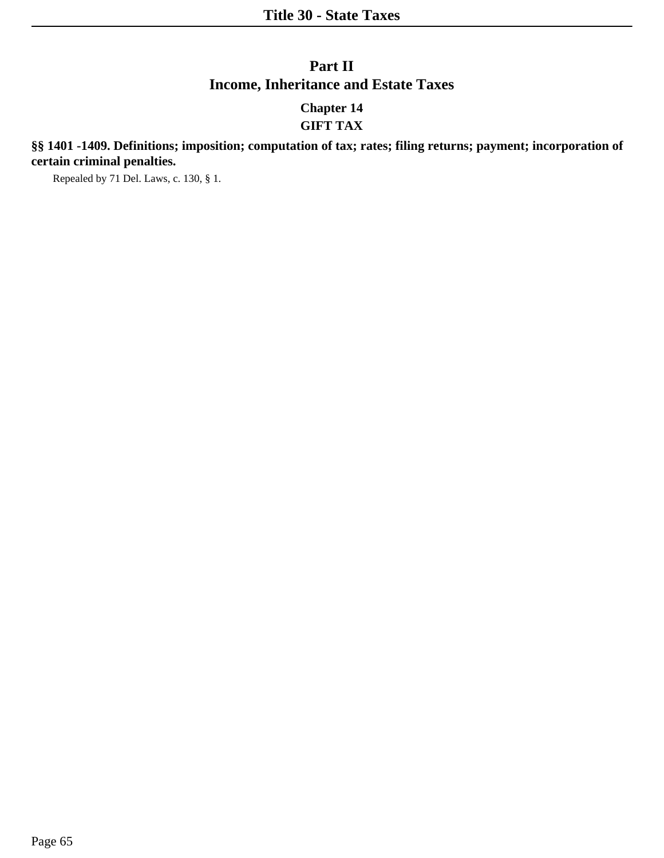## **Chapter 14 GIFT TAX**

## **§§ 1401 -1409. Definitions; imposition; computation of tax; rates; filing returns; payment; incorporation of certain criminal penalties.**

Repealed by 71 Del. Laws, c. 130, § 1.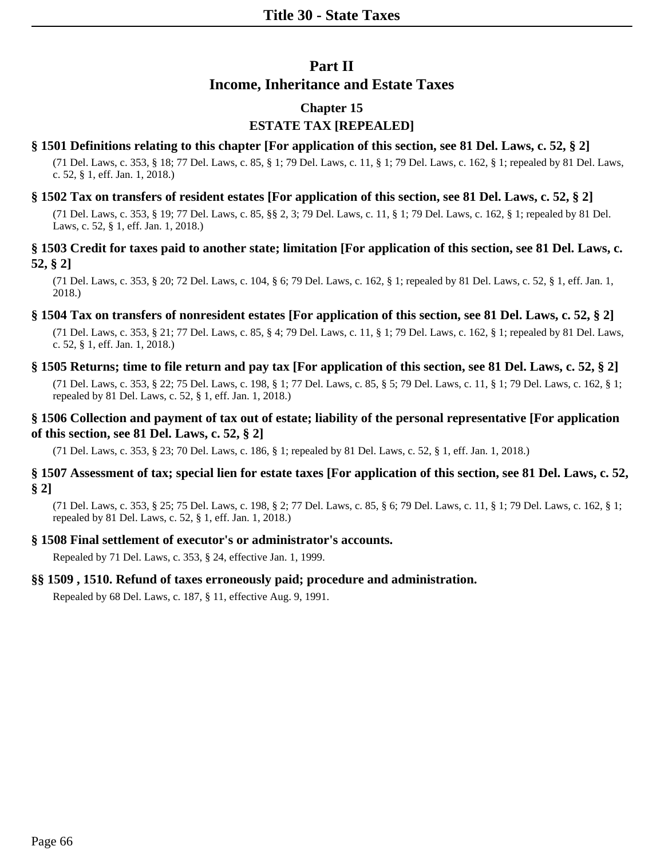## **Chapter 15 ESTATE TAX [REPEALED]**

## **§ 1501 Definitions relating to this chapter [For application of this section, see 81 Del. Laws, c. 52, § 2]**

(71 Del. Laws, c. 353, § 18; 77 Del. Laws, c. 85, § 1; 79 Del. Laws, c. 11, § 1; 79 Del. Laws, c. 162, § 1; repealed by 81 Del. Laws, c. 52, § 1, eff. Jan. 1, 2018.)

## **§ 1502 Tax on transfers of resident estates [For application of this section, see 81 Del. Laws, c. 52, § 2]**

(71 Del. Laws, c. 353, § 19; 77 Del. Laws, c. 85, §§ 2, 3; 79 Del. Laws, c. 11, § 1; 79 Del. Laws, c. 162, § 1; repealed by 81 Del. Laws, c. 52, § 1, eff. Jan. 1, 2018.)

## **§ 1503 Credit for taxes paid to another state; limitation [For application of this section, see 81 Del. Laws, c. 52, § 2]**

(71 Del. Laws, c. 353, § 20; 72 Del. Laws, c. 104, § 6; 79 Del. Laws, c. 162, § 1; repealed by 81 Del. Laws, c. 52, § 1, eff. Jan. 1, 2018.)

## **§ 1504 Tax on transfers of nonresident estates [For application of this section, see 81 Del. Laws, c. 52, § 2]**

(71 Del. Laws, c. 353, § 21; 77 Del. Laws, c. 85, § 4; 79 Del. Laws, c. 11, § 1; 79 Del. Laws, c. 162, § 1; repealed by 81 Del. Laws, c. 52, § 1, eff. Jan. 1, 2018.)

## **§ 1505 Returns; time to file return and pay tax [For application of this section, see 81 Del. Laws, c. 52, § 2]**

(71 Del. Laws, c. 353, § 22; 75 Del. Laws, c. 198, § 1; 77 Del. Laws, c. 85, § 5; 79 Del. Laws, c. 11, § 1; 79 Del. Laws, c. 162, § 1; repealed by 81 Del. Laws, c. 52, § 1, eff. Jan. 1, 2018.)

## **§ 1506 Collection and payment of tax out of estate; liability of the personal representative [For application of this section, see 81 Del. Laws, c. 52, § 2]**

(71 Del. Laws, c. 353, § 23; 70 Del. Laws, c. 186, § 1; repealed by 81 Del. Laws, c. 52, § 1, eff. Jan. 1, 2018.)

## **§ 1507 Assessment of tax; special lien for estate taxes [For application of this section, see 81 Del. Laws, c. 52, § 2]**

(71 Del. Laws, c. 353, § 25; 75 Del. Laws, c. 198, § 2; 77 Del. Laws, c. 85, § 6; 79 Del. Laws, c. 11, § 1; 79 Del. Laws, c. 162, § 1; repealed by 81 Del. Laws, c. 52, § 1, eff. Jan. 1, 2018.)

## **§ 1508 Final settlement of executor's or administrator's accounts.**

Repealed by 71 Del. Laws, c. 353, § 24, effective Jan. 1, 1999.

## **§§ 1509 , 1510. Refund of taxes erroneously paid; procedure and administration.**

Repealed by 68 Del. Laws, c. 187, § 11, effective Aug. 9, 1991.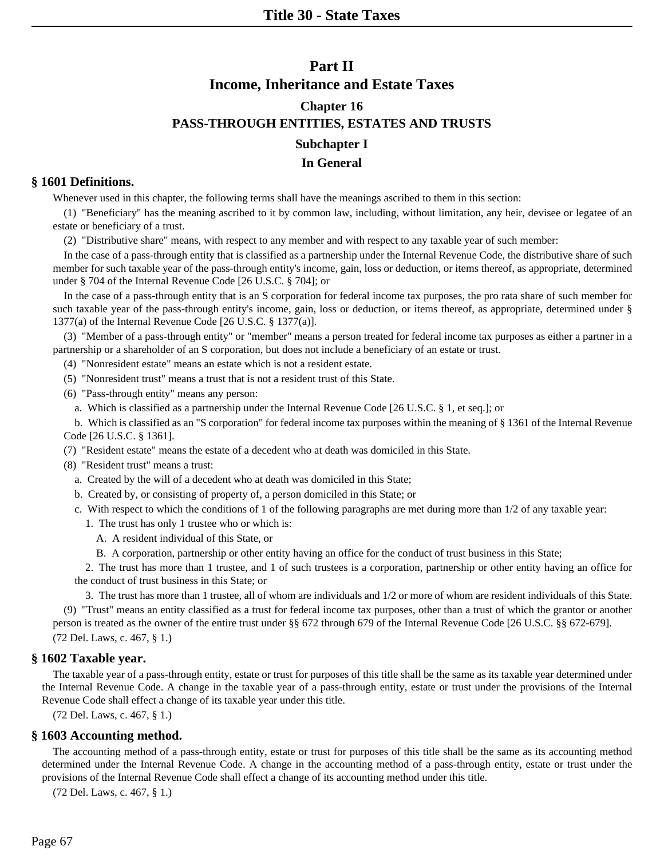## **Chapter 16 PASS-THROUGH ENTITIES, ESTATES AND TRUSTS Subchapter I In General**

## **§ 1601 Definitions.**

Whenever used in this chapter, the following terms shall have the meanings ascribed to them in this section:

(1) "Beneficiary" has the meaning ascribed to it by common law, including, without limitation, any heir, devisee or legatee of an estate or beneficiary of a trust.

(2) "Distributive share" means, with respect to any member and with respect to any taxable year of such member:

In the case of a pass-through entity that is classified as a partnership under the Internal Revenue Code, the distributive share of such member for such taxable year of the pass-through entity's income, gain, loss or deduction, or items thereof, as appropriate, determined under § 704 of the Internal Revenue Code [26 U.S.C. § 704]; or

In the case of a pass-through entity that is an S corporation for federal income tax purposes, the pro rata share of such member for such taxable year of the pass-through entity's income, gain, loss or deduction, or items thereof, as appropriate, determined under § 1377(a) of the Internal Revenue Code [26 U.S.C. § 1377(a)].

(3) "Member of a pass-through entity" or "member" means a person treated for federal income tax purposes as either a partner in a partnership or a shareholder of an S corporation, but does not include a beneficiary of an estate or trust.

(4) "Nonresident estate" means an estate which is not a resident estate.

- (5) "Nonresident trust" means a trust that is not a resident trust of this State.
- (6) "Pass-through entity" means any person:
	- a. Which is classified as a partnership under the Internal Revenue Code [26 U.S.C. § 1, et seq.]; or

b. Which is classified as an "S corporation" for federal income tax purposes within the meaning of § 1361 of the Internal Revenue Code [26 U.S.C. § 1361].

- (7) "Resident estate" means the estate of a decedent who at death was domiciled in this State.
- (8) "Resident trust" means a trust:
	- a. Created by the will of a decedent who at death was domiciled in this State;
	- b. Created by, or consisting of property of, a person domiciled in this State; or
	- c. With respect to which the conditions of 1 of the following paragraphs are met during more than 1/2 of any taxable year:
		- 1. The trust has only 1 trustee who or which is:
			- A. A resident individual of this State, or
			- B. A corporation, partnership or other entity having an office for the conduct of trust business in this State;

2. The trust has more than 1 trustee, and 1 of such trustees is a corporation, partnership or other entity having an office for the conduct of trust business in this State; or

3. The trust has more than 1 trustee, all of whom are individuals and 1/2 or more of whom are resident individuals of this State.

(9) "Trust" means an entity classified as a trust for federal income tax purposes, other than a trust of which the grantor or another person is treated as the owner of the entire trust under §§ 672 through 679 of the Internal Revenue Code [26 U.S.C. §§ 672-679].

(72 Del. Laws, c. 467, § 1.)

## **§ 1602 Taxable year.**

The taxable year of a pass-through entity, estate or trust for purposes of this title shall be the same as its taxable year determined under the Internal Revenue Code. A change in the taxable year of a pass-through entity, estate or trust under the provisions of the Internal Revenue Code shall effect a change of its taxable year under this title.

(72 Del. Laws, c. 467, § 1.)

## **§ 1603 Accounting method.**

The accounting method of a pass-through entity, estate or trust for purposes of this title shall be the same as its accounting method determined under the Internal Revenue Code. A change in the accounting method of a pass-through entity, estate or trust under the provisions of the Internal Revenue Code shall effect a change of its accounting method under this title.

(72 Del. Laws, c. 467, § 1.)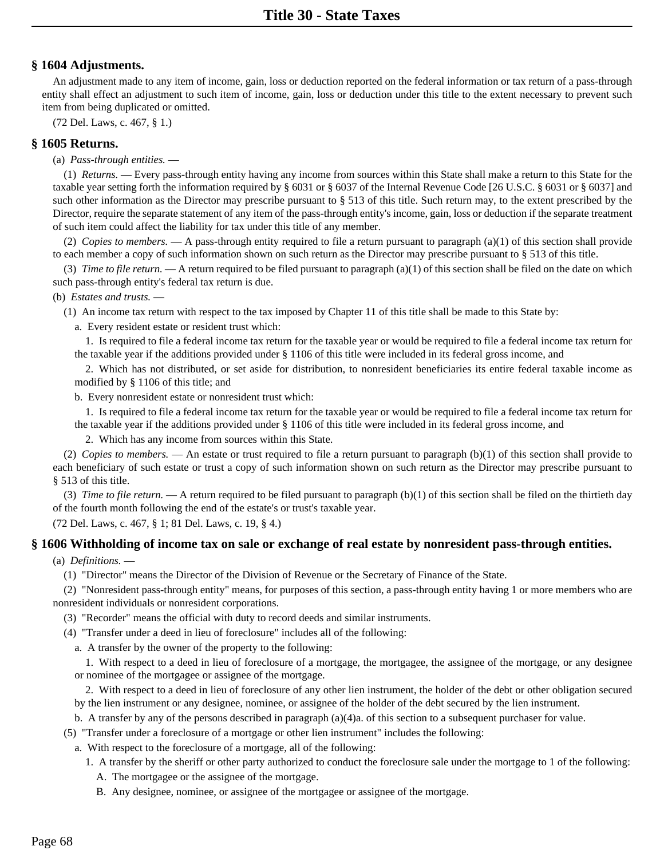## **§ 1604 Adjustments.**

An adjustment made to any item of income, gain, loss or deduction reported on the federal information or tax return of a pass-through entity shall effect an adjustment to such item of income, gain, loss or deduction under this title to the extent necessary to prevent such item from being duplicated or omitted.

(72 Del. Laws, c. 467, § 1.)

## **§ 1605 Returns.**

(a) *Pass-through entities.* —

(1) *Returns.* — Every pass-through entity having any income from sources within this State shall make a return to this State for the taxable year setting forth the information required by § 6031 or § 6037 of the Internal Revenue Code [26 U.S.C. § 6031 or § 6037] and such other information as the Director may prescribe pursuant to § 513 of this title. Such return may, to the extent prescribed by the Director, require the separate statement of any item of the pass-through entity's income, gain, loss or deduction if the separate treatment of such item could affect the liability for tax under this title of any member.

(2) *Copies to members.* — A pass-through entity required to file a return pursuant to paragraph (a)(1) of this section shall provide to each member a copy of such information shown on such return as the Director may prescribe pursuant to § 513 of this title.

(3) *Time to file return.* — A return required to be filed pursuant to paragraph (a)(1) of this section shall be filed on the date on which such pass-through entity's federal tax return is due.

(b) *Estates and trusts.* —

(1) An income tax return with respect to the tax imposed by Chapter 11 of this title shall be made to this State by:

a. Every resident estate or resident trust which:

1. Is required to file a federal income tax return for the taxable year or would be required to file a federal income tax return for the taxable year if the additions provided under § 1106 of this title were included in its federal gross income, and

2. Which has not distributed, or set aside for distribution, to nonresident beneficiaries its entire federal taxable income as modified by § 1106 of this title; and

b. Every nonresident estate or nonresident trust which:

1. Is required to file a federal income tax return for the taxable year or would be required to file a federal income tax return for the taxable year if the additions provided under § 1106 of this title were included in its federal gross income, and

2. Which has any income from sources within this State.

(2) *Copies to members.* — An estate or trust required to file a return pursuant to paragraph (b)(1) of this section shall provide to each beneficiary of such estate or trust a copy of such information shown on such return as the Director may prescribe pursuant to § 513 of this title.

(3) *Time to file return.* — A return required to be filed pursuant to paragraph (b)(1) of this section shall be filed on the thirtieth day of the fourth month following the end of the estate's or trust's taxable year.

(72 Del. Laws, c. 467, § 1; 81 Del. Laws, c. 19, § 4.)

## **§ 1606 Withholding of income tax on sale or exchange of real estate by nonresident pass-through entities.**

(a) *Definitions.* —

(1) "Director" means the Director of the Division of Revenue or the Secretary of Finance of the State.

(2) "Nonresident pass-through entity" means, for purposes of this section, a pass-through entity having 1 or more members who are nonresident individuals or nonresident corporations.

- (3) "Recorder" means the official with duty to record deeds and similar instruments.
- (4) "Transfer under a deed in lieu of foreclosure" includes all of the following:
	- a. A transfer by the owner of the property to the following:

1. With respect to a deed in lieu of foreclosure of a mortgage, the mortgagee, the assignee of the mortgage, or any designee or nominee of the mortgagee or assignee of the mortgage.

2. With respect to a deed in lieu of foreclosure of any other lien instrument, the holder of the debt or other obligation secured by the lien instrument or any designee, nominee, or assignee of the holder of the debt secured by the lien instrument.

b. A transfer by any of the persons described in paragraph (a)(4)a. of this section to a subsequent purchaser for value.

- (5) "Transfer under a foreclosure of a mortgage or other lien instrument" includes the following:
	- a. With respect to the foreclosure of a mortgage, all of the following:
		- 1. A transfer by the sheriff or other party authorized to conduct the foreclosure sale under the mortgage to 1 of the following:
			- A. The mortgagee or the assignee of the mortgage.
			- B. Any designee, nominee, or assignee of the mortgagee or assignee of the mortgage.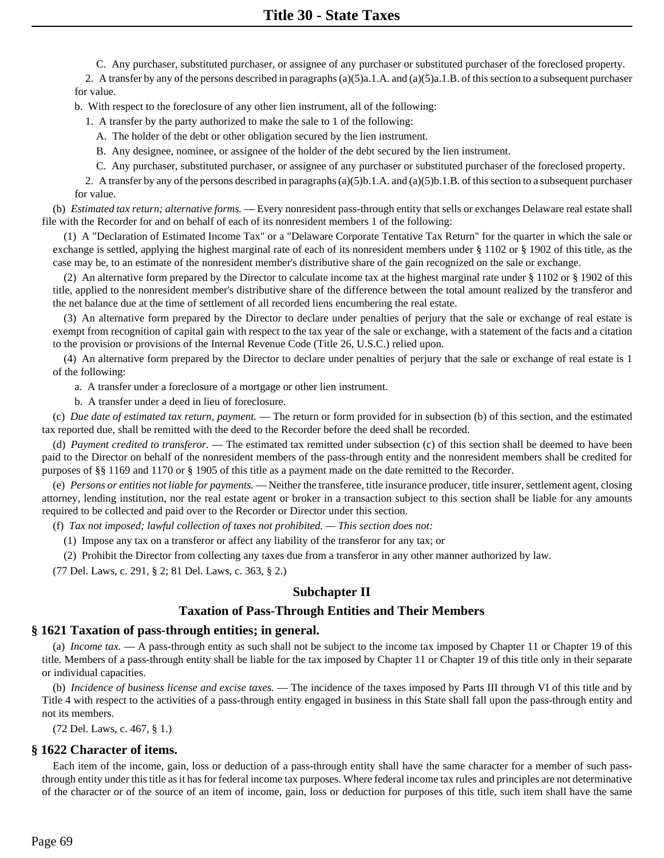C. Any purchaser, substituted purchaser, or assignee of any purchaser or substituted purchaser of the foreclosed property.

2. A transfer by any of the persons described in paragraphs (a)(5)a.1.A. and (a)(5)a.1.B. of this section to a subsequent purchaser for value.

b. With respect to the foreclosure of any other lien instrument, all of the following:

1. A transfer by the party authorized to make the sale to 1 of the following:

A. The holder of the debt or other obligation secured by the lien instrument.

B. Any designee, nominee, or assignee of the holder of the debt secured by the lien instrument.

C. Any purchaser, substituted purchaser, or assignee of any purchaser or substituted purchaser of the foreclosed property.

2. A transfer by any of the persons described in paragraphs (a)(5)b.1.A. and (a)(5)b.1.B. of this section to a subsequent purchaser for value.

(b) *Estimated tax return; alternative forms.* — Every nonresident pass-through entity that sells or exchanges Delaware real estate shall file with the Recorder for and on behalf of each of its nonresident members 1 of the following:

(1) A "Declaration of Estimated Income Tax" or a "Delaware Corporate Tentative Tax Return" for the quarter in which the sale or exchange is settled, applying the highest marginal rate of each of its nonresident members under § 1102 or § 1902 of this title, as the case may be, to an estimate of the nonresident member's distributive share of the gain recognized on the sale or exchange.

(2) An alternative form prepared by the Director to calculate income tax at the highest marginal rate under § 1102 or § 1902 of this title, applied to the nonresident member's distributive share of the difference between the total amount realized by the transferor and the net balance due at the time of settlement of all recorded liens encumbering the real estate.

(3) An alternative form prepared by the Director to declare under penalties of perjury that the sale or exchange of real estate is exempt from recognition of capital gain with respect to the tax year of the sale or exchange, with a statement of the facts and a citation to the provision or provisions of the Internal Revenue Code (Title 26, U.S.C.) relied upon.

(4) An alternative form prepared by the Director to declare under penalties of perjury that the sale or exchange of real estate is 1 of the following:

a. A transfer under a foreclosure of a mortgage or other lien instrument.

b. A transfer under a deed in lieu of foreclosure.

(c) *Due date of estimated tax return, payment.* — The return or form provided for in subsection (b) of this section, and the estimated tax reported due, shall be remitted with the deed to the Recorder before the deed shall be recorded.

(d) *Payment credited to transferor.* — The estimated tax remitted under subsection (c) of this section shall be deemed to have been paid to the Director on behalf of the nonresident members of the pass-through entity and the nonresident members shall be credited for purposes of §§ 1169 and 1170 or § 1905 of this title as a payment made on the date remitted to the Recorder.

(e) *Persons or entities not liable for payments.* — Neither the transferee, title insurance producer, title insurer, settlement agent, closing attorney, lending institution, nor the real estate agent or broker in a transaction subject to this section shall be liable for any amounts required to be collected and paid over to the Recorder or Director under this section.

(f) *Tax not imposed; lawful collection of taxes not prohibited. — This section does not:*

(1) Impose any tax on a transferor or affect any liability of the transferor for any tax; or

(2) Prohibit the Director from collecting any taxes due from a transferor in any other manner authorized by law.

(77 Del. Laws, c. 291, § 2; 81 Del. Laws, c. 363, § 2.)

## **Subchapter II**

## **Taxation of Pass-Through Entities and Their Members**

## **§ 1621 Taxation of pass-through entities; in general.**

(a) *Income tax.* — A pass-through entity as such shall not be subject to the income tax imposed by Chapter 11 or Chapter 19 of this title. Members of a pass-through entity shall be liable for the tax imposed by Chapter 11 or Chapter 19 of this title only in their separate or individual capacities.

(b) *Incidence of business license and excise taxes.* — The incidence of the taxes imposed by Parts III through VI of this title and by Title 4 with respect to the activities of a pass-through entity engaged in business in this State shall fall upon the pass-through entity and not its members.

(72 Del. Laws, c. 467, § 1.)

#### **§ 1622 Character of items.**

Each item of the income, gain, loss or deduction of a pass-through entity shall have the same character for a member of such passthrough entity under this title as it has for federal income tax purposes. Where federal income tax rules and principles are not determinative of the character or of the source of an item of income, gain, loss or deduction for purposes of this title, such item shall have the same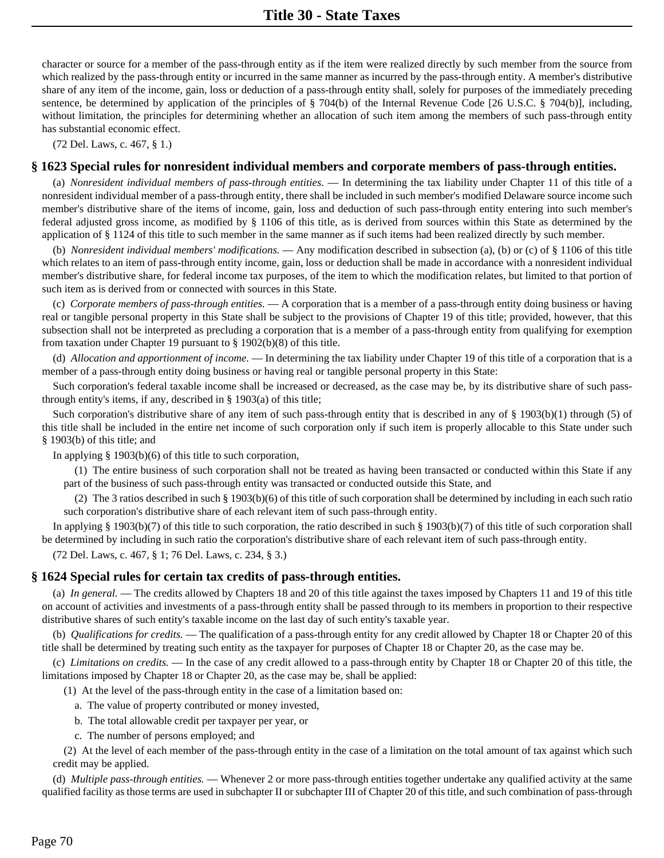character or source for a member of the pass-through entity as if the item were realized directly by such member from the source from which realized by the pass-through entity or incurred in the same manner as incurred by the pass-through entity. A member's distributive share of any item of the income, gain, loss or deduction of a pass-through entity shall, solely for purposes of the immediately preceding sentence, be determined by application of the principles of  $\S$  704(b) of the Internal Revenue Code [26 U.S.C.  $\S$  704(b)], including, without limitation, the principles for determining whether an allocation of such item among the members of such pass-through entity has substantial economic effect.

(72 Del. Laws, c. 467, § 1.)

## **§ 1623 Special rules for nonresident individual members and corporate members of pass-through entities.**

(a) *Nonresident individual members of pass-through entities.* — In determining the tax liability under Chapter 11 of this title of a nonresident individual member of a pass-through entity, there shall be included in such member's modified Delaware source income such member's distributive share of the items of income, gain, loss and deduction of such pass-through entity entering into such member's federal adjusted gross income, as modified by § 1106 of this title, as is derived from sources within this State as determined by the application of § 1124 of this title to such member in the same manner as if such items had been realized directly by such member.

(b) *Nonresident individual members' modifications.* — Any modification described in subsection (a), (b) or (c) of § 1106 of this title which relates to an item of pass-through entity income, gain, loss or deduction shall be made in accordance with a nonresident individual member's distributive share, for federal income tax purposes, of the item to which the modification relates, but limited to that portion of such item as is derived from or connected with sources in this State.

(c) *Corporate members of pass-through entities.* — A corporation that is a member of a pass-through entity doing business or having real or tangible personal property in this State shall be subject to the provisions of Chapter 19 of this title; provided, however, that this subsection shall not be interpreted as precluding a corporation that is a member of a pass-through entity from qualifying for exemption from taxation under Chapter 19 pursuant to § 1902(b)(8) of this title.

(d) *Allocation and apportionment of income.* — In determining the tax liability under Chapter 19 of this title of a corporation that is a member of a pass-through entity doing business or having real or tangible personal property in this State:

Such corporation's federal taxable income shall be increased or decreased, as the case may be, by its distributive share of such passthrough entity's items, if any, described in § 1903(a) of this title;

Such corporation's distributive share of any item of such pass-through entity that is described in any of § 1903(b)(1) through (5) of this title shall be included in the entire net income of such corporation only if such item is properly allocable to this State under such § 1903(b) of this title; and

In applying § 1903(b)(6) of this title to such corporation,

(1) The entire business of such corporation shall not be treated as having been transacted or conducted within this State if any part of the business of such pass-through entity was transacted or conducted outside this State, and

(2) The 3 ratios described in such § 1903(b)(6) of this title of such corporation shall be determined by including in each such ratio such corporation's distributive share of each relevant item of such pass-through entity.

In applying § 1903(b)(7) of this title to such corporation, the ratio described in such § 1903(b)(7) of this title of such corporation shall be determined by including in such ratio the corporation's distributive share of each relevant item of such pass-through entity.

(72 Del. Laws, c. 467, § 1; 76 Del. Laws, c. 234, § 3.)

#### **§ 1624 Special rules for certain tax credits of pass-through entities.**

(a) *In general.* — The credits allowed by Chapters 18 and 20 of this title against the taxes imposed by Chapters 11 and 19 of this title on account of activities and investments of a pass-through entity shall be passed through to its members in proportion to their respective distributive shares of such entity's taxable income on the last day of such entity's taxable year.

(b) *Qualifications for credits.* — The qualification of a pass-through entity for any credit allowed by Chapter 18 or Chapter 20 of this title shall be determined by treating such entity as the taxpayer for purposes of Chapter 18 or Chapter 20, as the case may be.

(c) *Limitations on credits.* — In the case of any credit allowed to a pass-through entity by Chapter 18 or Chapter 20 of this title, the limitations imposed by Chapter 18 or Chapter 20, as the case may be, shall be applied:

(1) At the level of the pass-through entity in the case of a limitation based on:

- a. The value of property contributed or money invested,
- b. The total allowable credit per taxpayer per year, or
- c. The number of persons employed; and

(2) At the level of each member of the pass-through entity in the case of a limitation on the total amount of tax against which such credit may be applied.

(d) *Multiple pass-through entities.* — Whenever 2 or more pass-through entities together undertake any qualified activity at the same qualified facility as those terms are used in subchapter II or subchapter III of Chapter 20 of this title, and such combination of pass-through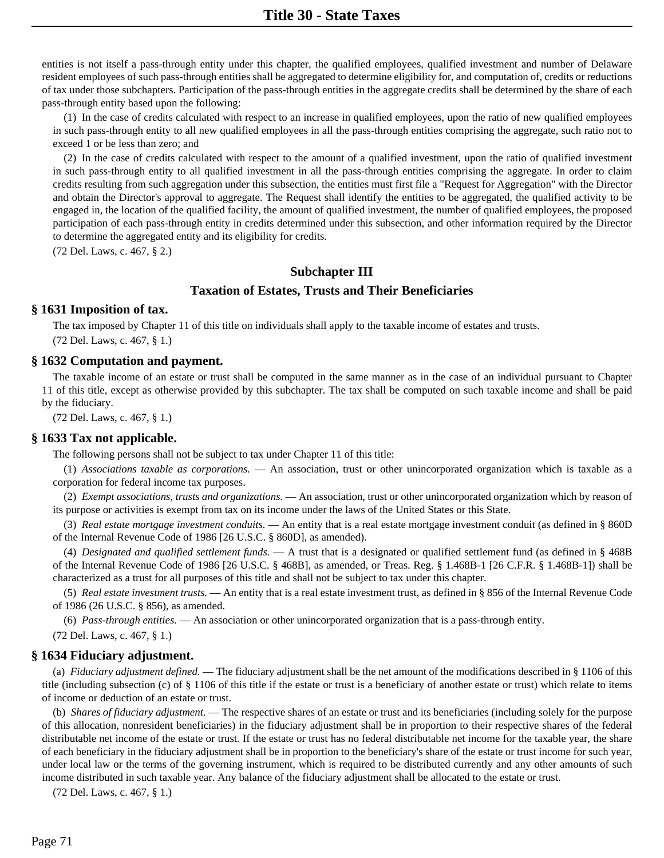entities is not itself a pass-through entity under this chapter, the qualified employees, qualified investment and number of Delaware resident employees of such pass-through entities shall be aggregated to determine eligibility for, and computation of, credits or reductions of tax under those subchapters. Participation of the pass-through entities in the aggregate credits shall be determined by the share of each pass-through entity based upon the following:

(1) In the case of credits calculated with respect to an increase in qualified employees, upon the ratio of new qualified employees in such pass-through entity to all new qualified employees in all the pass-through entities comprising the aggregate, such ratio not to exceed 1 or be less than zero; and

(2) In the case of credits calculated with respect to the amount of a qualified investment, upon the ratio of qualified investment in such pass-through entity to all qualified investment in all the pass-through entities comprising the aggregate. In order to claim credits resulting from such aggregation under this subsection, the entities must first file a "Request for Aggregation" with the Director and obtain the Director's approval to aggregate. The Request shall identify the entities to be aggregated, the qualified activity to be engaged in, the location of the qualified facility, the amount of qualified investment, the number of qualified employees, the proposed participation of each pass-through entity in credits determined under this subsection, and other information required by the Director to determine the aggregated entity and its eligibility for credits.

(72 Del. Laws, c. 467, § 2.)

## **Subchapter III**

## **Taxation of Estates, Trusts and Their Beneficiaries**

#### **§ 1631 Imposition of tax.**

The tax imposed by Chapter 11 of this title on individuals shall apply to the taxable income of estates and trusts.

(72 Del. Laws, c. 467, § 1.)

#### **§ 1632 Computation and payment.**

The taxable income of an estate or trust shall be computed in the same manner as in the case of an individual pursuant to Chapter 11 of this title, except as otherwise provided by this subchapter. The tax shall be computed on such taxable income and shall be paid by the fiduciary.

(72 Del. Laws, c. 467, § 1.)

## **§ 1633 Tax not applicable.**

The following persons shall not be subject to tax under Chapter 11 of this title:

(1) *Associations taxable as corporations.* — An association, trust or other unincorporated organization which is taxable as a corporation for federal income tax purposes.

(2) *Exempt associations, trusts and organizations.* — An association, trust or other unincorporated organization which by reason of its purpose or activities is exempt from tax on its income under the laws of the United States or this State.

(3) *Real estate mortgage investment conduits.* — An entity that is a real estate mortgage investment conduit (as defined in § 860D of the Internal Revenue Code of 1986 [26 U.S.C. § 860D], as amended).

(4) *Designated and qualified settlement funds.* — A trust that is a designated or qualified settlement fund (as defined in § 468B of the Internal Revenue Code of 1986 [26 U.S.C. § 468B], as amended, or Treas. Reg. § 1.468B-1 [26 C.F.R. § 1.468B-1]) shall be characterized as a trust for all purposes of this title and shall not be subject to tax under this chapter.

(5) *Real estate investment trusts.* — An entity that is a real estate investment trust, as defined in § 856 of the Internal Revenue Code of 1986 (26 U.S.C. § 856), as amended.

(6) *Pass-through entities.* — An association or other unincorporated organization that is a pass-through entity.

(72 Del. Laws, c. 467, § 1.)

#### **§ 1634 Fiduciary adjustment.**

(a) *Fiduciary adjustment defined.* — The fiduciary adjustment shall be the net amount of the modifications described in § 1106 of this title (including subsection (c) of  $\S$  1106 of this title if the estate or trust is a beneficiary of another estate or trust) which relate to items of income or deduction of an estate or trust.

(b) *Shares of fiduciary adjustment.* — The respective shares of an estate or trust and its beneficiaries (including solely for the purpose of this allocation, nonresident beneficiaries) in the fiduciary adjustment shall be in proportion to their respective shares of the federal distributable net income of the estate or trust. If the estate or trust has no federal distributable net income for the taxable year, the share of each beneficiary in the fiduciary adjustment shall be in proportion to the beneficiary's share of the estate or trust income for such year, under local law or the terms of the governing instrument, which is required to be distributed currently and any other amounts of such income distributed in such taxable year. Any balance of the fiduciary adjustment shall be allocated to the estate or trust.

(72 Del. Laws, c. 467, § 1.)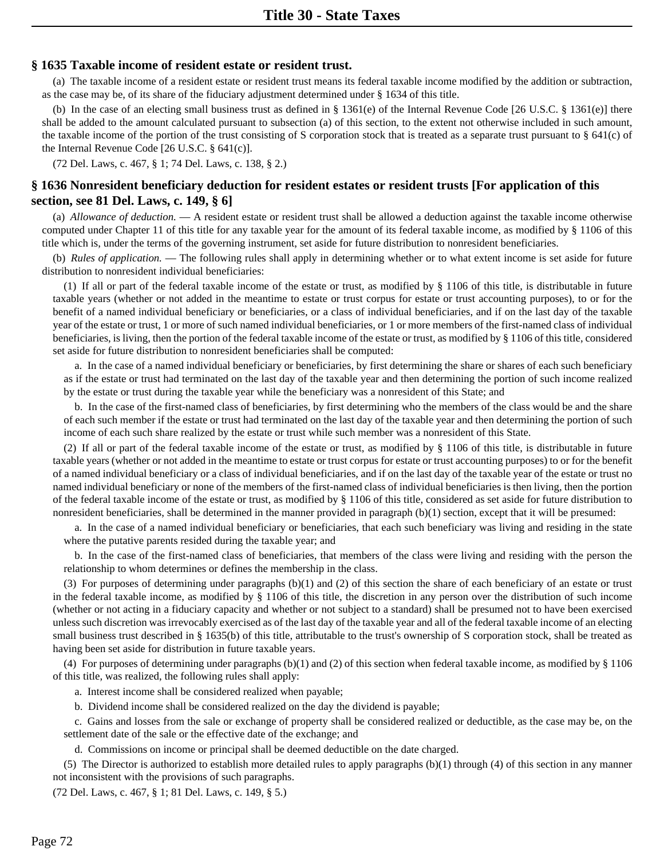## **§ 1635 Taxable income of resident estate or resident trust.**

(a) The taxable income of a resident estate or resident trust means its federal taxable income modified by the addition or subtraction, as the case may be, of its share of the fiduciary adjustment determined under § 1634 of this title.

(b) In the case of an electing small business trust as defined in  $\S 1361(e)$  of the Internal Revenue Code [26 U.S.C.  $\S 1361(e)$ ] there shall be added to the amount calculated pursuant to subsection (a) of this section, to the extent not otherwise included in such amount, the taxable income of the portion of the trust consisting of S corporation stock that is treated as a separate trust pursuant to  $\S$  641(c) of the Internal Revenue Code [26 U.S.C. § 641(c)].

(72 Del. Laws, c. 467, § 1; 74 Del. Laws, c. 138, § 2.)

# **§ 1636 Nonresident beneficiary deduction for resident estates or resident trusts [For application of this section, see 81 Del. Laws, c. 149, § 6]**

(a) *Allowance of deduction.* — A resident estate or resident trust shall be allowed a deduction against the taxable income otherwise computed under Chapter 11 of this title for any taxable year for the amount of its federal taxable income, as modified by § 1106 of this title which is, under the terms of the governing instrument, set aside for future distribution to nonresident beneficiaries.

(b) *Rules of application.* — The following rules shall apply in determining whether or to what extent income is set aside for future distribution to nonresident individual beneficiaries:

(1) If all or part of the federal taxable income of the estate or trust, as modified by § 1106 of this title, is distributable in future taxable years (whether or not added in the meantime to estate or trust corpus for estate or trust accounting purposes), to or for the benefit of a named individual beneficiary or beneficiaries, or a class of individual beneficiaries, and if on the last day of the taxable year of the estate or trust, 1 or more of such named individual beneficiaries, or 1 or more members of the first-named class of individual beneficiaries, is living, then the portion of the federal taxable income of the estate or trust, as modified by § 1106 of this title, considered set aside for future distribution to nonresident beneficiaries shall be computed:

a. In the case of a named individual beneficiary or beneficiaries, by first determining the share or shares of each such beneficiary as if the estate or trust had terminated on the last day of the taxable year and then determining the portion of such income realized by the estate or trust during the taxable year while the beneficiary was a nonresident of this State; and

b. In the case of the first-named class of beneficiaries, by first determining who the members of the class would be and the share of each such member if the estate or trust had terminated on the last day of the taxable year and then determining the portion of such income of each such share realized by the estate or trust while such member was a nonresident of this State.

(2) If all or part of the federal taxable income of the estate or trust, as modified by § 1106 of this title, is distributable in future taxable years (whether or not added in the meantime to estate or trust corpus for estate or trust accounting purposes) to or for the benefit of a named individual beneficiary or a class of individual beneficiaries, and if on the last day of the taxable year of the estate or trust no named individual beneficiary or none of the members of the first-named class of individual beneficiaries is then living, then the portion of the federal taxable income of the estate or trust, as modified by § 1106 of this title, considered as set aside for future distribution to nonresident beneficiaries, shall be determined in the manner provided in paragraph (b)(1) section, except that it will be presumed:

a. In the case of a named individual beneficiary or beneficiaries, that each such beneficiary was living and residing in the state where the putative parents resided during the taxable year; and

b. In the case of the first-named class of beneficiaries, that members of the class were living and residing with the person the relationship to whom determines or defines the membership in the class.

(3) For purposes of determining under paragraphs (b)(1) and (2) of this section the share of each beneficiary of an estate or trust in the federal taxable income, as modified by § 1106 of this title, the discretion in any person over the distribution of such income (whether or not acting in a fiduciary capacity and whether or not subject to a standard) shall be presumed not to have been exercised unless such discretion was irrevocably exercised as of the last day of the taxable year and all of the federal taxable income of an electing small business trust described in § 1635(b) of this title, attributable to the trust's ownership of S corporation stock, shall be treated as having been set aside for distribution in future taxable years.

(4) For purposes of determining under paragraphs  $(b)(1)$  and (2) of this section when federal taxable income, as modified by  $\S$  1106 of this title, was realized, the following rules shall apply:

a. Interest income shall be considered realized when payable;

b. Dividend income shall be considered realized on the day the dividend is payable;

c. Gains and losses from the sale or exchange of property shall be considered realized or deductible, as the case may be, on the settlement date of the sale or the effective date of the exchange; and

d. Commissions on income or principal shall be deemed deductible on the date charged.

(5) The Director is authorized to establish more detailed rules to apply paragraphs (b)(1) through (4) of this section in any manner not inconsistent with the provisions of such paragraphs.

(72 Del. Laws, c. 467, § 1; 81 Del. Laws, c. 149, § 5.)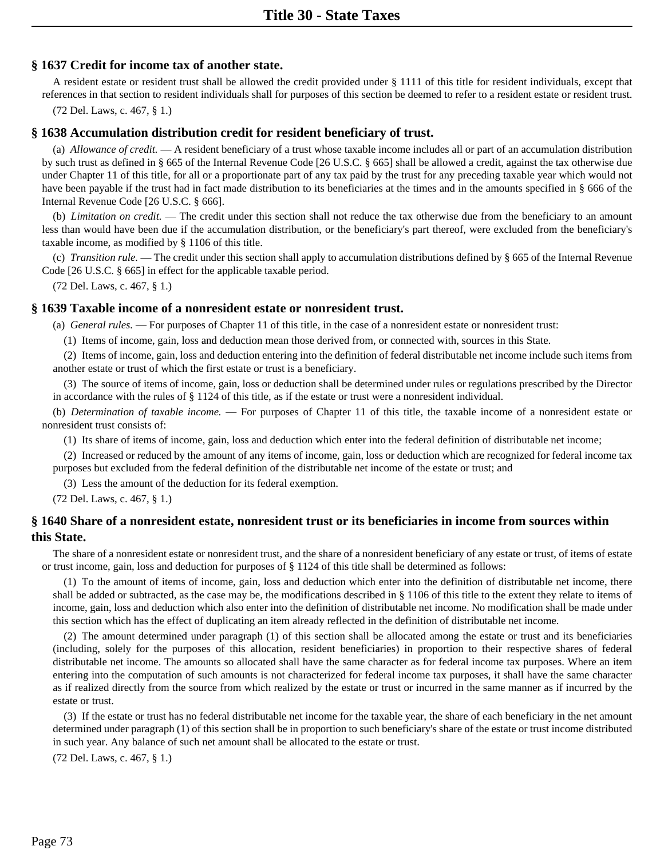## **§ 1637 Credit for income tax of another state.**

A resident estate or resident trust shall be allowed the credit provided under § 1111 of this title for resident individuals, except that references in that section to resident individuals shall for purposes of this section be deemed to refer to a resident estate or resident trust.

(72 Del. Laws, c. 467, § 1.)

#### **§ 1638 Accumulation distribution credit for resident beneficiary of trust.**

(a) *Allowance of credit.* — A resident beneficiary of a trust whose taxable income includes all or part of an accumulation distribution by such trust as defined in § 665 of the Internal Revenue Code [26 U.S.C. § 665] shall be allowed a credit, against the tax otherwise due under Chapter 11 of this title, for all or a proportionate part of any tax paid by the trust for any preceding taxable year which would not have been payable if the trust had in fact made distribution to its beneficiaries at the times and in the amounts specified in § 666 of the Internal Revenue Code [26 U.S.C. § 666].

(b) *Limitation on credit.* — The credit under this section shall not reduce the tax otherwise due from the beneficiary to an amount less than would have been due if the accumulation distribution, or the beneficiary's part thereof, were excluded from the beneficiary's taxable income, as modified by § 1106 of this title.

(c) *Transition rule.* — The credit under this section shall apply to accumulation distributions defined by § 665 of the Internal Revenue Code [26 U.S.C. § 665] in effect for the applicable taxable period.

(72 Del. Laws, c. 467, § 1.)

#### **§ 1639 Taxable income of a nonresident estate or nonresident trust.**

(a) *General rules.* — For purposes of Chapter 11 of this title, in the case of a nonresident estate or nonresident trust:

(1) Items of income, gain, loss and deduction mean those derived from, or connected with, sources in this State.

(2) Items of income, gain, loss and deduction entering into the definition of federal distributable net income include such items from another estate or trust of which the first estate or trust is a beneficiary.

(3) The source of items of income, gain, loss or deduction shall be determined under rules or regulations prescribed by the Director in accordance with the rules of § 1124 of this title, as if the estate or trust were a nonresident individual.

(b) *Determination of taxable income.* — For purposes of Chapter 11 of this title, the taxable income of a nonresident estate or nonresident trust consists of:

(1) Its share of items of income, gain, loss and deduction which enter into the federal definition of distributable net income;

(2) Increased or reduced by the amount of any items of income, gain, loss or deduction which are recognized for federal income tax purposes but excluded from the federal definition of the distributable net income of the estate or trust; and

(3) Less the amount of the deduction for its federal exemption.

(72 Del. Laws, c. 467, § 1.)

# **§ 1640 Share of a nonresident estate, nonresident trust or its beneficiaries in income from sources within this State.**

The share of a nonresident estate or nonresident trust, and the share of a nonresident beneficiary of any estate or trust, of items of estate or trust income, gain, loss and deduction for purposes of § 1124 of this title shall be determined as follows:

(1) To the amount of items of income, gain, loss and deduction which enter into the definition of distributable net income, there shall be added or subtracted, as the case may be, the modifications described in § 1106 of this title to the extent they relate to items of income, gain, loss and deduction which also enter into the definition of distributable net income. No modification shall be made under this section which has the effect of duplicating an item already reflected in the definition of distributable net income.

(2) The amount determined under paragraph (1) of this section shall be allocated among the estate or trust and its beneficiaries (including, solely for the purposes of this allocation, resident beneficiaries) in proportion to their respective shares of federal distributable net income. The amounts so allocated shall have the same character as for federal income tax purposes. Where an item entering into the computation of such amounts is not characterized for federal income tax purposes, it shall have the same character as if realized directly from the source from which realized by the estate or trust or incurred in the same manner as if incurred by the estate or trust.

(3) If the estate or trust has no federal distributable net income for the taxable year, the share of each beneficiary in the net amount determined under paragraph (1) of this section shall be in proportion to such beneficiary's share of the estate or trust income distributed in such year. Any balance of such net amount shall be allocated to the estate or trust.

(72 Del. Laws, c. 467, § 1.)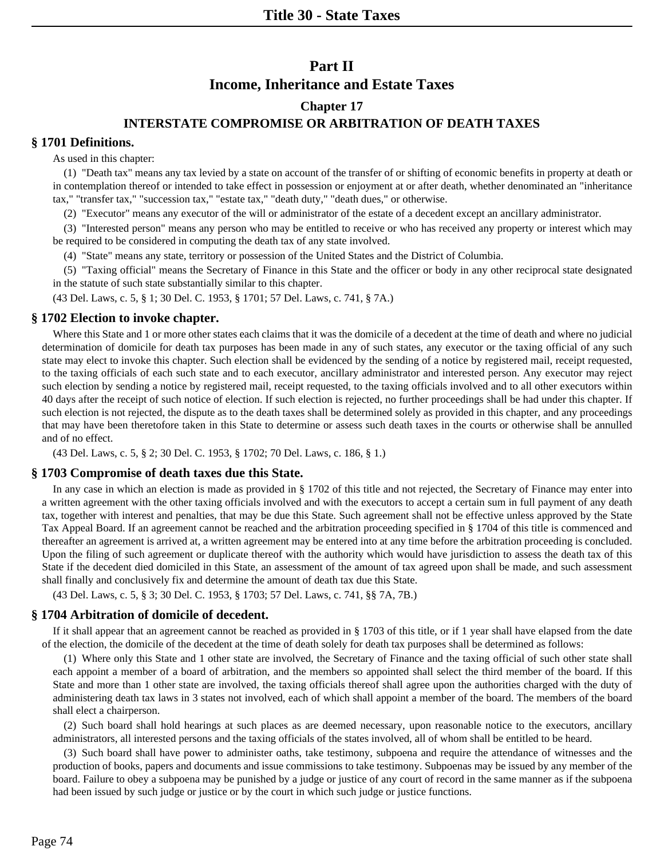# **Part II Income, Inheritance and Estate Taxes**

# **Chapter 17 INTERSTATE COMPROMISE OR ARBITRATION OF DEATH TAXES**

## **§ 1701 Definitions.**

#### As used in this chapter:

(1) "Death tax" means any tax levied by a state on account of the transfer of or shifting of economic benefits in property at death or in contemplation thereof or intended to take effect in possession or enjoyment at or after death, whether denominated an "inheritance tax," "transfer tax," "succession tax," "estate tax," "death duty," "death dues," or otherwise.

(2) "Executor" means any executor of the will or administrator of the estate of a decedent except an ancillary administrator.

(3) "Interested person" means any person who may be entitled to receive or who has received any property or interest which may be required to be considered in computing the death tax of any state involved.

(4) "State" means any state, territory or possession of the United States and the District of Columbia.

(5) "Taxing official" means the Secretary of Finance in this State and the officer or body in any other reciprocal state designated in the statute of such state substantially similar to this chapter.

(43 Del. Laws, c. 5, § 1; 30 Del. C. 1953, § 1701; 57 Del. Laws, c. 741, § 7A.)

## **§ 1702 Election to invoke chapter.**

Where this State and 1 or more other states each claims that it was the domicile of a decedent at the time of death and where no judicial determination of domicile for death tax purposes has been made in any of such states, any executor or the taxing official of any such state may elect to invoke this chapter. Such election shall be evidenced by the sending of a notice by registered mail, receipt requested, to the taxing officials of each such state and to each executor, ancillary administrator and interested person. Any executor may reject such election by sending a notice by registered mail, receipt requested, to the taxing officials involved and to all other executors within 40 days after the receipt of such notice of election. If such election is rejected, no further proceedings shall be had under this chapter. If such election is not rejected, the dispute as to the death taxes shall be determined solely as provided in this chapter, and any proceedings that may have been theretofore taken in this State to determine or assess such death taxes in the courts or otherwise shall be annulled and of no effect.

(43 Del. Laws, c. 5, § 2; 30 Del. C. 1953, § 1702; 70 Del. Laws, c. 186, § 1.)

## **§ 1703 Compromise of death taxes due this State.**

In any case in which an election is made as provided in § 1702 of this title and not rejected, the Secretary of Finance may enter into a written agreement with the other taxing officials involved and with the executors to accept a certain sum in full payment of any death tax, together with interest and penalties, that may be due this State. Such agreement shall not be effective unless approved by the State Tax Appeal Board. If an agreement cannot be reached and the arbitration proceeding specified in § 1704 of this title is commenced and thereafter an agreement is arrived at, a written agreement may be entered into at any time before the arbitration proceeding is concluded. Upon the filing of such agreement or duplicate thereof with the authority which would have jurisdiction to assess the death tax of this State if the decedent died domiciled in this State, an assessment of the amount of tax agreed upon shall be made, and such assessment shall finally and conclusively fix and determine the amount of death tax due this State.

(43 Del. Laws, c. 5, § 3; 30 Del. C. 1953, § 1703; 57 Del. Laws, c. 741, §§ 7A, 7B.)

## **§ 1704 Arbitration of domicile of decedent.**

If it shall appear that an agreement cannot be reached as provided in § 1703 of this title, or if 1 year shall have elapsed from the date of the election, the domicile of the decedent at the time of death solely for death tax purposes shall be determined as follows:

(1) Where only this State and 1 other state are involved, the Secretary of Finance and the taxing official of such other state shall each appoint a member of a board of arbitration, and the members so appointed shall select the third member of the board. If this State and more than 1 other state are involved, the taxing officials thereof shall agree upon the authorities charged with the duty of administering death tax laws in 3 states not involved, each of which shall appoint a member of the board. The members of the board shall elect a chairperson.

(2) Such board shall hold hearings at such places as are deemed necessary, upon reasonable notice to the executors, ancillary administrators, all interested persons and the taxing officials of the states involved, all of whom shall be entitled to be heard.

(3) Such board shall have power to administer oaths, take testimony, subpoena and require the attendance of witnesses and the production of books, papers and documents and issue commissions to take testimony. Subpoenas may be issued by any member of the board. Failure to obey a subpoena may be punished by a judge or justice of any court of record in the same manner as if the subpoena had been issued by such judge or justice or by the court in which such judge or justice functions.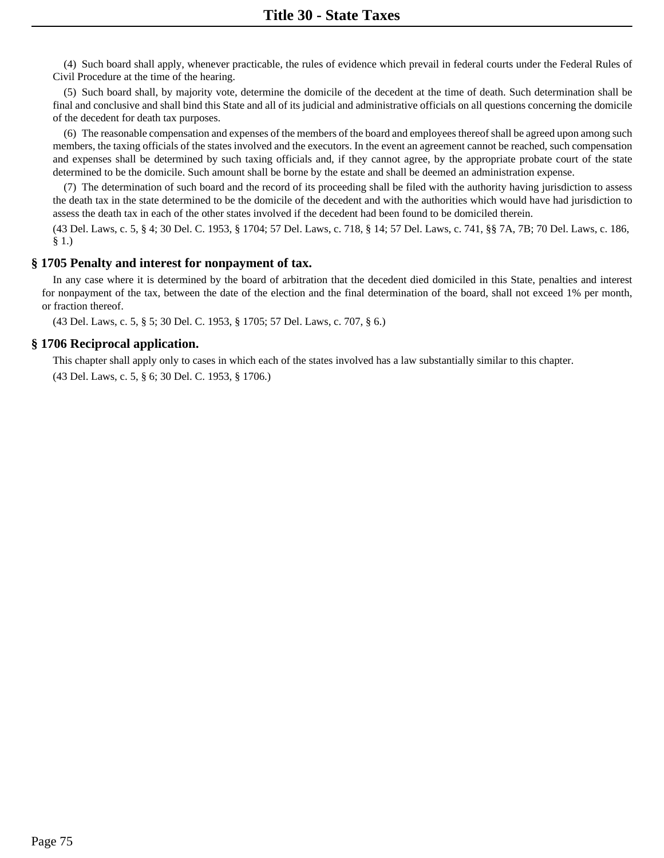(4) Such board shall apply, whenever practicable, the rules of evidence which prevail in federal courts under the Federal Rules of Civil Procedure at the time of the hearing.

(5) Such board shall, by majority vote, determine the domicile of the decedent at the time of death. Such determination shall be final and conclusive and shall bind this State and all of its judicial and administrative officials on all questions concerning the domicile of the decedent for death tax purposes.

(6) The reasonable compensation and expenses of the members of the board and employees thereof shall be agreed upon among such members, the taxing officials of the states involved and the executors. In the event an agreement cannot be reached, such compensation and expenses shall be determined by such taxing officials and, if they cannot agree, by the appropriate probate court of the state determined to be the domicile. Such amount shall be borne by the estate and shall be deemed an administration expense.

(7) The determination of such board and the record of its proceeding shall be filed with the authority having jurisdiction to assess the death tax in the state determined to be the domicile of the decedent and with the authorities which would have had jurisdiction to assess the death tax in each of the other states involved if the decedent had been found to be domiciled therein.

(43 Del. Laws, c. 5, § 4; 30 Del. C. 1953, § 1704; 57 Del. Laws, c. 718, § 14; 57 Del. Laws, c. 741, §§ 7A, 7B; 70 Del. Laws, c. 186, § 1.)

## **§ 1705 Penalty and interest for nonpayment of tax.**

In any case where it is determined by the board of arbitration that the decedent died domiciled in this State, penalties and interest for nonpayment of the tax, between the date of the election and the final determination of the board, shall not exceed 1% per month, or fraction thereof.

(43 Del. Laws, c. 5, § 5; 30 Del. C. 1953, § 1705; 57 Del. Laws, c. 707, § 6.)

## **§ 1706 Reciprocal application.**

This chapter shall apply only to cases in which each of the states involved has a law substantially similar to this chapter. (43 Del. Laws, c. 5, § 6; 30 Del. C. 1953, § 1706.)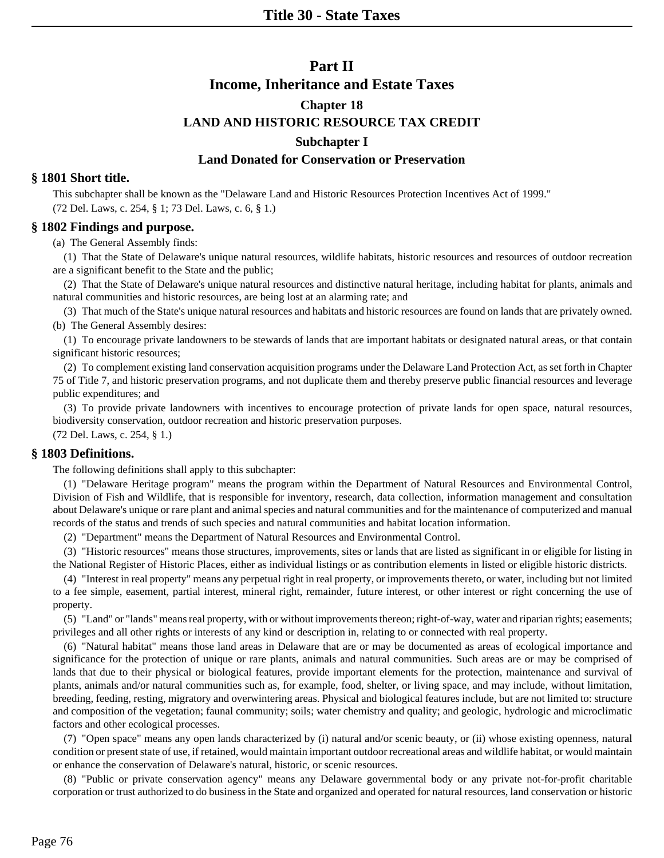# **Part II Income, Inheritance and Estate Taxes Chapter 18**

# **LAND AND HISTORIC RESOURCE TAX CREDIT**

# **Subchapter I**

# **Land Donated for Conservation or Preservation**

## **§ 1801 Short title.**

This subchapter shall be known as the "Delaware Land and Historic Resources Protection Incentives Act of 1999." (72 Del. Laws, c. 254, § 1; 73 Del. Laws, c. 6, § 1.)

## **§ 1802 Findings and purpose.**

(a) The General Assembly finds:

(1) That the State of Delaware's unique natural resources, wildlife habitats, historic resources and resources of outdoor recreation are a significant benefit to the State and the public;

(2) That the State of Delaware's unique natural resources and distinctive natural heritage, including habitat for plants, animals and natural communities and historic resources, are being lost at an alarming rate; and

(3) That much of the State's unique natural resources and habitats and historic resources are found on lands that are privately owned. (b) The General Assembly desires:

(1) To encourage private landowners to be stewards of lands that are important habitats or designated natural areas, or that contain significant historic resources;

(2) To complement existing land conservation acquisition programs under the Delaware Land Protection Act, as set forth in Chapter 75 of Title 7, and historic preservation programs, and not duplicate them and thereby preserve public financial resources and leverage public expenditures; and

(3) To provide private landowners with incentives to encourage protection of private lands for open space, natural resources, biodiversity conservation, outdoor recreation and historic preservation purposes.

(72 Del. Laws, c. 254, § 1.)

## **§ 1803 Definitions.**

The following definitions shall apply to this subchapter:

(1) "Delaware Heritage program" means the program within the Department of Natural Resources and Environmental Control, Division of Fish and Wildlife, that is responsible for inventory, research, data collection, information management and consultation about Delaware's unique or rare plant and animal species and natural communities and for the maintenance of computerized and manual records of the status and trends of such species and natural communities and habitat location information.

(2) "Department" means the Department of Natural Resources and Environmental Control.

(3) "Historic resources" means those structures, improvements, sites or lands that are listed as significant in or eligible for listing in the National Register of Historic Places, either as individual listings or as contribution elements in listed or eligible historic districts.

(4) "Interest in real property" means any perpetual right in real property, or improvements thereto, or water, including but not limited to a fee simple, easement, partial interest, mineral right, remainder, future interest, or other interest or right concerning the use of property.

(5) "Land" or "lands" means real property, with or without improvements thereon; right-of-way, water and riparian rights; easements; privileges and all other rights or interests of any kind or description in, relating to or connected with real property.

(6) "Natural habitat" means those land areas in Delaware that are or may be documented as areas of ecological importance and significance for the protection of unique or rare plants, animals and natural communities. Such areas are or may be comprised of lands that due to their physical or biological features, provide important elements for the protection, maintenance and survival of plants, animals and/or natural communities such as, for example, food, shelter, or living space, and may include, without limitation, breeding, feeding, resting, migratory and overwintering areas. Physical and biological features include, but are not limited to: structure and composition of the vegetation; faunal community; soils; water chemistry and quality; and geologic, hydrologic and microclimatic factors and other ecological processes.

(7) "Open space" means any open lands characterized by (i) natural and/or scenic beauty, or (ii) whose existing openness, natural condition or present state of use, if retained, would maintain important outdoor recreational areas and wildlife habitat, or would maintain or enhance the conservation of Delaware's natural, historic, or scenic resources.

(8) "Public or private conservation agency" means any Delaware governmental body or any private not-for-profit charitable corporation or trust authorized to do business in the State and organized and operated for natural resources, land conservation or historic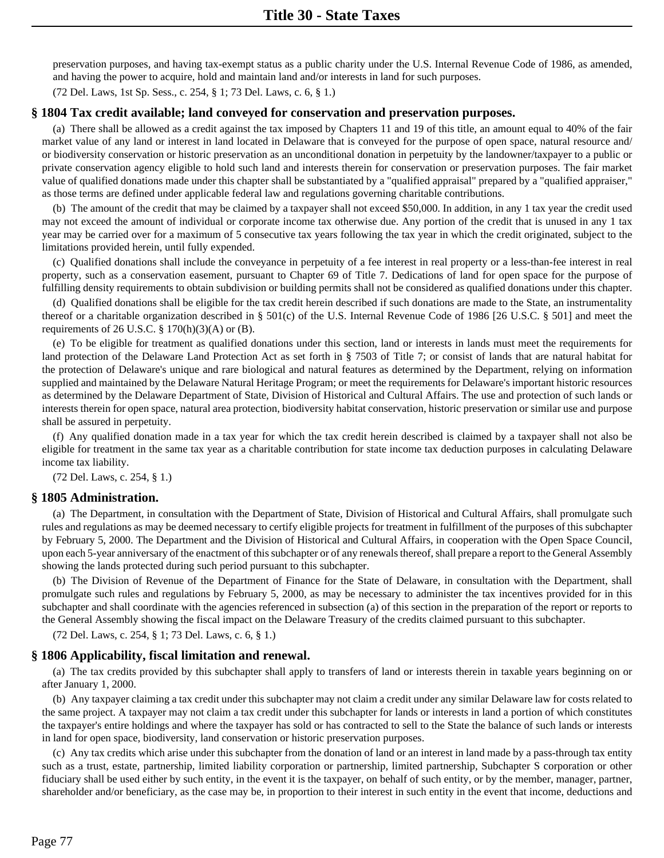preservation purposes, and having tax-exempt status as a public charity under the U.S. Internal Revenue Code of 1986, as amended, and having the power to acquire, hold and maintain land and/or interests in land for such purposes.

(72 Del. Laws, 1st Sp. Sess., c. 254, § 1; 73 Del. Laws, c. 6, § 1.)

## **§ 1804 Tax credit available; land conveyed for conservation and preservation purposes.**

(a) There shall be allowed as a credit against the tax imposed by Chapters 11 and 19 of this title, an amount equal to 40% of the fair market value of any land or interest in land located in Delaware that is conveyed for the purpose of open space, natural resource and/ or biodiversity conservation or historic preservation as an unconditional donation in perpetuity by the landowner/taxpayer to a public or private conservation agency eligible to hold such land and interests therein for conservation or preservation purposes. The fair market value of qualified donations made under this chapter shall be substantiated by a "qualified appraisal" prepared by a "qualified appraiser," as those terms are defined under applicable federal law and regulations governing charitable contributions.

(b) The amount of the credit that may be claimed by a taxpayer shall not exceed \$50,000. In addition, in any 1 tax year the credit used may not exceed the amount of individual or corporate income tax otherwise due. Any portion of the credit that is unused in any 1 tax year may be carried over for a maximum of 5 consecutive tax years following the tax year in which the credit originated, subject to the limitations provided herein, until fully expended.

(c) Qualified donations shall include the conveyance in perpetuity of a fee interest in real property or a less-than-fee interest in real property, such as a conservation easement, pursuant to Chapter 69 of Title 7. Dedications of land for open space for the purpose of fulfilling density requirements to obtain subdivision or building permits shall not be considered as qualified donations under this chapter.

(d) Qualified donations shall be eligible for the tax credit herein described if such donations are made to the State, an instrumentality thereof or a charitable organization described in § 501(c) of the U.S. Internal Revenue Code of 1986 [26 U.S.C. § 501] and meet the requirements of 26 U.S.C.  $\S 170(h)(3)(A)$  or (B).

(e) To be eligible for treatment as qualified donations under this section, land or interests in lands must meet the requirements for land protection of the Delaware Land Protection Act as set forth in § 7503 of Title 7; or consist of lands that are natural habitat for the protection of Delaware's unique and rare biological and natural features as determined by the Department, relying on information supplied and maintained by the Delaware Natural Heritage Program; or meet the requirements for Delaware's important historic resources as determined by the Delaware Department of State, Division of Historical and Cultural Affairs. The use and protection of such lands or interests therein for open space, natural area protection, biodiversity habitat conservation, historic preservation or similar use and purpose shall be assured in perpetuity.

(f) Any qualified donation made in a tax year for which the tax credit herein described is claimed by a taxpayer shall not also be eligible for treatment in the same tax year as a charitable contribution for state income tax deduction purposes in calculating Delaware income tax liability.

(72 Del. Laws, c. 254, § 1.)

#### **§ 1805 Administration.**

(a) The Department, in consultation with the Department of State, Division of Historical and Cultural Affairs, shall promulgate such rules and regulations as may be deemed necessary to certify eligible projects for treatment in fulfillment of the purposes of this subchapter by February 5, 2000. The Department and the Division of Historical and Cultural Affairs, in cooperation with the Open Space Council, upon each 5-year anniversary of the enactment of this subchapter or of any renewals thereof, shall prepare a report to the General Assembly showing the lands protected during such period pursuant to this subchapter.

(b) The Division of Revenue of the Department of Finance for the State of Delaware, in consultation with the Department, shall promulgate such rules and regulations by February 5, 2000, as may be necessary to administer the tax incentives provided for in this subchapter and shall coordinate with the agencies referenced in subsection (a) of this section in the preparation of the report or reports to the General Assembly showing the fiscal impact on the Delaware Treasury of the credits claimed pursuant to this subchapter.

(72 Del. Laws, c. 254, § 1; 73 Del. Laws, c. 6, § 1.)

# **§ 1806 Applicability, fiscal limitation and renewal.**

(a) The tax credits provided by this subchapter shall apply to transfers of land or interests therein in taxable years beginning on or after January 1, 2000.

(b) Any taxpayer claiming a tax credit under this subchapter may not claim a credit under any similar Delaware law for costs related to the same project. A taxpayer may not claim a tax credit under this subchapter for lands or interests in land a portion of which constitutes the taxpayer's entire holdings and where the taxpayer has sold or has contracted to sell to the State the balance of such lands or interests in land for open space, biodiversity, land conservation or historic preservation purposes.

(c) Any tax credits which arise under this subchapter from the donation of land or an interest in land made by a pass-through tax entity such as a trust, estate, partnership, limited liability corporation or partnership, limited partnership, Subchapter S corporation or other fiduciary shall be used either by such entity, in the event it is the taxpayer, on behalf of such entity, or by the member, manager, partner, shareholder and/or beneficiary, as the case may be, in proportion to their interest in such entity in the event that income, deductions and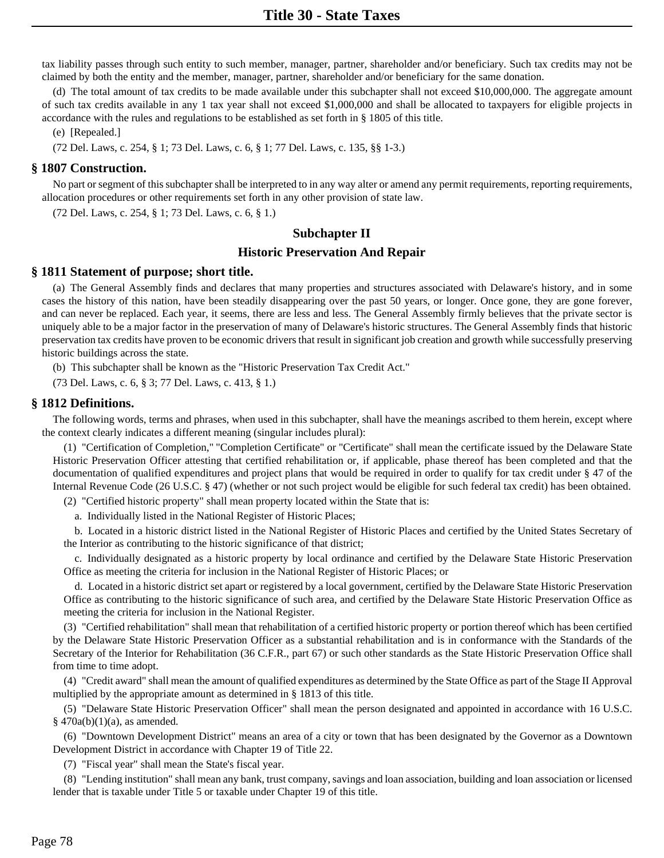tax liability passes through such entity to such member, manager, partner, shareholder and/or beneficiary. Such tax credits may not be claimed by both the entity and the member, manager, partner, shareholder and/or beneficiary for the same donation.

(d) The total amount of tax credits to be made available under this subchapter shall not exceed \$10,000,000. The aggregate amount of such tax credits available in any 1 tax year shall not exceed \$1,000,000 and shall be allocated to taxpayers for eligible projects in accordance with the rules and regulations to be established as set forth in § 1805 of this title.

(e) [Repealed.]

(72 Del. Laws, c. 254, § 1; 73 Del. Laws, c. 6, § 1; 77 Del. Laws, c. 135, §§ 1-3.)

#### **§ 1807 Construction.**

No part or segment of this subchapter shall be interpreted to in any way alter or amend any permit requirements, reporting requirements, allocation procedures or other requirements set forth in any other provision of state law.

(72 Del. Laws, c. 254, § 1; 73 Del. Laws, c. 6, § 1.)

#### **Subchapter II**

#### **Historic Preservation And Repair**

#### **§ 1811 Statement of purpose; short title.**

(a) The General Assembly finds and declares that many properties and structures associated with Delaware's history, and in some cases the history of this nation, have been steadily disappearing over the past 50 years, or longer. Once gone, they are gone forever, and can never be replaced. Each year, it seems, there are less and less. The General Assembly firmly believes that the private sector is uniquely able to be a major factor in the preservation of many of Delaware's historic structures. The General Assembly finds that historic preservation tax credits have proven to be economic drivers that result in significant job creation and growth while successfully preserving historic buildings across the state.

(b) This subchapter shall be known as the "Historic Preservation Tax Credit Act."

(73 Del. Laws, c. 6, § 3; 77 Del. Laws, c. 413, § 1.)

#### **§ 1812 Definitions.**

The following words, terms and phrases, when used in this subchapter, shall have the meanings ascribed to them herein, except where the context clearly indicates a different meaning (singular includes plural):

(1) "Certification of Completion," "Completion Certificate" or "Certificate" shall mean the certificate issued by the Delaware State Historic Preservation Officer attesting that certified rehabilitation or, if applicable, phase thereof has been completed and that the documentation of qualified expenditures and project plans that would be required in order to qualify for tax credit under § 47 of the Internal Revenue Code (26 U.S.C. § 47) (whether or not such project would be eligible for such federal tax credit) has been obtained.

(2) "Certified historic property" shall mean property located within the State that is:

a. Individually listed in the National Register of Historic Places;

b. Located in a historic district listed in the National Register of Historic Places and certified by the United States Secretary of the Interior as contributing to the historic significance of that district;

c. Individually designated as a historic property by local ordinance and certified by the Delaware State Historic Preservation Office as meeting the criteria for inclusion in the National Register of Historic Places; or

d. Located in a historic district set apart or registered by a local government, certified by the Delaware State Historic Preservation Office as contributing to the historic significance of such area, and certified by the Delaware State Historic Preservation Office as meeting the criteria for inclusion in the National Register.

(3) "Certified rehabilitation" shall mean that rehabilitation of a certified historic property or portion thereof which has been certified by the Delaware State Historic Preservation Officer as a substantial rehabilitation and is in conformance with the Standards of the Secretary of the Interior for Rehabilitation (36 C.F.R., part 67) or such other standards as the State Historic Preservation Office shall from time to time adopt.

(4) "Credit award" shall mean the amount of qualified expenditures as determined by the State Office as part of the Stage II Approval multiplied by the appropriate amount as determined in § 1813 of this title.

(5) "Delaware State Historic Preservation Officer" shall mean the person designated and appointed in accordance with 16 U.S.C.  $§$  470a(b)(1)(a), as amended.

(6) "Downtown Development District" means an area of a city or town that has been designated by the Governor as a Downtown Development District in accordance with Chapter 19 of Title 22.

(7) "Fiscal year" shall mean the State's fiscal year.

(8) "Lending institution" shall mean any bank, trust company, savings and loan association, building and loan association or licensed lender that is taxable under Title 5 or taxable under Chapter 19 of this title.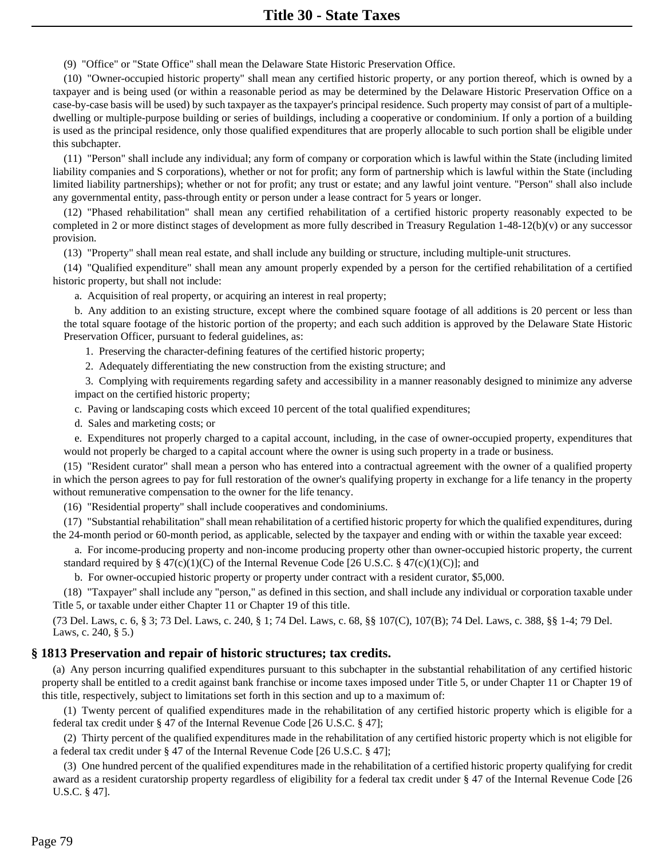(9) "Office" or "State Office" shall mean the Delaware State Historic Preservation Office.

(10) "Owner-occupied historic property" shall mean any certified historic property, or any portion thereof, which is owned by a taxpayer and is being used (or within a reasonable period as may be determined by the Delaware Historic Preservation Office on a case-by-case basis will be used) by such taxpayer as the taxpayer's principal residence. Such property may consist of part of a multipledwelling or multiple-purpose building or series of buildings, including a cooperative or condominium. If only a portion of a building is used as the principal residence, only those qualified expenditures that are properly allocable to such portion shall be eligible under this subchapter.

(11) "Person" shall include any individual; any form of company or corporation which is lawful within the State (including limited liability companies and S corporations), whether or not for profit; any form of partnership which is lawful within the State (including limited liability partnerships); whether or not for profit; any trust or estate; and any lawful joint venture. "Person" shall also include any governmental entity, pass-through entity or person under a lease contract for 5 years or longer.

(12) "Phased rehabilitation" shall mean any certified rehabilitation of a certified historic property reasonably expected to be completed in 2 or more distinct stages of development as more fully described in Treasury Regulation 1-48-12(b)(v) or any successor provision.

(13) "Property" shall mean real estate, and shall include any building or structure, including multiple-unit structures.

(14) "Qualified expenditure" shall mean any amount properly expended by a person for the certified rehabilitation of a certified historic property, but shall not include:

a. Acquisition of real property, or acquiring an interest in real property;

b. Any addition to an existing structure, except where the combined square footage of all additions is 20 percent or less than the total square footage of the historic portion of the property; and each such addition is approved by the Delaware State Historic Preservation Officer, pursuant to federal guidelines, as:

1. Preserving the character-defining features of the certified historic property;

2. Adequately differentiating the new construction from the existing structure; and

3. Complying with requirements regarding safety and accessibility in a manner reasonably designed to minimize any adverse impact on the certified historic property;

c. Paving or landscaping costs which exceed 10 percent of the total qualified expenditures;

d. Sales and marketing costs; or

e. Expenditures not properly charged to a capital account, including, in the case of owner-occupied property, expenditures that would not properly be charged to a capital account where the owner is using such property in a trade or business.

(15) "Resident curator" shall mean a person who has entered into a contractual agreement with the owner of a qualified property in which the person agrees to pay for full restoration of the owner's qualifying property in exchange for a life tenancy in the property without remunerative compensation to the owner for the life tenancy.

(16) "Residential property" shall include cooperatives and condominiums.

(17) "Substantial rehabilitation" shall mean rehabilitation of a certified historic property for which the qualified expenditures, during the 24-month period or 60-month period, as applicable, selected by the taxpayer and ending with or within the taxable year exceed:

a. For income-producing property and non-income producing property other than owner-occupied historic property, the current standard required by § 47(c)(1)(C) of the Internal Revenue Code [26 U.S.C. § 47(c)(1)(C)]; and

b. For owner-occupied historic property or property under contract with a resident curator, \$5,000.

(18) "Taxpayer" shall include any "person," as defined in this section, and shall include any individual or corporation taxable under Title 5, or taxable under either Chapter 11 or Chapter 19 of this title.

(73 Del. Laws, c. 6, § 3; 73 Del. Laws, c. 240, § 1; 74 Del. Laws, c. 68, §§ 107(C), 107(B); 74 Del. Laws, c. 388, §§ 1-4; 79 Del. Laws, c. 240, § 5.)

#### **§ 1813 Preservation and repair of historic structures; tax credits.**

(a) Any person incurring qualified expenditures pursuant to this subchapter in the substantial rehabilitation of any certified historic property shall be entitled to a credit against bank franchise or income taxes imposed under Title 5, or under Chapter 11 or Chapter 19 of this title, respectively, subject to limitations set forth in this section and up to a maximum of:

(1) Twenty percent of qualified expenditures made in the rehabilitation of any certified historic property which is eligible for a federal tax credit under § 47 of the Internal Revenue Code [26 U.S.C. § 47];

(2) Thirty percent of the qualified expenditures made in the rehabilitation of any certified historic property which is not eligible for a federal tax credit under § 47 of the Internal Revenue Code [26 U.S.C. § 47];

(3) One hundred percent of the qualified expenditures made in the rehabilitation of a certified historic property qualifying for credit award as a resident curatorship property regardless of eligibility for a federal tax credit under § 47 of the Internal Revenue Code [26 U.S.C. § 47].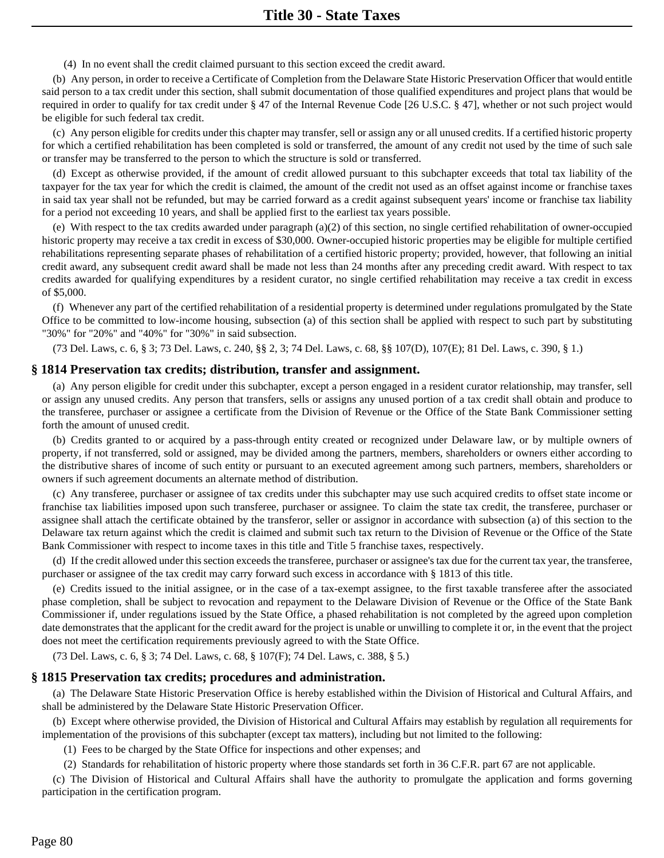(4) In no event shall the credit claimed pursuant to this section exceed the credit award.

(b) Any person, in order to receive a Certificate of Completion from the Delaware State Historic Preservation Officer that would entitle said person to a tax credit under this section, shall submit documentation of those qualified expenditures and project plans that would be required in order to qualify for tax credit under § 47 of the Internal Revenue Code [26 U.S.C. § 47], whether or not such project would be eligible for such federal tax credit.

(c) Any person eligible for credits under this chapter may transfer, sell or assign any or all unused credits. If a certified historic property for which a certified rehabilitation has been completed is sold or transferred, the amount of any credit not used by the time of such sale or transfer may be transferred to the person to which the structure is sold or transferred.

(d) Except as otherwise provided, if the amount of credit allowed pursuant to this subchapter exceeds that total tax liability of the taxpayer for the tax year for which the credit is claimed, the amount of the credit not used as an offset against income or franchise taxes in said tax year shall not be refunded, but may be carried forward as a credit against subsequent years' income or franchise tax liability for a period not exceeding 10 years, and shall be applied first to the earliest tax years possible.

(e) With respect to the tax credits awarded under paragraph (a)(2) of this section, no single certified rehabilitation of owner-occupied historic property may receive a tax credit in excess of \$30,000. Owner-occupied historic properties may be eligible for multiple certified rehabilitations representing separate phases of rehabilitation of a certified historic property; provided, however, that following an initial credit award, any subsequent credit award shall be made not less than 24 months after any preceding credit award. With respect to tax credits awarded for qualifying expenditures by a resident curator, no single certified rehabilitation may receive a tax credit in excess of \$5,000.

(f) Whenever any part of the certified rehabilitation of a residential property is determined under regulations promulgated by the State Office to be committed to low-income housing, subsection (a) of this section shall be applied with respect to such part by substituting "30%" for "20%" and "40%" for "30%" in said subsection.

(73 Del. Laws, c. 6, § 3; 73 Del. Laws, c. 240, §§ 2, 3; 74 Del. Laws, c. 68, §§ 107(D), 107(E); 81 Del. Laws, c. 390, § 1.)

#### **§ 1814 Preservation tax credits; distribution, transfer and assignment.**

(a) Any person eligible for credit under this subchapter, except a person engaged in a resident curator relationship, may transfer, sell or assign any unused credits. Any person that transfers, sells or assigns any unused portion of a tax credit shall obtain and produce to the transferee, purchaser or assignee a certificate from the Division of Revenue or the Office of the State Bank Commissioner setting forth the amount of unused credit.

(b) Credits granted to or acquired by a pass-through entity created or recognized under Delaware law, or by multiple owners of property, if not transferred, sold or assigned, may be divided among the partners, members, shareholders or owners either according to the distributive shares of income of such entity or pursuant to an executed agreement among such partners, members, shareholders or owners if such agreement documents an alternate method of distribution.

(c) Any transferee, purchaser or assignee of tax credits under this subchapter may use such acquired credits to offset state income or franchise tax liabilities imposed upon such transferee, purchaser or assignee. To claim the state tax credit, the transferee, purchaser or assignee shall attach the certificate obtained by the transferor, seller or assignor in accordance with subsection (a) of this section to the Delaware tax return against which the credit is claimed and submit such tax return to the Division of Revenue or the Office of the State Bank Commissioner with respect to income taxes in this title and Title 5 franchise taxes, respectively.

(d) If the credit allowed under this section exceeds the transferee, purchaser or assignee's tax due for the current tax year, the transferee, purchaser or assignee of the tax credit may carry forward such excess in accordance with § 1813 of this title.

(e) Credits issued to the initial assignee, or in the case of a tax-exempt assignee, to the first taxable transferee after the associated phase completion, shall be subject to revocation and repayment to the Delaware Division of Revenue or the Office of the State Bank Commissioner if, under regulations issued by the State Office, a phased rehabilitation is not completed by the agreed upon completion date demonstrates that the applicant for the credit award for the project is unable or unwilling to complete it or, in the event that the project does not meet the certification requirements previously agreed to with the State Office.

(73 Del. Laws, c. 6, § 3; 74 Del. Laws, c. 68, § 107(F); 74 Del. Laws, c. 388, § 5.)

#### **§ 1815 Preservation tax credits; procedures and administration.**

(a) The Delaware State Historic Preservation Office is hereby established within the Division of Historical and Cultural Affairs, and shall be administered by the Delaware State Historic Preservation Officer.

(b) Except where otherwise provided, the Division of Historical and Cultural Affairs may establish by regulation all requirements for implementation of the provisions of this subchapter (except tax matters), including but not limited to the following:

(1) Fees to be charged by the State Office for inspections and other expenses; and

(2) Standards for rehabilitation of historic property where those standards set forth in 36 C.F.R. part 67 are not applicable.

(c) The Division of Historical and Cultural Affairs shall have the authority to promulgate the application and forms governing participation in the certification program.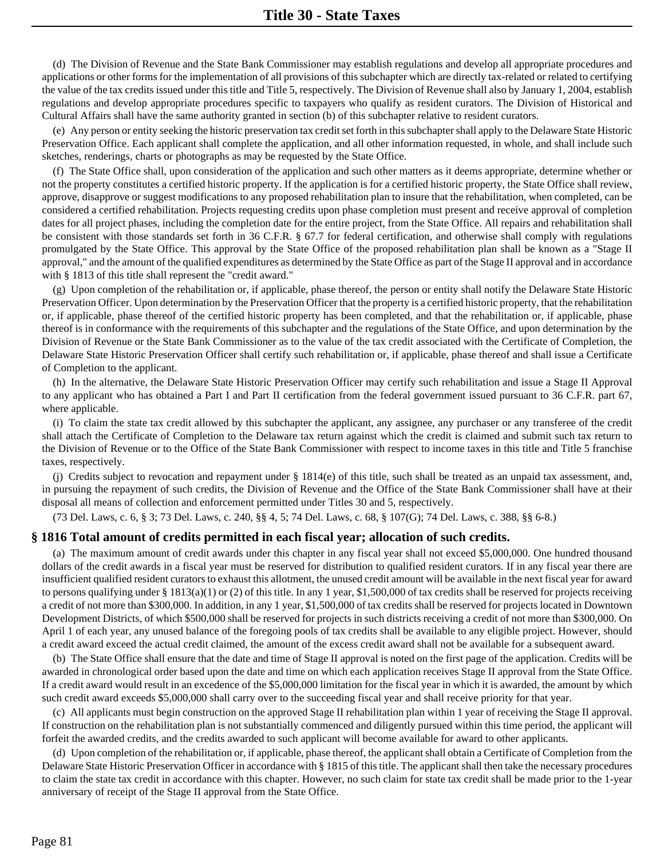(d) The Division of Revenue and the State Bank Commissioner may establish regulations and develop all appropriate procedures and applications or other forms for the implementation of all provisions of this subchapter which are directly tax-related or related to certifying the value of the tax credits issued under this title and Title 5, respectively. The Division of Revenue shall also by January 1, 2004, establish regulations and develop appropriate procedures specific to taxpayers who qualify as resident curators. The Division of Historical and Cultural Affairs shall have the same authority granted in section (b) of this subchapter relative to resident curators.

(e) Any person or entity seeking the historic preservation tax credit set forth in this subchapter shall apply to the Delaware State Historic Preservation Office. Each applicant shall complete the application, and all other information requested, in whole, and shall include such sketches, renderings, charts or photographs as may be requested by the State Office.

(f) The State Office shall, upon consideration of the application and such other matters as it deems appropriate, determine whether or not the property constitutes a certified historic property. If the application is for a certified historic property, the State Office shall review, approve, disapprove or suggest modifications to any proposed rehabilitation plan to insure that the rehabilitation, when completed, can be considered a certified rehabilitation. Projects requesting credits upon phase completion must present and receive approval of completion dates for all project phases, including the completion date for the entire project, from the State Office. All repairs and rehabilitation shall be consistent with those standards set forth in 36 C.F.R. § 67.7 for federal certification, and otherwise shall comply with regulations promulgated by the State Office. This approval by the State Office of the proposed rehabilitation plan shall be known as a "Stage II approval," and the amount of the qualified expenditures as determined by the State Office as part of the Stage II approval and in accordance with § 1813 of this title shall represent the "credit award."

(g) Upon completion of the rehabilitation or, if applicable, phase thereof, the person or entity shall notify the Delaware State Historic Preservation Officer. Upon determination by the Preservation Officer that the property is a certified historic property, that the rehabilitation or, if applicable, phase thereof of the certified historic property has been completed, and that the rehabilitation or, if applicable, phase thereof is in conformance with the requirements of this subchapter and the regulations of the State Office, and upon determination by the Division of Revenue or the State Bank Commissioner as to the value of the tax credit associated with the Certificate of Completion, the Delaware State Historic Preservation Officer shall certify such rehabilitation or, if applicable, phase thereof and shall issue a Certificate of Completion to the applicant.

(h) In the alternative, the Delaware State Historic Preservation Officer may certify such rehabilitation and issue a Stage II Approval to any applicant who has obtained a Part I and Part II certification from the federal government issued pursuant to 36 C.F.R. part 67, where applicable.

(i) To claim the state tax credit allowed by this subchapter the applicant, any assignee, any purchaser or any transferee of the credit shall attach the Certificate of Completion to the Delaware tax return against which the credit is claimed and submit such tax return to the Division of Revenue or to the Office of the State Bank Commissioner with respect to income taxes in this title and Title 5 franchise taxes, respectively.

(j) Credits subject to revocation and repayment under § 1814(e) of this title, such shall be treated as an unpaid tax assessment, and, in pursuing the repayment of such credits, the Division of Revenue and the Office of the State Bank Commissioner shall have at their disposal all means of collection and enforcement permitted under Titles 30 and 5, respectively.

(73 Del. Laws, c. 6, § 3; 73 Del. Laws, c. 240, §§ 4, 5; 74 Del. Laws, c. 68, § 107(G); 74 Del. Laws, c. 388, §§ 6-8.)

#### **§ 1816 Total amount of credits permitted in each fiscal year; allocation of such credits.**

(a) The maximum amount of credit awards under this chapter in any fiscal year shall not exceed \$5,000,000. One hundred thousand dollars of the credit awards in a fiscal year must be reserved for distribution to qualified resident curators. If in any fiscal year there are insufficient qualified resident curators to exhaust this allotment, the unused credit amount will be available in the next fiscal year for award to persons qualifying under § 1813(a)(1) or (2) of this title. In any 1 year, \$1,500,000 of tax credits shall be reserved for projects receiving a credit of not more than \$300,000. In addition, in any 1 year, \$1,500,000 of tax credits shall be reserved for projects located in Downtown Development Districts, of which \$500,000 shall be reserved for projects in such districts receiving a credit of not more than \$300,000. On April 1 of each year, any unused balance of the foregoing pools of tax credits shall be available to any eligible project. However, should a credit award exceed the actual credit claimed, the amount of the excess credit award shall not be available for a subsequent award.

(b) The State Office shall ensure that the date and time of Stage II approval is noted on the first page of the application. Credits will be awarded in chronological order based upon the date and time on which each application receives Stage II approval from the State Office. If a credit award would result in an excedence of the \$5,000,000 limitation for the fiscal year in which it is awarded, the amount by which such credit award exceeds \$5,000,000 shall carry over to the succeeding fiscal year and shall receive priority for that year.

(c) All applicants must begin construction on the approved Stage II rehabilitation plan within 1 year of receiving the Stage II approval. If construction on the rehabilitation plan is not substantially commenced and diligently pursued within this time period, the applicant will forfeit the awarded credits, and the credits awarded to such applicant will become available for award to other applicants.

(d) Upon completion of the rehabilitation or, if applicable, phase thereof, the applicant shall obtain a Certificate of Completion from the Delaware State Historic Preservation Officer in accordance with § 1815 of this title. The applicant shall then take the necessary procedures to claim the state tax credit in accordance with this chapter. However, no such claim for state tax credit shall be made prior to the 1-year anniversary of receipt of the Stage II approval from the State Office.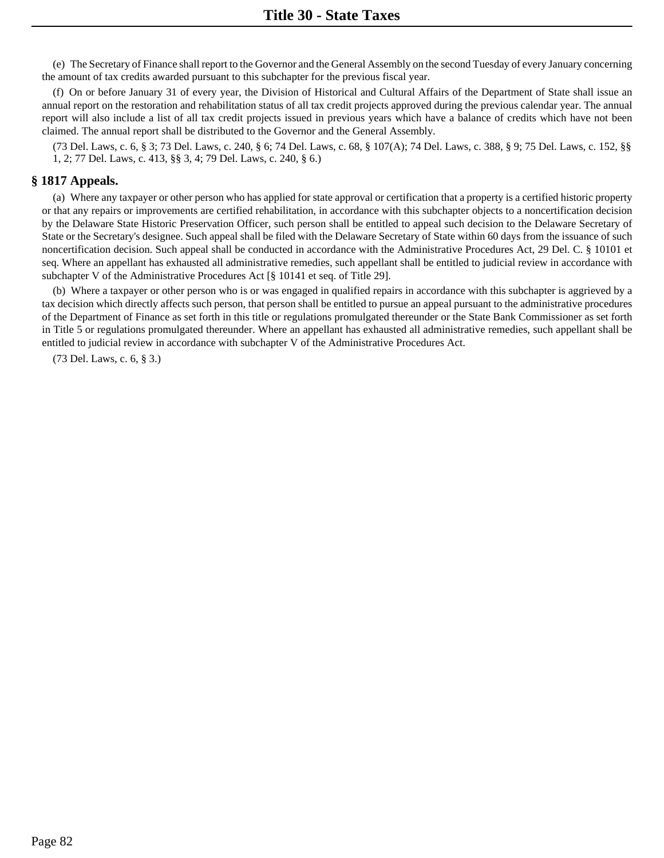(e) The Secretary of Finance shall report to the Governor and the General Assembly on the second Tuesday of every January concerning the amount of tax credits awarded pursuant to this subchapter for the previous fiscal year.

(f) On or before January 31 of every year, the Division of Historical and Cultural Affairs of the Department of State shall issue an annual report on the restoration and rehabilitation status of all tax credit projects approved during the previous calendar year. The annual report will also include a list of all tax credit projects issued in previous years which have a balance of credits which have not been claimed. The annual report shall be distributed to the Governor and the General Assembly.

(73 Del. Laws, c. 6, § 3; 73 Del. Laws, c. 240, § 6; 74 Del. Laws, c. 68, § 107(A); 74 Del. Laws, c. 388, § 9; 75 Del. Laws, c. 152, §§ 1, 2; 77 Del. Laws, c. 413, §§ 3, 4; 79 Del. Laws, c. 240, § 6.)

#### **§ 1817 Appeals.**

(a) Where any taxpayer or other person who has applied for state approval or certification that a property is a certified historic property or that any repairs or improvements are certified rehabilitation, in accordance with this subchapter objects to a noncertification decision by the Delaware State Historic Preservation Officer, such person shall be entitled to appeal such decision to the Delaware Secretary of State or the Secretary's designee. Such appeal shall be filed with the Delaware Secretary of State within 60 days from the issuance of such noncertification decision. Such appeal shall be conducted in accordance with the Administrative Procedures Act, 29 Del. C. § 10101 et seq. Where an appellant has exhausted all administrative remedies, such appellant shall be entitled to judicial review in accordance with subchapter V of the Administrative Procedures Act [§ 10141 et seq. of Title 29].

(b) Where a taxpayer or other person who is or was engaged in qualified repairs in accordance with this subchapter is aggrieved by a tax decision which directly affects such person, that person shall be entitled to pursue an appeal pursuant to the administrative procedures of the Department of Finance as set forth in this title or regulations promulgated thereunder or the State Bank Commissioner as set forth in Title 5 or regulations promulgated thereunder. Where an appellant has exhausted all administrative remedies, such appellant shall be entitled to judicial review in accordance with subchapter V of the Administrative Procedures Act.

(73 Del. Laws, c. 6, § 3.)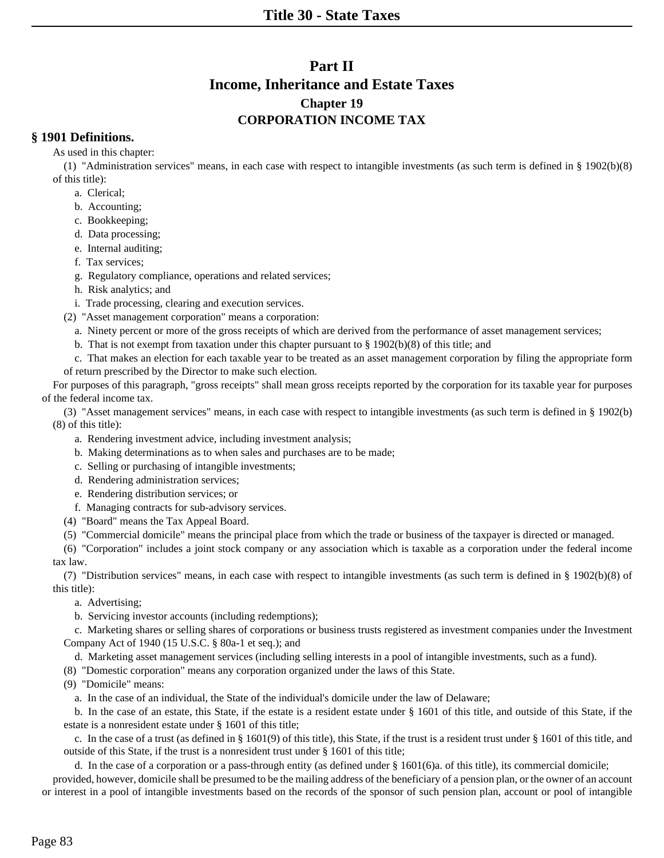# **Part II Income, Inheritance and Estate Taxes Chapter 19 CORPORATION INCOME TAX**

## **§ 1901 Definitions.**

As used in this chapter:

(1) "Administration services" means, in each case with respect to intangible investments (as such term is defined in § 1902(b)(8) of this title):

- a. Clerical;
- b. Accounting;
- c. Bookkeeping;
- d. Data processing;
- e. Internal auditing;
- f. Tax services;
- g. Regulatory compliance, operations and related services;
- h. Risk analytics; and
- i. Trade processing, clearing and execution services.
- (2) "Asset management corporation" means a corporation:
	- a. Ninety percent or more of the gross receipts of which are derived from the performance of asset management services;
	- b. That is not exempt from taxation under this chapter pursuant to  $\S 1902(b)(8)$  of this title; and
- c. That makes an election for each taxable year to be treated as an asset management corporation by filing the appropriate form
- of return prescribed by the Director to make such election.

For purposes of this paragraph, "gross receipts" shall mean gross receipts reported by the corporation for its taxable year for purposes of the federal income tax.

(3) "Asset management services" means, in each case with respect to intangible investments (as such term is defined in § 1902(b) (8) of this title):

- a. Rendering investment advice, including investment analysis;
- b. Making determinations as to when sales and purchases are to be made;
- c. Selling or purchasing of intangible investments;
- d. Rendering administration services;
- e. Rendering distribution services; or
- f. Managing contracts for sub-advisory services.
- (4) "Board" means the Tax Appeal Board.
- (5) "Commercial domicile" means the principal place from which the trade or business of the taxpayer is directed or managed.

(6) "Corporation" includes a joint stock company or any association which is taxable as a corporation under the federal income tax law.

(7) "Distribution services" means, in each case with respect to intangible investments (as such term is defined in § 1902(b)(8) of this title):

- a. Advertising;
- b. Servicing investor accounts (including redemptions);

c. Marketing shares or selling shares of corporations or business trusts registered as investment companies under the Investment Company Act of 1940 (15 U.S.C. § 80a-1 et seq.); and

d. Marketing asset management services (including selling interests in a pool of intangible investments, such as a fund).

- (8) "Domestic corporation" means any corporation organized under the laws of this State.
- (9) "Domicile" means:
	- a. In the case of an individual, the State of the individual's domicile under the law of Delaware;

b. In the case of an estate, this State, if the estate is a resident estate under § 1601 of this title, and outside of this State, if the estate is a nonresident estate under § 1601 of this title;

c. In the case of a trust (as defined in § 1601(9) of this title), this State, if the trust is a resident trust under § 1601 of this title, and outside of this State, if the trust is a nonresident trust under § 1601 of this title;

d. In the case of a corporation or a pass-through entity (as defined under  $\S 1601(6)$ a. of this title), its commercial domicile;

provided, however, domicile shall be presumed to be the mailing address of the beneficiary of a pension plan, or the owner of an account or interest in a pool of intangible investments based on the records of the sponsor of such pension plan, account or pool of intangible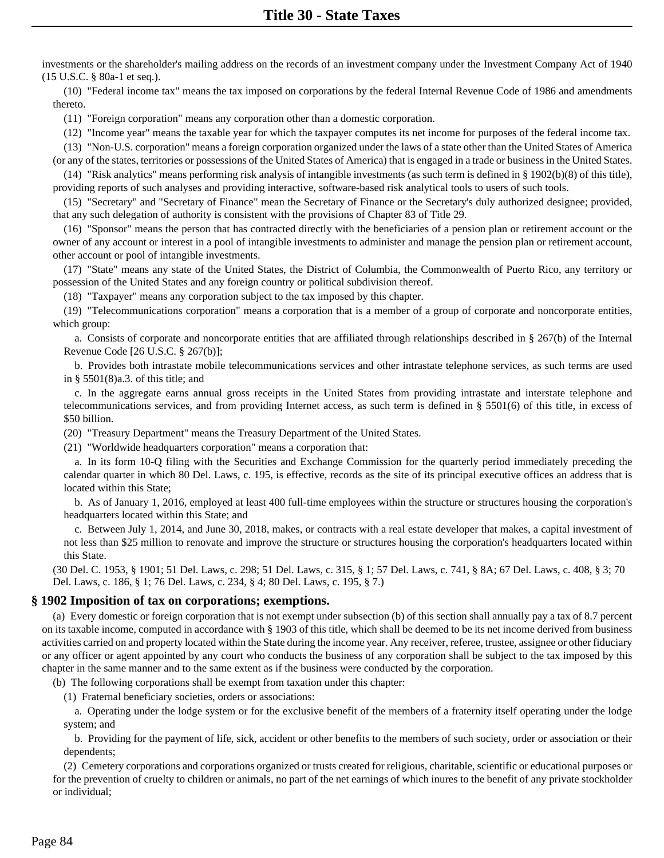investments or the shareholder's mailing address on the records of an investment company under the Investment Company Act of 1940 (15 U.S.C. § 80a-1 et seq.).

(10) "Federal income tax" means the tax imposed on corporations by the federal Internal Revenue Code of 1986 and amendments thereto.

(11) "Foreign corporation" means any corporation other than a domestic corporation.

(12) "Income year" means the taxable year for which the taxpayer computes its net income for purposes of the federal income tax.

(13) "Non-U.S. corporation" means a foreign corporation organized under the laws of a state other than the United States of America (or any of the states, territories or possessions of the United States of America) that is engaged in a trade or business in the United States.

(14) "Risk analytics" means performing risk analysis of intangible investments (as such term is defined in § 1902(b)(8) of this title), providing reports of such analyses and providing interactive, software-based risk analytical tools to users of such tools.

(15) "Secretary" and "Secretary of Finance" mean the Secretary of Finance or the Secretary's duly authorized designee; provided, that any such delegation of authority is consistent with the provisions of Chapter 83 of Title 29.

(16) "Sponsor" means the person that has contracted directly with the beneficiaries of a pension plan or retirement account or the owner of any account or interest in a pool of intangible investments to administer and manage the pension plan or retirement account, other account or pool of intangible investments.

(17) "State" means any state of the United States, the District of Columbia, the Commonwealth of Puerto Rico, any territory or possession of the United States and any foreign country or political subdivision thereof.

(18) "Taxpayer" means any corporation subject to the tax imposed by this chapter.

(19) "Telecommunications corporation" means a corporation that is a member of a group of corporate and noncorporate entities, which group:

a. Consists of corporate and noncorporate entities that are affiliated through relationships described in § 267(b) of the Internal Revenue Code [26 U.S.C. § 267(b)];

b. Provides both intrastate mobile telecommunications services and other intrastate telephone services, as such terms are used in § 5501(8)a.3. of this title; and

c. In the aggregate earns annual gross receipts in the United States from providing intrastate and interstate telephone and telecommunications services, and from providing Internet access, as such term is defined in § 5501(6) of this title, in excess of \$50 billion.

(20) "Treasury Department" means the Treasury Department of the United States.

(21) "Worldwide headquarters corporation" means a corporation that:

a. In its form 10-Q filing with the Securities and Exchange Commission for the quarterly period immediately preceding the calendar quarter in which 80 Del. Laws, c. 195, is effective, records as the site of its principal executive offices an address that is located within this State;

b. As of January 1, 2016, employed at least 400 full-time employees within the structure or structures housing the corporation's headquarters located within this State; and

c. Between July 1, 2014, and June 30, 2018, makes, or contracts with a real estate developer that makes, a capital investment of not less than \$25 million to renovate and improve the structure or structures housing the corporation's headquarters located within this State.

(30 Del. C. 1953, § 1901; 51 Del. Laws, c. 298; 51 Del. Laws, c. 315, § 1; 57 Del. Laws, c. 741, § 8A; 67 Del. Laws, c. 408, § 3; 70 Del. Laws, c. 186, § 1; 76 Del. Laws, c. 234, § 4; 80 Del. Laws, c. 195, § 7.)

#### **§ 1902 Imposition of tax on corporations; exemptions.**

(a) Every domestic or foreign corporation that is not exempt under subsection (b) of this section shall annually pay a tax of 8.7 percent on its taxable income, computed in accordance with § 1903 of this title, which shall be deemed to be its net income derived from business activities carried on and property located within the State during the income year. Any receiver, referee, trustee, assignee or other fiduciary or any officer or agent appointed by any court who conducts the business of any corporation shall be subject to the tax imposed by this chapter in the same manner and to the same extent as if the business were conducted by the corporation.

(b) The following corporations shall be exempt from taxation under this chapter:

(1) Fraternal beneficiary societies, orders or associations:

a. Operating under the lodge system or for the exclusive benefit of the members of a fraternity itself operating under the lodge system; and

b. Providing for the payment of life, sick, accident or other benefits to the members of such society, order or association or their dependents;

(2) Cemetery corporations and corporations organized or trusts created for religious, charitable, scientific or educational purposes or for the prevention of cruelty to children or animals, no part of the net earnings of which inures to the benefit of any private stockholder or individual;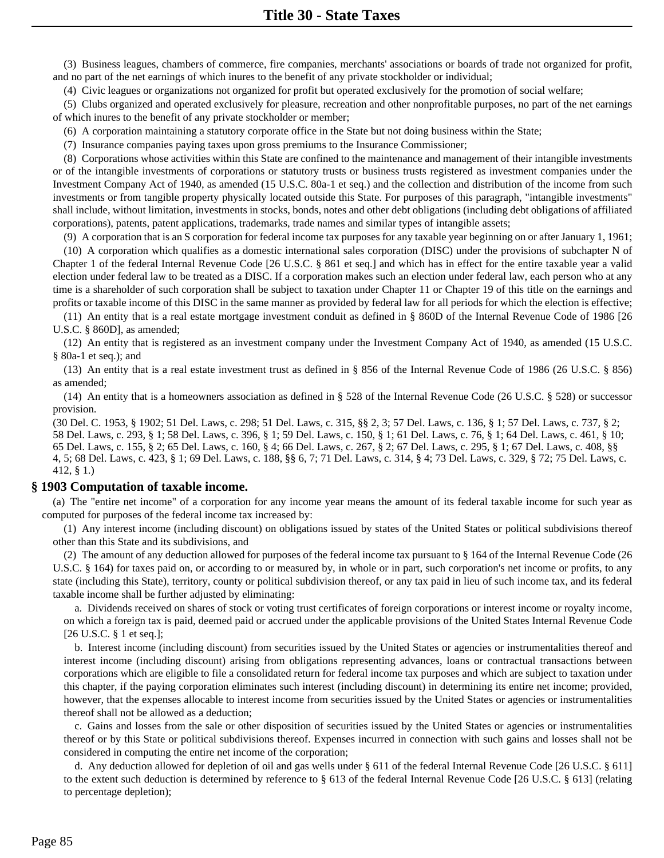(3) Business leagues, chambers of commerce, fire companies, merchants' associations or boards of trade not organized for profit, and no part of the net earnings of which inures to the benefit of any private stockholder or individual;

(4) Civic leagues or organizations not organized for profit but operated exclusively for the promotion of social welfare;

(5) Clubs organized and operated exclusively for pleasure, recreation and other nonprofitable purposes, no part of the net earnings of which inures to the benefit of any private stockholder or member;

(6) A corporation maintaining a statutory corporate office in the State but not doing business within the State;

(7) Insurance companies paying taxes upon gross premiums to the Insurance Commissioner;

(8) Corporations whose activities within this State are confined to the maintenance and management of their intangible investments or of the intangible investments of corporations or statutory trusts or business trusts registered as investment companies under the Investment Company Act of 1940, as amended (15 U.S.C. 80a-1 et seq.) and the collection and distribution of the income from such investments or from tangible property physically located outside this State. For purposes of this paragraph, "intangible investments" shall include, without limitation, investments in stocks, bonds, notes and other debt obligations (including debt obligations of affiliated corporations), patents, patent applications, trademarks, trade names and similar types of intangible assets;

(9) A corporation that is an S corporation for federal income tax purposes for any taxable year beginning on or after January 1, 1961;

(10) A corporation which qualifies as a domestic international sales corporation (DISC) under the provisions of subchapter N of Chapter 1 of the federal Internal Revenue Code [26 U.S.C. § 861 et seq.] and which has in effect for the entire taxable year a valid election under federal law to be treated as a DISC. If a corporation makes such an election under federal law, each person who at any time is a shareholder of such corporation shall be subject to taxation under Chapter 11 or Chapter 19 of this title on the earnings and profits or taxable income of this DISC in the same manner as provided by federal law for all periods for which the election is effective;

(11) An entity that is a real estate mortgage investment conduit as defined in § 860D of the Internal Revenue Code of 1986 [26 U.S.C. § 860D], as amended;

(12) An entity that is registered as an investment company under the Investment Company Act of 1940, as amended (15 U.S.C. § 80a-1 et seq.); and

(13) An entity that is a real estate investment trust as defined in § 856 of the Internal Revenue Code of 1986 (26 U.S.C. § 856) as amended;

(14) An entity that is a homeowners association as defined in § 528 of the Internal Revenue Code (26 U.S.C. § 528) or successor provision.

(30 Del. C. 1953, § 1902; 51 Del. Laws, c. 298; 51 Del. Laws, c. 315, §§ 2, 3; 57 Del. Laws, c. 136, § 1; 57 Del. Laws, c. 737, § 2; 58 Del. Laws, c. 293, § 1; 58 Del. Laws, c. 396, § 1; 59 Del. Laws, c. 150, § 1; 61 Del. Laws, c. 76, § 1; 64 Del. Laws, c. 461, § 10; 65 Del. Laws, c. 155, § 2; 65 Del. Laws, c. 160, § 4; 66 Del. Laws, c. 267, § 2; 67 Del. Laws, c. 295, § 1; 67 Del. Laws, c. 408, §§ 4, 5; 68 Del. Laws, c. 423, § 1; 69 Del. Laws, c. 188, §§ 6, 7; 71 Del. Laws, c. 314, § 4; 73 Del. Laws, c. 329, § 72; 75 Del. Laws, c. 412, § 1.)

## **§ 1903 Computation of taxable income.**

(a) The "entire net income" of a corporation for any income year means the amount of its federal taxable income for such year as computed for purposes of the federal income tax increased by:

(1) Any interest income (including discount) on obligations issued by states of the United States or political subdivisions thereof other than this State and its subdivisions, and

(2) The amount of any deduction allowed for purposes of the federal income tax pursuant to § 164 of the Internal Revenue Code (26 U.S.C. § 164) for taxes paid on, or according to or measured by, in whole or in part, such corporation's net income or profits, to any state (including this State), territory, county or political subdivision thereof, or any tax paid in lieu of such income tax, and its federal taxable income shall be further adjusted by eliminating:

a. Dividends received on shares of stock or voting trust certificates of foreign corporations or interest income or royalty income, on which a foreign tax is paid, deemed paid or accrued under the applicable provisions of the United States Internal Revenue Code [26 U.S.C. § 1 et seq.];

b. Interest income (including discount) from securities issued by the United States or agencies or instrumentalities thereof and interest income (including discount) arising from obligations representing advances, loans or contractual transactions between corporations which are eligible to file a consolidated return for federal income tax purposes and which are subject to taxation under this chapter, if the paying corporation eliminates such interest (including discount) in determining its entire net income; provided, however, that the expenses allocable to interest income from securities issued by the United States or agencies or instrumentalities thereof shall not be allowed as a deduction;

c. Gains and losses from the sale or other disposition of securities issued by the United States or agencies or instrumentalities thereof or by this State or political subdivisions thereof. Expenses incurred in connection with such gains and losses shall not be considered in computing the entire net income of the corporation;

d. Any deduction allowed for depletion of oil and gas wells under § 611 of the federal Internal Revenue Code [26 U.S.C. § 611] to the extent such deduction is determined by reference to § 613 of the federal Internal Revenue Code [26 U.S.C. § 613] (relating to percentage depletion);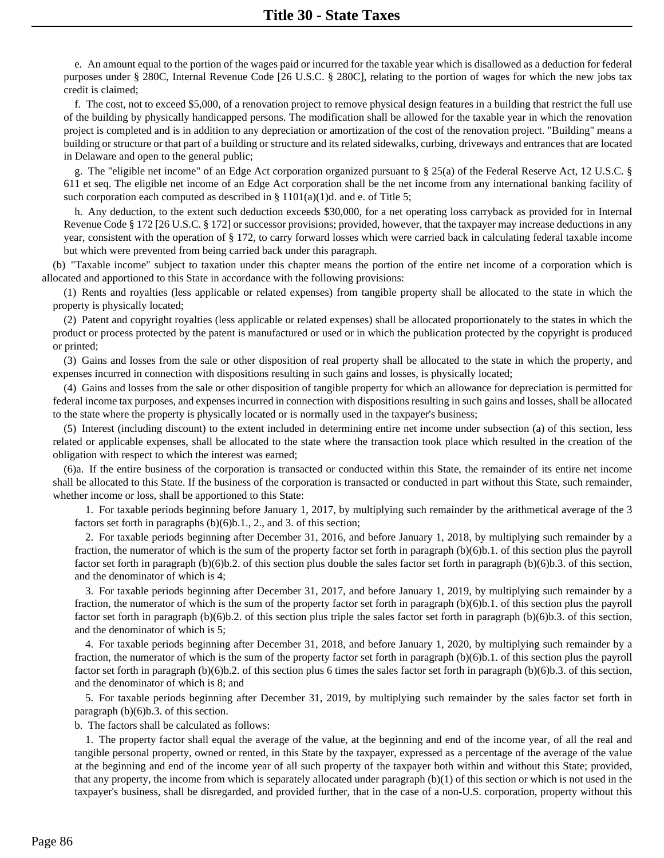e. An amount equal to the portion of the wages paid or incurred for the taxable year which is disallowed as a deduction for federal purposes under § 280C, Internal Revenue Code [26 U.S.C. § 280C], relating to the portion of wages for which the new jobs tax credit is claimed;

f. The cost, not to exceed \$5,000, of a renovation project to remove physical design features in a building that restrict the full use of the building by physically handicapped persons. The modification shall be allowed for the taxable year in which the renovation project is completed and is in addition to any depreciation or amortization of the cost of the renovation project. "Building" means a building or structure or that part of a building or structure and its related sidewalks, curbing, driveways and entrances that are located in Delaware and open to the general public;

g. The "eligible net income" of an Edge Act corporation organized pursuant to § 25(a) of the Federal Reserve Act, 12 U.S.C. § 611 et seq. The eligible net income of an Edge Act corporation shall be the net income from any international banking facility of such corporation each computed as described in  $\S 1101(a)(1)d$ . and e. of Title 5;

h. Any deduction, to the extent such deduction exceeds \$30,000, for a net operating loss carryback as provided for in Internal Revenue Code § 172 [26 U.S.C. § 172] or successor provisions; provided, however, that the taxpayer may increase deductions in any year, consistent with the operation of § 172, to carry forward losses which were carried back in calculating federal taxable income but which were prevented from being carried back under this paragraph.

(b) "Taxable income" subject to taxation under this chapter means the portion of the entire net income of a corporation which is allocated and apportioned to this State in accordance with the following provisions:

(1) Rents and royalties (less applicable or related expenses) from tangible property shall be allocated to the state in which the property is physically located;

(2) Patent and copyright royalties (less applicable or related expenses) shall be allocated proportionately to the states in which the product or process protected by the patent is manufactured or used or in which the publication protected by the copyright is produced or printed;

(3) Gains and losses from the sale or other disposition of real property shall be allocated to the state in which the property, and expenses incurred in connection with dispositions resulting in such gains and losses, is physically located;

(4) Gains and losses from the sale or other disposition of tangible property for which an allowance for depreciation is permitted for federal income tax purposes, and expenses incurred in connection with dispositions resulting in such gains and losses, shall be allocated to the state where the property is physically located or is normally used in the taxpayer's business;

(5) Interest (including discount) to the extent included in determining entire net income under subsection (a) of this section, less related or applicable expenses, shall be allocated to the state where the transaction took place which resulted in the creation of the obligation with respect to which the interest was earned;

(6)a. If the entire business of the corporation is transacted or conducted within this State, the remainder of its entire net income shall be allocated to this State. If the business of the corporation is transacted or conducted in part without this State, such remainder, whether income or loss, shall be apportioned to this State:

1. For taxable periods beginning before January 1, 2017, by multiplying such remainder by the arithmetical average of the 3 factors set forth in paragraphs (b)(6)b.1., 2., and 3. of this section;

2. For taxable periods beginning after December 31, 2016, and before January 1, 2018, by multiplying such remainder by a fraction, the numerator of which is the sum of the property factor set forth in paragraph (b)(6)b.1. of this section plus the payroll factor set forth in paragraph (b)(6)b.2. of this section plus double the sales factor set forth in paragraph (b)(6)b.3. of this section, and the denominator of which is 4;

3. For taxable periods beginning after December 31, 2017, and before January 1, 2019, by multiplying such remainder by a fraction, the numerator of which is the sum of the property factor set forth in paragraph (b)(6)b.1. of this section plus the payroll factor set forth in paragraph (b)(6)b.2. of this section plus triple the sales factor set forth in paragraph (b)(6)b.3. of this section, and the denominator of which is 5;

4. For taxable periods beginning after December 31, 2018, and before January 1, 2020, by multiplying such remainder by a fraction, the numerator of which is the sum of the property factor set forth in paragraph (b)(6)b.1. of this section plus the payroll factor set forth in paragraph (b)(6)b.2. of this section plus 6 times the sales factor set forth in paragraph (b)(6)b.3. of this section, and the denominator of which is 8; and

5. For taxable periods beginning after December 31, 2019, by multiplying such remainder by the sales factor set forth in paragraph  $(b)(6)b.3$ . of this section.

b. The factors shall be calculated as follows:

1. The property factor shall equal the average of the value, at the beginning and end of the income year, of all the real and tangible personal property, owned or rented, in this State by the taxpayer, expressed as a percentage of the average of the value at the beginning and end of the income year of all such property of the taxpayer both within and without this State; provided, that any property, the income from which is separately allocated under paragraph (b)(1) of this section or which is not used in the taxpayer's business, shall be disregarded, and provided further, that in the case of a non-U.S. corporation, property without this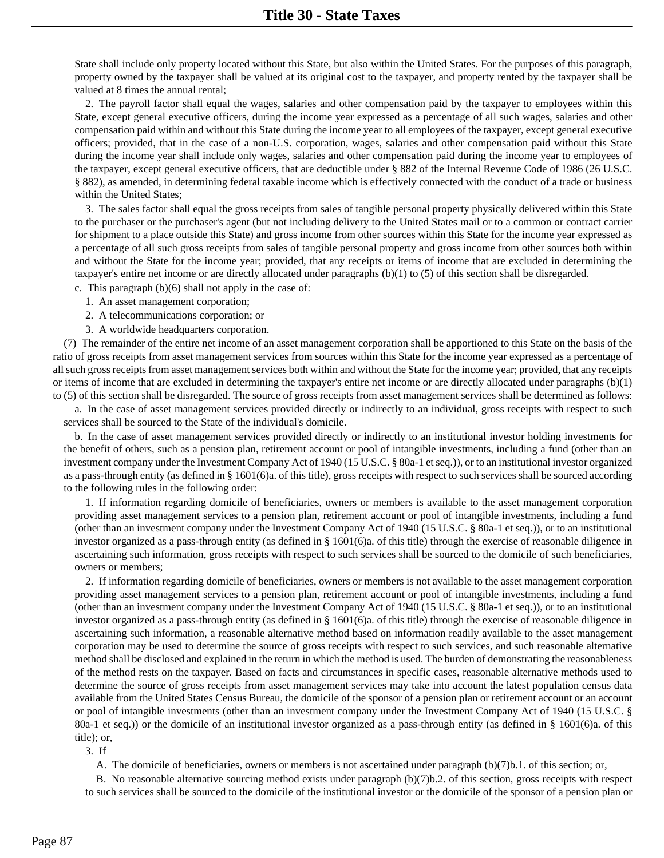State shall include only property located without this State, but also within the United States. For the purposes of this paragraph, property owned by the taxpayer shall be valued at its original cost to the taxpayer, and property rented by the taxpayer shall be valued at 8 times the annual rental;

2. The payroll factor shall equal the wages, salaries and other compensation paid by the taxpayer to employees within this State, except general executive officers, during the income year expressed as a percentage of all such wages, salaries and other compensation paid within and without this State during the income year to all employees of the taxpayer, except general executive officers; provided, that in the case of a non-U.S. corporation, wages, salaries and other compensation paid without this State during the income year shall include only wages, salaries and other compensation paid during the income year to employees of the taxpayer, except general executive officers, that are deductible under § 882 of the Internal Revenue Code of 1986 (26 U.S.C. § 882), as amended, in determining federal taxable income which is effectively connected with the conduct of a trade or business within the United States;

3. The sales factor shall equal the gross receipts from sales of tangible personal property physically delivered within this State to the purchaser or the purchaser's agent (but not including delivery to the United States mail or to a common or contract carrier for shipment to a place outside this State) and gross income from other sources within this State for the income year expressed as a percentage of all such gross receipts from sales of tangible personal property and gross income from other sources both within and without the State for the income year; provided, that any receipts or items of income that are excluded in determining the taxpayer's entire net income or are directly allocated under paragraphs (b)(1) to (5) of this section shall be disregarded.

c. This paragraph (b)(6) shall not apply in the case of:

- 1. An asset management corporation;
- 2. A telecommunications corporation; or
- 3. A worldwide headquarters corporation.

(7) The remainder of the entire net income of an asset management corporation shall be apportioned to this State on the basis of the ratio of gross receipts from asset management services from sources within this State for the income year expressed as a percentage of all such gross receipts from asset management services both within and without the State for the income year; provided, that any receipts or items of income that are excluded in determining the taxpayer's entire net income or are directly allocated under paragraphs (b)(1) to (5) of this section shall be disregarded. The source of gross receipts from asset management services shall be determined as follows:

a. In the case of asset management services provided directly or indirectly to an individual, gross receipts with respect to such services shall be sourced to the State of the individual's domicile.

b. In the case of asset management services provided directly or indirectly to an institutional investor holding investments for the benefit of others, such as a pension plan, retirement account or pool of intangible investments, including a fund (other than an investment company under the Investment Company Act of 1940 (15 U.S.C. § 80a-1 et seq.)), or to an institutional investor organized as a pass-through entity (as defined in § 1601(6)a. of this title), gross receipts with respect to such services shall be sourced according to the following rules in the following order:

1. If information regarding domicile of beneficiaries, owners or members is available to the asset management corporation providing asset management services to a pension plan, retirement account or pool of intangible investments, including a fund (other than an investment company under the Investment Company Act of 1940 (15 U.S.C. § 80a-1 et seq.)), or to an institutional investor organized as a pass-through entity (as defined in § 1601(6)a. of this title) through the exercise of reasonable diligence in ascertaining such information, gross receipts with respect to such services shall be sourced to the domicile of such beneficiaries, owners or members;

2. If information regarding domicile of beneficiaries, owners or members is not available to the asset management corporation providing asset management services to a pension plan, retirement account or pool of intangible investments, including a fund (other than an investment company under the Investment Company Act of 1940 (15 U.S.C. § 80a-1 et seq.)), or to an institutional investor organized as a pass-through entity (as defined in § 1601(6)a. of this title) through the exercise of reasonable diligence in ascertaining such information, a reasonable alternative method based on information readily available to the asset management corporation may be used to determine the source of gross receipts with respect to such services, and such reasonable alternative method shall be disclosed and explained in the return in which the method is used. The burden of demonstrating the reasonableness of the method rests on the taxpayer. Based on facts and circumstances in specific cases, reasonable alternative methods used to determine the source of gross receipts from asset management services may take into account the latest population census data available from the United States Census Bureau, the domicile of the sponsor of a pension plan or retirement account or an account or pool of intangible investments (other than an investment company under the Investment Company Act of 1940 (15 U.S.C. § 80a-1 et seq.)) or the domicile of an institutional investor organized as a pass-through entity (as defined in § 1601(6)a. of this title); or,

3. If

A. The domicile of beneficiaries, owners or members is not ascertained under paragraph (b)(7)b.1. of this section; or,

B. No reasonable alternative sourcing method exists under paragraph (b)(7)b.2. of this section, gross receipts with respect to such services shall be sourced to the domicile of the institutional investor or the domicile of the sponsor of a pension plan or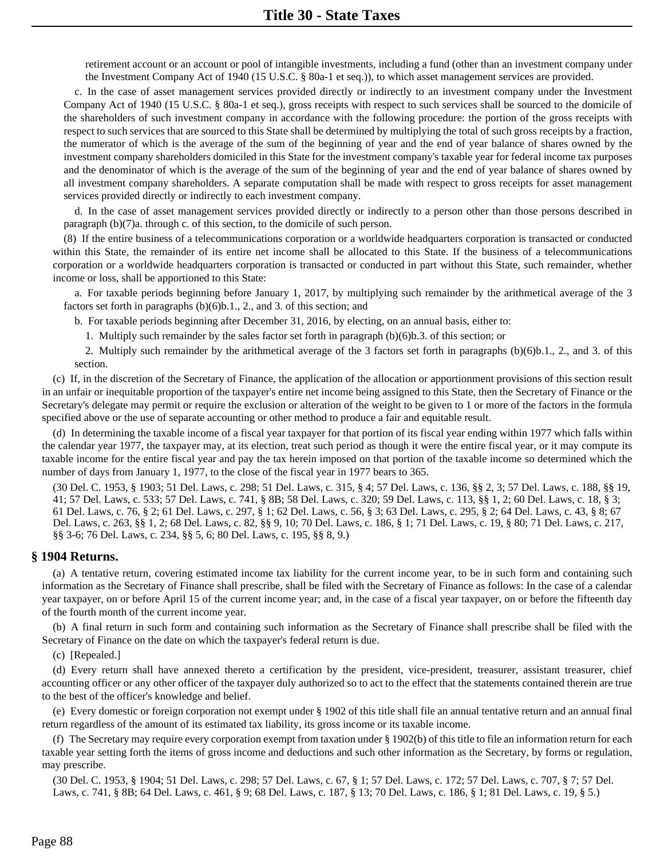retirement account or an account or pool of intangible investments, including a fund (other than an investment company under the Investment Company Act of 1940 (15 U.S.C. § 80a-1 et seq.)), to which asset management services are provided.

c. In the case of asset management services provided directly or indirectly to an investment company under the Investment Company Act of 1940 (15 U.S.C. § 80a-1 et seq.), gross receipts with respect to such services shall be sourced to the domicile of the shareholders of such investment company in accordance with the following procedure: the portion of the gross receipts with respect to such services that are sourced to this State shall be determined by multiplying the total of such gross receipts by a fraction, the numerator of which is the average of the sum of the beginning of year and the end of year balance of shares owned by the investment company shareholders domiciled in this State for the investment company's taxable year for federal income tax purposes and the denominator of which is the average of the sum of the beginning of year and the end of year balance of shares owned by all investment company shareholders. A separate computation shall be made with respect to gross receipts for asset management services provided directly or indirectly to each investment company.

d. In the case of asset management services provided directly or indirectly to a person other than those persons described in paragraph (b)(7)a. through c. of this section, to the domicile of such person.

(8) If the entire business of a telecommunications corporation or a worldwide headquarters corporation is transacted or conducted within this State, the remainder of its entire net income shall be allocated to this State. If the business of a telecommunications corporation or a worldwide headquarters corporation is transacted or conducted in part without this State, such remainder, whether income or loss, shall be apportioned to this State:

a. For taxable periods beginning before January 1, 2017, by multiplying such remainder by the arithmetical average of the 3 factors set forth in paragraphs  $(b)(6)b.1, 2,$  and 3. of this section; and

b. For taxable periods beginning after December 31, 2016, by electing, on an annual basis, either to:

1. Multiply such remainder by the sales factor set forth in paragraph (b)(6)b.3. of this section; or

2. Multiply such remainder by the arithmetical average of the 3 factors set forth in paragraphs (b)(6)b.1., 2., and 3. of this section.

(c) If, in the discretion of the Secretary of Finance, the application of the allocation or apportionment provisions of this section result in an unfair or inequitable proportion of the taxpayer's entire net income being assigned to this State, then the Secretary of Finance or the Secretary's delegate may permit or require the exclusion or alteration of the weight to be given to 1 or more of the factors in the formula specified above or the use of separate accounting or other method to produce a fair and equitable result.

(d) In determining the taxable income of a fiscal year taxpayer for that portion of its fiscal year ending within 1977 which falls within the calendar year 1977, the taxpayer may, at its election, treat such period as though it were the entire fiscal year, or it may compute its taxable income for the entire fiscal year and pay the tax herein imposed on that portion of the taxable income so determined which the number of days from January 1, 1977, to the close of the fiscal year in 1977 bears to 365.

(30 Del. C. 1953, § 1903; 51 Del. Laws, c. 298; 51 Del. Laws, c. 315, § 4; 57 Del. Laws, c. 136, §§ 2, 3; 57 Del. Laws, c. 188, §§ 19, 41; 57 Del. Laws, c. 533; 57 Del. Laws, c. 741, § 8B; 58 Del. Laws, c. 320; 59 Del. Laws, c. 113, §§ 1, 2; 60 Del. Laws, c. 18, § 3; 61 Del. Laws, c. 76, § 2; 61 Del. Laws, c. 297, § 1; 62 Del. Laws, c. 56, § 3; 63 Del. Laws, c. 295, § 2; 64 Del. Laws, c. 43, § 8; 67 Del. Laws, c. 263, §§ 1, 2; 68 Del. Laws, c. 82, §§ 9, 10; 70 Del. Laws, c. 186, § 1; 71 Del. Laws, c. 19, § 80; 71 Del. Laws, c. 217, §§ 3-6; 76 Del. Laws, c. 234, §§ 5, 6; 80 Del. Laws, c. 195, §§ 8, 9.)

#### **§ 1904 Returns.**

(a) A tentative return, covering estimated income tax liability for the current income year, to be in such form and containing such information as the Secretary of Finance shall prescribe, shall be filed with the Secretary of Finance as follows: In the case of a calendar year taxpayer, on or before April 15 of the current income year; and, in the case of a fiscal year taxpayer, on or before the fifteenth day of the fourth month of the current income year.

(b) A final return in such form and containing such information as the Secretary of Finance shall prescribe shall be filed with the Secretary of Finance on the date on which the taxpayer's federal return is due.

(c) [Repealed.]

(d) Every return shall have annexed thereto a certification by the president, vice-president, treasurer, assistant treasurer, chief accounting officer or any other officer of the taxpayer duly authorized so to act to the effect that the statements contained therein are true to the best of the officer's knowledge and belief.

(e) Every domestic or foreign corporation not exempt under § 1902 of this title shall file an annual tentative return and an annual final return regardless of the amount of its estimated tax liability, its gross income or its taxable income.

(f) The Secretary may require every corporation exempt from taxation under § 1902(b) of this title to file an information return for each taxable year setting forth the items of gross income and deductions and such other information as the Secretary, by forms or regulation, may prescribe.

(30 Del. C. 1953, § 1904; 51 Del. Laws, c. 298; 57 Del. Laws, c. 67, § 1; 57 Del. Laws, c. 172; 57 Del. Laws, c. 707, § 7; 57 Del. Laws, c. 741, § 8B; 64 Del. Laws, c. 461, § 9; 68 Del. Laws, c. 187, § 13; 70 Del. Laws, c. 186, § 1; 81 Del. Laws, c. 19, § 5.)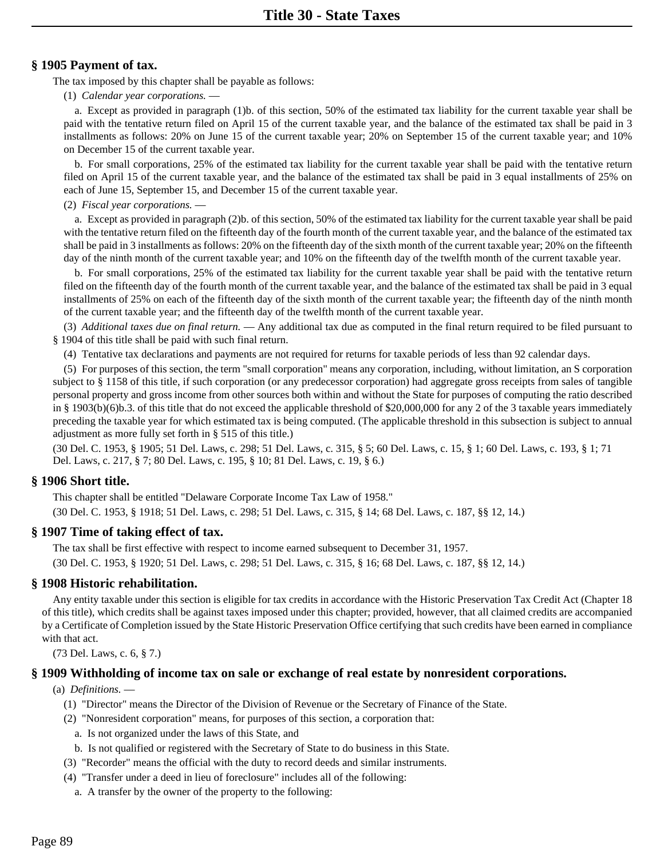## **§ 1905 Payment of tax.**

The tax imposed by this chapter shall be payable as follows:

(1) *Calendar year corporations.* —

a. Except as provided in paragraph (1)b. of this section, 50% of the estimated tax liability for the current taxable year shall be paid with the tentative return filed on April 15 of the current taxable year, and the balance of the estimated tax shall be paid in 3 installments as follows: 20% on June 15 of the current taxable year; 20% on September 15 of the current taxable year; and 10% on December 15 of the current taxable year.

b. For small corporations, 25% of the estimated tax liability for the current taxable year shall be paid with the tentative return filed on April 15 of the current taxable year, and the balance of the estimated tax shall be paid in 3 equal installments of 25% on each of June 15, September 15, and December 15 of the current taxable year.

(2) *Fiscal year corporations.* —

a. Except as provided in paragraph (2)b. of this section, 50% of the estimated tax liability for the current taxable year shall be paid with the tentative return filed on the fifteenth day of the fourth month of the current taxable year, and the balance of the estimated tax shall be paid in 3 installments as follows: 20% on the fifteenth day of the sixth month of the current taxable year; 20% on the fifteenth day of the ninth month of the current taxable year; and 10% on the fifteenth day of the twelfth month of the current taxable year.

b. For small corporations, 25% of the estimated tax liability for the current taxable year shall be paid with the tentative return filed on the fifteenth day of the fourth month of the current taxable year, and the balance of the estimated tax shall be paid in 3 equal installments of 25% on each of the fifteenth day of the sixth month of the current taxable year; the fifteenth day of the ninth month of the current taxable year; and the fifteenth day of the twelfth month of the current taxable year.

(3) *Additional taxes due on final return.* — Any additional tax due as computed in the final return required to be filed pursuant to § 1904 of this title shall be paid with such final return.

(4) Tentative tax declarations and payments are not required for returns for taxable periods of less than 92 calendar days.

(5) For purposes of this section, the term "small corporation" means any corporation, including, without limitation, an S corporation subject to § 1158 of this title, if such corporation (or any predecessor corporation) had aggregate gross receipts from sales of tangible personal property and gross income from other sources both within and without the State for purposes of computing the ratio described in § 1903(b)(6)b.3. of this title that do not exceed the applicable threshold of \$20,000,000 for any 2 of the 3 taxable years immediately preceding the taxable year for which estimated tax is being computed. (The applicable threshold in this subsection is subject to annual adjustment as more fully set forth in § 515 of this title.)

(30 Del. C. 1953, § 1905; 51 Del. Laws, c. 298; 51 Del. Laws, c. 315, § 5; 60 Del. Laws, c. 15, § 1; 60 Del. Laws, c. 193, § 1; 71 Del. Laws, c. 217, § 7; 80 Del. Laws, c. 195, § 10; 81 Del. Laws, c. 19, § 6.)

## **§ 1906 Short title.**

This chapter shall be entitled "Delaware Corporate Income Tax Law of 1958." (30 Del. C. 1953, § 1918; 51 Del. Laws, c. 298; 51 Del. Laws, c. 315, § 14; 68 Del. Laws, c. 187, §§ 12, 14.)

## **§ 1907 Time of taking effect of tax.**

The tax shall be first effective with respect to income earned subsequent to December 31, 1957. (30 Del. C. 1953, § 1920; 51 Del. Laws, c. 298; 51 Del. Laws, c. 315, § 16; 68 Del. Laws, c. 187, §§ 12, 14.)

# **§ 1908 Historic rehabilitation.**

Any entity taxable under this section is eligible for tax credits in accordance with the Historic Preservation Tax Credit Act (Chapter 18 of this title), which credits shall be against taxes imposed under this chapter; provided, however, that all claimed credits are accompanied by a Certificate of Completion issued by the State Historic Preservation Office certifying that such credits have been earned in compliance with that act.

(73 Del. Laws, c. 6, § 7.)

# **§ 1909 Withholding of income tax on sale or exchange of real estate by nonresident corporations.**

(a) *Definitions.* —

- (1) "Director" means the Director of the Division of Revenue or the Secretary of Finance of the State.
- (2) "Nonresident corporation" means, for purposes of this section, a corporation that:
	- a. Is not organized under the laws of this State, and
	- b. Is not qualified or registered with the Secretary of State to do business in this State.
- (3) "Recorder" means the official with the duty to record deeds and similar instruments.
- (4) "Transfer under a deed in lieu of foreclosure" includes all of the following:
	- a. A transfer by the owner of the property to the following: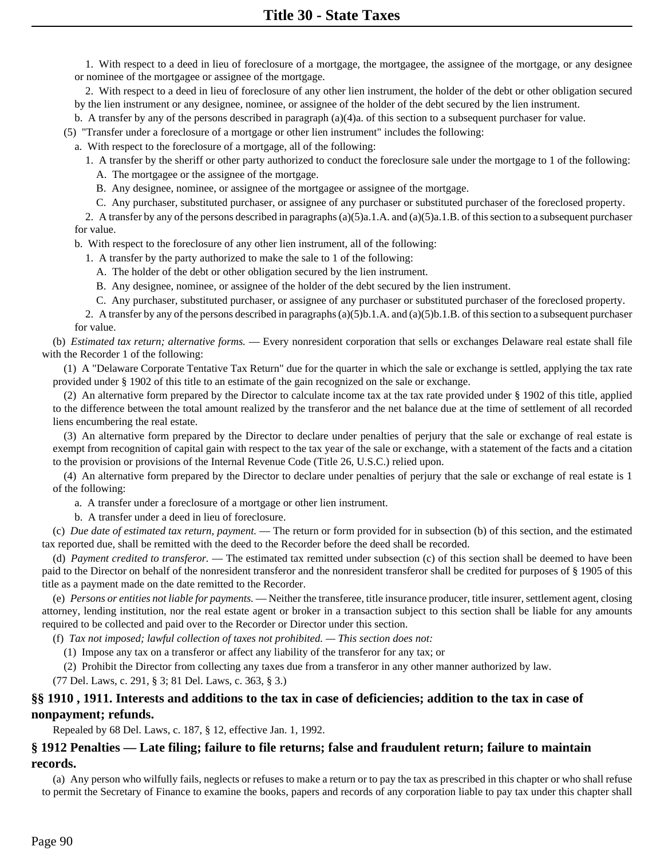1. With respect to a deed in lieu of foreclosure of a mortgage, the mortgagee, the assignee of the mortgage, or any designee or nominee of the mortgagee or assignee of the mortgage.

2. With respect to a deed in lieu of foreclosure of any other lien instrument, the holder of the debt or other obligation secured by the lien instrument or any designee, nominee, or assignee of the holder of the debt secured by the lien instrument.

b. A transfer by any of the persons described in paragraph (a)(4)a. of this section to a subsequent purchaser for value.

(5) "Transfer under a foreclosure of a mortgage or other lien instrument" includes the following:

a. With respect to the foreclosure of a mortgage, all of the following:

1. A transfer by the sheriff or other party authorized to conduct the foreclosure sale under the mortgage to 1 of the following: A. The mortgagee or the assignee of the mortgage.

B. Any designee, nominee, or assignee of the mortgagee or assignee of the mortgage.

C. Any purchaser, substituted purchaser, or assignee of any purchaser or substituted purchaser of the foreclosed property.

2. A transfer by any of the persons described in paragraphs (a)(5)a.1.A. and (a)(5)a.1.B. of this section to a subsequent purchaser for value.

b. With respect to the foreclosure of any other lien instrument, all of the following:

- 1. A transfer by the party authorized to make the sale to 1 of the following:
	- A. The holder of the debt or other obligation secured by the lien instrument.

B. Any designee, nominee, or assignee of the holder of the debt secured by the lien instrument.

C. Any purchaser, substituted purchaser, or assignee of any purchaser or substituted purchaser of the foreclosed property.

2. A transfer by any of the persons described in paragraphs (a)(5)b.1.A. and (a)(5)b.1.B. of this section to a subsequent purchaser for value.

(b) *Estimated tax return; alternative forms.* — Every nonresident corporation that sells or exchanges Delaware real estate shall file with the Recorder 1 of the following:

(1) A "Delaware Corporate Tentative Tax Return" due for the quarter in which the sale or exchange is settled, applying the tax rate provided under § 1902 of this title to an estimate of the gain recognized on the sale or exchange.

(2) An alternative form prepared by the Director to calculate income tax at the tax rate provided under § 1902 of this title, applied to the difference between the total amount realized by the transferor and the net balance due at the time of settlement of all recorded liens encumbering the real estate.

(3) An alternative form prepared by the Director to declare under penalties of perjury that the sale or exchange of real estate is exempt from recognition of capital gain with respect to the tax year of the sale or exchange, with a statement of the facts and a citation to the provision or provisions of the Internal Revenue Code (Title 26, U.S.C.) relied upon.

(4) An alternative form prepared by the Director to declare under penalties of perjury that the sale or exchange of real estate is 1 of the following:

a. A transfer under a foreclosure of a mortgage or other lien instrument.

b. A transfer under a deed in lieu of foreclosure.

(c) *Due date of estimated tax return, payment.* — The return or form provided for in subsection (b) of this section, and the estimated tax reported due, shall be remitted with the deed to the Recorder before the deed shall be recorded.

(d) *Payment credited to transferor.* — The estimated tax remitted under subsection (c) of this section shall be deemed to have been paid to the Director on behalf of the nonresident transferor and the nonresident transferor shall be credited for purposes of § 1905 of this title as a payment made on the date remitted to the Recorder.

(e) *Persons or entities not liable for payments.* — Neither the transferee, title insurance producer, title insurer, settlement agent, closing attorney, lending institution, nor the real estate agent or broker in a transaction subject to this section shall be liable for any amounts required to be collected and paid over to the Recorder or Director under this section.

(f) *Tax not imposed; lawful collection of taxes not prohibited. — This section does not:*

(1) Impose any tax on a transferor or affect any liability of the transferor for any tax; or

(2) Prohibit the Director from collecting any taxes due from a transferor in any other manner authorized by law.

(77 Del. Laws, c. 291, § 3; 81 Del. Laws, c. 363, § 3.)

## **§§ 1910 , 1911. Interests and additions to the tax in case of deficiencies; addition to the tax in case of nonpayment; refunds.**

Repealed by 68 Del. Laws, c. 187, § 12, effective Jan. 1, 1992.

## **§ 1912 Penalties — Late filing; failure to file returns; false and fraudulent return; failure to maintain records.**

(a) Any person who wilfully fails, neglects or refuses to make a return or to pay the tax as prescribed in this chapter or who shall refuse to permit the Secretary of Finance to examine the books, papers and records of any corporation liable to pay tax under this chapter shall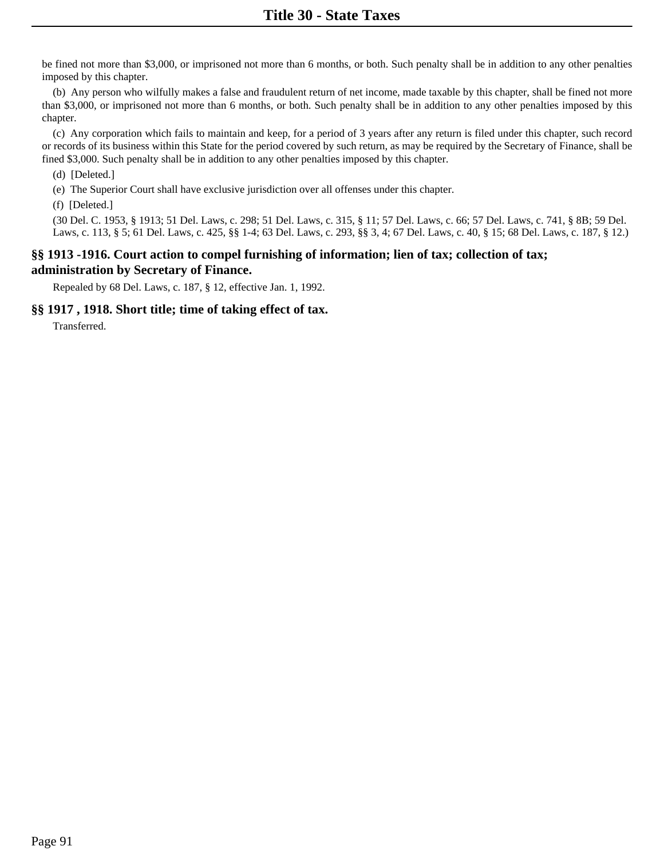be fined not more than \$3,000, or imprisoned not more than 6 months, or both. Such penalty shall be in addition to any other penalties imposed by this chapter.

(b) Any person who wilfully makes a false and fraudulent return of net income, made taxable by this chapter, shall be fined not more than \$3,000, or imprisoned not more than 6 months, or both. Such penalty shall be in addition to any other penalties imposed by this chapter.

(c) Any corporation which fails to maintain and keep, for a period of 3 years after any return is filed under this chapter, such record or records of its business within this State for the period covered by such return, as may be required by the Secretary of Finance, shall be fined \$3,000. Such penalty shall be in addition to any other penalties imposed by this chapter.

(d) [Deleted.]

(e) The Superior Court shall have exclusive jurisdiction over all offenses under this chapter.

(f) [Deleted.]

(30 Del. C. 1953, § 1913; 51 Del. Laws, c. 298; 51 Del. Laws, c. 315, § 11; 57 Del. Laws, c. 66; 57 Del. Laws, c. 741, § 8B; 59 Del. Laws, c. 113, § 5; 61 Del. Laws, c. 425, §§ 1-4; 63 Del. Laws, c. 293, §§ 3, 4; 67 Del. Laws, c. 40, § 15; 68 Del. Laws, c. 187, § 12.)

# **§§ 1913 -1916. Court action to compel furnishing of information; lien of tax; collection of tax; administration by Secretary of Finance.**

Repealed by 68 Del. Laws, c. 187, § 12, effective Jan. 1, 1992.

#### **§§ 1917 , 1918. Short title; time of taking effect of tax.**

Transferred.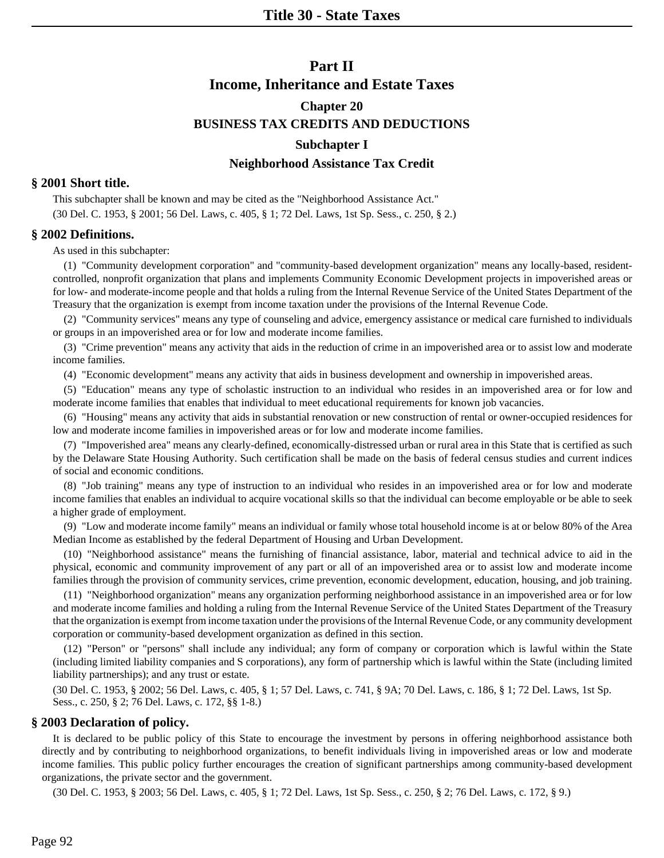# **Part II Income, Inheritance and Estate Taxes**

# **Chapter 20 BUSINESS TAX CREDITS AND DEDUCTIONS Subchapter I**

## **Neighborhood Assistance Tax Credit**

## **§ 2001 Short title.**

This subchapter shall be known and may be cited as the "Neighborhood Assistance Act." (30 Del. C. 1953, § 2001; 56 Del. Laws, c. 405, § 1; 72 Del. Laws, 1st Sp. Sess., c. 250, § 2.)

## **§ 2002 Definitions.**

As used in this subchapter:

(1) "Community development corporation" and "community-based development organization" means any locally-based, residentcontrolled, nonprofit organization that plans and implements Community Economic Development projects in impoverished areas or for low- and moderate-income people and that holds a ruling from the Internal Revenue Service of the United States Department of the Treasury that the organization is exempt from income taxation under the provisions of the Internal Revenue Code.

(2) "Community services" means any type of counseling and advice, emergency assistance or medical care furnished to individuals or groups in an impoverished area or for low and moderate income families.

(3) "Crime prevention" means any activity that aids in the reduction of crime in an impoverished area or to assist low and moderate income families.

(4) "Economic development" means any activity that aids in business development and ownership in impoverished areas.

(5) "Education" means any type of scholastic instruction to an individual who resides in an impoverished area or for low and moderate income families that enables that individual to meet educational requirements for known job vacancies.

(6) "Housing" means any activity that aids in substantial renovation or new construction of rental or owner-occupied residences for low and moderate income families in impoverished areas or for low and moderate income families.

(7) "Impoverished area" means any clearly-defined, economically-distressed urban or rural area in this State that is certified as such by the Delaware State Housing Authority. Such certification shall be made on the basis of federal census studies and current indices of social and economic conditions.

(8) "Job training" means any type of instruction to an individual who resides in an impoverished area or for low and moderate income families that enables an individual to acquire vocational skills so that the individual can become employable or be able to seek a higher grade of employment.

(9) "Low and moderate income family" means an individual or family whose total household income is at or below 80% of the Area Median Income as established by the federal Department of Housing and Urban Development.

(10) "Neighborhood assistance" means the furnishing of financial assistance, labor, material and technical advice to aid in the physical, economic and community improvement of any part or all of an impoverished area or to assist low and moderate income families through the provision of community services, crime prevention, economic development, education, housing, and job training.

(11) "Neighborhood organization" means any organization performing neighborhood assistance in an impoverished area or for low and moderate income families and holding a ruling from the Internal Revenue Service of the United States Department of the Treasury that the organization is exempt from income taxation under the provisions of the Internal Revenue Code, or any community development corporation or community-based development organization as defined in this section.

(12) "Person" or "persons" shall include any individual; any form of company or corporation which is lawful within the State (including limited liability companies and S corporations), any form of partnership which is lawful within the State (including limited liability partnerships); and any trust or estate.

(30 Del. C. 1953, § 2002; 56 Del. Laws, c. 405, § 1; 57 Del. Laws, c. 741, § 9A; 70 Del. Laws, c. 186, § 1; 72 Del. Laws, 1st Sp. Sess., c. 250, § 2; 76 Del. Laws, c. 172, §§ 1-8.)

## **§ 2003 Declaration of policy.**

It is declared to be public policy of this State to encourage the investment by persons in offering neighborhood assistance both directly and by contributing to neighborhood organizations, to benefit individuals living in impoverished areas or low and moderate income families. This public policy further encourages the creation of significant partnerships among community-based development organizations, the private sector and the government.

(30 Del. C. 1953, § 2003; 56 Del. Laws, c. 405, § 1; 72 Del. Laws, 1st Sp. Sess., c. 250, § 2; 76 Del. Laws, c. 172, § 9.)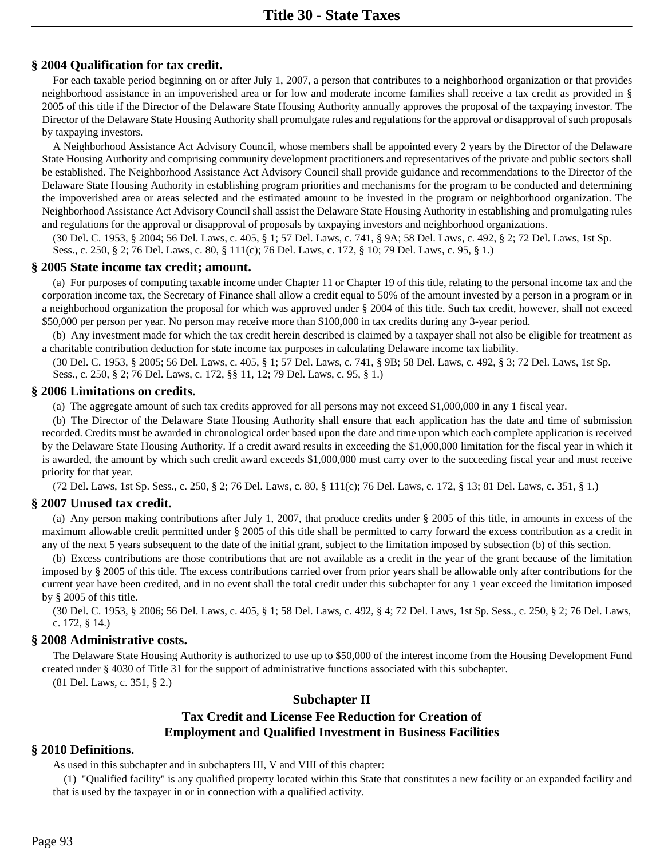# **§ 2004 Qualification for tax credit.**

For each taxable period beginning on or after July 1, 2007, a person that contributes to a neighborhood organization or that provides neighborhood assistance in an impoverished area or for low and moderate income families shall receive a tax credit as provided in § 2005 of this title if the Director of the Delaware State Housing Authority annually approves the proposal of the taxpaying investor. The Director of the Delaware State Housing Authority shall promulgate rules and regulations for the approval or disapproval of such proposals by taxpaying investors.

A Neighborhood Assistance Act Advisory Council, whose members shall be appointed every 2 years by the Director of the Delaware State Housing Authority and comprising community development practitioners and representatives of the private and public sectors shall be established. The Neighborhood Assistance Act Advisory Council shall provide guidance and recommendations to the Director of the Delaware State Housing Authority in establishing program priorities and mechanisms for the program to be conducted and determining the impoverished area or areas selected and the estimated amount to be invested in the program or neighborhood organization. The Neighborhood Assistance Act Advisory Council shall assist the Delaware State Housing Authority in establishing and promulgating rules and regulations for the approval or disapproval of proposals by taxpaying investors and neighborhood organizations.

(30 Del. C. 1953, § 2004; 56 Del. Laws, c. 405, § 1; 57 Del. Laws, c. 741, § 9A; 58 Del. Laws, c. 492, § 2; 72 Del. Laws, 1st Sp. Sess., c. 250, § 2; 76 Del. Laws, c. 80, § 111(c); 76 Del. Laws, c. 172, § 10; 79 Del. Laws, c. 95, § 1.)

#### **§ 2005 State income tax credit; amount.**

(a) For purposes of computing taxable income under Chapter 11 or Chapter 19 of this title, relating to the personal income tax and the corporation income tax, the Secretary of Finance shall allow a credit equal to 50% of the amount invested by a person in a program or in a neighborhood organization the proposal for which was approved under § 2004 of this title. Such tax credit, however, shall not exceed \$50,000 per person per year. No person may receive more than \$100,000 in tax credits during any 3-year period.

(b) Any investment made for which the tax credit herein described is claimed by a taxpayer shall not also be eligible for treatment as a charitable contribution deduction for state income tax purposes in calculating Delaware income tax liability.

(30 Del. C. 1953, § 2005; 56 Del. Laws, c. 405, § 1; 57 Del. Laws, c. 741, § 9B; 58 Del. Laws, c. 492, § 3; 72 Del. Laws, 1st Sp. Sess., c. 250, § 2; 76 Del. Laws, c. 172, §§ 11, 12; 79 Del. Laws, c. 95, § 1.)

#### **§ 2006 Limitations on credits.**

(a) The aggregate amount of such tax credits approved for all persons may not exceed \$1,000,000 in any 1 fiscal year.

(b) The Director of the Delaware State Housing Authority shall ensure that each application has the date and time of submission recorded. Credits must be awarded in chronological order based upon the date and time upon which each complete application is received by the Delaware State Housing Authority. If a credit award results in exceeding the \$1,000,000 limitation for the fiscal year in which it is awarded, the amount by which such credit award exceeds \$1,000,000 must carry over to the succeeding fiscal year and must receive priority for that year.

(72 Del. Laws, 1st Sp. Sess., c. 250, § 2; 76 Del. Laws, c. 80, § 111(c); 76 Del. Laws, c. 172, § 13; 81 Del. Laws, c. 351, § 1.)

#### **§ 2007 Unused tax credit.**

(a) Any person making contributions after July 1, 2007, that produce credits under § 2005 of this title, in amounts in excess of the maximum allowable credit permitted under § 2005 of this title shall be permitted to carry forward the excess contribution as a credit in any of the next 5 years subsequent to the date of the initial grant, subject to the limitation imposed by subsection (b) of this section.

(b) Excess contributions are those contributions that are not available as a credit in the year of the grant because of the limitation imposed by § 2005 of this title. The excess contributions carried over from prior years shall be allowable only after contributions for the current year have been credited, and in no event shall the total credit under this subchapter for any 1 year exceed the limitation imposed by § 2005 of this title.

(30 Del. C. 1953, § 2006; 56 Del. Laws, c. 405, § 1; 58 Del. Laws, c. 492, § 4; 72 Del. Laws, 1st Sp. Sess., c. 250, § 2; 76 Del. Laws, c. 172, § 14.)

#### **§ 2008 Administrative costs.**

The Delaware State Housing Authority is authorized to use up to \$50,000 of the interest income from the Housing Development Fund created under § 4030 of Title 31 for the support of administrative functions associated with this subchapter. (81 Del. Laws, c. 351, § 2.)

# **Subchapter II Tax Credit and License Fee Reduction for Creation of**

## **Employment and Qualified Investment in Business Facilities**

## **§ 2010 Definitions.**

As used in this subchapter and in subchapters III, V and VIII of this chapter:

(1) "Qualified facility" is any qualified property located within this State that constitutes a new facility or an expanded facility and that is used by the taxpayer in or in connection with a qualified activity.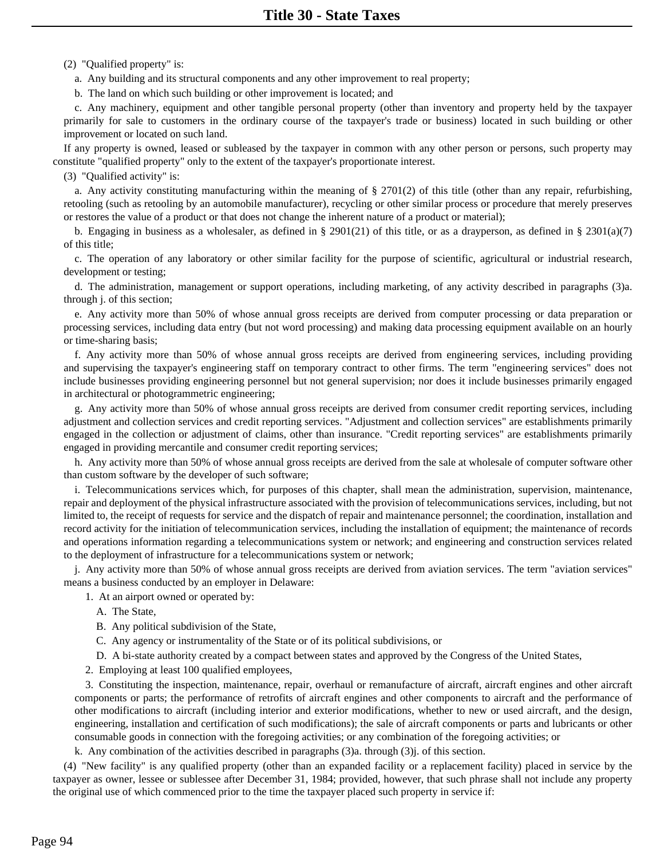(2) "Qualified property" is:

a. Any building and its structural components and any other improvement to real property;

b. The land on which such building or other improvement is located; and

c. Any machinery, equipment and other tangible personal property (other than inventory and property held by the taxpayer primarily for sale to customers in the ordinary course of the taxpayer's trade or business) located in such building or other improvement or located on such land.

If any property is owned, leased or subleased by the taxpayer in common with any other person or persons, such property may constitute "qualified property" only to the extent of the taxpayer's proportionate interest.

(3) "Qualified activity" is:

a. Any activity constituting manufacturing within the meaning of  $\S 2701(2)$  of this title (other than any repair, refurbishing, retooling (such as retooling by an automobile manufacturer), recycling or other similar process or procedure that merely preserves or restores the value of a product or that does not change the inherent nature of a product or material);

b. Engaging in business as a wholesaler, as defined in § 2901(21) of this title, or as a drayperson, as defined in § 2301(a)(7) of this title;

c. The operation of any laboratory or other similar facility for the purpose of scientific, agricultural or industrial research, development or testing;

d. The administration, management or support operations, including marketing, of any activity described in paragraphs (3)a. through j. of this section;

e. Any activity more than 50% of whose annual gross receipts are derived from computer processing or data preparation or processing services, including data entry (but not word processing) and making data processing equipment available on an hourly or time-sharing basis;

f. Any activity more than 50% of whose annual gross receipts are derived from engineering services, including providing and supervising the taxpayer's engineering staff on temporary contract to other firms. The term "engineering services" does not include businesses providing engineering personnel but not general supervision; nor does it include businesses primarily engaged in architectural or photogrammetric engineering;

g. Any activity more than 50% of whose annual gross receipts are derived from consumer credit reporting services, including adjustment and collection services and credit reporting services. "Adjustment and collection services" are establishments primarily engaged in the collection or adjustment of claims, other than insurance. "Credit reporting services" are establishments primarily engaged in providing mercantile and consumer credit reporting services;

h. Any activity more than 50% of whose annual gross receipts are derived from the sale at wholesale of computer software other than custom software by the developer of such software;

i. Telecommunications services which, for purposes of this chapter, shall mean the administration, supervision, maintenance, repair and deployment of the physical infrastructure associated with the provision of telecommunications services, including, but not limited to, the receipt of requests for service and the dispatch of repair and maintenance personnel; the coordination, installation and record activity for the initiation of telecommunication services, including the installation of equipment; the maintenance of records and operations information regarding a telecommunications system or network; and engineering and construction services related to the deployment of infrastructure for a telecommunications system or network;

j. Any activity more than 50% of whose annual gross receipts are derived from aviation services. The term "aviation services" means a business conducted by an employer in Delaware:

- 1. At an airport owned or operated by:
	- A. The State,
	- B. Any political subdivision of the State,
	- C. Any agency or instrumentality of the State or of its political subdivisions, or
	- D. A bi-state authority created by a compact between states and approved by the Congress of the United States,
- 2. Employing at least 100 qualified employees,

3. Constituting the inspection, maintenance, repair, overhaul or remanufacture of aircraft, aircraft engines and other aircraft components or parts; the performance of retrofits of aircraft engines and other components to aircraft and the performance of other modifications to aircraft (including interior and exterior modifications, whether to new or used aircraft, and the design, engineering, installation and certification of such modifications); the sale of aircraft components or parts and lubricants or other consumable goods in connection with the foregoing activities; or any combination of the foregoing activities; or

k. Any combination of the activities described in paragraphs (3)a. through (3)j. of this section.

(4) "New facility" is any qualified property (other than an expanded facility or a replacement facility) placed in service by the taxpayer as owner, lessee or sublessee after December 31, 1984; provided, however, that such phrase shall not include any property the original use of which commenced prior to the time the taxpayer placed such property in service if: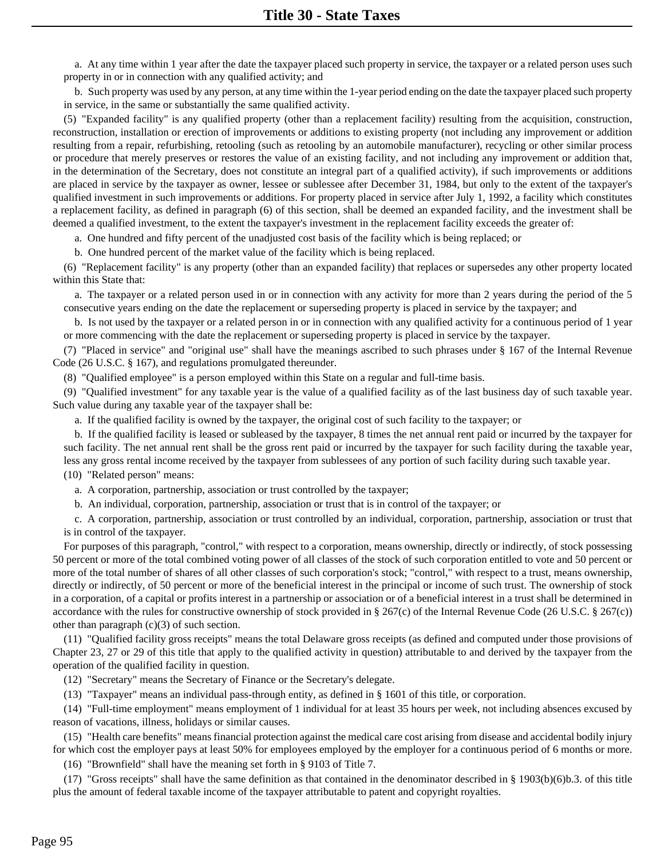a. At any time within 1 year after the date the taxpayer placed such property in service, the taxpayer or a related person uses such property in or in connection with any qualified activity; and

b. Such property was used by any person, at any time within the 1-year period ending on the date the taxpayer placed such property in service, in the same or substantially the same qualified activity.

(5) "Expanded facility" is any qualified property (other than a replacement facility) resulting from the acquisition, construction, reconstruction, installation or erection of improvements or additions to existing property (not including any improvement or addition resulting from a repair, refurbishing, retooling (such as retooling by an automobile manufacturer), recycling or other similar process or procedure that merely preserves or restores the value of an existing facility, and not including any improvement or addition that, in the determination of the Secretary, does not constitute an integral part of a qualified activity), if such improvements or additions are placed in service by the taxpayer as owner, lessee or sublessee after December 31, 1984, but only to the extent of the taxpayer's qualified investment in such improvements or additions. For property placed in service after July 1, 1992, a facility which constitutes a replacement facility, as defined in paragraph (6) of this section, shall be deemed an expanded facility, and the investment shall be deemed a qualified investment, to the extent the taxpayer's investment in the replacement facility exceeds the greater of:

a. One hundred and fifty percent of the unadjusted cost basis of the facility which is being replaced; or

b. One hundred percent of the market value of the facility which is being replaced.

(6) "Replacement facility" is any property (other than an expanded facility) that replaces or supersedes any other property located within this State that:

a. The taxpayer or a related person used in or in connection with any activity for more than 2 years during the period of the 5 consecutive years ending on the date the replacement or superseding property is placed in service by the taxpayer; and

b. Is not used by the taxpayer or a related person in or in connection with any qualified activity for a continuous period of 1 year or more commencing with the date the replacement or superseding property is placed in service by the taxpayer.

(7) "Placed in service" and "original use" shall have the meanings ascribed to such phrases under § 167 of the Internal Revenue Code (26 U.S.C. § 167), and regulations promulgated thereunder.

(8) "Qualified employee" is a person employed within this State on a regular and full-time basis.

(9) "Qualified investment" for any taxable year is the value of a qualified facility as of the last business day of such taxable year. Such value during any taxable year of the taxpayer shall be:

a. If the qualified facility is owned by the taxpayer, the original cost of such facility to the taxpayer; or

b. If the qualified facility is leased or subleased by the taxpayer, 8 times the net annual rent paid or incurred by the taxpayer for such facility. The net annual rent shall be the gross rent paid or incurred by the taxpayer for such facility during the taxable year, less any gross rental income received by the taxpayer from sublessees of any portion of such facility during such taxable year.

(10) "Related person" means:

- a. A corporation, partnership, association or trust controlled by the taxpayer;
- b. An individual, corporation, partnership, association or trust that is in control of the taxpayer; or

c. A corporation, partnership, association or trust controlled by an individual, corporation, partnership, association or trust that is in control of the taxpayer.

For purposes of this paragraph, "control," with respect to a corporation, means ownership, directly or indirectly, of stock possessing 50 percent or more of the total combined voting power of all classes of the stock of such corporation entitled to vote and 50 percent or more of the total number of shares of all other classes of such corporation's stock; "control," with respect to a trust, means ownership, directly or indirectly, of 50 percent or more of the beneficial interest in the principal or income of such trust. The ownership of stock in a corporation, of a capital or profits interest in a partnership or association or of a beneficial interest in a trust shall be determined in accordance with the rules for constructive ownership of stock provided in § 267(c) of the Internal Revenue Code (26 U.S.C. § 267(c)) other than paragraph  $(c)(3)$  of such section.

(11) "Qualified facility gross receipts" means the total Delaware gross receipts (as defined and computed under those provisions of Chapter 23, 27 or 29 of this title that apply to the qualified activity in question) attributable to and derived by the taxpayer from the operation of the qualified facility in question.

(12) "Secretary" means the Secretary of Finance or the Secretary's delegate.

(13) "Taxpayer" means an individual pass-through entity, as defined in § 1601 of this title, or corporation.

(14) "Full-time employment" means employment of 1 individual for at least 35 hours per week, not including absences excused by reason of vacations, illness, holidays or similar causes.

(15) "Health care benefits" means financial protection against the medical care cost arising from disease and accidental bodily injury for which cost the employer pays at least 50% for employees employed by the employer for a continuous period of 6 months or more.

(16) "Brownfield" shall have the meaning set forth in § 9103 of Title 7.

(17) "Gross receipts" shall have the same definition as that contained in the denominator described in § 1903(b)(6)b.3. of this title plus the amount of federal taxable income of the taxpayer attributable to patent and copyright royalties.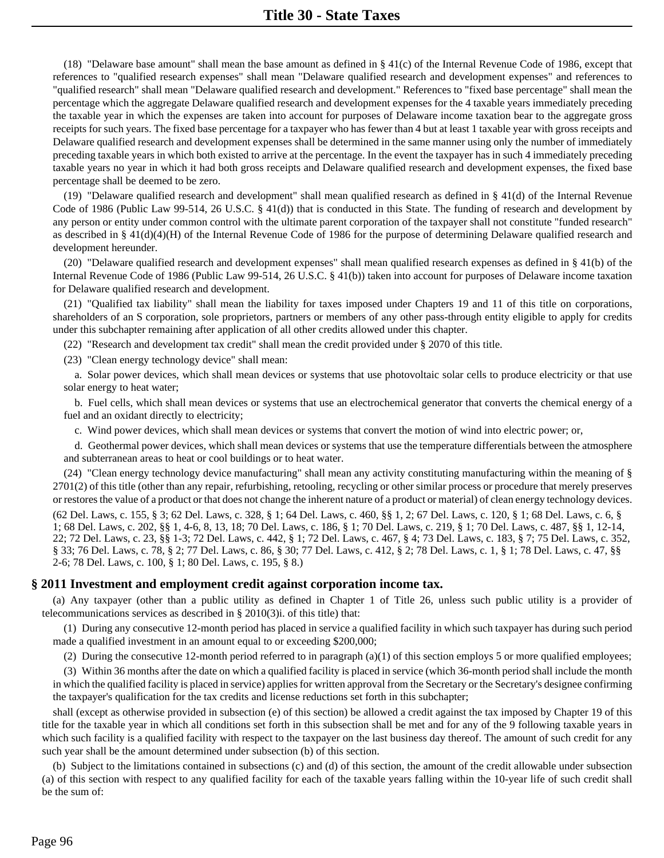(18) "Delaware base amount" shall mean the base amount as defined in § 41(c) of the Internal Revenue Code of 1986, except that references to "qualified research expenses" shall mean "Delaware qualified research and development expenses" and references to "qualified research" shall mean "Delaware qualified research and development." References to "fixed base percentage" shall mean the percentage which the aggregate Delaware qualified research and development expenses for the 4 taxable years immediately preceding the taxable year in which the expenses are taken into account for purposes of Delaware income taxation bear to the aggregate gross receipts for such years. The fixed base percentage for a taxpayer who has fewer than 4 but at least 1 taxable year with gross receipts and Delaware qualified research and development expenses shall be determined in the same manner using only the number of immediately preceding taxable years in which both existed to arrive at the percentage. In the event the taxpayer has in such 4 immediately preceding taxable years no year in which it had both gross receipts and Delaware qualified research and development expenses, the fixed base percentage shall be deemed to be zero.

(19) "Delaware qualified research and development" shall mean qualified research as defined in  $\S$  41(d) of the Internal Revenue Code of 1986 (Public Law 99-514, 26 U.S.C. § 41(d)) that is conducted in this State. The funding of research and development by any person or entity under common control with the ultimate parent corporation of the taxpayer shall not constitute "funded research" as described in § 41(d)(4)(H) of the Internal Revenue Code of 1986 for the purpose of determining Delaware qualified research and development hereunder.

(20) "Delaware qualified research and development expenses" shall mean qualified research expenses as defined in § 41(b) of the Internal Revenue Code of 1986 (Public Law 99-514, 26 U.S.C. § 41(b)) taken into account for purposes of Delaware income taxation for Delaware qualified research and development.

(21) "Qualified tax liability" shall mean the liability for taxes imposed under Chapters 19 and 11 of this title on corporations, shareholders of an S corporation, sole proprietors, partners or members of any other pass-through entity eligible to apply for credits under this subchapter remaining after application of all other credits allowed under this chapter.

(22) "Research and development tax credit" shall mean the credit provided under § 2070 of this title.

(23) "Clean energy technology device" shall mean:

a. Solar power devices, which shall mean devices or systems that use photovoltaic solar cells to produce electricity or that use solar energy to heat water;

b. Fuel cells, which shall mean devices or systems that use an electrochemical generator that converts the chemical energy of a fuel and an oxidant directly to electricity;

c. Wind power devices, which shall mean devices or systems that convert the motion of wind into electric power; or,

d. Geothermal power devices, which shall mean devices or systems that use the temperature differentials between the atmosphere and subterranean areas to heat or cool buildings or to heat water.

(24) "Clean energy technology device manufacturing" shall mean any activity constituting manufacturing within the meaning of § 2701(2) of this title (other than any repair, refurbishing, retooling, recycling or other similar process or procedure that merely preserves or restores the value of a product or that does not change the inherent nature of a product or material) of clean energy technology devices.

(62 Del. Laws, c. 155, § 3; 62 Del. Laws, c. 328, § 1; 64 Del. Laws, c. 460, §§ 1, 2; 67 Del. Laws, c. 120, § 1; 68 Del. Laws, c. 6, § 1; 68 Del. Laws, c. 202, §§ 1, 4-6, 8, 13, 18; 70 Del. Laws, c. 186, § 1; 70 Del. Laws, c. 219, § 1; 70 Del. Laws, c. 487, §§ 1, 12-14, 22; 72 Del. Laws, c. 23, §§ 1-3; 72 Del. Laws, c. 442, § 1; 72 Del. Laws, c. 467, § 4; 73 Del. Laws, c. 183, § 7; 75 Del. Laws, c. 352, § 33; 76 Del. Laws, c. 78, § 2; 77 Del. Laws, c. 86, § 30; 77 Del. Laws, c. 412, § 2; 78 Del. Laws, c. 1, § 1; 78 Del. Laws, c. 47, §§ 2-6; 78 Del. Laws, c. 100, § 1; 80 Del. Laws, c. 195, § 8.)

## **§ 2011 Investment and employment credit against corporation income tax.**

(a) Any taxpayer (other than a public utility as defined in Chapter 1 of Title 26, unless such public utility is a provider of telecommunications services as described in  $\S 2010(3)$ i. of this title) that:

(1) During any consecutive 12-month period has placed in service a qualified facility in which such taxpayer has during such period made a qualified investment in an amount equal to or exceeding \$200,000;

(2) During the consecutive 12-month period referred to in paragraph (a)(1) of this section employs 5 or more qualified employees;

(3) Within 36 months after the date on which a qualified facility is placed in service (which 36-month period shall include the month in which the qualified facility is placed in service) applies for written approval from the Secretary or the Secretary's designee confirming the taxpayer's qualification for the tax credits and license reductions set forth in this subchapter;

shall (except as otherwise provided in subsection (e) of this section) be allowed a credit against the tax imposed by Chapter 19 of this title for the taxable year in which all conditions set forth in this subsection shall be met and for any of the 9 following taxable years in which such facility is a qualified facility with respect to the taxpayer on the last business day thereof. The amount of such credit for any such year shall be the amount determined under subsection (b) of this section.

(b) Subject to the limitations contained in subsections (c) and (d) of this section, the amount of the credit allowable under subsection (a) of this section with respect to any qualified facility for each of the taxable years falling within the 10-year life of such credit shall be the sum of: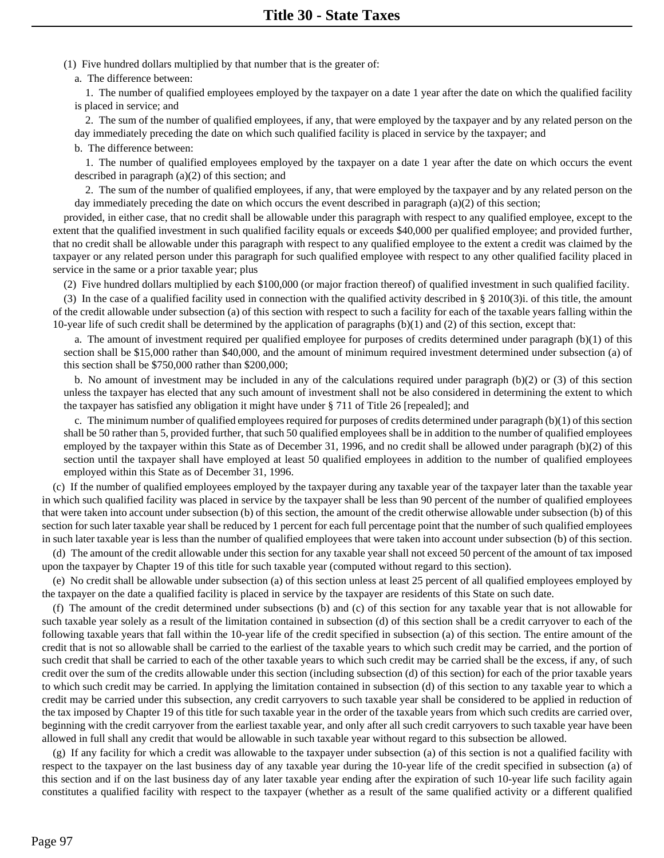- (1) Five hundred dollars multiplied by that number that is the greater of:
	- a. The difference between:

1. The number of qualified employees employed by the taxpayer on a date 1 year after the date on which the qualified facility is placed in service; and

2. The sum of the number of qualified employees, if any, that were employed by the taxpayer and by any related person on the day immediately preceding the date on which such qualified facility is placed in service by the taxpayer; and

b. The difference between:

1. The number of qualified employees employed by the taxpayer on a date 1 year after the date on which occurs the event described in paragraph (a)(2) of this section; and

2. The sum of the number of qualified employees, if any, that were employed by the taxpayer and by any related person on the day immediately preceding the date on which occurs the event described in paragraph (a)(2) of this section;

provided, in either case, that no credit shall be allowable under this paragraph with respect to any qualified employee, except to the extent that the qualified investment in such qualified facility equals or exceeds \$40,000 per qualified employee; and provided further, that no credit shall be allowable under this paragraph with respect to any qualified employee to the extent a credit was claimed by the taxpayer or any related person under this paragraph for such qualified employee with respect to any other qualified facility placed in service in the same or a prior taxable year; plus

(2) Five hundred dollars multiplied by each \$100,000 (or major fraction thereof) of qualified investment in such qualified facility.

(3) In the case of a qualified facility used in connection with the qualified activity described in § 2010(3)i. of this title, the amount of the credit allowable under subsection (a) of this section with respect to such a facility for each of the taxable years falling within the 10-year life of such credit shall be determined by the application of paragraphs  $(b)(1)$  and  $(2)$  of this section, except that:

a. The amount of investment required per qualified employee for purposes of credits determined under paragraph (b)(1) of this section shall be \$15,000 rather than \$40,000, and the amount of minimum required investment determined under subsection (a) of this section shall be \$750,000 rather than \$200,000;

b. No amount of investment may be included in any of the calculations required under paragraph (b)(2) or (3) of this section unless the taxpayer has elected that any such amount of investment shall not be also considered in determining the extent to which the taxpayer has satisfied any obligation it might have under § 711 of Title 26 [repealed]; and

c. The minimum number of qualified employees required for purposes of credits determined under paragraph (b)(1) of this section shall be 50 rather than 5, provided further, that such 50 qualified employees shall be in addition to the number of qualified employees employed by the taxpayer within this State as of December 31, 1996, and no credit shall be allowed under paragraph (b)(2) of this section until the taxpayer shall have employed at least 50 qualified employees in addition to the number of qualified employees employed within this State as of December 31, 1996.

(c) If the number of qualified employees employed by the taxpayer during any taxable year of the taxpayer later than the taxable year in which such qualified facility was placed in service by the taxpayer shall be less than 90 percent of the number of qualified employees that were taken into account under subsection (b) of this section, the amount of the credit otherwise allowable under subsection (b) of this section for such later taxable year shall be reduced by 1 percent for each full percentage point that the number of such qualified employees in such later taxable year is less than the number of qualified employees that were taken into account under subsection (b) of this section.

(d) The amount of the credit allowable under this section for any taxable year shall not exceed 50 percent of the amount of tax imposed upon the taxpayer by Chapter 19 of this title for such taxable year (computed without regard to this section).

(e) No credit shall be allowable under subsection (a) of this section unless at least 25 percent of all qualified employees employed by the taxpayer on the date a qualified facility is placed in service by the taxpayer are residents of this State on such date.

(f) The amount of the credit determined under subsections (b) and (c) of this section for any taxable year that is not allowable for such taxable year solely as a result of the limitation contained in subsection (d) of this section shall be a credit carryover to each of the following taxable years that fall within the 10-year life of the credit specified in subsection (a) of this section. The entire amount of the credit that is not so allowable shall be carried to the earliest of the taxable years to which such credit may be carried, and the portion of such credit that shall be carried to each of the other taxable years to which such credit may be carried shall be the excess, if any, of such credit over the sum of the credits allowable under this section (including subsection (d) of this section) for each of the prior taxable years to which such credit may be carried. In applying the limitation contained in subsection (d) of this section to any taxable year to which a credit may be carried under this subsection, any credit carryovers to such taxable year shall be considered to be applied in reduction of the tax imposed by Chapter 19 of this title for such taxable year in the order of the taxable years from which such credits are carried over, beginning with the credit carryover from the earliest taxable year, and only after all such credit carryovers to such taxable year have been allowed in full shall any credit that would be allowable in such taxable year without regard to this subsection be allowed.

(g) If any facility for which a credit was allowable to the taxpayer under subsection (a) of this section is not a qualified facility with respect to the taxpayer on the last business day of any taxable year during the 10-year life of the credit specified in subsection (a) of this section and if on the last business day of any later taxable year ending after the expiration of such 10-year life such facility again constitutes a qualified facility with respect to the taxpayer (whether as a result of the same qualified activity or a different qualified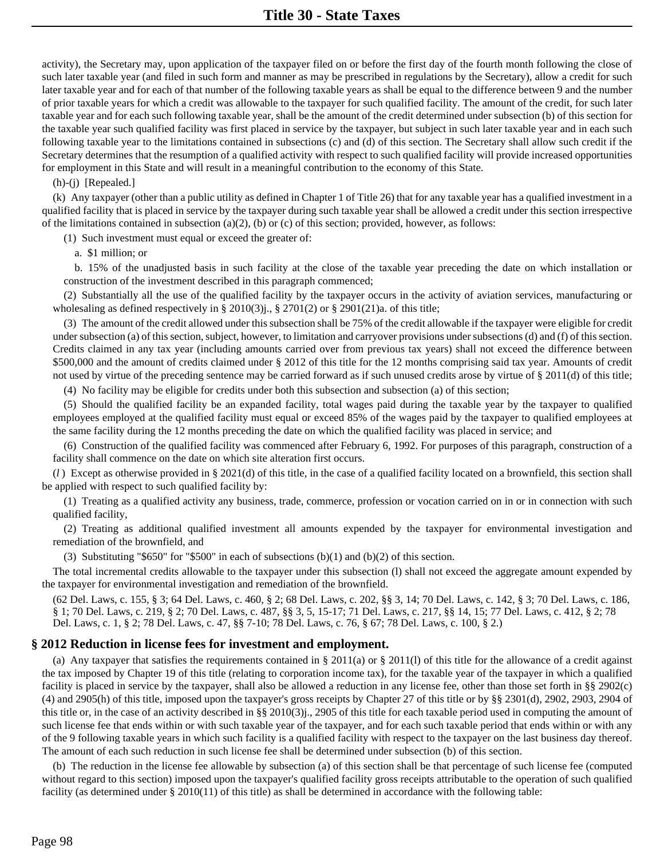activity), the Secretary may, upon application of the taxpayer filed on or before the first day of the fourth month following the close of such later taxable year (and filed in such form and manner as may be prescribed in regulations by the Secretary), allow a credit for such later taxable year and for each of that number of the following taxable years as shall be equal to the difference between 9 and the number of prior taxable years for which a credit was allowable to the taxpayer for such qualified facility. The amount of the credit, for such later taxable year and for each such following taxable year, shall be the amount of the credit determined under subsection (b) of this section for the taxable year such qualified facility was first placed in service by the taxpayer, but subject in such later taxable year and in each such following taxable year to the limitations contained in subsections (c) and (d) of this section. The Secretary shall allow such credit if the Secretary determines that the resumption of a qualified activity with respect to such qualified facility will provide increased opportunities for employment in this State and will result in a meaningful contribution to the economy of this State.

(h)-(j) [Repealed.]

(k) Any taxpayer (other than a public utility as defined in Chapter 1 of Title 26) that for any taxable year has a qualified investment in a qualified facility that is placed in service by the taxpayer during such taxable year shall be allowed a credit under this section irrespective of the limitations contained in subsection (a)(2), (b) or (c) of this section; provided, however, as follows:

(1) Such investment must equal or exceed the greater of:

a. \$1 million; or

b. 15% of the unadjusted basis in such facility at the close of the taxable year preceding the date on which installation or construction of the investment described in this paragraph commenced;

(2) Substantially all the use of the qualified facility by the taxpayer occurs in the activity of aviation services, manufacturing or wholesaling as defined respectively in § 2010(3)j., § 2701(2) or § 2901(21)a. of this title;

(3) The amount of the credit allowed under this subsection shall be 75% of the credit allowable if the taxpayer were eligible for credit under subsection (a) of this section, subject, however, to limitation and carryover provisions under subsections (d) and (f) of this section. Credits claimed in any tax year (including amounts carried over from previous tax years) shall not exceed the difference between \$500,000 and the amount of credits claimed under § 2012 of this title for the 12 months comprising said tax year. Amounts of credit not used by virtue of the preceding sentence may be carried forward as if such unused credits arose by virtue of § 2011(d) of this title;

(4) No facility may be eligible for credits under both this subsection and subsection (a) of this section;

(5) Should the qualified facility be an expanded facility, total wages paid during the taxable year by the taxpayer to qualified employees employed at the qualified facility must equal or exceed 85% of the wages paid by the taxpayer to qualified employees at the same facility during the 12 months preceding the date on which the qualified facility was placed in service; and

(6) Construction of the qualified facility was commenced after February 6, 1992. For purposes of this paragraph, construction of a facility shall commence on the date on which site alteration first occurs.

(*l* ) Except as otherwise provided in § 2021(d) of this title, in the case of a qualified facility located on a brownfield, this section shall be applied with respect to such qualified facility by:

(1) Treating as a qualified activity any business, trade, commerce, profession or vocation carried on in or in connection with such qualified facility,

(2) Treating as additional qualified investment all amounts expended by the taxpayer for environmental investigation and remediation of the brownfield, and

(3) Substituting "\$650" for "\$500" in each of subsections  $(b)(1)$  and  $(b)(2)$  of this section.

The total incremental credits allowable to the taxpayer under this subsection (l) shall not exceed the aggregate amount expended by the taxpayer for environmental investigation and remediation of the brownfield.

(62 Del. Laws, c. 155, § 3; 64 Del. Laws, c. 460, § 2; 68 Del. Laws, c. 202, §§ 3, 14; 70 Del. Laws, c. 142, § 3; 70 Del. Laws, c. 186, § 1; 70 Del. Laws, c. 219, § 2; 70 Del. Laws, c. 487, §§ 3, 5, 15-17; 71 Del. Laws, c. 217, §§ 14, 15; 77 Del. Laws, c. 412, § 2; 78 Del. Laws, c. 1, § 2; 78 Del. Laws, c. 47, §§ 7-10; 78 Del. Laws, c. 76, § 67; 78 Del. Laws, c. 100, § 2.)

#### **§ 2012 Reduction in license fees for investment and employment.**

(a) Any taxpayer that satisfies the requirements contained in § 2011(a) or § 2011(l) of this title for the allowance of a credit against the tax imposed by Chapter 19 of this title (relating to corporation income tax), for the taxable year of the taxpayer in which a qualified facility is placed in service by the taxpayer, shall also be allowed a reduction in any license fee, other than those set forth in §§ 2902(c) (4) and 2905(h) of this title, imposed upon the taxpayer's gross receipts by Chapter 27 of this title or by §§ 2301(d), 2902, 2903, 2904 of this title or, in the case of an activity described in §§ 2010(3)j., 2905 of this title for each taxable period used in computing the amount of such license fee that ends within or with such taxable year of the taxpayer, and for each such taxable period that ends within or with any of the 9 following taxable years in which such facility is a qualified facility with respect to the taxpayer on the last business day thereof. The amount of each such reduction in such license fee shall be determined under subsection (b) of this section.

(b) The reduction in the license fee allowable by subsection (a) of this section shall be that percentage of such license fee (computed without regard to this section) imposed upon the taxpayer's qualified facility gross receipts attributable to the operation of such qualified facility (as determined under § 2010(11) of this title) as shall be determined in accordance with the following table: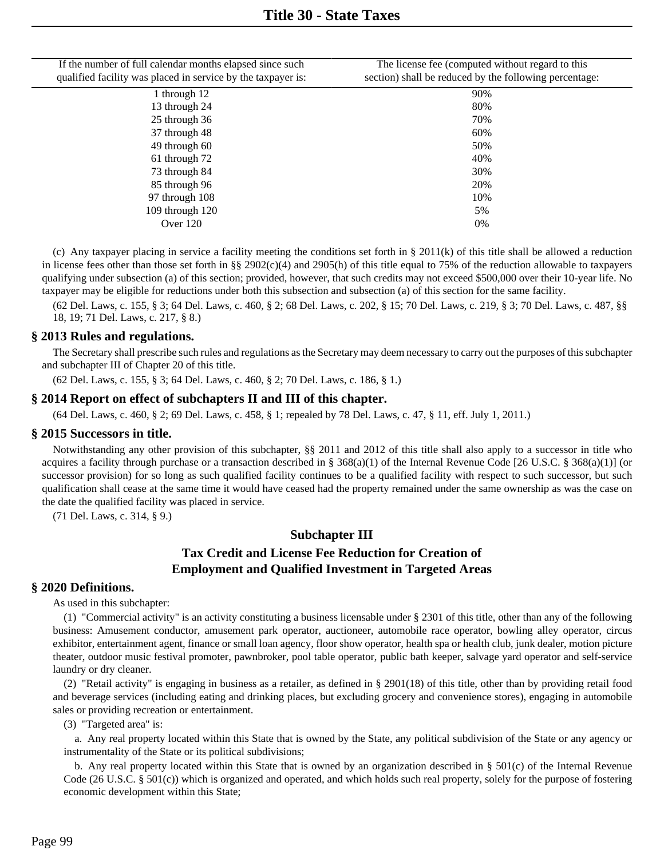| If the number of full calendar months elapsed since such     | The license fee (computed without regard to this       |
|--------------------------------------------------------------|--------------------------------------------------------|
| qualified facility was placed in service by the taxpayer is: | section) shall be reduced by the following percentage: |
| 1 through 12                                                 | 90%                                                    |
| 13 through 24                                                | 80%                                                    |
| 25 through 36                                                | 70%                                                    |
| 37 through 48                                                | 60%                                                    |
| 49 through 60                                                | 50%                                                    |
| 61 through 72                                                | 40%                                                    |
| 73 through 84                                                | 30%                                                    |
| 85 through 96                                                | 20%                                                    |
| 97 through 108                                               | 10%                                                    |
| 109 through 120                                              | 5%                                                     |
| Over $120$                                                   | $0\%$                                                  |
|                                                              |                                                        |

(c) Any taxpayer placing in service a facility meeting the conditions set forth in  $\S 2011(k)$  of this title shall be allowed a reduction in license fees other than those set forth in §§ 2902(c)(4) and 2905(h) of this title equal to 75% of the reduction allowable to taxpayers qualifying under subsection (a) of this section; provided, however, that such credits may not exceed \$500,000 over their 10-year life. No taxpayer may be eligible for reductions under both this subsection and subsection (a) of this section for the same facility.

(62 Del. Laws, c. 155, § 3; 64 Del. Laws, c. 460, § 2; 68 Del. Laws, c. 202, § 15; 70 Del. Laws, c. 219, § 3; 70 Del. Laws, c. 487, §§ 18, 19; 71 Del. Laws, c. 217, § 8.)

#### **§ 2013 Rules and regulations.**

The Secretary shall prescribe such rules and regulations as the Secretary may deem necessary to carry out the purposes of this subchapter and subchapter III of Chapter 20 of this title.

(62 Del. Laws, c. 155, § 3; 64 Del. Laws, c. 460, § 2; 70 Del. Laws, c. 186, § 1.)

## **§ 2014 Report on effect of subchapters II and III of this chapter.**

(64 Del. Laws, c. 460, § 2; 69 Del. Laws, c. 458, § 1; repealed by 78 Del. Laws, c. 47, § 11, eff. July 1, 2011.)

#### **§ 2015 Successors in title.**

Notwithstanding any other provision of this subchapter, §§ 2011 and 2012 of this title shall also apply to a successor in title who acquires a facility through purchase or a transaction described in § 368(a)(1) of the Internal Revenue Code [26 U.S.C. § 368(a)(1)] (or successor provision) for so long as such qualified facility continues to be a qualified facility with respect to such successor, but such qualification shall cease at the same time it would have ceased had the property remained under the same ownership as was the case on the date the qualified facility was placed in service.

(71 Del. Laws, c. 314, § 9.)

#### **Subchapter III**

# **Tax Credit and License Fee Reduction for Creation of Employment and Qualified Investment in Targeted Areas**

#### **§ 2020 Definitions.**

As used in this subchapter:

(1) "Commercial activity" is an activity constituting a business licensable under § 2301 of this title, other than any of the following business: Amusement conductor, amusement park operator, auctioneer, automobile race operator, bowling alley operator, circus exhibitor, entertainment agent, finance or small loan agency, floor show operator, health spa or health club, junk dealer, motion picture theater, outdoor music festival promoter, pawnbroker, pool table operator, public bath keeper, salvage yard operator and self-service laundry or dry cleaner.

(2) "Retail activity" is engaging in business as a retailer, as defined in § 2901(18) of this title, other than by providing retail food and beverage services (including eating and drinking places, but excluding grocery and convenience stores), engaging in automobile sales or providing recreation or entertainment.

(3) "Targeted area" is:

a. Any real property located within this State that is owned by the State, any political subdivision of the State or any agency or instrumentality of the State or its political subdivisions;

b. Any real property located within this State that is owned by an organization described in § 501(c) of the Internal Revenue Code (26 U.S.C. § 501(c)) which is organized and operated, and which holds such real property, solely for the purpose of fostering economic development within this State;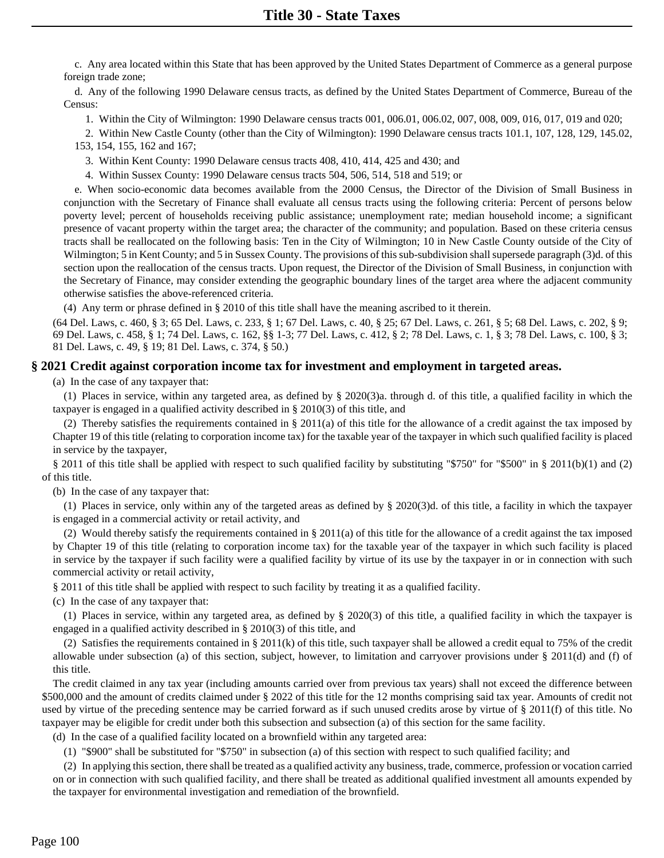c. Any area located within this State that has been approved by the United States Department of Commerce as a general purpose foreign trade zone;

d. Any of the following 1990 Delaware census tracts, as defined by the United States Department of Commerce, Bureau of the Census:

1. Within the City of Wilmington: 1990 Delaware census tracts 001, 006.01, 006.02, 007, 008, 009, 016, 017, 019 and 020;

2. Within New Castle County (other than the City of Wilmington): 1990 Delaware census tracts 101.1, 107, 128, 129, 145.02, 153, 154, 155, 162 and 167;

- 3. Within Kent County: 1990 Delaware census tracts 408, 410, 414, 425 and 430; and
- 4. Within Sussex County: 1990 Delaware census tracts 504, 506, 514, 518 and 519; or

e. When socio-economic data becomes available from the 2000 Census, the Director of the Division of Small Business in conjunction with the Secretary of Finance shall evaluate all census tracts using the following criteria: Percent of persons below poverty level; percent of households receiving public assistance; unemployment rate; median household income; a significant presence of vacant property within the target area; the character of the community; and population. Based on these criteria census tracts shall be reallocated on the following basis: Ten in the City of Wilmington; 10 in New Castle County outside of the City of Wilmington; 5 in Kent County; and 5 in Sussex County. The provisions of this sub-subdivision shall supersede paragraph (3)d. of this section upon the reallocation of the census tracts. Upon request, the Director of the Division of Small Business, in conjunction with the Secretary of Finance, may consider extending the geographic boundary lines of the target area where the adjacent community otherwise satisfies the above-referenced criteria.

(4) Any term or phrase defined in § 2010 of this title shall have the meaning ascribed to it therein.

(64 Del. Laws, c. 460, § 3; 65 Del. Laws, c. 233, § 1; 67 Del. Laws, c. 40, § 25; 67 Del. Laws, c. 261, § 5; 68 Del. Laws, c. 202, § 9; 69 Del. Laws, c. 458, § 1; 74 Del. Laws, c. 162, §§ 1-3; 77 Del. Laws, c. 412, § 2; 78 Del. Laws, c. 1, § 3; 78 Del. Laws, c. 100, § 3; 81 Del. Laws, c. 49, § 19; 81 Del. Laws, c. 374, § 50.)

#### **§ 2021 Credit against corporation income tax for investment and employment in targeted areas.**

(a) In the case of any taxpayer that:

(1) Places in service, within any targeted area, as defined by § 2020(3)a. through d. of this title, a qualified facility in which the taxpayer is engaged in a qualified activity described in § 2010(3) of this title, and

(2) Thereby satisfies the requirements contained in  $\S 2011(a)$  of this title for the allowance of a credit against the tax imposed by Chapter 19 of this title (relating to corporation income tax) for the taxable year of the taxpayer in which such qualified facility is placed in service by the taxpayer,

§ 2011 of this title shall be applied with respect to such qualified facility by substituting "\$750" for "\$500" in § 2011(b)(1) and (2) of this title.

(b) In the case of any taxpayer that:

(1) Places in service, only within any of the targeted areas as defined by § 2020(3)d. of this title, a facility in which the taxpayer is engaged in a commercial activity or retail activity, and

(2) Would thereby satisfy the requirements contained in § 2011(a) of this title for the allowance of a credit against the tax imposed by Chapter 19 of this title (relating to corporation income tax) for the taxable year of the taxpayer in which such facility is placed in service by the taxpayer if such facility were a qualified facility by virtue of its use by the taxpayer in or in connection with such commercial activity or retail activity,

§ 2011 of this title shall be applied with respect to such facility by treating it as a qualified facility.

(c) In the case of any taxpayer that:

(1) Places in service, within any targeted area, as defined by § 2020(3) of this title, a qualified facility in which the taxpayer is engaged in a qualified activity described in § 2010(3) of this title, and

(2) Satisfies the requirements contained in § 2011(k) of this title, such taxpayer shall be allowed a credit equal to 75% of the credit allowable under subsection (a) of this section, subject, however, to limitation and carryover provisions under § 2011(d) and (f) of this title.

The credit claimed in any tax year (including amounts carried over from previous tax years) shall not exceed the difference between \$500,000 and the amount of credits claimed under § 2022 of this title for the 12 months comprising said tax year. Amounts of credit not used by virtue of the preceding sentence may be carried forward as if such unused credits arose by virtue of § 2011(f) of this title. No taxpayer may be eligible for credit under both this subsection and subsection (a) of this section for the same facility.

(d) In the case of a qualified facility located on a brownfield within any targeted area:

(1) "\$900" shall be substituted for "\$750" in subsection (a) of this section with respect to such qualified facility; and

(2) In applying this section, there shall be treated as a qualified activity any business, trade, commerce, profession or vocation carried on or in connection with such qualified facility, and there shall be treated as additional qualified investment all amounts expended by the taxpayer for environmental investigation and remediation of the brownfield.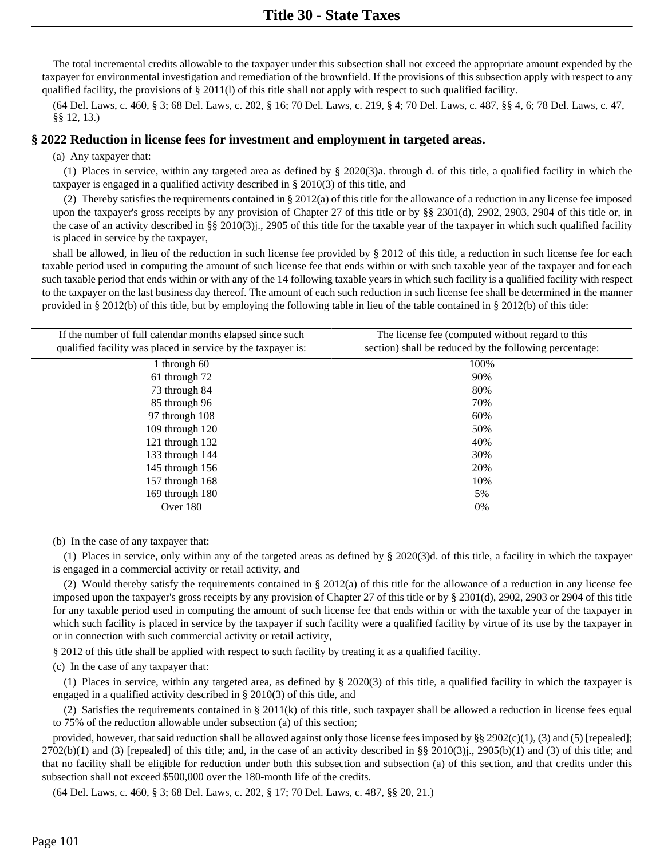The total incremental credits allowable to the taxpayer under this subsection shall not exceed the appropriate amount expended by the taxpayer for environmental investigation and remediation of the brownfield. If the provisions of this subsection apply with respect to any qualified facility, the provisions of § 2011(l) of this title shall not apply with respect to such qualified facility.

(64 Del. Laws, c. 460, § 3; 68 Del. Laws, c. 202, § 16; 70 Del. Laws, c. 219, § 4; 70 Del. Laws, c. 487, §§ 4, 6; 78 Del. Laws, c. 47, §§ 12, 13.)

#### **§ 2022 Reduction in license fees for investment and employment in targeted areas.**

#### (a) Any taxpayer that:

(1) Places in service, within any targeted area as defined by § 2020(3)a. through d. of this title, a qualified facility in which the taxpayer is engaged in a qualified activity described in § 2010(3) of this title, and

(2) Thereby satisfies the requirements contained in § 2012(a) of this title for the allowance of a reduction in any license fee imposed upon the taxpayer's gross receipts by any provision of Chapter 27 of this title or by §§ 2301(d), 2902, 2903, 2904 of this title or, in the case of an activity described in §§ 2010(3)j., 2905 of this title for the taxable year of the taxpayer in which such qualified facility is placed in service by the taxpayer,

shall be allowed, in lieu of the reduction in such license fee provided by § 2012 of this title, a reduction in such license fee for each taxable period used in computing the amount of such license fee that ends within or with such taxable year of the taxpayer and for each such taxable period that ends within or with any of the 14 following taxable years in which such facility is a qualified facility with respect to the taxpayer on the last business day thereof. The amount of each such reduction in such license fee shall be determined in the manner provided in § 2012(b) of this title, but by employing the following table in lieu of the table contained in § 2012(b) of this title:

| If the number of full calendar months elapsed since such<br>qualified facility was placed in service by the taxpayer is: | The license fee (computed without regard to this<br>section) shall be reduced by the following percentage: |
|--------------------------------------------------------------------------------------------------------------------------|------------------------------------------------------------------------------------------------------------|
| 1 through $60$                                                                                                           | 100%                                                                                                       |
| 61 through 72                                                                                                            | 90%                                                                                                        |
| 73 through 84                                                                                                            | 80%                                                                                                        |
| 85 through 96                                                                                                            | 70%                                                                                                        |
| 97 through 108                                                                                                           | 60%                                                                                                        |
| $109$ through $120$                                                                                                      | 50%                                                                                                        |
| 121 through $132$                                                                                                        | 40%                                                                                                        |
| 133 through $144$                                                                                                        | 30%                                                                                                        |
| 145 through 156                                                                                                          | 20%                                                                                                        |
| 157 through $168$                                                                                                        | 10%                                                                                                        |
| 169 through $180$                                                                                                        | 5%                                                                                                         |
| Over 180                                                                                                                 | $0\%$                                                                                                      |

(b) In the case of any taxpayer that:

(1) Places in service, only within any of the targeted areas as defined by § 2020(3)d. of this title, a facility in which the taxpayer is engaged in a commercial activity or retail activity, and

(2) Would thereby satisfy the requirements contained in  $\S 2012(a)$  of this title for the allowance of a reduction in any license fee imposed upon the taxpayer's gross receipts by any provision of Chapter 27 of this title or by § 2301(d), 2902, 2903 or 2904 of this title for any taxable period used in computing the amount of such license fee that ends within or with the taxable year of the taxpayer in which such facility is placed in service by the taxpayer if such facility were a qualified facility by virtue of its use by the taxpayer in or in connection with such commercial activity or retail activity,

§ 2012 of this title shall be applied with respect to such facility by treating it as a qualified facility.

(c) In the case of any taxpayer that:

(1) Places in service, within any targeted area, as defined by § 2020(3) of this title, a qualified facility in which the taxpayer is engaged in a qualified activity described in § 2010(3) of this title, and

(2) Satisfies the requirements contained in  $\S 2011(k)$  of this title, such taxpayer shall be allowed a reduction in license fees equal to 75% of the reduction allowable under subsection (a) of this section;

provided, however, that said reduction shall be allowed against only those license fees imposed by  $\S § 2902(c)(1)$ , (3) and (5) [repealed];  $2702(b)(1)$  and (3) [repealed] of this title; and, in the case of an activity described in §§  $2010(3)$ j.,  $2905(b)(1)$  and (3) of this title; and that no facility shall be eligible for reduction under both this subsection and subsection (a) of this section, and that credits under this subsection shall not exceed \$500,000 over the 180-month life of the credits.

(64 Del. Laws, c. 460, § 3; 68 Del. Laws, c. 202, § 17; 70 Del. Laws, c. 487, §§ 20, 21.)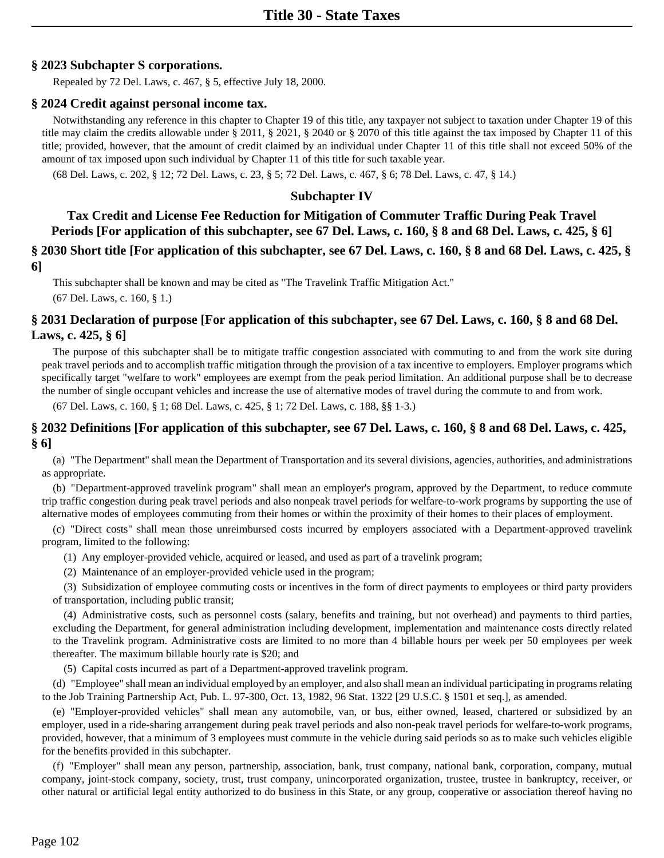# **§ 2023 Subchapter S corporations.**

Repealed by 72 Del. Laws, c. 467, § 5, effective July 18, 2000.

## **§ 2024 Credit against personal income tax.**

Notwithstanding any reference in this chapter to Chapter 19 of this title, any taxpayer not subject to taxation under Chapter 19 of this title may claim the credits allowable under § 2011, § 2021, § 2040 or § 2070 of this title against the tax imposed by Chapter 11 of this title; provided, however, that the amount of credit claimed by an individual under Chapter 11 of this title shall not exceed 50% of the amount of tax imposed upon such individual by Chapter 11 of this title for such taxable year.

(68 Del. Laws, c. 202, § 12; 72 Del. Laws, c. 23, § 5; 72 Del. Laws, c. 467, § 6; 78 Del. Laws, c. 47, § 14.)

# **Subchapter IV**

**Tax Credit and License Fee Reduction for Mitigation of Commuter Traffic During Peak Travel Periods [For application of this subchapter, see 67 Del. Laws, c. 160, § 8 and 68 Del. Laws, c. 425, § 6] § 2030 Short title [For application of this subchapter, see 67 Del. Laws, c. 160, § 8 and 68 Del. Laws, c. 425, § 6]**

This subchapter shall be known and may be cited as "The Travelink Traffic Mitigation Act." (67 Del. Laws, c. 160, § 1.)

# **§ 2031 Declaration of purpose [For application of this subchapter, see 67 Del. Laws, c. 160, § 8 and 68 Del. Laws, c. 425, § 6]**

The purpose of this subchapter shall be to mitigate traffic congestion associated with commuting to and from the work site during peak travel periods and to accomplish traffic mitigation through the provision of a tax incentive to employers. Employer programs which specifically target "welfare to work" employees are exempt from the peak period limitation. An additional purpose shall be to decrease the number of single occupant vehicles and increase the use of alternative modes of travel during the commute to and from work.

(67 Del. Laws, c. 160, § 1; 68 Del. Laws, c. 425, § 1; 72 Del. Laws, c. 188, §§ 1-3.)

## **§ 2032 Definitions [For application of this subchapter, see 67 Del. Laws, c. 160, § 8 and 68 Del. Laws, c. 425, § 6]**

(a) "The Department" shall mean the Department of Transportation and its several divisions, agencies, authorities, and administrations as appropriate.

(b) "Department-approved travelink program" shall mean an employer's program, approved by the Department, to reduce commute trip traffic congestion during peak travel periods and also nonpeak travel periods for welfare-to-work programs by supporting the use of alternative modes of employees commuting from their homes or within the proximity of their homes to their places of employment.

(c) "Direct costs" shall mean those unreimbursed costs incurred by employers associated with a Department-approved travelink program, limited to the following:

(1) Any employer-provided vehicle, acquired or leased, and used as part of a travelink program;

(2) Maintenance of an employer-provided vehicle used in the program;

(3) Subsidization of employee commuting costs or incentives in the form of direct payments to employees or third party providers of transportation, including public transit;

(4) Administrative costs, such as personnel costs (salary, benefits and training, but not overhead) and payments to third parties, excluding the Department, for general administration including development, implementation and maintenance costs directly related to the Travelink program. Administrative costs are limited to no more than 4 billable hours per week per 50 employees per week thereafter. The maximum billable hourly rate is \$20; and

(5) Capital costs incurred as part of a Department-approved travelink program.

(d) "Employee" shall mean an individual employed by an employer, and also shall mean an individual participating in programs relating to the Job Training Partnership Act, Pub. L. 97-300, Oct. 13, 1982, 96 Stat. 1322 [29 U.S.C. § 1501 et seq.], as amended.

(e) "Employer-provided vehicles" shall mean any automobile, van, or bus, either owned, leased, chartered or subsidized by an employer, used in a ride-sharing arrangement during peak travel periods and also non-peak travel periods for welfare-to-work programs, provided, however, that a minimum of 3 employees must commute in the vehicle during said periods so as to make such vehicles eligible for the benefits provided in this subchapter.

(f) "Employer" shall mean any person, partnership, association, bank, trust company, national bank, corporation, company, mutual company, joint-stock company, society, trust, trust company, unincorporated organization, trustee, trustee in bankruptcy, receiver, or other natural or artificial legal entity authorized to do business in this State, or any group, cooperative or association thereof having no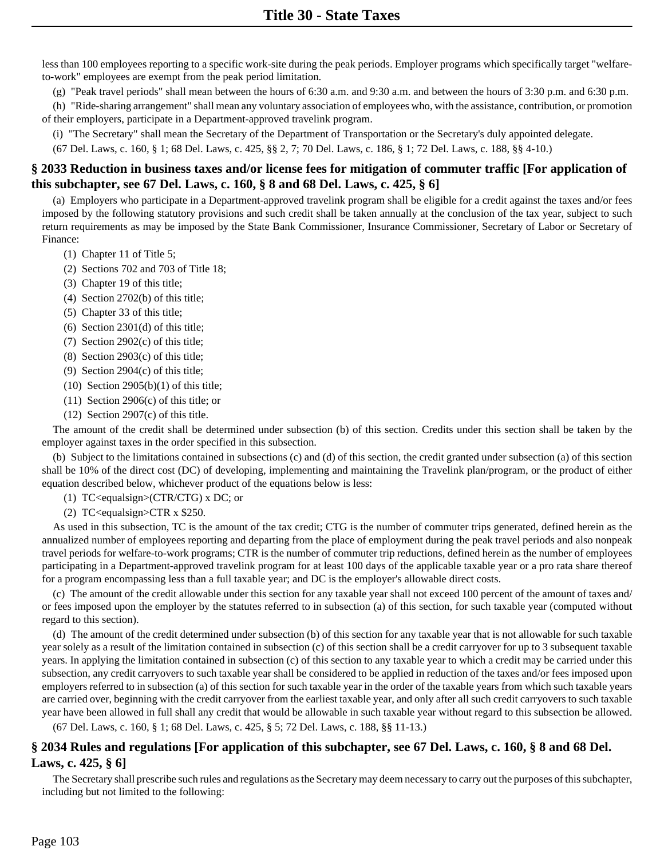less than 100 employees reporting to a specific work-site during the peak periods. Employer programs which specifically target "welfareto-work" employees are exempt from the peak period limitation.

(g) "Peak travel periods" shall mean between the hours of  $6:30$  a.m. and  $9:30$  a.m. and between the hours of  $3:30$  p.m. and  $6:30$  p.m.

(h) "Ride-sharing arrangement" shall mean any voluntary association of employees who, with the assistance, contribution, or promotion of their employers, participate in a Department-approved travelink program.

(i) "The Secretary" shall mean the Secretary of the Department of Transportation or the Secretary's duly appointed delegate.

(67 Del. Laws, c. 160, § 1; 68 Del. Laws, c. 425, §§ 2, 7; 70 Del. Laws, c. 186, § 1; 72 Del. Laws, c. 188, §§ 4-10.)

# **§ 2033 Reduction in business taxes and/or license fees for mitigation of commuter traffic [For application of this subchapter, see 67 Del. Laws, c. 160, § 8 and 68 Del. Laws, c. 425, § 6]**

(a) Employers who participate in a Department-approved travelink program shall be eligible for a credit against the taxes and/or fees imposed by the following statutory provisions and such credit shall be taken annually at the conclusion of the tax year, subject to such return requirements as may be imposed by the State Bank Commissioner, Insurance Commissioner, Secretary of Labor or Secretary of Finance:

- (1) Chapter 11 of Title 5;
- (2) Sections 702 and 703 of Title 18;
- (3) Chapter 19 of this title;
- (4) Section 2702(b) of this title;
- (5) Chapter 33 of this title;
- (6) Section 2301(d) of this title;
- (7) Section 2902(c) of this title;
- (8) Section 2903(c) of this title;
- (9) Section 2904(c) of this title;
- $(10)$  Section 2905(b)(1) of this title;
- (11) Section 2906(c) of this title; or
- (12) Section 2907(c) of this title.

The amount of the credit shall be determined under subsection (b) of this section. Credits under this section shall be taken by the employer against taxes in the order specified in this subsection.

(b) Subject to the limitations contained in subsections (c) and (d) of this section, the credit granted under subsection (a) of this section shall be 10% of the direct cost (DC) of developing, implementing and maintaining the Travelink plan/program, or the product of either equation described below, whichever product of the equations below is less:

- (1) TC<equalsign>(CTR/CTG) x DC; or
- (2) TC<equalsign>CTR x \$250.

As used in this subsection, TC is the amount of the tax credit; CTG is the number of commuter trips generated, defined herein as the annualized number of employees reporting and departing from the place of employment during the peak travel periods and also nonpeak travel periods for welfare-to-work programs; CTR is the number of commuter trip reductions, defined herein as the number of employees participating in a Department-approved travelink program for at least 100 days of the applicable taxable year or a pro rata share thereof for a program encompassing less than a full taxable year; and DC is the employer's allowable direct costs.

(c) The amount of the credit allowable under this section for any taxable year shall not exceed 100 percent of the amount of taxes and/ or fees imposed upon the employer by the statutes referred to in subsection (a) of this section, for such taxable year (computed without regard to this section).

(d) The amount of the credit determined under subsection (b) of this section for any taxable year that is not allowable for such taxable year solely as a result of the limitation contained in subsection (c) of this section shall be a credit carryover for up to 3 subsequent taxable years. In applying the limitation contained in subsection (c) of this section to any taxable year to which a credit may be carried under this subsection, any credit carryovers to such taxable year shall be considered to be applied in reduction of the taxes and/or fees imposed upon employers referred to in subsection (a) of this section for such taxable year in the order of the taxable years from which such taxable years are carried over, beginning with the credit carryover from the earliest taxable year, and only after all such credit carryovers to such taxable year have been allowed in full shall any credit that would be allowable in such taxable year without regard to this subsection be allowed.

(67 Del. Laws, c. 160, § 1; 68 Del. Laws, c. 425, § 5; 72 Del. Laws, c. 188, §§ 11-13.)

# **§ 2034 Rules and regulations [For application of this subchapter, see 67 Del. Laws, c. 160, § 8 and 68 Del. Laws, c. 425, § 6]**

The Secretary shall prescribe such rules and regulations as the Secretary may deem necessary to carry out the purposes of this subchapter, including but not limited to the following: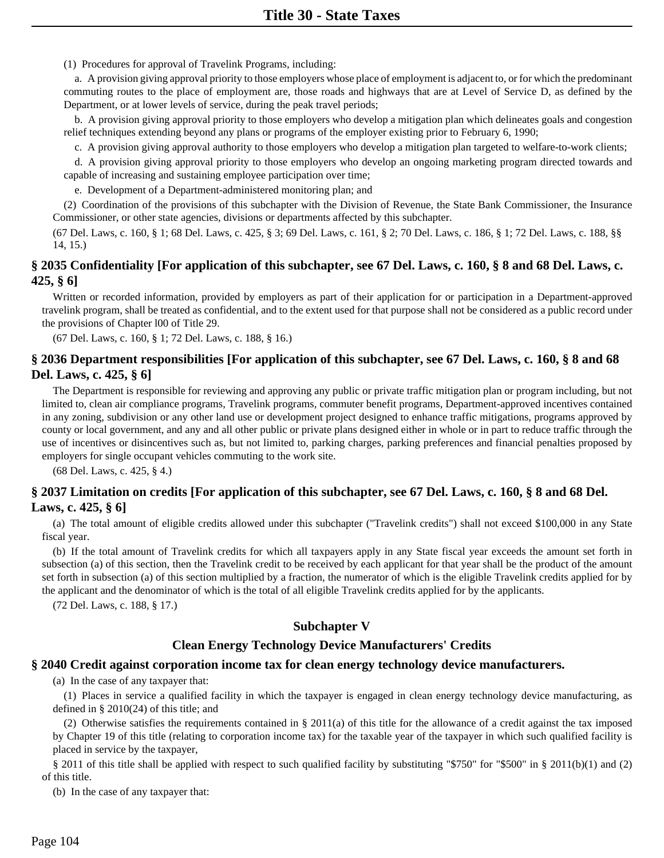(1) Procedures for approval of Travelink Programs, including:

a. A provision giving approval priority to those employers whose place of employment is adjacent to, or for which the predominant commuting routes to the place of employment are, those roads and highways that are at Level of Service D, as defined by the Department, or at lower levels of service, during the peak travel periods;

b. A provision giving approval priority to those employers who develop a mitigation plan which delineates goals and congestion relief techniques extending beyond any plans or programs of the employer existing prior to February 6, 1990;

c. A provision giving approval authority to those employers who develop a mitigation plan targeted to welfare-to-work clients;

d. A provision giving approval priority to those employers who develop an ongoing marketing program directed towards and capable of increasing and sustaining employee participation over time;

e. Development of a Department-administered monitoring plan; and

(2) Coordination of the provisions of this subchapter with the Division of Revenue, the State Bank Commissioner, the Insurance Commissioner, or other state agencies, divisions or departments affected by this subchapter.

(67 Del. Laws, c. 160, § 1; 68 Del. Laws, c. 425, § 3; 69 Del. Laws, c. 161, § 2; 70 Del. Laws, c. 186, § 1; 72 Del. Laws, c. 188, §§ 14, 15.)

# **§ 2035 Confidentiality [For application of this subchapter, see 67 Del. Laws, c. 160, § 8 and 68 Del. Laws, c. 425, § 6]**

Written or recorded information, provided by employers as part of their application for or participation in a Department-approved travelink program, shall be treated as confidential, and to the extent used for that purpose shall not be considered as a public record under the provisions of Chapter l00 of Title 29.

(67 Del. Laws, c. 160, § 1; 72 Del. Laws, c. 188, § 16.)

## **§ 2036 Department responsibilities [For application of this subchapter, see 67 Del. Laws, c. 160, § 8 and 68 Del. Laws, c. 425, § 6]**

The Department is responsible for reviewing and approving any public or private traffic mitigation plan or program including, but not limited to, clean air compliance programs, Travelink programs, commuter benefit programs, Department-approved incentives contained in any zoning, subdivision or any other land use or development project designed to enhance traffic mitigations, programs approved by county or local government, and any and all other public or private plans designed either in whole or in part to reduce traffic through the use of incentives or disincentives such as, but not limited to, parking charges, parking preferences and financial penalties proposed by employers for single occupant vehicles commuting to the work site.

(68 Del. Laws, c. 425, § 4.)

# **§ 2037 Limitation on credits [For application of this subchapter, see 67 Del. Laws, c. 160, § 8 and 68 Del. Laws, c. 425, § 6]**

(a) The total amount of eligible credits allowed under this subchapter ("Travelink credits") shall not exceed \$100,000 in any State fiscal year.

(b) If the total amount of Travelink credits for which all taxpayers apply in any State fiscal year exceeds the amount set forth in subsection (a) of this section, then the Travelink credit to be received by each applicant for that year shall be the product of the amount set forth in subsection (a) of this section multiplied by a fraction, the numerator of which is the eligible Travelink credits applied for by the applicant and the denominator of which is the total of all eligible Travelink credits applied for by the applicants.

(72 Del. Laws, c. 188, § 17.)

# **Subchapter V**

## **Clean Energy Technology Device Manufacturers' Credits**

#### **§ 2040 Credit against corporation income tax for clean energy technology device manufacturers.**

(a) In the case of any taxpayer that:

(1) Places in service a qualified facility in which the taxpayer is engaged in clean energy technology device manufacturing, as defined in § 2010(24) of this title; and

(2) Otherwise satisfies the requirements contained in § 2011(a) of this title for the allowance of a credit against the tax imposed by Chapter 19 of this title (relating to corporation income tax) for the taxable year of the taxpayer in which such qualified facility is placed in service by the taxpayer,

§ 2011 of this title shall be applied with respect to such qualified facility by substituting "\$750" for "\$500" in § 2011(b)(1) and (2) of this title.

(b) In the case of any taxpayer that: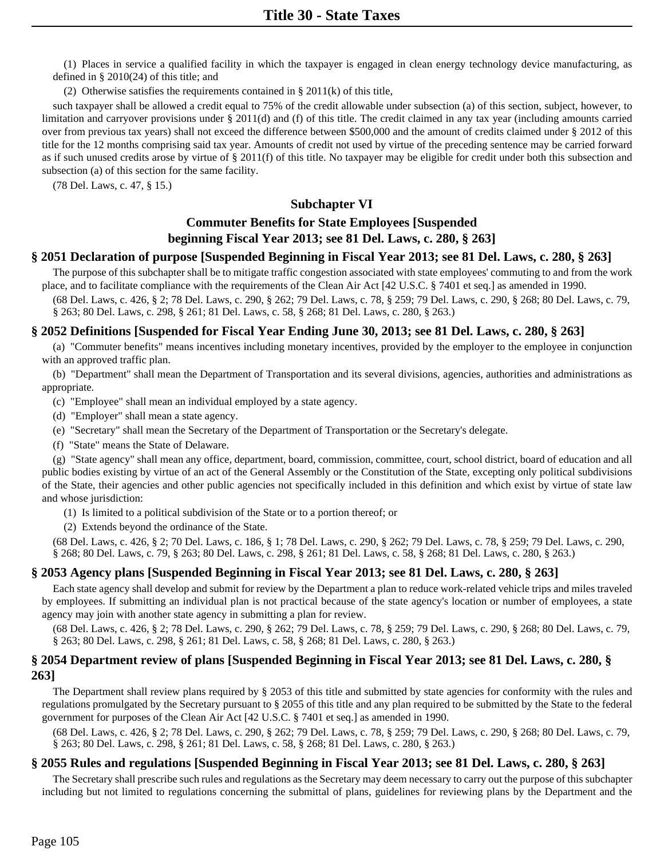(1) Places in service a qualified facility in which the taxpayer is engaged in clean energy technology device manufacturing, as defined in § 2010(24) of this title; and

(2) Otherwise satisfies the requirements contained in § 2011(k) of this title,

such taxpayer shall be allowed a credit equal to 75% of the credit allowable under subsection (a) of this section, subject, however, to limitation and carryover provisions under § 2011(d) and (f) of this title. The credit claimed in any tax year (including amounts carried over from previous tax years) shall not exceed the difference between \$500,000 and the amount of credits claimed under § 2012 of this title for the 12 months comprising said tax year. Amounts of credit not used by virtue of the preceding sentence may be carried forward as if such unused credits arose by virtue of § 2011(f) of this title. No taxpayer may be eligible for credit under both this subsection and subsection (a) of this section for the same facility.

(78 Del. Laws, c. 47, § 15.)

## **Subchapter VI**

# **Commuter Benefits for State Employees [Suspended beginning Fiscal Year 2013; see 81 Del. Laws, c. 280, § 263]**

## **§ 2051 Declaration of purpose [Suspended Beginning in Fiscal Year 2013; see 81 Del. Laws, c. 280, § 263]**

The purpose of this subchapter shall be to mitigate traffic congestion associated with state employees' commuting to and from the work place, and to facilitate compliance with the requirements of the Clean Air Act [42 U.S.C. § 7401 et seq.] as amended in 1990.

(68 Del. Laws, c. 426, § 2; 78 Del. Laws, c. 290, § 262; 79 Del. Laws, c. 78, § 259; 79 Del. Laws, c. 290, § 268; 80 Del. Laws, c. 79, § 263; 80 Del. Laws, c. 298, § 261; 81 Del. Laws, c. 58, § 268; 81 Del. Laws, c. 280, § 263.)

## **§ 2052 Definitions [Suspended for Fiscal Year Ending June 30, 2013; see 81 Del. Laws, c. 280, § 263]**

(a) "Commuter benefits" means incentives including monetary incentives, provided by the employer to the employee in conjunction with an approved traffic plan.

(b) "Department" shall mean the Department of Transportation and its several divisions, agencies, authorities and administrations as appropriate.

- (c) "Employee" shall mean an individual employed by a state agency.
- (d) "Employer" shall mean a state agency.
- (e) "Secretary" shall mean the Secretary of the Department of Transportation or the Secretary's delegate.
- (f) "State" means the State of Delaware.

(g) "State agency" shall mean any office, department, board, commission, committee, court, school district, board of education and all public bodies existing by virtue of an act of the General Assembly or the Constitution of the State, excepting only political subdivisions of the State, their agencies and other public agencies not specifically included in this definition and which exist by virtue of state law and whose jurisdiction:

(1) Is limited to a political subdivision of the State or to a portion thereof; or

(2) Extends beyond the ordinance of the State.

(68 Del. Laws, c. 426, § 2; 70 Del. Laws, c. 186, § 1; 78 Del. Laws, c. 290, § 262; 79 Del. Laws, c. 78, § 259; 79 Del. Laws, c. 290, § 268; 80 Del. Laws, c. 79, § 263; 80 Del. Laws, c. 298, § 261; 81 Del. Laws, c. 58, § 268; 81 Del. Laws, c. 280, § 263.)

# **§ 2053 Agency plans [Suspended Beginning in Fiscal Year 2013; see 81 Del. Laws, c. 280, § 263]**

Each state agency shall develop and submit for review by the Department a plan to reduce work-related vehicle trips and miles traveled by employees. If submitting an individual plan is not practical because of the state agency's location or number of employees, a state agency may join with another state agency in submitting a plan for review.

(68 Del. Laws, c. 426, § 2; 78 Del. Laws, c. 290, § 262; 79 Del. Laws, c. 78, § 259; 79 Del. Laws, c. 290, § 268; 80 Del. Laws, c. 79, § 263; 80 Del. Laws, c. 298, § 261; 81 Del. Laws, c. 58, § 268; 81 Del. Laws, c. 280, § 263.)

## **§ 2054 Department review of plans [Suspended Beginning in Fiscal Year 2013; see 81 Del. Laws, c. 280, § 263]**

The Department shall review plans required by § 2053 of this title and submitted by state agencies for conformity with the rules and regulations promulgated by the Secretary pursuant to § 2055 of this title and any plan required to be submitted by the State to the federal government for purposes of the Clean Air Act [42 U.S.C. § 7401 et seq.] as amended in 1990.

(68 Del. Laws, c. 426, § 2; 78 Del. Laws, c. 290, § 262; 79 Del. Laws, c. 78, § 259; 79 Del. Laws, c. 290, § 268; 80 Del. Laws, c. 79, § 263; 80 Del. Laws, c. 298, § 261; 81 Del. Laws, c. 58, § 268; 81 Del. Laws, c. 280, § 263.)

# **§ 2055 Rules and regulations [Suspended Beginning in Fiscal Year 2013; see 81 Del. Laws, c. 280, § 263]**

The Secretary shall prescribe such rules and regulations as the Secretary may deem necessary to carry out the purpose of this subchapter including but not limited to regulations concerning the submittal of plans, guidelines for reviewing plans by the Department and the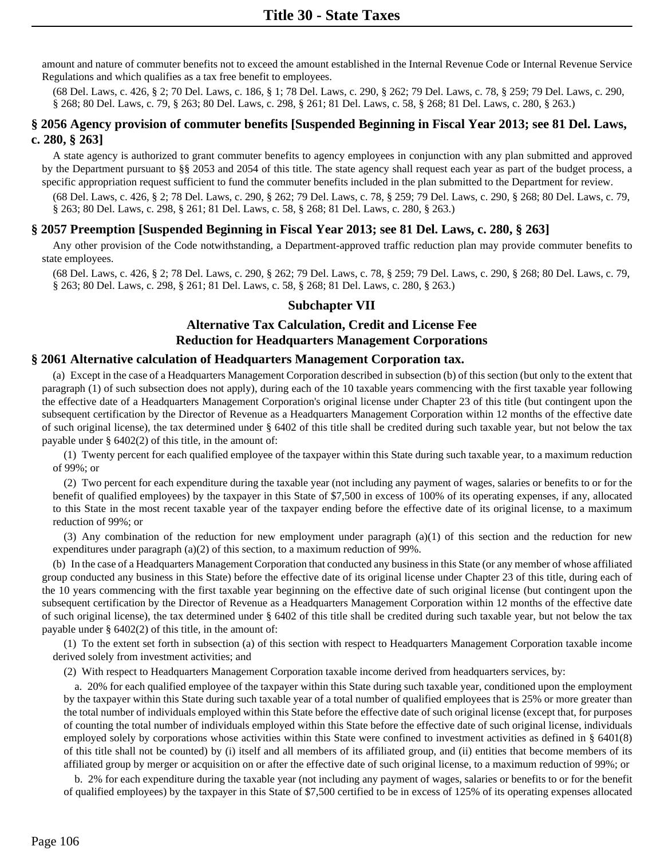amount and nature of commuter benefits not to exceed the amount established in the Internal Revenue Code or Internal Revenue Service Regulations and which qualifies as a tax free benefit to employees.

(68 Del. Laws, c. 426, § 2; 70 Del. Laws, c. 186, § 1; 78 Del. Laws, c. 290, § 262; 79 Del. Laws, c. 78, § 259; 79 Del. Laws, c. 290, § 268; 80 Del. Laws, c. 79, § 263; 80 Del. Laws, c. 298, § 261; 81 Del. Laws, c. 58, § 268; 81 Del. Laws, c. 280, § 263.)

## **§ 2056 Agency provision of commuter benefits [Suspended Beginning in Fiscal Year 2013; see 81 Del. Laws, c. 280, § 263]**

A state agency is authorized to grant commuter benefits to agency employees in conjunction with any plan submitted and approved by the Department pursuant to §§ 2053 and 2054 of this title. The state agency shall request each year as part of the budget process, a specific appropriation request sufficient to fund the commuter benefits included in the plan submitted to the Department for review.

(68 Del. Laws, c. 426, § 2; 78 Del. Laws, c. 290, § 262; 79 Del. Laws, c. 78, § 259; 79 Del. Laws, c. 290, § 268; 80 Del. Laws, c. 79, § 263; 80 Del. Laws, c. 298, § 261; 81 Del. Laws, c. 58, § 268; 81 Del. Laws, c. 280, § 263.)

# **§ 2057 Preemption [Suspended Beginning in Fiscal Year 2013; see 81 Del. Laws, c. 280, § 263]**

Any other provision of the Code notwithstanding, a Department-approved traffic reduction plan may provide commuter benefits to state employees.

(68 Del. Laws, c. 426, § 2; 78 Del. Laws, c. 290, § 262; 79 Del. Laws, c. 78, § 259; 79 Del. Laws, c. 290, § 268; 80 Del. Laws, c. 79, § 263; 80 Del. Laws, c. 298, § 261; 81 Del. Laws, c. 58, § 268; 81 Del. Laws, c. 280, § 263.)

## **Subchapter VII**

# **Alternative Tax Calculation, Credit and License Fee Reduction for Headquarters Management Corporations**

#### **§ 2061 Alternative calculation of Headquarters Management Corporation tax.**

(a) Except in the case of a Headquarters Management Corporation described in subsection (b) of this section (but only to the extent that paragraph (1) of such subsection does not apply), during each of the 10 taxable years commencing with the first taxable year following the effective date of a Headquarters Management Corporation's original license under Chapter 23 of this title (but contingent upon the subsequent certification by the Director of Revenue as a Headquarters Management Corporation within 12 months of the effective date of such original license), the tax determined under § 6402 of this title shall be credited during such taxable year, but not below the tax payable under § 6402(2) of this title, in the amount of:

(1) Twenty percent for each qualified employee of the taxpayer within this State during such taxable year, to a maximum reduction of 99%; or

(2) Two percent for each expenditure during the taxable year (not including any payment of wages, salaries or benefits to or for the benefit of qualified employees) by the taxpayer in this State of \$7,500 in excess of 100% of its operating expenses, if any, allocated to this State in the most recent taxable year of the taxpayer ending before the effective date of its original license, to a maximum reduction of 99%; or

(3) Any combination of the reduction for new employment under paragraph (a)(1) of this section and the reduction for new expenditures under paragraph (a)(2) of this section, to a maximum reduction of 99%.

(b) In the case of a Headquarters Management Corporation that conducted any business in this State (or any member of whose affiliated group conducted any business in this State) before the effective date of its original license under Chapter 23 of this title, during each of the 10 years commencing with the first taxable year beginning on the effective date of such original license (but contingent upon the subsequent certification by the Director of Revenue as a Headquarters Management Corporation within 12 months of the effective date of such original license), the tax determined under § 6402 of this title shall be credited during such taxable year, but not below the tax payable under § 6402(2) of this title, in the amount of:

(1) To the extent set forth in subsection (a) of this section with respect to Headquarters Management Corporation taxable income derived solely from investment activities; and

(2) With respect to Headquarters Management Corporation taxable income derived from headquarters services, by:

a. 20% for each qualified employee of the taxpayer within this State during such taxable year, conditioned upon the employment by the taxpayer within this State during such taxable year of a total number of qualified employees that is 25% or more greater than the total number of individuals employed within this State before the effective date of such original license (except that, for purposes of counting the total number of individuals employed within this State before the effective date of such original license, individuals employed solely by corporations whose activities within this State were confined to investment activities as defined in § 6401(8) of this title shall not be counted) by (i) itself and all members of its affiliated group, and (ii) entities that become members of its affiliated group by merger or acquisition on or after the effective date of such original license, to a maximum reduction of 99%; or

b. 2% for each expenditure during the taxable year (not including any payment of wages, salaries or benefits to or for the benefit of qualified employees) by the taxpayer in this State of \$7,500 certified to be in excess of 125% of its operating expenses allocated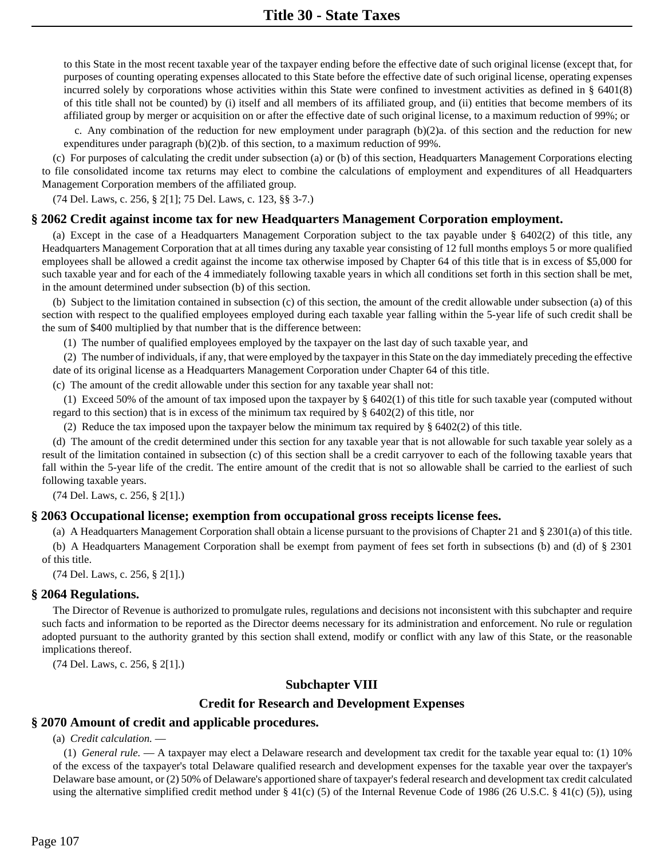to this State in the most recent taxable year of the taxpayer ending before the effective date of such original license (except that, for purposes of counting operating expenses allocated to this State before the effective date of such original license, operating expenses incurred solely by corporations whose activities within this State were confined to investment activities as defined in § 6401(8) of this title shall not be counted) by (i) itself and all members of its affiliated group, and (ii) entities that become members of its affiliated group by merger or acquisition on or after the effective date of such original license, to a maximum reduction of 99%; or

c. Any combination of the reduction for new employment under paragraph  $(b)(2)a$ . of this section and the reduction for new expenditures under paragraph (b)(2)b. of this section, to a maximum reduction of 99%.

(c) For purposes of calculating the credit under subsection (a) or (b) of this section, Headquarters Management Corporations electing to file consolidated income tax returns may elect to combine the calculations of employment and expenditures of all Headquarters Management Corporation members of the affiliated group.

(74 Del. Laws, c. 256, § 2[1]; 75 Del. Laws, c. 123, §§ 3-7.)

## **§ 2062 Credit against income tax for new Headquarters Management Corporation employment.**

(a) Except in the case of a Headquarters Management Corporation subject to the tax payable under § 6402(2) of this title, any Headquarters Management Corporation that at all times during any taxable year consisting of 12 full months employs 5 or more qualified employees shall be allowed a credit against the income tax otherwise imposed by Chapter 64 of this title that is in excess of \$5,000 for such taxable year and for each of the 4 immediately following taxable years in which all conditions set forth in this section shall be met, in the amount determined under subsection (b) of this section.

(b) Subject to the limitation contained in subsection (c) of this section, the amount of the credit allowable under subsection (a) of this section with respect to the qualified employees employed during each taxable year falling within the 5-year life of such credit shall be the sum of \$400 multiplied by that number that is the difference between:

(1) The number of qualified employees employed by the taxpayer on the last day of such taxable year, and

(2) The number of individuals, if any, that were employed by the taxpayer in this State on the day immediately preceding the effective date of its original license as a Headquarters Management Corporation under Chapter 64 of this title.

(c) The amount of the credit allowable under this section for any taxable year shall not:

(1) Exceed 50% of the amount of tax imposed upon the taxpayer by  $\S 6402(1)$  of this title for such taxable year (computed without regard to this section) that is in excess of the minimum tax required by § 6402(2) of this title, nor

(2) Reduce the tax imposed upon the taxpayer below the minimum tax required by  $\S$  6402(2) of this title.

(d) The amount of the credit determined under this section for any taxable year that is not allowable for such taxable year solely as a result of the limitation contained in subsection (c) of this section shall be a credit carryover to each of the following taxable years that fall within the 5-year life of the credit. The entire amount of the credit that is not so allowable shall be carried to the earliest of such following taxable years.

(74 Del. Laws, c. 256, § 2[1].)

#### **§ 2063 Occupational license; exemption from occupational gross receipts license fees.**

(a) A Headquarters Management Corporation shall obtain a license pursuant to the provisions of Chapter 21 and § 2301(a) of this title. (b) A Headquarters Management Corporation shall be exempt from payment of fees set forth in subsections (b) and (d) of § 2301

of this title.

(74 Del. Laws, c. 256, § 2[1].)

## **§ 2064 Regulations.**

The Director of Revenue is authorized to promulgate rules, regulations and decisions not inconsistent with this subchapter and require such facts and information to be reported as the Director deems necessary for its administration and enforcement. No rule or regulation adopted pursuant to the authority granted by this section shall extend, modify or conflict with any law of this State, or the reasonable implications thereof.

(74 Del. Laws, c. 256, § 2[1].)

## **Subchapter VIII**

## **Credit for Research and Development Expenses**

## **§ 2070 Amount of credit and applicable procedures.**

(a) *Credit calculation.* —

(1) *General rule.* — A taxpayer may elect a Delaware research and development tax credit for the taxable year equal to: (1) 10% of the excess of the taxpayer's total Delaware qualified research and development expenses for the taxable year over the taxpayer's Delaware base amount, or (2) 50% of Delaware's apportioned share of taxpayer's federal research and development tax credit calculated using the alternative simplified credit method under  $\S 41(c)$  (5) of the Internal Revenue Code of 1986 (26 U.S.C.  $\S 41(c)$  (5)), using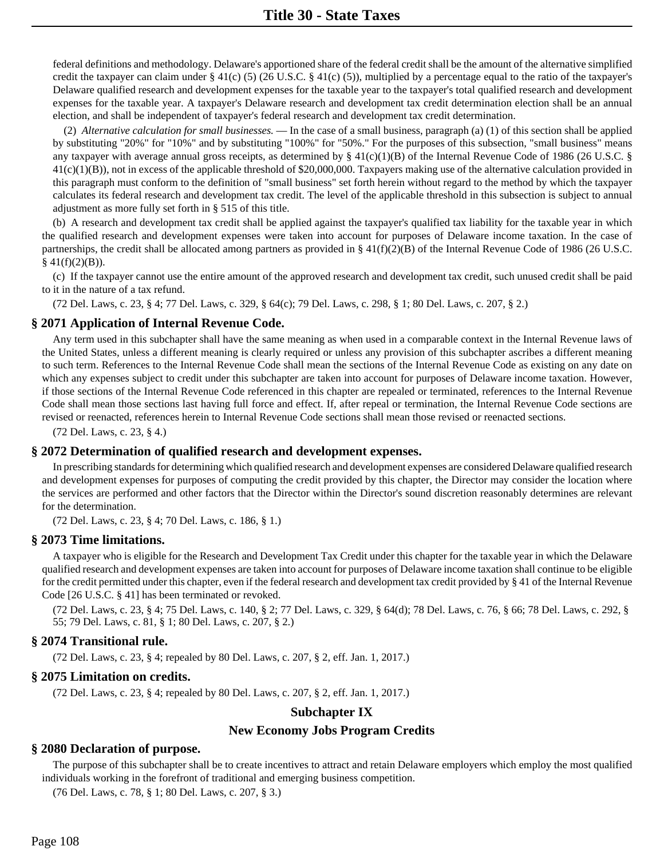federal definitions and methodology. Delaware's apportioned share of the federal credit shall be the amount of the alternative simplified credit the taxpayer can claim under  $\S 41(c)$  (5) (26 U.S.C.  $\S 41(c)$  (5)), multiplied by a percentage equal to the ratio of the taxpayer's Delaware qualified research and development expenses for the taxable year to the taxpayer's total qualified research and development expenses for the taxable year. A taxpayer's Delaware research and development tax credit determination election shall be an annual election, and shall be independent of taxpayer's federal research and development tax credit determination.

(2) *Alternative calculation for small businesses.* — In the case of a small business, paragraph (a) (1) of this section shall be applied by substituting "20%" for "10%" and by substituting "100%" for "50%." For the purposes of this subsection, "small business" means any taxpayer with average annual gross receipts, as determined by  $\S 41(c)(1)(B)$  of the Internal Revenue Code of 1986 (26 U.S.C. §  $41(c)(1)(B)$ , not in excess of the applicable threshold of \$20,000,000. Taxpayers making use of the alternative calculation provided in this paragraph must conform to the definition of "small business" set forth herein without regard to the method by which the taxpayer calculates its federal research and development tax credit. The level of the applicable threshold in this subsection is subject to annual adjustment as more fully set forth in § 515 of this title.

(b) A research and development tax credit shall be applied against the taxpayer's qualified tax liability for the taxable year in which the qualified research and development expenses were taken into account for purposes of Delaware income taxation. In the case of partnerships, the credit shall be allocated among partners as provided in § 41(f)(2)(B) of the Internal Revenue Code of 1986 (26 U.S.C.  $§$  41(f)(2)(B)).

(c) If the taxpayer cannot use the entire amount of the approved research and development tax credit, such unused credit shall be paid to it in the nature of a tax refund.

(72 Del. Laws, c. 23, § 4; 77 Del. Laws, c. 329, § 64(c); 79 Del. Laws, c. 298, § 1; 80 Del. Laws, c. 207, § 2.)

### **§ 2071 Application of Internal Revenue Code.**

Any term used in this subchapter shall have the same meaning as when used in a comparable context in the Internal Revenue laws of the United States, unless a different meaning is clearly required or unless any provision of this subchapter ascribes a different meaning to such term. References to the Internal Revenue Code shall mean the sections of the Internal Revenue Code as existing on any date on which any expenses subject to credit under this subchapter are taken into account for purposes of Delaware income taxation. However, if those sections of the Internal Revenue Code referenced in this chapter are repealed or terminated, references to the Internal Revenue Code shall mean those sections last having full force and effect. If, after repeal or termination, the Internal Revenue Code sections are revised or reenacted, references herein to Internal Revenue Code sections shall mean those revised or reenacted sections.

(72 Del. Laws, c. 23, § 4.)

#### **§ 2072 Determination of qualified research and development expenses.**

In prescribing standards for determining which qualified research and development expenses are considered Delaware qualified research and development expenses for purposes of computing the credit provided by this chapter, the Director may consider the location where the services are performed and other factors that the Director within the Director's sound discretion reasonably determines are relevant for the determination.

(72 Del. Laws, c. 23, § 4; 70 Del. Laws, c. 186, § 1.)

#### **§ 2073 Time limitations.**

A taxpayer who is eligible for the Research and Development Tax Credit under this chapter for the taxable year in which the Delaware qualified research and development expenses are taken into account for purposes of Delaware income taxation shall continue to be eligible for the credit permitted under this chapter, even if the federal research and development tax credit provided by § 41 of the Internal Revenue Code [26 U.S.C. § 41] has been terminated or revoked.

(72 Del. Laws, c. 23, § 4; 75 Del. Laws, c. 140, § 2; 77 Del. Laws, c. 329, § 64(d); 78 Del. Laws, c. 76, § 66; 78 Del. Laws, c. 292, § 55; 79 Del. Laws, c. 81, § 1; 80 Del. Laws, c. 207, § 2.)

#### **§ 2074 Transitional rule.**

(72 Del. Laws, c. 23, § 4; repealed by 80 Del. Laws, c. 207, § 2, eff. Jan. 1, 2017.)

#### **§ 2075 Limitation on credits.**

(72 Del. Laws, c. 23, § 4; repealed by 80 Del. Laws, c. 207, § 2, eff. Jan. 1, 2017.)

#### **Subchapter IX**

#### **New Economy Jobs Program Credits**

#### **§ 2080 Declaration of purpose.**

The purpose of this subchapter shall be to create incentives to attract and retain Delaware employers which employ the most qualified individuals working in the forefront of traditional and emerging business competition.

(76 Del. Laws, c. 78, § 1; 80 Del. Laws, c. 207, § 3.)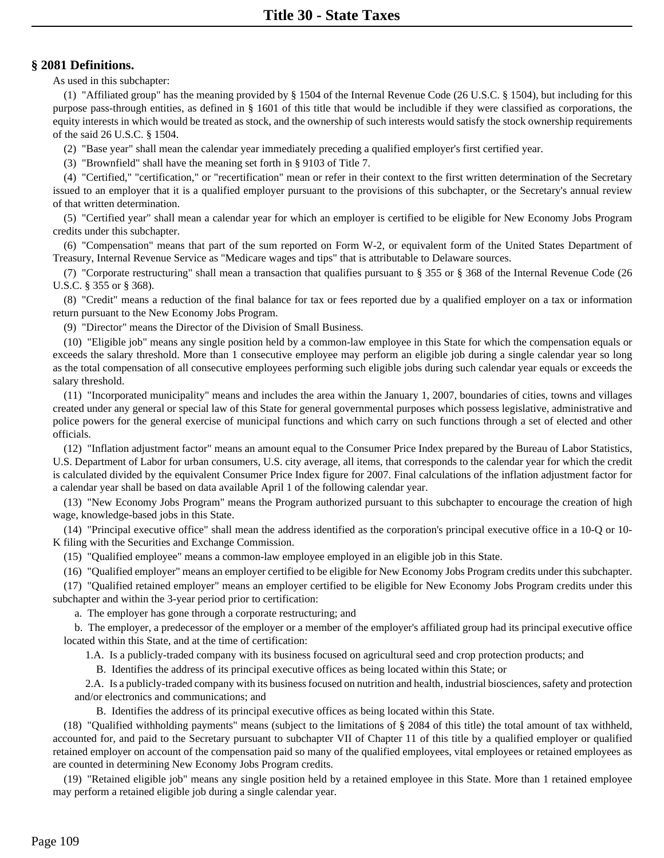## **§ 2081 Definitions.**

As used in this subchapter:

(1) "Affiliated group" has the meaning provided by § 1504 of the Internal Revenue Code (26 U.S.C. § 1504), but including for this purpose pass-through entities, as defined in § 1601 of this title that would be includible if they were classified as corporations, the equity interests in which would be treated as stock, and the ownership of such interests would satisfy the stock ownership requirements of the said 26 U.S.C. § 1504.

(2) "Base year" shall mean the calendar year immediately preceding a qualified employer's first certified year.

(3) "Brownfield" shall have the meaning set forth in § 9103 of Title 7.

(4) "Certified," "certification," or "recertification" mean or refer in their context to the first written determination of the Secretary issued to an employer that it is a qualified employer pursuant to the provisions of this subchapter, or the Secretary's annual review of that written determination.

(5) "Certified year" shall mean a calendar year for which an employer is certified to be eligible for New Economy Jobs Program credits under this subchapter.

(6) "Compensation" means that part of the sum reported on Form W-2, or equivalent form of the United States Department of Treasury, Internal Revenue Service as "Medicare wages and tips" that is attributable to Delaware sources.

(7) "Corporate restructuring" shall mean a transaction that qualifies pursuant to § 355 or § 368 of the Internal Revenue Code (26 U.S.C. § 355 or § 368).

(8) "Credit" means a reduction of the final balance for tax or fees reported due by a qualified employer on a tax or information return pursuant to the New Economy Jobs Program.

(9) "Director" means the Director of the Division of Small Business.

(10) "Eligible job" means any single position held by a common-law employee in this State for which the compensation equals or exceeds the salary threshold. More than 1 consecutive employee may perform an eligible job during a single calendar year so long as the total compensation of all consecutive employees performing such eligible jobs during such calendar year equals or exceeds the salary threshold.

(11) "Incorporated municipality" means and includes the area within the January 1, 2007, boundaries of cities, towns and villages created under any general or special law of this State for general governmental purposes which possess legislative, administrative and police powers for the general exercise of municipal functions and which carry on such functions through a set of elected and other officials.

(12) "Inflation adjustment factor" means an amount equal to the Consumer Price Index prepared by the Bureau of Labor Statistics, U.S. Department of Labor for urban consumers, U.S. city average, all items, that corresponds to the calendar year for which the credit is calculated divided by the equivalent Consumer Price Index figure for 2007. Final calculations of the inflation adjustment factor for a calendar year shall be based on data available April 1 of the following calendar year.

(13) "New Economy Jobs Program" means the Program authorized pursuant to this subchapter to encourage the creation of high wage, knowledge-based jobs in this State.

(14) "Principal executive office" shall mean the address identified as the corporation's principal executive office in a 10-Q or 10- K filing with the Securities and Exchange Commission.

(15) "Qualified employee" means a common-law employee employed in an eligible job in this State.

(16) "Qualified employer" means an employer certified to be eligible for New Economy Jobs Program credits under this subchapter.

(17) "Qualified retained employer" means an employer certified to be eligible for New Economy Jobs Program credits under this subchapter and within the 3-year period prior to certification:

a. The employer has gone through a corporate restructuring; and

b. The employer, a predecessor of the employer or a member of the employer's affiliated group had its principal executive office located within this State, and at the time of certification:

1.A. Is a publicly-traded company with its business focused on agricultural seed and crop protection products; and

B. Identifies the address of its principal executive offices as being located within this State; or

2.A. Is a publicly-traded company with its business focused on nutrition and health, industrial biosciences, safety and protection and/or electronics and communications; and

B. Identifies the address of its principal executive offices as being located within this State.

(18) "Qualified withholding payments" means (subject to the limitations of § 2084 of this title) the total amount of tax withheld, accounted for, and paid to the Secretary pursuant to subchapter VII of Chapter 11 of this title by a qualified employer or qualified retained employer on account of the compensation paid so many of the qualified employees, vital employees or retained employees as are counted in determining New Economy Jobs Program credits.

(19) "Retained eligible job" means any single position held by a retained employee in this State. More than 1 retained employee may perform a retained eligible job during a single calendar year.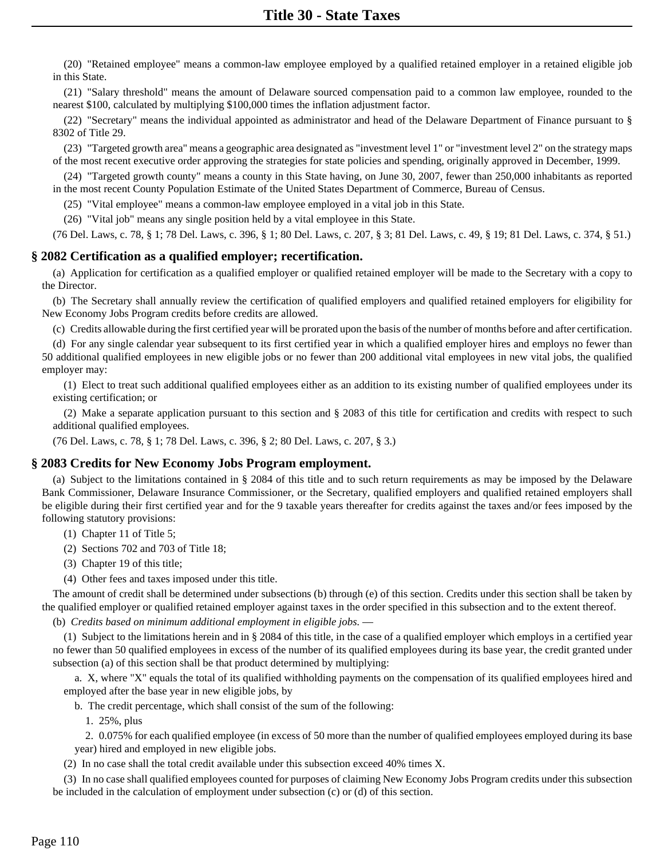(20) "Retained employee" means a common-law employee employed by a qualified retained employer in a retained eligible job in this State.

(21) "Salary threshold" means the amount of Delaware sourced compensation paid to a common law employee, rounded to the nearest \$100, calculated by multiplying \$100,000 times the inflation adjustment factor.

(22) "Secretary" means the individual appointed as administrator and head of the Delaware Department of Finance pursuant to § 8302 of Title 29.

(23) "Targeted growth area" means a geographic area designated as "investment level 1" or "investment level 2" on the strategy maps of the most recent executive order approving the strategies for state policies and spending, originally approved in December, 1999.

(24) "Targeted growth county" means a county in this State having, on June 30, 2007, fewer than 250,000 inhabitants as reported in the most recent County Population Estimate of the United States Department of Commerce, Bureau of Census.

(25) "Vital employee" means a common-law employee employed in a vital job in this State.

(26) "Vital job" means any single position held by a vital employee in this State.

(76 Del. Laws, c. 78, § 1; 78 Del. Laws, c. 396, § 1; 80 Del. Laws, c. 207, § 3; 81 Del. Laws, c. 49, § 19; 81 Del. Laws, c. 374, § 51.)

## **§ 2082 Certification as a qualified employer; recertification.**

(a) Application for certification as a qualified employer or qualified retained employer will be made to the Secretary with a copy to the Director.

(b) The Secretary shall annually review the certification of qualified employers and qualified retained employers for eligibility for New Economy Jobs Program credits before credits are allowed.

(c) Credits allowable during the first certified year will be prorated upon the basis of the number of months before and after certification.

(d) For any single calendar year subsequent to its first certified year in which a qualified employer hires and employs no fewer than 50 additional qualified employees in new eligible jobs or no fewer than 200 additional vital employees in new vital jobs, the qualified employer may:

(1) Elect to treat such additional qualified employees either as an addition to its existing number of qualified employees under its existing certification; or

(2) Make a separate application pursuant to this section and § 2083 of this title for certification and credits with respect to such additional qualified employees.

(76 Del. Laws, c. 78, § 1; 78 Del. Laws, c. 396, § 2; 80 Del. Laws, c. 207, § 3.)

## **§ 2083 Credits for New Economy Jobs Program employment.**

(a) Subject to the limitations contained in § 2084 of this title and to such return requirements as may be imposed by the Delaware Bank Commissioner, Delaware Insurance Commissioner, or the Secretary, qualified employers and qualified retained employers shall be eligible during their first certified year and for the 9 taxable years thereafter for credits against the taxes and/or fees imposed by the following statutory provisions:

(1) Chapter 11 of Title 5;

- (2) Sections 702 and 703 of Title 18;
- (3) Chapter 19 of this title;
- (4) Other fees and taxes imposed under this title.

The amount of credit shall be determined under subsections (b) through (e) of this section. Credits under this section shall be taken by the qualified employer or qualified retained employer against taxes in the order specified in this subsection and to the extent thereof.

(b) *Credits based on minimum additional employment in eligible jobs.* —

(1) Subject to the limitations herein and in § 2084 of this title, in the case of a qualified employer which employs in a certified year no fewer than 50 qualified employees in excess of the number of its qualified employees during its base year, the credit granted under subsection (a) of this section shall be that product determined by multiplying:

a. X, where "X" equals the total of its qualified withholding payments on the compensation of its qualified employees hired and employed after the base year in new eligible jobs, by

b. The credit percentage, which shall consist of the sum of the following:

1. 25%, plus

2. 0.075% for each qualified employee (in excess of 50 more than the number of qualified employees employed during its base year) hired and employed in new eligible jobs.

(2) In no case shall the total credit available under this subsection exceed 40% times X.

(3) In no case shall qualified employees counted for purposes of claiming New Economy Jobs Program credits under this subsection be included in the calculation of employment under subsection (c) or (d) of this section.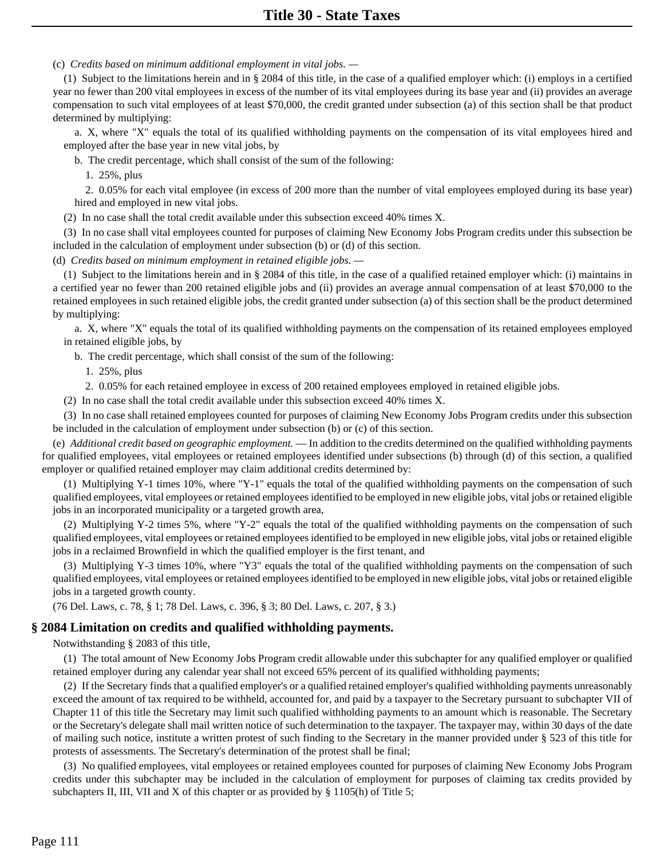(c) *Credits based on minimum additional employment in vital jobs. —*

(1) Subject to the limitations herein and in § 2084 of this title, in the case of a qualified employer which: (i) employs in a certified year no fewer than 200 vital employees in excess of the number of its vital employees during its base year and (ii) provides an average compensation to such vital employees of at least \$70,000, the credit granted under subsection (a) of this section shall be that product determined by multiplying:

a. X, where "X" equals the total of its qualified withholding payments on the compensation of its vital employees hired and employed after the base year in new vital jobs, by

b. The credit percentage, which shall consist of the sum of the following:

1. 25%, plus

2. 0.05% for each vital employee (in excess of 200 more than the number of vital employees employed during its base year) hired and employed in new vital jobs.

(2) In no case shall the total credit available under this subsection exceed 40% times X.

(3) In no case shall vital employees counted for purposes of claiming New Economy Jobs Program credits under this subsection be included in the calculation of employment under subsection (b) or (d) of this section.

(d) *Credits based on minimum employment in retained eligible jobs. —*

(1) Subject to the limitations herein and in § 2084 of this title, in the case of a qualified retained employer which: (i) maintains in a certified year no fewer than 200 retained eligible jobs and (ii) provides an average annual compensation of at least \$70,000 to the retained employees in such retained eligible jobs, the credit granted under subsection (a) of this section shall be the product determined by multiplying:

a. X, where "X" equals the total of its qualified withholding payments on the compensation of its retained employees employed in retained eligible jobs, by

b. The credit percentage, which shall consist of the sum of the following:

1. 25%, plus

2. 0.05% for each retained employee in excess of 200 retained employees employed in retained eligible jobs.

(2) In no case shall the total credit available under this subsection exceed 40% times X.

(3) In no case shall retained employees counted for purposes of claiming New Economy Jobs Program credits under this subsection be included in the calculation of employment under subsection (b) or (c) of this section.

(e) *Additional credit based on geographic employment.* — In addition to the credits determined on the qualified withholding payments for qualified employees, vital employees or retained employees identified under subsections (b) through (d) of this section, a qualified employer or qualified retained employer may claim additional credits determined by:

(1) Multiplying Y-1 times 10%, where "Y-1" equals the total of the qualified withholding payments on the compensation of such qualified employees, vital employees or retained employees identified to be employed in new eligible jobs, vital jobs or retained eligible jobs in an incorporated municipality or a targeted growth area,

(2) Multiplying Y-2 times 5%, where "Y-2" equals the total of the qualified withholding payments on the compensation of such qualified employees, vital employees or retained employees identified to be employed in new eligible jobs, vital jobs or retained eligible jobs in a reclaimed Brownfield in which the qualified employer is the first tenant, and

(3) Multiplying Y-3 times 10%, where "Y3" equals the total of the qualified withholding payments on the compensation of such qualified employees, vital employees or retained employees identified to be employed in new eligible jobs, vital jobs or retained eligible jobs in a targeted growth county.

(76 Del. Laws, c. 78, § 1; 78 Del. Laws, c. 396, § 3; 80 Del. Laws, c. 207, § 3.)

#### **§ 2084 Limitation on credits and qualified withholding payments.**

Notwithstanding § 2083 of this title,

(1) The total amount of New Economy Jobs Program credit allowable under this subchapter for any qualified employer or qualified retained employer during any calendar year shall not exceed 65% percent of its qualified withholding payments;

(2) If the Secretary finds that a qualified employer's or a qualified retained employer's qualified withholding payments unreasonably exceed the amount of tax required to be withheld, accounted for, and paid by a taxpayer to the Secretary pursuant to subchapter VII of Chapter 11 of this title the Secretary may limit such qualified withholding payments to an amount which is reasonable. The Secretary or the Secretary's delegate shall mail written notice of such determination to the taxpayer. The taxpayer may, within 30 days of the date of mailing such notice, institute a written protest of such finding to the Secretary in the manner provided under § 523 of this title for protests of assessments. The Secretary's determination of the protest shall be final;

(3) No qualified employees, vital employees or retained employees counted for purposes of claiming New Economy Jobs Program credits under this subchapter may be included in the calculation of employment for purposes of claiming tax credits provided by subchapters II, III, VII and X of this chapter or as provided by  $\S 1105(h)$  of Title 5;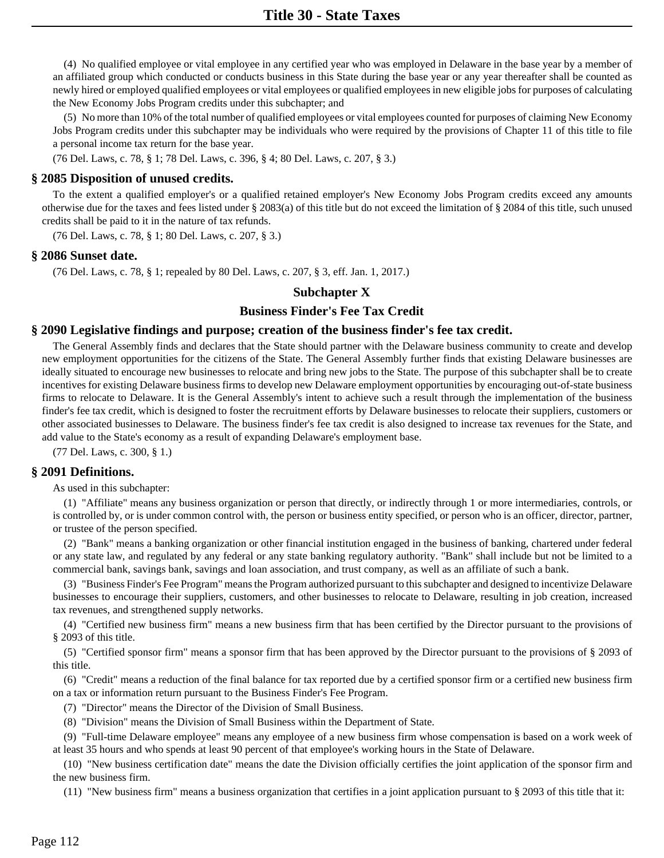(4) No qualified employee or vital employee in any certified year who was employed in Delaware in the base year by a member of an affiliated group which conducted or conducts business in this State during the base year or any year thereafter shall be counted as newly hired or employed qualified employees or vital employees or qualified employees in new eligible jobs for purposes of calculating the New Economy Jobs Program credits under this subchapter; and

(5) No more than 10% of the total number of qualified employees or vital employees counted for purposes of claiming New Economy Jobs Program credits under this subchapter may be individuals who were required by the provisions of Chapter 11 of this title to file a personal income tax return for the base year.

(76 Del. Laws, c. 78, § 1; 78 Del. Laws, c. 396, § 4; 80 Del. Laws, c. 207, § 3.)

#### **§ 2085 Disposition of unused credits.**

To the extent a qualified employer's or a qualified retained employer's New Economy Jobs Program credits exceed any amounts otherwise due for the taxes and fees listed under § 2083(a) of this title but do not exceed the limitation of § 2084 of this title, such unused credits shall be paid to it in the nature of tax refunds.

(76 Del. Laws, c. 78, § 1; 80 Del. Laws, c. 207, § 3.)

### **§ 2086 Sunset date.**

(76 Del. Laws, c. 78, § 1; repealed by 80 Del. Laws, c. 207, § 3, eff. Jan. 1, 2017.)

## **Subchapter X**

### **Business Finder's Fee Tax Credit**

#### **§ 2090 Legislative findings and purpose; creation of the business finder's fee tax credit.**

The General Assembly finds and declares that the State should partner with the Delaware business community to create and develop new employment opportunities for the citizens of the State. The General Assembly further finds that existing Delaware businesses are ideally situated to encourage new businesses to relocate and bring new jobs to the State. The purpose of this subchapter shall be to create incentives for existing Delaware business firms to develop new Delaware employment opportunities by encouraging out-of-state business firms to relocate to Delaware. It is the General Assembly's intent to achieve such a result through the implementation of the business finder's fee tax credit, which is designed to foster the recruitment efforts by Delaware businesses to relocate their suppliers, customers or other associated businesses to Delaware. The business finder's fee tax credit is also designed to increase tax revenues for the State, and add value to the State's economy as a result of expanding Delaware's employment base.

(77 Del. Laws, c. 300, § 1.)

## **§ 2091 Definitions.**

As used in this subchapter:

(1) "Affiliate" means any business organization or person that directly, or indirectly through 1 or more intermediaries, controls, or is controlled by, or is under common control with, the person or business entity specified, or person who is an officer, director, partner, or trustee of the person specified.

(2) "Bank" means a banking organization or other financial institution engaged in the business of banking, chartered under federal or any state law, and regulated by any federal or any state banking regulatory authority. "Bank" shall include but not be limited to a commercial bank, savings bank, savings and loan association, and trust company, as well as an affiliate of such a bank.

(3) "Business Finder's Fee Program" means the Program authorized pursuant to this subchapter and designed to incentivize Delaware businesses to encourage their suppliers, customers, and other businesses to relocate to Delaware, resulting in job creation, increased tax revenues, and strengthened supply networks.

(4) "Certified new business firm" means a new business firm that has been certified by the Director pursuant to the provisions of § 2093 of this title.

(5) "Certified sponsor firm" means a sponsor firm that has been approved by the Director pursuant to the provisions of § 2093 of this title.

(6) "Credit" means a reduction of the final balance for tax reported due by a certified sponsor firm or a certified new business firm on a tax or information return pursuant to the Business Finder's Fee Program.

- (7) "Director" means the Director of the Division of Small Business.
- (8) "Division" means the Division of Small Business within the Department of State.

(9) "Full-time Delaware employee" means any employee of a new business firm whose compensation is based on a work week of at least 35 hours and who spends at least 90 percent of that employee's working hours in the State of Delaware.

(10) "New business certification date" means the date the Division officially certifies the joint application of the sponsor firm and the new business firm.

(11) "New business firm" means a business organization that certifies in a joint application pursuant to § 2093 of this title that it: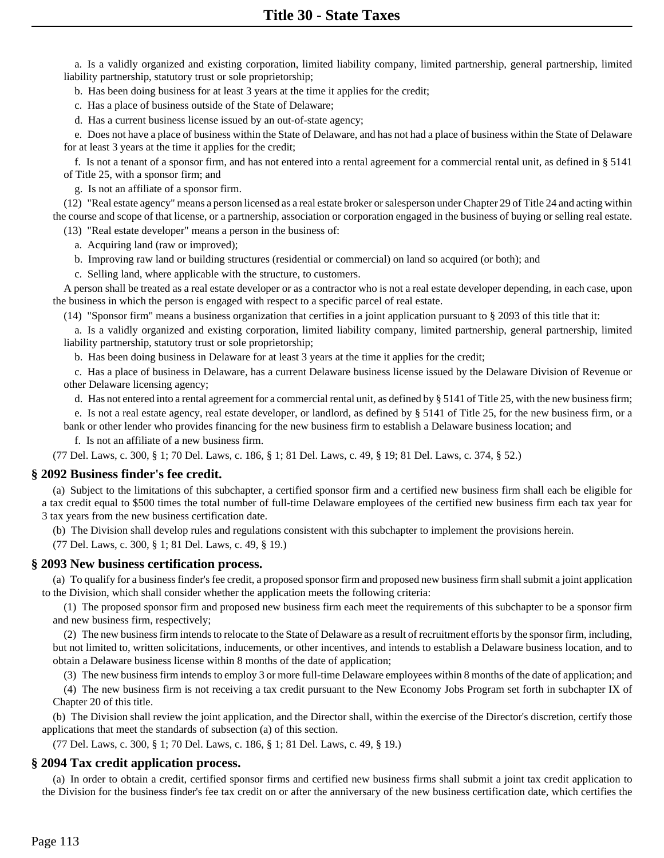a. Is a validly organized and existing corporation, limited liability company, limited partnership, general partnership, limited liability partnership, statutory trust or sole proprietorship;

b. Has been doing business for at least 3 years at the time it applies for the credit;

c. Has a place of business outside of the State of Delaware;

d. Has a current business license issued by an out-of-state agency;

e. Does not have a place of business within the State of Delaware, and has not had a place of business within the State of Delaware for at least 3 years at the time it applies for the credit;

f. Is not a tenant of a sponsor firm, and has not entered into a rental agreement for a commercial rental unit, as defined in § 5141 of Title 25, with a sponsor firm; and

g. Is not an affiliate of a sponsor firm.

(12) "Real estate agency" means a person licensed as a real estate broker or salesperson under Chapter 29 of Title 24 and acting within the course and scope of that license, or a partnership, association or corporation engaged in the business of buying or selling real estate.

(13) "Real estate developer" means a person in the business of:

a. Acquiring land (raw or improved);

b. Improving raw land or building structures (residential or commercial) on land so acquired (or both); and

c. Selling land, where applicable with the structure, to customers.

A person shall be treated as a real estate developer or as a contractor who is not a real estate developer depending, in each case, upon the business in which the person is engaged with respect to a specific parcel of real estate.

(14) "Sponsor firm" means a business organization that certifies in a joint application pursuant to § 2093 of this title that it:

a. Is a validly organized and existing corporation, limited liability company, limited partnership, general partnership, limited liability partnership, statutory trust or sole proprietorship;

b. Has been doing business in Delaware for at least 3 years at the time it applies for the credit;

c. Has a place of business in Delaware, has a current Delaware business license issued by the Delaware Division of Revenue or other Delaware licensing agency;

d. Has not entered into a rental agreement for a commercial rental unit, as defined by § 5141 of Title 25, with the new business firm;

e. Is not a real estate agency, real estate developer, or landlord, as defined by  $\S$  5141 of Title 25, for the new business firm, or a

bank or other lender who provides financing for the new business firm to establish a Delaware business location; and

f. Is not an affiliate of a new business firm.

(77 Del. Laws, c. 300, § 1; 70 Del. Laws, c. 186, § 1; 81 Del. Laws, c. 49, § 19; 81 Del. Laws, c. 374, § 52.)

#### **§ 2092 Business finder's fee credit.**

(a) Subject to the limitations of this subchapter, a certified sponsor firm and a certified new business firm shall each be eligible for a tax credit equal to \$500 times the total number of full-time Delaware employees of the certified new business firm each tax year for 3 tax years from the new business certification date.

(b) The Division shall develop rules and regulations consistent with this subchapter to implement the provisions herein.

(77 Del. Laws, c. 300, § 1; 81 Del. Laws, c. 49, § 19.)

#### **§ 2093 New business certification process.**

(a) To qualify for a business finder's fee credit, a proposed sponsor firm and proposed new business firm shall submit a joint application to the Division, which shall consider whether the application meets the following criteria:

(1) The proposed sponsor firm and proposed new business firm each meet the requirements of this subchapter to be a sponsor firm and new business firm, respectively;

(2) The new business firm intends to relocate to the State of Delaware as a result of recruitment efforts by the sponsor firm, including, but not limited to, written solicitations, inducements, or other incentives, and intends to establish a Delaware business location, and to obtain a Delaware business license within 8 months of the date of application;

(3) The new business firm intends to employ 3 or more full-time Delaware employees within 8 months of the date of application; and

(4) The new business firm is not receiving a tax credit pursuant to the New Economy Jobs Program set forth in subchapter IX of Chapter 20 of this title.

(b) The Division shall review the joint application, and the Director shall, within the exercise of the Director's discretion, certify those applications that meet the standards of subsection (a) of this section.

(77 Del. Laws, c. 300, § 1; 70 Del. Laws, c. 186, § 1; 81 Del. Laws, c. 49, § 19.)

## **§ 2094 Tax credit application process.**

(a) In order to obtain a credit, certified sponsor firms and certified new business firms shall submit a joint tax credit application to the Division for the business finder's fee tax credit on or after the anniversary of the new business certification date, which certifies the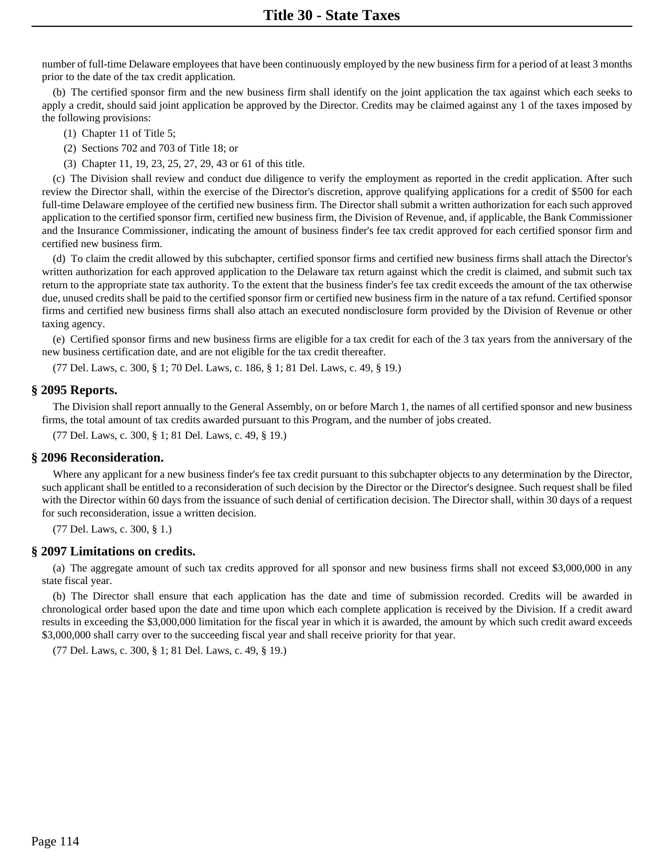number of full-time Delaware employees that have been continuously employed by the new business firm for a period of at least 3 months prior to the date of the tax credit application.

(b) The certified sponsor firm and the new business firm shall identify on the joint application the tax against which each seeks to apply a credit, should said joint application be approved by the Director. Credits may be claimed against any 1 of the taxes imposed by the following provisions:

- (1) Chapter 11 of Title 5;
- (2) Sections 702 and 703 of Title 18; or
- (3) Chapter 11, 19, 23, 25, 27, 29, 43 or 61 of this title.

(c) The Division shall review and conduct due diligence to verify the employment as reported in the credit application. After such review the Director shall, within the exercise of the Director's discretion, approve qualifying applications for a credit of \$500 for each full-time Delaware employee of the certified new business firm. The Director shall submit a written authorization for each such approved application to the certified sponsor firm, certified new business firm, the Division of Revenue, and, if applicable, the Bank Commissioner and the Insurance Commissioner, indicating the amount of business finder's fee tax credit approved for each certified sponsor firm and certified new business firm.

(d) To claim the credit allowed by this subchapter, certified sponsor firms and certified new business firms shall attach the Director's written authorization for each approved application to the Delaware tax return against which the credit is claimed, and submit such tax return to the appropriate state tax authority. To the extent that the business finder's fee tax credit exceeds the amount of the tax otherwise due, unused credits shall be paid to the certified sponsor firm or certified new business firm in the nature of a tax refund. Certified sponsor firms and certified new business firms shall also attach an executed nondisclosure form provided by the Division of Revenue or other taxing agency.

(e) Certified sponsor firms and new business firms are eligible for a tax credit for each of the 3 tax years from the anniversary of the new business certification date, and are not eligible for the tax credit thereafter.

(77 Del. Laws, c. 300, § 1; 70 Del. Laws, c. 186, § 1; 81 Del. Laws, c. 49, § 19.)

### **§ 2095 Reports.**

The Division shall report annually to the General Assembly, on or before March 1, the names of all certified sponsor and new business firms, the total amount of tax credits awarded pursuant to this Program, and the number of jobs created.

(77 Del. Laws, c. 300, § 1; 81 Del. Laws, c. 49, § 19.)

#### **§ 2096 Reconsideration.**

Where any applicant for a new business finder's fee tax credit pursuant to this subchapter objects to any determination by the Director, such applicant shall be entitled to a reconsideration of such decision by the Director or the Director's designee. Such request shall be filed with the Director within 60 days from the issuance of such denial of certification decision. The Director shall, within 30 days of a request for such reconsideration, issue a written decision.

(77 Del. Laws, c. 300, § 1.)

## **§ 2097 Limitations on credits.**

(a) The aggregate amount of such tax credits approved for all sponsor and new business firms shall not exceed \$3,000,000 in any state fiscal year.

(b) The Director shall ensure that each application has the date and time of submission recorded. Credits will be awarded in chronological order based upon the date and time upon which each complete application is received by the Division. If a credit award results in exceeding the \$3,000,000 limitation for the fiscal year in which it is awarded, the amount by which such credit award exceeds \$3,000,000 shall carry over to the succeeding fiscal year and shall receive priority for that year.

(77 Del. Laws, c. 300, § 1; 81 Del. Laws, c. 49, § 19.)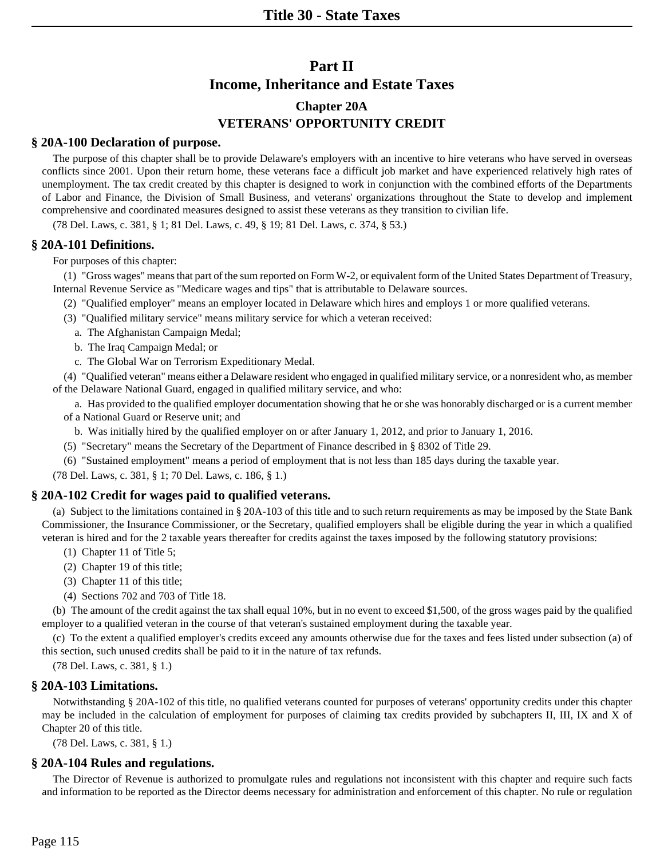# **Part II Income, Inheritance and Estate Taxes**

# **Chapter 20A VETERANS' OPPORTUNITY CREDIT**

## **§ 20A-100 Declaration of purpose.**

The purpose of this chapter shall be to provide Delaware's employers with an incentive to hire veterans who have served in overseas conflicts since 2001. Upon their return home, these veterans face a difficult job market and have experienced relatively high rates of unemployment. The tax credit created by this chapter is designed to work in conjunction with the combined efforts of the Departments of Labor and Finance, the Division of Small Business, and veterans' organizations throughout the State to develop and implement comprehensive and coordinated measures designed to assist these veterans as they transition to civilian life.

(78 Del. Laws, c. 381, § 1; 81 Del. Laws, c. 49, § 19; 81 Del. Laws, c. 374, § 53.)

## **§ 20A-101 Definitions.**

For purposes of this chapter:

(1) "Gross wages" means that part of the sum reported on Form W-2, or equivalent form of the United States Department of Treasury, Internal Revenue Service as "Medicare wages and tips" that is attributable to Delaware sources.

- (2) "Qualified employer" means an employer located in Delaware which hires and employs 1 or more qualified veterans.
- (3) "Qualified military service" means military service for which a veteran received:
	- a. The Afghanistan Campaign Medal;
	- b. The Iraq Campaign Medal; or
	- c. The Global War on Terrorism Expeditionary Medal.

(4) "Qualified veteran" means either a Delaware resident who engaged in qualified military service, or a nonresident who, as member of the Delaware National Guard, engaged in qualified military service, and who:

- a. Has provided to the qualified employer documentation showing that he or she was honorably discharged or is a current member of a National Guard or Reserve unit; and
- b. Was initially hired by the qualified employer on or after January 1, 2012, and prior to January 1, 2016.
- (5) "Secretary" means the Secretary of the Department of Finance described in § 8302 of Title 29.
- (6) "Sustained employment" means a period of employment that is not less than 185 days during the taxable year.

(78 Del. Laws, c. 381, § 1; 70 Del. Laws, c. 186, § 1.)

## **§ 20A-102 Credit for wages paid to qualified veterans.**

(a) Subject to the limitations contained in § 20A-103 of this title and to such return requirements as may be imposed by the State Bank Commissioner, the Insurance Commissioner, or the Secretary, qualified employers shall be eligible during the year in which a qualified veteran is hired and for the 2 taxable years thereafter for credits against the taxes imposed by the following statutory provisions:

- (1) Chapter 11 of Title 5;
- (2) Chapter 19 of this title;
- (3) Chapter 11 of this title;
- (4) Sections 702 and 703 of Title 18.

(b) The amount of the credit against the tax shall equal 10%, but in no event to exceed \$1,500, of the gross wages paid by the qualified employer to a qualified veteran in the course of that veteran's sustained employment during the taxable year.

(c) To the extent a qualified employer's credits exceed any amounts otherwise due for the taxes and fees listed under subsection (a) of this section, such unused credits shall be paid to it in the nature of tax refunds.

(78 Del. Laws, c. 381, § 1.)

## **§ 20A-103 Limitations.**

Notwithstanding § 20A-102 of this title, no qualified veterans counted for purposes of veterans' opportunity credits under this chapter may be included in the calculation of employment for purposes of claiming tax credits provided by subchapters II, III, IX and X of Chapter 20 of this title.

(78 Del. Laws, c. 381, § 1.)

## **§ 20A-104 Rules and regulations.**

The Director of Revenue is authorized to promulgate rules and regulations not inconsistent with this chapter and require such facts and information to be reported as the Director deems necessary for administration and enforcement of this chapter. No rule or regulation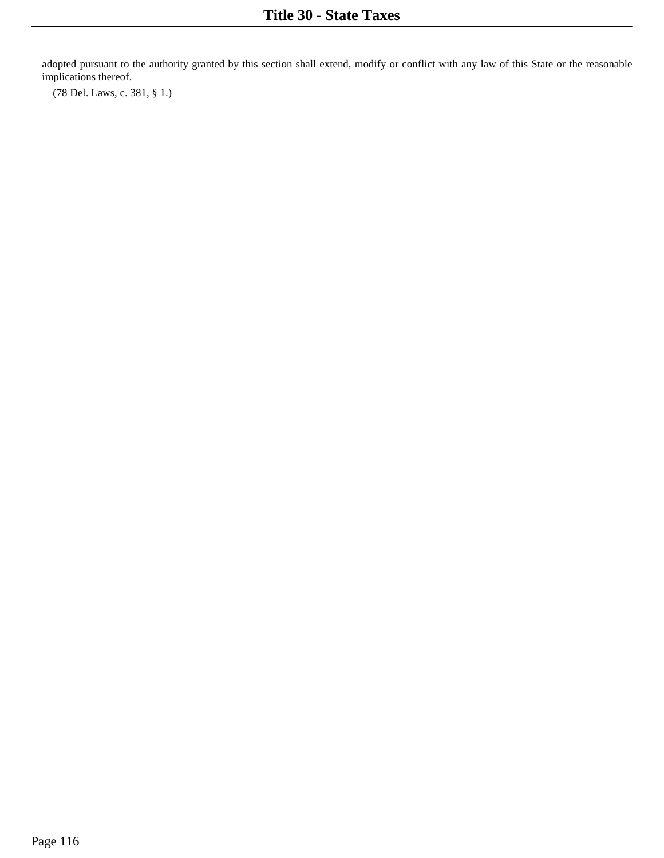adopted pursuant to the authority granted by this section shall extend, modify or conflict with any law of this State or the reasonable implications thereof.

(78 Del. Laws, c. 381, § 1.)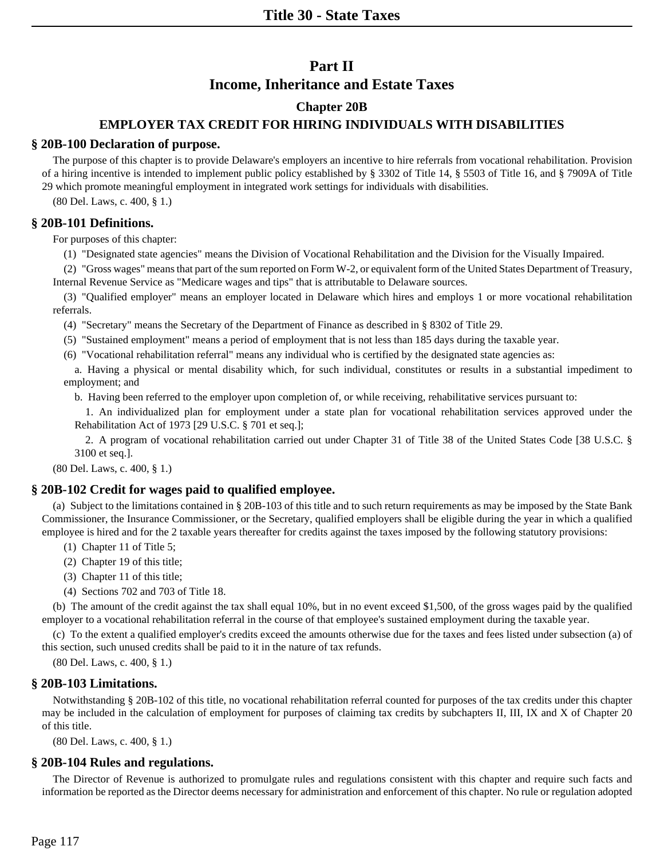# **Part II Income, Inheritance and Estate Taxes**

## **Chapter 20B**

# **EMPLOYER TAX CREDIT FOR HIRING INDIVIDUALS WITH DISABILITIES**

## **§ 20B-100 Declaration of purpose.**

The purpose of this chapter is to provide Delaware's employers an incentive to hire referrals from vocational rehabilitation. Provision of a hiring incentive is intended to implement public policy established by § 3302 of Title 14, § 5503 of Title 16, and § 7909A of Title 29 which promote meaningful employment in integrated work settings for individuals with disabilities.

(80 Del. Laws, c. 400, § 1.)

## **§ 20B-101 Definitions.**

For purposes of this chapter:

(1) "Designated state agencies" means the Division of Vocational Rehabilitation and the Division for the Visually Impaired.

(2) "Gross wages" means that part of the sum reported on Form W-2, or equivalent form of the United States Department of Treasury, Internal Revenue Service as "Medicare wages and tips" that is attributable to Delaware sources.

(3) "Qualified employer" means an employer located in Delaware which hires and employs 1 or more vocational rehabilitation referrals.

(4) "Secretary" means the Secretary of the Department of Finance as described in § 8302 of Title 29.

(5) "Sustained employment" means a period of employment that is not less than 185 days during the taxable year.

(6) "Vocational rehabilitation referral" means any individual who is certified by the designated state agencies as:

a. Having a physical or mental disability which, for such individual, constitutes or results in a substantial impediment to employment; and

b. Having been referred to the employer upon completion of, or while receiving, rehabilitative services pursuant to:

1. An individualized plan for employment under a state plan for vocational rehabilitation services approved under the Rehabilitation Act of 1973 [29 U.S.C. § 701 et seq.];

2. A program of vocational rehabilitation carried out under Chapter 31 of Title 38 of the United States Code [38 U.S.C. § 3100 et seq.].

(80 Del. Laws, c. 400, § 1.)

## **§ 20B-102 Credit for wages paid to qualified employee.**

(a) Subject to the limitations contained in § 20B-103 of this title and to such return requirements as may be imposed by the State Bank Commissioner, the Insurance Commissioner, or the Secretary, qualified employers shall be eligible during the year in which a qualified employee is hired and for the 2 taxable years thereafter for credits against the taxes imposed by the following statutory provisions:

- (1) Chapter 11 of Title 5;
- (2) Chapter 19 of this title;
- (3) Chapter 11 of this title;
- (4) Sections 702 and 703 of Title 18.

(b) The amount of the credit against the tax shall equal 10%, but in no event exceed \$1,500, of the gross wages paid by the qualified employer to a vocational rehabilitation referral in the course of that employee's sustained employment during the taxable year.

(c) To the extent a qualified employer's credits exceed the amounts otherwise due for the taxes and fees listed under subsection (a) of this section, such unused credits shall be paid to it in the nature of tax refunds.

(80 Del. Laws, c. 400, § 1.)

## **§ 20B-103 Limitations.**

Notwithstanding § 20B-102 of this title, no vocational rehabilitation referral counted for purposes of the tax credits under this chapter may be included in the calculation of employment for purposes of claiming tax credits by subchapters II, III, IX and X of Chapter 20 of this title.

(80 Del. Laws, c. 400, § 1.)

# **§ 20B-104 Rules and regulations.**

The Director of Revenue is authorized to promulgate rules and regulations consistent with this chapter and require such facts and information be reported as the Director deems necessary for administration and enforcement of this chapter. No rule or regulation adopted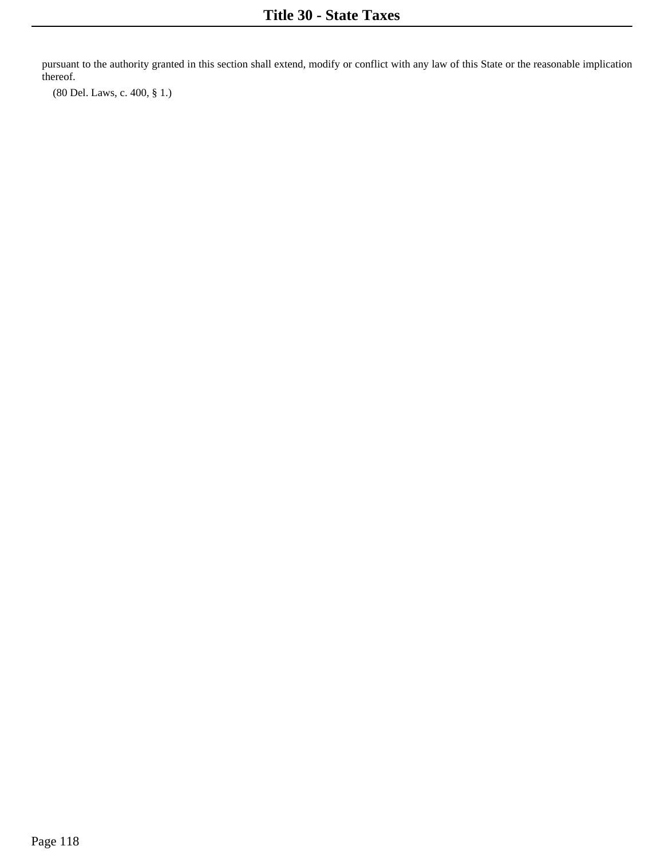pursuant to the authority granted in this section shall extend, modify or conflict with any law of this State or the reasonable implication thereof.

(80 Del. Laws, c. 400, § 1.)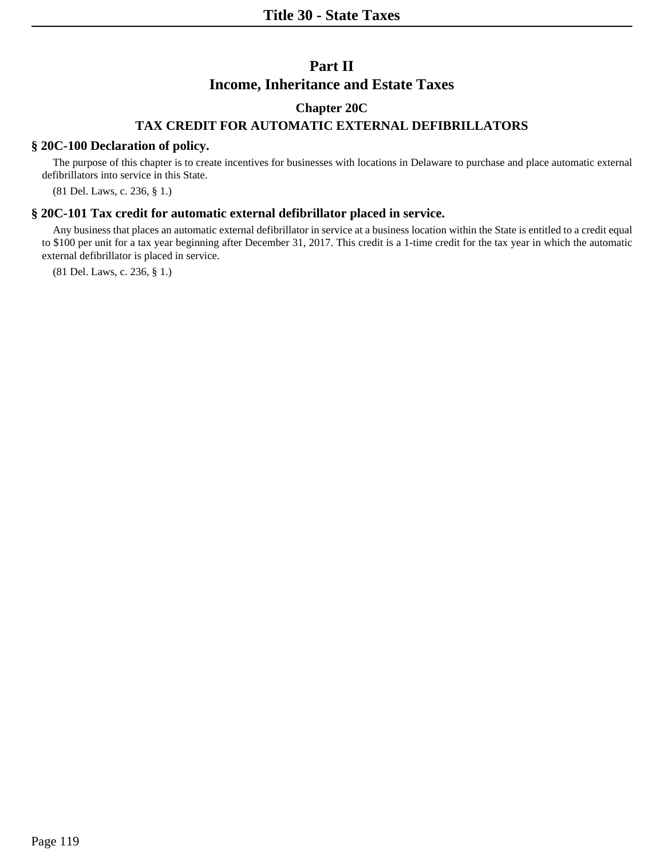# **Part II Income, Inheritance and Estate Taxes**

# **Chapter 20C**

# **TAX CREDIT FOR AUTOMATIC EXTERNAL DEFIBRILLATORS**

## **§ 20C-100 Declaration of policy.**

The purpose of this chapter is to create incentives for businesses with locations in Delaware to purchase and place automatic external defibrillators into service in this State.

(81 Del. Laws, c. 236, § 1.)

## **§ 20C-101 Tax credit for automatic external defibrillator placed in service.**

Any business that places an automatic external defibrillator in service at a business location within the State is entitled to a credit equal to \$100 per unit for a tax year beginning after December 31, 2017. This credit is a 1-time credit for the tax year in which the automatic external defibrillator is placed in service.

(81 Del. Laws, c. 236, § 1.)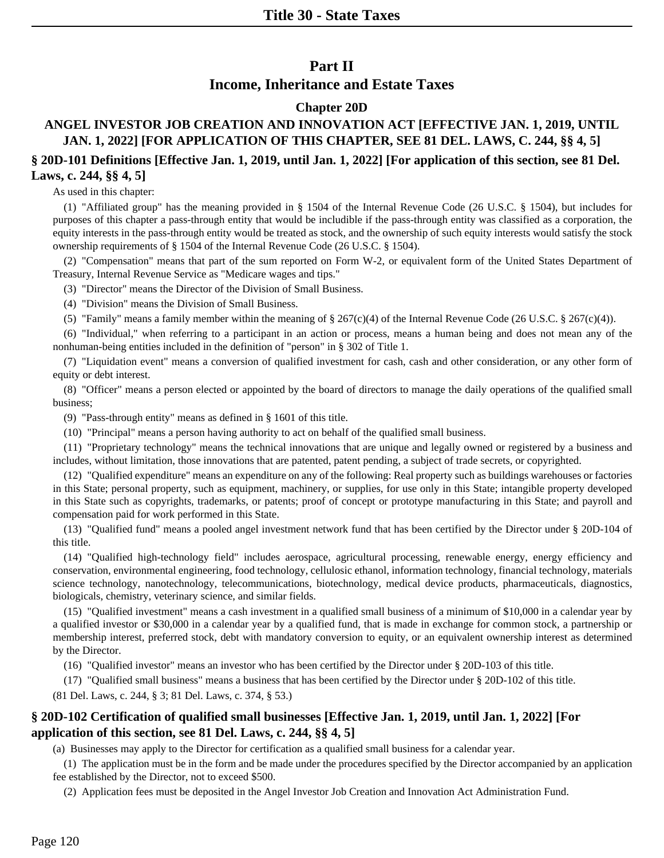# **Part II**

## **Income, Inheritance and Estate Taxes**

## **Chapter 20D**

# **ANGEL INVESTOR JOB CREATION AND INNOVATION ACT [EFFECTIVE JAN. 1, 2019, UNTIL JAN. 1, 2022] [FOR APPLICATION OF THIS CHAPTER, SEE 81 DEL. LAWS, C. 244, §§ 4, 5]**

## **§ 20D-101 Definitions [Effective Jan. 1, 2019, until Jan. 1, 2022] [For application of this section, see 81 Del. Laws, c. 244, §§ 4, 5]**

As used in this chapter:

(1) "Affiliated group" has the meaning provided in § 1504 of the Internal Revenue Code (26 U.S.C. § 1504), but includes for purposes of this chapter a pass-through entity that would be includible if the pass-through entity was classified as a corporation, the equity interests in the pass-through entity would be treated as stock, and the ownership of such equity interests would satisfy the stock ownership requirements of § 1504 of the Internal Revenue Code (26 U.S.C. § 1504).

(2) "Compensation" means that part of the sum reported on Form W-2, or equivalent form of the United States Department of Treasury, Internal Revenue Service as "Medicare wages and tips."

(3) "Director" means the Director of the Division of Small Business.

(4) "Division" means the Division of Small Business.

(5) "Family" means a family member within the meaning of  $\S 267(c)(4)$  of the Internal Revenue Code (26 U.S.C.  $\S 267(c)(4)$ ).

(6) "Individual," when referring to a participant in an action or process, means a human being and does not mean any of the nonhuman-being entities included in the definition of "person" in § 302 of Title 1.

(7) "Liquidation event" means a conversion of qualified investment for cash, cash and other consideration, or any other form of equity or debt interest.

(8) "Officer" means a person elected or appointed by the board of directors to manage the daily operations of the qualified small business;

(9) "Pass-through entity" means as defined in § 1601 of this title.

(10) "Principal" means a person having authority to act on behalf of the qualified small business.

(11) "Proprietary technology" means the technical innovations that are unique and legally owned or registered by a business and includes, without limitation, those innovations that are patented, patent pending, a subject of trade secrets, or copyrighted.

(12) "Qualified expenditure" means an expenditure on any of the following: Real property such as buildings warehouses or factories in this State; personal property, such as equipment, machinery, or supplies, for use only in this State; intangible property developed in this State such as copyrights, trademarks, or patents; proof of concept or prototype manufacturing in this State; and payroll and compensation paid for work performed in this State.

(13) "Qualified fund" means a pooled angel investment network fund that has been certified by the Director under § 20D-104 of this title.

(14) "Qualified high-technology field" includes aerospace, agricultural processing, renewable energy, energy efficiency and conservation, environmental engineering, food technology, cellulosic ethanol, information technology, financial technology, materials science technology, nanotechnology, telecommunications, biotechnology, medical device products, pharmaceuticals, diagnostics, biologicals, chemistry, veterinary science, and similar fields.

(15) "Qualified investment" means a cash investment in a qualified small business of a minimum of \$10,000 in a calendar year by a qualified investor or \$30,000 in a calendar year by a qualified fund, that is made in exchange for common stock, a partnership or membership interest, preferred stock, debt with mandatory conversion to equity, or an equivalent ownership interest as determined by the Director.

(16) "Qualified investor" means an investor who has been certified by the Director under § 20D-103 of this title.

(17) "Qualified small business" means a business that has been certified by the Director under § 20D-102 of this title.

(81 Del. Laws, c. 244, § 3; 81 Del. Laws, c. 374, § 53.)

## **§ 20D-102 Certification of qualified small businesses [Effective Jan. 1, 2019, until Jan. 1, 2022] [For application of this section, see 81 Del. Laws, c. 244, §§ 4, 5]**

(a) Businesses may apply to the Director for certification as a qualified small business for a calendar year.

(1) The application must be in the form and be made under the procedures specified by the Director accompanied by an application fee established by the Director, not to exceed \$500.

(2) Application fees must be deposited in the Angel Investor Job Creation and Innovation Act Administration Fund.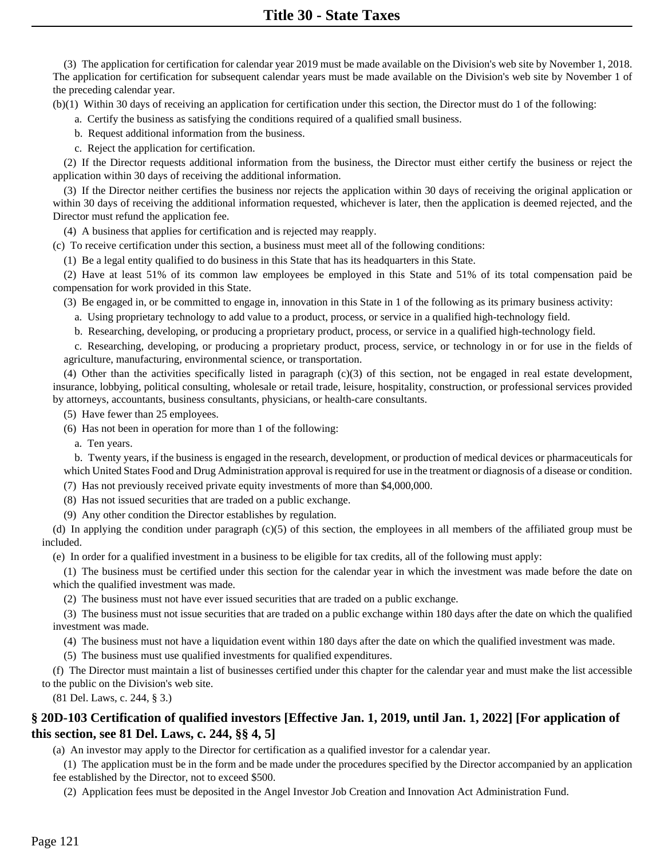(3) The application for certification for calendar year 2019 must be made available on the Division's web site by November 1, 2018. The application for certification for subsequent calendar years must be made available on the Division's web site by November 1 of the preceding calendar year.

(b)(1) Within 30 days of receiving an application for certification under this section, the Director must do 1 of the following:

a. Certify the business as satisfying the conditions required of a qualified small business.

b. Request additional information from the business.

c. Reject the application for certification.

(2) If the Director requests additional information from the business, the Director must either certify the business or reject the application within 30 days of receiving the additional information.

(3) If the Director neither certifies the business nor rejects the application within 30 days of receiving the original application or within 30 days of receiving the additional information requested, whichever is later, then the application is deemed rejected, and the Director must refund the application fee.

(4) A business that applies for certification and is rejected may reapply.

(c) To receive certification under this section, a business must meet all of the following conditions:

(1) Be a legal entity qualified to do business in this State that has its headquarters in this State.

(2) Have at least 51% of its common law employees be employed in this State and 51% of its total compensation paid be compensation for work provided in this State.

(3) Be engaged in, or be committed to engage in, innovation in this State in 1 of the following as its primary business activity:

a. Using proprietary technology to add value to a product, process, or service in a qualified high-technology field.

b. Researching, developing, or producing a proprietary product, process, or service in a qualified high-technology field.

c. Researching, developing, or producing a proprietary product, process, service, or technology in or for use in the fields of agriculture, manufacturing, environmental science, or transportation.

(4) Other than the activities specifically listed in paragraph  $(c)(3)$  of this section, not be engaged in real estate development, insurance, lobbying, political consulting, wholesale or retail trade, leisure, hospitality, construction, or professional services provided by attorneys, accountants, business consultants, physicians, or health-care consultants.

(5) Have fewer than 25 employees.

(6) Has not been in operation for more than 1 of the following:

a. Ten years.

b. Twenty years, if the business is engaged in the research, development, or production of medical devices or pharmaceuticals for which United States Food and Drug Administration approval is required for use in the treatment or diagnosis of a disease or condition.

(7) Has not previously received private equity investments of more than \$4,000,000.

(8) Has not issued securities that are traded on a public exchange.

(9) Any other condition the Director establishes by regulation.

(d) In applying the condition under paragraph (c)(5) of this section, the employees in all members of the affiliated group must be included.

(e) In order for a qualified investment in a business to be eligible for tax credits, all of the following must apply:

(1) The business must be certified under this section for the calendar year in which the investment was made before the date on which the qualified investment was made.

(2) The business must not have ever issued securities that are traded on a public exchange.

(3) The business must not issue securities that are traded on a public exchange within 180 days after the date on which the qualified investment was made.

(4) The business must not have a liquidation event within 180 days after the date on which the qualified investment was made.

(5) The business must use qualified investments for qualified expenditures.

(f) The Director must maintain a list of businesses certified under this chapter for the calendar year and must make the list accessible to the public on the Division's web site.

(81 Del. Laws, c. 244, § 3.)

# **§ 20D-103 Certification of qualified investors [Effective Jan. 1, 2019, until Jan. 1, 2022] [For application of this section, see 81 Del. Laws, c. 244, §§ 4, 5]**

(a) An investor may apply to the Director for certification as a qualified investor for a calendar year.

(1) The application must be in the form and be made under the procedures specified by the Director accompanied by an application fee established by the Director, not to exceed \$500.

(2) Application fees must be deposited in the Angel Investor Job Creation and Innovation Act Administration Fund.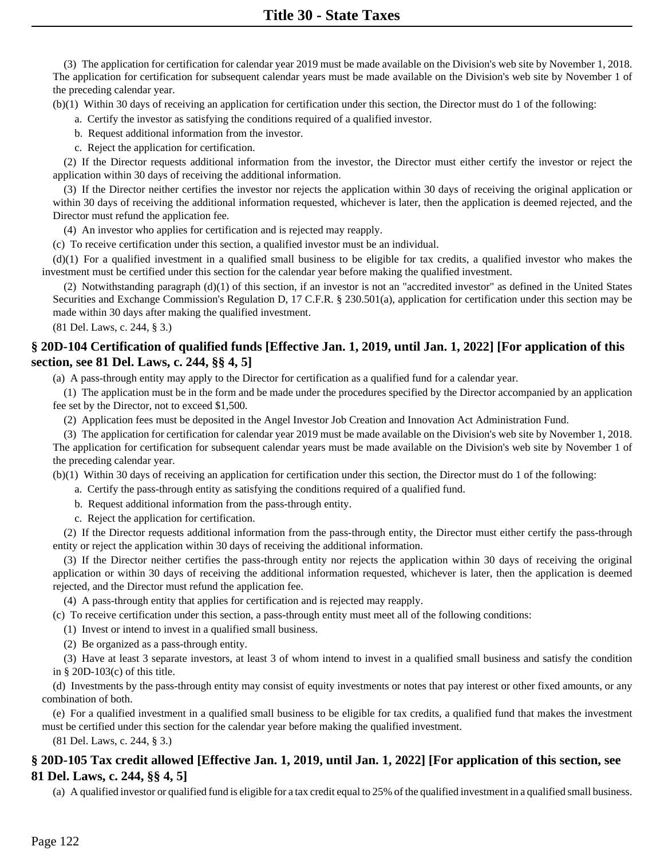(3) The application for certification for calendar year 2019 must be made available on the Division's web site by November 1, 2018. The application for certification for subsequent calendar years must be made available on the Division's web site by November 1 of the preceding calendar year.

(b)(1) Within 30 days of receiving an application for certification under this section, the Director must do 1 of the following:

a. Certify the investor as satisfying the conditions required of a qualified investor.

b. Request additional information from the investor.

c. Reject the application for certification.

(2) If the Director requests additional information from the investor, the Director must either certify the investor or reject the application within 30 days of receiving the additional information.

(3) If the Director neither certifies the investor nor rejects the application within 30 days of receiving the original application or within 30 days of receiving the additional information requested, whichever is later, then the application is deemed rejected, and the Director must refund the application fee.

(4) An investor who applies for certification and is rejected may reapply.

(c) To receive certification under this section, a qualified investor must be an individual.

(d)(1) For a qualified investment in a qualified small business to be eligible for tax credits, a qualified investor who makes the investment must be certified under this section for the calendar year before making the qualified investment.

(2) Notwithstanding paragraph (d)(1) of this section, if an investor is not an "accredited investor" as defined in the United States Securities and Exchange Commission's Regulation D, 17 C.F.R. § 230.501(a), application for certification under this section may be made within 30 days after making the qualified investment.

(81 Del. Laws, c. 244, § 3.)

## **§ 20D-104 Certification of qualified funds [Effective Jan. 1, 2019, until Jan. 1, 2022] [For application of this section, see 81 Del. Laws, c. 244, §§ 4, 5]**

(a) A pass-through entity may apply to the Director for certification as a qualified fund for a calendar year.

(1) The application must be in the form and be made under the procedures specified by the Director accompanied by an application fee set by the Director, not to exceed \$1,500.

(2) Application fees must be deposited in the Angel Investor Job Creation and Innovation Act Administration Fund.

(3) The application for certification for calendar year 2019 must be made available on the Division's web site by November 1, 2018. The application for certification for subsequent calendar years must be made available on the Division's web site by November 1 of the preceding calendar year.

(b)(1) Within 30 days of receiving an application for certification under this section, the Director must do 1 of the following:

- a. Certify the pass-through entity as satisfying the conditions required of a qualified fund.
- b. Request additional information from the pass-through entity.
- c. Reject the application for certification.

(2) If the Director requests additional information from the pass-through entity, the Director must either certify the pass-through entity or reject the application within 30 days of receiving the additional information.

(3) If the Director neither certifies the pass-through entity nor rejects the application within 30 days of receiving the original application or within 30 days of receiving the additional information requested, whichever is later, then the application is deemed rejected, and the Director must refund the application fee.

(4) A pass-through entity that applies for certification and is rejected may reapply.

(c) To receive certification under this section, a pass-through entity must meet all of the following conditions:

(1) Invest or intend to invest in a qualified small business.

(2) Be organized as a pass-through entity.

(3) Have at least 3 separate investors, at least 3 of whom intend to invest in a qualified small business and satisfy the condition in  $\S$  20D-103(c) of this title.

(d) Investments by the pass-through entity may consist of equity investments or notes that pay interest or other fixed amounts, or any combination of both.

(e) For a qualified investment in a qualified small business to be eligible for tax credits, a qualified fund that makes the investment must be certified under this section for the calendar year before making the qualified investment.

(81 Del. Laws, c. 244, § 3.)

## **§ 20D-105 Tax credit allowed [Effective Jan. 1, 2019, until Jan. 1, 2022] [For application of this section, see 81 Del. Laws, c. 244, §§ 4, 5]**

(a) A qualified investor or qualified fund is eligible for a tax credit equal to 25% of the qualified investment in a qualified small business.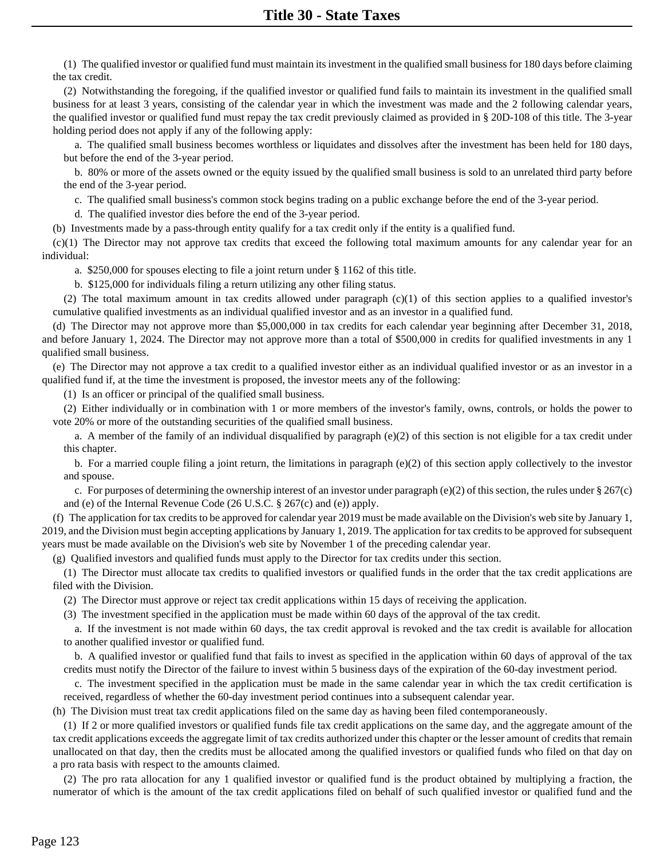(1) The qualified investor or qualified fund must maintain its investment in the qualified small business for 180 days before claiming the tax credit.

(2) Notwithstanding the foregoing, if the qualified investor or qualified fund fails to maintain its investment in the qualified small business for at least 3 years, consisting of the calendar year in which the investment was made and the 2 following calendar years, the qualified investor or qualified fund must repay the tax credit previously claimed as provided in § 20D-108 of this title. The 3-year holding period does not apply if any of the following apply:

a. The qualified small business becomes worthless or liquidates and dissolves after the investment has been held for 180 days, but before the end of the 3-year period.

b. 80% or more of the assets owned or the equity issued by the qualified small business is sold to an unrelated third party before the end of the 3-year period.

c. The qualified small business's common stock begins trading on a public exchange before the end of the 3-year period.

d. The qualified investor dies before the end of the 3-year period.

(b) Investments made by a pass-through entity qualify for a tax credit only if the entity is a qualified fund.

(c)(1) The Director may not approve tax credits that exceed the following total maximum amounts for any calendar year for an individual:

a. \$250,000 for spouses electing to file a joint return under § 1162 of this title.

b. \$125,000 for individuals filing a return utilizing any other filing status.

(2) The total maximum amount in tax credits allowed under paragraph  $(c)(1)$  of this section applies to a qualified investor's cumulative qualified investments as an individual qualified investor and as an investor in a qualified fund.

(d) The Director may not approve more than \$5,000,000 in tax credits for each calendar year beginning after December 31, 2018, and before January 1, 2024. The Director may not approve more than a total of \$500,000 in credits for qualified investments in any 1 qualified small business.

(e) The Director may not approve a tax credit to a qualified investor either as an individual qualified investor or as an investor in a qualified fund if, at the time the investment is proposed, the investor meets any of the following:

(1) Is an officer or principal of the qualified small business.

(2) Either individually or in combination with 1 or more members of the investor's family, owns, controls, or holds the power to vote 20% or more of the outstanding securities of the qualified small business.

a. A member of the family of an individual disqualified by paragraph  $(e)(2)$  of this section is not eligible for a tax credit under this chapter.

b. For a married couple filing a joint return, the limitations in paragraph (e)(2) of this section apply collectively to the investor and spouse.

c. For purposes of determining the ownership interest of an investor under paragraph (e)(2) of this section, the rules under  $\S 267(c)$ and (e) of the Internal Revenue Code (26 U.S.C. § 267(c) and (e)) apply.

(f) The application for tax credits to be approved for calendar year 2019 must be made available on the Division's web site by January 1, 2019, and the Division must begin accepting applications by January 1, 2019. The application for tax credits to be approved for subsequent years must be made available on the Division's web site by November 1 of the preceding calendar year.

(g) Qualified investors and qualified funds must apply to the Director for tax credits under this section.

(1) The Director must allocate tax credits to qualified investors or qualified funds in the order that the tax credit applications are filed with the Division.

(2) The Director must approve or reject tax credit applications within 15 days of receiving the application.

(3) The investment specified in the application must be made within 60 days of the approval of the tax credit.

a. If the investment is not made within 60 days, the tax credit approval is revoked and the tax credit is available for allocation to another qualified investor or qualified fund.

b. A qualified investor or qualified fund that fails to invest as specified in the application within 60 days of approval of the tax credits must notify the Director of the failure to invest within 5 business days of the expiration of the 60-day investment period.

c. The investment specified in the application must be made in the same calendar year in which the tax credit certification is received, regardless of whether the 60-day investment period continues into a subsequent calendar year.

(h) The Division must treat tax credit applications filed on the same day as having been filed contemporaneously.

(1) If 2 or more qualified investors or qualified funds file tax credit applications on the same day, and the aggregate amount of the tax credit applications exceeds the aggregate limit of tax credits authorized under this chapter or the lesser amount of credits that remain unallocated on that day, then the credits must be allocated among the qualified investors or qualified funds who filed on that day on a pro rata basis with respect to the amounts claimed.

(2) The pro rata allocation for any 1 qualified investor or qualified fund is the product obtained by multiplying a fraction, the numerator of which is the amount of the tax credit applications filed on behalf of such qualified investor or qualified fund and the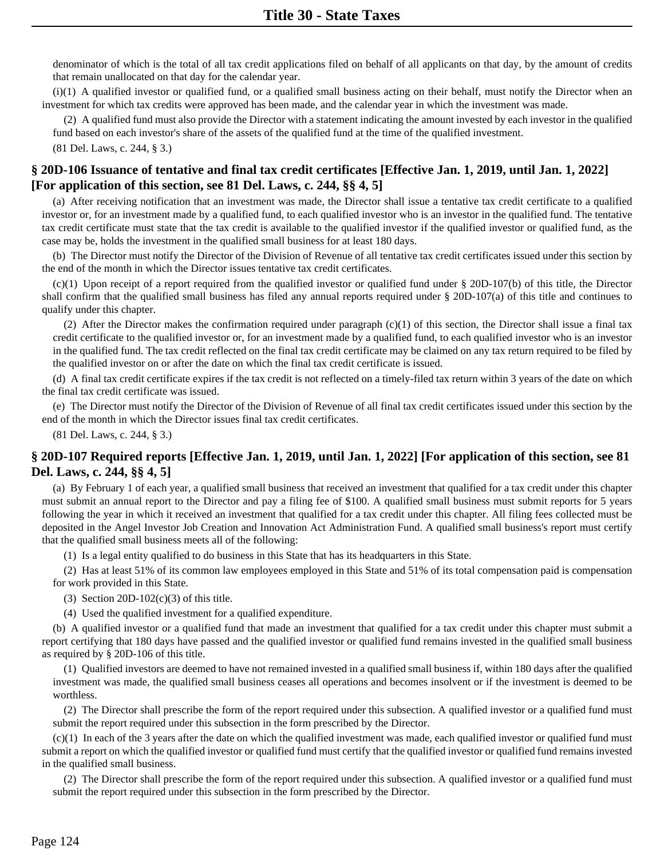denominator of which is the total of all tax credit applications filed on behalf of all applicants on that day, by the amount of credits that remain unallocated on that day for the calendar year.

(i)(1) A qualified investor or qualified fund, or a qualified small business acting on their behalf, must notify the Director when an investment for which tax credits were approved has been made, and the calendar year in which the investment was made.

(2) A qualified fund must also provide the Director with a statement indicating the amount invested by each investor in the qualified fund based on each investor's share of the assets of the qualified fund at the time of the qualified investment.

(81 Del. Laws, c. 244, § 3.)

## **§ 20D-106 Issuance of tentative and final tax credit certificates [Effective Jan. 1, 2019, until Jan. 1, 2022] [For application of this section, see 81 Del. Laws, c. 244, §§ 4, 5]**

(a) After receiving notification that an investment was made, the Director shall issue a tentative tax credit certificate to a qualified investor or, for an investment made by a qualified fund, to each qualified investor who is an investor in the qualified fund. The tentative tax credit certificate must state that the tax credit is available to the qualified investor if the qualified investor or qualified fund, as the case may be, holds the investment in the qualified small business for at least 180 days.

(b) The Director must notify the Director of the Division of Revenue of all tentative tax credit certificates issued under this section by the end of the month in which the Director issues tentative tax credit certificates.

 $(c)(1)$  Upon receipt of a report required from the qualified investor or qualified fund under § 20D-107(b) of this title, the Director shall confirm that the qualified small business has filed any annual reports required under § 20D-107(a) of this title and continues to qualify under this chapter.

(2) After the Director makes the confirmation required under paragraph  $(c)(1)$  of this section, the Director shall issue a final tax credit certificate to the qualified investor or, for an investment made by a qualified fund, to each qualified investor who is an investor in the qualified fund. The tax credit reflected on the final tax credit certificate may be claimed on any tax return required to be filed by the qualified investor on or after the date on which the final tax credit certificate is issued.

(d) A final tax credit certificate expires if the tax credit is not reflected on a timely-filed tax return within 3 years of the date on which the final tax credit certificate was issued.

(e) The Director must notify the Director of the Division of Revenue of all final tax credit certificates issued under this section by the end of the month in which the Director issues final tax credit certificates.

(81 Del. Laws, c. 244, § 3.)

## **§ 20D-107 Required reports [Effective Jan. 1, 2019, until Jan. 1, 2022] [For application of this section, see 81 Del. Laws, c. 244, §§ 4, 5]**

(a) By February 1 of each year, a qualified small business that received an investment that qualified for a tax credit under this chapter must submit an annual report to the Director and pay a filing fee of \$100. A qualified small business must submit reports for 5 years following the year in which it received an investment that qualified for a tax credit under this chapter. All filing fees collected must be deposited in the Angel Investor Job Creation and Innovation Act Administration Fund. A qualified small business's report must certify that the qualified small business meets all of the following:

(1) Is a legal entity qualified to do business in this State that has its headquarters in this State.

(2) Has at least 51% of its common law employees employed in this State and 51% of its total compensation paid is compensation for work provided in this State.

(3) Section 20D-102 $(c)(3)$  of this title.

(4) Used the qualified investment for a qualified expenditure.

(b) A qualified investor or a qualified fund that made an investment that qualified for a tax credit under this chapter must submit a report certifying that 180 days have passed and the qualified investor or qualified fund remains invested in the qualified small business as required by § 20D-106 of this title.

(1) Qualified investors are deemed to have not remained invested in a qualified small business if, within 180 days after the qualified investment was made, the qualified small business ceases all operations and becomes insolvent or if the investment is deemed to be worthless.

(2) The Director shall prescribe the form of the report required under this subsection. A qualified investor or a qualified fund must submit the report required under this subsection in the form prescribed by the Director.

(c)(1) In each of the 3 years after the date on which the qualified investment was made, each qualified investor or qualified fund must submit a report on which the qualified investor or qualified fund must certify that the qualified investor or qualified fund remains invested in the qualified small business.

(2) The Director shall prescribe the form of the report required under this subsection. A qualified investor or a qualified fund must submit the report required under this subsection in the form prescribed by the Director.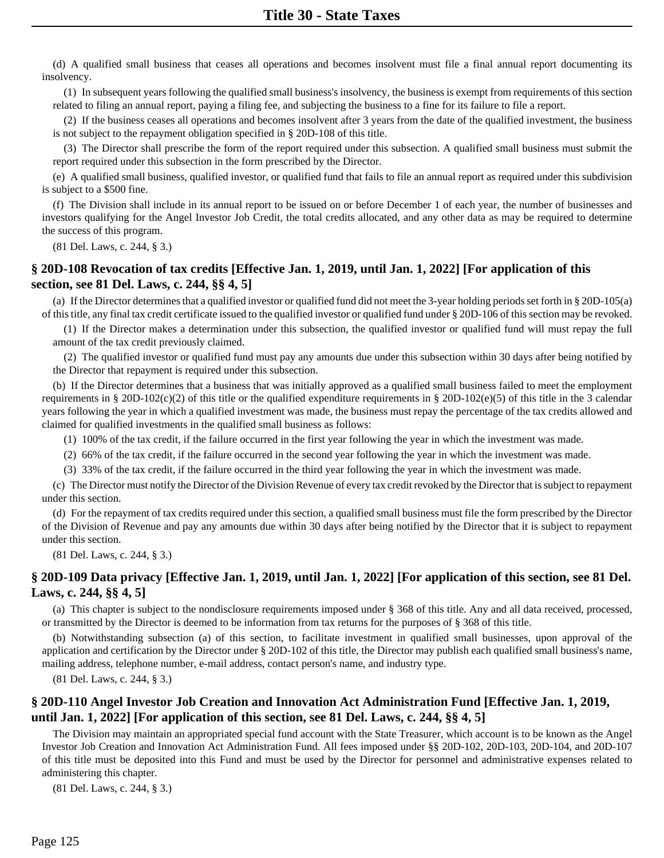(d) A qualified small business that ceases all operations and becomes insolvent must file a final annual report documenting its insolvency.

(1) In subsequent years following the qualified small business's insolvency, the business is exempt from requirements of this section related to filing an annual report, paying a filing fee, and subjecting the business to a fine for its failure to file a report.

(2) If the business ceases all operations and becomes insolvent after 3 years from the date of the qualified investment, the business is not subject to the repayment obligation specified in § 20D-108 of this title.

(3) The Director shall prescribe the form of the report required under this subsection. A qualified small business must submit the report required under this subsection in the form prescribed by the Director.

(e) A qualified small business, qualified investor, or qualified fund that fails to file an annual report as required under this subdivision is subject to a \$500 fine.

(f) The Division shall include in its annual report to be issued on or before December 1 of each year, the number of businesses and investors qualifying for the Angel Investor Job Credit, the total credits allocated, and any other data as may be required to determine the success of this program.

(81 Del. Laws, c. 244, § 3.)

## **§ 20D-108 Revocation of tax credits [Effective Jan. 1, 2019, until Jan. 1, 2022] [For application of this section, see 81 Del. Laws, c. 244, §§ 4, 5]**

(a) If the Director determines that a qualified investor or qualified fund did not meet the 3-year holding periods set forth in § 20D-105(a) of this title, any final tax credit certificate issued to the qualified investor or qualified fund under § 20D-106 of this section may be revoked.

(1) If the Director makes a determination under this subsection, the qualified investor or qualified fund will must repay the full amount of the tax credit previously claimed.

(2) The qualified investor or qualified fund must pay any amounts due under this subsection within 30 days after being notified by the Director that repayment is required under this subsection.

(b) If the Director determines that a business that was initially approved as a qualified small business failed to meet the employment requirements in § 20D-102(c)(2) of this title or the qualified expenditure requirements in § 20D-102(e)(5) of this title in the 3 calendar years following the year in which a qualified investment was made, the business must repay the percentage of the tax credits allowed and claimed for qualified investments in the qualified small business as follows:

(1) 100% of the tax credit, if the failure occurred in the first year following the year in which the investment was made.

(2) 66% of the tax credit, if the failure occurred in the second year following the year in which the investment was made.

(3) 33% of the tax credit, if the failure occurred in the third year following the year in which the investment was made.

(c) The Director must notify the Director of the Division Revenue of every tax credit revoked by the Director that is subject to repayment under this section.

(d) For the repayment of tax credits required under this section, a qualified small business must file the form prescribed by the Director of the Division of Revenue and pay any amounts due within 30 days after being notified by the Director that it is subject to repayment under this section.

(81 Del. Laws, c. 244, § 3.)

## **§ 20D-109 Data privacy [Effective Jan. 1, 2019, until Jan. 1, 2022] [For application of this section, see 81 Del. Laws, c. 244, §§ 4, 5]**

(a) This chapter is subject to the nondisclosure requirements imposed under § 368 of this title. Any and all data received, processed, or transmitted by the Director is deemed to be information from tax returns for the purposes of § 368 of this title.

(b) Notwithstanding subsection (a) of this section, to facilitate investment in qualified small businesses, upon approval of the application and certification by the Director under § 20D-102 of this title, the Director may publish each qualified small business's name, mailing address, telephone number, e-mail address, contact person's name, and industry type.

(81 Del. Laws, c. 244, § 3.)

# **§ 20D-110 Angel Investor Job Creation and Innovation Act Administration Fund [Effective Jan. 1, 2019, until Jan. 1, 2022] [For application of this section, see 81 Del. Laws, c. 244, §§ 4, 5]**

The Division may maintain an appropriated special fund account with the State Treasurer, which account is to be known as the Angel Investor Job Creation and Innovation Act Administration Fund. All fees imposed under §§ 20D-102, 20D-103, 20D-104, and 20D-107 of this title must be deposited into this Fund and must be used by the Director for personnel and administrative expenses related to administering this chapter.

(81 Del. Laws, c. 244, § 3.)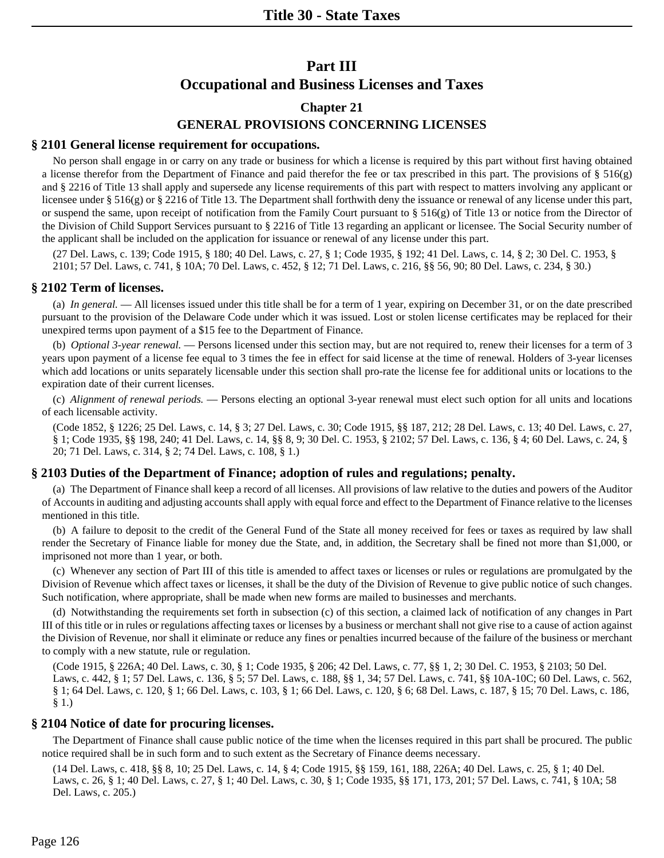# **Part III Occupational and Business Licenses and Taxes**

## **Chapter 21**

## **GENERAL PROVISIONS CONCERNING LICENSES**

### **§ 2101 General license requirement for occupations.**

No person shall engage in or carry on any trade or business for which a license is required by this part without first having obtained a license therefor from the Department of Finance and paid therefor the fee or tax prescribed in this part. The provisions of  $\S 516(g)$ and § 2216 of Title 13 shall apply and supersede any license requirements of this part with respect to matters involving any applicant or licensee under § 516(g) or § 2216 of Title 13. The Department shall forthwith deny the issuance or renewal of any license under this part, or suspend the same, upon receipt of notification from the Family Court pursuant to  $\S 516(g)$  of Title 13 or notice from the Director of the Division of Child Support Services pursuant to § 2216 of Title 13 regarding an applicant or licensee. The Social Security number of the applicant shall be included on the application for issuance or renewal of any license under this part.

(27 Del. Laws, c. 139; Code 1915, § 180; 40 Del. Laws, c. 27, § 1; Code 1935, § 192; 41 Del. Laws, c. 14, § 2; 30 Del. C. 1953, § 2101; 57 Del. Laws, c. 741, § 10A; 70 Del. Laws, c. 452, § 12; 71 Del. Laws, c. 216, §§ 56, 90; 80 Del. Laws, c. 234, § 30.)

## **§ 2102 Term of licenses.**

(a) *In general.* — All licenses issued under this title shall be for a term of 1 year, expiring on December 31, or on the date prescribed pursuant to the provision of the Delaware Code under which it was issued. Lost or stolen license certificates may be replaced for their unexpired terms upon payment of a \$15 fee to the Department of Finance.

(b) *Optional 3-year renewal.* — Persons licensed under this section may, but are not required to, renew their licenses for a term of 3 years upon payment of a license fee equal to 3 times the fee in effect for said license at the time of renewal. Holders of 3-year licenses which add locations or units separately licensable under this section shall pro-rate the license fee for additional units or locations to the expiration date of their current licenses.

(c) *Alignment of renewal periods.* — Persons electing an optional 3-year renewal must elect such option for all units and locations of each licensable activity.

(Code 1852, § 1226; 25 Del. Laws, c. 14, § 3; 27 Del. Laws, c. 30; Code 1915, §§ 187, 212; 28 Del. Laws, c. 13; 40 Del. Laws, c. 27, § 1; Code 1935, §§ 198, 240; 41 Del. Laws, c. 14, §§ 8, 9; 30 Del. C. 1953, § 2102; 57 Del. Laws, c. 136, § 4; 60 Del. Laws, c. 24, § 20; 71 Del. Laws, c. 314, § 2; 74 Del. Laws, c. 108, § 1.)

## **§ 2103 Duties of the Department of Finance; adoption of rules and regulations; penalty.**

(a) The Department of Finance shall keep a record of all licenses. All provisions of law relative to the duties and powers of the Auditor of Accounts in auditing and adjusting accounts shall apply with equal force and effect to the Department of Finance relative to the licenses mentioned in this title.

(b) A failure to deposit to the credit of the General Fund of the State all money received for fees or taxes as required by law shall render the Secretary of Finance liable for money due the State, and, in addition, the Secretary shall be fined not more than \$1,000, or imprisoned not more than 1 year, or both.

(c) Whenever any section of Part III of this title is amended to affect taxes or licenses or rules or regulations are promulgated by the Division of Revenue which affect taxes or licenses, it shall be the duty of the Division of Revenue to give public notice of such changes. Such notification, where appropriate, shall be made when new forms are mailed to businesses and merchants.

(d) Notwithstanding the requirements set forth in subsection (c) of this section, a claimed lack of notification of any changes in Part III of this title or in rules or regulations affecting taxes or licenses by a business or merchant shall not give rise to a cause of action against the Division of Revenue, nor shall it eliminate or reduce any fines or penalties incurred because of the failure of the business or merchant to comply with a new statute, rule or regulation.

(Code 1915, § 226A; 40 Del. Laws, c. 30, § 1; Code 1935, § 206; 42 Del. Laws, c. 77, §§ 1, 2; 30 Del. C. 1953, § 2103; 50 Del. Laws, c. 442, § 1; 57 Del. Laws, c. 136, § 5; 57 Del. Laws, c. 188, §§ 1, 34; 57 Del. Laws, c. 741, §§ 10A-10C; 60 Del. Laws, c. 562, § 1; 64 Del. Laws, c. 120, § 1; 66 Del. Laws, c. 103, § 1; 66 Del. Laws, c. 120, § 6; 68 Del. Laws, c. 187, § 15; 70 Del. Laws, c. 186, § 1.)

## **§ 2104 Notice of date for procuring licenses.**

The Department of Finance shall cause public notice of the time when the licenses required in this part shall be procured. The public notice required shall be in such form and to such extent as the Secretary of Finance deems necessary.

(14 Del. Laws, c. 418, §§ 8, 10; 25 Del. Laws, c. 14, § 4; Code 1915, §§ 159, 161, 188, 226A; 40 Del. Laws, c. 25, § 1; 40 Del. Laws, c. 26, § 1; 40 Del. Laws, c. 27, § 1; 40 Del. Laws, c. 30, § 1; Code 1935, §§ 171, 173, 201; 57 Del. Laws, c. 741, § 10A; 58 Del. Laws, c. 205.)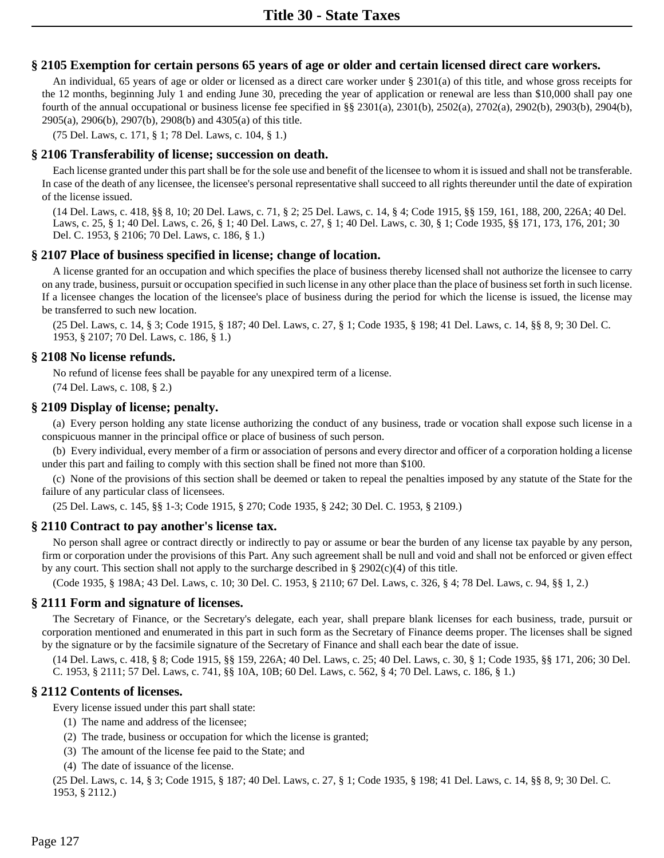## **§ 2105 Exemption for certain persons 65 years of age or older and certain licensed direct care workers.**

An individual, 65 years of age or older or licensed as a direct care worker under § 2301(a) of this title, and whose gross receipts for the 12 months, beginning July 1 and ending June 30, preceding the year of application or renewal are less than \$10,000 shall pay one fourth of the annual occupational or business license fee specified in §§ 2301(a), 2301(b), 2502(a), 2702(a), 2902(b), 2903(b), 2904(b), 2905(a), 2906(b), 2907(b), 2908(b) and 4305(a) of this title.

(75 Del. Laws, c. 171, § 1; 78 Del. Laws, c. 104, § 1.)

### **§ 2106 Transferability of license; succession on death.**

Each license granted under this part shall be for the sole use and benefit of the licensee to whom it is issued and shall not be transferable. In case of the death of any licensee, the licensee's personal representative shall succeed to all rights thereunder until the date of expiration of the license issued.

(14 Del. Laws, c. 418, §§ 8, 10; 20 Del. Laws, c. 71, § 2; 25 Del. Laws, c. 14, § 4; Code 1915, §§ 159, 161, 188, 200, 226A; 40 Del. Laws, c. 25, § 1; 40 Del. Laws, c. 26, § 1; 40 Del. Laws, c. 27, § 1; 40 Del. Laws, c. 30, § 1; Code 1935, §§ 171, 173, 176, 201; 30 Del. C. 1953, § 2106; 70 Del. Laws, c. 186, § 1.)

### **§ 2107 Place of business specified in license; change of location.**

A license granted for an occupation and which specifies the place of business thereby licensed shall not authorize the licensee to carry on any trade, business, pursuit or occupation specified in such license in any other place than the place of business set forth in such license. If a licensee changes the location of the licensee's place of business during the period for which the license is issued, the license may be transferred to such new location.

(25 Del. Laws, c. 14, § 3; Code 1915, § 187; 40 Del. Laws, c. 27, § 1; Code 1935, § 198; 41 Del. Laws, c. 14, §§ 8, 9; 30 Del. C. 1953, § 2107; 70 Del. Laws, c. 186, § 1.)

### **§ 2108 No license refunds.**

No refund of license fees shall be payable for any unexpired term of a license.

(74 Del. Laws, c. 108, § 2.)

### **§ 2109 Display of license; penalty.**

(a) Every person holding any state license authorizing the conduct of any business, trade or vocation shall expose such license in a conspicuous manner in the principal office or place of business of such person.

(b) Every individual, every member of a firm or association of persons and every director and officer of a corporation holding a license under this part and failing to comply with this section shall be fined not more than \$100.

(c) None of the provisions of this section shall be deemed or taken to repeal the penalties imposed by any statute of the State for the failure of any particular class of licensees.

(25 Del. Laws, c. 145, §§ 1-3; Code 1915, § 270; Code 1935, § 242; 30 Del. C. 1953, § 2109.)

## **§ 2110 Contract to pay another's license tax.**

No person shall agree or contract directly or indirectly to pay or assume or bear the burden of any license tax payable by any person, firm or corporation under the provisions of this Part. Any such agreement shall be null and void and shall not be enforced or given effect by any court. This section shall not apply to the surcharge described in § 2902(c)(4) of this title.

(Code 1935, § 198A; 43 Del. Laws, c. 10; 30 Del. C. 1953, § 2110; 67 Del. Laws, c. 326, § 4; 78 Del. Laws, c. 94, §§ 1, 2.)

#### **§ 2111 Form and signature of licenses.**

The Secretary of Finance, or the Secretary's delegate, each year, shall prepare blank licenses for each business, trade, pursuit or corporation mentioned and enumerated in this part in such form as the Secretary of Finance deems proper. The licenses shall be signed by the signature or by the facsimile signature of the Secretary of Finance and shall each bear the date of issue.

(14 Del. Laws, c. 418, § 8; Code 1915, §§ 159, 226A; 40 Del. Laws, c. 25; 40 Del. Laws, c. 30, § 1; Code 1935, §§ 171, 206; 30 Del. C. 1953, § 2111; 57 Del. Laws, c. 741, §§ 10A, 10B; 60 Del. Laws, c. 562, § 4; 70 Del. Laws, c. 186, § 1.)

#### **§ 2112 Contents of licenses.**

Every license issued under this part shall state:

- (1) The name and address of the licensee;
- (2) The trade, business or occupation for which the license is granted;
- (3) The amount of the license fee paid to the State; and
- (4) The date of issuance of the license.

(25 Del. Laws, c. 14, § 3; Code 1915, § 187; 40 Del. Laws, c. 27, § 1; Code 1935, § 198; 41 Del. Laws, c. 14, §§ 8, 9; 30 Del. C. 1953, § 2112.)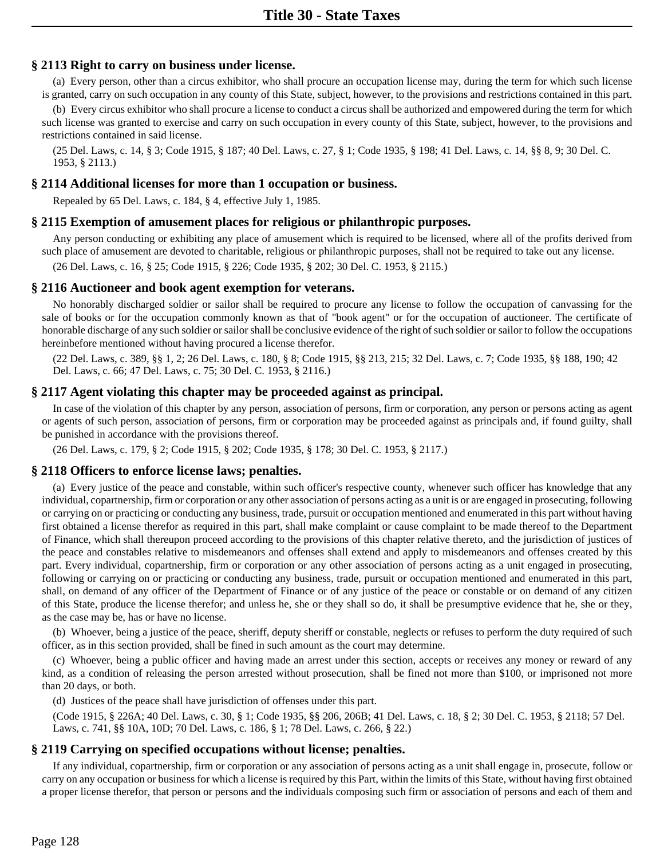## **§ 2113 Right to carry on business under license.**

(a) Every person, other than a circus exhibitor, who shall procure an occupation license may, during the term for which such license is granted, carry on such occupation in any county of this State, subject, however, to the provisions and restrictions contained in this part.

(b) Every circus exhibitor who shall procure a license to conduct a circus shall be authorized and empowered during the term for which such license was granted to exercise and carry on such occupation in every county of this State, subject, however, to the provisions and restrictions contained in said license.

(25 Del. Laws, c. 14, § 3; Code 1915, § 187; 40 Del. Laws, c. 27, § 1; Code 1935, § 198; 41 Del. Laws, c. 14, §§ 8, 9; 30 Del. C. 1953, § 2113.)

### **§ 2114 Additional licenses for more than 1 occupation or business.**

Repealed by 65 Del. Laws, c. 184, § 4, effective July 1, 1985.

### **§ 2115 Exemption of amusement places for religious or philanthropic purposes.**

Any person conducting or exhibiting any place of amusement which is required to be licensed, where all of the profits derived from such place of amusement are devoted to charitable, religious or philanthropic purposes, shall not be required to take out any license.

(26 Del. Laws, c. 16, § 25; Code 1915, § 226; Code 1935, § 202; 30 Del. C. 1953, § 2115.)

#### **§ 2116 Auctioneer and book agent exemption for veterans.**

No honorably discharged soldier or sailor shall be required to procure any license to follow the occupation of canvassing for the sale of books or for the occupation commonly known as that of "book agent" or for the occupation of auctioneer. The certificate of honorable discharge of any such soldier or sailor shall be conclusive evidence of the right of such soldier or sailor to follow the occupations hereinbefore mentioned without having procured a license therefor.

(22 Del. Laws, c. 389, §§ 1, 2; 26 Del. Laws, c. 180, § 8; Code 1915, §§ 213, 215; 32 Del. Laws, c. 7; Code 1935, §§ 188, 190; 42 Del. Laws, c. 66; 47 Del. Laws, c. 75; 30 Del. C. 1953, § 2116.)

#### **§ 2117 Agent violating this chapter may be proceeded against as principal.**

In case of the violation of this chapter by any person, association of persons, firm or corporation, any person or persons acting as agent or agents of such person, association of persons, firm or corporation may be proceeded against as principals and, if found guilty, shall be punished in accordance with the provisions thereof.

(26 Del. Laws, c. 179, § 2; Code 1915, § 202; Code 1935, § 178; 30 Del. C. 1953, § 2117.)

#### **§ 2118 Officers to enforce license laws; penalties.**

(a) Every justice of the peace and constable, within such officer's respective county, whenever such officer has knowledge that any individual, copartnership, firm or corporation or any other association of persons acting as a unit is or are engaged in prosecuting, following or carrying on or practicing or conducting any business, trade, pursuit or occupation mentioned and enumerated in this part without having first obtained a license therefor as required in this part, shall make complaint or cause complaint to be made thereof to the Department of Finance, which shall thereupon proceed according to the provisions of this chapter relative thereto, and the jurisdiction of justices of the peace and constables relative to misdemeanors and offenses shall extend and apply to misdemeanors and offenses created by this part. Every individual, copartnership, firm or corporation or any other association of persons acting as a unit engaged in prosecuting, following or carrying on or practicing or conducting any business, trade, pursuit or occupation mentioned and enumerated in this part, shall, on demand of any officer of the Department of Finance or of any justice of the peace or constable or on demand of any citizen of this State, produce the license therefor; and unless he, she or they shall so do, it shall be presumptive evidence that he, she or they, as the case may be, has or have no license.

(b) Whoever, being a justice of the peace, sheriff, deputy sheriff or constable, neglects or refuses to perform the duty required of such officer, as in this section provided, shall be fined in such amount as the court may determine.

(c) Whoever, being a public officer and having made an arrest under this section, accepts or receives any money or reward of any kind, as a condition of releasing the person arrested without prosecution, shall be fined not more than \$100, or imprisoned not more than 20 days, or both.

(d) Justices of the peace shall have jurisdiction of offenses under this part.

(Code 1915, § 226A; 40 Del. Laws, c. 30, § 1; Code 1935, §§ 206, 206B; 41 Del. Laws, c. 18, § 2; 30 Del. C. 1953, § 2118; 57 Del. Laws, c. 741, §§ 10A, 10D; 70 Del. Laws, c. 186, § 1; 78 Del. Laws, c. 266, § 22.)

#### **§ 2119 Carrying on specified occupations without license; penalties.**

If any individual, copartnership, firm or corporation or any association of persons acting as a unit shall engage in, prosecute, follow or carry on any occupation or business for which a license is required by this Part, within the limits of this State, without having first obtained a proper license therefor, that person or persons and the individuals composing such firm or association of persons and each of them and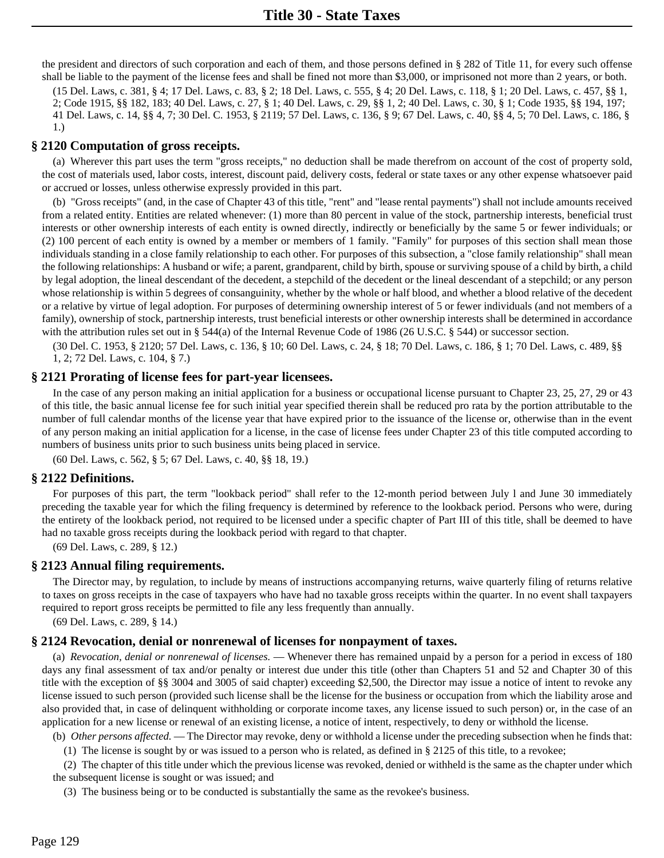the president and directors of such corporation and each of them, and those persons defined in § 282 of Title 11, for every such offense shall be liable to the payment of the license fees and shall be fined not more than \$3,000, or imprisoned not more than 2 years, or both.

(15 Del. Laws, c. 381, § 4; 17 Del. Laws, c. 83, § 2; 18 Del. Laws, c. 555, § 4; 20 Del. Laws, c. 118, § 1; 20 Del. Laws, c. 457, §§ 1, 2; Code 1915, §§ 182, 183; 40 Del. Laws, c. 27, § 1; 40 Del. Laws, c. 29, §§ 1, 2; 40 Del. Laws, c. 30, § 1; Code 1935, §§ 194, 197; 41 Del. Laws, c. 14, §§ 4, 7; 30 Del. C. 1953, § 2119; 57 Del. Laws, c. 136, § 9; 67 Del. Laws, c. 40, §§ 4, 5; 70 Del. Laws, c. 186, § 1.)

#### **§ 2120 Computation of gross receipts.**

(a) Wherever this part uses the term "gross receipts," no deduction shall be made therefrom on account of the cost of property sold, the cost of materials used, labor costs, interest, discount paid, delivery costs, federal or state taxes or any other expense whatsoever paid or accrued or losses, unless otherwise expressly provided in this part.

(b) "Gross receipts" (and, in the case of Chapter 43 of this title, "rent" and "lease rental payments") shall not include amounts received from a related entity. Entities are related whenever: (1) more than 80 percent in value of the stock, partnership interests, beneficial trust interests or other ownership interests of each entity is owned directly, indirectly or beneficially by the same 5 or fewer individuals; or (2) 100 percent of each entity is owned by a member or members of 1 family. "Family" for purposes of this section shall mean those individuals standing in a close family relationship to each other. For purposes of this subsection, a "close family relationship" shall mean the following relationships: A husband or wife; a parent, grandparent, child by birth, spouse or surviving spouse of a child by birth, a child by legal adoption, the lineal descendant of the decedent, a stepchild of the decedent or the lineal descendant of a stepchild; or any person whose relationship is within 5 degrees of consanguinity, whether by the whole or half blood, and whether a blood relative of the decedent or a relative by virtue of legal adoption. For purposes of determining ownership interest of 5 or fewer individuals (and not members of a family), ownership of stock, partnership interests, trust beneficial interests or other ownership interests shall be determined in accordance with the attribution rules set out in § 544(a) of the Internal Revenue Code of 1986 (26 U.S.C. § 544) or successor section.

(30 Del. C. 1953, § 2120; 57 Del. Laws, c. 136, § 10; 60 Del. Laws, c. 24, § 18; 70 Del. Laws, c. 186, § 1; 70 Del. Laws, c. 489, §§ 1, 2; 72 Del. Laws, c. 104, § 7.)

### **§ 2121 Prorating of license fees for part-year licensees.**

In the case of any person making an initial application for a business or occupational license pursuant to Chapter 23, 25, 27, 29 or 43 of this title, the basic annual license fee for such initial year specified therein shall be reduced pro rata by the portion attributable to the number of full calendar months of the license year that have expired prior to the issuance of the license or, otherwise than in the event of any person making an initial application for a license, in the case of license fees under Chapter 23 of this title computed according to numbers of business units prior to such business units being placed in service.

(60 Del. Laws, c. 562, § 5; 67 Del. Laws, c. 40, §§ 18, 19.)

#### **§ 2122 Definitions.**

For purposes of this part, the term "lookback period" shall refer to the 12-month period between July l and June 30 immediately preceding the taxable year for which the filing frequency is determined by reference to the lookback period. Persons who were, during the entirety of the lookback period, not required to be licensed under a specific chapter of Part III of this title, shall be deemed to have had no taxable gross receipts during the lookback period with regard to that chapter.

(69 Del. Laws, c. 289, § 12.)

### **§ 2123 Annual filing requirements.**

The Director may, by regulation, to include by means of instructions accompanying returns, waive quarterly filing of returns relative to taxes on gross receipts in the case of taxpayers who have had no taxable gross receipts within the quarter. In no event shall taxpayers required to report gross receipts be permitted to file any less frequently than annually.

(69 Del. Laws, c. 289, § 14.)

#### **§ 2124 Revocation, denial or nonrenewal of licenses for nonpayment of taxes.**

(a) *Revocation, denial or nonrenewal of licenses.* — Whenever there has remained unpaid by a person for a period in excess of 180 days any final assessment of tax and/or penalty or interest due under this title (other than Chapters 51 and 52 and Chapter 30 of this title with the exception of §§ 3004 and 3005 of said chapter) exceeding \$2,500, the Director may issue a notice of intent to revoke any license issued to such person (provided such license shall be the license for the business or occupation from which the liability arose and also provided that, in case of delinquent withholding or corporate income taxes, any license issued to such person) or, in the case of an application for a new license or renewal of an existing license, a notice of intent, respectively, to deny or withhold the license.

(b) *Other persons affected.* — The Director may revoke, deny or withhold a license under the preceding subsection when he finds that:

(1) The license is sought by or was issued to a person who is related, as defined in  $\S 2125$  of this title, to a revokee;

(2) The chapter of this title under which the previous license was revoked, denied or withheld is the same as the chapter under which the subsequent license is sought or was issued; and

(3) The business being or to be conducted is substantially the same as the revokee's business.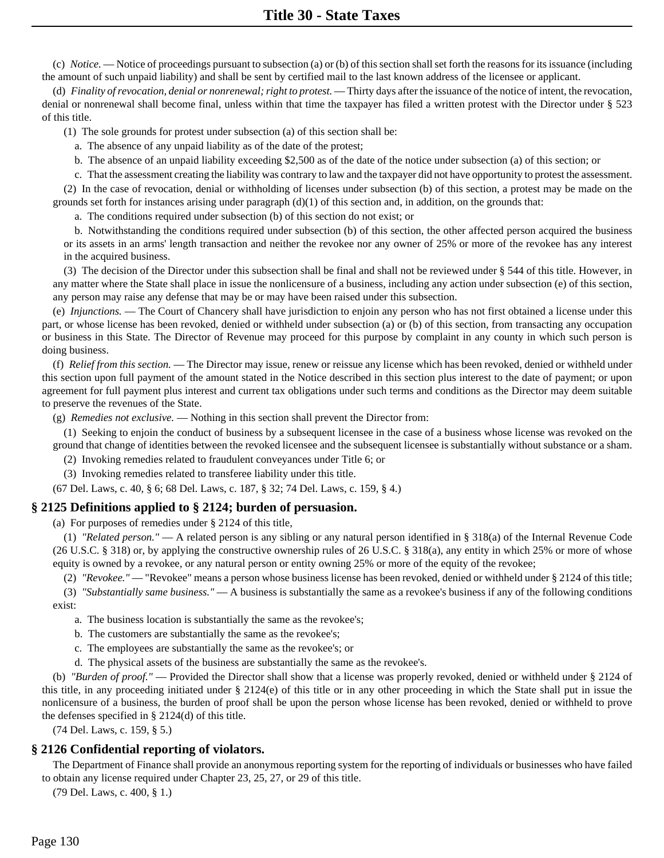(c) *Notice.* — Notice of proceedings pursuant to subsection (a) or (b) of this section shall set forth the reasons for its issuance (including the amount of such unpaid liability) and shall be sent by certified mail to the last known address of the licensee or applicant.

(d) *Finality of revocation, denial or nonrenewal; right to protest.* — Thirty days after the issuance of the notice of intent, the revocation, denial or nonrenewal shall become final, unless within that time the taxpayer has filed a written protest with the Director under § 523 of this title.

(1) The sole grounds for protest under subsection (a) of this section shall be:

a. The absence of any unpaid liability as of the date of the protest;

b. The absence of an unpaid liability exceeding \$2,500 as of the date of the notice under subsection (a) of this section; or

c. That the assessment creating the liability was contrary to law and the taxpayer did not have opportunity to protest the assessment.

(2) In the case of revocation, denial or withholding of licenses under subsection (b) of this section, a protest may be made on the grounds set forth for instances arising under paragraph  $(d)(1)$  of this section and, in addition, on the grounds that:

a. The conditions required under subsection (b) of this section do not exist; or

b. Notwithstanding the conditions required under subsection (b) of this section, the other affected person acquired the business or its assets in an arms' length transaction and neither the revokee nor any owner of 25% or more of the revokee has any interest in the acquired business.

(3) The decision of the Director under this subsection shall be final and shall not be reviewed under § 544 of this title. However, in any matter where the State shall place in issue the nonlicensure of a business, including any action under subsection (e) of this section, any person may raise any defense that may be or may have been raised under this subsection.

(e) *Injunctions.* — The Court of Chancery shall have jurisdiction to enjoin any person who has not first obtained a license under this part, or whose license has been revoked, denied or withheld under subsection (a) or (b) of this section, from transacting any occupation or business in this State. The Director of Revenue may proceed for this purpose by complaint in any county in which such person is doing business.

(f) *Relief from this section.* — The Director may issue, renew or reissue any license which has been revoked, denied or withheld under this section upon full payment of the amount stated in the Notice described in this section plus interest to the date of payment; or upon agreement for full payment plus interest and current tax obligations under such terms and conditions as the Director may deem suitable to preserve the revenues of the State.

(g) *Remedies not exclusive.* — Nothing in this section shall prevent the Director from:

(1) Seeking to enjoin the conduct of business by a subsequent licensee in the case of a business whose license was revoked on the ground that change of identities between the revoked licensee and the subsequent licensee is substantially without substance or a sham.

(2) Invoking remedies related to fraudulent conveyances under Title 6; or

(3) Invoking remedies related to transferee liability under this title.

(67 Del. Laws, c. 40, § 6; 68 Del. Laws, c. 187, § 32; 74 Del. Laws, c. 159, § 4.)

## **§ 2125 Definitions applied to § 2124; burden of persuasion.**

(a) For purposes of remedies under § 2124 of this title,

(1) *"Related person."* — A related person is any sibling or any natural person identified in § 318(a) of the Internal Revenue Code (26 U.S.C. § 318) or, by applying the constructive ownership rules of 26 U.S.C. § 318(a), any entity in which 25% or more of whose equity is owned by a revokee, or any natural person or entity owning 25% or more of the equity of the revokee;

(2) *"Revokee."* — "Revokee" means a person whose business license has been revoked, denied or withheld under § 2124 of this title;

(3) *"Substantially same business."* — A business is substantially the same as a revokee's business if any of the following conditions exist:

a. The business location is substantially the same as the revokee's;

b. The customers are substantially the same as the revokee's;

- c. The employees are substantially the same as the revokee's; or
- d. The physical assets of the business are substantially the same as the revokee's.

(b) *"Burden of proof."* — Provided the Director shall show that a license was properly revoked, denied or withheld under § 2124 of this title, in any proceeding initiated under § 2124(e) of this title or in any other proceeding in which the State shall put in issue the nonlicensure of a business, the burden of proof shall be upon the person whose license has been revoked, denied or withheld to prove the defenses specified in § 2124(d) of this title.

(74 Del. Laws, c. 159, § 5.)

# **§ 2126 Confidential reporting of violators.**

The Department of Finance shall provide an anonymous reporting system for the reporting of individuals or businesses who have failed to obtain any license required under Chapter 23, 25, 27, or 29 of this title.

(79 Del. Laws, c. 400, § 1.)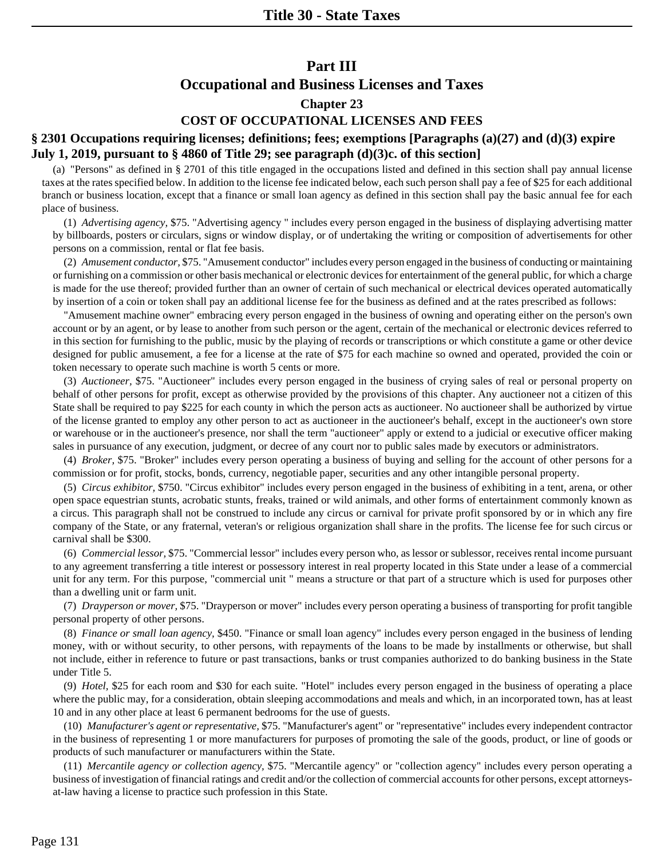# **Part III Occupational and Business Licenses and Taxes**

## **Chapter 23 COST OF OCCUPATIONAL LICENSES AND FEES**

# **§ 2301 Occupations requiring licenses; definitions; fees; exemptions [Paragraphs (a)(27) and (d)(3) expire July 1, 2019, pursuant to § 4860 of Title 29; see paragraph (d)(3)c. of this section]**

(a) "Persons" as defined in § 2701 of this title engaged in the occupations listed and defined in this section shall pay annual license taxes at the rates specified below. In addition to the license fee indicated below, each such person shall pay a fee of \$25 for each additional branch or business location, except that a finance or small loan agency as defined in this section shall pay the basic annual fee for each place of business.

(1) *Advertising agency,* \$75. "Advertising agency " includes every person engaged in the business of displaying advertising matter by billboards, posters or circulars, signs or window display, or of undertaking the writing or composition of advertisements for other persons on a commission, rental or flat fee basis.

(2) *Amusement conductor,* \$75. "Amusement conductor" includes every person engaged in the business of conducting or maintaining or furnishing on a commission or other basis mechanical or electronic devices for entertainment of the general public, for which a charge is made for the use thereof; provided further than an owner of certain of such mechanical or electrical devices operated automatically by insertion of a coin or token shall pay an additional license fee for the business as defined and at the rates prescribed as follows:

"Amusement machine owner" embracing every person engaged in the business of owning and operating either on the person's own account or by an agent, or by lease to another from such person or the agent, certain of the mechanical or electronic devices referred to in this section for furnishing to the public, music by the playing of records or transcriptions or which constitute a game or other device designed for public amusement, a fee for a license at the rate of \$75 for each machine so owned and operated, provided the coin or token necessary to operate such machine is worth 5 cents or more.

(3) *Auctioneer,* \$75. "Auctioneer" includes every person engaged in the business of crying sales of real or personal property on behalf of other persons for profit, except as otherwise provided by the provisions of this chapter. Any auctioneer not a citizen of this State shall be required to pay \$225 for each county in which the person acts as auctioneer. No auctioneer shall be authorized by virtue of the license granted to employ any other person to act as auctioneer in the auctioneer's behalf, except in the auctioneer's own store or warehouse or in the auctioneer's presence, nor shall the term "auctioneer" apply or extend to a judicial or executive officer making sales in pursuance of any execution, judgment, or decree of any court nor to public sales made by executors or administrators.

(4) *Broker,* \$75. "Broker" includes every person operating a business of buying and selling for the account of other persons for a commission or for profit, stocks, bonds, currency, negotiable paper, securities and any other intangible personal property.

(5) *Circus exhibitor,* \$750. "Circus exhibitor" includes every person engaged in the business of exhibiting in a tent, arena, or other open space equestrian stunts, acrobatic stunts, freaks, trained or wild animals, and other forms of entertainment commonly known as a circus. This paragraph shall not be construed to include any circus or carnival for private profit sponsored by or in which any fire company of the State, or any fraternal, veteran's or religious organization shall share in the profits. The license fee for such circus or carnival shall be \$300.

(6) *Commercial lessor,* \$75. "Commercial lessor" includes every person who, as lessor or sublessor, receives rental income pursuant to any agreement transferring a title interest or possessory interest in real property located in this State under a lease of a commercial unit for any term. For this purpose, "commercial unit " means a structure or that part of a structure which is used for purposes other than a dwelling unit or farm unit.

(7) *Drayperson or mover,* \$75. "Drayperson or mover" includes every person operating a business of transporting for profit tangible personal property of other persons.

(8) *Finance or small loan agency,* \$450. "Finance or small loan agency" includes every person engaged in the business of lending money, with or without security, to other persons, with repayments of the loans to be made by installments or otherwise, but shall not include, either in reference to future or past transactions, banks or trust companies authorized to do banking business in the State under Title 5.

(9) *Hotel,* \$25 for each room and \$30 for each suite. "Hotel" includes every person engaged in the business of operating a place where the public may, for a consideration, obtain sleeping accommodations and meals and which, in an incorporated town, has at least 10 and in any other place at least 6 permanent bedrooms for the use of guests.

(10) *Manufacturer's agent or representative,* \$75. "Manufacturer's agent" or "representative" includes every independent contractor in the business of representing 1 or more manufacturers for purposes of promoting the sale of the goods, product, or line of goods or products of such manufacturer or manufacturers within the State.

(11) *Mercantile agency or collection agency,* \$75. "Mercantile agency" or "collection agency" includes every person operating a business of investigation of financial ratings and credit and/or the collection of commercial accounts for other persons, except attorneysat-law having a license to practice such profession in this State.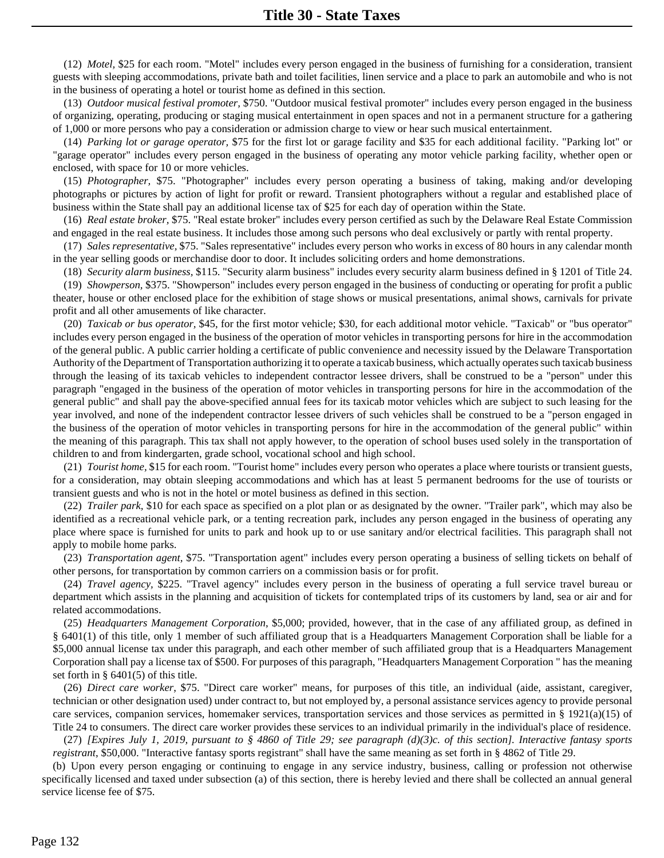(12) *Motel,* \$25 for each room. "Motel" includes every person engaged in the business of furnishing for a consideration, transient guests with sleeping accommodations, private bath and toilet facilities, linen service and a place to park an automobile and who is not in the business of operating a hotel or tourist home as defined in this section.

(13) *Outdoor musical festival promoter,* \$750. "Outdoor musical festival promoter" includes every person engaged in the business of organizing, operating, producing or staging musical entertainment in open spaces and not in a permanent structure for a gathering of 1,000 or more persons who pay a consideration or admission charge to view or hear such musical entertainment.

(14) *Parking lot or garage operator,* \$75 for the first lot or garage facility and \$35 for each additional facility. "Parking lot" or "garage operator" includes every person engaged in the business of operating any motor vehicle parking facility, whether open or enclosed, with space for 10 or more vehicles.

(15) *Photographer,* \$75. "Photographer" includes every person operating a business of taking, making and/or developing photographs or pictures by action of light for profit or reward. Transient photographers without a regular and established place of business within the State shall pay an additional license tax of \$25 for each day of operation within the State.

(16) *Real estate broker,* \$75. "Real estate broker" includes every person certified as such by the Delaware Real Estate Commission and engaged in the real estate business. It includes those among such persons who deal exclusively or partly with rental property.

(17) *Sales representative,* \$75. "Sales representative" includes every person who works in excess of 80 hours in any calendar month in the year selling goods or merchandise door to door. It includes soliciting orders and home demonstrations.

(18) *Security alarm business,* \$115. "Security alarm business" includes every security alarm business defined in § 1201 of Title 24.

(19) *Showperson,* \$375. "Showperson" includes every person engaged in the business of conducting or operating for profit a public theater, house or other enclosed place for the exhibition of stage shows or musical presentations, animal shows, carnivals for private profit and all other amusements of like character.

(20) *Taxicab or bus operator,* \$45, for the first motor vehicle; \$30, for each additional motor vehicle. "Taxicab" or "bus operator" includes every person engaged in the business of the operation of motor vehicles in transporting persons for hire in the accommodation of the general public. A public carrier holding a certificate of public convenience and necessity issued by the Delaware Transportation Authority of the Department of Transportation authorizing it to operate a taxicab business, which actually operates such taxicab business through the leasing of its taxicab vehicles to independent contractor lessee drivers, shall be construed to be a "person" under this paragraph "engaged in the business of the operation of motor vehicles in transporting persons for hire in the accommodation of the general public" and shall pay the above-specified annual fees for its taxicab motor vehicles which are subject to such leasing for the year involved, and none of the independent contractor lessee drivers of such vehicles shall be construed to be a "person engaged in the business of the operation of motor vehicles in transporting persons for hire in the accommodation of the general public" within the meaning of this paragraph. This tax shall not apply however, to the operation of school buses used solely in the transportation of children to and from kindergarten, grade school, vocational school and high school.

(21) *Tourist home,* \$15 for each room. "Tourist home" includes every person who operates a place where tourists or transient guests, for a consideration, may obtain sleeping accommodations and which has at least 5 permanent bedrooms for the use of tourists or transient guests and who is not in the hotel or motel business as defined in this section.

(22) *Trailer park,* \$10 for each space as specified on a plot plan or as designated by the owner. "Trailer park", which may also be identified as a recreational vehicle park, or a tenting recreation park, includes any person engaged in the business of operating any place where space is furnished for units to park and hook up to or use sanitary and/or electrical facilities. This paragraph shall not apply to mobile home parks.

(23) *Transportation agent,* \$75. "Transportation agent" includes every person operating a business of selling tickets on behalf of other persons, for transportation by common carriers on a commission basis or for profit.

(24) *Travel agency,* \$225. "Travel agency" includes every person in the business of operating a full service travel bureau or department which assists in the planning and acquisition of tickets for contemplated trips of its customers by land, sea or air and for related accommodations.

(25) *Headquarters Management Corporation*, \$5,000; provided, however, that in the case of any affiliated group, as defined in § 6401(1) of this title, only 1 member of such affiliated group that is a Headquarters Management Corporation shall be liable for a \$5,000 annual license tax under this paragraph, and each other member of such affiliated group that is a Headquarters Management Corporation shall pay a license tax of \$500. For purposes of this paragraph, "Headquarters Management Corporation " has the meaning set forth in § 6401(5) of this title.

(26) *Direct care worker*, \$75. "Direct care worker" means, for purposes of this title, an individual (aide, assistant, caregiver, technician or other designation used) under contract to, but not employed by, a personal assistance services agency to provide personal care services, companion services, homemaker services, transportation services and those services as permitted in § 1921(a)(15) of Title 24 to consumers. The direct care worker provides these services to an individual primarily in the individual's place of residence.

(27) *[Expires July 1, 2019, pursuant to § 4860 of Title 29; see paragraph (d)(3)c. of this section]. Interactive fantasy sports registrant*, \$50,000. "Interactive fantasy sports registrant" shall have the same meaning as set forth in § 4862 of Title 29.

(b) Upon every person engaging or continuing to engage in any service industry, business, calling or profession not otherwise specifically licensed and taxed under subsection (a) of this section, there is hereby levied and there shall be collected an annual general service license fee of \$75.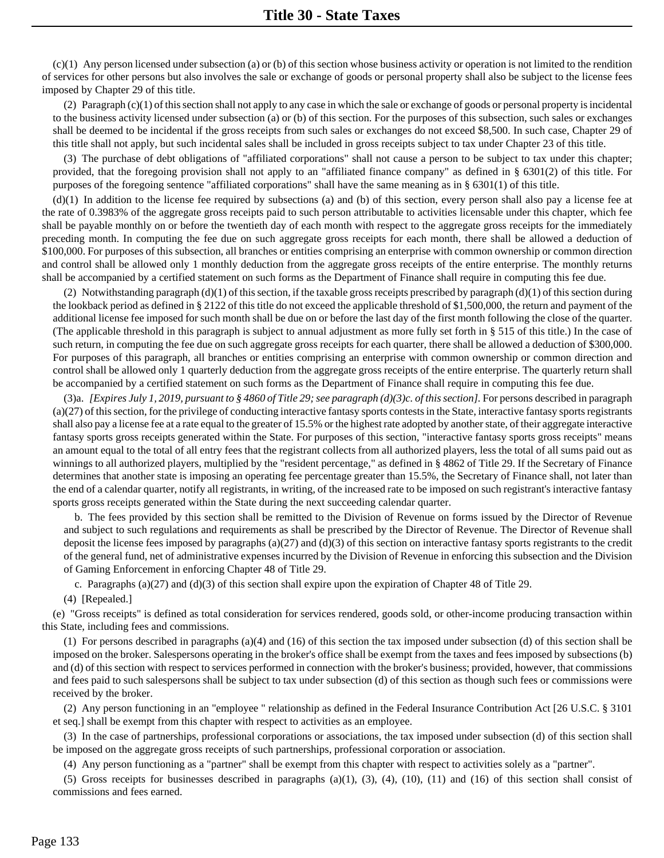(c)(1) Any person licensed under subsection (a) or (b) of this section whose business activity or operation is not limited to the rendition of services for other persons but also involves the sale or exchange of goods or personal property shall also be subject to the license fees imposed by Chapter 29 of this title.

(2) Paragraph (c)(1) of this section shall not apply to any case in which the sale or exchange of goods or personal property is incidental to the business activity licensed under subsection (a) or (b) of this section. For the purposes of this subsection, such sales or exchanges shall be deemed to be incidental if the gross receipts from such sales or exchanges do not exceed \$8,500. In such case, Chapter 29 of this title shall not apply, but such incidental sales shall be included in gross receipts subject to tax under Chapter 23 of this title.

(3) The purchase of debt obligations of "affiliated corporations" shall not cause a person to be subject to tax under this chapter; provided, that the foregoing provision shall not apply to an "affiliated finance company" as defined in § 6301(2) of this title. For purposes of the foregoing sentence "affiliated corporations" shall have the same meaning as in § 6301(1) of this title.

 $(d)(1)$  In addition to the license fee required by subsections (a) and (b) of this section, every person shall also pay a license fee at the rate of 0.3983% of the aggregate gross receipts paid to such person attributable to activities licensable under this chapter, which fee shall be payable monthly on or before the twentieth day of each month with respect to the aggregate gross receipts for the immediately preceding month. In computing the fee due on such aggregate gross receipts for each month, there shall be allowed a deduction of \$100,000. For purposes of this subsection, all branches or entities comprising an enterprise with common ownership or common direction and control shall be allowed only 1 monthly deduction from the aggregate gross receipts of the entire enterprise. The monthly returns shall be accompanied by a certified statement on such forms as the Department of Finance shall require in computing this fee due.

(2) Notwithstanding paragraph (d)(1) of this section, if the taxable gross receipts prescribed by paragraph (d)(1) of this section during the lookback period as defined in § 2122 of this title do not exceed the applicable threshold of \$1,500,000, the return and payment of the additional license fee imposed for such month shall be due on or before the last day of the first month following the close of the quarter. (The applicable threshold in this paragraph is subject to annual adjustment as more fully set forth in § 515 of this title.) In the case of such return, in computing the fee due on such aggregate gross receipts for each quarter, there shall be allowed a deduction of \$300,000. For purposes of this paragraph, all branches or entities comprising an enterprise with common ownership or common direction and control shall be allowed only 1 quarterly deduction from the aggregate gross receipts of the entire enterprise. The quarterly return shall be accompanied by a certified statement on such forms as the Department of Finance shall require in computing this fee due.

(3)a. *[Expires July 1, 2019, pursuant to § 4860 of Title 29; see paragraph (d)(3)c. of this section].* For persons described in paragraph (a)(27) of this section, for the privilege of conducting interactive fantasy sports contests in the State, interactive fantasy sports registrants shall also pay a license fee at a rate equal to the greater of 15.5% or the highest rate adopted by another state, of their aggregate interactive fantasy sports gross receipts generated within the State. For purposes of this section, "interactive fantasy sports gross receipts" means an amount equal to the total of all entry fees that the registrant collects from all authorized players, less the total of all sums paid out as winnings to all authorized players, multiplied by the "resident percentage," as defined in § 4862 of Title 29. If the Secretary of Finance determines that another state is imposing an operating fee percentage greater than 15.5%, the Secretary of Finance shall, not later than the end of a calendar quarter, notify all registrants, in writing, of the increased rate to be imposed on such registrant's interactive fantasy sports gross receipts generated within the State during the next succeeding calendar quarter.

b. The fees provided by this section shall be remitted to the Division of Revenue on forms issued by the Director of Revenue and subject to such regulations and requirements as shall be prescribed by the Director of Revenue. The Director of Revenue shall deposit the license fees imposed by paragraphs (a)(27) and (d)(3) of this section on interactive fantasy sports registrants to the credit of the general fund, net of administrative expenses incurred by the Division of Revenue in enforcing this subsection and the Division of Gaming Enforcement in enforcing Chapter 48 of Title 29.

c. Paragraphs (a)(27) and (d)(3) of this section shall expire upon the expiration of Chapter 48 of Title 29.

(4) [Repealed.]

(e) "Gross receipts" is defined as total consideration for services rendered, goods sold, or other-income producing transaction within this State, including fees and commissions.

(1) For persons described in paragraphs (a)(4) and (16) of this section the tax imposed under subsection (d) of this section shall be imposed on the broker. Salespersons operating in the broker's office shall be exempt from the taxes and fees imposed by subsections (b) and (d) of this section with respect to services performed in connection with the broker's business; provided, however, that commissions and fees paid to such salespersons shall be subject to tax under subsection (d) of this section as though such fees or commissions were received by the broker.

(2) Any person functioning in an "employee " relationship as defined in the Federal Insurance Contribution Act [26 U.S.C. § 3101 et seq.] shall be exempt from this chapter with respect to activities as an employee.

(3) In the case of partnerships, professional corporations or associations, the tax imposed under subsection (d) of this section shall be imposed on the aggregate gross receipts of such partnerships, professional corporation or association.

(4) Any person functioning as a "partner" shall be exempt from this chapter with respect to activities solely as a "partner".

(5) Gross receipts for businesses described in paragraphs (a)(1), (3), (4), (10), (11) and (16) of this section shall consist of commissions and fees earned.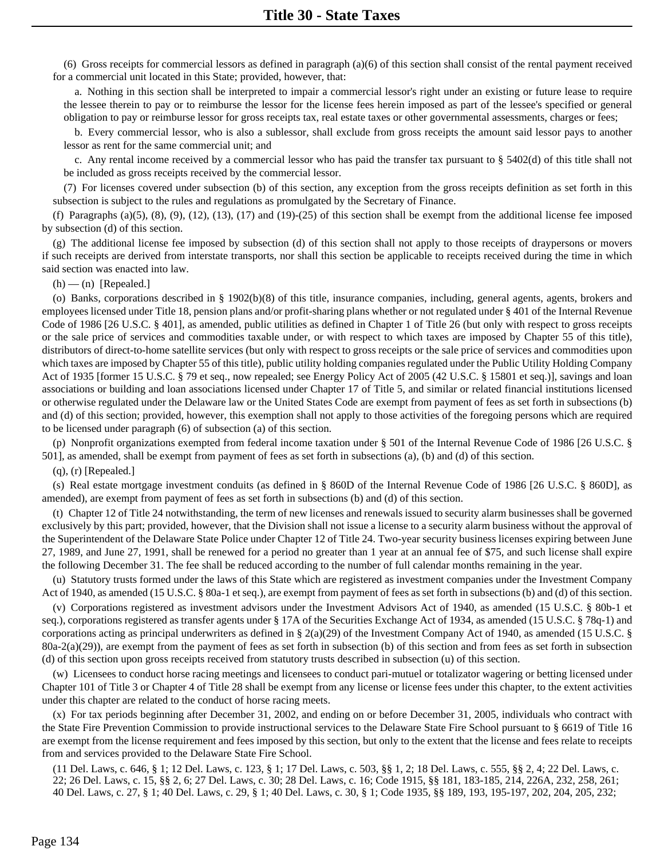(6) Gross receipts for commercial lessors as defined in paragraph (a)(6) of this section shall consist of the rental payment received for a commercial unit located in this State; provided, however, that:

a. Nothing in this section shall be interpreted to impair a commercial lessor's right under an existing or future lease to require the lessee therein to pay or to reimburse the lessor for the license fees herein imposed as part of the lessee's specified or general obligation to pay or reimburse lessor for gross receipts tax, real estate taxes or other governmental assessments, charges or fees;

b. Every commercial lessor, who is also a sublessor, shall exclude from gross receipts the amount said lessor pays to another lessor as rent for the same commercial unit; and

c. Any rental income received by a commercial lessor who has paid the transfer tax pursuant to § 5402(d) of this title shall not be included as gross receipts received by the commercial lessor.

(7) For licenses covered under subsection (b) of this section, any exception from the gross receipts definition as set forth in this subsection is subject to the rules and regulations as promulgated by the Secretary of Finance.

(f) Paragraphs (a)(5), (8), (9), (12), (13), (17) and (19)-(25) of this section shall be exempt from the additional license fee imposed by subsection (d) of this section.

(g) The additional license fee imposed by subsection (d) of this section shall not apply to those receipts of draypersons or movers if such receipts are derived from interstate transports, nor shall this section be applicable to receipts received during the time in which said section was enacted into law.

 $(h)$  — (n) [Repealed.]

(o) Banks, corporations described in § 1902(b)(8) of this title, insurance companies, including, general agents, agents, brokers and employees licensed under Title 18, pension plans and/or profit-sharing plans whether or not regulated under § 401 of the Internal Revenue Code of 1986 [26 U.S.C. § 401], as amended, public utilities as defined in Chapter 1 of Title 26 (but only with respect to gross receipts or the sale price of services and commodities taxable under, or with respect to which taxes are imposed by Chapter 55 of this title), distributors of direct-to-home satellite services (but only with respect to gross receipts or the sale price of services and commodities upon which taxes are imposed by Chapter 55 of this title), public utility holding companies regulated under the Public Utility Holding Company Act of 1935 [former 15 U.S.C. § 79 et seq., now repealed; see Energy Policy Act of 2005 (42 U.S.C. § 15801 et seq.)], savings and loan associations or building and loan associations licensed under Chapter 17 of Title 5, and similar or related financial institutions licensed or otherwise regulated under the Delaware law or the United States Code are exempt from payment of fees as set forth in subsections (b) and (d) of this section; provided, however, this exemption shall not apply to those activities of the foregoing persons which are required to be licensed under paragraph (6) of subsection (a) of this section.

(p) Nonprofit organizations exempted from federal income taxation under § 501 of the Internal Revenue Code of 1986 [26 U.S.C. § 501], as amended, shall be exempt from payment of fees as set forth in subsections (a), (b) and (d) of this section.

(q), (r) [Repealed.]

(s) Real estate mortgage investment conduits (as defined in § 860D of the Internal Revenue Code of 1986 [26 U.S.C. § 860D], as amended), are exempt from payment of fees as set forth in subsections (b) and (d) of this section.

(t) Chapter 12 of Title 24 notwithstanding, the term of new licenses and renewals issued to security alarm businesses shall be governed exclusively by this part; provided, however, that the Division shall not issue a license to a security alarm business without the approval of the Superintendent of the Delaware State Police under Chapter 12 of Title 24. Two-year security business licenses expiring between June 27, 1989, and June 27, 1991, shall be renewed for a period no greater than 1 year at an annual fee of \$75, and such license shall expire the following December 31. The fee shall be reduced according to the number of full calendar months remaining in the year.

(u) Statutory trusts formed under the laws of this State which are registered as investment companies under the Investment Company Act of 1940, as amended (15 U.S.C. § 80a-1 et seq.), are exempt from payment of fees as set forth in subsections (b) and (d) of this section.

(v) Corporations registered as investment advisors under the Investment Advisors Act of 1940, as amended (15 U.S.C. § 80b-1 et seq.), corporations registered as transfer agents under § 17A of the Securities Exchange Act of 1934, as amended (15 U.S.C. § 78q-1) and corporations acting as principal underwriters as defined in § 2(a)(29) of the Investment Company Act of 1940, as amended (15 U.S.C. §  $80a-2(a)(29)$ , are exempt from the payment of fees as set forth in subsection (b) of this section and from fees as set forth in subsection (d) of this section upon gross receipts received from statutory trusts described in subsection (u) of this section.

(w) Licensees to conduct horse racing meetings and licensees to conduct pari-mutuel or totalizator wagering or betting licensed under Chapter 101 of Title 3 or Chapter 4 of Title 28 shall be exempt from any license or license fees under this chapter, to the extent activities under this chapter are related to the conduct of horse racing meets.

(x) For tax periods beginning after December 31, 2002, and ending on or before December 31, 2005, individuals who contract with the State Fire Prevention Commission to provide instructional services to the Delaware State Fire School pursuant to § 6619 of Title 16 are exempt from the license requirement and fees imposed by this section, but only to the extent that the license and fees relate to receipts from and services provided to the Delaware State Fire School.

(11 Del. Laws, c. 646, § 1; 12 Del. Laws, c. 123, § 1; 17 Del. Laws, c. 503, §§ 1, 2; 18 Del. Laws, c. 555, §§ 2, 4; 22 Del. Laws, c. 22; 26 Del. Laws, c. 15, §§ 2, 6; 27 Del. Laws, c. 30; 28 Del. Laws, c. 16; Code 1915, §§ 181, 183-185, 214, 226A, 232, 258, 261; 40 Del. Laws, c. 27, § 1; 40 Del. Laws, c. 29, § 1; 40 Del. Laws, c. 30, § 1; Code 1935, §§ 189, 193, 195-197, 202, 204, 205, 232;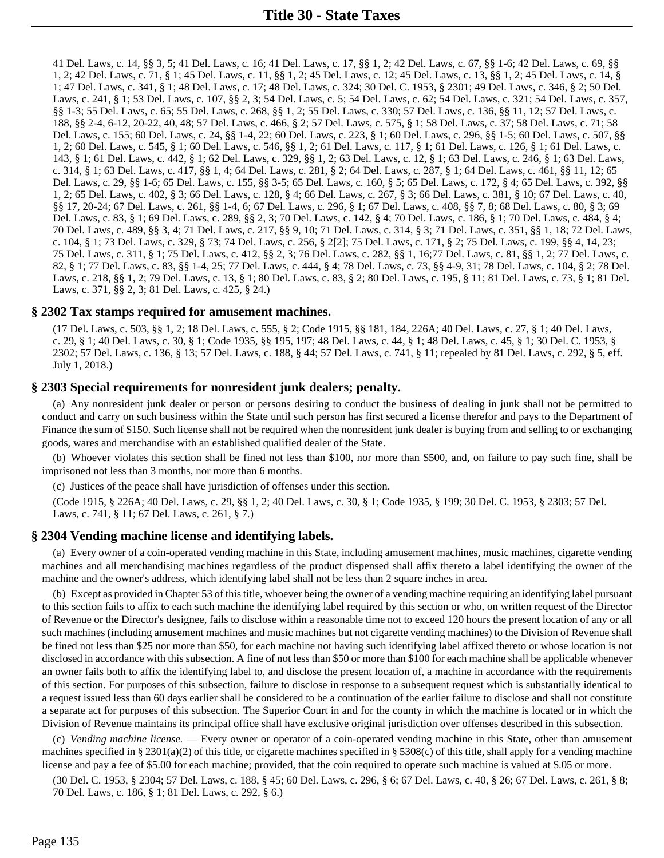41 Del. Laws, c. 14, §§ 3, 5; 41 Del. Laws, c. 16; 41 Del. Laws, c. 17, §§ 1, 2; 42 Del. Laws, c. 67, §§ 1-6; 42 Del. Laws, c. 69, §§ 1, 2; 42 Del. Laws, c. 71, § 1; 45 Del. Laws, c. 11, §§ 1, 2; 45 Del. Laws, c. 12; 45 Del. Laws, c. 13, §§ 1, 2; 45 Del. Laws, c. 14, § 1; 47 Del. Laws, c. 341, § 1; 48 Del. Laws, c. 17; 48 Del. Laws, c. 324; 30 Del. C. 1953, § 2301; 49 Del. Laws, c. 346, § 2; 50 Del. Laws, c. 241, § 1; 53 Del. Laws, c. 107, §§ 2, 3; 54 Del. Laws, c. 5; 54 Del. Laws, c. 62; 54 Del. Laws, c. 321; 54 Del. Laws, c. 357, §§ 1-3; 55 Del. Laws, c. 65; 55 Del. Laws, c. 268, §§ 1, 2; 55 Del. Laws, c. 330; 57 Del. Laws, c. 136, §§ 11, 12; 57 Del. Laws, c. 188, §§ 2-4, 6-12, 20-22, 40, 48; 57 Del. Laws, c. 466, § 2; 57 Del. Laws, c. 575, § 1; 58 Del. Laws, c. 37; 58 Del. Laws, c. 71; 58 Del. Laws, c. 155; 60 Del. Laws, c. 24, §§ 1-4, 22; 60 Del. Laws, c. 223, § 1; 60 Del. Laws, c. 296, §§ 1-5; 60 Del. Laws, c. 507, §§ 1, 2; 60 Del. Laws, c. 545, § 1; 60 Del. Laws, c. 546, §§ 1, 2; 61 Del. Laws, c. 117, § 1; 61 Del. Laws, c. 126, § 1; 61 Del. Laws, c. 143, § 1; 61 Del. Laws, c. 442, § 1; 62 Del. Laws, c. 329, §§ 1, 2; 63 Del. Laws, c. 12, § 1; 63 Del. Laws, c. 246, § 1; 63 Del. Laws, c. 314, § 1; 63 Del. Laws, c. 417, §§ 1, 4; 64 Del. Laws, c. 281, § 2; 64 Del. Laws, c. 287, § 1; 64 Del. Laws, c. 461, §§ 11, 12; 65 Del. Laws, c. 29, §§ 1-6; 65 Del. Laws, c. 155, §§ 3-5; 65 Del. Laws, c. 160, § 5; 65 Del. Laws, c. 172, § 4; 65 Del. Laws, c. 392, §§ 1, 2; 65 Del. Laws, c. 402, § 3; 66 Del. Laws, c. 128, § 4; 66 Del. Laws, c. 267, § 3; 66 Del. Laws, c. 381, § 10; 67 Del. Laws, c. 40, §§ 17, 20-24; 67 Del. Laws, c. 261, §§ 1-4, 6; 67 Del. Laws, c. 296, § 1; 67 Del. Laws, c. 408, §§ 7, 8; 68 Del. Laws, c. 80, § 3; 69 Del. Laws, c. 83, § 1; 69 Del. Laws, c. 289, §§ 2, 3; 70 Del. Laws, c. 142, § 4; 70 Del. Laws, c. 186, § 1; 70 Del. Laws, c. 484, § 4; 70 Del. Laws, c. 489, §§ 3, 4; 71 Del. Laws, c. 217, §§ 9, 10; 71 Del. Laws, c. 314, § 3; 71 Del. Laws, c. 351, §§ 1, 18; 72 Del. Laws, c. 104, § 1; 73 Del. Laws, c. 329, § 73; 74 Del. Laws, c. 256, § 2[2]; 75 Del. Laws, c. 171, § 2; 75 Del. Laws, c. 199, §§ 4, 14, 23; 75 Del. Laws, c. 311, § 1; 75 Del. Laws, c. 412, §§ 2, 3; 76 Del. Laws, c. 282, §§ 1, 16;77 Del. Laws, c. 81, §§ 1, 2; 77 Del. Laws, c. 82, § 1; 77 Del. Laws, c. 83, §§ 1-4, 25; 77 Del. Laws, c. 444, § 4; 78 Del. Laws, c. 73, §§ 4-9, 31; 78 Del. Laws, c. 104, § 2; 78 Del. Laws, c. 218, §§ 1, 2; 79 Del. Laws, c. 13, § 1; 80 Del. Laws, c. 83, § 2; 80 Del. Laws, c. 195, § 11; 81 Del. Laws, c. 73, § 1; 81 Del. Laws, c. 371, §§ 2, 3; 81 Del. Laws, c. 425, § 24.)

#### **§ 2302 Tax stamps required for amusement machines.**

(17 Del. Laws, c. 503, §§ 1, 2; 18 Del. Laws, c. 555, § 2; Code 1915, §§ 181, 184, 226A; 40 Del. Laws, c. 27, § 1; 40 Del. Laws, c. 29, § 1; 40 Del. Laws, c. 30, § 1; Code 1935, §§ 195, 197; 48 Del. Laws, c. 44, § 1; 48 Del. Laws, c. 45, § 1; 30 Del. C. 1953, § 2302; 57 Del. Laws, c. 136, § 13; 57 Del. Laws, c. 188, § 44; 57 Del. Laws, c. 741, § 11; repealed by 81 Del. Laws, c. 292, § 5, eff. July 1, 2018.)

### **§ 2303 Special requirements for nonresident junk dealers; penalty.**

(a) Any nonresident junk dealer or person or persons desiring to conduct the business of dealing in junk shall not be permitted to conduct and carry on such business within the State until such person has first secured a license therefor and pays to the Department of Finance the sum of \$150. Such license shall not be required when the nonresident junk dealer is buying from and selling to or exchanging goods, wares and merchandise with an established qualified dealer of the State.

(b) Whoever violates this section shall be fined not less than \$100, nor more than \$500, and, on failure to pay such fine, shall be imprisoned not less than 3 months, nor more than 6 months.

(c) Justices of the peace shall have jurisdiction of offenses under this section.

(Code 1915, § 226A; 40 Del. Laws, c. 29, §§ 1, 2; 40 Del. Laws, c. 30, § 1; Code 1935, § 199; 30 Del. C. 1953, § 2303; 57 Del. Laws, c. 741, § 11; 67 Del. Laws, c. 261, § 7.)

## **§ 2304 Vending machine license and identifying labels.**

(a) Every owner of a coin-operated vending machine in this State, including amusement machines, music machines, cigarette vending machines and all merchandising machines regardless of the product dispensed shall affix thereto a label identifying the owner of the machine and the owner's address, which identifying label shall not be less than 2 square inches in area.

(b) Except as provided in Chapter 53 of this title, whoever being the owner of a vending machine requiring an identifying label pursuant to this section fails to affix to each such machine the identifying label required by this section or who, on written request of the Director of Revenue or the Director's designee, fails to disclose within a reasonable time not to exceed 120 hours the present location of any or all such machines (including amusement machines and music machines but not cigarette vending machines) to the Division of Revenue shall be fined not less than \$25 nor more than \$50, for each machine not having such identifying label affixed thereto or whose location is not disclosed in accordance with this subsection. A fine of not less than \$50 or more than \$100 for each machine shall be applicable whenever an owner fails both to affix the identifying label to, and disclose the present location of, a machine in accordance with the requirements of this section. For purposes of this subsection, failure to disclose in response to a subsequent request which is substantially identical to a request issued less than 60 days earlier shall be considered to be a continuation of the earlier failure to disclose and shall not constitute a separate act for purposes of this subsection. The Superior Court in and for the county in which the machine is located or in which the Division of Revenue maintains its principal office shall have exclusive original jurisdiction over offenses described in this subsection.

(c) *Vending machine license.* — Every owner or operator of a coin-operated vending machine in this State, other than amusement machines specified in § 2301(a)(2) of this title, or cigarette machines specified in § 5308(c) of this title, shall apply for a vending machine license and pay a fee of \$5.00 for each machine; provided, that the coin required to operate such machine is valued at \$.05 or more.

(30 Del. C. 1953, § 2304; 57 Del. Laws, c. 188, § 45; 60 Del. Laws, c. 296, § 6; 67 Del. Laws, c. 40, § 26; 67 Del. Laws, c. 261, § 8; 70 Del. Laws, c. 186, § 1; 81 Del. Laws, c. 292, § 6.)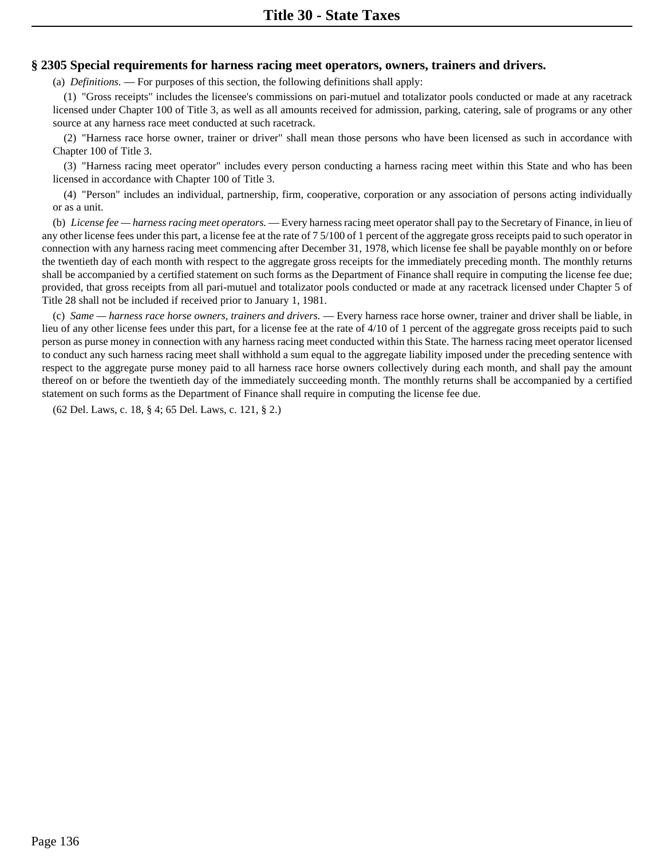## **§ 2305 Special requirements for harness racing meet operators, owners, trainers and drivers.**

(a) *Definitions.* — For purposes of this section, the following definitions shall apply:

(1) "Gross receipts" includes the licensee's commissions on pari-mutuel and totalizator pools conducted or made at any racetrack licensed under Chapter 100 of Title 3, as well as all amounts received for admission, parking, catering, sale of programs or any other source at any harness race meet conducted at such racetrack.

(2) "Harness race horse owner, trainer or driver" shall mean those persons who have been licensed as such in accordance with Chapter 100 of Title 3.

(3) "Harness racing meet operator" includes every person conducting a harness racing meet within this State and who has been licensed in accordance with Chapter 100 of Title 3.

(4) "Person" includes an individual, partnership, firm, cooperative, corporation or any association of persons acting individually or as a unit.

(b) *License fee — harness racing meet operators.* — Every harness racing meet operator shall pay to the Secretary of Finance, in lieu of any other license fees under this part, a license fee at the rate of 7 5/100 of 1 percent of the aggregate gross receipts paid to such operator in connection with any harness racing meet commencing after December 31, 1978, which license fee shall be payable monthly on or before the twentieth day of each month with respect to the aggregate gross receipts for the immediately preceding month. The monthly returns shall be accompanied by a certified statement on such forms as the Department of Finance shall require in computing the license fee due; provided, that gross receipts from all pari-mutuel and totalizator pools conducted or made at any racetrack licensed under Chapter 5 of Title 28 shall not be included if received prior to January 1, 1981.

(c) *Same — harness race horse owners, trainers and drivers.* — Every harness race horse owner, trainer and driver shall be liable, in lieu of any other license fees under this part, for a license fee at the rate of 4/10 of 1 percent of the aggregate gross receipts paid to such person as purse money in connection with any harness racing meet conducted within this State. The harness racing meet operator licensed to conduct any such harness racing meet shall withhold a sum equal to the aggregate liability imposed under the preceding sentence with respect to the aggregate purse money paid to all harness race horse owners collectively during each month, and shall pay the amount thereof on or before the twentieth day of the immediately succeeding month. The monthly returns shall be accompanied by a certified statement on such forms as the Department of Finance shall require in computing the license fee due.

(62 Del. Laws, c. 18, § 4; 65 Del. Laws, c. 121, § 2.)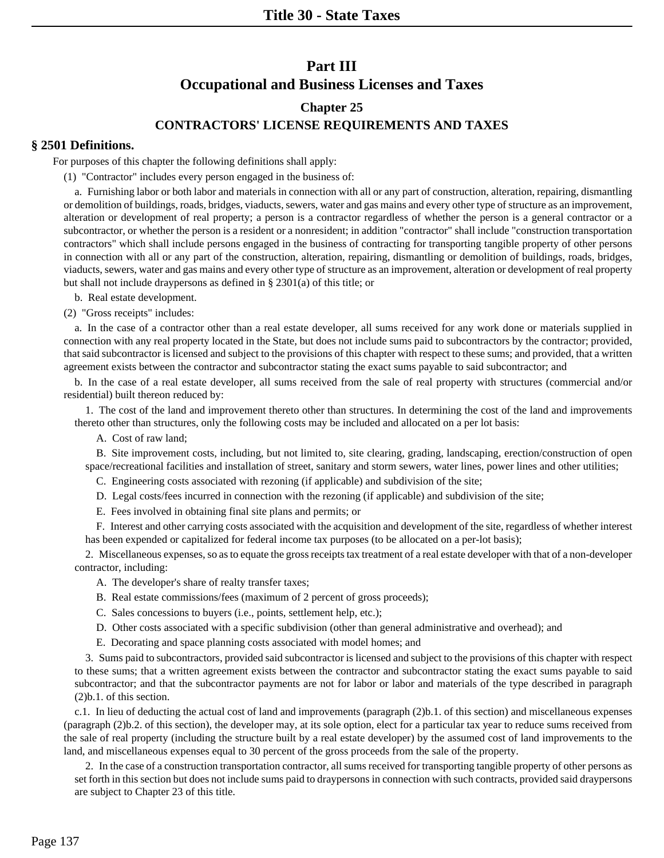# **Part III Occupational and Business Licenses and Taxes**

# **Chapter 25 CONTRACTORS' LICENSE REQUIREMENTS AND TAXES**

## **§ 2501 Definitions.**

For purposes of this chapter the following definitions shall apply:

(1) "Contractor" includes every person engaged in the business of:

a. Furnishing labor or both labor and materials in connection with all or any part of construction, alteration, repairing, dismantling or demolition of buildings, roads, bridges, viaducts, sewers, water and gas mains and every other type of structure as an improvement, alteration or development of real property; a person is a contractor regardless of whether the person is a general contractor or a subcontractor, or whether the person is a resident or a nonresident; in addition "contractor" shall include "construction transportation contractors" which shall include persons engaged in the business of contracting for transporting tangible property of other persons in connection with all or any part of the construction, alteration, repairing, dismantling or demolition of buildings, roads, bridges, viaducts, sewers, water and gas mains and every other type of structure as an improvement, alteration or development of real property but shall not include draypersons as defined in § 2301(a) of this title; or

b. Real estate development.

(2) "Gross receipts" includes:

a. In the case of a contractor other than a real estate developer, all sums received for any work done or materials supplied in connection with any real property located in the State, but does not include sums paid to subcontractors by the contractor; provided, that said subcontractor is licensed and subject to the provisions of this chapter with respect to these sums; and provided, that a written agreement exists between the contractor and subcontractor stating the exact sums payable to said subcontractor; and

b. In the case of a real estate developer, all sums received from the sale of real property with structures (commercial and/or residential) built thereon reduced by:

1. The cost of the land and improvement thereto other than structures. In determining the cost of the land and improvements thereto other than structures, only the following costs may be included and allocated on a per lot basis:

A. Cost of raw land;

B. Site improvement costs, including, but not limited to, site clearing, grading, landscaping, erection/construction of open space/recreational facilities and installation of street, sanitary and storm sewers, water lines, power lines and other utilities;

C. Engineering costs associated with rezoning (if applicable) and subdivision of the site;

D. Legal costs/fees incurred in connection with the rezoning (if applicable) and subdivision of the site;

E. Fees involved in obtaining final site plans and permits; or

F. Interest and other carrying costs associated with the acquisition and development of the site, regardless of whether interest has been expended or capitalized for federal income tax purposes (to be allocated on a per-lot basis);

2. Miscellaneous expenses, so as to equate the gross receipts tax treatment of a real estate developer with that of a non-developer contractor, including:

A. The developer's share of realty transfer taxes;

B. Real estate commissions/fees (maximum of 2 percent of gross proceeds);

C. Sales concessions to buyers (i.e., points, settlement help, etc.);

D. Other costs associated with a specific subdivision (other than general administrative and overhead); and

E. Decorating and space planning costs associated with model homes; and

3. Sums paid to subcontractors, provided said subcontractor is licensed and subject to the provisions of this chapter with respect to these sums; that a written agreement exists between the contractor and subcontractor stating the exact sums payable to said subcontractor; and that the subcontractor payments are not for labor or labor and materials of the type described in paragraph (2)b.1. of this section.

c.1. In lieu of deducting the actual cost of land and improvements (paragraph (2)b.1. of this section) and miscellaneous expenses (paragraph (2)b.2. of this section), the developer may, at its sole option, elect for a particular tax year to reduce sums received from the sale of real property (including the structure built by a real estate developer) by the assumed cost of land improvements to the land, and miscellaneous expenses equal to 30 percent of the gross proceeds from the sale of the property.

2. In the case of a construction transportation contractor, all sums received for transporting tangible property of other persons as set forth in this section but does not include sums paid to draypersons in connection with such contracts, provided said draypersons are subject to Chapter 23 of this title.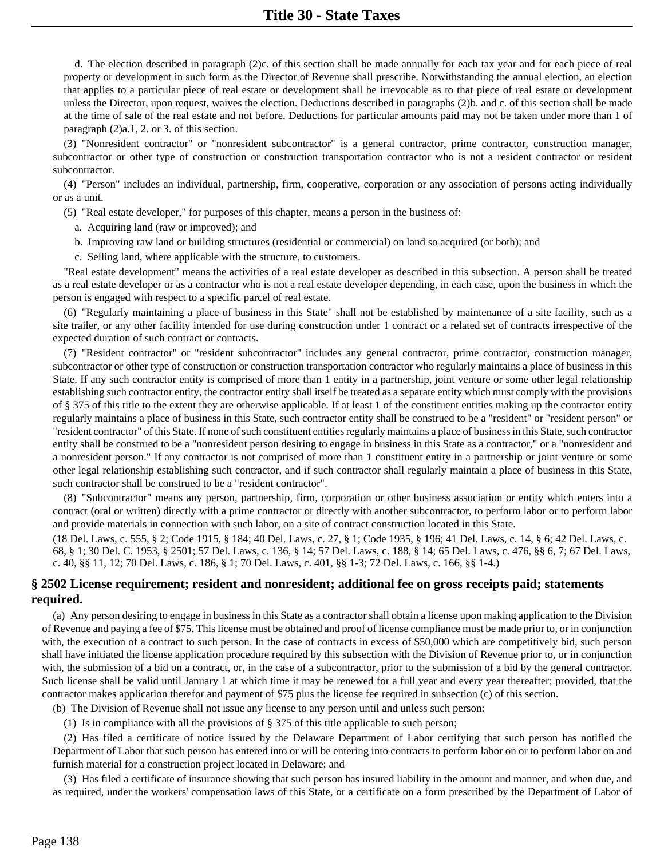d. The election described in paragraph (2)c. of this section shall be made annually for each tax year and for each piece of real property or development in such form as the Director of Revenue shall prescribe. Notwithstanding the annual election, an election that applies to a particular piece of real estate or development shall be irrevocable as to that piece of real estate or development unless the Director, upon request, waives the election. Deductions described in paragraphs (2)b. and c. of this section shall be made at the time of sale of the real estate and not before. Deductions for particular amounts paid may not be taken under more than 1 of paragraph (2)a.1, 2. or 3. of this section.

(3) "Nonresident contractor" or "nonresident subcontractor" is a general contractor, prime contractor, construction manager, subcontractor or other type of construction or construction transportation contractor who is not a resident contractor or resident subcontractor.

(4) "Person" includes an individual, partnership, firm, cooperative, corporation or any association of persons acting individually or as a unit.

- (5) "Real estate developer," for purposes of this chapter, means a person in the business of:
	- a. Acquiring land (raw or improved); and
	- b. Improving raw land or building structures (residential or commercial) on land so acquired (or both); and
	- c. Selling land, where applicable with the structure, to customers.

"Real estate development" means the activities of a real estate developer as described in this subsection. A person shall be treated as a real estate developer or as a contractor who is not a real estate developer depending, in each case, upon the business in which the person is engaged with respect to a specific parcel of real estate.

(6) "Regularly maintaining a place of business in this State" shall not be established by maintenance of a site facility, such as a site trailer, or any other facility intended for use during construction under 1 contract or a related set of contracts irrespective of the expected duration of such contract or contracts.

(7) "Resident contractor" or "resident subcontractor" includes any general contractor, prime contractor, construction manager, subcontractor or other type of construction or construction transportation contractor who regularly maintains a place of business in this State. If any such contractor entity is comprised of more than 1 entity in a partnership, joint venture or some other legal relationship establishing such contractor entity, the contractor entity shall itself be treated as a separate entity which must comply with the provisions of § 375 of this title to the extent they are otherwise applicable. If at least 1 of the constituent entities making up the contractor entity regularly maintains a place of business in this State, such contractor entity shall be construed to be a "resident" or "resident person" or "resident contractor" of this State. If none of such constituent entities regularly maintains a place of business in this State, such contractor entity shall be construed to be a "nonresident person desiring to engage in business in this State as a contractor," or a "nonresident and a nonresident person." If any contractor is not comprised of more than 1 constituent entity in a partnership or joint venture or some other legal relationship establishing such contractor, and if such contractor shall regularly maintain a place of business in this State, such contractor shall be construed to be a "resident contractor".

(8) "Subcontractor" means any person, partnership, firm, corporation or other business association or entity which enters into a contract (oral or written) directly with a prime contractor or directly with another subcontractor, to perform labor or to perform labor and provide materials in connection with such labor, on a site of contract construction located in this State.

(18 Del. Laws, c. 555, § 2; Code 1915, § 184; 40 Del. Laws, c. 27, § 1; Code 1935, § 196; 41 Del. Laws, c. 14, § 6; 42 Del. Laws, c. 68, § 1; 30 Del. C. 1953, § 2501; 57 Del. Laws, c. 136, § 14; 57 Del. Laws, c. 188, § 14; 65 Del. Laws, c. 476, §§ 6, 7; 67 Del. Laws, c. 40, §§ 11, 12; 70 Del. Laws, c. 186, § 1; 70 Del. Laws, c. 401, §§ 1-3; 72 Del. Laws, c. 166, §§ 1-4.)

## **§ 2502 License requirement; resident and nonresident; additional fee on gross receipts paid; statements required.**

(a) Any person desiring to engage in business in this State as a contractor shall obtain a license upon making application to the Division of Revenue and paying a fee of \$75. This license must be obtained and proof of license compliance must be made prior to, or in conjunction with, the execution of a contract to such person. In the case of contracts in excess of \$50,000 which are competitively bid, such person shall have initiated the license application procedure required by this subsection with the Division of Revenue prior to, or in conjunction with, the submission of a bid on a contract, or, in the case of a subcontractor, prior to the submission of a bid by the general contractor. Such license shall be valid until January 1 at which time it may be renewed for a full year and every year thereafter; provided, that the contractor makes application therefor and payment of \$75 plus the license fee required in subsection (c) of this section.

(b) The Division of Revenue shall not issue any license to any person until and unless such person:

(1) Is in compliance with all the provisions of § 375 of this title applicable to such person;

(2) Has filed a certificate of notice issued by the Delaware Department of Labor certifying that such person has notified the Department of Labor that such person has entered into or will be entering into contracts to perform labor on or to perform labor on and furnish material for a construction project located in Delaware; and

(3) Has filed a certificate of insurance showing that such person has insured liability in the amount and manner, and when due, and as required, under the workers' compensation laws of this State, or a certificate on a form prescribed by the Department of Labor of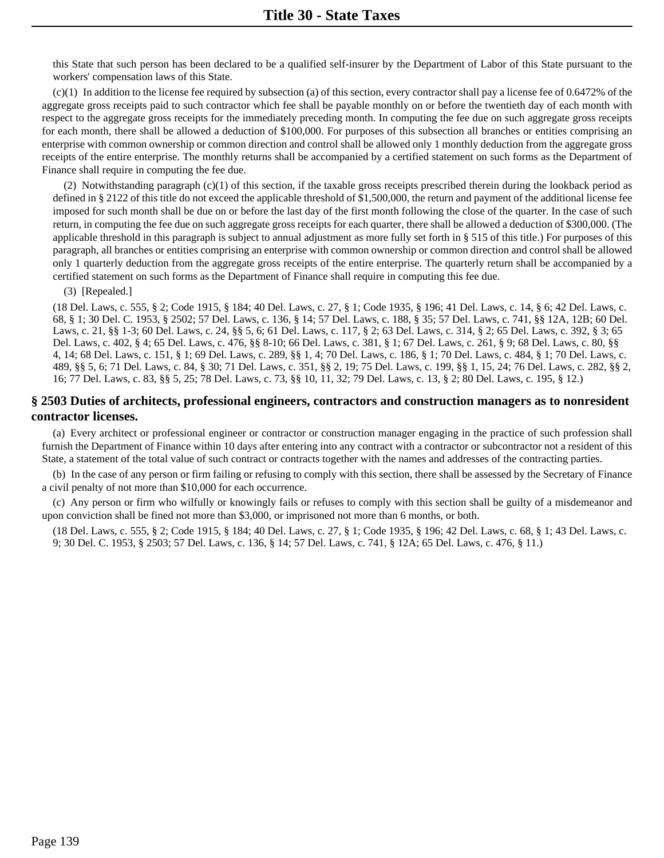this State that such person has been declared to be a qualified self-insurer by the Department of Labor of this State pursuant to the workers' compensation laws of this State.

(c)(1) In addition to the license fee required by subsection (a) of this section, every contractor shall pay a license fee of 0.6472% of the aggregate gross receipts paid to such contractor which fee shall be payable monthly on or before the twentieth day of each month with respect to the aggregate gross receipts for the immediately preceding month. In computing the fee due on such aggregate gross receipts for each month, there shall be allowed a deduction of \$100,000. For purposes of this subsection all branches or entities comprising an enterprise with common ownership or common direction and control shall be allowed only 1 monthly deduction from the aggregate gross receipts of the entire enterprise. The monthly returns shall be accompanied by a certified statement on such forms as the Department of Finance shall require in computing the fee due.

(2) Notwithstanding paragraph  $(c)(1)$  of this section, if the taxable gross receipts prescribed therein during the lookback period as defined in § 2122 of this title do not exceed the applicable threshold of \$1,500,000, the return and payment of the additional license fee imposed for such month shall be due on or before the last day of the first month following the close of the quarter. In the case of such return, in computing the fee due on such aggregate gross receipts for each quarter, there shall be allowed a deduction of \$300,000. (The applicable threshold in this paragraph is subject to annual adjustment as more fully set forth in § 515 of this title.) For purposes of this paragraph, all branches or entities comprising an enterprise with common ownership or common direction and control shall be allowed only 1 quarterly deduction from the aggregate gross receipts of the entire enterprise. The quarterly return shall be accompanied by a certified statement on such forms as the Department of Finance shall require in computing this fee due.

(3) [Repealed.]

(18 Del. Laws, c. 555, § 2; Code 1915, § 184; 40 Del. Laws, c. 27, § 1; Code 1935, § 196; 41 Del. Laws, c. 14, § 6; 42 Del. Laws, c. 68, § 1; 30 Del. C. 1953, § 2502; 57 Del. Laws, c. 136, § 14; 57 Del. Laws, c. 188, § 35; 57 Del. Laws, c. 741, §§ 12A, 12B; 60 Del. Laws, c. 21, §§ 1-3; 60 Del. Laws, c. 24, §§ 5, 6; 61 Del. Laws, c. 117, § 2; 63 Del. Laws, c. 314, § 2; 65 Del. Laws, c. 392, § 3; 65 Del. Laws, c. 402, § 4; 65 Del. Laws, c. 476, §§ 8-10; 66 Del. Laws, c. 381, § 1; 67 Del. Laws, c. 261, § 9; 68 Del. Laws, c. 80, §§ 4, 14; 68 Del. Laws, c. 151, § 1; 69 Del. Laws, c. 289, §§ 1, 4; 70 Del. Laws, c. 186, § 1; 70 Del. Laws, c. 484, § 1; 70 Del. Laws, c. 489, §§ 5, 6; 71 Del. Laws, c. 84, § 30; 71 Del. Laws, c. 351, §§ 2, 19; 75 Del. Laws, c. 199, §§ 1, 15, 24; 76 Del. Laws, c. 282, §§ 2, 16; 77 Del. Laws, c. 83, §§ 5, 25; 78 Del. Laws, c. 73, §§ 10, 11, 32; 79 Del. Laws, c. 13, § 2; 80 Del. Laws, c. 195, § 12.)

## **§ 2503 Duties of architects, professional engineers, contractors and construction managers as to nonresident contractor licenses.**

(a) Every architect or professional engineer or contractor or construction manager engaging in the practice of such profession shall furnish the Department of Finance within 10 days after entering into any contract with a contractor or subcontractor not a resident of this State, a statement of the total value of such contract or contracts together with the names and addresses of the contracting parties.

(b) In the case of any person or firm failing or refusing to comply with this section, there shall be assessed by the Secretary of Finance a civil penalty of not more than \$10,000 for each occurrence.

(c) Any person or firm who wilfully or knowingly fails or refuses to comply with this section shall be guilty of a misdemeanor and upon conviction shall be fined not more than \$3,000, or imprisoned not more than 6 months, or both.

(18 Del. Laws, c. 555, § 2; Code 1915, § 184; 40 Del. Laws, c. 27, § 1; Code 1935, § 196; 42 Del. Laws, c. 68, § 1; 43 Del. Laws, c. 9; 30 Del. C. 1953, § 2503; 57 Del. Laws, c. 136, § 14; 57 Del. Laws, c. 741, § 12A; 65 Del. Laws, c. 476, § 11.)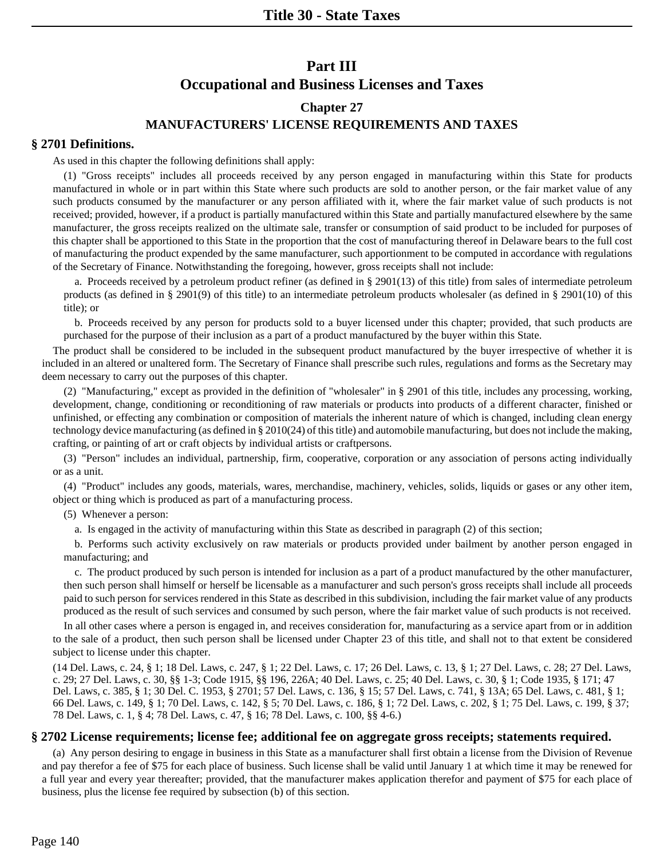# **Part III Occupational and Business Licenses and Taxes Chapter 27**

# **MANUFACTURERS' LICENSE REQUIREMENTS AND TAXES**

## **§ 2701 Definitions.**

As used in this chapter the following definitions shall apply:

(1) "Gross receipts" includes all proceeds received by any person engaged in manufacturing within this State for products manufactured in whole or in part within this State where such products are sold to another person, or the fair market value of any such products consumed by the manufacturer or any person affiliated with it, where the fair market value of such products is not received; provided, however, if a product is partially manufactured within this State and partially manufactured elsewhere by the same manufacturer, the gross receipts realized on the ultimate sale, transfer or consumption of said product to be included for purposes of this chapter shall be apportioned to this State in the proportion that the cost of manufacturing thereof in Delaware bears to the full cost of manufacturing the product expended by the same manufacturer, such apportionment to be computed in accordance with regulations of the Secretary of Finance. Notwithstanding the foregoing, however, gross receipts shall not include:

a. Proceeds received by a petroleum product refiner (as defined in § 2901(13) of this title) from sales of intermediate petroleum products (as defined in § 2901(9) of this title) to an intermediate petroleum products wholesaler (as defined in § 2901(10) of this title); or

b. Proceeds received by any person for products sold to a buyer licensed under this chapter; provided, that such products are purchased for the purpose of their inclusion as a part of a product manufactured by the buyer within this State.

The product shall be considered to be included in the subsequent product manufactured by the buyer irrespective of whether it is included in an altered or unaltered form. The Secretary of Finance shall prescribe such rules, regulations and forms as the Secretary may deem necessary to carry out the purposes of this chapter.

(2) "Manufacturing," except as provided in the definition of "wholesaler" in § 2901 of this title, includes any processing, working, development, change, conditioning or reconditioning of raw materials or products into products of a different character, finished or unfinished, or effecting any combination or composition of materials the inherent nature of which is changed, including clean energy technology device manufacturing (as defined in § 2010(24) of this title) and automobile manufacturing, but does not include the making, crafting, or painting of art or craft objects by individual artists or craftpersons.

(3) "Person" includes an individual, partnership, firm, cooperative, corporation or any association of persons acting individually or as a unit.

(4) "Product" includes any goods, materials, wares, merchandise, machinery, vehicles, solids, liquids or gases or any other item, object or thing which is produced as part of a manufacturing process.

(5) Whenever a person:

a. Is engaged in the activity of manufacturing within this State as described in paragraph (2) of this section;

b. Performs such activity exclusively on raw materials or products provided under bailment by another person engaged in manufacturing; and

c. The product produced by such person is intended for inclusion as a part of a product manufactured by the other manufacturer, then such person shall himself or herself be licensable as a manufacturer and such person's gross receipts shall include all proceeds paid to such person for services rendered in this State as described in this subdivision, including the fair market value of any products produced as the result of such services and consumed by such person, where the fair market value of such products is not received.

In all other cases where a person is engaged in, and receives consideration for, manufacturing as a service apart from or in addition to the sale of a product, then such person shall be licensed under Chapter 23 of this title, and shall not to that extent be considered subject to license under this chapter.

(14 Del. Laws, c. 24, § 1; 18 Del. Laws, c. 247, § 1; 22 Del. Laws, c. 17; 26 Del. Laws, c. 13, § 1; 27 Del. Laws, c. 28; 27 Del. Laws, c. 29; 27 Del. Laws, c. 30, §§ 1-3; Code 1915, §§ 196, 226A; 40 Del. Laws, c. 25; 40 Del. Laws, c. 30, § 1; Code 1935, § 171; 47 Del. Laws, c. 385, § 1; 30 Del. C. 1953, § 2701; 57 Del. Laws, c. 136, § 15; 57 Del. Laws, c. 741, § 13A; 65 Del. Laws, c. 481, § 1; 66 Del. Laws, c. 149, § 1; 70 Del. Laws, c. 142, § 5; 70 Del. Laws, c. 186, § 1; 72 Del. Laws, c. 202, § 1; 75 Del. Laws, c. 199, § 37; 78 Del. Laws, c. 1, § 4; 78 Del. Laws, c. 47, § 16; 78 Del. Laws, c. 100, §§ 4-6.)

#### **§ 2702 License requirements; license fee; additional fee on aggregate gross receipts; statements required.**

(a) Any person desiring to engage in business in this State as a manufacturer shall first obtain a license from the Division of Revenue and pay therefor a fee of \$75 for each place of business. Such license shall be valid until January 1 at which time it may be renewed for a full year and every year thereafter; provided, that the manufacturer makes application therefor and payment of \$75 for each place of business, plus the license fee required by subsection (b) of this section.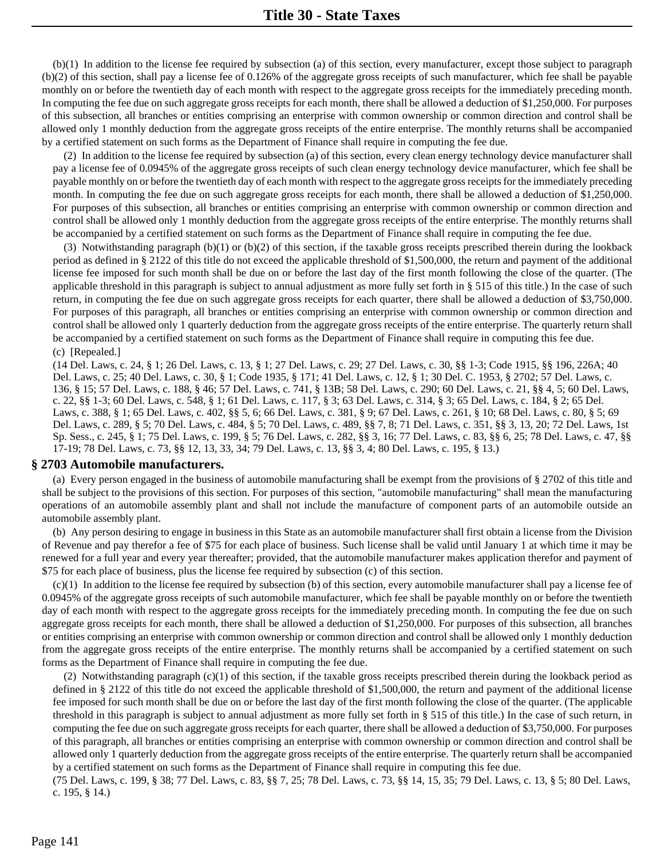(b)(1) In addition to the license fee required by subsection (a) of this section, every manufacturer, except those subject to paragraph (b)(2) of this section, shall pay a license fee of 0.126% of the aggregate gross receipts of such manufacturer, which fee shall be payable monthly on or before the twentieth day of each month with respect to the aggregate gross receipts for the immediately preceding month. In computing the fee due on such aggregate gross receipts for each month, there shall be allowed a deduction of \$1,250,000. For purposes of this subsection, all branches or entities comprising an enterprise with common ownership or common direction and control shall be allowed only 1 monthly deduction from the aggregate gross receipts of the entire enterprise. The monthly returns shall be accompanied by a certified statement on such forms as the Department of Finance shall require in computing the fee due.

(2) In addition to the license fee required by subsection (a) of this section, every clean energy technology device manufacturer shall pay a license fee of 0.0945% of the aggregate gross receipts of such clean energy technology device manufacturer, which fee shall be payable monthly on or before the twentieth day of each month with respect to the aggregate gross receipts for the immediately preceding month. In computing the fee due on such aggregate gross receipts for each month, there shall be allowed a deduction of \$1,250,000. For purposes of this subsection, all branches or entities comprising an enterprise with common ownership or common direction and control shall be allowed only 1 monthly deduction from the aggregate gross receipts of the entire enterprise. The monthly returns shall be accompanied by a certified statement on such forms as the Department of Finance shall require in computing the fee due.

(3) Notwithstanding paragraph (b)(1) or (b)(2) of this section, if the taxable gross receipts prescribed therein during the lookback period as defined in § 2122 of this title do not exceed the applicable threshold of \$1,500,000, the return and payment of the additional license fee imposed for such month shall be due on or before the last day of the first month following the close of the quarter. (The applicable threshold in this paragraph is subject to annual adjustment as more fully set forth in § 515 of this title.) In the case of such return, in computing the fee due on such aggregate gross receipts for each quarter, there shall be allowed a deduction of \$3,750,000. For purposes of this paragraph, all branches or entities comprising an enterprise with common ownership or common direction and control shall be allowed only 1 quarterly deduction from the aggregate gross receipts of the entire enterprise. The quarterly return shall be accompanied by a certified statement on such forms as the Department of Finance shall require in computing this fee due. (c) [Repealed.]

(14 Del. Laws, c. 24, § 1; 26 Del. Laws, c. 13, § 1; 27 Del. Laws, c. 29; 27 Del. Laws, c. 30, §§ 1-3; Code 1915, §§ 196, 226A; 40 Del. Laws, c. 25; 40 Del. Laws, c. 30, § 1; Code 1935, § 171; 41 Del. Laws, c. 12, § 1; 30 Del. C. 1953, § 2702; 57 Del. Laws, c. 136, § 15; 57 Del. Laws, c. 188, § 46; 57 Del. Laws, c. 741, § 13B; 58 Del. Laws, c. 290; 60 Del. Laws, c. 21, §§ 4, 5; 60 Del. Laws, c. 22, §§ 1-3; 60 Del. Laws, c. 548, § 1; 61 Del. Laws, c. 117, § 3; 63 Del. Laws, c. 314, § 3; 65 Del. Laws, c. 184, § 2; 65 Del. Laws, c. 388, § 1; 65 Del. Laws, c. 402, §§ 5, 6; 66 Del. Laws, c. 381, § 9; 67 Del. Laws, c. 261, § 10; 68 Del. Laws, c. 80, § 5; 69 Del. Laws, c. 289, § 5; 70 Del. Laws, c. 484, § 5; 70 Del. Laws, c. 489, §§ 7, 8; 71 Del. Laws, c. 351, §§ 3, 13, 20; 72 Del. Laws, 1st Sp. Sess., c. 245, § 1; 75 Del. Laws, c. 199, § 5; 76 Del. Laws, c. 282, §§ 3, 16; 77 Del. Laws, c. 83, §§ 6, 25; 78 Del. Laws, c. 47, §§ 17-19; 78 Del. Laws, c. 73, §§ 12, 13, 33, 34; 79 Del. Laws, c. 13, §§ 3, 4; 80 Del. Laws, c. 195, § 13.)

#### **§ 2703 Automobile manufacturers.**

(a) Every person engaged in the business of automobile manufacturing shall be exempt from the provisions of § 2702 of this title and shall be subject to the provisions of this section. For purposes of this section, "automobile manufacturing" shall mean the manufacturing operations of an automobile assembly plant and shall not include the manufacture of component parts of an automobile outside an automobile assembly plant.

(b) Any person desiring to engage in business in this State as an automobile manufacturer shall first obtain a license from the Division of Revenue and pay therefor a fee of \$75 for each place of business. Such license shall be valid until January 1 at which time it may be renewed for a full year and every year thereafter; provided, that the automobile manufacturer makes application therefor and payment of \$75 for each place of business, plus the license fee required by subsection (c) of this section.

(c)(1) In addition to the license fee required by subsection (b) of this section, every automobile manufacturer shall pay a license fee of 0.0945% of the aggregate gross receipts of such automobile manufacturer, which fee shall be payable monthly on or before the twentieth day of each month with respect to the aggregate gross receipts for the immediately preceding month. In computing the fee due on such aggregate gross receipts for each month, there shall be allowed a deduction of \$1,250,000. For purposes of this subsection, all branches or entities comprising an enterprise with common ownership or common direction and control shall be allowed only 1 monthly deduction from the aggregate gross receipts of the entire enterprise. The monthly returns shall be accompanied by a certified statement on such forms as the Department of Finance shall require in computing the fee due.

(2) Notwithstanding paragraph (c)(1) of this section, if the taxable gross receipts prescribed therein during the lookback period as defined in § 2122 of this title do not exceed the applicable threshold of \$1,500,000, the return and payment of the additional license fee imposed for such month shall be due on or before the last day of the first month following the close of the quarter. (The applicable threshold in this paragraph is subject to annual adjustment as more fully set forth in § 515 of this title.) In the case of such return, in computing the fee due on such aggregate gross receipts for each quarter, there shall be allowed a deduction of \$3,750,000. For purposes of this paragraph, all branches or entities comprising an enterprise with common ownership or common direction and control shall be allowed only 1 quarterly deduction from the aggregate gross receipts of the entire enterprise. The quarterly return shall be accompanied by a certified statement on such forms as the Department of Finance shall require in computing this fee due.

(75 Del. Laws, c. 199, § 38; 77 Del. Laws, c. 83, §§ 7, 25; 78 Del. Laws, c. 73, §§ 14, 15, 35; 79 Del. Laws, c. 13, § 5; 80 Del. Laws, c. 195, § 14.)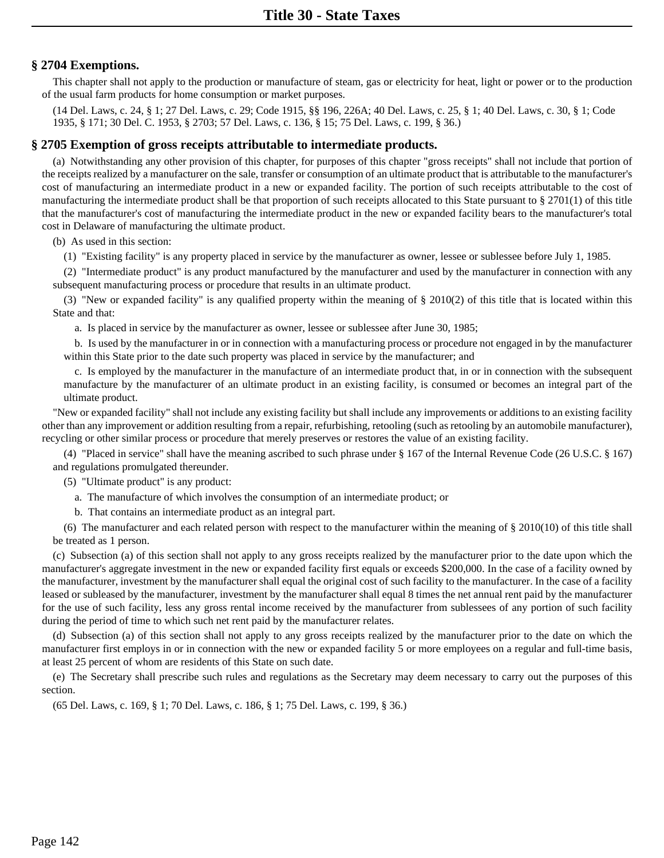## **§ 2704 Exemptions.**

This chapter shall not apply to the production or manufacture of steam, gas or electricity for heat, light or power or to the production of the usual farm products for home consumption or market purposes.

(14 Del. Laws, c. 24, § 1; 27 Del. Laws, c. 29; Code 1915, §§ 196, 226A; 40 Del. Laws, c. 25, § 1; 40 Del. Laws, c. 30, § 1; Code 1935, § 171; 30 Del. C. 1953, § 2703; 57 Del. Laws, c. 136, § 15; 75 Del. Laws, c. 199, § 36.)

#### **§ 2705 Exemption of gross receipts attributable to intermediate products.**

(a) Notwithstanding any other provision of this chapter, for purposes of this chapter "gross receipts" shall not include that portion of the receipts realized by a manufacturer on the sale, transfer or consumption of an ultimate product that is attributable to the manufacturer's cost of manufacturing an intermediate product in a new or expanded facility. The portion of such receipts attributable to the cost of manufacturing the intermediate product shall be that proportion of such receipts allocated to this State pursuant to § 2701(1) of this title that the manufacturer's cost of manufacturing the intermediate product in the new or expanded facility bears to the manufacturer's total cost in Delaware of manufacturing the ultimate product.

(b) As used in this section:

(1) "Existing facility" is any property placed in service by the manufacturer as owner, lessee or sublessee before July 1, 1985.

(2) "Intermediate product" is any product manufactured by the manufacturer and used by the manufacturer in connection with any subsequent manufacturing process or procedure that results in an ultimate product.

(3) "New or expanded facility" is any qualified property within the meaning of § 2010(2) of this title that is located within this State and that:

a. Is placed in service by the manufacturer as owner, lessee or sublessee after June 30, 1985;

b. Is used by the manufacturer in or in connection with a manufacturing process or procedure not engaged in by the manufacturer within this State prior to the date such property was placed in service by the manufacturer; and

c. Is employed by the manufacturer in the manufacture of an intermediate product that, in or in connection with the subsequent manufacture by the manufacturer of an ultimate product in an existing facility, is consumed or becomes an integral part of the ultimate product.

"New or expanded facility" shall not include any existing facility but shall include any improvements or additions to an existing facility other than any improvement or addition resulting from a repair, refurbishing, retooling (such as retooling by an automobile manufacturer), recycling or other similar process or procedure that merely preserves or restores the value of an existing facility.

(4) "Placed in service" shall have the meaning ascribed to such phrase under § 167 of the Internal Revenue Code (26 U.S.C. § 167) and regulations promulgated thereunder.

(5) "Ultimate product" is any product:

- a. The manufacture of which involves the consumption of an intermediate product; or
- b. That contains an intermediate product as an integral part.

(6) The manufacturer and each related person with respect to the manufacturer within the meaning of § 2010(10) of this title shall be treated as 1 person.

(c) Subsection (a) of this section shall not apply to any gross receipts realized by the manufacturer prior to the date upon which the manufacturer's aggregate investment in the new or expanded facility first equals or exceeds \$200,000. In the case of a facility owned by the manufacturer, investment by the manufacturer shall equal the original cost of such facility to the manufacturer. In the case of a facility leased or subleased by the manufacturer, investment by the manufacturer shall equal 8 times the net annual rent paid by the manufacturer for the use of such facility, less any gross rental income received by the manufacturer from sublessees of any portion of such facility during the period of time to which such net rent paid by the manufacturer relates.

(d) Subsection (a) of this section shall not apply to any gross receipts realized by the manufacturer prior to the date on which the manufacturer first employs in or in connection with the new or expanded facility 5 or more employees on a regular and full-time basis, at least 25 percent of whom are residents of this State on such date.

(e) The Secretary shall prescribe such rules and regulations as the Secretary may deem necessary to carry out the purposes of this section.

(65 Del. Laws, c. 169, § 1; 70 Del. Laws, c. 186, § 1; 75 Del. Laws, c. 199, § 36.)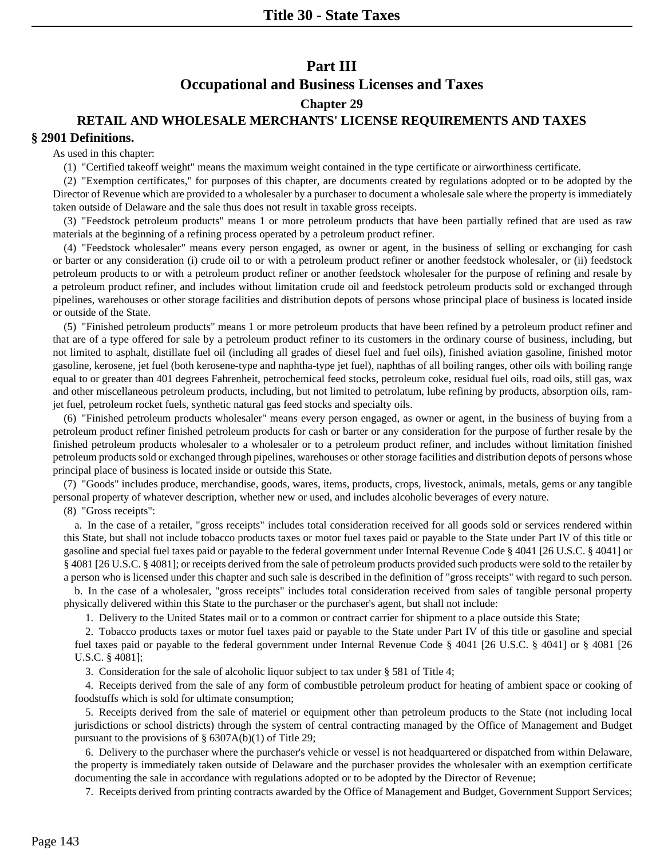# **RETAIL AND WHOLESALE MERCHANTS' LICENSE REQUIREMENTS AND TAXES § 2901 Definitions.**

As used in this chapter:

(1) "Certified takeoff weight" means the maximum weight contained in the type certificate or airworthiness certificate.

(2) "Exemption certificates," for purposes of this chapter, are documents created by regulations adopted or to be adopted by the Director of Revenue which are provided to a wholesaler by a purchaser to document a wholesale sale where the property is immediately taken outside of Delaware and the sale thus does not result in taxable gross receipts.

(3) "Feedstock petroleum products" means 1 or more petroleum products that have been partially refined that are used as raw materials at the beginning of a refining process operated by a petroleum product refiner.

(4) "Feedstock wholesaler" means every person engaged, as owner or agent, in the business of selling or exchanging for cash or barter or any consideration (i) crude oil to or with a petroleum product refiner or another feedstock wholesaler, or (ii) feedstock petroleum products to or with a petroleum product refiner or another feedstock wholesaler for the purpose of refining and resale by a petroleum product refiner, and includes without limitation crude oil and feedstock petroleum products sold or exchanged through pipelines, warehouses or other storage facilities and distribution depots of persons whose principal place of business is located inside or outside of the State.

(5) "Finished petroleum products" means 1 or more petroleum products that have been refined by a petroleum product refiner and that are of a type offered for sale by a petroleum product refiner to its customers in the ordinary course of business, including, but not limited to asphalt, distillate fuel oil (including all grades of diesel fuel and fuel oils), finished aviation gasoline, finished motor gasoline, kerosene, jet fuel (both kerosene-type and naphtha-type jet fuel), naphthas of all boiling ranges, other oils with boiling range equal to or greater than 401 degrees Fahrenheit, petrochemical feed stocks, petroleum coke, residual fuel oils, road oils, still gas, wax and other miscellaneous petroleum products, including, but not limited to petrolatum, lube refining by products, absorption oils, ramjet fuel, petroleum rocket fuels, synthetic natural gas feed stocks and specialty oils.

(6) "Finished petroleum products wholesaler" means every person engaged, as owner or agent, in the business of buying from a petroleum product refiner finished petroleum products for cash or barter or any consideration for the purpose of further resale by the finished petroleum products wholesaler to a wholesaler or to a petroleum product refiner, and includes without limitation finished petroleum products sold or exchanged through pipelines, warehouses or other storage facilities and distribution depots of persons whose principal place of business is located inside or outside this State.

(7) "Goods" includes produce, merchandise, goods, wares, items, products, crops, livestock, animals, metals, gems or any tangible personal property of whatever description, whether new or used, and includes alcoholic beverages of every nature.

(8) "Gross receipts":

a. In the case of a retailer, "gross receipts" includes total consideration received for all goods sold or services rendered within this State, but shall not include tobacco products taxes or motor fuel taxes paid or payable to the State under Part IV of this title or gasoline and special fuel taxes paid or payable to the federal government under Internal Revenue Code § 4041 [26 U.S.C. § 4041] or § 4081 [26 U.S.C. § 4081]; or receipts derived from the sale of petroleum products provided such products were sold to the retailer by a person who is licensed under this chapter and such sale is described in the definition of "gross receipts" with regard to such person.

b. In the case of a wholesaler, "gross receipts" includes total consideration received from sales of tangible personal property physically delivered within this State to the purchaser or the purchaser's agent, but shall not include:

1. Delivery to the United States mail or to a common or contract carrier for shipment to a place outside this State;

2. Tobacco products taxes or motor fuel taxes paid or payable to the State under Part IV of this title or gasoline and special fuel taxes paid or payable to the federal government under Internal Revenue Code § 4041 [26 U.S.C. § 4041] or § 4081 [26 U.S.C. § 4081];

3. Consideration for the sale of alcoholic liquor subject to tax under § 581 of Title 4;

4. Receipts derived from the sale of any form of combustible petroleum product for heating of ambient space or cooking of foodstuffs which is sold for ultimate consumption;

5. Receipts derived from the sale of materiel or equipment other than petroleum products to the State (not including local jurisdictions or school districts) through the system of central contracting managed by the Office of Management and Budget pursuant to the provisions of § 6307A(b)(1) of Title 29;

6. Delivery to the purchaser where the purchaser's vehicle or vessel is not headquartered or dispatched from within Delaware, the property is immediately taken outside of Delaware and the purchaser provides the wholesaler with an exemption certificate documenting the sale in accordance with regulations adopted or to be adopted by the Director of Revenue;

7. Receipts derived from printing contracts awarded by the Office of Management and Budget, Government Support Services;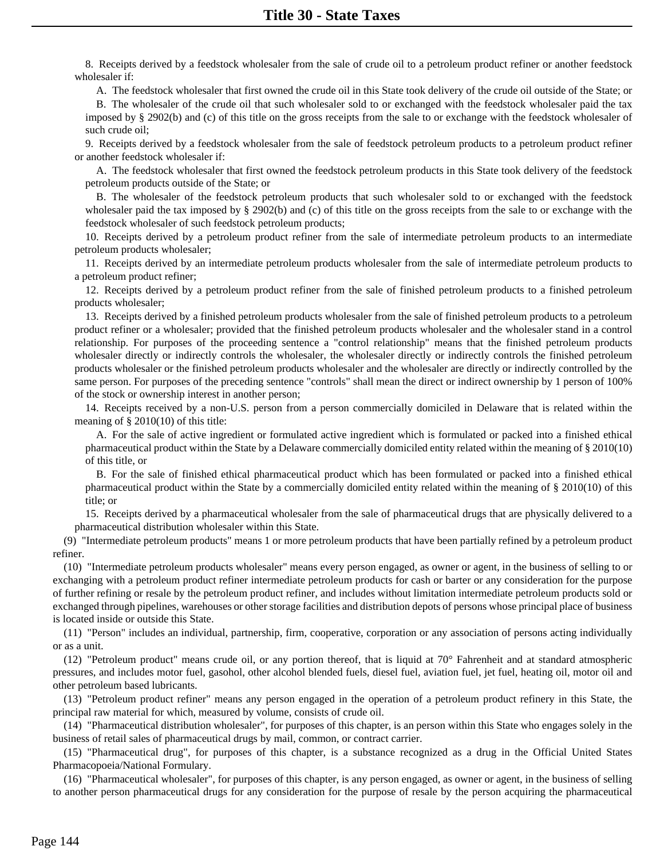8. Receipts derived by a feedstock wholesaler from the sale of crude oil to a petroleum product refiner or another feedstock wholesaler if:

A. The feedstock wholesaler that first owned the crude oil in this State took delivery of the crude oil outside of the State; or

B. The wholesaler of the crude oil that such wholesaler sold to or exchanged with the feedstock wholesaler paid the tax imposed by § 2902(b) and (c) of this title on the gross receipts from the sale to or exchange with the feedstock wholesaler of such crude oil;

9. Receipts derived by a feedstock wholesaler from the sale of feedstock petroleum products to a petroleum product refiner or another feedstock wholesaler if:

A. The feedstock wholesaler that first owned the feedstock petroleum products in this State took delivery of the feedstock petroleum products outside of the State; or

B. The wholesaler of the feedstock petroleum products that such wholesaler sold to or exchanged with the feedstock wholesaler paid the tax imposed by § 2902(b) and (c) of this title on the gross receipts from the sale to or exchange with the feedstock wholesaler of such feedstock petroleum products;

10. Receipts derived by a petroleum product refiner from the sale of intermediate petroleum products to an intermediate petroleum products wholesaler;

11. Receipts derived by an intermediate petroleum products wholesaler from the sale of intermediate petroleum products to a petroleum product refiner;

12. Receipts derived by a petroleum product refiner from the sale of finished petroleum products to a finished petroleum products wholesaler;

13. Receipts derived by a finished petroleum products wholesaler from the sale of finished petroleum products to a petroleum product refiner or a wholesaler; provided that the finished petroleum products wholesaler and the wholesaler stand in a control relationship. For purposes of the proceeding sentence a "control relationship" means that the finished petroleum products wholesaler directly or indirectly controls the wholesaler, the wholesaler directly or indirectly controls the finished petroleum products wholesaler or the finished petroleum products wholesaler and the wholesaler are directly or indirectly controlled by the same person. For purposes of the preceding sentence "controls" shall mean the direct or indirect ownership by 1 person of 100% of the stock or ownership interest in another person;

14. Receipts received by a non-U.S. person from a person commercially domiciled in Delaware that is related within the meaning of § 2010(10) of this title:

A. For the sale of active ingredient or formulated active ingredient which is formulated or packed into a finished ethical pharmaceutical product within the State by a Delaware commercially domiciled entity related within the meaning of § 2010(10) of this title, or

B. For the sale of finished ethical pharmaceutical product which has been formulated or packed into a finished ethical pharmaceutical product within the State by a commercially domiciled entity related within the meaning of § 2010(10) of this title; or

15. Receipts derived by a pharmaceutical wholesaler from the sale of pharmaceutical drugs that are physically delivered to a pharmaceutical distribution wholesaler within this State.

(9) "Intermediate petroleum products" means 1 or more petroleum products that have been partially refined by a petroleum product refiner.

(10) "Intermediate petroleum products wholesaler" means every person engaged, as owner or agent, in the business of selling to or exchanging with a petroleum product refiner intermediate petroleum products for cash or barter or any consideration for the purpose of further refining or resale by the petroleum product refiner, and includes without limitation intermediate petroleum products sold or exchanged through pipelines, warehouses or other storage facilities and distribution depots of persons whose principal place of business is located inside or outside this State.

(11) "Person" includes an individual, partnership, firm, cooperative, corporation or any association of persons acting individually or as a unit.

(12) "Petroleum product" means crude oil, or any portion thereof, that is liquid at  $70^{\circ}$  Fahrenheit and at standard atmospheric pressures, and includes motor fuel, gasohol, other alcohol blended fuels, diesel fuel, aviation fuel, jet fuel, heating oil, motor oil and other petroleum based lubricants.

(13) "Petroleum product refiner" means any person engaged in the operation of a petroleum product refinery in this State, the principal raw material for which, measured by volume, consists of crude oil.

(14) "Pharmaceutical distribution wholesaler", for purposes of this chapter, is an person within this State who engages solely in the business of retail sales of pharmaceutical drugs by mail, common, or contract carrier.

(15) "Pharmaceutical drug", for purposes of this chapter, is a substance recognized as a drug in the Official United States Pharmacopoeia/National Formulary.

(16) "Pharmaceutical wholesaler", for purposes of this chapter, is any person engaged, as owner or agent, in the business of selling to another person pharmaceutical drugs for any consideration for the purpose of resale by the person acquiring the pharmaceutical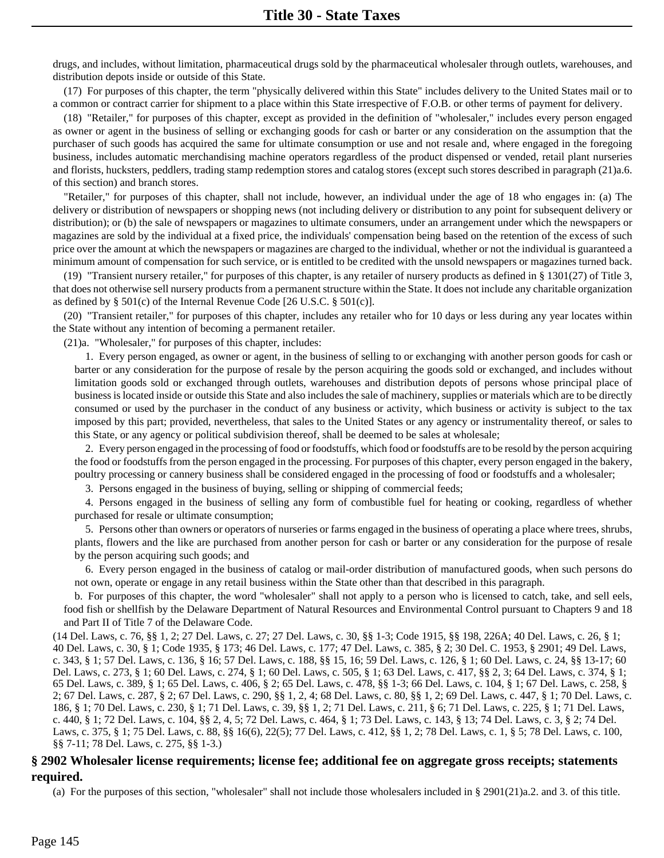drugs, and includes, without limitation, pharmaceutical drugs sold by the pharmaceutical wholesaler through outlets, warehouses, and distribution depots inside or outside of this State.

(17) For purposes of this chapter, the term "physically delivered within this State" includes delivery to the United States mail or to a common or contract carrier for shipment to a place within this State irrespective of F.O.B. or other terms of payment for delivery.

(18) "Retailer," for purposes of this chapter, except as provided in the definition of "wholesaler," includes every person engaged as owner or agent in the business of selling or exchanging goods for cash or barter or any consideration on the assumption that the purchaser of such goods has acquired the same for ultimate consumption or use and not resale and, where engaged in the foregoing business, includes automatic merchandising machine operators regardless of the product dispensed or vended, retail plant nurseries and florists, hucksters, peddlers, trading stamp redemption stores and catalog stores (except such stores described in paragraph (21)a.6. of this section) and branch stores.

"Retailer," for purposes of this chapter, shall not include, however, an individual under the age of 18 who engages in: (a) The delivery or distribution of newspapers or shopping news (not including delivery or distribution to any point for subsequent delivery or distribution); or (b) the sale of newspapers or magazines to ultimate consumers, under an arrangement under which the newspapers or magazines are sold by the individual at a fixed price, the individuals' compensation being based on the retention of the excess of such price over the amount at which the newspapers or magazines are charged to the individual, whether or not the individual is guaranteed a minimum amount of compensation for such service, or is entitled to be credited with the unsold newspapers or magazines turned back.

(19) "Transient nursery retailer," for purposes of this chapter, is any retailer of nursery products as defined in § 1301(27) of Title 3, that does not otherwise sell nursery products from a permanent structure within the State. It does not include any charitable organization as defined by  $\S 501(c)$  of the Internal Revenue Code [26 U.S.C.  $\S 501(c)$ ].

(20) "Transient retailer," for purposes of this chapter, includes any retailer who for 10 days or less during any year locates within the State without any intention of becoming a permanent retailer.

(21)a. "Wholesaler," for purposes of this chapter, includes:

1. Every person engaged, as owner or agent, in the business of selling to or exchanging with another person goods for cash or barter or any consideration for the purpose of resale by the person acquiring the goods sold or exchanged, and includes without limitation goods sold or exchanged through outlets, warehouses and distribution depots of persons whose principal place of business is located inside or outside this State and also includes the sale of machinery, supplies or materials which are to be directly consumed or used by the purchaser in the conduct of any business or activity, which business or activity is subject to the tax imposed by this part; provided, nevertheless, that sales to the United States or any agency or instrumentality thereof, or sales to this State, or any agency or political subdivision thereof, shall be deemed to be sales at wholesale;

2. Every person engaged in the processing of food or foodstuffs, which food or foodstuffs are to be resold by the person acquiring the food or foodstuffs from the person engaged in the processing. For purposes of this chapter, every person engaged in the bakery, poultry processing or cannery business shall be considered engaged in the processing of food or foodstuffs and a wholesaler;

3. Persons engaged in the business of buying, selling or shipping of commercial feeds;

4. Persons engaged in the business of selling any form of combustible fuel for heating or cooking, regardless of whether purchased for resale or ultimate consumption;

5. Persons other than owners or operators of nurseries or farms engaged in the business of operating a place where trees, shrubs, plants, flowers and the like are purchased from another person for cash or barter or any consideration for the purpose of resale by the person acquiring such goods; and

6. Every person engaged in the business of catalog or mail-order distribution of manufactured goods, when such persons do not own, operate or engage in any retail business within the State other than that described in this paragraph.

b. For purposes of this chapter, the word "wholesaler" shall not apply to a person who is licensed to catch, take, and sell eels, food fish or shellfish by the Delaware Department of Natural Resources and Environmental Control pursuant to Chapters 9 and 18 and Part II of Title 7 of the Delaware Code.

(14 Del. Laws, c. 76, §§ 1, 2; 27 Del. Laws, c. 27; 27 Del. Laws, c. 30, §§ 1-3; Code 1915, §§ 198, 226A; 40 Del. Laws, c. 26, § 1; 40 Del. Laws, c. 30, § 1; Code 1935, § 173; 46 Del. Laws, c. 177; 47 Del. Laws, c. 385, § 2; 30 Del. C. 1953, § 2901; 49 Del. Laws, c. 343, § 1; 57 Del. Laws, c. 136, § 16; 57 Del. Laws, c. 188, §§ 15, 16; 59 Del. Laws, c. 126, § 1; 60 Del. Laws, c. 24, §§ 13-17; 60 Del. Laws, c. 273, § 1; 60 Del. Laws, c. 274, § 1; 60 Del. Laws, c. 505, § 1; 63 Del. Laws, c. 417, §§ 2, 3; 64 Del. Laws, c. 374, § 1; 65 Del. Laws, c. 389, § 1; 65 Del. Laws, c. 406, § 2; 65 Del. Laws, c. 478, §§ 1-3; 66 Del. Laws, c. 104, § 1; 67 Del. Laws, c. 258, § 2; 67 Del. Laws, c. 287, § 2; 67 Del. Laws, c. 290, §§ 1, 2, 4; 68 Del. Laws, c. 80, §§ 1, 2; 69 Del. Laws, c. 447, § 1; 70 Del. Laws, c. 186, § 1; 70 Del. Laws, c. 230, § 1; 71 Del. Laws, c. 39, §§ 1, 2; 71 Del. Laws, c. 211, § 6; 71 Del. Laws, c. 225, § 1; 71 Del. Laws, c. 440, § 1; 72 Del. Laws, c. 104, §§ 2, 4, 5; 72 Del. Laws, c. 464, § 1; 73 Del. Laws, c. 143, § 13; 74 Del. Laws, c. 3, § 2; 74 Del. Laws, c. 375, § 1; 75 Del. Laws, c. 88, §§ 16(6), 22(5); 77 Del. Laws, c. 412, §§ 1, 2; 78 Del. Laws, c. 1, § 5; 78 Del. Laws, c. 100, §§ 7-11; 78 Del. Laws, c. 275, §§ 1-3.)

# **§ 2902 Wholesaler license requirements; license fee; additional fee on aggregate gross receipts; statements required.**

(a) For the purposes of this section, "wholesaler" shall not include those wholesalers included in § 2901(21)a.2. and 3. of this title.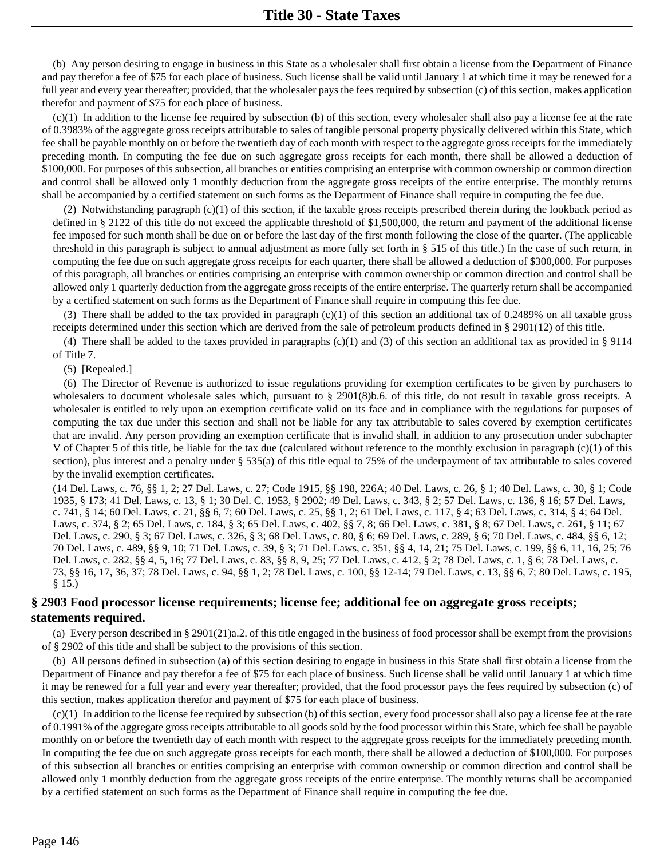(b) Any person desiring to engage in business in this State as a wholesaler shall first obtain a license from the Department of Finance and pay therefor a fee of \$75 for each place of business. Such license shall be valid until January 1 at which time it may be renewed for a full year and every year thereafter; provided, that the wholesaler pays the fees required by subsection (c) of this section, makes application therefor and payment of \$75 for each place of business.

 $(c)(1)$  In addition to the license fee required by subsection (b) of this section, every wholesaler shall also pay a license fee at the rate of 0.3983% of the aggregate gross receipts attributable to sales of tangible personal property physically delivered within this State, which fee shall be payable monthly on or before the twentieth day of each month with respect to the aggregate gross receipts for the immediately preceding month. In computing the fee due on such aggregate gross receipts for each month, there shall be allowed a deduction of \$100,000. For purposes of this subsection, all branches or entities comprising an enterprise with common ownership or common direction and control shall be allowed only 1 monthly deduction from the aggregate gross receipts of the entire enterprise. The monthly returns shall be accompanied by a certified statement on such forms as the Department of Finance shall require in computing the fee due.

(2) Notwithstanding paragraph (c)(1) of this section, if the taxable gross receipts prescribed therein during the lookback period as defined in § 2122 of this title do not exceed the applicable threshold of \$1,500,000, the return and payment of the additional license fee imposed for such month shall be due on or before the last day of the first month following the close of the quarter. (The applicable threshold in this paragraph is subject to annual adjustment as more fully set forth in § 515 of this title.) In the case of such return, in computing the fee due on such aggregate gross receipts for each quarter, there shall be allowed a deduction of \$300,000. For purposes of this paragraph, all branches or entities comprising an enterprise with common ownership or common direction and control shall be allowed only 1 quarterly deduction from the aggregate gross receipts of the entire enterprise. The quarterly return shall be accompanied by a certified statement on such forms as the Department of Finance shall require in computing this fee due.

(3) There shall be added to the tax provided in paragraph  $(c)(1)$  of this section an additional tax of 0.2489% on all taxable gross receipts determined under this section which are derived from the sale of petroleum products defined in § 2901(12) of this title.

(4) There shall be added to the taxes provided in paragraphs (c)(1) and (3) of this section an additional tax as provided in § 9114 of Title 7.

(5) [Repealed.]

(6) The Director of Revenue is authorized to issue regulations providing for exemption certificates to be given by purchasers to wholesalers to document wholesale sales which, pursuant to § 2901(8)b.6. of this title, do not result in taxable gross receipts. A wholesaler is entitled to rely upon an exemption certificate valid on its face and in compliance with the regulations for purposes of computing the tax due under this section and shall not be liable for any tax attributable to sales covered by exemption certificates that are invalid. Any person providing an exemption certificate that is invalid shall, in addition to any prosecution under subchapter V of Chapter 5 of this title, be liable for the tax due (calculated without reference to the monthly exclusion in paragraph (c)(1) of this section), plus interest and a penalty under § 535(a) of this title equal to 75% of the underpayment of tax attributable to sales covered by the invalid exemption certificates.

(14 Del. Laws, c. 76, §§ 1, 2; 27 Del. Laws, c. 27; Code 1915, §§ 198, 226A; 40 Del. Laws, c. 26, § 1; 40 Del. Laws, c. 30, § 1; Code 1935, § 173; 41 Del. Laws, c. 13, § 1; 30 Del. C. 1953, § 2902; 49 Del. Laws, c. 343, § 2; 57 Del. Laws, c. 136, § 16; 57 Del. Laws, c. 741, § 14; 60 Del. Laws, c. 21, §§ 6, 7; 60 Del. Laws, c. 25, §§ 1, 2; 61 Del. Laws, c. 117, § 4; 63 Del. Laws, c. 314, § 4; 64 Del. Laws, c. 374, § 2; 65 Del. Laws, c. 184, § 3; 65 Del. Laws, c. 402, §§ 7, 8; 66 Del. Laws, c. 381, § 8; 67 Del. Laws, c. 261, § 11; 67 Del. Laws, c. 290, § 3; 67 Del. Laws, c. 326, § 3; 68 Del. Laws, c. 80, § 6; 69 Del. Laws, c. 289, § 6; 70 Del. Laws, c. 484, §§ 6, 12; 70 Del. Laws, c. 489, §§ 9, 10; 71 Del. Laws, c. 39, § 3; 71 Del. Laws, c. 351, §§ 4, 14, 21; 75 Del. Laws, c. 199, §§ 6, 11, 16, 25; 76 Del. Laws, c. 282, §§ 4, 5, 16; 77 Del. Laws, c. 83, §§ 8, 9, 25; 77 Del. Laws, c. 412, § 2; 78 Del. Laws, c. 1, § 6; 78 Del. Laws, c. 73, §§ 16, 17, 36, 37; 78 Del. Laws, c. 94, §§ 1, 2; 78 Del. Laws, c. 100, §§ 12-14; 79 Del. Laws, c. 13, §§ 6, 7; 80 Del. Laws, c. 195, § 15.)

# **§ 2903 Food processor license requirements; license fee; additional fee on aggregate gross receipts; statements required.**

(a) Every person described in § 2901(21)a.2. of this title engaged in the business of food processor shall be exempt from the provisions of § 2902 of this title and shall be subject to the provisions of this section.

(b) All persons defined in subsection (a) of this section desiring to engage in business in this State shall first obtain a license from the Department of Finance and pay therefor a fee of \$75 for each place of business. Such license shall be valid until January 1 at which time it may be renewed for a full year and every year thereafter; provided, that the food processor pays the fees required by subsection (c) of this section, makes application therefor and payment of \$75 for each place of business.

 $(c)(1)$  In addition to the license fee required by subsection (b) of this section, every food processor shall also pay a license fee at the rate of 0.1991% of the aggregate gross receipts attributable to all goods sold by the food processor within this State, which fee shall be payable monthly on or before the twentieth day of each month with respect to the aggregate gross receipts for the immediately preceding month. In computing the fee due on such aggregate gross receipts for each month, there shall be allowed a deduction of \$100,000. For purposes of this subsection all branches or entities comprising an enterprise with common ownership or common direction and control shall be allowed only 1 monthly deduction from the aggregate gross receipts of the entire enterprise. The monthly returns shall be accompanied by a certified statement on such forms as the Department of Finance shall require in computing the fee due.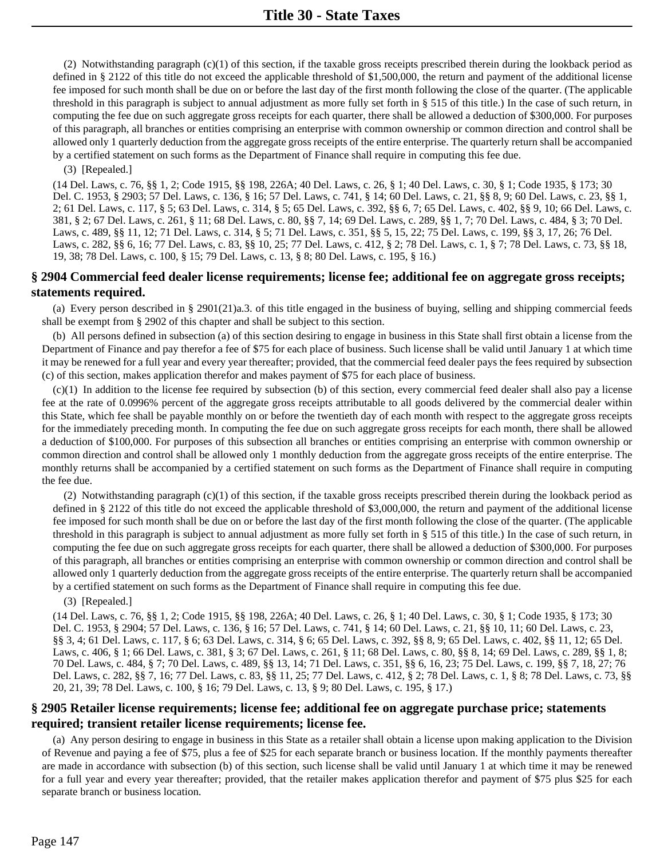(2) Notwithstanding paragraph (c)(1) of this section, if the taxable gross receipts prescribed therein during the lookback period as defined in § 2122 of this title do not exceed the applicable threshold of \$1,500,000, the return and payment of the additional license fee imposed for such month shall be due on or before the last day of the first month following the close of the quarter. (The applicable threshold in this paragraph is subject to annual adjustment as more fully set forth in § 515 of this title.) In the case of such return, in computing the fee due on such aggregate gross receipts for each quarter, there shall be allowed a deduction of \$300,000. For purposes of this paragraph, all branches or entities comprising an enterprise with common ownership or common direction and control shall be allowed only 1 quarterly deduction from the aggregate gross receipts of the entire enterprise. The quarterly return shall be accompanied by a certified statement on such forms as the Department of Finance shall require in computing this fee due.

(3) [Repealed.]

(14 Del. Laws, c. 76, §§ 1, 2; Code 1915, §§ 198, 226A; 40 Del. Laws, c. 26, § 1; 40 Del. Laws, c. 30, § 1; Code 1935, § 173; 30 Del. C. 1953, § 2903; 57 Del. Laws, c. 136, § 16; 57 Del. Laws, c. 741, § 14; 60 Del. Laws, c. 21, §§ 8, 9; 60 Del. Laws, c. 23, §§ 1, 2; 61 Del. Laws, c. 117, § 5; 63 Del. Laws, c. 314, § 5; 65 Del. Laws, c. 392, §§ 6, 7; 65 Del. Laws, c. 402, §§ 9, 10; 66 Del. Laws, c. 381, § 2; 67 Del. Laws, c. 261, § 11; 68 Del. Laws, c. 80, §§ 7, 14; 69 Del. Laws, c. 289, §§ 1, 7; 70 Del. Laws, c. 484, § 3; 70 Del. Laws, c. 489, §§ 11, 12; 71 Del. Laws, c. 314, § 5; 71 Del. Laws, c. 351, §§ 5, 15, 22; 75 Del. Laws, c. 199, §§ 3, 17, 26; 76 Del. Laws, c. 282, §§ 6, 16; 77 Del. Laws, c. 83, §§ 10, 25; 77 Del. Laws, c. 412, § 2; 78 Del. Laws, c. 1, § 7; 78 Del. Laws, c. 73, §§ 18, 19, 38; 78 Del. Laws, c. 100, § 15; 79 Del. Laws, c. 13, § 8; 80 Del. Laws, c. 195, § 16.)

# **§ 2904 Commercial feed dealer license requirements; license fee; additional fee on aggregate gross receipts; statements required.**

(a) Every person described in § 2901(21)a.3. of this title engaged in the business of buying, selling and shipping commercial feeds shall be exempt from § 2902 of this chapter and shall be subject to this section.

(b) All persons defined in subsection (a) of this section desiring to engage in business in this State shall first obtain a license from the Department of Finance and pay therefor a fee of \$75 for each place of business. Such license shall be valid until January 1 at which time it may be renewed for a full year and every year thereafter; provided, that the commercial feed dealer pays the fees required by subsection (c) of this section, makes application therefor and makes payment of \$75 for each place of business.

 $(c)(1)$  In addition to the license fee required by subsection (b) of this section, every commercial feed dealer shall also pay a license fee at the rate of 0.0996% percent of the aggregate gross receipts attributable to all goods delivered by the commercial dealer within this State, which fee shall be payable monthly on or before the twentieth day of each month with respect to the aggregate gross receipts for the immediately preceding month. In computing the fee due on such aggregate gross receipts for each month, there shall be allowed a deduction of \$100,000. For purposes of this subsection all branches or entities comprising an enterprise with common ownership or common direction and control shall be allowed only 1 monthly deduction from the aggregate gross receipts of the entire enterprise. The monthly returns shall be accompanied by a certified statement on such forms as the Department of Finance shall require in computing the fee due.

(2) Notwithstanding paragraph  $(c)(1)$  of this section, if the taxable gross receipts prescribed therein during the lookback period as defined in § 2122 of this title do not exceed the applicable threshold of \$3,000,000, the return and payment of the additional license fee imposed for such month shall be due on or before the last day of the first month following the close of the quarter. (The applicable threshold in this paragraph is subject to annual adjustment as more fully set forth in § 515 of this title.) In the case of such return, in computing the fee due on such aggregate gross receipts for each quarter, there shall be allowed a deduction of \$300,000. For purposes of this paragraph, all branches or entities comprising an enterprise with common ownership or common direction and control shall be allowed only 1 quarterly deduction from the aggregate gross receipts of the entire enterprise. The quarterly return shall be accompanied by a certified statement on such forms as the Department of Finance shall require in computing this fee due.

(3) [Repealed.]

(14 Del. Laws, c. 76, §§ 1, 2; Code 1915, §§ 198, 226A; 40 Del. Laws, c. 26, § 1; 40 Del. Laws, c. 30, § 1; Code 1935, § 173; 30 Del. C. 1953, § 2904; 57 Del. Laws, c. 136, § 16; 57 Del. Laws, c. 741, § 14; 60 Del. Laws, c. 21, §§ 10, 11; 60 Del. Laws, c. 23, §§ 3, 4; 61 Del. Laws, c. 117, § 6; 63 Del. Laws, c. 314, § 6; 65 Del. Laws, c. 392, §§ 8, 9; 65 Del. Laws, c. 402, §§ 11, 12; 65 Del. Laws, c. 406, § 1; 66 Del. Laws, c. 381, § 3; 67 Del. Laws, c. 261, § 11; 68 Del. Laws, c. 80, §§ 8, 14; 69 Del. Laws, c. 289, §§ 1, 8; 70 Del. Laws, c. 484, § 7; 70 Del. Laws, c. 489, §§ 13, 14; 71 Del. Laws, c. 351, §§ 6, 16, 23; 75 Del. Laws, c. 199, §§ 7, 18, 27; 76 Del. Laws, c. 282, §§ 7, 16; 77 Del. Laws, c. 83, §§ 11, 25; 77 Del. Laws, c. 412, § 2; 78 Del. Laws, c. 1, § 8; 78 Del. Laws, c. 73, §§ 20, 21, 39; 78 Del. Laws, c. 100, § 16; 79 Del. Laws, c. 13, § 9; 80 Del. Laws, c. 195, § 17.)

# **§ 2905 Retailer license requirements; license fee; additional fee on aggregate purchase price; statements required; transient retailer license requirements; license fee.**

(a) Any person desiring to engage in business in this State as a retailer shall obtain a license upon making application to the Division of Revenue and paying a fee of \$75, plus a fee of \$25 for each separate branch or business location. If the monthly payments thereafter are made in accordance with subsection (b) of this section, such license shall be valid until January 1 at which time it may be renewed for a full year and every year thereafter; provided, that the retailer makes application therefor and payment of \$75 plus \$25 for each separate branch or business location.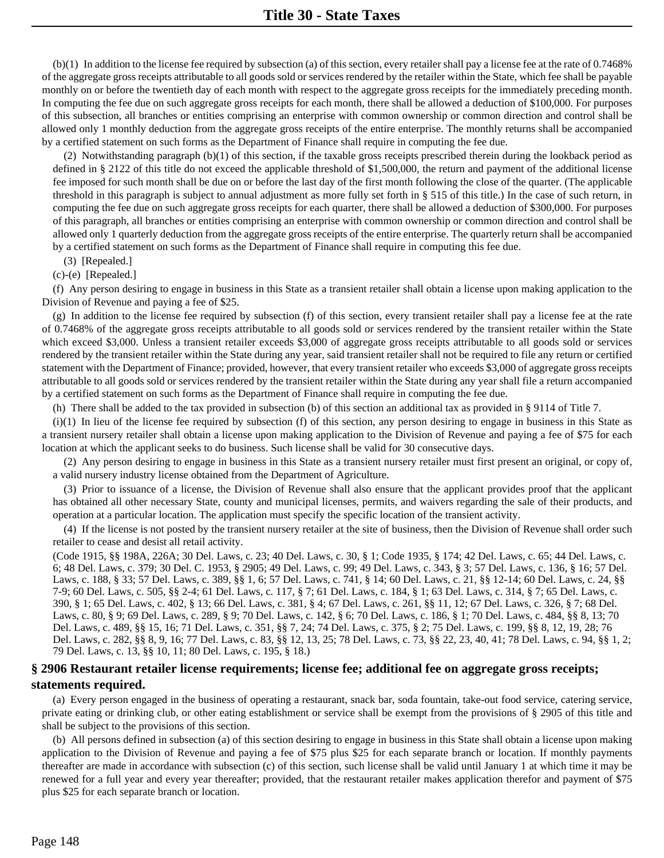(b)(1) In addition to the license fee required by subsection (a) of this section, every retailer shall pay a license fee at the rate of 0.7468% of the aggregate gross receipts attributable to all goods sold or services rendered by the retailer within the State, which fee shall be payable monthly on or before the twentieth day of each month with respect to the aggregate gross receipts for the immediately preceding month. In computing the fee due on such aggregate gross receipts for each month, there shall be allowed a deduction of \$100,000. For purposes of this subsection, all branches or entities comprising an enterprise with common ownership or common direction and control shall be allowed only 1 monthly deduction from the aggregate gross receipts of the entire enterprise. The monthly returns shall be accompanied by a certified statement on such forms as the Department of Finance shall require in computing the fee due.

(2) Notwithstanding paragraph (b)(1) of this section, if the taxable gross receipts prescribed therein during the lookback period as defined in § 2122 of this title do not exceed the applicable threshold of \$1,500,000, the return and payment of the additional license fee imposed for such month shall be due on or before the last day of the first month following the close of the quarter. (The applicable threshold in this paragraph is subject to annual adjustment as more fully set forth in § 515 of this title.) In the case of such return, in computing the fee due on such aggregate gross receipts for each quarter, there shall be allowed a deduction of \$300,000. For purposes of this paragraph, all branches or entities comprising an enterprise with common ownership or common direction and control shall be allowed only 1 quarterly deduction from the aggregate gross receipts of the entire enterprise. The quarterly return shall be accompanied by a certified statement on such forms as the Department of Finance shall require in computing this fee due.

(3) [Repealed.]

(c)-(e) [Repealed.]

(f) Any person desiring to engage in business in this State as a transient retailer shall obtain a license upon making application to the Division of Revenue and paying a fee of \$25.

(g) In addition to the license fee required by subsection (f) of this section, every transient retailer shall pay a license fee at the rate of 0.7468% of the aggregate gross receipts attributable to all goods sold or services rendered by the transient retailer within the State which exceed \$3,000. Unless a transient retailer exceeds \$3,000 of aggregate gross receipts attributable to all goods sold or services rendered by the transient retailer within the State during any year, said transient retailer shall not be required to file any return or certified statement with the Department of Finance; provided, however, that every transient retailer who exceeds \$3,000 of aggregate gross receipts attributable to all goods sold or services rendered by the transient retailer within the State during any year shall file a return accompanied by a certified statement on such forms as the Department of Finance shall require in computing the fee due.

(h) There shall be added to the tax provided in subsection (b) of this section an additional tax as provided in § 9114 of Title 7.

 $(i)(1)$  In lieu of the license fee required by subsection (f) of this section, any person desiring to engage in business in this State as a transient nursery retailer shall obtain a license upon making application to the Division of Revenue and paying a fee of \$75 for each location at which the applicant seeks to do business. Such license shall be valid for 30 consecutive days.

(2) Any person desiring to engage in business in this State as a transient nursery retailer must first present an original, or copy of, a valid nursery industry license obtained from the Department of Agriculture.

(3) Prior to issuance of a license, the Division of Revenue shall also ensure that the applicant provides proof that the applicant has obtained all other necessary State, county and municipal licenses, permits, and waivers regarding the sale of their products, and operation at a particular location. The application must specify the specific location of the transient activity.

(4) If the license is not posted by the transient nursery retailer at the site of business, then the Division of Revenue shall order such retailer to cease and desist all retail activity.

(Code 1915, §§ 198A, 226A; 30 Del. Laws, c. 23; 40 Del. Laws, c. 30, § 1; Code 1935, § 174; 42 Del. Laws, c. 65; 44 Del. Laws, c. 6; 48 Del. Laws, c. 379; 30 Del. C. 1953, § 2905; 49 Del. Laws, c. 99; 49 Del. Laws, c. 343, § 3; 57 Del. Laws, c. 136, § 16; 57 Del. Laws, c. 188, § 33; 57 Del. Laws, c. 389, §§ 1, 6; 57 Del. Laws, c. 741, § 14; 60 Del. Laws, c. 21, §§ 12-14; 60 Del. Laws, c. 24, §§ 7-9; 60 Del. Laws, c. 505, §§ 2-4; 61 Del. Laws, c. 117, § 7; 61 Del. Laws, c. 184, § 1; 63 Del. Laws, c. 314, § 7; 65 Del. Laws, c. 390, § 1; 65 Del. Laws, c. 402, § 13; 66 Del. Laws, c. 381, § 4; 67 Del. Laws, c. 261, §§ 11, 12; 67 Del. Laws, c. 326, § 7; 68 Del. Laws, c. 80, § 9; 69 Del. Laws, c. 289, § 9; 70 Del. Laws, c. 142, § 6; 70 Del. Laws, c. 186, § 1; 70 Del. Laws, c. 484, §§ 8, 13; 70 Del. Laws, c. 489, §§ 15, 16; 71 Del. Laws, c. 351, §§ 7, 24; 74 Del. Laws, c. 375, § 2; 75 Del. Laws, c. 199, §§ 8, 12, 19, 28; 76 Del. Laws, c. 282, §§ 8, 9, 16; 77 Del. Laws, c. 83, §§ 12, 13, 25; 78 Del. Laws, c. 73, §§ 22, 23, 40, 41; 78 Del. Laws, c. 94, §§ 1, 2; 79 Del. Laws, c. 13, §§ 10, 11; 80 Del. Laws, c. 195, § 18.)

# **§ 2906 Restaurant retailer license requirements; license fee; additional fee on aggregate gross receipts; statements required.**

(a) Every person engaged in the business of operating a restaurant, snack bar, soda fountain, take-out food service, catering service, private eating or drinking club, or other eating establishment or service shall be exempt from the provisions of § 2905 of this title and shall be subject to the provisions of this section.

(b) All persons defined in subsection (a) of this section desiring to engage in business in this State shall obtain a license upon making application to the Division of Revenue and paying a fee of \$75 plus \$25 for each separate branch or location. If monthly payments thereafter are made in accordance with subsection (c) of this section, such license shall be valid until January 1 at which time it may be renewed for a full year and every year thereafter; provided, that the restaurant retailer makes application therefor and payment of \$75 plus \$25 for each separate branch or location.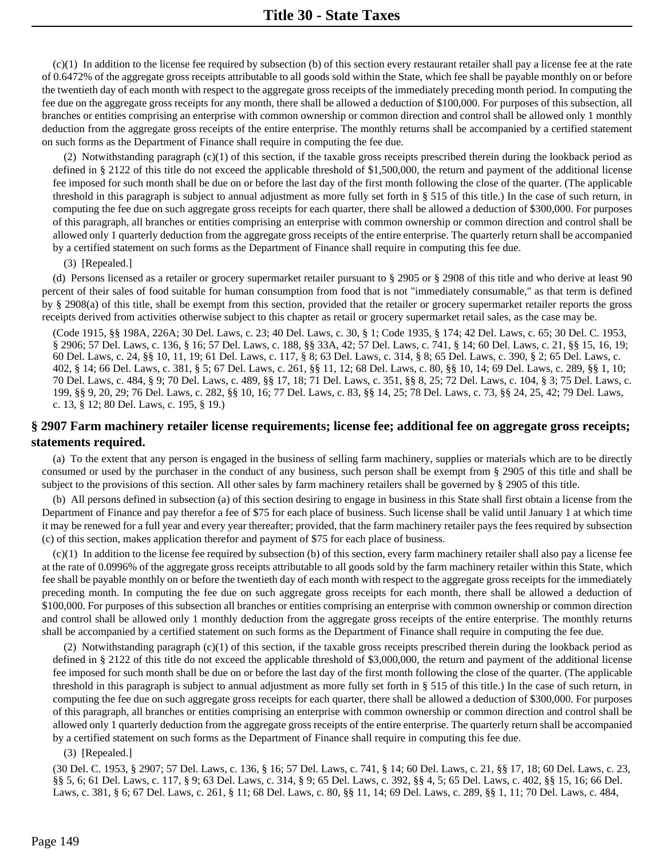$(c)(1)$  In addition to the license fee required by subsection (b) of this section every restaurant retailer shall pay a license fee at the rate of 0.6472% of the aggregate gross receipts attributable to all goods sold within the State, which fee shall be payable monthly on or before the twentieth day of each month with respect to the aggregate gross receipts of the immediately preceding month period. In computing the fee due on the aggregate gross receipts for any month, there shall be allowed a deduction of \$100,000. For purposes of this subsection, all branches or entities comprising an enterprise with common ownership or common direction and control shall be allowed only 1 monthly deduction from the aggregate gross receipts of the entire enterprise. The monthly returns shall be accompanied by a certified statement on such forms as the Department of Finance shall require in computing the fee due.

(2) Notwithstanding paragraph  $(c)(1)$  of this section, if the taxable gross receipts prescribed therein during the lookback period as defined in § 2122 of this title do not exceed the applicable threshold of \$1,500,000, the return and payment of the additional license fee imposed for such month shall be due on or before the last day of the first month following the close of the quarter. (The applicable threshold in this paragraph is subject to annual adjustment as more fully set forth in § 515 of this title.) In the case of such return, in computing the fee due on such aggregate gross receipts for each quarter, there shall be allowed a deduction of \$300,000. For purposes of this paragraph, all branches or entities comprising an enterprise with common ownership or common direction and control shall be allowed only 1 quarterly deduction from the aggregate gross receipts of the entire enterprise. The quarterly return shall be accompanied by a certified statement on such forms as the Department of Finance shall require in computing this fee due.

#### (3) [Repealed.]

(d) Persons licensed as a retailer or grocery supermarket retailer pursuant to § 2905 or § 2908 of this title and who derive at least 90 percent of their sales of food suitable for human consumption from food that is not "immediately consumable," as that term is defined by § 2908(a) of this title, shall be exempt from this section, provided that the retailer or grocery supermarket retailer reports the gross receipts derived from activities otherwise subject to this chapter as retail or grocery supermarket retail sales, as the case may be.

(Code 1915, §§ 198A, 226A; 30 Del. Laws, c. 23; 40 Del. Laws, c. 30, § 1; Code 1935, § 174; 42 Del. Laws, c. 65; 30 Del. C. 1953, § 2906; 57 Del. Laws, c. 136, § 16; 57 Del. Laws, c. 188, §§ 33A, 42; 57 Del. Laws, c. 741, § 14; 60 Del. Laws, c. 21, §§ 15, 16, 19; 60 Del. Laws, c. 24, §§ 10, 11, 19; 61 Del. Laws, c. 117, § 8; 63 Del. Laws, c. 314, § 8; 65 Del. Laws, c. 390, § 2; 65 Del. Laws, c. 402, § 14; 66 Del. Laws, c. 381, § 5; 67 Del. Laws, c. 261, §§ 11, 12; 68 Del. Laws, c. 80, §§ 10, 14; 69 Del. Laws, c. 289, §§ 1, 10; 70 Del. Laws, c. 484, § 9; 70 Del. Laws, c. 489, §§ 17, 18; 71 Del. Laws, c. 351, §§ 8, 25; 72 Del. Laws, c. 104, § 3; 75 Del. Laws, c. 199, §§ 9, 20, 29; 76 Del. Laws, c. 282, §§ 10, 16; 77 Del. Laws, c. 83, §§ 14, 25; 78 Del. Laws, c. 73, §§ 24, 25, 42; 79 Del. Laws, c. 13, § 12; 80 Del. Laws, c. 195, § 19.)

# **§ 2907 Farm machinery retailer license requirements; license fee; additional fee on aggregate gross receipts; statements required.**

(a) To the extent that any person is engaged in the business of selling farm machinery, supplies or materials which are to be directly consumed or used by the purchaser in the conduct of any business, such person shall be exempt from § 2905 of this title and shall be subject to the provisions of this section. All other sales by farm machinery retailers shall be governed by § 2905 of this title.

(b) All persons defined in subsection (a) of this section desiring to engage in business in this State shall first obtain a license from the Department of Finance and pay therefor a fee of \$75 for each place of business. Such license shall be valid until January 1 at which time it may be renewed for a full year and every year thereafter; provided, that the farm machinery retailer pays the fees required by subsection (c) of this section, makes application therefor and payment of \$75 for each place of business.

(c)(1) In addition to the license fee required by subsection (b) of this section, every farm machinery retailer shall also pay a license fee at the rate of 0.0996% of the aggregate gross receipts attributable to all goods sold by the farm machinery retailer within this State, which fee shall be payable monthly on or before the twentieth day of each month with respect to the aggregate gross receipts for the immediately preceding month. In computing the fee due on such aggregate gross receipts for each month, there shall be allowed a deduction of \$100,000. For purposes of this subsection all branches or entities comprising an enterprise with common ownership or common direction and control shall be allowed only 1 monthly deduction from the aggregate gross receipts of the entire enterprise. The monthly returns shall be accompanied by a certified statement on such forms as the Department of Finance shall require in computing the fee due.

(2) Notwithstanding paragraph (c)(1) of this section, if the taxable gross receipts prescribed therein during the lookback period as defined in § 2122 of this title do not exceed the applicable threshold of \$3,000,000, the return and payment of the additional license fee imposed for such month shall be due on or before the last day of the first month following the close of the quarter. (The applicable threshold in this paragraph is subject to annual adjustment as more fully set forth in § 515 of this title.) In the case of such return, in computing the fee due on such aggregate gross receipts for each quarter, there shall be allowed a deduction of \$300,000. For purposes of this paragraph, all branches or entities comprising an enterprise with common ownership or common direction and control shall be allowed only 1 quarterly deduction from the aggregate gross receipts of the entire enterprise. The quarterly return shall be accompanied by a certified statement on such forms as the Department of Finance shall require in computing this fee due.

#### (3) [Repealed.]

(30 Del. C. 1953, § 2907; 57 Del. Laws, c. 136, § 16; 57 Del. Laws, c. 741, § 14; 60 Del. Laws, c. 21, §§ 17, 18; 60 Del. Laws, c. 23, §§ 5, 6; 61 Del. Laws, c. 117, § 9; 63 Del. Laws, c. 314, § 9; 65 Del. Laws, c. 392, §§ 4, 5; 65 Del. Laws, c. 402, §§ 15, 16; 66 Del. Laws, c. 381, § 6; 67 Del. Laws, c. 261, § 11; 68 Del. Laws, c. 80, §§ 11, 14; 69 Del. Laws, c. 289, §§ 1, 11; 70 Del. Laws, c. 484,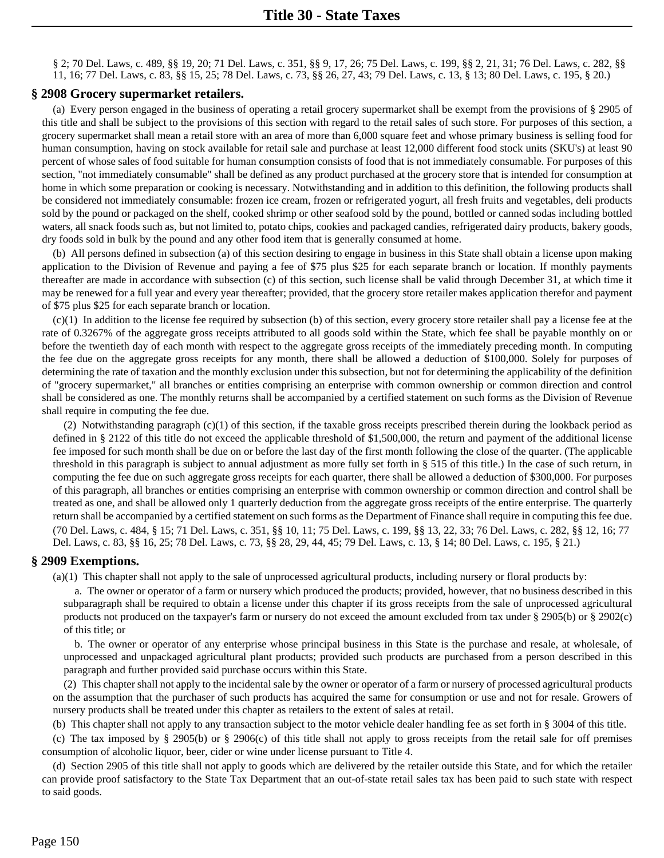§ 2; 70 Del. Laws, c. 489, §§ 19, 20; 71 Del. Laws, c. 351, §§ 9, 17, 26; 75 Del. Laws, c. 199, §§ 2, 21, 31; 76 Del. Laws, c. 282, §§ 11, 16; 77 Del. Laws, c. 83, §§ 15, 25; 78 Del. Laws, c. 73, §§ 26, 27, 43; 79 Del. Laws, c. 13, § 13; 80 Del. Laws, c. 195, § 20.)

#### **§ 2908 Grocery supermarket retailers.**

(a) Every person engaged in the business of operating a retail grocery supermarket shall be exempt from the provisions of § 2905 of this title and shall be subject to the provisions of this section with regard to the retail sales of such store. For purposes of this section, a grocery supermarket shall mean a retail store with an area of more than 6,000 square feet and whose primary business is selling food for human consumption, having on stock available for retail sale and purchase at least 12,000 different food stock units (SKU's) at least 90 percent of whose sales of food suitable for human consumption consists of food that is not immediately consumable. For purposes of this section, "not immediately consumable" shall be defined as any product purchased at the grocery store that is intended for consumption at home in which some preparation or cooking is necessary. Notwithstanding and in addition to this definition, the following products shall be considered not immediately consumable: frozen ice cream, frozen or refrigerated yogurt, all fresh fruits and vegetables, deli products sold by the pound or packaged on the shelf, cooked shrimp or other seafood sold by the pound, bottled or canned sodas including bottled waters, all snack foods such as, but not limited to, potato chips, cookies and packaged candies, refrigerated dairy products, bakery goods, dry foods sold in bulk by the pound and any other food item that is generally consumed at home.

(b) All persons defined in subsection (a) of this section desiring to engage in business in this State shall obtain a license upon making application to the Division of Revenue and paying a fee of \$75 plus \$25 for each separate branch or location. If monthly payments thereafter are made in accordance with subsection (c) of this section, such license shall be valid through December 31, at which time it may be renewed for a full year and every year thereafter; provided, that the grocery store retailer makes application therefor and payment of \$75 plus \$25 for each separate branch or location.

(c)(1) In addition to the license fee required by subsection (b) of this section, every grocery store retailer shall pay a license fee at the rate of 0.3267% of the aggregate gross receipts attributed to all goods sold within the State, which fee shall be payable monthly on or before the twentieth day of each month with respect to the aggregate gross receipts of the immediately preceding month. In computing the fee due on the aggregate gross receipts for any month, there shall be allowed a deduction of \$100,000. Solely for purposes of determining the rate of taxation and the monthly exclusion under this subsection, but not for determining the applicability of the definition of "grocery supermarket," all branches or entities comprising an enterprise with common ownership or common direction and control shall be considered as one. The monthly returns shall be accompanied by a certified statement on such forms as the Division of Revenue shall require in computing the fee due.

(2) Notwithstanding paragraph  $(c)(1)$  of this section, if the taxable gross receipts prescribed therein during the lookback period as defined in § 2122 of this title do not exceed the applicable threshold of \$1,500,000, the return and payment of the additional license fee imposed for such month shall be due on or before the last day of the first month following the close of the quarter. (The applicable threshold in this paragraph is subject to annual adjustment as more fully set forth in § 515 of this title.) In the case of such return, in computing the fee due on such aggregate gross receipts for each quarter, there shall be allowed a deduction of \$300,000. For purposes of this paragraph, all branches or entities comprising an enterprise with common ownership or common direction and control shall be treated as one, and shall be allowed only 1 quarterly deduction from the aggregate gross receipts of the entire enterprise. The quarterly return shall be accompanied by a certified statement on such forms as the Department of Finance shall require in computing this fee due. (70 Del. Laws, c. 484, § 15; 71 Del. Laws, c. 351, §§ 10, 11; 75 Del. Laws, c. 199, §§ 13, 22, 33; 76 Del. Laws, c. 282, §§ 12, 16; 77 Del. Laws, c. 83, §§ 16, 25; 78 Del. Laws, c. 73, §§ 28, 29, 44, 45; 79 Del. Laws, c. 13, § 14; 80 Del. Laws, c. 195, § 21.)

#### **§ 2909 Exemptions.**

(a)(1) This chapter shall not apply to the sale of unprocessed agricultural products, including nursery or floral products by:

a. The owner or operator of a farm or nursery which produced the products; provided, however, that no business described in this subparagraph shall be required to obtain a license under this chapter if its gross receipts from the sale of unprocessed agricultural products not produced on the taxpayer's farm or nursery do not exceed the amount excluded from tax under § 2905(b) or § 2902(c) of this title; or

b. The owner or operator of any enterprise whose principal business in this State is the purchase and resale, at wholesale, of unprocessed and unpackaged agricultural plant products; provided such products are purchased from a person described in this paragraph and further provided said purchase occurs within this State.

(2) This chapter shall not apply to the incidental sale by the owner or operator of a farm or nursery of processed agricultural products on the assumption that the purchaser of such products has acquired the same for consumption or use and not for resale. Growers of nursery products shall be treated under this chapter as retailers to the extent of sales at retail.

(b) This chapter shall not apply to any transaction subject to the motor vehicle dealer handling fee as set forth in § 3004 of this title.

(c) The tax imposed by § 2905(b) or § 2906(c) of this title shall not apply to gross receipts from the retail sale for off premises consumption of alcoholic liquor, beer, cider or wine under license pursuant to Title 4.

(d) Section 2905 of this title shall not apply to goods which are delivered by the retailer outside this State, and for which the retailer can provide proof satisfactory to the State Tax Department that an out-of-state retail sales tax has been paid to such state with respect to said goods.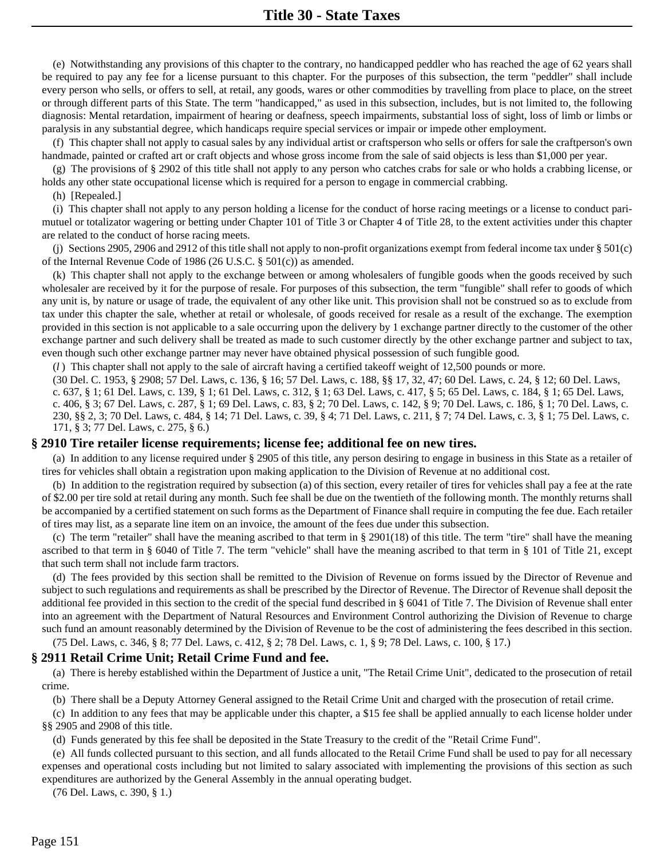(e) Notwithstanding any provisions of this chapter to the contrary, no handicapped peddler who has reached the age of 62 years shall be required to pay any fee for a license pursuant to this chapter. For the purposes of this subsection, the term "peddler" shall include every person who sells, or offers to sell, at retail, any goods, wares or other commodities by travelling from place to place, on the street or through different parts of this State. The term "handicapped," as used in this subsection, includes, but is not limited to, the following diagnosis: Mental retardation, impairment of hearing or deafness, speech impairments, substantial loss of sight, loss of limb or limbs or paralysis in any substantial degree, which handicaps require special services or impair or impede other employment.

(f) This chapter shall not apply to casual sales by any individual artist or craftsperson who sells or offers for sale the craftperson's own handmade, painted or crafted art or craft objects and whose gross income from the sale of said objects is less than \$1,000 per year.

(g) The provisions of § 2902 of this title shall not apply to any person who catches crabs for sale or who holds a crabbing license, or holds any other state occupational license which is required for a person to engage in commercial crabbing.

(h) [Repealed.]

(i) This chapter shall not apply to any person holding a license for the conduct of horse racing meetings or a license to conduct parimutuel or totalizator wagering or betting under Chapter 101 of Title 3 or Chapter 4 of Title 28, to the extent activities under this chapter are related to the conduct of horse racing meets.

(j) Sections 2905, 2906 and 2912 of this title shall not apply to non-profit organizations exempt from federal income tax under § 501(c) of the Internal Revenue Code of 1986 (26 U.S.C. § 501(c)) as amended.

(k) This chapter shall not apply to the exchange between or among wholesalers of fungible goods when the goods received by such wholesaler are received by it for the purpose of resale. For purposes of this subsection, the term "fungible" shall refer to goods of which any unit is, by nature or usage of trade, the equivalent of any other like unit. This provision shall not be construed so as to exclude from tax under this chapter the sale, whether at retail or wholesale, of goods received for resale as a result of the exchange. The exemption provided in this section is not applicable to a sale occurring upon the delivery by 1 exchange partner directly to the customer of the other exchange partner and such delivery shall be treated as made to such customer directly by the other exchange partner and subject to tax, even though such other exchange partner may never have obtained physical possession of such fungible good.

(*l* ) This chapter shall not apply to the sale of aircraft having a certified takeoff weight of 12,500 pounds or more.

(30 Del. C. 1953, § 2908; 57 Del. Laws, c. 136, § 16; 57 Del. Laws, c. 188, §§ 17, 32, 47; 60 Del. Laws, c. 24, § 12; 60 Del. Laws, c. 637, § 1; 61 Del. Laws, c. 139, § 1; 61 Del. Laws, c. 312, § 1; 63 Del. Laws, c. 417, § 5; 65 Del. Laws, c. 184, § 1; 65 Del. Laws, c. 406, § 3; 67 Del. Laws, c. 287, § 1; 69 Del. Laws, c. 83, § 2; 70 Del. Laws, c. 142, § 9; 70 Del. Laws, c. 186, § 1; 70 Del. Laws, c. 230, §§ 2, 3; 70 Del. Laws, c. 484, § 14; 71 Del. Laws, c. 39, § 4; 71 Del. Laws, c. 211, § 7; 74 Del. Laws, c. 3, § 1; 75 Del. Laws, c. 171, § 3; 77 Del. Laws, c. 275, § 6.)

#### **§ 2910 Tire retailer license requirements; license fee; additional fee on new tires.**

(a) In addition to any license required under § 2905 of this title, any person desiring to engage in business in this State as a retailer of tires for vehicles shall obtain a registration upon making application to the Division of Revenue at no additional cost.

(b) In addition to the registration required by subsection (a) of this section, every retailer of tires for vehicles shall pay a fee at the rate of \$2.00 per tire sold at retail during any month. Such fee shall be due on the twentieth of the following month. The monthly returns shall be accompanied by a certified statement on such forms as the Department of Finance shall require in computing the fee due. Each retailer of tires may list, as a separate line item on an invoice, the amount of the fees due under this subsection.

(c) The term "retailer" shall have the meaning ascribed to that term in § 2901(18) of this title. The term "tire" shall have the meaning ascribed to that term in § 6040 of Title 7. The term "vehicle" shall have the meaning ascribed to that term in § 101 of Title 21, except that such term shall not include farm tractors.

(d) The fees provided by this section shall be remitted to the Division of Revenue on forms issued by the Director of Revenue and subject to such regulations and requirements as shall be prescribed by the Director of Revenue. The Director of Revenue shall deposit the additional fee provided in this section to the credit of the special fund described in § 6041 of Title 7. The Division of Revenue shall enter into an agreement with the Department of Natural Resources and Environment Control authorizing the Division of Revenue to charge such fund an amount reasonably determined by the Division of Revenue to be the cost of administering the fees described in this section.

(75 Del. Laws, c. 346, § 8; 77 Del. Laws, c. 412, § 2; 78 Del. Laws, c. 1, § 9; 78 Del. Laws, c. 100, § 17.)

#### **§ 2911 Retail Crime Unit; Retail Crime Fund and fee.**

(a) There is hereby established within the Department of Justice a unit, "The Retail Crime Unit", dedicated to the prosecution of retail crime.

(b) There shall be a Deputy Attorney General assigned to the Retail Crime Unit and charged with the prosecution of retail crime.

(c) In addition to any fees that may be applicable under this chapter, a \$15 fee shall be applied annually to each license holder under §§ 2905 and 2908 of this title.

(d) Funds generated by this fee shall be deposited in the State Treasury to the credit of the "Retail Crime Fund".

(e) All funds collected pursuant to this section, and all funds allocated to the Retail Crime Fund shall be used to pay for all necessary expenses and operational costs including but not limited to salary associated with implementing the provisions of this section as such expenditures are authorized by the General Assembly in the annual operating budget.

(76 Del. Laws, c. 390, § 1.)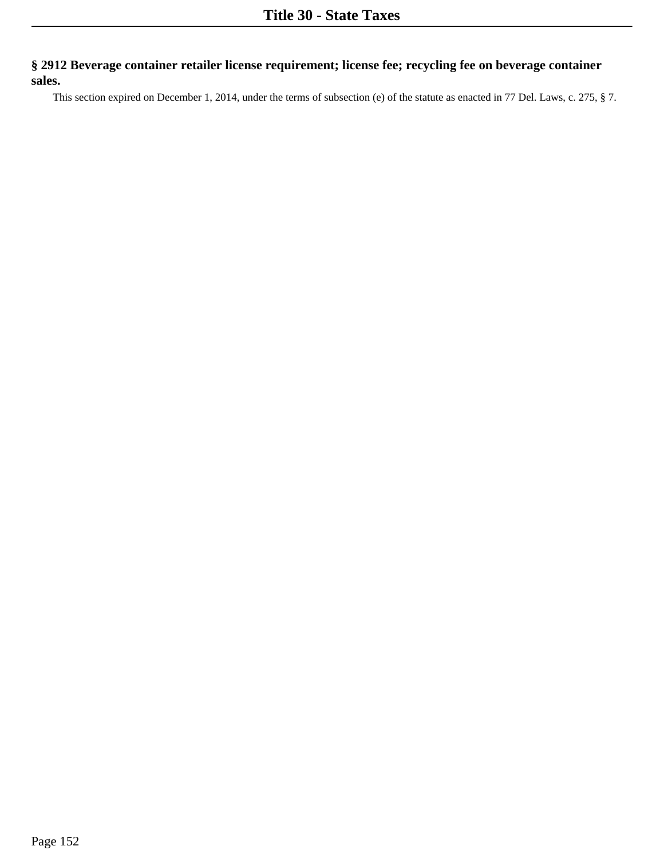**§ 2912 Beverage container retailer license requirement; license fee; recycling fee on beverage container sales.**

This section expired on December 1, 2014, under the terms of subsection (e) of the statute as enacted in 77 Del. Laws, c. 275, § 7.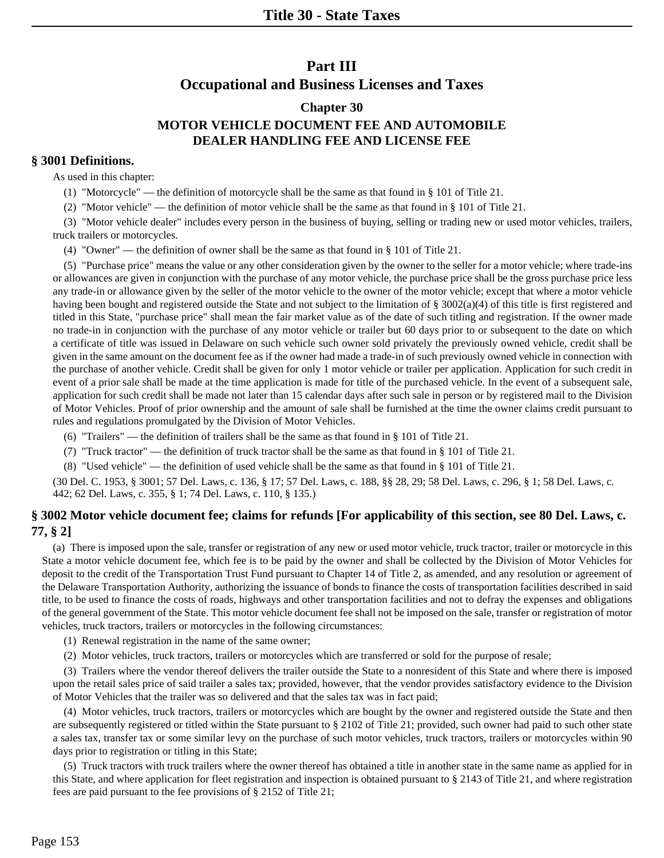# **Chapter 30 MOTOR VEHICLE DOCUMENT FEE AND AUTOMOBILE DEALER HANDLING FEE AND LICENSE FEE**

# **§ 3001 Definitions.**

As used in this chapter:

(1) "Motorcycle" — the definition of motorcycle shall be the same as that found in § 101 of Title 21.

(2) "Motor vehicle" — the definition of motor vehicle shall be the same as that found in § 101 of Title 21.

(3) "Motor vehicle dealer" includes every person in the business of buying, selling or trading new or used motor vehicles, trailers, truck trailers or motorcycles.

(4) "Owner" — the definition of owner shall be the same as that found in § 101 of Title 21.

(5) "Purchase price" means the value or any other consideration given by the owner to the seller for a motor vehicle; where trade-ins or allowances are given in conjunction with the purchase of any motor vehicle, the purchase price shall be the gross purchase price less any trade-in or allowance given by the seller of the motor vehicle to the owner of the motor vehicle; except that where a motor vehicle having been bought and registered outside the State and not subject to the limitation of § 3002(a)(4) of this title is first registered and titled in this State, "purchase price" shall mean the fair market value as of the date of such titling and registration. If the owner made no trade-in in conjunction with the purchase of any motor vehicle or trailer but 60 days prior to or subsequent to the date on which a certificate of title was issued in Delaware on such vehicle such owner sold privately the previously owned vehicle, credit shall be given in the same amount on the document fee as if the owner had made a trade-in of such previously owned vehicle in connection with the purchase of another vehicle. Credit shall be given for only 1 motor vehicle or trailer per application. Application for such credit in event of a prior sale shall be made at the time application is made for title of the purchased vehicle. In the event of a subsequent sale, application for such credit shall be made not later than 15 calendar days after such sale in person or by registered mail to the Division of Motor Vehicles. Proof of prior ownership and the amount of sale shall be furnished at the time the owner claims credit pursuant to rules and regulations promulgated by the Division of Motor Vehicles.

(6) "Trailers" — the definition of trailers shall be the same as that found in § 101 of Title 21.

- (7) "Truck tractor" the definition of truck tractor shall be the same as that found in § 101 of Title 21.
- (8) "Used vehicle" the definition of used vehicle shall be the same as that found in § 101 of Title 21.

(30 Del. C. 1953, § 3001; 57 Del. Laws, c. 136, § 17; 57 Del. Laws, c. 188, §§ 28, 29; 58 Del. Laws, c. 296, § 1; 58 Del. Laws, c. 442; 62 Del. Laws, c. 355, § 1; 74 Del. Laws, c. 110, § 135.)

# **§ 3002 Motor vehicle document fee; claims for refunds [For applicability of this section, see 80 Del. Laws, c. 77, § 2]**

(a) There is imposed upon the sale, transfer or registration of any new or used motor vehicle, truck tractor, trailer or motorcycle in this State a motor vehicle document fee, which fee is to be paid by the owner and shall be collected by the Division of Motor Vehicles for deposit to the credit of the Transportation Trust Fund pursuant to Chapter 14 of Title 2, as amended, and any resolution or agreement of the Delaware Transportation Authority, authorizing the issuance of bonds to finance the costs of transportation facilities described in said title, to be used to finance the costs of roads, highways and other transportation facilities and not to defray the expenses and obligations of the general government of the State. This motor vehicle document fee shall not be imposed on the sale, transfer or registration of motor vehicles, truck tractors, trailers or motorcycles in the following circumstances:

(1) Renewal registration in the name of the same owner;

(2) Motor vehicles, truck tractors, trailers or motorcycles which are transferred or sold for the purpose of resale;

(3) Trailers where the vendor thereof delivers the trailer outside the State to a nonresident of this State and where there is imposed upon the retail sales price of said trailer a sales tax; provided, however, that the vendor provides satisfactory evidence to the Division of Motor Vehicles that the trailer was so delivered and that the sales tax was in fact paid;

(4) Motor vehicles, truck tractors, trailers or motorcycles which are bought by the owner and registered outside the State and then are subsequently registered or titled within the State pursuant to § 2102 of Title 21; provided, such owner had paid to such other state a sales tax, transfer tax or some similar levy on the purchase of such motor vehicles, truck tractors, trailers or motorcycles within 90 days prior to registration or titling in this State;

(5) Truck tractors with truck trailers where the owner thereof has obtained a title in another state in the same name as applied for in this State, and where application for fleet registration and inspection is obtained pursuant to § 2143 of Title 21, and where registration fees are paid pursuant to the fee provisions of § 2152 of Title 21;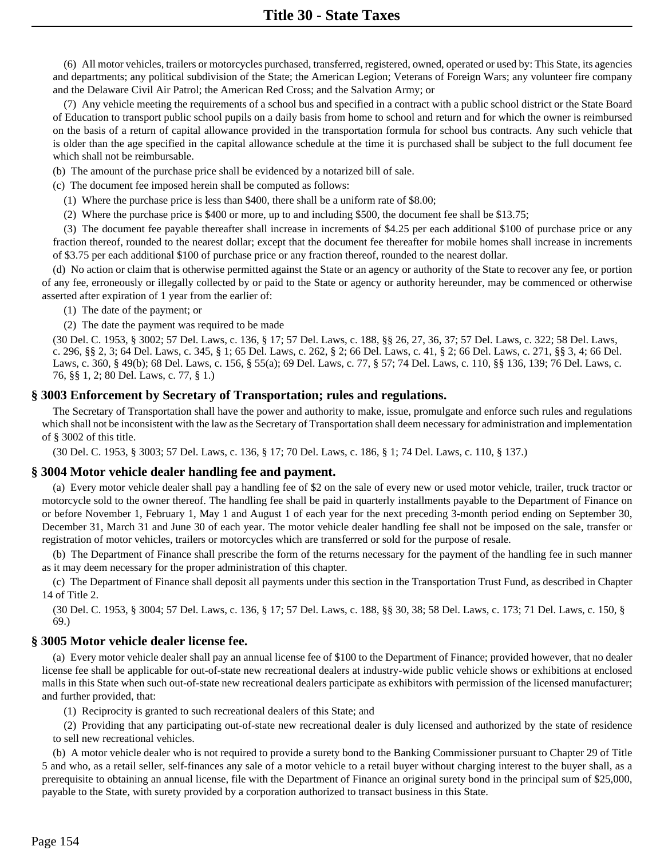(6) All motor vehicles, trailers or motorcycles purchased, transferred, registered, owned, operated or used by: This State, its agencies and departments; any political subdivision of the State; the American Legion; Veterans of Foreign Wars; any volunteer fire company and the Delaware Civil Air Patrol; the American Red Cross; and the Salvation Army; or

(7) Any vehicle meeting the requirements of a school bus and specified in a contract with a public school district or the State Board of Education to transport public school pupils on a daily basis from home to school and return and for which the owner is reimbursed on the basis of a return of capital allowance provided in the transportation formula for school bus contracts. Any such vehicle that is older than the age specified in the capital allowance schedule at the time it is purchased shall be subject to the full document fee which shall not be reimbursable.

(b) The amount of the purchase price shall be evidenced by a notarized bill of sale.

(c) The document fee imposed herein shall be computed as follows:

(1) Where the purchase price is less than \$400, there shall be a uniform rate of \$8.00;

(2) Where the purchase price is \$400 or more, up to and including \$500, the document fee shall be \$13.75;

(3) The document fee payable thereafter shall increase in increments of \$4.25 per each additional \$100 of purchase price or any fraction thereof, rounded to the nearest dollar; except that the document fee thereafter for mobile homes shall increase in increments of \$3.75 per each additional \$100 of purchase price or any fraction thereof, rounded to the nearest dollar.

(d) No action or claim that is otherwise permitted against the State or an agency or authority of the State to recover any fee, or portion of any fee, erroneously or illegally collected by or paid to the State or agency or authority hereunder, may be commenced or otherwise asserted after expiration of 1 year from the earlier of:

(1) The date of the payment; or

(2) The date the payment was required to be made

(30 Del. C. 1953, § 3002; 57 Del. Laws, c. 136, § 17; 57 Del. Laws, c. 188, §§ 26, 27, 36, 37; 57 Del. Laws, c. 322; 58 Del. Laws, c. 296, §§ 2, 3; 64 Del. Laws, c. 345, § 1; 65 Del. Laws, c. 262, § 2; 66 Del. Laws, c. 41, § 2; 66 Del. Laws, c. 271, §§ 3, 4; 66 Del. Laws, c. 360, § 49(b); 68 Del. Laws, c. 156, § 55(a); 69 Del. Laws, c. 77, § 57; 74 Del. Laws, c. 110, §§ 136, 139; 76 Del. Laws, c. 76, §§ 1, 2; 80 Del. Laws, c. 77, § 1.)

#### **§ 3003 Enforcement by Secretary of Transportation; rules and regulations.**

The Secretary of Transportation shall have the power and authority to make, issue, promulgate and enforce such rules and regulations which shall not be inconsistent with the law as the Secretary of Transportation shall deem necessary for administration and implementation of § 3002 of this title.

(30 Del. C. 1953, § 3003; 57 Del. Laws, c. 136, § 17; 70 Del. Laws, c. 186, § 1; 74 Del. Laws, c. 110, § 137.)

#### **§ 3004 Motor vehicle dealer handling fee and payment.**

(a) Every motor vehicle dealer shall pay a handling fee of \$2 on the sale of every new or used motor vehicle, trailer, truck tractor or motorcycle sold to the owner thereof. The handling fee shall be paid in quarterly installments payable to the Department of Finance on or before November 1, February 1, May 1 and August 1 of each year for the next preceding 3-month period ending on September 30, December 31, March 31 and June 30 of each year. The motor vehicle dealer handling fee shall not be imposed on the sale, transfer or registration of motor vehicles, trailers or motorcycles which are transferred or sold for the purpose of resale.

(b) The Department of Finance shall prescribe the form of the returns necessary for the payment of the handling fee in such manner as it may deem necessary for the proper administration of this chapter.

(c) The Department of Finance shall deposit all payments under this section in the Transportation Trust Fund, as described in Chapter 14 of Title 2.

(30 Del. C. 1953, § 3004; 57 Del. Laws, c. 136, § 17; 57 Del. Laws, c. 188, §§ 30, 38; 58 Del. Laws, c. 173; 71 Del. Laws, c. 150, § 69.)

# **§ 3005 Motor vehicle dealer license fee.**

(a) Every motor vehicle dealer shall pay an annual license fee of \$100 to the Department of Finance; provided however, that no dealer license fee shall be applicable for out-of-state new recreational dealers at industry-wide public vehicle shows or exhibitions at enclosed malls in this State when such out-of-state new recreational dealers participate as exhibitors with permission of the licensed manufacturer; and further provided, that:

(1) Reciprocity is granted to such recreational dealers of this State; and

(2) Providing that any participating out-of-state new recreational dealer is duly licensed and authorized by the state of residence to sell new recreational vehicles.

(b) A motor vehicle dealer who is not required to provide a surety bond to the Banking Commissioner pursuant to Chapter 29 of Title 5 and who, as a retail seller, self-finances any sale of a motor vehicle to a retail buyer without charging interest to the buyer shall, as a prerequisite to obtaining an annual license, file with the Department of Finance an original surety bond in the principal sum of \$25,000, payable to the State, with surety provided by a corporation authorized to transact business in this State.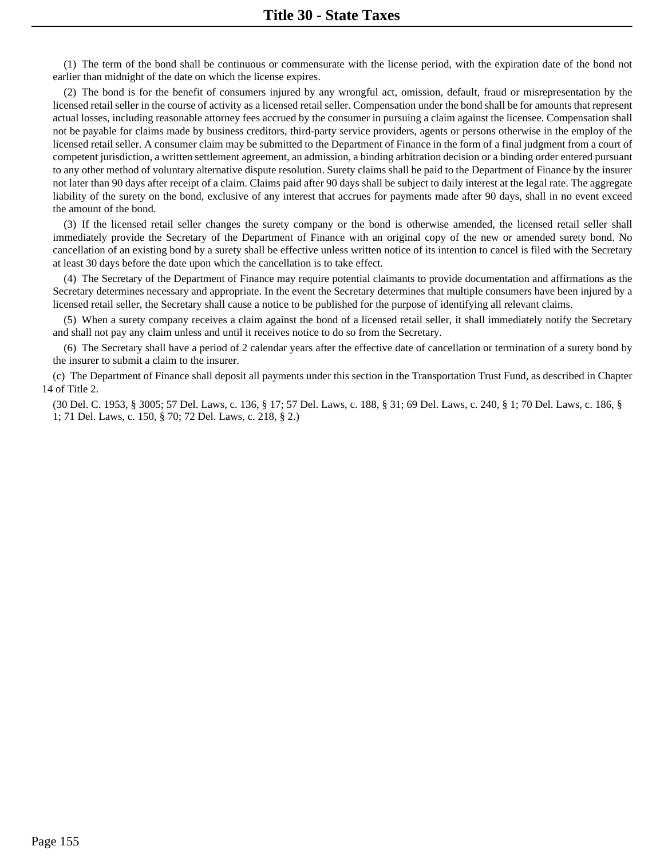(1) The term of the bond shall be continuous or commensurate with the license period, with the expiration date of the bond not earlier than midnight of the date on which the license expires.

(2) The bond is for the benefit of consumers injured by any wrongful act, omission, default, fraud or misrepresentation by the licensed retail seller in the course of activity as a licensed retail seller. Compensation under the bond shall be for amounts that represent actual losses, including reasonable attorney fees accrued by the consumer in pursuing a claim against the licensee. Compensation shall not be payable for claims made by business creditors, third-party service providers, agents or persons otherwise in the employ of the licensed retail seller. A consumer claim may be submitted to the Department of Finance in the form of a final judgment from a court of competent jurisdiction, a written settlement agreement, an admission, a binding arbitration decision or a binding order entered pursuant to any other method of voluntary alternative dispute resolution. Surety claims shall be paid to the Department of Finance by the insurer not later than 90 days after receipt of a claim. Claims paid after 90 days shall be subject to daily interest at the legal rate. The aggregate liability of the surety on the bond, exclusive of any interest that accrues for payments made after 90 days, shall in no event exceed the amount of the bond.

(3) If the licensed retail seller changes the surety company or the bond is otherwise amended, the licensed retail seller shall immediately provide the Secretary of the Department of Finance with an original copy of the new or amended surety bond. No cancellation of an existing bond by a surety shall be effective unless written notice of its intention to cancel is filed with the Secretary at least 30 days before the date upon which the cancellation is to take effect.

(4) The Secretary of the Department of Finance may require potential claimants to provide documentation and affirmations as the Secretary determines necessary and appropriate. In the event the Secretary determines that multiple consumers have been injured by a licensed retail seller, the Secretary shall cause a notice to be published for the purpose of identifying all relevant claims.

(5) When a surety company receives a claim against the bond of a licensed retail seller, it shall immediately notify the Secretary and shall not pay any claim unless and until it receives notice to do so from the Secretary.

(6) The Secretary shall have a period of 2 calendar years after the effective date of cancellation or termination of a surety bond by the insurer to submit a claim to the insurer.

(c) The Department of Finance shall deposit all payments under this section in the Transportation Trust Fund, as described in Chapter 14 of Title 2.

(30 Del. C. 1953, § 3005; 57 Del. Laws, c. 136, § 17; 57 Del. Laws, c. 188, § 31; 69 Del. Laws, c. 240, § 1; 70 Del. Laws, c. 186, § 1; 71 Del. Laws, c. 150, § 70; 72 Del. Laws, c. 218, § 2.)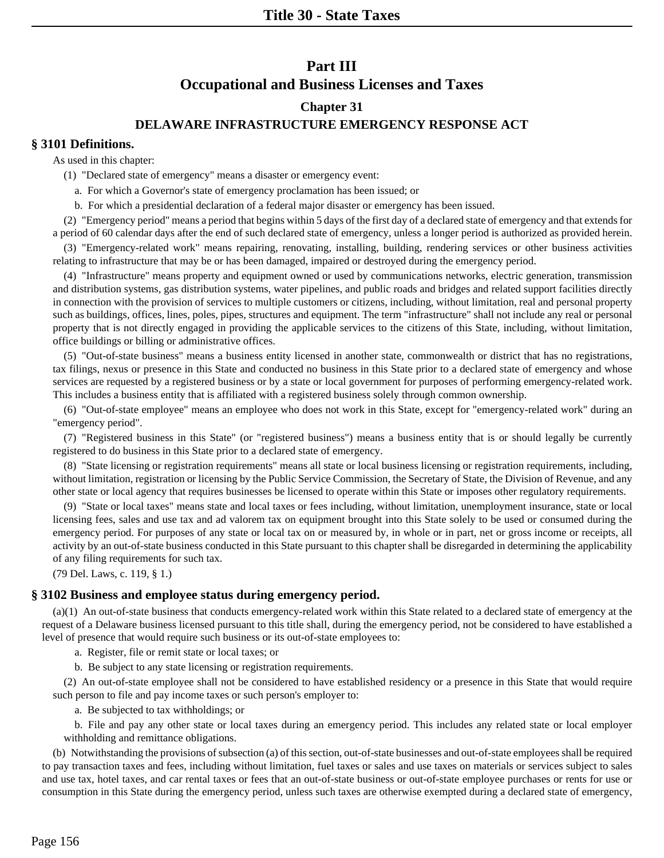# **Chapter 31**

# **DELAWARE INFRASTRUCTURE EMERGENCY RESPONSE ACT**

# **§ 3101 Definitions.**

As used in this chapter:

(1) "Declared state of emergency" means a disaster or emergency event:

- a. For which a Governor's state of emergency proclamation has been issued; or
- b. For which a presidential declaration of a federal major disaster or emergency has been issued.

(2) "Emergency period" means a period that begins within 5 days of the first day of a declared state of emergency and that extends for a period of 60 calendar days after the end of such declared state of emergency, unless a longer period is authorized as provided herein.

(3) "Emergency-related work" means repairing, renovating, installing, building, rendering services or other business activities relating to infrastructure that may be or has been damaged, impaired or destroyed during the emergency period.

(4) "Infrastructure" means property and equipment owned or used by communications networks, electric generation, transmission and distribution systems, gas distribution systems, water pipelines, and public roads and bridges and related support facilities directly in connection with the provision of services to multiple customers or citizens, including, without limitation, real and personal property such as buildings, offices, lines, poles, pipes, structures and equipment. The term "infrastructure" shall not include any real or personal property that is not directly engaged in providing the applicable services to the citizens of this State, including, without limitation, office buildings or billing or administrative offices.

(5) "Out-of-state business" means a business entity licensed in another state, commonwealth or district that has no registrations, tax filings, nexus or presence in this State and conducted no business in this State prior to a declared state of emergency and whose services are requested by a registered business or by a state or local government for purposes of performing emergency-related work. This includes a business entity that is affiliated with a registered business solely through common ownership.

(6) "Out-of-state employee" means an employee who does not work in this State, except for "emergency-related work" during an "emergency period".

(7) "Registered business in this State" (or "registered business") means a business entity that is or should legally be currently registered to do business in this State prior to a declared state of emergency.

(8) "State licensing or registration requirements" means all state or local business licensing or registration requirements, including, without limitation, registration or licensing by the Public Service Commission, the Secretary of State, the Division of Revenue, and any other state or local agency that requires businesses be licensed to operate within this State or imposes other regulatory requirements.

(9) "State or local taxes" means state and local taxes or fees including, without limitation, unemployment insurance, state or local licensing fees, sales and use tax and ad valorem tax on equipment brought into this State solely to be used or consumed during the emergency period. For purposes of any state or local tax on or measured by, in whole or in part, net or gross income or receipts, all activity by an out-of-state business conducted in this State pursuant to this chapter shall be disregarded in determining the applicability of any filing requirements for such tax.

(79 Del. Laws, c. 119, § 1.)

# **§ 3102 Business and employee status during emergency period.**

(a)(1) An out-of-state business that conducts emergency-related work within this State related to a declared state of emergency at the request of a Delaware business licensed pursuant to this title shall, during the emergency period, not be considered to have established a level of presence that would require such business or its out-of-state employees to:

a. Register, file or remit state or local taxes; or

b. Be subject to any state licensing or registration requirements.

(2) An out-of-state employee shall not be considered to have established residency or a presence in this State that would require such person to file and pay income taxes or such person's employer to:

a. Be subjected to tax withholdings; or

b. File and pay any other state or local taxes during an emergency period. This includes any related state or local employer withholding and remittance obligations.

(b) Notwithstanding the provisions of subsection (a) of this section, out-of-state businesses and out-of-state employees shall be required to pay transaction taxes and fees, including without limitation, fuel taxes or sales and use taxes on materials or services subject to sales and use tax, hotel taxes, and car rental taxes or fees that an out-of-state business or out-of-state employee purchases or rents for use or consumption in this State during the emergency period, unless such taxes are otherwise exempted during a declared state of emergency,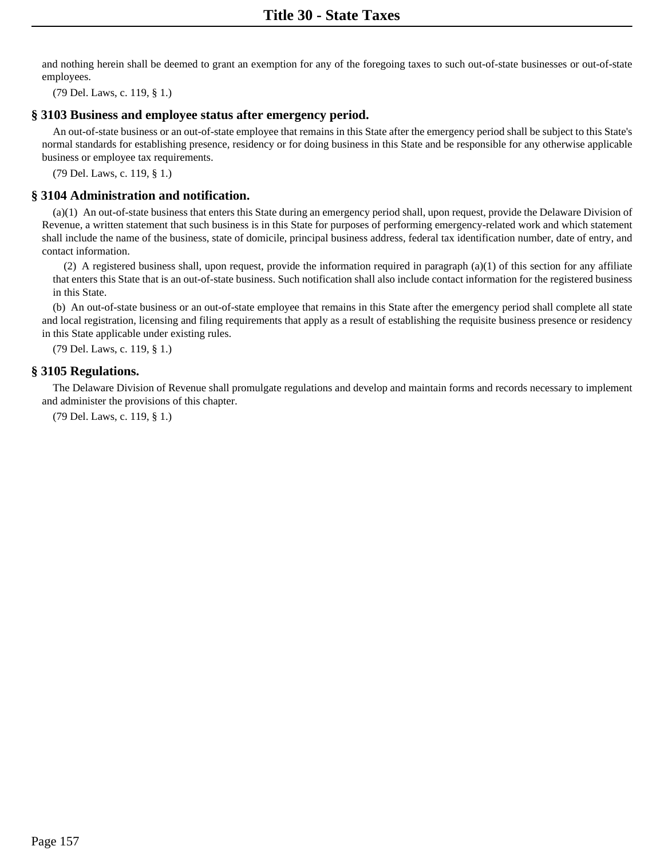and nothing herein shall be deemed to grant an exemption for any of the foregoing taxes to such out-of-state businesses or out-of-state employees.

(79 Del. Laws, c. 119, § 1.)

# **§ 3103 Business and employee status after emergency period.**

An out-of-state business or an out-of-state employee that remains in this State after the emergency period shall be subject to this State's normal standards for establishing presence, residency or for doing business in this State and be responsible for any otherwise applicable business or employee tax requirements.

(79 Del. Laws, c. 119, § 1.)

# **§ 3104 Administration and notification.**

(a)(1) An out-of-state business that enters this State during an emergency period shall, upon request, provide the Delaware Division of Revenue, a written statement that such business is in this State for purposes of performing emergency-related work and which statement shall include the name of the business, state of domicile, principal business address, federal tax identification number, date of entry, and contact information.

(2) A registered business shall, upon request, provide the information required in paragraph (a)(1) of this section for any affiliate that enters this State that is an out-of-state business. Such notification shall also include contact information for the registered business in this State.

(b) An out-of-state business or an out-of-state employee that remains in this State after the emergency period shall complete all state and local registration, licensing and filing requirements that apply as a result of establishing the requisite business presence or residency in this State applicable under existing rules.

(79 Del. Laws, c. 119, § 1.)

# **§ 3105 Regulations.**

The Delaware Division of Revenue shall promulgate regulations and develop and maintain forms and records necessary to implement and administer the provisions of this chapter.

(79 Del. Laws, c. 119, § 1.)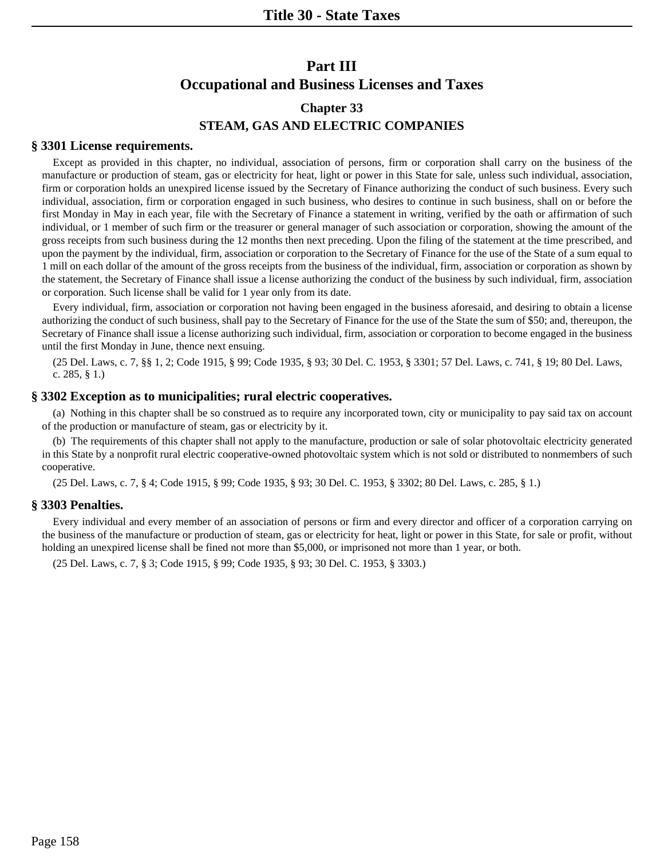# **Chapter 33 STEAM, GAS AND ELECTRIC COMPANIES**

# **§ 3301 License requirements.**

Except as provided in this chapter, no individual, association of persons, firm or corporation shall carry on the business of the manufacture or production of steam, gas or electricity for heat, light or power in this State for sale, unless such individual, association, firm or corporation holds an unexpired license issued by the Secretary of Finance authorizing the conduct of such business. Every such individual, association, firm or corporation engaged in such business, who desires to continue in such business, shall on or before the first Monday in May in each year, file with the Secretary of Finance a statement in writing, verified by the oath or affirmation of such individual, or 1 member of such firm or the treasurer or general manager of such association or corporation, showing the amount of the gross receipts from such business during the 12 months then next preceding. Upon the filing of the statement at the time prescribed, and upon the payment by the individual, firm, association or corporation to the Secretary of Finance for the use of the State of a sum equal to 1 mill on each dollar of the amount of the gross receipts from the business of the individual, firm, association or corporation as shown by the statement, the Secretary of Finance shall issue a license authorizing the conduct of the business by such individual, firm, association or corporation. Such license shall be valid for 1 year only from its date.

Every individual, firm, association or corporation not having been engaged in the business aforesaid, and desiring to obtain a license authorizing the conduct of such business, shall pay to the Secretary of Finance for the use of the State the sum of \$50; and, thereupon, the Secretary of Finance shall issue a license authorizing such individual, firm, association or corporation to become engaged in the business until the first Monday in June, thence next ensuing.

(25 Del. Laws, c. 7, §§ 1, 2; Code 1915, § 99; Code 1935, § 93; 30 Del. C. 1953, § 3301; 57 Del. Laws, c. 741, § 19; 80 Del. Laws, c. 285, § 1.)

# **§ 3302 Exception as to municipalities; rural electric cooperatives.**

(a) Nothing in this chapter shall be so construed as to require any incorporated town, city or municipality to pay said tax on account of the production or manufacture of steam, gas or electricity by it.

(b) The requirements of this chapter shall not apply to the manufacture, production or sale of solar photovoltaic electricity generated in this State by a nonprofit rural electric cooperative-owned photovoltaic system which is not sold or distributed to nonmembers of such cooperative.

(25 Del. Laws, c. 7, § 4; Code 1915, § 99; Code 1935, § 93; 30 Del. C. 1953, § 3302; 80 Del. Laws, c. 285, § 1.)

# **§ 3303 Penalties.**

Every individual and every member of an association of persons or firm and every director and officer of a corporation carrying on the business of the manufacture or production of steam, gas or electricity for heat, light or power in this State, for sale or profit, without holding an unexpired license shall be fined not more than \$5,000, or imprisoned not more than 1 year, or both.

(25 Del. Laws, c. 7, § 3; Code 1915, § 99; Code 1935, § 93; 30 Del. C. 1953, § 3303.)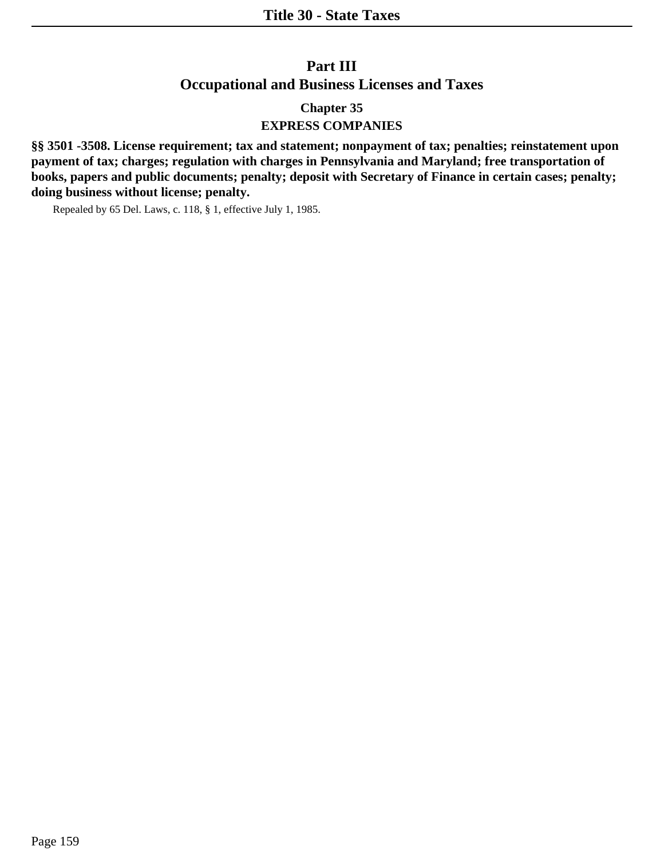# **Chapter 35 EXPRESS COMPANIES**

**§§ 3501 -3508. License requirement; tax and statement; nonpayment of tax; penalties; reinstatement upon payment of tax; charges; regulation with charges in Pennsylvania and Maryland; free transportation of books, papers and public documents; penalty; deposit with Secretary of Finance in certain cases; penalty; doing business without license; penalty.**

Repealed by 65 Del. Laws, c. 118, § 1, effective July 1, 1985.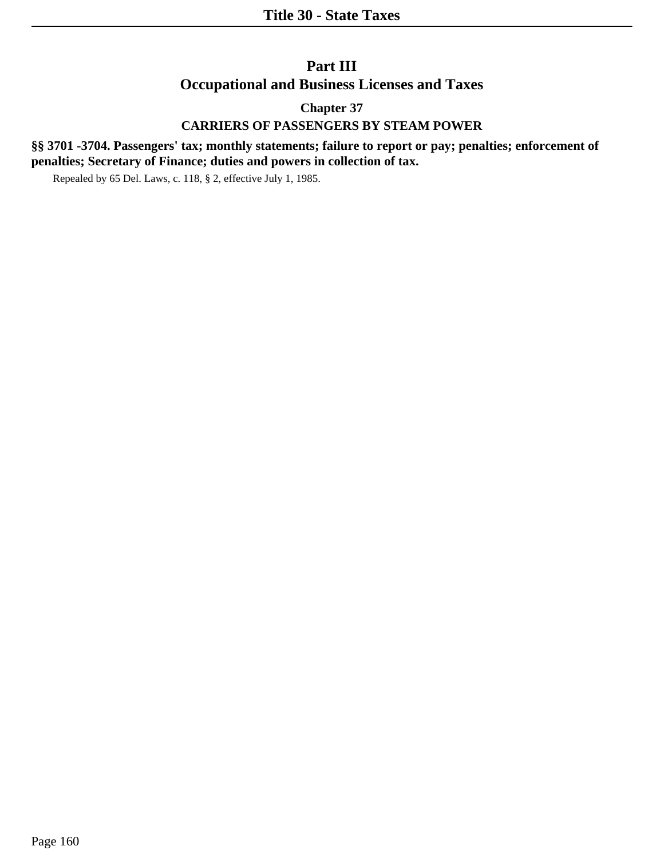# **Chapter 37**

# **CARRIERS OF PASSENGERS BY STEAM POWER**

# **§§ 3701 -3704. Passengers' tax; monthly statements; failure to report or pay; penalties; enforcement of penalties; Secretary of Finance; duties and powers in collection of tax.**

Repealed by 65 Del. Laws, c. 118, § 2, effective July 1, 1985.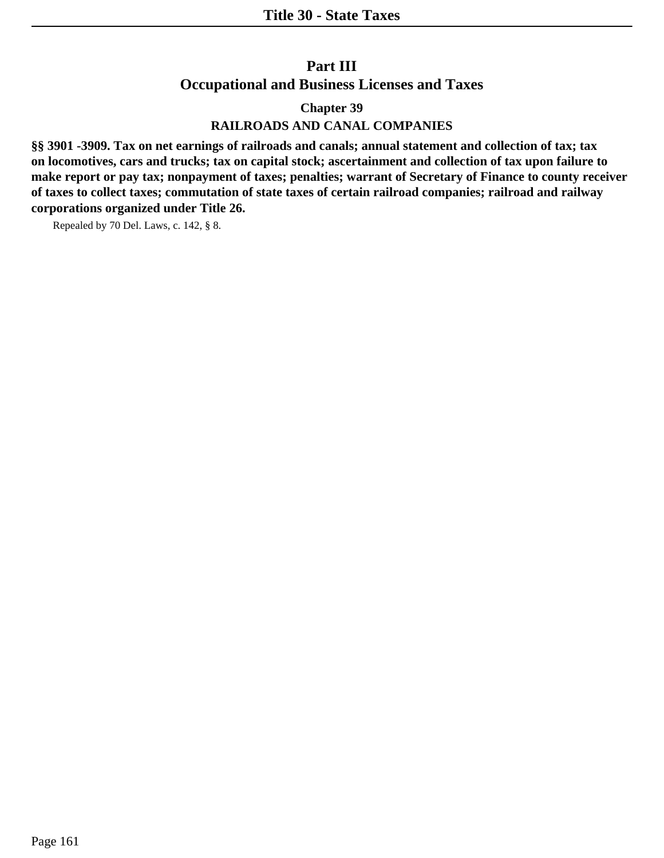# **Chapter 39 RAILROADS AND CANAL COMPANIES**

**§§ 3901 -3909. Tax on net earnings of railroads and canals; annual statement and collection of tax; tax on locomotives, cars and trucks; tax on capital stock; ascertainment and collection of tax upon failure to make report or pay tax; nonpayment of taxes; penalties; warrant of Secretary of Finance to county receiver of taxes to collect taxes; commutation of state taxes of certain railroad companies; railroad and railway corporations organized under Title 26.**

Repealed by 70 Del. Laws, c. 142, § 8.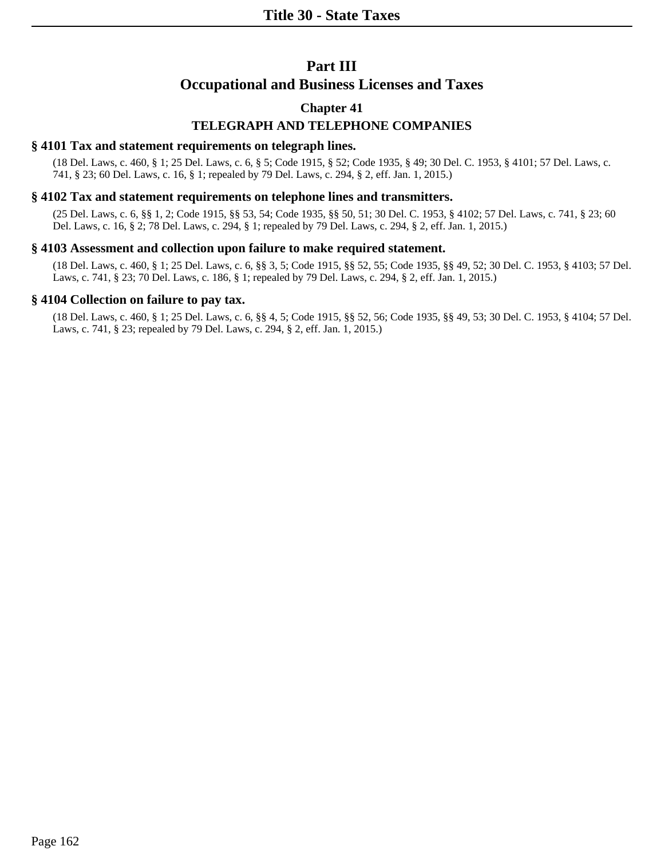# **Chapter 41**

# **TELEGRAPH AND TELEPHONE COMPANIES**

# **§ 4101 Tax and statement requirements on telegraph lines.**

(18 Del. Laws, c. 460, § 1; 25 Del. Laws, c. 6, § 5; Code 1915, § 52; Code 1935, § 49; 30 Del. C. 1953, § 4101; 57 Del. Laws, c. 741, § 23; 60 Del. Laws, c. 16, § 1; repealed by 79 Del. Laws, c. 294, § 2, eff. Jan. 1, 2015.)

# **§ 4102 Tax and statement requirements on telephone lines and transmitters.**

(25 Del. Laws, c. 6, §§ 1, 2; Code 1915, §§ 53, 54; Code 1935, §§ 50, 51; 30 Del. C. 1953, § 4102; 57 Del. Laws, c. 741, § 23; 60 Del. Laws, c. 16, § 2; 78 Del. Laws, c. 294, § 1; repealed by 79 Del. Laws, c. 294, § 2, eff. Jan. 1, 2015.)

# **§ 4103 Assessment and collection upon failure to make required statement.**

(18 Del. Laws, c. 460, § 1; 25 Del. Laws, c. 6, §§ 3, 5; Code 1915, §§ 52, 55; Code 1935, §§ 49, 52; 30 Del. C. 1953, § 4103; 57 Del. Laws, c. 741, § 23; 70 Del. Laws, c. 186, § 1; repealed by 79 Del. Laws, c. 294, § 2, eff. Jan. 1, 2015.)

# **§ 4104 Collection on failure to pay tax.**

(18 Del. Laws, c. 460, § 1; 25 Del. Laws, c. 6, §§ 4, 5; Code 1915, §§ 52, 56; Code 1935, §§ 49, 53; 30 Del. C. 1953, § 4104; 57 Del. Laws, c. 741, § 23; repealed by 79 Del. Laws, c. 294, § 2, eff. Jan. 1, 2015.)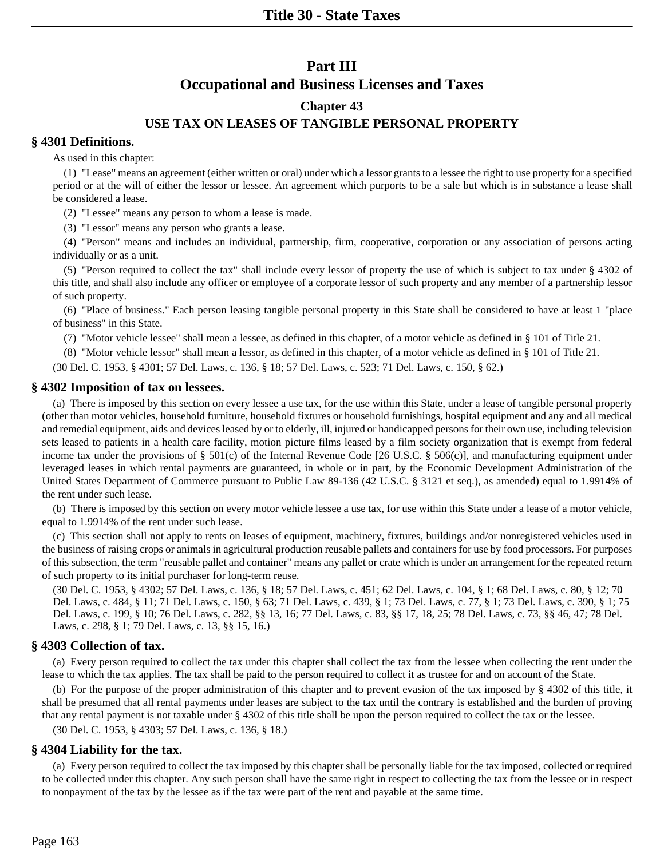# **Chapter 43**

# **USE TAX ON LEASES OF TANGIBLE PERSONAL PROPERTY**

# **§ 4301 Definitions.**

As used in this chapter:

(1) "Lease" means an agreement (either written or oral) under which a lessor grants to a lessee the right to use property for a specified period or at the will of either the lessor or lessee. An agreement which purports to be a sale but which is in substance a lease shall be considered a lease.

(2) "Lessee" means any person to whom a lease is made.

(3) "Lessor" means any person who grants a lease.

(4) "Person" means and includes an individual, partnership, firm, cooperative, corporation or any association of persons acting individually or as a unit.

(5) "Person required to collect the tax" shall include every lessor of property the use of which is subject to tax under § 4302 of this title, and shall also include any officer or employee of a corporate lessor of such property and any member of a partnership lessor of such property.

(6) "Place of business." Each person leasing tangible personal property in this State shall be considered to have at least 1 "place of business" in this State.

(7) "Motor vehicle lessee" shall mean a lessee, as defined in this chapter, of a motor vehicle as defined in § 101 of Title 21.

(8) "Motor vehicle lessor" shall mean a lessor, as defined in this chapter, of a motor vehicle as defined in § 101 of Title 21.

(30 Del. C. 1953, § 4301; 57 Del. Laws, c. 136, § 18; 57 Del. Laws, c. 523; 71 Del. Laws, c. 150, § 62.)

# **§ 4302 Imposition of tax on lessees.**

(a) There is imposed by this section on every lessee a use tax, for the use within this State, under a lease of tangible personal property (other than motor vehicles, household furniture, household fixtures or household furnishings, hospital equipment and any and all medical and remedial equipment, aids and devices leased by or to elderly, ill, injured or handicapped persons for their own use, including television sets leased to patients in a health care facility, motion picture films leased by a film society organization that is exempt from federal income tax under the provisions of § 501(c) of the Internal Revenue Code [26 U.S.C. § 506(c)], and manufacturing equipment under leveraged leases in which rental payments are guaranteed, in whole or in part, by the Economic Development Administration of the United States Department of Commerce pursuant to Public Law 89-136 (42 U.S.C. § 3121 et seq.), as amended) equal to 1.9914% of the rent under such lease.

(b) There is imposed by this section on every motor vehicle lessee a use tax, for use within this State under a lease of a motor vehicle, equal to 1.9914% of the rent under such lease.

(c) This section shall not apply to rents on leases of equipment, machinery, fixtures, buildings and/or nonregistered vehicles used in the business of raising crops or animals in agricultural production reusable pallets and containers for use by food processors. For purposes of this subsection, the term "reusable pallet and container" means any pallet or crate which is under an arrangement for the repeated return of such property to its initial purchaser for long-term reuse.

(30 Del. C. 1953, § 4302; 57 Del. Laws, c. 136, § 18; 57 Del. Laws, c. 451; 62 Del. Laws, c. 104, § 1; 68 Del. Laws, c. 80, § 12; 70 Del. Laws, c. 484, § 11; 71 Del. Laws, c. 150, § 63; 71 Del. Laws, c. 439, § 1; 73 Del. Laws, c. 77, § 1; 73 Del. Laws, c. 390, § 1; 75 Del. Laws, c. 199, § 10; 76 Del. Laws, c. 282, §§ 13, 16; 77 Del. Laws, c. 83, §§ 17, 18, 25; 78 Del. Laws, c. 73, §§ 46, 47; 78 Del. Laws, c. 298, § 1; 79 Del. Laws, c. 13, §§ 15, 16.)

# **§ 4303 Collection of tax.**

(a) Every person required to collect the tax under this chapter shall collect the tax from the lessee when collecting the rent under the lease to which the tax applies. The tax shall be paid to the person required to collect it as trustee for and on account of the State.

(b) For the purpose of the proper administration of this chapter and to prevent evasion of the tax imposed by § 4302 of this title, it shall be presumed that all rental payments under leases are subject to the tax until the contrary is established and the burden of proving that any rental payment is not taxable under § 4302 of this title shall be upon the person required to collect the tax or the lessee.

(30 Del. C. 1953, § 4303; 57 Del. Laws, c. 136, § 18.)

# **§ 4304 Liability for the tax.**

(a) Every person required to collect the tax imposed by this chapter shall be personally liable for the tax imposed, collected or required to be collected under this chapter. Any such person shall have the same right in respect to collecting the tax from the lessee or in respect to nonpayment of the tax by the lessee as if the tax were part of the rent and payable at the same time.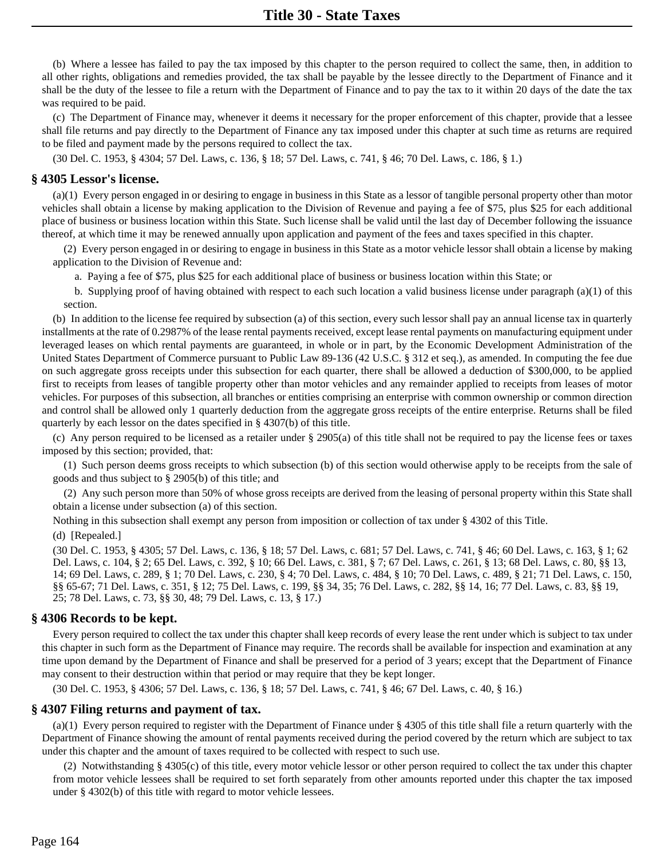(b) Where a lessee has failed to pay the tax imposed by this chapter to the person required to collect the same, then, in addition to all other rights, obligations and remedies provided, the tax shall be payable by the lessee directly to the Department of Finance and it shall be the duty of the lessee to file a return with the Department of Finance and to pay the tax to it within 20 days of the date the tax was required to be paid.

(c) The Department of Finance may, whenever it deems it necessary for the proper enforcement of this chapter, provide that a lessee shall file returns and pay directly to the Department of Finance any tax imposed under this chapter at such time as returns are required to be filed and payment made by the persons required to collect the tax.

(30 Del. C. 1953, § 4304; 57 Del. Laws, c. 136, § 18; 57 Del. Laws, c. 741, § 46; 70 Del. Laws, c. 186, § 1.)

#### **§ 4305 Lessor's license.**

(a)(1) Every person engaged in or desiring to engage in business in this State as a lessor of tangible personal property other than motor vehicles shall obtain a license by making application to the Division of Revenue and paying a fee of \$75, plus \$25 for each additional place of business or business location within this State. Such license shall be valid until the last day of December following the issuance thereof, at which time it may be renewed annually upon application and payment of the fees and taxes specified in this chapter.

(2) Every person engaged in or desiring to engage in business in this State as a motor vehicle lessor shall obtain a license by making application to the Division of Revenue and:

a. Paying a fee of \$75, plus \$25 for each additional place of business or business location within this State; or

b. Supplying proof of having obtained with respect to each such location a valid business license under paragraph (a)(1) of this section.

(b) In addition to the license fee required by subsection (a) of this section, every such lessor shall pay an annual license tax in quarterly installments at the rate of 0.2987% of the lease rental payments received, except lease rental payments on manufacturing equipment under leveraged leases on which rental payments are guaranteed, in whole or in part, by the Economic Development Administration of the United States Department of Commerce pursuant to Public Law 89-136 (42 U.S.C. § 312 et seq.), as amended. In computing the fee due on such aggregate gross receipts under this subsection for each quarter, there shall be allowed a deduction of \$300,000, to be applied first to receipts from leases of tangible property other than motor vehicles and any remainder applied to receipts from leases of motor vehicles. For purposes of this subsection, all branches or entities comprising an enterprise with common ownership or common direction and control shall be allowed only 1 quarterly deduction from the aggregate gross receipts of the entire enterprise. Returns shall be filed quarterly by each lessor on the dates specified in § 4307(b) of this title.

(c) Any person required to be licensed as a retailer under § 2905(a) of this title shall not be required to pay the license fees or taxes imposed by this section; provided, that:

(1) Such person deems gross receipts to which subsection (b) of this section would otherwise apply to be receipts from the sale of goods and thus subject to § 2905(b) of this title; and

(2) Any such person more than 50% of whose gross receipts are derived from the leasing of personal property within this State shall obtain a license under subsection (a) of this section.

Nothing in this subsection shall exempt any person from imposition or collection of tax under § 4302 of this Title.

(d) [Repealed.]

(30 Del. C. 1953, § 4305; 57 Del. Laws, c. 136, § 18; 57 Del. Laws, c. 681; 57 Del. Laws, c. 741, § 46; 60 Del. Laws, c. 163, § 1; 62 Del. Laws, c. 104, § 2; 65 Del. Laws, c. 392, § 10; 66 Del. Laws, c. 381, § 7; 67 Del. Laws, c. 261, § 13; 68 Del. Laws, c. 80, §§ 13, 14; 69 Del. Laws, c. 289, § 1; 70 Del. Laws, c. 230, § 4; 70 Del. Laws, c. 484, § 10; 70 Del. Laws, c. 489, § 21; 71 Del. Laws, c. 150, §§ 65-67; 71 Del. Laws, c. 351, § 12; 75 Del. Laws, c. 199, §§ 34, 35; 76 Del. Laws, c. 282, §§ 14, 16; 77 Del. Laws, c. 83, §§ 19, 25; 78 Del. Laws, c. 73, §§ 30, 48; 79 Del. Laws, c. 13, § 17.)

# **§ 4306 Records to be kept.**

Every person required to collect the tax under this chapter shall keep records of every lease the rent under which is subject to tax under this chapter in such form as the Department of Finance may require. The records shall be available for inspection and examination at any time upon demand by the Department of Finance and shall be preserved for a period of 3 years; except that the Department of Finance may consent to their destruction within that period or may require that they be kept longer.

(30 Del. C. 1953, § 4306; 57 Del. Laws, c. 136, § 18; 57 Del. Laws, c. 741, § 46; 67 Del. Laws, c. 40, § 16.)

# **§ 4307 Filing returns and payment of tax.**

(a)(1) Every person required to register with the Department of Finance under  $\S$  4305 of this title shall file a return quarterly with the Department of Finance showing the amount of rental payments received during the period covered by the return which are subject to tax under this chapter and the amount of taxes required to be collected with respect to such use.

(2) Notwithstanding § 4305(c) of this title, every motor vehicle lessor or other person required to collect the tax under this chapter from motor vehicle lessees shall be required to set forth separately from other amounts reported under this chapter the tax imposed under § 4302(b) of this title with regard to motor vehicle lessees.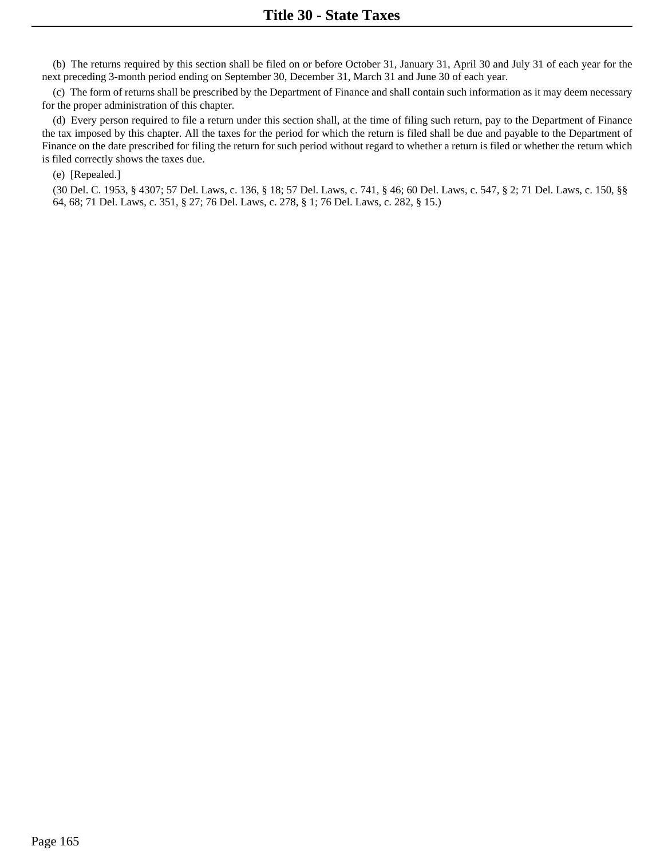(b) The returns required by this section shall be filed on or before October 31, January 31, April 30 and July 31 of each year for the next preceding 3-month period ending on September 30, December 31, March 31 and June 30 of each year.

(c) The form of returns shall be prescribed by the Department of Finance and shall contain such information as it may deem necessary for the proper administration of this chapter.

(d) Every person required to file a return under this section shall, at the time of filing such return, pay to the Department of Finance the tax imposed by this chapter. All the taxes for the period for which the return is filed shall be due and payable to the Department of Finance on the date prescribed for filing the return for such period without regard to whether a return is filed or whether the return which is filed correctly shows the taxes due.

(e) [Repealed.]

(30 Del. C. 1953, § 4307; 57 Del. Laws, c. 136, § 18; 57 Del. Laws, c. 741, § 46; 60 Del. Laws, c. 547, § 2; 71 Del. Laws, c. 150, §§ 64, 68; 71 Del. Laws, c. 351, § 27; 76 Del. Laws, c. 278, § 1; 76 Del. Laws, c. 282, § 15.)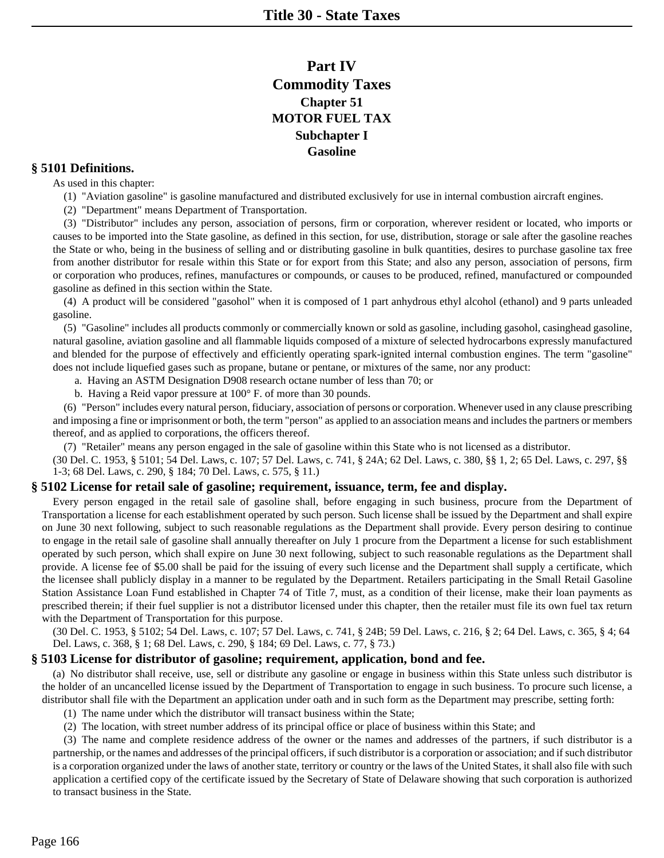# **Part IV Commodity Taxes Chapter 51 MOTOR FUEL TAX Subchapter I Gasoline**

# **§ 5101 Definitions.**

As used in this chapter:

- (1) "Aviation gasoline" is gasoline manufactured and distributed exclusively for use in internal combustion aircraft engines.
- (2) "Department" means Department of Transportation.

(3) "Distributor" includes any person, association of persons, firm or corporation, wherever resident or located, who imports or causes to be imported into the State gasoline, as defined in this section, for use, distribution, storage or sale after the gasoline reaches the State or who, being in the business of selling and or distributing gasoline in bulk quantities, desires to purchase gasoline tax free from another distributor for resale within this State or for export from this State; and also any person, association of persons, firm or corporation who produces, refines, manufactures or compounds, or causes to be produced, refined, manufactured or compounded gasoline as defined in this section within the State.

(4) A product will be considered "gasohol" when it is composed of 1 part anhydrous ethyl alcohol (ethanol) and 9 parts unleaded gasoline.

(5) "Gasoline" includes all products commonly or commercially known or sold as gasoline, including gasohol, casinghead gasoline, natural gasoline, aviation gasoline and all flammable liquids composed of a mixture of selected hydrocarbons expressly manufactured and blended for the purpose of effectively and efficiently operating spark-ignited internal combustion engines. The term "gasoline" does not include liquefied gases such as propane, butane or pentane, or mixtures of the same, nor any product:

a. Having an ASTM Designation D908 research octane number of less than 70; or

b. Having a Reid vapor pressure at 100° F. of more than 30 pounds.

(6) "Person" includes every natural person, fiduciary, association of persons or corporation. Whenever used in any clause prescribing and imposing a fine or imprisonment or both, the term "person" as applied to an association means and includes the partners or members thereof, and as applied to corporations, the officers thereof.

(7) "Retailer" means any person engaged in the sale of gasoline within this State who is not licensed as a distributor.

(30 Del. C. 1953, § 5101; 54 Del. Laws, c. 107; 57 Del. Laws, c. 741, § 24A; 62 Del. Laws, c. 380, §§ 1, 2; 65 Del. Laws, c. 297, §§ 1-3; 68 Del. Laws, c. 290, § 184; 70 Del. Laws, c. 575, § 11.)

# **§ 5102 License for retail sale of gasoline; requirement, issuance, term, fee and display.**

Every person engaged in the retail sale of gasoline shall, before engaging in such business, procure from the Department of Transportation a license for each establishment operated by such person. Such license shall be issued by the Department and shall expire on June 30 next following, subject to such reasonable regulations as the Department shall provide. Every person desiring to continue to engage in the retail sale of gasoline shall annually thereafter on July 1 procure from the Department a license for such establishment operated by such person, which shall expire on June 30 next following, subject to such reasonable regulations as the Department shall provide. A license fee of \$5.00 shall be paid for the issuing of every such license and the Department shall supply a certificate, which the licensee shall publicly display in a manner to be regulated by the Department. Retailers participating in the Small Retail Gasoline Station Assistance Loan Fund established in Chapter 74 of Title 7, must, as a condition of their license, make their loan payments as prescribed therein; if their fuel supplier is not a distributor licensed under this chapter, then the retailer must file its own fuel tax return with the Department of Transportation for this purpose.

(30 Del. C. 1953, § 5102; 54 Del. Laws, c. 107; 57 Del. Laws, c. 741, § 24B; 59 Del. Laws, c. 216, § 2; 64 Del. Laws, c. 365, § 4; 64 Del. Laws, c. 368, § 1; 68 Del. Laws, c. 290, § 184; 69 Del. Laws, c. 77, § 73.)

# **§ 5103 License for distributor of gasoline; requirement, application, bond and fee.**

(a) No distributor shall receive, use, sell or distribute any gasoline or engage in business within this State unless such distributor is the holder of an uncancelled license issued by the Department of Transportation to engage in such business. To procure such license, a distributor shall file with the Department an application under oath and in such form as the Department may prescribe, setting forth:

(1) The name under which the distributor will transact business within the State;

(2) The location, with street number address of its principal office or place of business within this State; and

(3) The name and complete residence address of the owner or the names and addresses of the partners, if such distributor is a partnership, or the names and addresses of the principal officers, if such distributor is a corporation or association; and if such distributor is a corporation organized under the laws of another state, territory or country or the laws of the United States, it shall also file with such application a certified copy of the certificate issued by the Secretary of State of Delaware showing that such corporation is authorized to transact business in the State.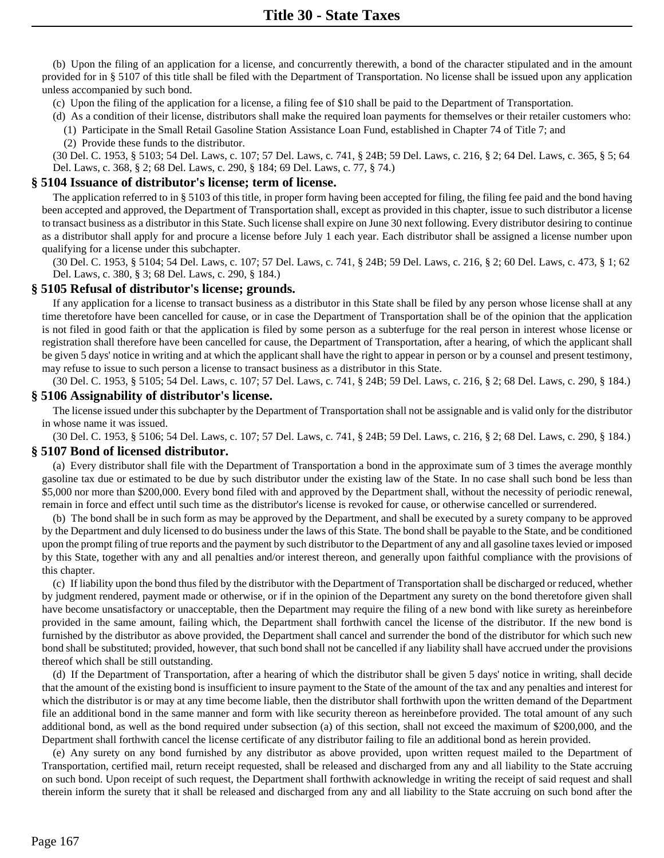(b) Upon the filing of an application for a license, and concurrently therewith, a bond of the character stipulated and in the amount provided for in § 5107 of this title shall be filed with the Department of Transportation. No license shall be issued upon any application unless accompanied by such bond.

- (c) Upon the filing of the application for a license, a filing fee of \$10 shall be paid to the Department of Transportation.
- (d) As a condition of their license, distributors shall make the required loan payments for themselves or their retailer customers who: (1) Participate in the Small Retail Gasoline Station Assistance Loan Fund, established in Chapter 74 of Title 7; and
- (2) Provide these funds to the distributor.

(30 Del. C. 1953, § 5103; 54 Del. Laws, c. 107; 57 Del. Laws, c. 741, § 24B; 59 Del. Laws, c. 216, § 2; 64 Del. Laws, c. 365, § 5; 64 Del. Laws, c. 368, § 2; 68 Del. Laws, c. 290, § 184; 69 Del. Laws, c. 77, § 74.)

#### **§ 5104 Issuance of distributor's license; term of license.**

The application referred to in § 5103 of this title, in proper form having been accepted for filing, the filing fee paid and the bond having been accepted and approved, the Department of Transportation shall, except as provided in this chapter, issue to such distributor a license to transact business as a distributor in this State. Such license shall expire on June 30 next following. Every distributor desiring to continue as a distributor shall apply for and procure a license before July 1 each year. Each distributor shall be assigned a license number upon qualifying for a license under this subchapter.

(30 Del. C. 1953, § 5104; 54 Del. Laws, c. 107; 57 Del. Laws, c. 741, § 24B; 59 Del. Laws, c. 216, § 2; 60 Del. Laws, c. 473, § 1; 62 Del. Laws, c. 380, § 3; 68 Del. Laws, c. 290, § 184.)

#### **§ 5105 Refusal of distributor's license; grounds.**

If any application for a license to transact business as a distributor in this State shall be filed by any person whose license shall at any time theretofore have been cancelled for cause, or in case the Department of Transportation shall be of the opinion that the application is not filed in good faith or that the application is filed by some person as a subterfuge for the real person in interest whose license or registration shall therefore have been cancelled for cause, the Department of Transportation, after a hearing, of which the applicant shall be given 5 days' notice in writing and at which the applicant shall have the right to appear in person or by a counsel and present testimony, may refuse to issue to such person a license to transact business as a distributor in this State.

(30 Del. C. 1953, § 5105; 54 Del. Laws, c. 107; 57 Del. Laws, c. 741, § 24B; 59 Del. Laws, c. 216, § 2; 68 Del. Laws, c. 290, § 184.) **§ 5106 Assignability of distributor's license.**

The license issued under this subchapter by the Department of Transportation shall not be assignable and is valid only for the distributor in whose name it was issued.

(30 Del. C. 1953, § 5106; 54 Del. Laws, c. 107; 57 Del. Laws, c. 741, § 24B; 59 Del. Laws, c. 216, § 2; 68 Del. Laws, c. 290, § 184.) **§ 5107 Bond of licensed distributor.**

(a) Every distributor shall file with the Department of Transportation a bond in the approximate sum of 3 times the average monthly gasoline tax due or estimated to be due by such distributor under the existing law of the State. In no case shall such bond be less than \$5,000 nor more than \$200,000. Every bond filed with and approved by the Department shall, without the necessity of periodic renewal, remain in force and effect until such time as the distributor's license is revoked for cause, or otherwise cancelled or surrendered.

(b) The bond shall be in such form as may be approved by the Department, and shall be executed by a surety company to be approved by the Department and duly licensed to do business under the laws of this State. The bond shall be payable to the State, and be conditioned upon the prompt filing of true reports and the payment by such distributor to the Department of any and all gasoline taxes levied or imposed by this State, together with any and all penalties and/or interest thereon, and generally upon faithful compliance with the provisions of this chapter.

(c) If liability upon the bond thus filed by the distributor with the Department of Transportation shall be discharged or reduced, whether by judgment rendered, payment made or otherwise, or if in the opinion of the Department any surety on the bond theretofore given shall have become unsatisfactory or unacceptable, then the Department may require the filing of a new bond with like surety as hereinbefore provided in the same amount, failing which, the Department shall forthwith cancel the license of the distributor. If the new bond is furnished by the distributor as above provided, the Department shall cancel and surrender the bond of the distributor for which such new bond shall be substituted; provided, however, that such bond shall not be cancelled if any liability shall have accrued under the provisions thereof which shall be still outstanding.

(d) If the Department of Transportation, after a hearing of which the distributor shall be given 5 days' notice in writing, shall decide that the amount of the existing bond is insufficient to insure payment to the State of the amount of the tax and any penalties and interest for which the distributor is or may at any time become liable, then the distributor shall forthwith upon the written demand of the Department file an additional bond in the same manner and form with like security thereon as hereinbefore provided. The total amount of any such additional bond, as well as the bond required under subsection (a) of this section, shall not exceed the maximum of \$200,000, and the Department shall forthwith cancel the license certificate of any distributor failing to file an additional bond as herein provided.

(e) Any surety on any bond furnished by any distributor as above provided, upon written request mailed to the Department of Transportation, certified mail, return receipt requested, shall be released and discharged from any and all liability to the State accruing on such bond. Upon receipt of such request, the Department shall forthwith acknowledge in writing the receipt of said request and shall therein inform the surety that it shall be released and discharged from any and all liability to the State accruing on such bond after the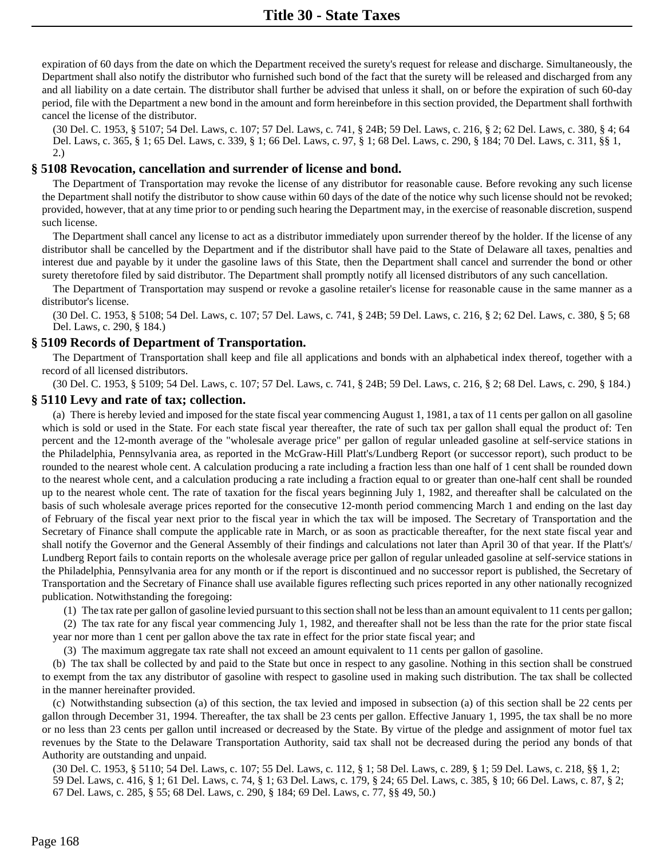expiration of 60 days from the date on which the Department received the surety's request for release and discharge. Simultaneously, the Department shall also notify the distributor who furnished such bond of the fact that the surety will be released and discharged from any and all liability on a date certain. The distributor shall further be advised that unless it shall, on or before the expiration of such 60-day period, file with the Department a new bond in the amount and form hereinbefore in this section provided, the Department shall forthwith cancel the license of the distributor.

(30 Del. C. 1953, § 5107; 54 Del. Laws, c. 107; 57 Del. Laws, c. 741, § 24B; 59 Del. Laws, c. 216, § 2; 62 Del. Laws, c. 380, § 4; 64 Del. Laws, c. 365, § 1; 65 Del. Laws, c. 339, § 1; 66 Del. Laws, c. 97, § 1; 68 Del. Laws, c. 290, § 184; 70 Del. Laws, c. 311, §§ 1, 2.)

# **§ 5108 Revocation, cancellation and surrender of license and bond.**

The Department of Transportation may revoke the license of any distributor for reasonable cause. Before revoking any such license the Department shall notify the distributor to show cause within 60 days of the date of the notice why such license should not be revoked; provided, however, that at any time prior to or pending such hearing the Department may, in the exercise of reasonable discretion, suspend such license.

The Department shall cancel any license to act as a distributor immediately upon surrender thereof by the holder. If the license of any distributor shall be cancelled by the Department and if the distributor shall have paid to the State of Delaware all taxes, penalties and interest due and payable by it under the gasoline laws of this State, then the Department shall cancel and surrender the bond or other surety theretofore filed by said distributor. The Department shall promptly notify all licensed distributors of any such cancellation.

The Department of Transportation may suspend or revoke a gasoline retailer's license for reasonable cause in the same manner as a distributor's license.

(30 Del. C. 1953, § 5108; 54 Del. Laws, c. 107; 57 Del. Laws, c. 741, § 24B; 59 Del. Laws, c. 216, § 2; 62 Del. Laws, c. 380, § 5; 68 Del. Laws, c. 290, § 184.)

#### **§ 5109 Records of Department of Transportation.**

The Department of Transportation shall keep and file all applications and bonds with an alphabetical index thereof, together with a record of all licensed distributors.

(30 Del. C. 1953, § 5109; 54 Del. Laws, c. 107; 57 Del. Laws, c. 741, § 24B; 59 Del. Laws, c. 216, § 2; 68 Del. Laws, c. 290, § 184.)

#### **§ 5110 Levy and rate of tax; collection.**

(a) There is hereby levied and imposed for the state fiscal year commencing August 1, 1981, a tax of 11 cents per gallon on all gasoline which is sold or used in the State. For each state fiscal year thereafter, the rate of such tax per gallon shall equal the product of: Ten percent and the 12-month average of the "wholesale average price" per gallon of regular unleaded gasoline at self-service stations in the Philadelphia, Pennsylvania area, as reported in the McGraw-Hill Platt's/Lundberg Report (or successor report), such product to be rounded to the nearest whole cent. A calculation producing a rate including a fraction less than one half of 1 cent shall be rounded down to the nearest whole cent, and a calculation producing a rate including a fraction equal to or greater than one-half cent shall be rounded up to the nearest whole cent. The rate of taxation for the fiscal years beginning July 1, 1982, and thereafter shall be calculated on the basis of such wholesale average prices reported for the consecutive 12-month period commencing March 1 and ending on the last day of February of the fiscal year next prior to the fiscal year in which the tax will be imposed. The Secretary of Transportation and the Secretary of Finance shall compute the applicable rate in March, or as soon as practicable thereafter, for the next state fiscal year and shall notify the Governor and the General Assembly of their findings and calculations not later than April 30 of that year. If the Platt's/ Lundberg Report fails to contain reports on the wholesale average price per gallon of regular unleaded gasoline at self-service stations in the Philadelphia, Pennsylvania area for any month or if the report is discontinued and no successor report is published, the Secretary of Transportation and the Secretary of Finance shall use available figures reflecting such prices reported in any other nationally recognized publication. Notwithstanding the foregoing:

(1) The tax rate per gallon of gasoline levied pursuant to this section shall not be less than an amount equivalent to 11 cents per gallon;

(2) The tax rate for any fiscal year commencing July 1, 1982, and thereafter shall not be less than the rate for the prior state fiscal year nor more than 1 cent per gallon above the tax rate in effect for the prior state fiscal year; and

(3) The maximum aggregate tax rate shall not exceed an amount equivalent to 11 cents per gallon of gasoline.

(b) The tax shall be collected by and paid to the State but once in respect to any gasoline. Nothing in this section shall be construed to exempt from the tax any distributor of gasoline with respect to gasoline used in making such distribution. The tax shall be collected in the manner hereinafter provided.

(c) Notwithstanding subsection (a) of this section, the tax levied and imposed in subsection (a) of this section shall be 22 cents per gallon through December 31, 1994. Thereafter, the tax shall be 23 cents per gallon. Effective January 1, 1995, the tax shall be no more or no less than 23 cents per gallon until increased or decreased by the State. By virtue of the pledge and assignment of motor fuel tax revenues by the State to the Delaware Transportation Authority, said tax shall not be decreased during the period any bonds of that Authority are outstanding and unpaid.

(30 Del. C. 1953, § 5110; 54 Del. Laws, c. 107; 55 Del. Laws, c. 112, § 1; 58 Del. Laws, c. 289, § 1; 59 Del. Laws, c. 218, §§ 1, 2; 59 Del. Laws, c. 416, § 1; 61 Del. Laws, c. 74, § 1; 63 Del. Laws, c. 179, § 24; 65 Del. Laws, c. 385, § 10; 66 Del. Laws, c. 87, § 2; 67 Del. Laws, c. 285, § 55; 68 Del. Laws, c. 290, § 184; 69 Del. Laws, c. 77, §§ 49, 50.)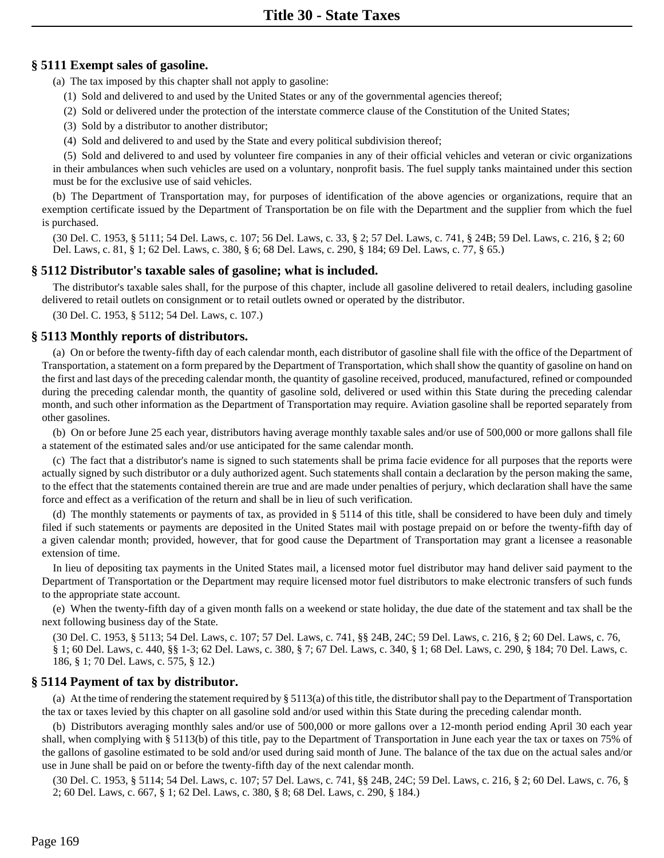# **§ 5111 Exempt sales of gasoline.**

- (a) The tax imposed by this chapter shall not apply to gasoline:
	- (1) Sold and delivered to and used by the United States or any of the governmental agencies thereof;
	- (2) Sold or delivered under the protection of the interstate commerce clause of the Constitution of the United States;
	- (3) Sold by a distributor to another distributor;
	- (4) Sold and delivered to and used by the State and every political subdivision thereof;

(5) Sold and delivered to and used by volunteer fire companies in any of their official vehicles and veteran or civic organizations in their ambulances when such vehicles are used on a voluntary, nonprofit basis. The fuel supply tanks maintained under this section must be for the exclusive use of said vehicles.

(b) The Department of Transportation may, for purposes of identification of the above agencies or organizations, require that an exemption certificate issued by the Department of Transportation be on file with the Department and the supplier from which the fuel is purchased.

(30 Del. C. 1953, § 5111; 54 Del. Laws, c. 107; 56 Del. Laws, c. 33, § 2; 57 Del. Laws, c. 741, § 24B; 59 Del. Laws, c. 216, § 2; 60 Del. Laws, c. 81, § 1; 62 Del. Laws, c. 380, § 6; 68 Del. Laws, c. 290, § 184; 69 Del. Laws, c. 77, § 65.)

# **§ 5112 Distributor's taxable sales of gasoline; what is included.**

The distributor's taxable sales shall, for the purpose of this chapter, include all gasoline delivered to retail dealers, including gasoline delivered to retail outlets on consignment or to retail outlets owned or operated by the distributor.

(30 Del. C. 1953, § 5112; 54 Del. Laws, c. 107.)

# **§ 5113 Monthly reports of distributors.**

(a) On or before the twenty-fifth day of each calendar month, each distributor of gasoline shall file with the office of the Department of Transportation, a statement on a form prepared by the Department of Transportation, which shall show the quantity of gasoline on hand on the first and last days of the preceding calendar month, the quantity of gasoline received, produced, manufactured, refined or compounded during the preceding calendar month, the quantity of gasoline sold, delivered or used within this State during the preceding calendar month, and such other information as the Department of Transportation may require. Aviation gasoline shall be reported separately from other gasolines.

(b) On or before June 25 each year, distributors having average monthly taxable sales and/or use of 500,000 or more gallons shall file a statement of the estimated sales and/or use anticipated for the same calendar month.

(c) The fact that a distributor's name is signed to such statements shall be prima facie evidence for all purposes that the reports were actually signed by such distributor or a duly authorized agent. Such statements shall contain a declaration by the person making the same, to the effect that the statements contained therein are true and are made under penalties of perjury, which declaration shall have the same force and effect as a verification of the return and shall be in lieu of such verification.

(d) The monthly statements or payments of tax, as provided in § 5114 of this title, shall be considered to have been duly and timely filed if such statements or payments are deposited in the United States mail with postage prepaid on or before the twenty-fifth day of a given calendar month; provided, however, that for good cause the Department of Transportation may grant a licensee a reasonable extension of time.

In lieu of depositing tax payments in the United States mail, a licensed motor fuel distributor may hand deliver said payment to the Department of Transportation or the Department may require licensed motor fuel distributors to make electronic transfers of such funds to the appropriate state account.

(e) When the twenty-fifth day of a given month falls on a weekend or state holiday, the due date of the statement and tax shall be the next following business day of the State.

(30 Del. C. 1953, § 5113; 54 Del. Laws, c. 107; 57 Del. Laws, c. 741, §§ 24B, 24C; 59 Del. Laws, c. 216, § 2; 60 Del. Laws, c. 76, § 1; 60 Del. Laws, c. 440, §§ 1-3; 62 Del. Laws, c. 380, § 7; 67 Del. Laws, c. 340, § 1; 68 Del. Laws, c. 290, § 184; 70 Del. Laws, c. 186, § 1; 70 Del. Laws, c. 575, § 12.)

# **§ 5114 Payment of tax by distributor.**

(a) At the time of rendering the statement required by § 5113(a) of this title, the distributor shall pay to the Department of Transportation the tax or taxes levied by this chapter on all gasoline sold and/or used within this State during the preceding calendar month.

(b) Distributors averaging monthly sales and/or use of 500,000 or more gallons over a 12-month period ending April 30 each year shall, when complying with § 5113(b) of this title, pay to the Department of Transportation in June each year the tax or taxes on 75% of the gallons of gasoline estimated to be sold and/or used during said month of June. The balance of the tax due on the actual sales and/or use in June shall be paid on or before the twenty-fifth day of the next calendar month.

(30 Del. C. 1953, § 5114; 54 Del. Laws, c. 107; 57 Del. Laws, c. 741, §§ 24B, 24C; 59 Del. Laws, c. 216, § 2; 60 Del. Laws, c. 76, § 2; 60 Del. Laws, c. 667, § 1; 62 Del. Laws, c. 380, § 8; 68 Del. Laws, c. 290, § 184.)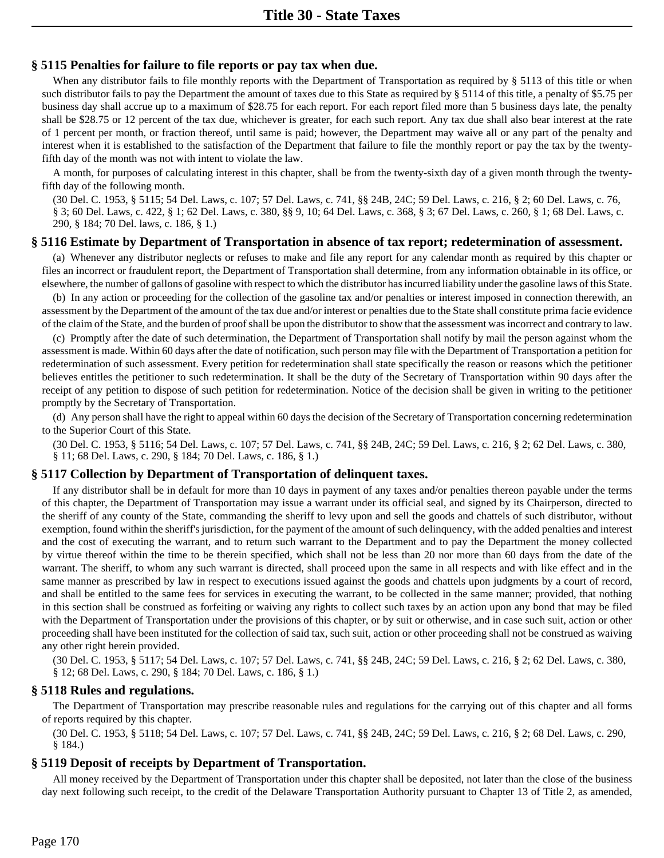# **§ 5115 Penalties for failure to file reports or pay tax when due.**

When any distributor fails to file monthly reports with the Department of Transportation as required by § 5113 of this title or when such distributor fails to pay the Department the amount of taxes due to this State as required by § 5114 of this title, a penalty of \$5.75 per business day shall accrue up to a maximum of \$28.75 for each report. For each report filed more than 5 business days late, the penalty shall be \$28.75 or 12 percent of the tax due, whichever is greater, for each such report. Any tax due shall also bear interest at the rate of 1 percent per month, or fraction thereof, until same is paid; however, the Department may waive all or any part of the penalty and interest when it is established to the satisfaction of the Department that failure to file the monthly report or pay the tax by the twentyfifth day of the month was not with intent to violate the law.

A month, for purposes of calculating interest in this chapter, shall be from the twenty-sixth day of a given month through the twentyfifth day of the following month.

(30 Del. C. 1953, § 5115; 54 Del. Laws, c. 107; 57 Del. Laws, c. 741, §§ 24B, 24C; 59 Del. Laws, c. 216, § 2; 60 Del. Laws, c. 76, § 3; 60 Del. Laws, c. 422, § 1; 62 Del. Laws, c. 380, §§ 9, 10; 64 Del. Laws, c. 368, § 3; 67 Del. Laws, c. 260, § 1; 68 Del. Laws, c. 290, § 184; 70 Del. laws, c. 186, § 1.)

#### **§ 5116 Estimate by Department of Transportation in absence of tax report; redetermination of assessment.**

(a) Whenever any distributor neglects or refuses to make and file any report for any calendar month as required by this chapter or files an incorrect or fraudulent report, the Department of Transportation shall determine, from any information obtainable in its office, or elsewhere, the number of gallons of gasoline with respect to which the distributor has incurred liability under the gasoline laws of this State.

(b) In any action or proceeding for the collection of the gasoline tax and/or penalties or interest imposed in connection therewith, an assessment by the Department of the amount of the tax due and/or interest or penalties due to the State shall constitute prima facie evidence of the claim of the State, and the burden of proof shall be upon the distributor to show that the assessment was incorrect and contrary to law.

(c) Promptly after the date of such determination, the Department of Transportation shall notify by mail the person against whom the assessment is made. Within 60 days after the date of notification, such person may file with the Department of Transportation a petition for redetermination of such assessment. Every petition for redetermination shall state specifically the reason or reasons which the petitioner believes entitles the petitioner to such redetermination. It shall be the duty of the Secretary of Transportation within 90 days after the receipt of any petition to dispose of such petition for redetermination. Notice of the decision shall be given in writing to the petitioner promptly by the Secretary of Transportation.

(d) Any person shall have the right to appeal within 60 days the decision of the Secretary of Transportation concerning redetermination to the Superior Court of this State.

(30 Del. C. 1953, § 5116; 54 Del. Laws, c. 107; 57 Del. Laws, c. 741, §§ 24B, 24C; 59 Del. Laws, c. 216, § 2; 62 Del. Laws, c. 380, § 11; 68 Del. Laws, c. 290, § 184; 70 Del. Laws, c. 186, § 1.)

# **§ 5117 Collection by Department of Transportation of delinquent taxes.**

If any distributor shall be in default for more than 10 days in payment of any taxes and/or penalties thereon payable under the terms of this chapter, the Department of Transportation may issue a warrant under its official seal, and signed by its Chairperson, directed to the sheriff of any county of the State, commanding the sheriff to levy upon and sell the goods and chattels of such distributor, without exemption, found within the sheriff's jurisdiction, for the payment of the amount of such delinquency, with the added penalties and interest and the cost of executing the warrant, and to return such warrant to the Department and to pay the Department the money collected by virtue thereof within the time to be therein specified, which shall not be less than 20 nor more than 60 days from the date of the warrant. The sheriff, to whom any such warrant is directed, shall proceed upon the same in all respects and with like effect and in the same manner as prescribed by law in respect to executions issued against the goods and chattels upon judgments by a court of record, and shall be entitled to the same fees for services in executing the warrant, to be collected in the same manner; provided, that nothing in this section shall be construed as forfeiting or waiving any rights to collect such taxes by an action upon any bond that may be filed with the Department of Transportation under the provisions of this chapter, or by suit or otherwise, and in case such suit, action or other proceeding shall have been instituted for the collection of said tax, such suit, action or other proceeding shall not be construed as waiving any other right herein provided.

(30 Del. C. 1953, § 5117; 54 Del. Laws, c. 107; 57 Del. Laws, c. 741, §§ 24B, 24C; 59 Del. Laws, c. 216, § 2; 62 Del. Laws, c. 380, § 12; 68 Del. Laws, c. 290, § 184; 70 Del. Laws, c. 186, § 1.)

#### **§ 5118 Rules and regulations.**

The Department of Transportation may prescribe reasonable rules and regulations for the carrying out of this chapter and all forms of reports required by this chapter.

(30 Del. C. 1953, § 5118; 54 Del. Laws, c. 107; 57 Del. Laws, c. 741, §§ 24B, 24C; 59 Del. Laws, c. 216, § 2; 68 Del. Laws, c. 290, § 184.)

# **§ 5119 Deposit of receipts by Department of Transportation.**

All money received by the Department of Transportation under this chapter shall be deposited, not later than the close of the business day next following such receipt, to the credit of the Delaware Transportation Authority pursuant to Chapter 13 of Title 2, as amended,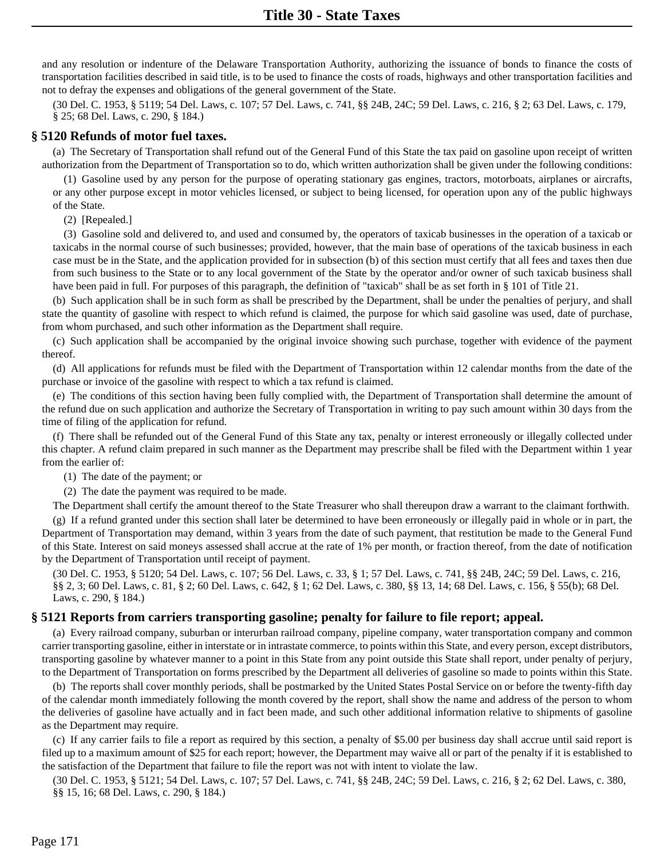and any resolution or indenture of the Delaware Transportation Authority, authorizing the issuance of bonds to finance the costs of transportation facilities described in said title, is to be used to finance the costs of roads, highways and other transportation facilities and not to defray the expenses and obligations of the general government of the State.

(30 Del. C. 1953, § 5119; 54 Del. Laws, c. 107; 57 Del. Laws, c. 741, §§ 24B, 24C; 59 Del. Laws, c. 216, § 2; 63 Del. Laws, c. 179, § 25; 68 Del. Laws, c. 290, § 184.)

# **§ 5120 Refunds of motor fuel taxes.**

(a) The Secretary of Transportation shall refund out of the General Fund of this State the tax paid on gasoline upon receipt of written authorization from the Department of Transportation so to do, which written authorization shall be given under the following conditions:

(1) Gasoline used by any person for the purpose of operating stationary gas engines, tractors, motorboats, airplanes or aircrafts, or any other purpose except in motor vehicles licensed, or subject to being licensed, for operation upon any of the public highways of the State.

(2) [Repealed.]

(3) Gasoline sold and delivered to, and used and consumed by, the operators of taxicab businesses in the operation of a taxicab or taxicabs in the normal course of such businesses; provided, however, that the main base of operations of the taxicab business in each case must be in the State, and the application provided for in subsection (b) of this section must certify that all fees and taxes then due from such business to the State or to any local government of the State by the operator and/or owner of such taxicab business shall have been paid in full. For purposes of this paragraph, the definition of "taxicab" shall be as set forth in § 101 of Title 21.

(b) Such application shall be in such form as shall be prescribed by the Department, shall be under the penalties of perjury, and shall state the quantity of gasoline with respect to which refund is claimed, the purpose for which said gasoline was used, date of purchase, from whom purchased, and such other information as the Department shall require.

(c) Such application shall be accompanied by the original invoice showing such purchase, together with evidence of the payment thereof.

(d) All applications for refunds must be filed with the Department of Transportation within 12 calendar months from the date of the purchase or invoice of the gasoline with respect to which a tax refund is claimed.

(e) The conditions of this section having been fully complied with, the Department of Transportation shall determine the amount of the refund due on such application and authorize the Secretary of Transportation in writing to pay such amount within 30 days from the time of filing of the application for refund.

(f) There shall be refunded out of the General Fund of this State any tax, penalty or interest erroneously or illegally collected under this chapter. A refund claim prepared in such manner as the Department may prescribe shall be filed with the Department within 1 year from the earlier of:

(1) The date of the payment; or

(2) The date the payment was required to be made.

The Department shall certify the amount thereof to the State Treasurer who shall thereupon draw a warrant to the claimant forthwith.

(g) If a refund granted under this section shall later be determined to have been erroneously or illegally paid in whole or in part, the Department of Transportation may demand, within 3 years from the date of such payment, that restitution be made to the General Fund of this State. Interest on said moneys assessed shall accrue at the rate of 1% per month, or fraction thereof, from the date of notification by the Department of Transportation until receipt of payment.

(30 Del. C. 1953, § 5120; 54 Del. Laws, c. 107; 56 Del. Laws, c. 33, § 1; 57 Del. Laws, c. 741, §§ 24B, 24C; 59 Del. Laws, c. 216, §§ 2, 3; 60 Del. Laws, c. 81, § 2; 60 Del. Laws, c. 642, § 1; 62 Del. Laws, c. 380, §§ 13, 14; 68 Del. Laws, c. 156, § 55(b); 68 Del. Laws, c. 290, § 184.)

# **§ 5121 Reports from carriers transporting gasoline; penalty for failure to file report; appeal.**

(a) Every railroad company, suburban or interurban railroad company, pipeline company, water transportation company and common carrier transporting gasoline, either in interstate or in intrastate commerce, to points within this State, and every person, except distributors, transporting gasoline by whatever manner to a point in this State from any point outside this State shall report, under penalty of perjury, to the Department of Transportation on forms prescribed by the Department all deliveries of gasoline so made to points within this State.

(b) The reports shall cover monthly periods, shall be postmarked by the United States Postal Service on or before the twenty-fifth day of the calendar month immediately following the month covered by the report, shall show the name and address of the person to whom the deliveries of gasoline have actually and in fact been made, and such other additional information relative to shipments of gasoline as the Department may require.

(c) If any carrier fails to file a report as required by this section, a penalty of \$5.00 per business day shall accrue until said report is filed up to a maximum amount of \$25 for each report; however, the Department may waive all or part of the penalty if it is established to the satisfaction of the Department that failure to file the report was not with intent to violate the law.

(30 Del. C. 1953, § 5121; 54 Del. Laws, c. 107; 57 Del. Laws, c. 741, §§ 24B, 24C; 59 Del. Laws, c. 216, § 2; 62 Del. Laws, c. 380, §§ 15, 16; 68 Del. Laws, c. 290, § 184.)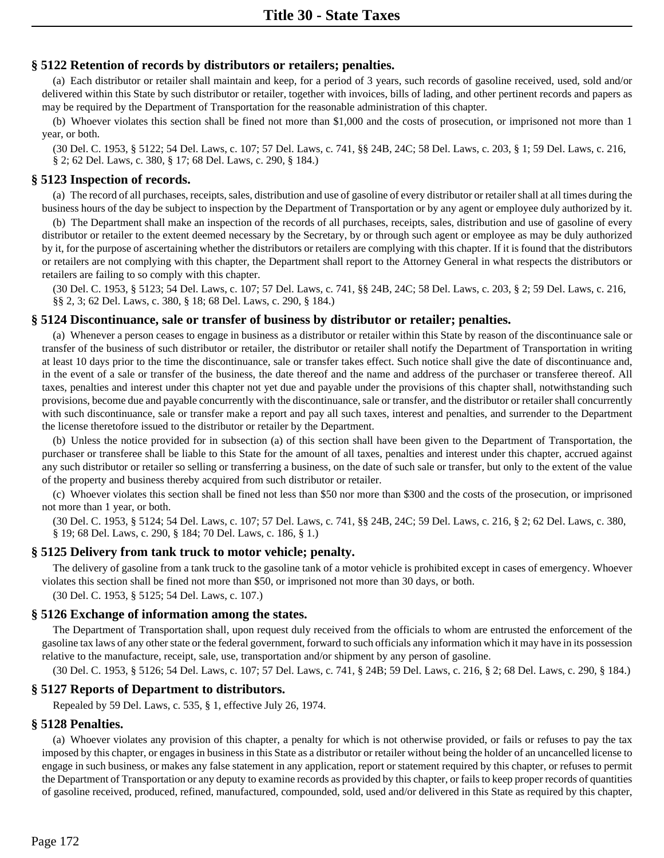# **§ 5122 Retention of records by distributors or retailers; penalties.**

(a) Each distributor or retailer shall maintain and keep, for a period of 3 years, such records of gasoline received, used, sold and/or delivered within this State by such distributor or retailer, together with invoices, bills of lading, and other pertinent records and papers as may be required by the Department of Transportation for the reasonable administration of this chapter.

(b) Whoever violates this section shall be fined not more than \$1,000 and the costs of prosecution, or imprisoned not more than 1 year, or both.

(30 Del. C. 1953, § 5122; 54 Del. Laws, c. 107; 57 Del. Laws, c. 741, §§ 24B, 24C; 58 Del. Laws, c. 203, § 1; 59 Del. Laws, c. 216, § 2; 62 Del. Laws, c. 380, § 17; 68 Del. Laws, c. 290, § 184.)

# **§ 5123 Inspection of records.**

(a) The record of all purchases, receipts, sales, distribution and use of gasoline of every distributor or retailer shall at all times during the business hours of the day be subject to inspection by the Department of Transportation or by any agent or employee duly authorized by it.

(b) The Department shall make an inspection of the records of all purchases, receipts, sales, distribution and use of gasoline of every distributor or retailer to the extent deemed necessary by the Secretary, by or through such agent or employee as may be duly authorized by it, for the purpose of ascertaining whether the distributors or retailers are complying with this chapter. If it is found that the distributors or retailers are not complying with this chapter, the Department shall report to the Attorney General in what respects the distributors or retailers are failing to so comply with this chapter.

(30 Del. C. 1953, § 5123; 54 Del. Laws, c. 107; 57 Del. Laws, c. 741, §§ 24B, 24C; 58 Del. Laws, c. 203, § 2; 59 Del. Laws, c. 216, §§ 2, 3; 62 Del. Laws, c. 380, § 18; 68 Del. Laws, c. 290, § 184.)

#### **§ 5124 Discontinuance, sale or transfer of business by distributor or retailer; penalties.**

(a) Whenever a person ceases to engage in business as a distributor or retailer within this State by reason of the discontinuance sale or transfer of the business of such distributor or retailer, the distributor or retailer shall notify the Department of Transportation in writing at least 10 days prior to the time the discontinuance, sale or transfer takes effect. Such notice shall give the date of discontinuance and, in the event of a sale or transfer of the business, the date thereof and the name and address of the purchaser or transferee thereof. All taxes, penalties and interest under this chapter not yet due and payable under the provisions of this chapter shall, notwithstanding such provisions, become due and payable concurrently with the discontinuance, sale or transfer, and the distributor or retailer shall concurrently with such discontinuance, sale or transfer make a report and pay all such taxes, interest and penalties, and surrender to the Department the license theretofore issued to the distributor or retailer by the Department.

(b) Unless the notice provided for in subsection (a) of this section shall have been given to the Department of Transportation, the purchaser or transferee shall be liable to this State for the amount of all taxes, penalties and interest under this chapter, accrued against any such distributor or retailer so selling or transferring a business, on the date of such sale or transfer, but only to the extent of the value of the property and business thereby acquired from such distributor or retailer.

(c) Whoever violates this section shall be fined not less than \$50 nor more than \$300 and the costs of the prosecution, or imprisoned not more than 1 year, or both.

(30 Del. C. 1953, § 5124; 54 Del. Laws, c. 107; 57 Del. Laws, c. 741, §§ 24B, 24C; 59 Del. Laws, c. 216, § 2; 62 Del. Laws, c. 380, § 19; 68 Del. Laws, c. 290, § 184; 70 Del. Laws, c. 186, § 1.)

# **§ 5125 Delivery from tank truck to motor vehicle; penalty.**

The delivery of gasoline from a tank truck to the gasoline tank of a motor vehicle is prohibited except in cases of emergency. Whoever violates this section shall be fined not more than \$50, or imprisoned not more than 30 days, or both.

(30 Del. C. 1953, § 5125; 54 Del. Laws, c. 107.)

# **§ 5126 Exchange of information among the states.**

The Department of Transportation shall, upon request duly received from the officials to whom are entrusted the enforcement of the gasoline tax laws of any other state or the federal government, forward to such officials any information which it may have in its possession relative to the manufacture, receipt, sale, use, transportation and/or shipment by any person of gasoline.

(30 Del. C. 1953, § 5126; 54 Del. Laws, c. 107; 57 Del. Laws, c. 741, § 24B; 59 Del. Laws, c. 216, § 2; 68 Del. Laws, c. 290, § 184.)

# **§ 5127 Reports of Department to distributors.**

Repealed by 59 Del. Laws, c. 535, § 1, effective July 26, 1974.

# **§ 5128 Penalties.**

(a) Whoever violates any provision of this chapter, a penalty for which is not otherwise provided, or fails or refuses to pay the tax imposed by this chapter, or engages in business in this State as a distributor or retailer without being the holder of an uncancelled license to engage in such business, or makes any false statement in any application, report or statement required by this chapter, or refuses to permit the Department of Transportation or any deputy to examine records as provided by this chapter, or fails to keep proper records of quantities of gasoline received, produced, refined, manufactured, compounded, sold, used and/or delivered in this State as required by this chapter,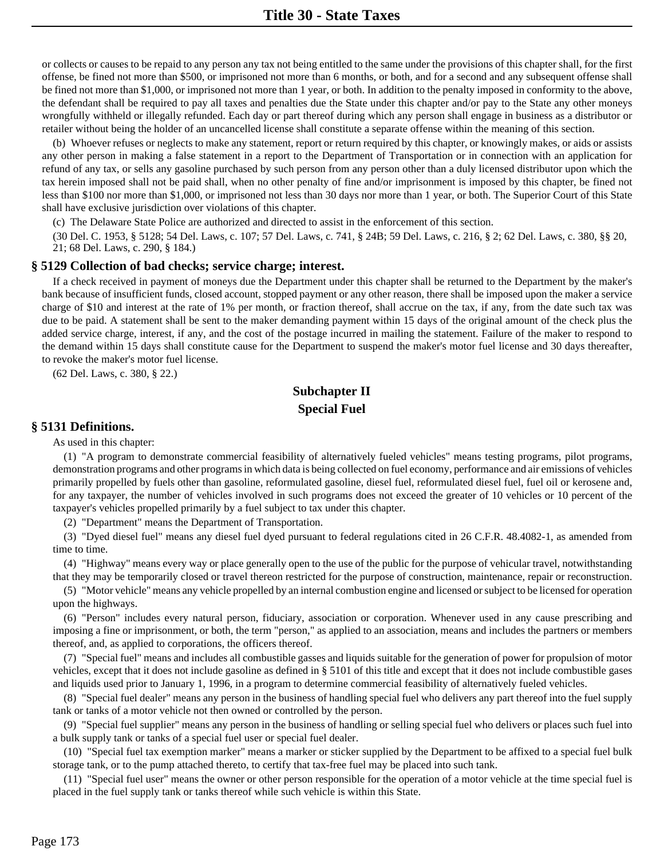or collects or causes to be repaid to any person any tax not being entitled to the same under the provisions of this chapter shall, for the first offense, be fined not more than \$500, or imprisoned not more than 6 months, or both, and for a second and any subsequent offense shall be fined not more than \$1,000, or imprisoned not more than 1 year, or both. In addition to the penalty imposed in conformity to the above, the defendant shall be required to pay all taxes and penalties due the State under this chapter and/or pay to the State any other moneys wrongfully withheld or illegally refunded. Each day or part thereof during which any person shall engage in business as a distributor or retailer without being the holder of an uncancelled license shall constitute a separate offense within the meaning of this section.

(b) Whoever refuses or neglects to make any statement, report or return required by this chapter, or knowingly makes, or aids or assists any other person in making a false statement in a report to the Department of Transportation or in connection with an application for refund of any tax, or sells any gasoline purchased by such person from any person other than a duly licensed distributor upon which the tax herein imposed shall not be paid shall, when no other penalty of fine and/or imprisonment is imposed by this chapter, be fined not less than \$100 nor more than \$1,000, or imprisoned not less than 30 days nor more than 1 year, or both. The Superior Court of this State shall have exclusive jurisdiction over violations of this chapter.

(c) The Delaware State Police are authorized and directed to assist in the enforcement of this section.

(30 Del. C. 1953, § 5128; 54 Del. Laws, c. 107; 57 Del. Laws, c. 741, § 24B; 59 Del. Laws, c. 216, § 2; 62 Del. Laws, c. 380, §§ 20, 21; 68 Del. Laws, c. 290, § 184.)

#### **§ 5129 Collection of bad checks; service charge; interest.**

If a check received in payment of moneys due the Department under this chapter shall be returned to the Department by the maker's bank because of insufficient funds, closed account, stopped payment or any other reason, there shall be imposed upon the maker a service charge of \$10 and interest at the rate of 1% per month, or fraction thereof, shall accrue on the tax, if any, from the date such tax was due to be paid. A statement shall be sent to the maker demanding payment within 15 days of the original amount of the check plus the added service charge, interest, if any, and the cost of the postage incurred in mailing the statement. Failure of the maker to respond to the demand within 15 days shall constitute cause for the Department to suspend the maker's motor fuel license and 30 days thereafter, to revoke the maker's motor fuel license.

(62 Del. Laws, c. 380, § 22.)

# **Subchapter II Special Fuel**

#### **§ 5131 Definitions.**

As used in this chapter:

(1) "A program to demonstrate commercial feasibility of alternatively fueled vehicles" means testing programs, pilot programs, demonstration programs and other programs in which data is being collected on fuel economy, performance and air emissions of vehicles primarily propelled by fuels other than gasoline, reformulated gasoline, diesel fuel, reformulated diesel fuel, fuel oil or kerosene and, for any taxpayer, the number of vehicles involved in such programs does not exceed the greater of 10 vehicles or 10 percent of the taxpayer's vehicles propelled primarily by a fuel subject to tax under this chapter.

(2) "Department" means the Department of Transportation.

(3) "Dyed diesel fuel" means any diesel fuel dyed pursuant to federal regulations cited in 26 C.F.R. 48.4082-1, as amended from time to time.

(4) "Highway" means every way or place generally open to the use of the public for the purpose of vehicular travel, notwithstanding that they may be temporarily closed or travel thereon restricted for the purpose of construction, maintenance, repair or reconstruction.

(5) "Motor vehicle" means any vehicle propelled by an internal combustion engine and licensed or subject to be licensed for operation upon the highways.

(6) "Person" includes every natural person, fiduciary, association or corporation. Whenever used in any cause prescribing and imposing a fine or imprisonment, or both, the term "person," as applied to an association, means and includes the partners or members thereof, and, as applied to corporations, the officers thereof.

(7) "Special fuel" means and includes all combustible gasses and liquids suitable for the generation of power for propulsion of motor vehicles, except that it does not include gasoline as defined in § 5101 of this title and except that it does not include combustible gases and liquids used prior to January 1, 1996, in a program to determine commercial feasibility of alternatively fueled vehicles.

(8) "Special fuel dealer" means any person in the business of handling special fuel who delivers any part thereof into the fuel supply tank or tanks of a motor vehicle not then owned or controlled by the person.

(9) "Special fuel supplier" means any person in the business of handling or selling special fuel who delivers or places such fuel into a bulk supply tank or tanks of a special fuel user or special fuel dealer.

(10) "Special fuel tax exemption marker" means a marker or sticker supplied by the Department to be affixed to a special fuel bulk storage tank, or to the pump attached thereto, to certify that tax-free fuel may be placed into such tank.

(11) "Special fuel user" means the owner or other person responsible for the operation of a motor vehicle at the time special fuel is placed in the fuel supply tank or tanks thereof while such vehicle is within this State.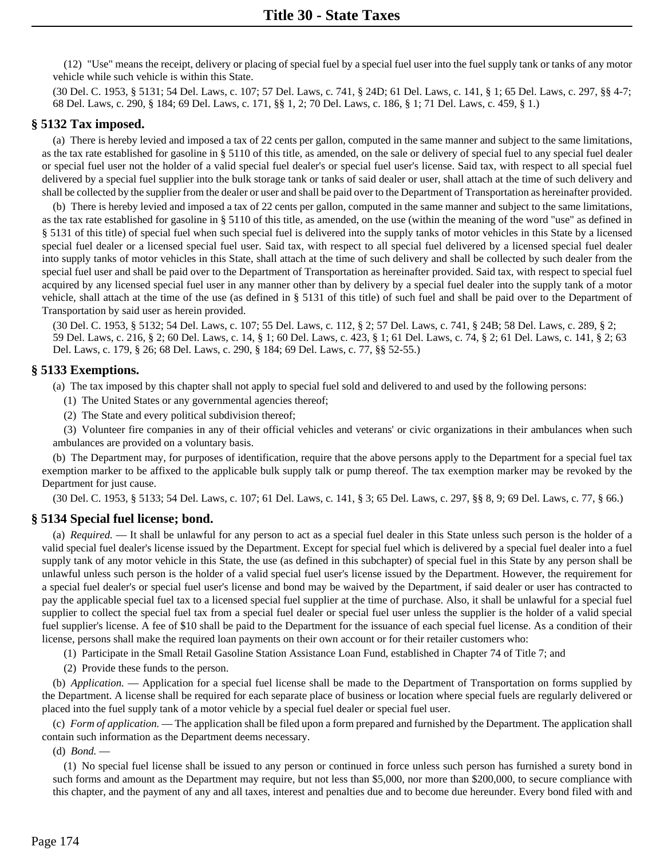(12) "Use" means the receipt, delivery or placing of special fuel by a special fuel user into the fuel supply tank or tanks of any motor vehicle while such vehicle is within this State.

(30 Del. C. 1953, § 5131; 54 Del. Laws, c. 107; 57 Del. Laws, c. 741, § 24D; 61 Del. Laws, c. 141, § 1; 65 Del. Laws, c. 297, §§ 4-7; 68 Del. Laws, c. 290, § 184; 69 Del. Laws, c. 171, §§ 1, 2; 70 Del. Laws, c. 186, § 1; 71 Del. Laws, c. 459, § 1.)

#### **§ 5132 Tax imposed.**

(a) There is hereby levied and imposed a tax of 22 cents per gallon, computed in the same manner and subject to the same limitations, as the tax rate established for gasoline in § 5110 of this title, as amended, on the sale or delivery of special fuel to any special fuel dealer or special fuel user not the holder of a valid special fuel dealer's or special fuel user's license. Said tax, with respect to all special fuel delivered by a special fuel supplier into the bulk storage tank or tanks of said dealer or user, shall attach at the time of such delivery and shall be collected by the supplier from the dealer or user and shall be paid over to the Department of Transportation as hereinafter provided.

(b) There is hereby levied and imposed a tax of 22 cents per gallon, computed in the same manner and subject to the same limitations, as the tax rate established for gasoline in § 5110 of this title, as amended, on the use (within the meaning of the word "use" as defined in § 5131 of this title) of special fuel when such special fuel is delivered into the supply tanks of motor vehicles in this State by a licensed special fuel dealer or a licensed special fuel user. Said tax, with respect to all special fuel delivered by a licensed special fuel dealer into supply tanks of motor vehicles in this State, shall attach at the time of such delivery and shall be collected by such dealer from the special fuel user and shall be paid over to the Department of Transportation as hereinafter provided. Said tax, with respect to special fuel acquired by any licensed special fuel user in any manner other than by delivery by a special fuel dealer into the supply tank of a motor vehicle, shall attach at the time of the use (as defined in § 5131 of this title) of such fuel and shall be paid over to the Department of Transportation by said user as herein provided.

(30 Del. C. 1953, § 5132; 54 Del. Laws, c. 107; 55 Del. Laws, c. 112, § 2; 57 Del. Laws, c. 741, § 24B; 58 Del. Laws, c. 289, § 2; 59 Del. Laws, c. 216, § 2; 60 Del. Laws, c. 14, § 1; 60 Del. Laws, c. 423, § 1; 61 Del. Laws, c. 74, § 2; 61 Del. Laws, c. 141, § 2; 63 Del. Laws, c. 179, § 26; 68 Del. Laws, c. 290, § 184; 69 Del. Laws, c. 77, §§ 52-55.)

# **§ 5133 Exemptions.**

(a) The tax imposed by this chapter shall not apply to special fuel sold and delivered to and used by the following persons:

- (1) The United States or any governmental agencies thereof;
- (2) The State and every political subdivision thereof;

(3) Volunteer fire companies in any of their official vehicles and veterans' or civic organizations in their ambulances when such ambulances are provided on a voluntary basis.

(b) The Department may, for purposes of identification, require that the above persons apply to the Department for a special fuel tax exemption marker to be affixed to the applicable bulk supply talk or pump thereof. The tax exemption marker may be revoked by the Department for just cause.

(30 Del. C. 1953, § 5133; 54 Del. Laws, c. 107; 61 Del. Laws, c. 141, § 3; 65 Del. Laws, c. 297, §§ 8, 9; 69 Del. Laws, c. 77, § 66.)

# **§ 5134 Special fuel license; bond.**

(a) *Required.* — It shall be unlawful for any person to act as a special fuel dealer in this State unless such person is the holder of a valid special fuel dealer's license issued by the Department. Except for special fuel which is delivered by a special fuel dealer into a fuel supply tank of any motor vehicle in this State, the use (as defined in this subchapter) of special fuel in this State by any person shall be unlawful unless such person is the holder of a valid special fuel user's license issued by the Department. However, the requirement for a special fuel dealer's or special fuel user's license and bond may be waived by the Department, if said dealer or user has contracted to pay the applicable special fuel tax to a licensed special fuel supplier at the time of purchase. Also, it shall be unlawful for a special fuel supplier to collect the special fuel tax from a special fuel dealer or special fuel user unless the supplier is the holder of a valid special fuel supplier's license. A fee of \$10 shall be paid to the Department for the issuance of each special fuel license. As a condition of their license, persons shall make the required loan payments on their own account or for their retailer customers who:

(1) Participate in the Small Retail Gasoline Station Assistance Loan Fund, established in Chapter 74 of Title 7; and

(2) Provide these funds to the person.

(b) *Application.* — Application for a special fuel license shall be made to the Department of Transportation on forms supplied by the Department. A license shall be required for each separate place of business or location where special fuels are regularly delivered or placed into the fuel supply tank of a motor vehicle by a special fuel dealer or special fuel user.

(c) *Form of application.* — The application shall be filed upon a form prepared and furnished by the Department. The application shall contain such information as the Department deems necessary.

(d) *Bond.* —

(1) No special fuel license shall be issued to any person or continued in force unless such person has furnished a surety bond in such forms and amount as the Department may require, but not less than \$5,000, nor more than \$200,000, to secure compliance with this chapter, and the payment of any and all taxes, interest and penalties due and to become due hereunder. Every bond filed with and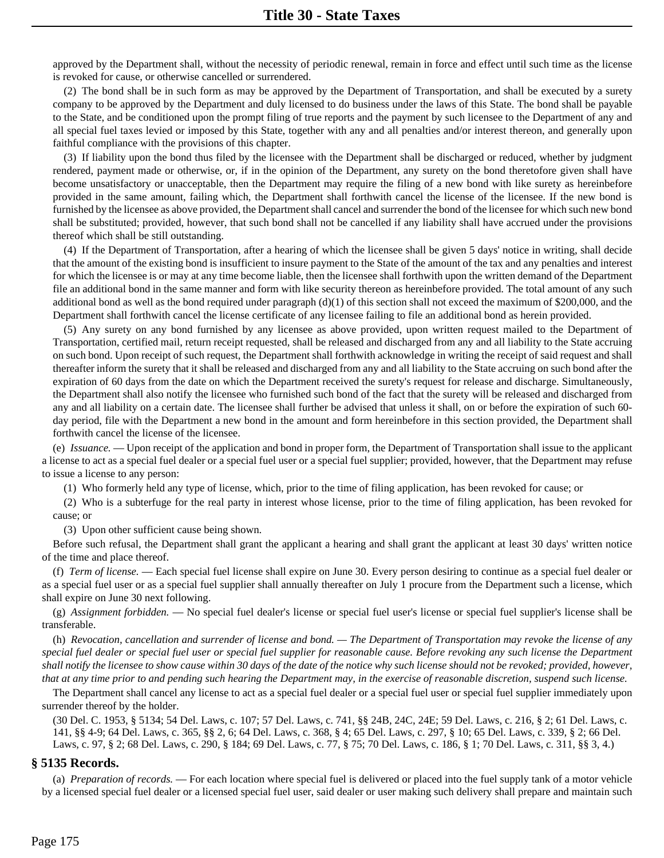approved by the Department shall, without the necessity of periodic renewal, remain in force and effect until such time as the license is revoked for cause, or otherwise cancelled or surrendered.

(2) The bond shall be in such form as may be approved by the Department of Transportation, and shall be executed by a surety company to be approved by the Department and duly licensed to do business under the laws of this State. The bond shall be payable to the State, and be conditioned upon the prompt filing of true reports and the payment by such licensee to the Department of any and all special fuel taxes levied or imposed by this State, together with any and all penalties and/or interest thereon, and generally upon faithful compliance with the provisions of this chapter.

(3) If liability upon the bond thus filed by the licensee with the Department shall be discharged or reduced, whether by judgment rendered, payment made or otherwise, or, if in the opinion of the Department, any surety on the bond theretofore given shall have become unsatisfactory or unacceptable, then the Department may require the filing of a new bond with like surety as hereinbefore provided in the same amount, failing which, the Department shall forthwith cancel the license of the licensee. If the new bond is furnished by the licensee as above provided, the Department shall cancel and surrender the bond of the licensee for which such new bond shall be substituted; provided, however, that such bond shall not be cancelled if any liability shall have accrued under the provisions thereof which shall be still outstanding.

(4) If the Department of Transportation, after a hearing of which the licensee shall be given 5 days' notice in writing, shall decide that the amount of the existing bond is insufficient to insure payment to the State of the amount of the tax and any penalties and interest for which the licensee is or may at any time become liable, then the licensee shall forthwith upon the written demand of the Department file an additional bond in the same manner and form with like security thereon as hereinbefore provided. The total amount of any such additional bond as well as the bond required under paragraph  $(d)(1)$  of this section shall not exceed the maximum of \$200,000, and the Department shall forthwith cancel the license certificate of any licensee failing to file an additional bond as herein provided.

(5) Any surety on any bond furnished by any licensee as above provided, upon written request mailed to the Department of Transportation, certified mail, return receipt requested, shall be released and discharged from any and all liability to the State accruing on such bond. Upon receipt of such request, the Department shall forthwith acknowledge in writing the receipt of said request and shall thereafter inform the surety that it shall be released and discharged from any and all liability to the State accruing on such bond after the expiration of 60 days from the date on which the Department received the surety's request for release and discharge. Simultaneously, the Department shall also notify the licensee who furnished such bond of the fact that the surety will be released and discharged from any and all liability on a certain date. The licensee shall further be advised that unless it shall, on or before the expiration of such 60 day period, file with the Department a new bond in the amount and form hereinbefore in this section provided, the Department shall forthwith cancel the license of the licensee.

(e) *Issuance.* — Upon receipt of the application and bond in proper form, the Department of Transportation shall issue to the applicant a license to act as a special fuel dealer or a special fuel user or a special fuel supplier; provided, however, that the Department may refuse to issue a license to any person:

(1) Who formerly held any type of license, which, prior to the time of filing application, has been revoked for cause; or

(2) Who is a subterfuge for the real party in interest whose license, prior to the time of filing application, has been revoked for cause; or

(3) Upon other sufficient cause being shown.

Before such refusal, the Department shall grant the applicant a hearing and shall grant the applicant at least 30 days' written notice of the time and place thereof.

(f) *Term of license.* — Each special fuel license shall expire on June 30. Every person desiring to continue as a special fuel dealer or as a special fuel user or as a special fuel supplier shall annually thereafter on July 1 procure from the Department such a license, which shall expire on June 30 next following.

(g) *Assignment forbidden.* — No special fuel dealer's license or special fuel user's license or special fuel supplier's license shall be transferable.

(h) *Revocation, cancellation and surrender of license and bond. — The Department of Transportation may revoke the license of any special fuel dealer or special fuel user or special fuel supplier for reasonable cause. Before revoking any such license the Department shall notify the licensee to show cause within 30 days of the date of the notice why such license should not be revoked; provided, however, that at any time prior to and pending such hearing the Department may, in the exercise of reasonable discretion, suspend such license.*

The Department shall cancel any license to act as a special fuel dealer or a special fuel user or special fuel supplier immediately upon surrender thereof by the holder.

(30 Del. C. 1953, § 5134; 54 Del. Laws, c. 107; 57 Del. Laws, c. 741, §§ 24B, 24C, 24E; 59 Del. Laws, c. 216, § 2; 61 Del. Laws, c. 141, §§ 4-9; 64 Del. Laws, c. 365, §§ 2, 6; 64 Del. Laws, c. 368, § 4; 65 Del. Laws, c. 297, § 10; 65 Del. Laws, c. 339, § 2; 66 Del. Laws, c. 97, § 2; 68 Del. Laws, c. 290, § 184; 69 Del. Laws, c. 77, § 75; 70 Del. Laws, c. 186, § 1; 70 Del. Laws, c. 311, §§ 3, 4.)

#### **§ 5135 Records.**

(a) *Preparation of records.* — For each location where special fuel is delivered or placed into the fuel supply tank of a motor vehicle by a licensed special fuel dealer or a licensed special fuel user, said dealer or user making such delivery shall prepare and maintain such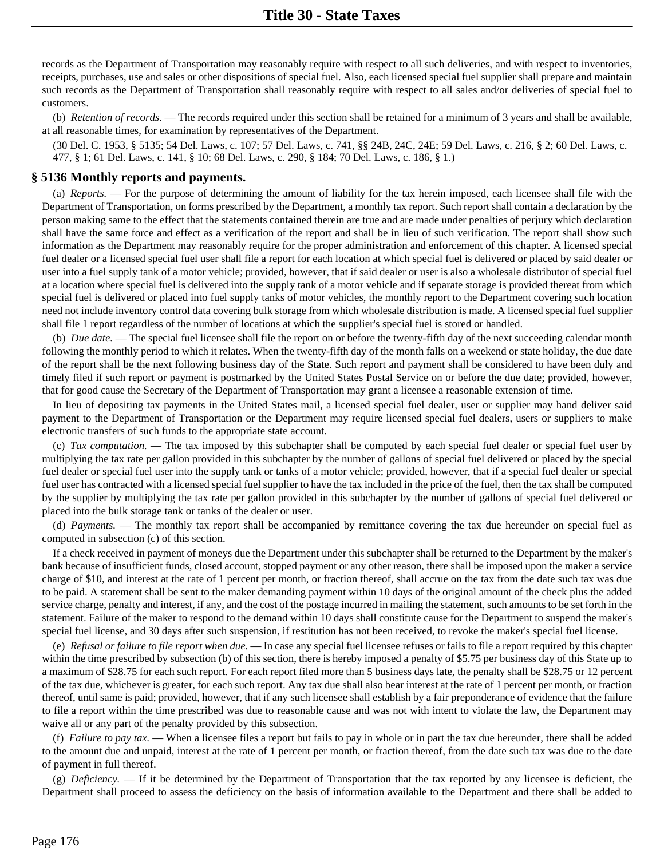records as the Department of Transportation may reasonably require with respect to all such deliveries, and with respect to inventories, receipts, purchases, use and sales or other dispositions of special fuel. Also, each licensed special fuel supplier shall prepare and maintain such records as the Department of Transportation shall reasonably require with respect to all sales and/or deliveries of special fuel to customers.

(b) *Retention of records.* — The records required under this section shall be retained for a minimum of 3 years and shall be available, at all reasonable times, for examination by representatives of the Department.

(30 Del. C. 1953, § 5135; 54 Del. Laws, c. 107; 57 Del. Laws, c. 741, §§ 24B, 24C, 24E; 59 Del. Laws, c. 216, § 2; 60 Del. Laws, c. 477, § 1; 61 Del. Laws, c. 141, § 10; 68 Del. Laws, c. 290, § 184; 70 Del. Laws, c. 186, § 1.)

#### **§ 5136 Monthly reports and payments.**

(a) *Reports.* — For the purpose of determining the amount of liability for the tax herein imposed, each licensee shall file with the Department of Transportation, on forms prescribed by the Department, a monthly tax report. Such report shall contain a declaration by the person making same to the effect that the statements contained therein are true and are made under penalties of perjury which declaration shall have the same force and effect as a verification of the report and shall be in lieu of such verification. The report shall show such information as the Department may reasonably require for the proper administration and enforcement of this chapter. A licensed special fuel dealer or a licensed special fuel user shall file a report for each location at which special fuel is delivered or placed by said dealer or user into a fuel supply tank of a motor vehicle; provided, however, that if said dealer or user is also a wholesale distributor of special fuel at a location where special fuel is delivered into the supply tank of a motor vehicle and if separate storage is provided thereat from which special fuel is delivered or placed into fuel supply tanks of motor vehicles, the monthly report to the Department covering such location need not include inventory control data covering bulk storage from which wholesale distribution is made. A licensed special fuel supplier shall file 1 report regardless of the number of locations at which the supplier's special fuel is stored or handled.

(b) *Due date.* — The special fuel licensee shall file the report on or before the twenty-fifth day of the next succeeding calendar month following the monthly period to which it relates. When the twenty-fifth day of the month falls on a weekend or state holiday, the due date of the report shall be the next following business day of the State. Such report and payment shall be considered to have been duly and timely filed if such report or payment is postmarked by the United States Postal Service on or before the due date; provided, however, that for good cause the Secretary of the Department of Transportation may grant a licensee a reasonable extension of time.

In lieu of depositing tax payments in the United States mail, a licensed special fuel dealer, user or supplier may hand deliver said payment to the Department of Transportation or the Department may require licensed special fuel dealers, users or suppliers to make electronic transfers of such funds to the appropriate state account.

(c) *Tax computation.* — The tax imposed by this subchapter shall be computed by each special fuel dealer or special fuel user by multiplying the tax rate per gallon provided in this subchapter by the number of gallons of special fuel delivered or placed by the special fuel dealer or special fuel user into the supply tank or tanks of a motor vehicle; provided, however, that if a special fuel dealer or special fuel user has contracted with a licensed special fuel supplier to have the tax included in the price of the fuel, then the tax shall be computed by the supplier by multiplying the tax rate per gallon provided in this subchapter by the number of gallons of special fuel delivered or placed into the bulk storage tank or tanks of the dealer or user.

(d) *Payments.* — The monthly tax report shall be accompanied by remittance covering the tax due hereunder on special fuel as computed in subsection (c) of this section.

If a check received in payment of moneys due the Department under this subchapter shall be returned to the Department by the maker's bank because of insufficient funds, closed account, stopped payment or any other reason, there shall be imposed upon the maker a service charge of \$10, and interest at the rate of 1 percent per month, or fraction thereof, shall accrue on the tax from the date such tax was due to be paid. A statement shall be sent to the maker demanding payment within 10 days of the original amount of the check plus the added service charge, penalty and interest, if any, and the cost of the postage incurred in mailing the statement, such amounts to be set forth in the statement. Failure of the maker to respond to the demand within 10 days shall constitute cause for the Department to suspend the maker's special fuel license, and 30 days after such suspension, if restitution has not been received, to revoke the maker's special fuel license.

(e) *Refusal or failure to file report when due.* — In case any special fuel licensee refuses or fails to file a report required by this chapter within the time prescribed by subsection (b) of this section, there is hereby imposed a penalty of \$5.75 per business day of this State up to a maximum of \$28.75 for each such report. For each report filed more than 5 business days late, the penalty shall be \$28.75 or 12 percent of the tax due, whichever is greater, for each such report. Any tax due shall also bear interest at the rate of 1 percent per month, or fraction thereof, until same is paid; provided, however, that if any such licensee shall establish by a fair preponderance of evidence that the failure to file a report within the time prescribed was due to reasonable cause and was not with intent to violate the law, the Department may waive all or any part of the penalty provided by this subsection.

(f) *Failure to pay tax.* — When a licensee files a report but fails to pay in whole or in part the tax due hereunder, there shall be added to the amount due and unpaid, interest at the rate of 1 percent per month, or fraction thereof, from the date such tax was due to the date of payment in full thereof.

(g) *Deficiency.* — If it be determined by the Department of Transportation that the tax reported by any licensee is deficient, the Department shall proceed to assess the deficiency on the basis of information available to the Department and there shall be added to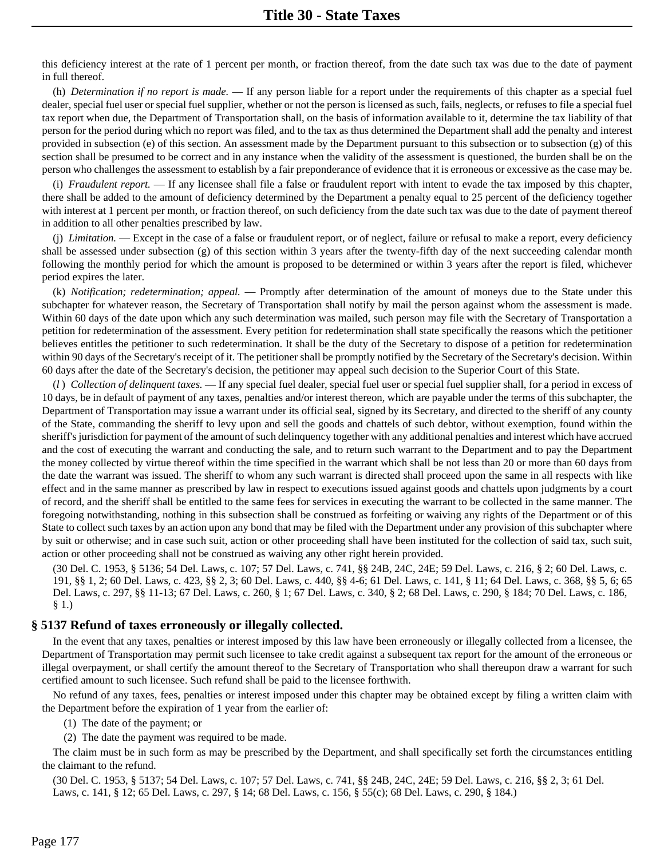this deficiency interest at the rate of 1 percent per month, or fraction thereof, from the date such tax was due to the date of payment in full thereof.

(h) *Determination if no report is made.* — If any person liable for a report under the requirements of this chapter as a special fuel dealer, special fuel user or special fuel supplier, whether or not the person is licensed as such, fails, neglects, or refuses to file a special fuel tax report when due, the Department of Transportation shall, on the basis of information available to it, determine the tax liability of that person for the period during which no report was filed, and to the tax as thus determined the Department shall add the penalty and interest provided in subsection (e) of this section. An assessment made by the Department pursuant to this subsection or to subsection (g) of this section shall be presumed to be correct and in any instance when the validity of the assessment is questioned, the burden shall be on the person who challenges the assessment to establish by a fair preponderance of evidence that it is erroneous or excessive as the case may be.

(i) *Fraudulent report.* — If any licensee shall file a false or fraudulent report with intent to evade the tax imposed by this chapter, there shall be added to the amount of deficiency determined by the Department a penalty equal to 25 percent of the deficiency together with interest at 1 percent per month, or fraction thereof, on such deficiency from the date such tax was due to the date of payment thereof in addition to all other penalties prescribed by law.

(j) *Limitation.* — Except in the case of a false or fraudulent report, or of neglect, failure or refusal to make a report, every deficiency shall be assessed under subsection (g) of this section within 3 years after the twenty-fifth day of the next succeeding calendar month following the monthly period for which the amount is proposed to be determined or within 3 years after the report is filed, whichever period expires the later.

(k) *Notification; redetermination; appeal.* — Promptly after determination of the amount of moneys due to the State under this subchapter for whatever reason, the Secretary of Transportation shall notify by mail the person against whom the assessment is made. Within 60 days of the date upon which any such determination was mailed, such person may file with the Secretary of Transportation a petition for redetermination of the assessment. Every petition for redetermination shall state specifically the reasons which the petitioner believes entitles the petitioner to such redetermination. It shall be the duty of the Secretary to dispose of a petition for redetermination within 90 days of the Secretary's receipt of it. The petitioner shall be promptly notified by the Secretary of the Secretary's decision. Within 60 days after the date of the Secretary's decision, the petitioner may appeal such decision to the Superior Court of this State.

(*l* ) *Collection of delinquent taxes.* — If any special fuel dealer, special fuel user or special fuel supplier shall, for a period in excess of 10 days, be in default of payment of any taxes, penalties and/or interest thereon, which are payable under the terms of this subchapter, the Department of Transportation may issue a warrant under its official seal, signed by its Secretary, and directed to the sheriff of any county of the State, commanding the sheriff to levy upon and sell the goods and chattels of such debtor, without exemption, found within the sheriff's jurisdiction for payment of the amount of such delinquency together with any additional penalties and interest which have accrued and the cost of executing the warrant and conducting the sale, and to return such warrant to the Department and to pay the Department the money collected by virtue thereof within the time specified in the warrant which shall be not less than 20 or more than 60 days from the date the warrant was issued. The sheriff to whom any such warrant is directed shall proceed upon the same in all respects with like effect and in the same manner as prescribed by law in respect to executions issued against goods and chattels upon judgments by a court of record, and the sheriff shall be entitled to the same fees for services in executing the warrant to be collected in the same manner. The foregoing notwithstanding, nothing in this subsection shall be construed as forfeiting or waiving any rights of the Department or of this State to collect such taxes by an action upon any bond that may be filed with the Department under any provision of this subchapter where by suit or otherwise; and in case such suit, action or other proceeding shall have been instituted for the collection of said tax, such suit, action or other proceeding shall not be construed as waiving any other right herein provided.

(30 Del. C. 1953, § 5136; 54 Del. Laws, c. 107; 57 Del. Laws, c. 741, §§ 24B, 24C, 24E; 59 Del. Laws, c. 216, § 2; 60 Del. Laws, c. 191, §§ 1, 2; 60 Del. Laws, c. 423, §§ 2, 3; 60 Del. Laws, c. 440, §§ 4-6; 61 Del. Laws, c. 141, § 11; 64 Del. Laws, c. 368, §§ 5, 6; 65 Del. Laws, c. 297, §§ 11-13; 67 Del. Laws, c. 260, § 1; 67 Del. Laws, c. 340, § 2; 68 Del. Laws, c. 290, § 184; 70 Del. Laws, c. 186, § 1.)

# **§ 5137 Refund of taxes erroneously or illegally collected.**

In the event that any taxes, penalties or interest imposed by this law have been erroneously or illegally collected from a licensee, the Department of Transportation may permit such licensee to take credit against a subsequent tax report for the amount of the erroneous or illegal overpayment, or shall certify the amount thereof to the Secretary of Transportation who shall thereupon draw a warrant for such certified amount to such licensee. Such refund shall be paid to the licensee forthwith.

No refund of any taxes, fees, penalties or interest imposed under this chapter may be obtained except by filing a written claim with the Department before the expiration of 1 year from the earlier of:

- (1) The date of the payment; or
- (2) The date the payment was required to be made.

The claim must be in such form as may be prescribed by the Department, and shall specifically set forth the circumstances entitling the claimant to the refund.

(30 Del. C. 1953, § 5137; 54 Del. Laws, c. 107; 57 Del. Laws, c. 741, §§ 24B, 24C, 24E; 59 Del. Laws, c. 216, §§ 2, 3; 61 Del.

Laws, c. 141, § 12; 65 Del. Laws, c. 297, § 14; 68 Del. Laws, c. 156, § 55(c); 68 Del. Laws, c. 290, § 184.)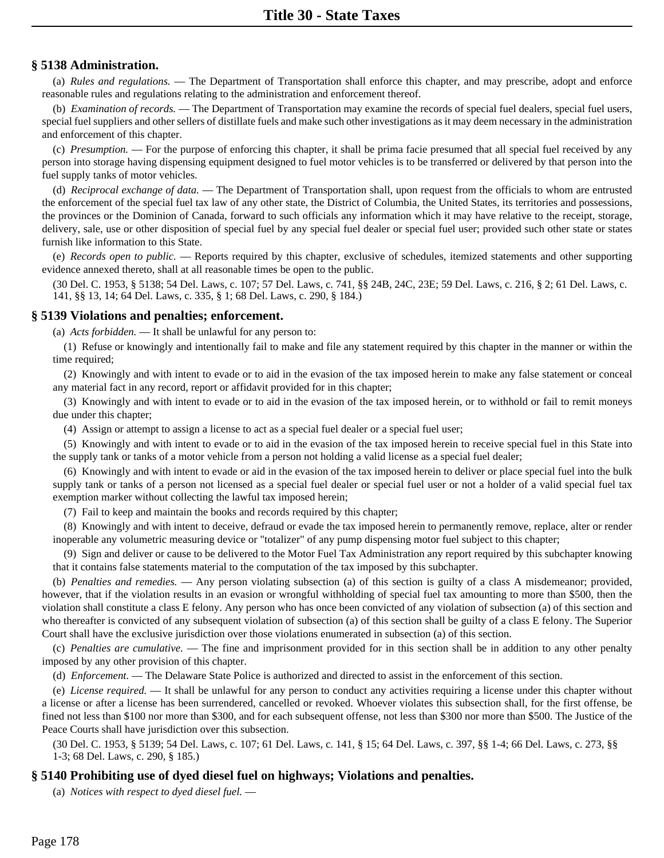# **§ 5138 Administration.**

(a) *Rules and regulations.* — The Department of Transportation shall enforce this chapter, and may prescribe, adopt and enforce reasonable rules and regulations relating to the administration and enforcement thereof.

(b) *Examination of records.* — The Department of Transportation may examine the records of special fuel dealers, special fuel users, special fuel suppliers and other sellers of distillate fuels and make such other investigations as it may deem necessary in the administration and enforcement of this chapter.

(c) *Presumption.* — For the purpose of enforcing this chapter, it shall be prima facie presumed that all special fuel received by any person into storage having dispensing equipment designed to fuel motor vehicles is to be transferred or delivered by that person into the fuel supply tanks of motor vehicles.

(d) *Reciprocal exchange of data.* — The Department of Transportation shall, upon request from the officials to whom are entrusted the enforcement of the special fuel tax law of any other state, the District of Columbia, the United States, its territories and possessions, the provinces or the Dominion of Canada, forward to such officials any information which it may have relative to the receipt, storage, delivery, sale, use or other disposition of special fuel by any special fuel dealer or special fuel user; provided such other state or states furnish like information to this State.

(e) *Records open to public.* — Reports required by this chapter, exclusive of schedules, itemized statements and other supporting evidence annexed thereto, shall at all reasonable times be open to the public.

(30 Del. C. 1953, § 5138; 54 Del. Laws, c. 107; 57 Del. Laws, c. 741, §§ 24B, 24C, 23E; 59 Del. Laws, c. 216, § 2; 61 Del. Laws, c. 141, §§ 13, 14; 64 Del. Laws, c. 335, § 1; 68 Del. Laws, c. 290, § 184.)

#### **§ 5139 Violations and penalties; enforcement.**

(a) *Acts forbidden.* — It shall be unlawful for any person to:

(1) Refuse or knowingly and intentionally fail to make and file any statement required by this chapter in the manner or within the time required;

(2) Knowingly and with intent to evade or to aid in the evasion of the tax imposed herein to make any false statement or conceal any material fact in any record, report or affidavit provided for in this chapter;

(3) Knowingly and with intent to evade or to aid in the evasion of the tax imposed herein, or to withhold or fail to remit moneys due under this chapter;

(4) Assign or attempt to assign a license to act as a special fuel dealer or a special fuel user;

(5) Knowingly and with intent to evade or to aid in the evasion of the tax imposed herein to receive special fuel in this State into the supply tank or tanks of a motor vehicle from a person not holding a valid license as a special fuel dealer;

(6) Knowingly and with intent to evade or aid in the evasion of the tax imposed herein to deliver or place special fuel into the bulk supply tank or tanks of a person not licensed as a special fuel dealer or special fuel user or not a holder of a valid special fuel tax exemption marker without collecting the lawful tax imposed herein;

(7) Fail to keep and maintain the books and records required by this chapter;

(8) Knowingly and with intent to deceive, defraud or evade the tax imposed herein to permanently remove, replace, alter or render inoperable any volumetric measuring device or "totalizer" of any pump dispensing motor fuel subject to this chapter;

(9) Sign and deliver or cause to be delivered to the Motor Fuel Tax Administration any report required by this subchapter knowing that it contains false statements material to the computation of the tax imposed by this subchapter.

(b) *Penalties and remedies.* — Any person violating subsection (a) of this section is guilty of a class A misdemeanor; provided, however, that if the violation results in an evasion or wrongful withholding of special fuel tax amounting to more than \$500, then the violation shall constitute a class E felony. Any person who has once been convicted of any violation of subsection (a) of this section and who thereafter is convicted of any subsequent violation of subsection (a) of this section shall be guilty of a class E felony. The Superior Court shall have the exclusive jurisdiction over those violations enumerated in subsection (a) of this section.

(c) *Penalties are cumulative.* — The fine and imprisonment provided for in this section shall be in addition to any other penalty imposed by any other provision of this chapter.

(d) *Enforcement.* — The Delaware State Police is authorized and directed to assist in the enforcement of this section.

(e) *License required.* — It shall be unlawful for any person to conduct any activities requiring a license under this chapter without a license or after a license has been surrendered, cancelled or revoked. Whoever violates this subsection shall, for the first offense, be fined not less than \$100 nor more than \$300, and for each subsequent offense, not less than \$300 nor more than \$500. The Justice of the Peace Courts shall have jurisdiction over this subsection.

(30 Del. C. 1953, § 5139; 54 Del. Laws, c. 107; 61 Del. Laws, c. 141, § 15; 64 Del. Laws, c. 397, §§ 1-4; 66 Del. Laws, c. 273, §§ 1-3; 68 Del. Laws, c. 290, § 185.)

#### **§ 5140 Prohibiting use of dyed diesel fuel on highways; Violations and penalties.**

(a) *Notices with respect to dyed diesel fuel.* —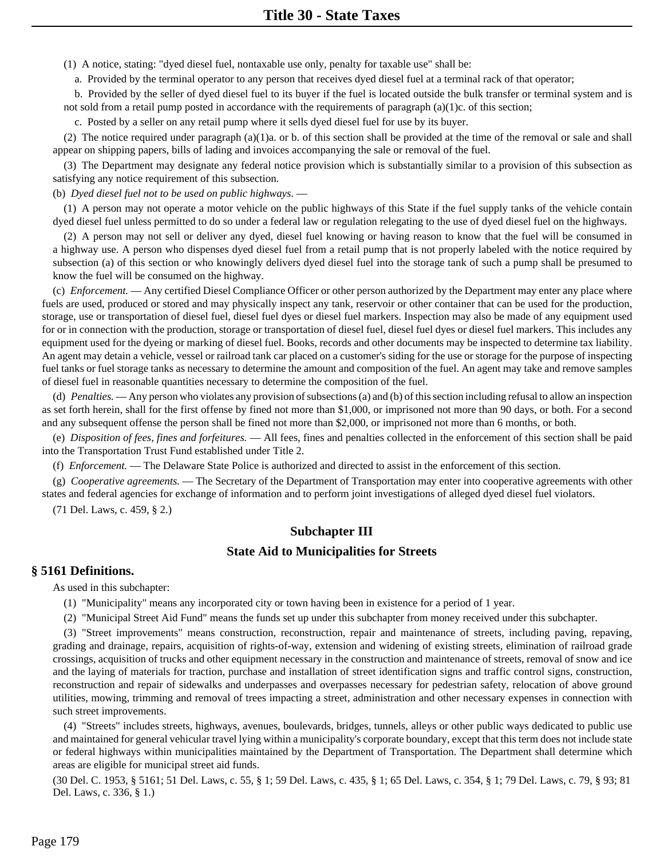(1) A notice, stating: "dyed diesel fuel, nontaxable use only, penalty for taxable use" shall be:

a. Provided by the terminal operator to any person that receives dyed diesel fuel at a terminal rack of that operator;

b. Provided by the seller of dyed diesel fuel to its buyer if the fuel is located outside the bulk transfer or terminal system and is not sold from a retail pump posted in accordance with the requirements of paragraph (a)(1)c. of this section;

c. Posted by a seller on any retail pump where it sells dyed diesel fuel for use by its buyer.

(2) The notice required under paragraph (a)(1)a. or b. of this section shall be provided at the time of the removal or sale and shall appear on shipping papers, bills of lading and invoices accompanying the sale or removal of the fuel.

(3) The Department may designate any federal notice provision which is substantially similar to a provision of this subsection as satisfying any notice requirement of this subsection.

#### (b) *Dyed diesel fuel not to be used on public highways.* —

(1) A person may not operate a motor vehicle on the public highways of this State if the fuel supply tanks of the vehicle contain dyed diesel fuel unless permitted to do so under a federal law or regulation relegating to the use of dyed diesel fuel on the highways.

(2) A person may not sell or deliver any dyed, diesel fuel knowing or having reason to know that the fuel will be consumed in a highway use. A person who dispenses dyed diesel fuel from a retail pump that is not properly labeled with the notice required by subsection (a) of this section or who knowingly delivers dyed diesel fuel into the storage tank of such a pump shall be presumed to know the fuel will be consumed on the highway.

(c) *Enforcement.* — Any certified Diesel Compliance Officer or other person authorized by the Department may enter any place where fuels are used, produced or stored and may physically inspect any tank, reservoir or other container that can be used for the production, storage, use or transportation of diesel fuel, diesel fuel dyes or diesel fuel markers. Inspection may also be made of any equipment used for or in connection with the production, storage or transportation of diesel fuel, diesel fuel dyes or diesel fuel markers. This includes any equipment used for the dyeing or marking of diesel fuel. Books, records and other documents may be inspected to determine tax liability. An agent may detain a vehicle, vessel or railroad tank car placed on a customer's siding for the use or storage for the purpose of inspecting fuel tanks or fuel storage tanks as necessary to determine the amount and composition of the fuel. An agent may take and remove samples of diesel fuel in reasonable quantities necessary to determine the composition of the fuel.

(d) *Penalties.* — Any person who violates any provision of subsections (a) and (b) of this section including refusal to allow an inspection as set forth herein, shall for the first offense by fined not more than \$1,000, or imprisoned not more than 90 days, or both. For a second and any subsequent offense the person shall be fined not more than \$2,000, or imprisoned not more than 6 months, or both.

(e) *Disposition of fees, fines and forfeitures.* — All fees, fines and penalties collected in the enforcement of this section shall be paid into the Transportation Trust Fund established under Title 2.

(f) *Enforcement.* — The Delaware State Police is authorized and directed to assist in the enforcement of this section.

(g) *Cooperative agreements.* — The Secretary of the Department of Transportation may enter into cooperative agreements with other states and federal agencies for exchange of information and to perform joint investigations of alleged dyed diesel fuel violators.

(71 Del. Laws, c. 459, § 2.)

## **Subchapter III**

## **State Aid to Municipalities for Streets**

#### **§ 5161 Definitions.**

As used in this subchapter:

- (1) "Municipality" means any incorporated city or town having been in existence for a period of 1 year.
- (2) "Municipal Street Aid Fund" means the funds set up under this subchapter from money received under this subchapter.

(3) "Street improvements" means construction, reconstruction, repair and maintenance of streets, including paving, repaving, grading and drainage, repairs, acquisition of rights-of-way, extension and widening of existing streets, elimination of railroad grade crossings, acquisition of trucks and other equipment necessary in the construction and maintenance of streets, removal of snow and ice and the laying of materials for traction, purchase and installation of street identification signs and traffic control signs, construction, reconstruction and repair of sidewalks and underpasses and overpasses necessary for pedestrian safety, relocation of above ground utilities, mowing, trimming and removal of trees impacting a street, administration and other necessary expenses in connection with such street improvements.

(4) "Streets" includes streets, highways, avenues, boulevards, bridges, tunnels, alleys or other public ways dedicated to public use and maintained for general vehicular travel lying within a municipality's corporate boundary, except that this term does not include state or federal highways within municipalities maintained by the Department of Transportation. The Department shall determine which areas are eligible for municipal street aid funds.

(30 Del. C. 1953, § 5161; 51 Del. Laws, c. 55, § 1; 59 Del. Laws, c. 435, § 1; 65 Del. Laws, c. 354, § 1; 79 Del. Laws, c. 79, § 93; 81 Del. Laws, c. 336, § 1.)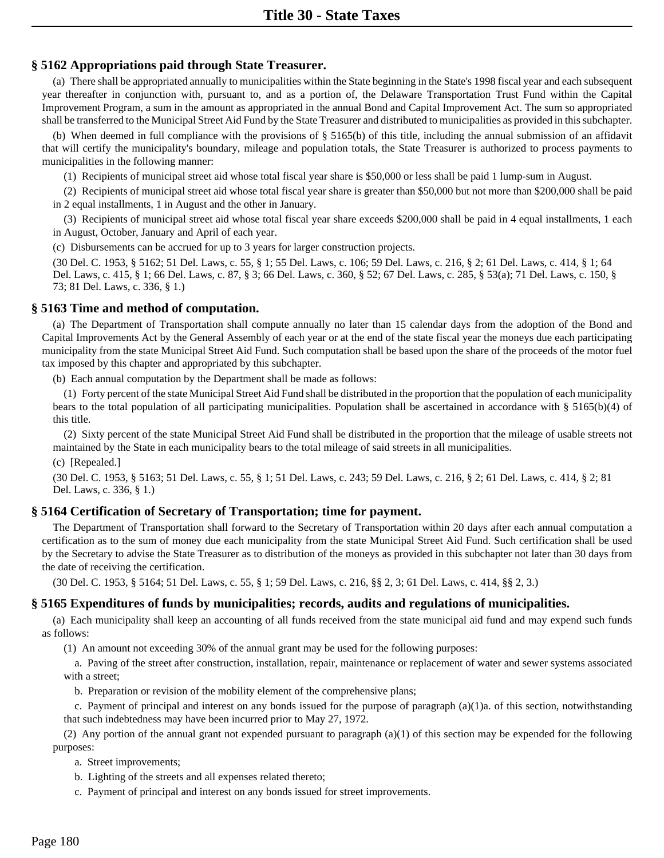# **§ 5162 Appropriations paid through State Treasurer.**

(a) There shall be appropriated annually to municipalities within the State beginning in the State's 1998 fiscal year and each subsequent year thereafter in conjunction with, pursuant to, and as a portion of, the Delaware Transportation Trust Fund within the Capital Improvement Program, a sum in the amount as appropriated in the annual Bond and Capital Improvement Act. The sum so appropriated shall be transferred to the Municipal Street Aid Fund by the State Treasurer and distributed to municipalities as provided in this subchapter.

(b) When deemed in full compliance with the provisions of § 5165(b) of this title, including the annual submission of an affidavit that will certify the municipality's boundary, mileage and population totals, the State Treasurer is authorized to process payments to municipalities in the following manner:

(1) Recipients of municipal street aid whose total fiscal year share is \$50,000 or less shall be paid 1 lump-sum in August.

(2) Recipients of municipal street aid whose total fiscal year share is greater than \$50,000 but not more than \$200,000 shall be paid in 2 equal installments, 1 in August and the other in January.

(3) Recipients of municipal street aid whose total fiscal year share exceeds \$200,000 shall be paid in 4 equal installments, 1 each in August, October, January and April of each year.

(c) Disbursements can be accrued for up to 3 years for larger construction projects.

(30 Del. C. 1953, § 5162; 51 Del. Laws, c. 55, § 1; 55 Del. Laws, c. 106; 59 Del. Laws, c. 216, § 2; 61 Del. Laws, c. 414, § 1; 64 Del. Laws, c. 415, § 1; 66 Del. Laws, c. 87, § 3; 66 Del. Laws, c. 360, § 52; 67 Del. Laws, c. 285, § 53(a); 71 Del. Laws, c. 150, § 73; 81 Del. Laws, c. 336, § 1.)

#### **§ 5163 Time and method of computation.**

(a) The Department of Transportation shall compute annually no later than 15 calendar days from the adoption of the Bond and Capital Improvements Act by the General Assembly of each year or at the end of the state fiscal year the moneys due each participating municipality from the state Municipal Street Aid Fund. Such computation shall be based upon the share of the proceeds of the motor fuel tax imposed by this chapter and appropriated by this subchapter.

(b) Each annual computation by the Department shall be made as follows:

(1) Forty percent of the state Municipal Street Aid Fund shall be distributed in the proportion that the population of each municipality bears to the total population of all participating municipalities. Population shall be ascertained in accordance with § 5165(b)(4) of this title.

(2) Sixty percent of the state Municipal Street Aid Fund shall be distributed in the proportion that the mileage of usable streets not maintained by the State in each municipality bears to the total mileage of said streets in all municipalities.

(c) [Repealed.]

(30 Del. C. 1953, § 5163; 51 Del. Laws, c. 55, § 1; 51 Del. Laws, c. 243; 59 Del. Laws, c. 216, § 2; 61 Del. Laws, c. 414, § 2; 81 Del. Laws, c. 336, § 1.)

## **§ 5164 Certification of Secretary of Transportation; time for payment.**

The Department of Transportation shall forward to the Secretary of Transportation within 20 days after each annual computation a certification as to the sum of money due each municipality from the state Municipal Street Aid Fund. Such certification shall be used by the Secretary to advise the State Treasurer as to distribution of the moneys as provided in this subchapter not later than 30 days from the date of receiving the certification.

(30 Del. C. 1953, § 5164; 51 Del. Laws, c. 55, § 1; 59 Del. Laws, c. 216, §§ 2, 3; 61 Del. Laws, c. 414, §§ 2, 3.)

## **§ 5165 Expenditures of funds by municipalities; records, audits and regulations of municipalities.**

(a) Each municipality shall keep an accounting of all funds received from the state municipal aid fund and may expend such funds as follows:

(1) An amount not exceeding 30% of the annual grant may be used for the following purposes:

a. Paving of the street after construction, installation, repair, maintenance or replacement of water and sewer systems associated with a street;

b. Preparation or revision of the mobility element of the comprehensive plans;

c. Payment of principal and interest on any bonds issued for the purpose of paragraph  $(a)(1)a$ , of this section, notwithstanding that such indebtedness may have been incurred prior to May 27, 1972.

(2) Any portion of the annual grant not expended pursuant to paragraph (a)(1) of this section may be expended for the following purposes:

a. Street improvements;

- b. Lighting of the streets and all expenses related thereto;
- c. Payment of principal and interest on any bonds issued for street improvements.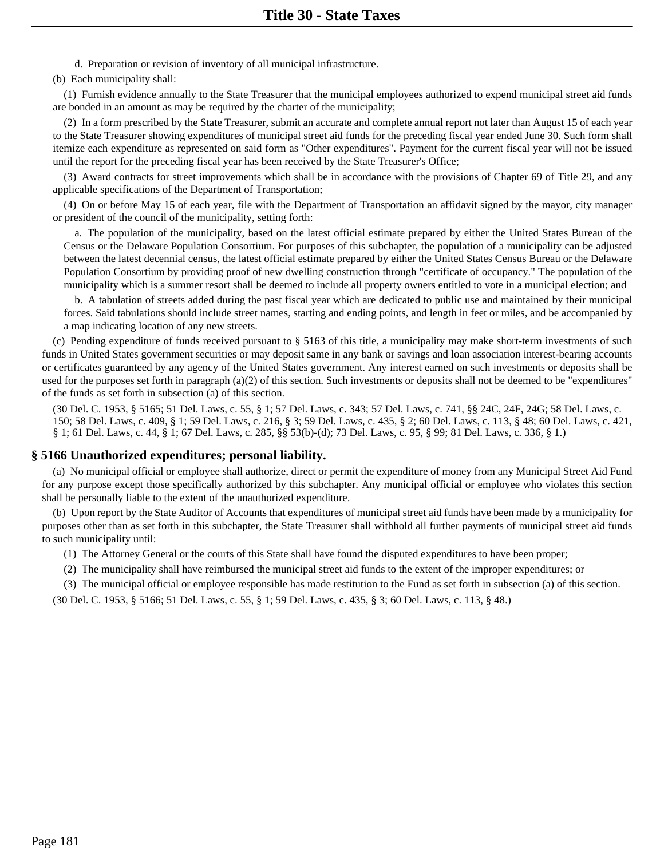d. Preparation or revision of inventory of all municipal infrastructure.

(b) Each municipality shall:

(1) Furnish evidence annually to the State Treasurer that the municipal employees authorized to expend municipal street aid funds are bonded in an amount as may be required by the charter of the municipality;

(2) In a form prescribed by the State Treasurer, submit an accurate and complete annual report not later than August 15 of each year to the State Treasurer showing expenditures of municipal street aid funds for the preceding fiscal year ended June 30. Such form shall itemize each expenditure as represented on said form as "Other expenditures". Payment for the current fiscal year will not be issued until the report for the preceding fiscal year has been received by the State Treasurer's Office;

(3) Award contracts for street improvements which shall be in accordance with the provisions of Chapter 69 of Title 29, and any applicable specifications of the Department of Transportation;

(4) On or before May 15 of each year, file with the Department of Transportation an affidavit signed by the mayor, city manager or president of the council of the municipality, setting forth:

a. The population of the municipality, based on the latest official estimate prepared by either the United States Bureau of the Census or the Delaware Population Consortium. For purposes of this subchapter, the population of a municipality can be adjusted between the latest decennial census, the latest official estimate prepared by either the United States Census Bureau or the Delaware Population Consortium by providing proof of new dwelling construction through "certificate of occupancy." The population of the municipality which is a summer resort shall be deemed to include all property owners entitled to vote in a municipal election; and

b. A tabulation of streets added during the past fiscal year which are dedicated to public use and maintained by their municipal forces. Said tabulations should include street names, starting and ending points, and length in feet or miles, and be accompanied by a map indicating location of any new streets.

(c) Pending expenditure of funds received pursuant to § 5163 of this title, a municipality may make short-term investments of such funds in United States government securities or may deposit same in any bank or savings and loan association interest-bearing accounts or certificates guaranteed by any agency of the United States government. Any interest earned on such investments or deposits shall be used for the purposes set forth in paragraph (a)(2) of this section. Such investments or deposits shall not be deemed to be "expenditures" of the funds as set forth in subsection (a) of this section.

(30 Del. C. 1953, § 5165; 51 Del. Laws, c. 55, § 1; 57 Del. Laws, c. 343; 57 Del. Laws, c. 741, §§ 24C, 24F, 24G; 58 Del. Laws, c. 150; 58 Del. Laws, c. 409, § 1; 59 Del. Laws, c. 216, § 3; 59 Del. Laws, c. 435, § 2; 60 Del. Laws, c. 113, § 48; 60 Del. Laws, c. 421, § 1; 61 Del. Laws, c. 44, § 1; 67 Del. Laws, c. 285, §§ 53(b)-(d); 73 Del. Laws, c. 95, § 99; 81 Del. Laws, c. 336, § 1.)

#### **§ 5166 Unauthorized expenditures; personal liability.**

(a) No municipal official or employee shall authorize, direct or permit the expenditure of money from any Municipal Street Aid Fund for any purpose except those specifically authorized by this subchapter. Any municipal official or employee who violates this section shall be personally liable to the extent of the unauthorized expenditure.

(b) Upon report by the State Auditor of Accounts that expenditures of municipal street aid funds have been made by a municipality for purposes other than as set forth in this subchapter, the State Treasurer shall withhold all further payments of municipal street aid funds to such municipality until:

(1) The Attorney General or the courts of this State shall have found the disputed expenditures to have been proper;

(2) The municipality shall have reimbursed the municipal street aid funds to the extent of the improper expenditures; or

(3) The municipal official or employee responsible has made restitution to the Fund as set forth in subsection (a) of this section.

(30 Del. C. 1953, § 5166; 51 Del. Laws, c. 55, § 1; 59 Del. Laws, c. 435, § 3; 60 Del. Laws, c. 113, § 48.)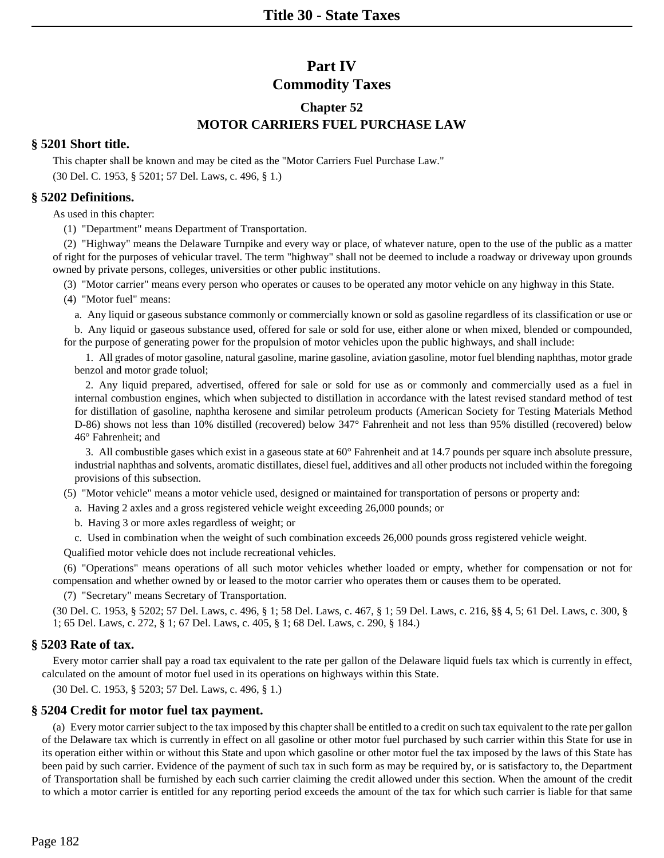# **Part IV Commodity Taxes**

# **Chapter 52 MOTOR CARRIERS FUEL PURCHASE LAW**

# **§ 5201 Short title.**

This chapter shall be known and may be cited as the "Motor Carriers Fuel Purchase Law." (30 Del. C. 1953, § 5201; 57 Del. Laws, c. 496, § 1.)

# **§ 5202 Definitions.**

As used in this chapter:

(1) "Department" means Department of Transportation.

(2) "Highway" means the Delaware Turnpike and every way or place, of whatever nature, open to the use of the public as a matter of right for the purposes of vehicular travel. The term "highway" shall not be deemed to include a roadway or driveway upon grounds owned by private persons, colleges, universities or other public institutions.

(3) "Motor carrier" means every person who operates or causes to be operated any motor vehicle on any highway in this State.

(4) "Motor fuel" means:

a. Any liquid or gaseous substance commonly or commercially known or sold as gasoline regardless of its classification or use or

b. Any liquid or gaseous substance used, offered for sale or sold for use, either alone or when mixed, blended or compounded, for the purpose of generating power for the propulsion of motor vehicles upon the public highways, and shall include:

1. All grades of motor gasoline, natural gasoline, marine gasoline, aviation gasoline, motor fuel blending naphthas, motor grade benzol and motor grade toluol;

2. Any liquid prepared, advertised, offered for sale or sold for use as or commonly and commercially used as a fuel in internal combustion engines, which when subjected to distillation in accordance with the latest revised standard method of test for distillation of gasoline, naphtha kerosene and similar petroleum products (American Society for Testing Materials Method D-86) shows not less than 10% distilled (recovered) below 347° Fahrenheit and not less than 95% distilled (recovered) below 46° Fahrenheit; and

3. All combustible gases which exist in a gaseous state at 60° Fahrenheit and at 14.7 pounds per square inch absolute pressure, industrial naphthas and solvents, aromatic distillates, diesel fuel, additives and all other products not included within the foregoing provisions of this subsection.

(5) "Motor vehicle" means a motor vehicle used, designed or maintained for transportation of persons or property and:

a. Having 2 axles and a gross registered vehicle weight exceeding 26,000 pounds; or

b. Having 3 or more axles regardless of weight; or

c. Used in combination when the weight of such combination exceeds 26,000 pounds gross registered vehicle weight.

Qualified motor vehicle does not include recreational vehicles.

(6) "Operations" means operations of all such motor vehicles whether loaded or empty, whether for compensation or not for compensation and whether owned by or leased to the motor carrier who operates them or causes them to be operated.

(7) "Secretary" means Secretary of Transportation.

(30 Del. C. 1953, § 5202; 57 Del. Laws, c. 496, § 1; 58 Del. Laws, c. 467, § 1; 59 Del. Laws, c. 216, §§ 4, 5; 61 Del. Laws, c. 300, § 1; 65 Del. Laws, c. 272, § 1; 67 Del. Laws, c. 405, § 1; 68 Del. Laws, c. 290, § 184.)

# **§ 5203 Rate of tax.**

Every motor carrier shall pay a road tax equivalent to the rate per gallon of the Delaware liquid fuels tax which is currently in effect, calculated on the amount of motor fuel used in its operations on highways within this State.

(30 Del. C. 1953, § 5203; 57 Del. Laws, c. 496, § 1.)

# **§ 5204 Credit for motor fuel tax payment.**

(a) Every motor carrier subject to the tax imposed by this chapter shall be entitled to a credit on such tax equivalent to the rate per gallon of the Delaware tax which is currently in effect on all gasoline or other motor fuel purchased by such carrier within this State for use in its operation either within or without this State and upon which gasoline or other motor fuel the tax imposed by the laws of this State has been paid by such carrier. Evidence of the payment of such tax in such form as may be required by, or is satisfactory to, the Department of Transportation shall be furnished by each such carrier claiming the credit allowed under this section. When the amount of the credit to which a motor carrier is entitled for any reporting period exceeds the amount of the tax for which such carrier is liable for that same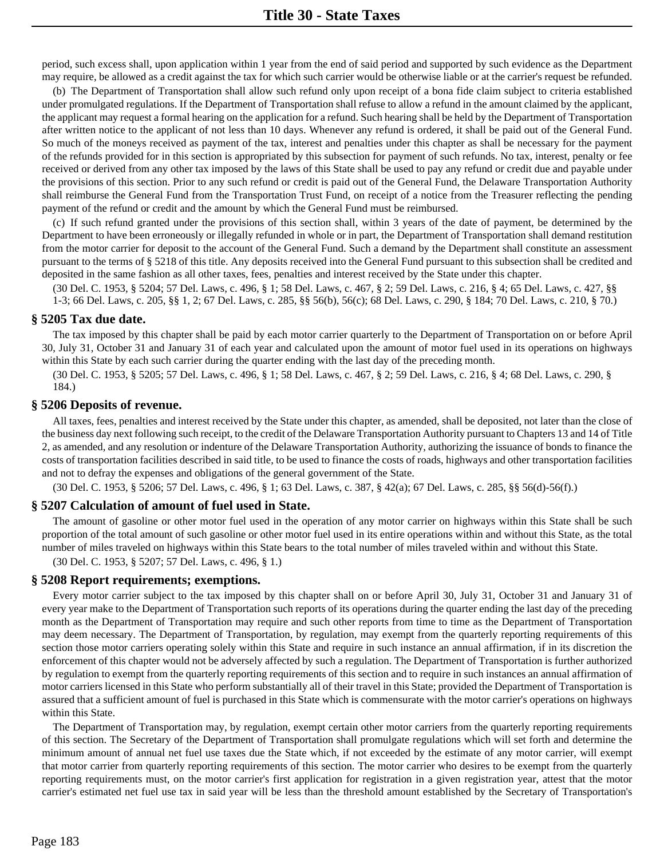period, such excess shall, upon application within 1 year from the end of said period and supported by such evidence as the Department may require, be allowed as a credit against the tax for which such carrier would be otherwise liable or at the carrier's request be refunded.

(b) The Department of Transportation shall allow such refund only upon receipt of a bona fide claim subject to criteria established under promulgated regulations. If the Department of Transportation shall refuse to allow a refund in the amount claimed by the applicant, the applicant may request a formal hearing on the application for a refund. Such hearing shall be held by the Department of Transportation after written notice to the applicant of not less than 10 days. Whenever any refund is ordered, it shall be paid out of the General Fund. So much of the moneys received as payment of the tax, interest and penalties under this chapter as shall be necessary for the payment of the refunds provided for in this section is appropriated by this subsection for payment of such refunds. No tax, interest, penalty or fee received or derived from any other tax imposed by the laws of this State shall be used to pay any refund or credit due and payable under the provisions of this section. Prior to any such refund or credit is paid out of the General Fund, the Delaware Transportation Authority shall reimburse the General Fund from the Transportation Trust Fund, on receipt of a notice from the Treasurer reflecting the pending payment of the refund or credit and the amount by which the General Fund must be reimbursed.

(c) If such refund granted under the provisions of this section shall, within 3 years of the date of payment, be determined by the Department to have been erroneously or illegally refunded in whole or in part, the Department of Transportation shall demand restitution from the motor carrier for deposit to the account of the General Fund. Such a demand by the Department shall constitute an assessment pursuant to the terms of § 5218 of this title. Any deposits received into the General Fund pursuant to this subsection shall be credited and deposited in the same fashion as all other taxes, fees, penalties and interest received by the State under this chapter.

(30 Del. C. 1953, § 5204; 57 Del. Laws, c. 496, § 1; 58 Del. Laws, c. 467, § 2; 59 Del. Laws, c. 216, § 4; 65 Del. Laws, c. 427, §§ 1-3; 66 Del. Laws, c. 205, §§ 1, 2; 67 Del. Laws, c. 285, §§ 56(b), 56(c); 68 Del. Laws, c. 290, § 184; 70 Del. Laws, c. 210, § 70.)

#### **§ 5205 Tax due date.**

The tax imposed by this chapter shall be paid by each motor carrier quarterly to the Department of Transportation on or before April 30, July 31, October 31 and January 31 of each year and calculated upon the amount of motor fuel used in its operations on highways within this State by each such carrier during the quarter ending with the last day of the preceding month.

(30 Del. C. 1953, § 5205; 57 Del. Laws, c. 496, § 1; 58 Del. Laws, c. 467, § 2; 59 Del. Laws, c. 216, § 4; 68 Del. Laws, c. 290, § 184.)

#### **§ 5206 Deposits of revenue.**

All taxes, fees, penalties and interest received by the State under this chapter, as amended, shall be deposited, not later than the close of the business day next following such receipt, to the credit of the Delaware Transportation Authority pursuant to Chapters 13 and 14 of Title 2, as amended, and any resolution or indenture of the Delaware Transportation Authority, authorizing the issuance of bonds to finance the costs of transportation facilities described in said title, to be used to finance the costs of roads, highways and other transportation facilities and not to defray the expenses and obligations of the general government of the State.

(30 Del. C. 1953, § 5206; 57 Del. Laws, c. 496, § 1; 63 Del. Laws, c. 387, § 42(a); 67 Del. Laws, c. 285, §§ 56(d)-56(f).)

#### **§ 5207 Calculation of amount of fuel used in State.**

The amount of gasoline or other motor fuel used in the operation of any motor carrier on highways within this State shall be such proportion of the total amount of such gasoline or other motor fuel used in its entire operations within and without this State, as the total number of miles traveled on highways within this State bears to the total number of miles traveled within and without this State.

(30 Del. C. 1953, § 5207; 57 Del. Laws, c. 496, § 1.)

#### **§ 5208 Report requirements; exemptions.**

Every motor carrier subject to the tax imposed by this chapter shall on or before April 30, July 31, October 31 and January 31 of every year make to the Department of Transportation such reports of its operations during the quarter ending the last day of the preceding month as the Department of Transportation may require and such other reports from time to time as the Department of Transportation may deem necessary. The Department of Transportation, by regulation, may exempt from the quarterly reporting requirements of this section those motor carriers operating solely within this State and require in such instance an annual affirmation, if in its discretion the enforcement of this chapter would not be adversely affected by such a regulation. The Department of Transportation is further authorized by regulation to exempt from the quarterly reporting requirements of this section and to require in such instances an annual affirmation of motor carriers licensed in this State who perform substantially all of their travel in this State; provided the Department of Transportation is assured that a sufficient amount of fuel is purchased in this State which is commensurate with the motor carrier's operations on highways within this State.

The Department of Transportation may, by regulation, exempt certain other motor carriers from the quarterly reporting requirements of this section. The Secretary of the Department of Transportation shall promulgate regulations which will set forth and determine the minimum amount of annual net fuel use taxes due the State which, if not exceeded by the estimate of any motor carrier, will exempt that motor carrier from quarterly reporting requirements of this section. The motor carrier who desires to be exempt from the quarterly reporting requirements must, on the motor carrier's first application for registration in a given registration year, attest that the motor carrier's estimated net fuel use tax in said year will be less than the threshold amount established by the Secretary of Transportation's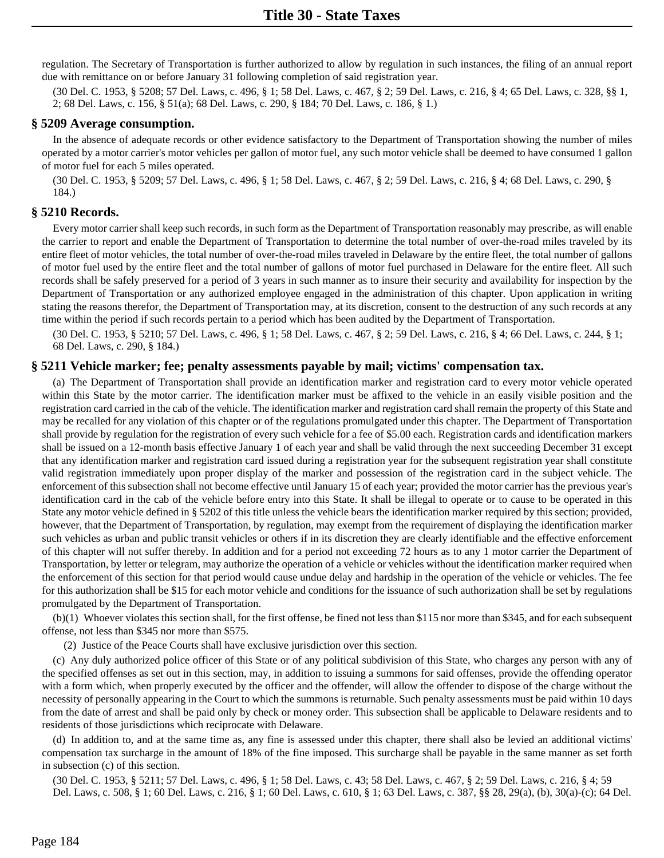regulation. The Secretary of Transportation is further authorized to allow by regulation in such instances, the filing of an annual report due with remittance on or before January 31 following completion of said registration year.

(30 Del. C. 1953, § 5208; 57 Del. Laws, c. 496, § 1; 58 Del. Laws, c. 467, § 2; 59 Del. Laws, c. 216, § 4; 65 Del. Laws, c. 328, §§ 1, 2; 68 Del. Laws, c. 156, § 51(a); 68 Del. Laws, c. 290, § 184; 70 Del. Laws, c. 186, § 1.)

#### **§ 5209 Average consumption.**

In the absence of adequate records or other evidence satisfactory to the Department of Transportation showing the number of miles operated by a motor carrier's motor vehicles per gallon of motor fuel, any such motor vehicle shall be deemed to have consumed 1 gallon of motor fuel for each 5 miles operated.

(30 Del. C. 1953, § 5209; 57 Del. Laws, c. 496, § 1; 58 Del. Laws, c. 467, § 2; 59 Del. Laws, c. 216, § 4; 68 Del. Laws, c. 290, § 184.)

# **§ 5210 Records.**

Every motor carrier shall keep such records, in such form as the Department of Transportation reasonably may prescribe, as will enable the carrier to report and enable the Department of Transportation to determine the total number of over-the-road miles traveled by its entire fleet of motor vehicles, the total number of over-the-road miles traveled in Delaware by the entire fleet, the total number of gallons of motor fuel used by the entire fleet and the total number of gallons of motor fuel purchased in Delaware for the entire fleet. All such records shall be safely preserved for a period of 3 years in such manner as to insure their security and availability for inspection by the Department of Transportation or any authorized employee engaged in the administration of this chapter. Upon application in writing stating the reasons therefor, the Department of Transportation may, at its discretion, consent to the destruction of any such records at any time within the period if such records pertain to a period which has been audited by the Department of Transportation.

(30 Del. C. 1953, § 5210; 57 Del. Laws, c. 496, § 1; 58 Del. Laws, c. 467, § 2; 59 Del. Laws, c. 216, § 4; 66 Del. Laws, c. 244, § 1; 68 Del. Laws, c. 290, § 184.)

# **§ 5211 Vehicle marker; fee; penalty assessments payable by mail; victims' compensation tax.**

(a) The Department of Transportation shall provide an identification marker and registration card to every motor vehicle operated within this State by the motor carrier. The identification marker must be affixed to the vehicle in an easily visible position and the registration card carried in the cab of the vehicle. The identification marker and registration card shall remain the property of this State and may be recalled for any violation of this chapter or of the regulations promulgated under this chapter. The Department of Transportation shall provide by regulation for the registration of every such vehicle for a fee of \$5.00 each. Registration cards and identification markers shall be issued on a 12-month basis effective January 1 of each year and shall be valid through the next succeeding December 31 except that any identification marker and registration card issued during a registration year for the subsequent registration year shall constitute valid registration immediately upon proper display of the marker and possession of the registration card in the subject vehicle. The enforcement of this subsection shall not become effective until January 15 of each year; provided the motor carrier has the previous year's identification card in the cab of the vehicle before entry into this State. It shall be illegal to operate or to cause to be operated in this State any motor vehicle defined in § 5202 of this title unless the vehicle bears the identification marker required by this section; provided, however, that the Department of Transportation, by regulation, may exempt from the requirement of displaying the identification marker such vehicles as urban and public transit vehicles or others if in its discretion they are clearly identifiable and the effective enforcement of this chapter will not suffer thereby. In addition and for a period not exceeding 72 hours as to any 1 motor carrier the Department of Transportation, by letter or telegram, may authorize the operation of a vehicle or vehicles without the identification marker required when the enforcement of this section for that period would cause undue delay and hardship in the operation of the vehicle or vehicles. The fee for this authorization shall be \$15 for each motor vehicle and conditions for the issuance of such authorization shall be set by regulations promulgated by the Department of Transportation.

(b)(1) Whoever violates this section shall, for the first offense, be fined not less than \$115 nor more than \$345, and for each subsequent offense, not less than \$345 nor more than \$575.

(2) Justice of the Peace Courts shall have exclusive jurisdiction over this section.

(c) Any duly authorized police officer of this State or of any political subdivision of this State, who charges any person with any of the specified offenses as set out in this section, may, in addition to issuing a summons for said offenses, provide the offending operator with a form which, when properly executed by the officer and the offender, will allow the offender to dispose of the charge without the necessity of personally appearing in the Court to which the summons is returnable. Such penalty assessments must be paid within 10 days from the date of arrest and shall be paid only by check or money order. This subsection shall be applicable to Delaware residents and to residents of those jurisdictions which reciprocate with Delaware.

(d) In addition to, and at the same time as, any fine is assessed under this chapter, there shall also be levied an additional victims' compensation tax surcharge in the amount of 18% of the fine imposed. This surcharge shall be payable in the same manner as set forth in subsection (c) of this section.

(30 Del. C. 1953, § 5211; 57 Del. Laws, c. 496, § 1; 58 Del. Laws, c. 43; 58 Del. Laws, c. 467, § 2; 59 Del. Laws, c. 216, § 4; 59 Del. Laws, c. 508, § 1; 60 Del. Laws, c. 216, § 1; 60 Del. Laws, c. 610, § 1; 63 Del. Laws, c. 387, §§ 28, 29(a), (b), 30(a)-(c); 64 Del.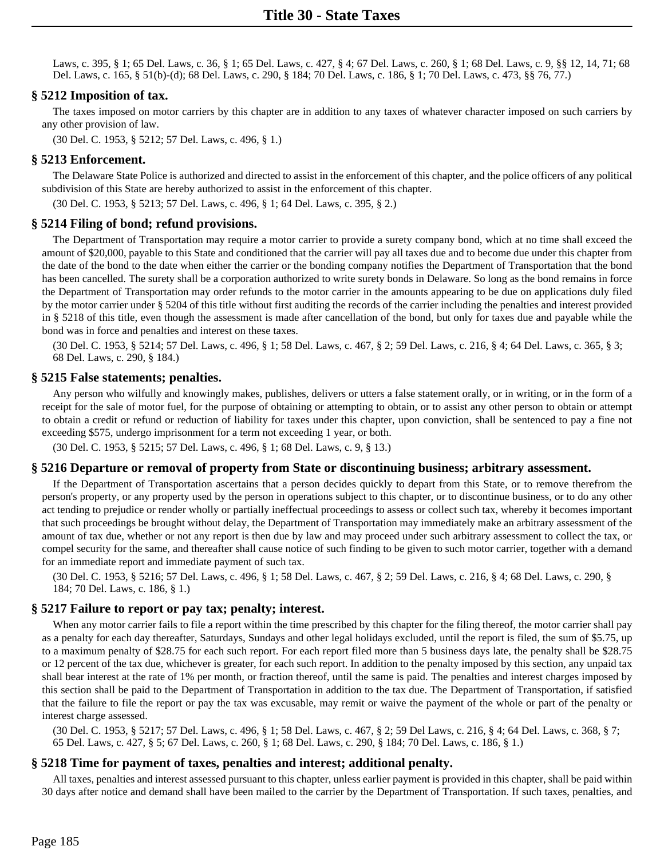Laws, c. 395, § 1; 65 Del. Laws, c. 36, § 1; 65 Del. Laws, c. 427, § 4; 67 Del. Laws, c. 260, § 1; 68 Del. Laws, c. 9, §§ 12, 14, 71; 68 Del. Laws, c. 165, § 51(b)-(d); 68 Del. Laws, c. 290, § 184; 70 Del. Laws, c. 186, § 1; 70 Del. Laws, c. 473, §§ 76, 77.)

### **§ 5212 Imposition of tax.**

The taxes imposed on motor carriers by this chapter are in addition to any taxes of whatever character imposed on such carriers by any other provision of law.

(30 Del. C. 1953, § 5212; 57 Del. Laws, c. 496, § 1.)

#### **§ 5213 Enforcement.**

The Delaware State Police is authorized and directed to assist in the enforcement of this chapter, and the police officers of any political subdivision of this State are hereby authorized to assist in the enforcement of this chapter.

(30 Del. C. 1953, § 5213; 57 Del. Laws, c. 496, § 1; 64 Del. Laws, c. 395, § 2.)

#### **§ 5214 Filing of bond; refund provisions.**

The Department of Transportation may require a motor carrier to provide a surety company bond, which at no time shall exceed the amount of \$20,000, payable to this State and conditioned that the carrier will pay all taxes due and to become due under this chapter from the date of the bond to the date when either the carrier or the bonding company notifies the Department of Transportation that the bond has been cancelled. The surety shall be a corporation authorized to write surety bonds in Delaware. So long as the bond remains in force the Department of Transportation may order refunds to the motor carrier in the amounts appearing to be due on applications duly filed by the motor carrier under § 5204 of this title without first auditing the records of the carrier including the penalties and interest provided in § 5218 of this title, even though the assessment is made after cancellation of the bond, but only for taxes due and payable while the bond was in force and penalties and interest on these taxes.

(30 Del. C. 1953, § 5214; 57 Del. Laws, c. 496, § 1; 58 Del. Laws, c. 467, § 2; 59 Del. Laws, c. 216, § 4; 64 Del. Laws, c. 365, § 3; 68 Del. Laws, c. 290, § 184.)

#### **§ 5215 False statements; penalties.**

Any person who wilfully and knowingly makes, publishes, delivers or utters a false statement orally, or in writing, or in the form of a receipt for the sale of motor fuel, for the purpose of obtaining or attempting to obtain, or to assist any other person to obtain or attempt to obtain a credit or refund or reduction of liability for taxes under this chapter, upon conviction, shall be sentenced to pay a fine not exceeding \$575, undergo imprisonment for a term not exceeding 1 year, or both.

(30 Del. C. 1953, § 5215; 57 Del. Laws, c. 496, § 1; 68 Del. Laws, c. 9, § 13.)

#### **§ 5216 Departure or removal of property from State or discontinuing business; arbitrary assessment.**

If the Department of Transportation ascertains that a person decides quickly to depart from this State, or to remove therefrom the person's property, or any property used by the person in operations subject to this chapter, or to discontinue business, or to do any other act tending to prejudice or render wholly or partially ineffectual proceedings to assess or collect such tax, whereby it becomes important that such proceedings be brought without delay, the Department of Transportation may immediately make an arbitrary assessment of the amount of tax due, whether or not any report is then due by law and may proceed under such arbitrary assessment to collect the tax, or compel security for the same, and thereafter shall cause notice of such finding to be given to such motor carrier, together with a demand for an immediate report and immediate payment of such tax.

(30 Del. C. 1953, § 5216; 57 Del. Laws, c. 496, § 1; 58 Del. Laws, c. 467, § 2; 59 Del. Laws, c. 216, § 4; 68 Del. Laws, c. 290, § 184; 70 Del. Laws, c. 186, § 1.)

#### **§ 5217 Failure to report or pay tax; penalty; interest.**

When any motor carrier fails to file a report within the time prescribed by this chapter for the filing thereof, the motor carrier shall pay as a penalty for each day thereafter, Saturdays, Sundays and other legal holidays excluded, until the report is filed, the sum of \$5.75, up to a maximum penalty of \$28.75 for each such report. For each report filed more than 5 business days late, the penalty shall be \$28.75 or 12 percent of the tax due, whichever is greater, for each such report. In addition to the penalty imposed by this section, any unpaid tax shall bear interest at the rate of 1% per month, or fraction thereof, until the same is paid. The penalties and interest charges imposed by this section shall be paid to the Department of Transportation in addition to the tax due. The Department of Transportation, if satisfied that the failure to file the report or pay the tax was excusable, may remit or waive the payment of the whole or part of the penalty or interest charge assessed.

(30 Del. C. 1953, § 5217; 57 Del. Laws, c. 496, § 1; 58 Del. Laws, c. 467, § 2; 59 Del Laws, c. 216, § 4; 64 Del. Laws, c. 368, § 7; 65 Del. Laws, c. 427, § 5; 67 Del. Laws, c. 260, § 1; 68 Del. Laws, c. 290, § 184; 70 Del. Laws, c. 186, § 1.)

## **§ 5218 Time for payment of taxes, penalties and interest; additional penalty.**

All taxes, penalties and interest assessed pursuant to this chapter, unless earlier payment is provided in this chapter, shall be paid within 30 days after notice and demand shall have been mailed to the carrier by the Department of Transportation. If such taxes, penalties, and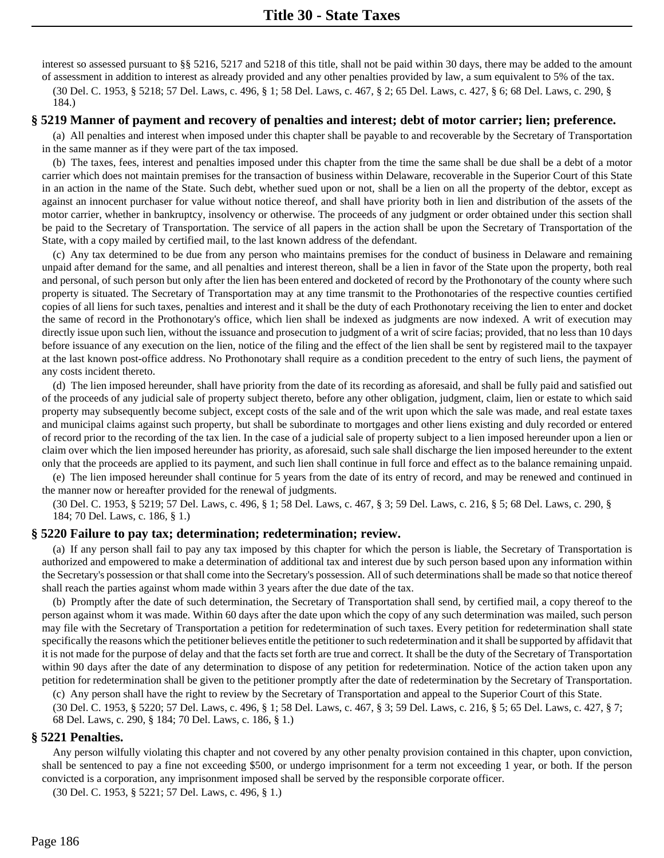interest so assessed pursuant to §§ 5216, 5217 and 5218 of this title, shall not be paid within 30 days, there may be added to the amount of assessment in addition to interest as already provided and any other penalties provided by law, a sum equivalent to 5% of the tax.

(30 Del. C. 1953, § 5218; 57 Del. Laws, c. 496, § 1; 58 Del. Laws, c. 467, § 2; 65 Del. Laws, c. 427, § 6; 68 Del. Laws, c. 290, § 184.)

#### **§ 5219 Manner of payment and recovery of penalties and interest; debt of motor carrier; lien; preference.**

(a) All penalties and interest when imposed under this chapter shall be payable to and recoverable by the Secretary of Transportation in the same manner as if they were part of the tax imposed.

(b) The taxes, fees, interest and penalties imposed under this chapter from the time the same shall be due shall be a debt of a motor carrier which does not maintain premises for the transaction of business within Delaware, recoverable in the Superior Court of this State in an action in the name of the State. Such debt, whether sued upon or not, shall be a lien on all the property of the debtor, except as against an innocent purchaser for value without notice thereof, and shall have priority both in lien and distribution of the assets of the motor carrier, whether in bankruptcy, insolvency or otherwise. The proceeds of any judgment or order obtained under this section shall be paid to the Secretary of Transportation. The service of all papers in the action shall be upon the Secretary of Transportation of the State, with a copy mailed by certified mail, to the last known address of the defendant.

(c) Any tax determined to be due from any person who maintains premises for the conduct of business in Delaware and remaining unpaid after demand for the same, and all penalties and interest thereon, shall be a lien in favor of the State upon the property, both real and personal, of such person but only after the lien has been entered and docketed of record by the Prothonotary of the county where such property is situated. The Secretary of Transportation may at any time transmit to the Prothonotaries of the respective counties certified copies of all liens for such taxes, penalties and interest and it shall be the duty of each Prothonotary receiving the lien to enter and docket the same of record in the Prothonotary's office, which lien shall be indexed as judgments are now indexed. A writ of execution may directly issue upon such lien, without the issuance and prosecution to judgment of a writ of scire facias; provided, that no less than 10 days before issuance of any execution on the lien, notice of the filing and the effect of the lien shall be sent by registered mail to the taxpayer at the last known post-office address. No Prothonotary shall require as a condition precedent to the entry of such liens, the payment of any costs incident thereto.

(d) The lien imposed hereunder, shall have priority from the date of its recording as aforesaid, and shall be fully paid and satisfied out of the proceeds of any judicial sale of property subject thereto, before any other obligation, judgment, claim, lien or estate to which said property may subsequently become subject, except costs of the sale and of the writ upon which the sale was made, and real estate taxes and municipal claims against such property, but shall be subordinate to mortgages and other liens existing and duly recorded or entered of record prior to the recording of the tax lien. In the case of a judicial sale of property subject to a lien imposed hereunder upon a lien or claim over which the lien imposed hereunder has priority, as aforesaid, such sale shall discharge the lien imposed hereunder to the extent only that the proceeds are applied to its payment, and such lien shall continue in full force and effect as to the balance remaining unpaid.

(e) The lien imposed hereunder shall continue for 5 years from the date of its entry of record, and may be renewed and continued in the manner now or hereafter provided for the renewal of judgments.

(30 Del. C. 1953, § 5219; 57 Del. Laws, c. 496, § 1; 58 Del. Laws, c. 467, § 3; 59 Del. Laws, c. 216, § 5; 68 Del. Laws, c. 290, § 184; 70 Del. Laws, c. 186, § 1.)

#### **§ 5220 Failure to pay tax; determination; redetermination; review.**

(a) If any person shall fail to pay any tax imposed by this chapter for which the person is liable, the Secretary of Transportation is authorized and empowered to make a determination of additional tax and interest due by such person based upon any information within the Secretary's possession or that shall come into the Secretary's possession. All of such determinations shall be made so that notice thereof shall reach the parties against whom made within 3 years after the due date of the tax.

(b) Promptly after the date of such determination, the Secretary of Transportation shall send, by certified mail, a copy thereof to the person against whom it was made. Within 60 days after the date upon which the copy of any such determination was mailed, such person may file with the Secretary of Transportation a petition for redetermination of such taxes. Every petition for redetermination shall state specifically the reasons which the petitioner believes entitle the petitioner to such redetermination and it shall be supported by affidavit that it is not made for the purpose of delay and that the facts set forth are true and correct. It shall be the duty of the Secretary of Transportation within 90 days after the date of any determination to dispose of any petition for redetermination. Notice of the action taken upon any petition for redetermination shall be given to the petitioner promptly after the date of redetermination by the Secretary of Transportation.

(c) Any person shall have the right to review by the Secretary of Transportation and appeal to the Superior Court of this State. (30 Del. C. 1953, § 5220; 57 Del. Laws, c. 496, § 1; 58 Del. Laws, c. 467, § 3; 59 Del. Laws, c. 216, § 5; 65 Del. Laws, c. 427, § 7; 68 Del. Laws, c. 290, § 184; 70 Del. Laws, c. 186, § 1.)

#### **§ 5221 Penalties.**

Any person wilfully violating this chapter and not covered by any other penalty provision contained in this chapter, upon conviction, shall be sentenced to pay a fine not exceeding \$500, or undergo imprisonment for a term not exceeding 1 year, or both. If the person convicted is a corporation, any imprisonment imposed shall be served by the responsible corporate officer.

(30 Del. C. 1953, § 5221; 57 Del. Laws, c. 496, § 1.)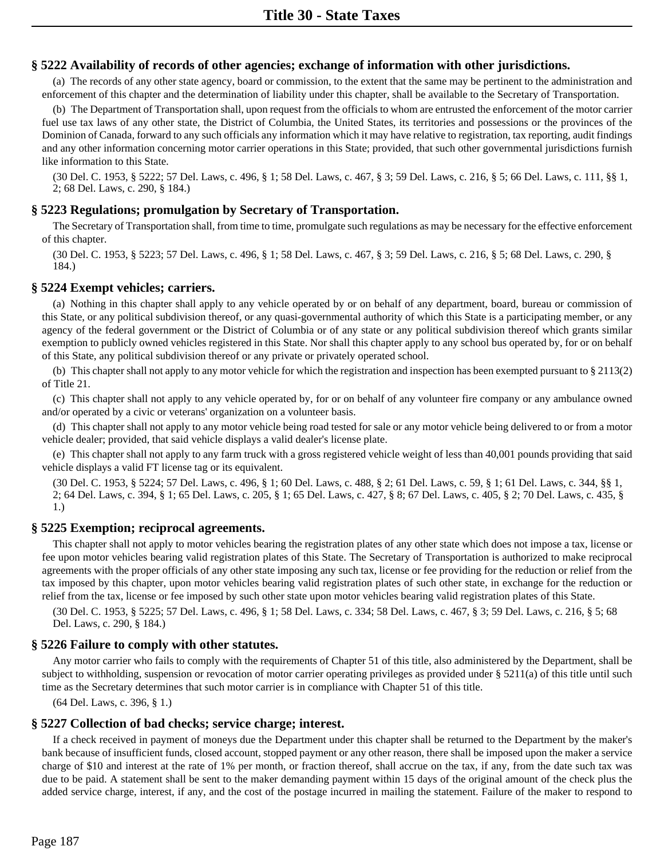# **§ 5222 Availability of records of other agencies; exchange of information with other jurisdictions.**

(a) The records of any other state agency, board or commission, to the extent that the same may be pertinent to the administration and enforcement of this chapter and the determination of liability under this chapter, shall be available to the Secretary of Transportation.

(b) The Department of Transportation shall, upon request from the officials to whom are entrusted the enforcement of the motor carrier fuel use tax laws of any other state, the District of Columbia, the United States, its territories and possessions or the provinces of the Dominion of Canada, forward to any such officials any information which it may have relative to registration, tax reporting, audit findings and any other information concerning motor carrier operations in this State; provided, that such other governmental jurisdictions furnish like information to this State.

(30 Del. C. 1953, § 5222; 57 Del. Laws, c. 496, § 1; 58 Del. Laws, c. 467, § 3; 59 Del. Laws, c. 216, § 5; 66 Del. Laws, c. 111, §§ 1, 2; 68 Del. Laws, c. 290, § 184.)

### **§ 5223 Regulations; promulgation by Secretary of Transportation.**

The Secretary of Transportation shall, from time to time, promulgate such regulations as may be necessary for the effective enforcement of this chapter.

(30 Del. C. 1953, § 5223; 57 Del. Laws, c. 496, § 1; 58 Del. Laws, c. 467, § 3; 59 Del. Laws, c. 216, § 5; 68 Del. Laws, c. 290, § 184.)

#### **§ 5224 Exempt vehicles; carriers.**

(a) Nothing in this chapter shall apply to any vehicle operated by or on behalf of any department, board, bureau or commission of this State, or any political subdivision thereof, or any quasi-governmental authority of which this State is a participating member, or any agency of the federal government or the District of Columbia or of any state or any political subdivision thereof which grants similar exemption to publicly owned vehicles registered in this State. Nor shall this chapter apply to any school bus operated by, for or on behalf of this State, any political subdivision thereof or any private or privately operated school.

(b) This chapter shall not apply to any motor vehicle for which the registration and inspection has been exempted pursuant to § 2113(2) of Title 21.

(c) This chapter shall not apply to any vehicle operated by, for or on behalf of any volunteer fire company or any ambulance owned and/or operated by a civic or veterans' organization on a volunteer basis.

(d) This chapter shall not apply to any motor vehicle being road tested for sale or any motor vehicle being delivered to or from a motor vehicle dealer; provided, that said vehicle displays a valid dealer's license plate.

(e) This chapter shall not apply to any farm truck with a gross registered vehicle weight of less than 40,001 pounds providing that said vehicle displays a valid FT license tag or its equivalent.

(30 Del. C. 1953, § 5224; 57 Del. Laws, c. 496, § 1; 60 Del. Laws, c. 488, § 2; 61 Del. Laws, c. 59, § 1; 61 Del. Laws, c. 344, §§ 1, 2; 64 Del. Laws, c. 394, § 1; 65 Del. Laws, c. 205, § 1; 65 Del. Laws, c. 427, § 8; 67 Del. Laws, c. 405, § 2; 70 Del. Laws, c. 435, § 1.)

## **§ 5225 Exemption; reciprocal agreements.**

This chapter shall not apply to motor vehicles bearing the registration plates of any other state which does not impose a tax, license or fee upon motor vehicles bearing valid registration plates of this State. The Secretary of Transportation is authorized to make reciprocal agreements with the proper officials of any other state imposing any such tax, license or fee providing for the reduction or relief from the tax imposed by this chapter, upon motor vehicles bearing valid registration plates of such other state, in exchange for the reduction or relief from the tax, license or fee imposed by such other state upon motor vehicles bearing valid registration plates of this State.

(30 Del. C. 1953, § 5225; 57 Del. Laws, c. 496, § 1; 58 Del. Laws, c. 334; 58 Del. Laws, c. 467, § 3; 59 Del. Laws, c. 216, § 5; 68 Del. Laws, c. 290, § 184.)

#### **§ 5226 Failure to comply with other statutes.**

Any motor carrier who fails to comply with the requirements of Chapter 51 of this title, also administered by the Department, shall be subject to withholding, suspension or revocation of motor carrier operating privileges as provided under § 5211(a) of this title until such time as the Secretary determines that such motor carrier is in compliance with Chapter 51 of this title.

(64 Del. Laws, c. 396, § 1.)

# **§ 5227 Collection of bad checks; service charge; interest.**

If a check received in payment of moneys due the Department under this chapter shall be returned to the Department by the maker's bank because of insufficient funds, closed account, stopped payment or any other reason, there shall be imposed upon the maker a service charge of \$10 and interest at the rate of 1% per month, or fraction thereof, shall accrue on the tax, if any, from the date such tax was due to be paid. A statement shall be sent to the maker demanding payment within 15 days of the original amount of the check plus the added service charge, interest, if any, and the cost of the postage incurred in mailing the statement. Failure of the maker to respond to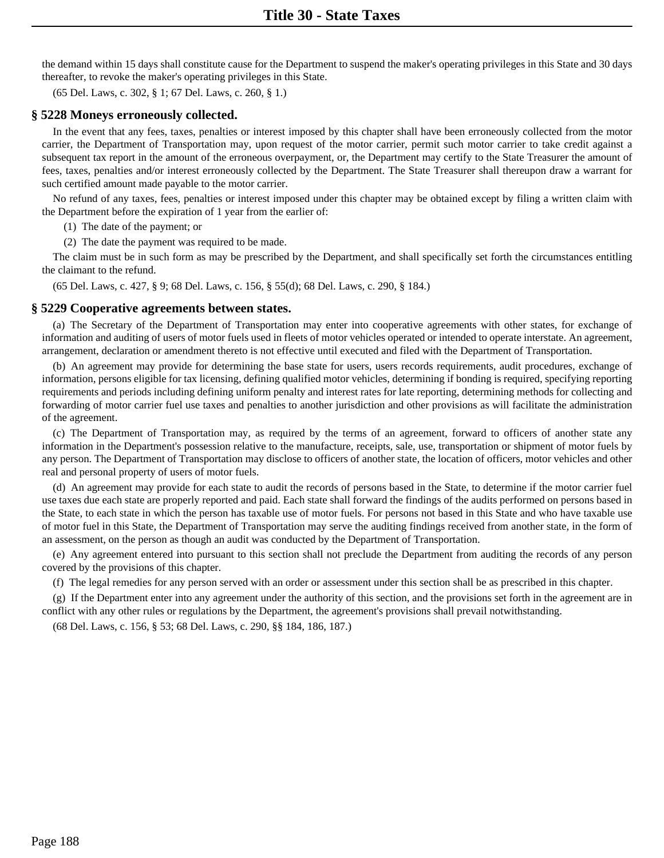the demand within 15 days shall constitute cause for the Department to suspend the maker's operating privileges in this State and 30 days thereafter, to revoke the maker's operating privileges in this State.

(65 Del. Laws, c. 302, § 1; 67 Del. Laws, c. 260, § 1.)

#### **§ 5228 Moneys erroneously collected.**

In the event that any fees, taxes, penalties or interest imposed by this chapter shall have been erroneously collected from the motor carrier, the Department of Transportation may, upon request of the motor carrier, permit such motor carrier to take credit against a subsequent tax report in the amount of the erroneous overpayment, or, the Department may certify to the State Treasurer the amount of fees, taxes, penalties and/or interest erroneously collected by the Department. The State Treasurer shall thereupon draw a warrant for such certified amount made payable to the motor carrier.

No refund of any taxes, fees, penalties or interest imposed under this chapter may be obtained except by filing a written claim with the Department before the expiration of 1 year from the earlier of:

(1) The date of the payment; or

(2) The date the payment was required to be made.

The claim must be in such form as may be prescribed by the Department, and shall specifically set forth the circumstances entitling the claimant to the refund.

(65 Del. Laws, c. 427, § 9; 68 Del. Laws, c. 156, § 55(d); 68 Del. Laws, c. 290, § 184.)

#### **§ 5229 Cooperative agreements between states.**

(a) The Secretary of the Department of Transportation may enter into cooperative agreements with other states, for exchange of information and auditing of users of motor fuels used in fleets of motor vehicles operated or intended to operate interstate. An agreement, arrangement, declaration or amendment thereto is not effective until executed and filed with the Department of Transportation.

(b) An agreement may provide for determining the base state for users, users records requirements, audit procedures, exchange of information, persons eligible for tax licensing, defining qualified motor vehicles, determining if bonding is required, specifying reporting requirements and periods including defining uniform penalty and interest rates for late reporting, determining methods for collecting and forwarding of motor carrier fuel use taxes and penalties to another jurisdiction and other provisions as will facilitate the administration of the agreement.

(c) The Department of Transportation may, as required by the terms of an agreement, forward to officers of another state any information in the Department's possession relative to the manufacture, receipts, sale, use, transportation or shipment of motor fuels by any person. The Department of Transportation may disclose to officers of another state, the location of officers, motor vehicles and other real and personal property of users of motor fuels.

(d) An agreement may provide for each state to audit the records of persons based in the State, to determine if the motor carrier fuel use taxes due each state are properly reported and paid. Each state shall forward the findings of the audits performed on persons based in the State, to each state in which the person has taxable use of motor fuels. For persons not based in this State and who have taxable use of motor fuel in this State, the Department of Transportation may serve the auditing findings received from another state, in the form of an assessment, on the person as though an audit was conducted by the Department of Transportation.

(e) Any agreement entered into pursuant to this section shall not preclude the Department from auditing the records of any person covered by the provisions of this chapter.

(f) The legal remedies for any person served with an order or assessment under this section shall be as prescribed in this chapter.

(g) If the Department enter into any agreement under the authority of this section, and the provisions set forth in the agreement are in conflict with any other rules or regulations by the Department, the agreement's provisions shall prevail notwithstanding.

(68 Del. Laws, c. 156, § 53; 68 Del. Laws, c. 290, §§ 184, 186, 187.)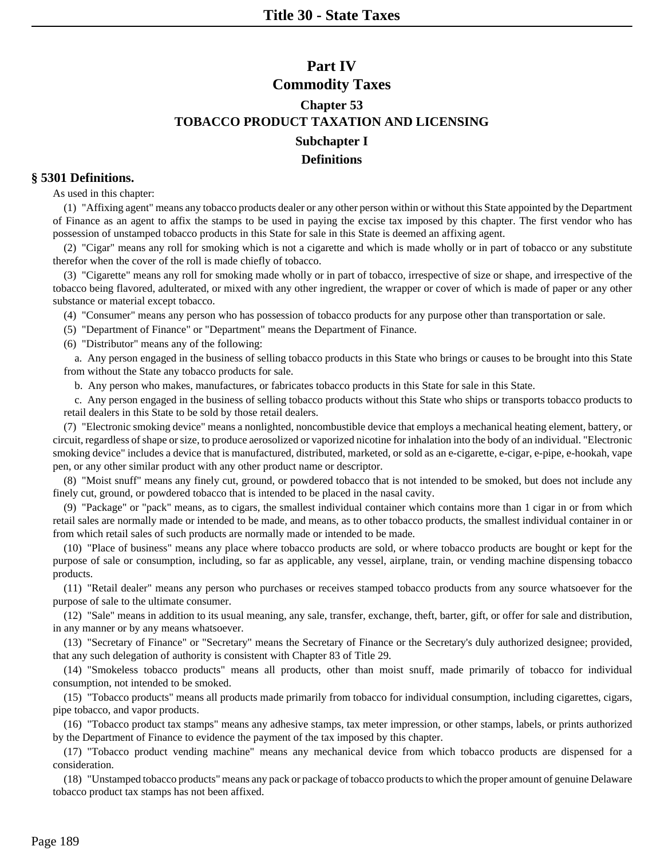# **Part IV Commodity Taxes Chapter 53 TOBACCO PRODUCT TAXATION AND LICENSING Subchapter I Definitions**

#### **§ 5301 Definitions.**

As used in this chapter:

(1) "Affixing agent" means any tobacco products dealer or any other person within or without this State appointed by the Department of Finance as an agent to affix the stamps to be used in paying the excise tax imposed by this chapter. The first vendor who has possession of unstamped tobacco products in this State for sale in this State is deemed an affixing agent.

(2) "Cigar" means any roll for smoking which is not a cigarette and which is made wholly or in part of tobacco or any substitute therefor when the cover of the roll is made chiefly of tobacco.

(3) "Cigarette" means any roll for smoking made wholly or in part of tobacco, irrespective of size or shape, and irrespective of the tobacco being flavored, adulterated, or mixed with any other ingredient, the wrapper or cover of which is made of paper or any other substance or material except tobacco.

(4) "Consumer" means any person who has possession of tobacco products for any purpose other than transportation or sale.

(5) "Department of Finance" or "Department" means the Department of Finance.

(6) "Distributor" means any of the following:

a. Any person engaged in the business of selling tobacco products in this State who brings or causes to be brought into this State from without the State any tobacco products for sale.

b. Any person who makes, manufactures, or fabricates tobacco products in this State for sale in this State.

c. Any person engaged in the business of selling tobacco products without this State who ships or transports tobacco products to retail dealers in this State to be sold by those retail dealers.

(7) "Electronic smoking device" means a nonlighted, noncombustible device that employs a mechanical heating element, battery, or circuit, regardless of shape or size, to produce aerosolized or vaporized nicotine for inhalation into the body of an individual. "Electronic smoking device" includes a device that is manufactured, distributed, marketed, or sold as an e-cigarette, e-cigar, e-pipe, e-hookah, vape pen, or any other similar product with any other product name or descriptor.

(8) "Moist snuff" means any finely cut, ground, or powdered tobacco that is not intended to be smoked, but does not include any finely cut, ground, or powdered tobacco that is intended to be placed in the nasal cavity.

(9) "Package" or "pack" means, as to cigars, the smallest individual container which contains more than 1 cigar in or from which retail sales are normally made or intended to be made, and means, as to other tobacco products, the smallest individual container in or from which retail sales of such products are normally made or intended to be made.

(10) "Place of business" means any place where tobacco products are sold, or where tobacco products are bought or kept for the purpose of sale or consumption, including, so far as applicable, any vessel, airplane, train, or vending machine dispensing tobacco products.

(11) "Retail dealer" means any person who purchases or receives stamped tobacco products from any source whatsoever for the purpose of sale to the ultimate consumer.

(12) "Sale" means in addition to its usual meaning, any sale, transfer, exchange, theft, barter, gift, or offer for sale and distribution, in any manner or by any means whatsoever.

(13) "Secretary of Finance" or "Secretary" means the Secretary of Finance or the Secretary's duly authorized designee; provided, that any such delegation of authority is consistent with Chapter 83 of Title 29.

(14) "Smokeless tobacco products" means all products, other than moist snuff, made primarily of tobacco for individual consumption, not intended to be smoked.

(15) "Tobacco products" means all products made primarily from tobacco for individual consumption, including cigarettes, cigars, pipe tobacco, and vapor products.

(16) "Tobacco product tax stamps" means any adhesive stamps, tax meter impression, or other stamps, labels, or prints authorized by the Department of Finance to evidence the payment of the tax imposed by this chapter.

(17) "Tobacco product vending machine" means any mechanical device from which tobacco products are dispensed for a consideration.

(18) "Unstamped tobacco products" means any pack or package of tobacco products to which the proper amount of genuine Delaware tobacco product tax stamps has not been affixed.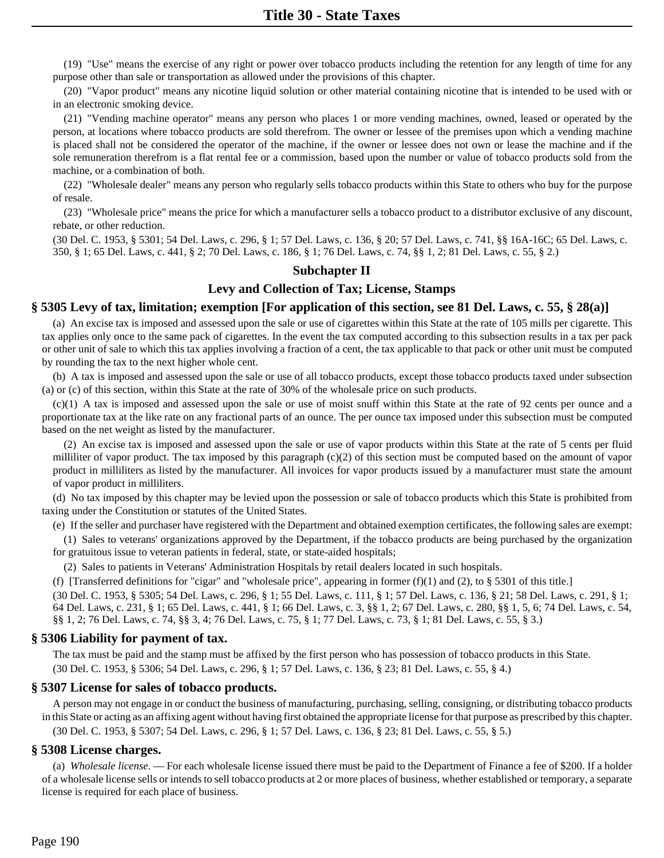(19) "Use" means the exercise of any right or power over tobacco products including the retention for any length of time for any purpose other than sale or transportation as allowed under the provisions of this chapter.

(20) "Vapor product" means any nicotine liquid solution or other material containing nicotine that is intended to be used with or in an electronic smoking device.

(21) "Vending machine operator" means any person who places 1 or more vending machines, owned, leased or operated by the person, at locations where tobacco products are sold therefrom. The owner or lessee of the premises upon which a vending machine is placed shall not be considered the operator of the machine, if the owner or lessee does not own or lease the machine and if the sole remuneration therefrom is a flat rental fee or a commission, based upon the number or value of tobacco products sold from the machine, or a combination of both.

(22) "Wholesale dealer" means any person who regularly sells tobacco products within this State to others who buy for the purpose of resale.

(23) "Wholesale price" means the price for which a manufacturer sells a tobacco product to a distributor exclusive of any discount, rebate, or other reduction.

(30 Del. C. 1953, § 5301; 54 Del. Laws, c. 296, § 1; 57 Del. Laws, c. 136, § 20; 57 Del. Laws, c. 741, §§ 16A-16C; 65 Del. Laws, c. 350, § 1; 65 Del. Laws, c. 441, § 2; 70 Del. Laws, c. 186, § 1; 76 Del. Laws, c. 74, §§ 1, 2; 81 Del. Laws, c. 55, § 2.)

# **Subchapter II**

# **Levy and Collection of Tax; License, Stamps**

#### **§ 5305 Levy of tax, limitation; exemption [For application of this section, see 81 Del. Laws, c. 55, § 28(a)]**

(a) An excise tax is imposed and assessed upon the sale or use of cigarettes within this State at the rate of 105 mills per cigarette. This tax applies only once to the same pack of cigarettes. In the event the tax computed according to this subsection results in a tax per pack or other unit of sale to which this tax applies involving a fraction of a cent, the tax applicable to that pack or other unit must be computed by rounding the tax to the next higher whole cent.

(b) A tax is imposed and assessed upon the sale or use of all tobacco products, except those tobacco products taxed under subsection (a) or (c) of this section, within this State at the rate of 30% of the wholesale price on such products.

 $(c)(1)$  A tax is imposed and assessed upon the sale or use of moist snuff within this State at the rate of 92 cents per ounce and a proportionate tax at the like rate on any fractional parts of an ounce. The per ounce tax imposed under this subsection must be computed based on the net weight as listed by the manufacturer.

(2) An excise tax is imposed and assessed upon the sale or use of vapor products within this State at the rate of 5 cents per fluid milliliter of vapor product. The tax imposed by this paragraph  $(c)(2)$  of this section must be computed based on the amount of vapor product in milliliters as listed by the manufacturer. All invoices for vapor products issued by a manufacturer must state the amount of vapor product in milliliters.

(d) No tax imposed by this chapter may be levied upon the possession or sale of tobacco products which this State is prohibited from taxing under the Constitution or statutes of the United States.

(e) If the seller and purchaser have registered with the Department and obtained exemption certificates, the following sales are exempt:

(1) Sales to veterans' organizations approved by the Department, if the tobacco products are being purchased by the organization for gratuitous issue to veteran patients in federal, state, or state-aided hospitals;

(2) Sales to patients in Veterans' Administration Hospitals by retail dealers located in such hospitals.

(f) [Transferred definitions for "cigar" and "wholesale price", appearing in former  $(f)(1)$  and  $(2)$ , to § 5301 of this title.]

(30 Del. C. 1953, § 5305; 54 Del. Laws, c. 296, § 1; 55 Del. Laws, c. 111, § 1; 57 Del. Laws, c. 136, § 21; 58 Del. Laws, c. 291, § 1; 64 Del. Laws, c. 231, § 1; 65 Del. Laws, c. 441, § 1; 66 Del. Laws, c. 3, §§ 1, 2; 67 Del. Laws, c. 280, §§ 1, 5, 6; 74 Del. Laws, c. 54, §§ 1, 2; 76 Del. Laws, c. 74, §§ 3, 4; 76 Del. Laws, c. 75, § 1; 77 Del. Laws, c. 73, § 1; 81 Del. Laws, c. 55, § 3.)

#### **§ 5306 Liability for payment of tax.**

The tax must be paid and the stamp must be affixed by the first person who has possession of tobacco products in this State. (30 Del. C. 1953, § 5306; 54 Del. Laws, c. 296, § 1; 57 Del. Laws, c. 136, § 23; 81 Del. Laws, c. 55, § 4.)

## **§ 5307 License for sales of tobacco products.**

A person may not engage in or conduct the business of manufacturing, purchasing, selling, consigning, or distributing tobacco products in this State or acting as an affixing agent without having first obtained the appropriate license for that purpose as prescribed by this chapter. (30 Del. C. 1953, § 5307; 54 Del. Laws, c. 296, § 1; 57 Del. Laws, c. 136, § 23; 81 Del. Laws, c. 55, § 5.)

# **§ 5308 License charges.**

(a) *Wholesale license.* — For each wholesale license issued there must be paid to the Department of Finance a fee of \$200. If a holder of a wholesale license sells or intends to sell tobacco products at 2 or more places of business, whether established or temporary, a separate license is required for each place of business.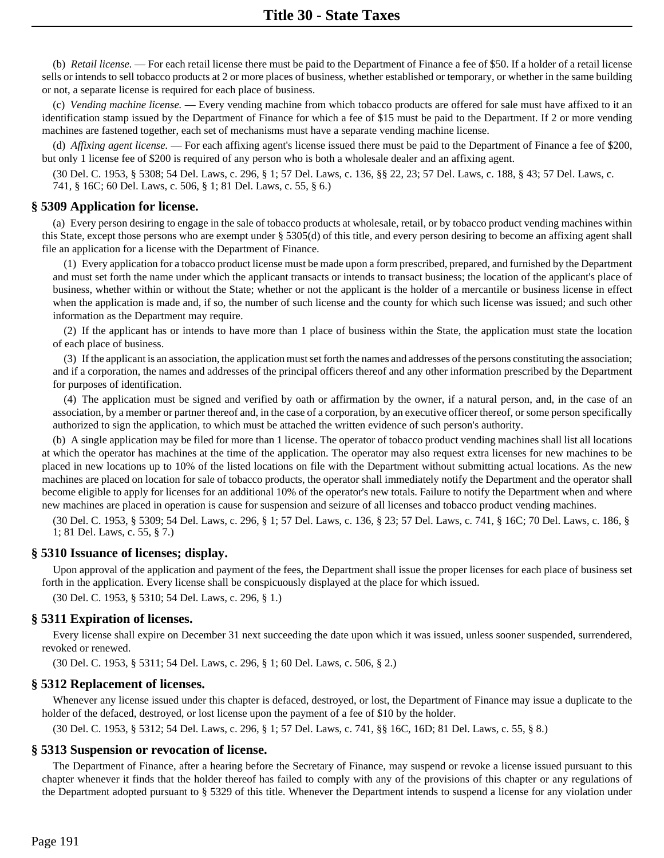(b) *Retail license.* — For each retail license there must be paid to the Department of Finance a fee of \$50. If a holder of a retail license sells or intends to sell tobacco products at 2 or more places of business, whether established or temporary, or whether in the same building or not, a separate license is required for each place of business.

(c) *Vending machine license.* — Every vending machine from which tobacco products are offered for sale must have affixed to it an identification stamp issued by the Department of Finance for which a fee of \$15 must be paid to the Department. If 2 or more vending machines are fastened together, each set of mechanisms must have a separate vending machine license.

(d) *Affixing agent license.* — For each affixing agent's license issued there must be paid to the Department of Finance a fee of \$200, but only 1 license fee of \$200 is required of any person who is both a wholesale dealer and an affixing agent.

(30 Del. C. 1953, § 5308; 54 Del. Laws, c. 296, § 1; 57 Del. Laws, c. 136, §§ 22, 23; 57 Del. Laws, c. 188, § 43; 57 Del. Laws, c. 741, § 16C; 60 Del. Laws, c. 506, § 1; 81 Del. Laws, c. 55, § 6.)

#### **§ 5309 Application for license.**

(a) Every person desiring to engage in the sale of tobacco products at wholesale, retail, or by tobacco product vending machines within this State, except those persons who are exempt under § 5305(d) of this title, and every person desiring to become an affixing agent shall file an application for a license with the Department of Finance.

(1) Every application for a tobacco product license must be made upon a form prescribed, prepared, and furnished by the Department and must set forth the name under which the applicant transacts or intends to transact business; the location of the applicant's place of business, whether within or without the State; whether or not the applicant is the holder of a mercantile or business license in effect when the application is made and, if so, the number of such license and the county for which such license was issued; and such other information as the Department may require.

(2) If the applicant has or intends to have more than 1 place of business within the State, the application must state the location of each place of business.

(3) If the applicant is an association, the application must set forth the names and addresses of the persons constituting the association; and if a corporation, the names and addresses of the principal officers thereof and any other information prescribed by the Department for purposes of identification.

(4) The application must be signed and verified by oath or affirmation by the owner, if a natural person, and, in the case of an association, by a member or partner thereof and, in the case of a corporation, by an executive officer thereof, or some person specifically authorized to sign the application, to which must be attached the written evidence of such person's authority.

(b) A single application may be filed for more than 1 license. The operator of tobacco product vending machines shall list all locations at which the operator has machines at the time of the application. The operator may also request extra licenses for new machines to be placed in new locations up to 10% of the listed locations on file with the Department without submitting actual locations. As the new machines are placed on location for sale of tobacco products, the operator shall immediately notify the Department and the operator shall become eligible to apply for licenses for an additional 10% of the operator's new totals. Failure to notify the Department when and where new machines are placed in operation is cause for suspension and seizure of all licenses and tobacco product vending machines.

(30 Del. C. 1953, § 5309; 54 Del. Laws, c. 296, § 1; 57 Del. Laws, c. 136, § 23; 57 Del. Laws, c. 741, § 16C; 70 Del. Laws, c. 186, § 1; 81 Del. Laws, c. 55, § 7.)

#### **§ 5310 Issuance of licenses; display.**

Upon approval of the application and payment of the fees, the Department shall issue the proper licenses for each place of business set forth in the application. Every license shall be conspicuously displayed at the place for which issued.

(30 Del. C. 1953, § 5310; 54 Del. Laws, c. 296, § 1.)

#### **§ 5311 Expiration of licenses.**

Every license shall expire on December 31 next succeeding the date upon which it was issued, unless sooner suspended, surrendered, revoked or renewed.

(30 Del. C. 1953, § 5311; 54 Del. Laws, c. 296, § 1; 60 Del. Laws, c. 506, § 2.)

#### **§ 5312 Replacement of licenses.**

Whenever any license issued under this chapter is defaced, destroyed, or lost, the Department of Finance may issue a duplicate to the holder of the defaced, destroyed, or lost license upon the payment of a fee of \$10 by the holder.

(30 Del. C. 1953, § 5312; 54 Del. Laws, c. 296, § 1; 57 Del. Laws, c. 741, §§ 16C, 16D; 81 Del. Laws, c. 55, § 8.)

#### **§ 5313 Suspension or revocation of license.**

The Department of Finance, after a hearing before the Secretary of Finance, may suspend or revoke a license issued pursuant to this chapter whenever it finds that the holder thereof has failed to comply with any of the provisions of this chapter or any regulations of the Department adopted pursuant to § 5329 of this title. Whenever the Department intends to suspend a license for any violation under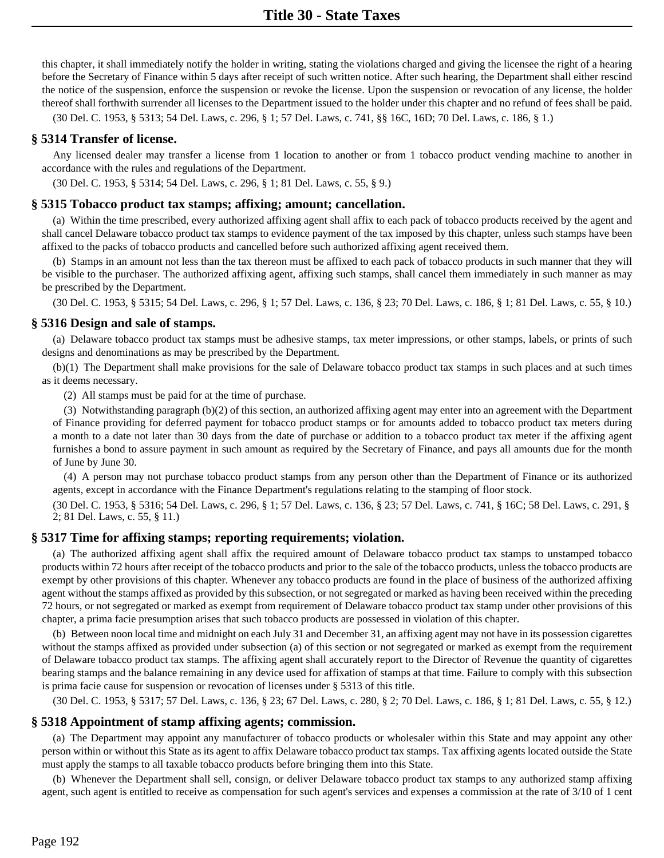this chapter, it shall immediately notify the holder in writing, stating the violations charged and giving the licensee the right of a hearing before the Secretary of Finance within 5 days after receipt of such written notice. After such hearing, the Department shall either rescind the notice of the suspension, enforce the suspension or revoke the license. Upon the suspension or revocation of any license, the holder thereof shall forthwith surrender all licenses to the Department issued to the holder under this chapter and no refund of fees shall be paid.

(30 Del. C. 1953, § 5313; 54 Del. Laws, c. 296, § 1; 57 Del. Laws, c. 741, §§ 16C, 16D; 70 Del. Laws, c. 186, § 1.)

#### **§ 5314 Transfer of license.**

Any licensed dealer may transfer a license from 1 location to another or from 1 tobacco product vending machine to another in accordance with the rules and regulations of the Department.

(30 Del. C. 1953, § 5314; 54 Del. Laws, c. 296, § 1; 81 Del. Laws, c. 55, § 9.)

#### **§ 5315 Tobacco product tax stamps; affixing; amount; cancellation.**

(a) Within the time prescribed, every authorized affixing agent shall affix to each pack of tobacco products received by the agent and shall cancel Delaware tobacco product tax stamps to evidence payment of the tax imposed by this chapter, unless such stamps have been affixed to the packs of tobacco products and cancelled before such authorized affixing agent received them.

(b) Stamps in an amount not less than the tax thereon must be affixed to each pack of tobacco products in such manner that they will be visible to the purchaser. The authorized affixing agent, affixing such stamps, shall cancel them immediately in such manner as may be prescribed by the Department.

(30 Del. C. 1953, § 5315; 54 Del. Laws, c. 296, § 1; 57 Del. Laws, c. 136, § 23; 70 Del. Laws, c. 186, § 1; 81 Del. Laws, c. 55, § 10.)

#### **§ 5316 Design and sale of stamps.**

(a) Delaware tobacco product tax stamps must be adhesive stamps, tax meter impressions, or other stamps, labels, or prints of such designs and denominations as may be prescribed by the Department.

(b)(1) The Department shall make provisions for the sale of Delaware tobacco product tax stamps in such places and at such times as it deems necessary.

(2) All stamps must be paid for at the time of purchase.

(3) Notwithstanding paragraph (b)(2) of this section, an authorized affixing agent may enter into an agreement with the Department of Finance providing for deferred payment for tobacco product stamps or for amounts added to tobacco product tax meters during a month to a date not later than 30 days from the date of purchase or addition to a tobacco product tax meter if the affixing agent furnishes a bond to assure payment in such amount as required by the Secretary of Finance, and pays all amounts due for the month of June by June 30.

(4) A person may not purchase tobacco product stamps from any person other than the Department of Finance or its authorized agents, except in accordance with the Finance Department's regulations relating to the stamping of floor stock.

(30 Del. C. 1953, § 5316; 54 Del. Laws, c. 296, § 1; 57 Del. Laws, c. 136, § 23; 57 Del. Laws, c. 741, § 16C; 58 Del. Laws, c. 291, § 2; 81 Del. Laws, c. 55, § 11.)

## **§ 5317 Time for affixing stamps; reporting requirements; violation.**

(a) The authorized affixing agent shall affix the required amount of Delaware tobacco product tax stamps to unstamped tobacco products within 72 hours after receipt of the tobacco products and prior to the sale of the tobacco products, unless the tobacco products are exempt by other provisions of this chapter. Whenever any tobacco products are found in the place of business of the authorized affixing agent without the stamps affixed as provided by this subsection, or not segregated or marked as having been received within the preceding 72 hours, or not segregated or marked as exempt from requirement of Delaware tobacco product tax stamp under other provisions of this chapter, a prima facie presumption arises that such tobacco products are possessed in violation of this chapter.

(b) Between noon local time and midnight on each July 31 and December 31, an affixing agent may not have in its possession cigarettes without the stamps affixed as provided under subsection (a) of this section or not segregated or marked as exempt from the requirement of Delaware tobacco product tax stamps. The affixing agent shall accurately report to the Director of Revenue the quantity of cigarettes bearing stamps and the balance remaining in any device used for affixation of stamps at that time. Failure to comply with this subsection is prima facie cause for suspension or revocation of licenses under § 5313 of this title.

(30 Del. C. 1953, § 5317; 57 Del. Laws, c. 136, § 23; 67 Del. Laws, c. 280, § 2; 70 Del. Laws, c. 186, § 1; 81 Del. Laws, c. 55, § 12.)

## **§ 5318 Appointment of stamp affixing agents; commission.**

(a) The Department may appoint any manufacturer of tobacco products or wholesaler within this State and may appoint any other person within or without this State as its agent to affix Delaware tobacco product tax stamps. Tax affixing agents located outside the State must apply the stamps to all taxable tobacco products before bringing them into this State.

(b) Whenever the Department shall sell, consign, or deliver Delaware tobacco product tax stamps to any authorized stamp affixing agent, such agent is entitled to receive as compensation for such agent's services and expenses a commission at the rate of 3/10 of 1 cent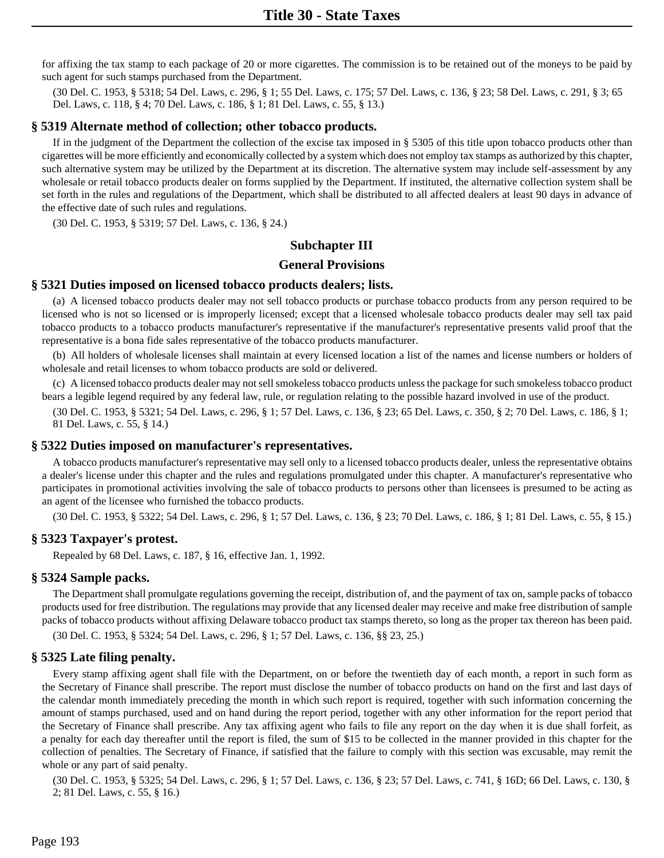for affixing the tax stamp to each package of 20 or more cigarettes. The commission is to be retained out of the moneys to be paid by such agent for such stamps purchased from the Department.

(30 Del. C. 1953, § 5318; 54 Del. Laws, c. 296, § 1; 55 Del. Laws, c. 175; 57 Del. Laws, c. 136, § 23; 58 Del. Laws, c. 291, § 3; 65 Del. Laws, c. 118, § 4; 70 Del. Laws, c. 186, § 1; 81 Del. Laws, c. 55, § 13.)

#### **§ 5319 Alternate method of collection; other tobacco products.**

If in the judgment of the Department the collection of the excise tax imposed in § 5305 of this title upon tobacco products other than cigarettes will be more efficiently and economically collected by a system which does not employ tax stamps as authorized by this chapter, such alternative system may be utilized by the Department at its discretion. The alternative system may include self-assessment by any wholesale or retail tobacco products dealer on forms supplied by the Department. If instituted, the alternative collection system shall be set forth in the rules and regulations of the Department, which shall be distributed to all affected dealers at least 90 days in advance of the effective date of such rules and regulations.

(30 Del. C. 1953, § 5319; 57 Del. Laws, c. 136, § 24.)

#### **Subchapter III**

#### **General Provisions**

#### **§ 5321 Duties imposed on licensed tobacco products dealers; lists.**

(a) A licensed tobacco products dealer may not sell tobacco products or purchase tobacco products from any person required to be licensed who is not so licensed or is improperly licensed; except that a licensed wholesale tobacco products dealer may sell tax paid tobacco products to a tobacco products manufacturer's representative if the manufacturer's representative presents valid proof that the representative is a bona fide sales representative of the tobacco products manufacturer.

(b) All holders of wholesale licenses shall maintain at every licensed location a list of the names and license numbers or holders of wholesale and retail licenses to whom tobacco products are sold or delivered.

(c) A licensed tobacco products dealer may not sell smokeless tobacco products unless the package for such smokeless tobacco product bears a legible legend required by any federal law, rule, or regulation relating to the possible hazard involved in use of the product.

(30 Del. C. 1953, § 5321; 54 Del. Laws, c. 296, § 1; 57 Del. Laws, c. 136, § 23; 65 Del. Laws, c. 350, § 2; 70 Del. Laws, c. 186, § 1; 81 Del. Laws, c. 55, § 14.)

#### **§ 5322 Duties imposed on manufacturer's representatives.**

A tobacco products manufacturer's representative may sell only to a licensed tobacco products dealer, unless the representative obtains a dealer's license under this chapter and the rules and regulations promulgated under this chapter. A manufacturer's representative who participates in promotional activities involving the sale of tobacco products to persons other than licensees is presumed to be acting as an agent of the licensee who furnished the tobacco products.

(30 Del. C. 1953, § 5322; 54 Del. Laws, c. 296, § 1; 57 Del. Laws, c. 136, § 23; 70 Del. Laws, c. 186, § 1; 81 Del. Laws, c. 55, § 15.)

#### **§ 5323 Taxpayer's protest.**

Repealed by 68 Del. Laws, c. 187, § 16, effective Jan. 1, 1992.

#### **§ 5324 Sample packs.**

The Department shall promulgate regulations governing the receipt, distribution of, and the payment of tax on, sample packs of tobacco products used for free distribution. The regulations may provide that any licensed dealer may receive and make free distribution of sample packs of tobacco products without affixing Delaware tobacco product tax stamps thereto, so long as the proper tax thereon has been paid.

(30 Del. C. 1953, § 5324; 54 Del. Laws, c. 296, § 1; 57 Del. Laws, c. 136, §§ 23, 25.)

#### **§ 5325 Late filing penalty.**

Every stamp affixing agent shall file with the Department, on or before the twentieth day of each month, a report in such form as the Secretary of Finance shall prescribe. The report must disclose the number of tobacco products on hand on the first and last days of the calendar month immediately preceding the month in which such report is required, together with such information concerning the amount of stamps purchased, used and on hand during the report period, together with any other information for the report period that the Secretary of Finance shall prescribe. Any tax affixing agent who fails to file any report on the day when it is due shall forfeit, as a penalty for each day thereafter until the report is filed, the sum of \$15 to be collected in the manner provided in this chapter for the collection of penalties. The Secretary of Finance, if satisfied that the failure to comply with this section was excusable, may remit the whole or any part of said penalty.

(30 Del. C. 1953, § 5325; 54 Del. Laws, c. 296, § 1; 57 Del. Laws, c. 136, § 23; 57 Del. Laws, c. 741, § 16D; 66 Del. Laws, c. 130, § 2; 81 Del. Laws, c. 55, § 16.)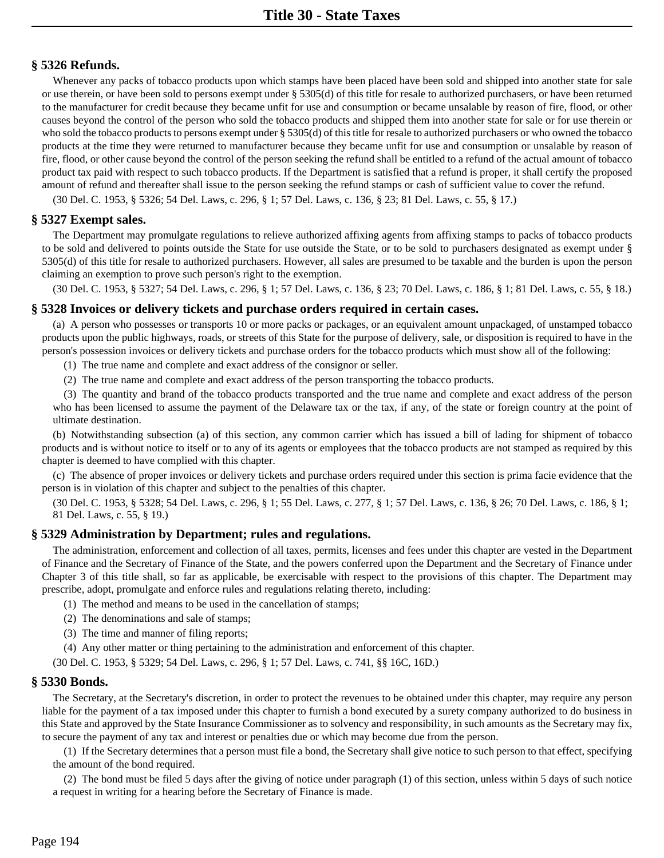# **§ 5326 Refunds.**

Whenever any packs of tobacco products upon which stamps have been placed have been sold and shipped into another state for sale or use therein, or have been sold to persons exempt under § 5305(d) of this title for resale to authorized purchasers, or have been returned to the manufacturer for credit because they became unfit for use and consumption or became unsalable by reason of fire, flood, or other causes beyond the control of the person who sold the tobacco products and shipped them into another state for sale or for use therein or who sold the tobacco products to persons exempt under § 5305(d) of this title for resale to authorized purchasers or who owned the tobacco products at the time they were returned to manufacturer because they became unfit for use and consumption or unsalable by reason of fire, flood, or other cause beyond the control of the person seeking the refund shall be entitled to a refund of the actual amount of tobacco product tax paid with respect to such tobacco products. If the Department is satisfied that a refund is proper, it shall certify the proposed amount of refund and thereafter shall issue to the person seeking the refund stamps or cash of sufficient value to cover the refund.

(30 Del. C. 1953, § 5326; 54 Del. Laws, c. 296, § 1; 57 Del. Laws, c. 136, § 23; 81 Del. Laws, c. 55, § 17.)

## **§ 5327 Exempt sales.**

The Department may promulgate regulations to relieve authorized affixing agents from affixing stamps to packs of tobacco products to be sold and delivered to points outside the State for use outside the State, or to be sold to purchasers designated as exempt under § 5305(d) of this title for resale to authorized purchasers. However, all sales are presumed to be taxable and the burden is upon the person claiming an exemption to prove such person's right to the exemption.

(30 Del. C. 1953, § 5327; 54 Del. Laws, c. 296, § 1; 57 Del. Laws, c. 136, § 23; 70 Del. Laws, c. 186, § 1; 81 Del. Laws, c. 55, § 18.)

#### **§ 5328 Invoices or delivery tickets and purchase orders required in certain cases.**

(a) A person who possesses or transports 10 or more packs or packages, or an equivalent amount unpackaged, of unstamped tobacco products upon the public highways, roads, or streets of this State for the purpose of delivery, sale, or disposition is required to have in the person's possession invoices or delivery tickets and purchase orders for the tobacco products which must show all of the following:

- (1) The true name and complete and exact address of the consignor or seller.
- (2) The true name and complete and exact address of the person transporting the tobacco products.

(3) The quantity and brand of the tobacco products transported and the true name and complete and exact address of the person who has been licensed to assume the payment of the Delaware tax or the tax, if any, of the state or foreign country at the point of ultimate destination.

(b) Notwithstanding subsection (a) of this section, any common carrier which has issued a bill of lading for shipment of tobacco products and is without notice to itself or to any of its agents or employees that the tobacco products are not stamped as required by this chapter is deemed to have complied with this chapter.

(c) The absence of proper invoices or delivery tickets and purchase orders required under this section is prima facie evidence that the person is in violation of this chapter and subject to the penalties of this chapter.

(30 Del. C. 1953, § 5328; 54 Del. Laws, c. 296, § 1; 55 Del. Laws, c. 277, § 1; 57 Del. Laws, c. 136, § 26; 70 Del. Laws, c. 186, § 1; 81 Del. Laws, c. 55, § 19.)

## **§ 5329 Administration by Department; rules and regulations.**

The administration, enforcement and collection of all taxes, permits, licenses and fees under this chapter are vested in the Department of Finance and the Secretary of Finance of the State, and the powers conferred upon the Department and the Secretary of Finance under Chapter 3 of this title shall, so far as applicable, be exercisable with respect to the provisions of this chapter. The Department may prescribe, adopt, promulgate and enforce rules and regulations relating thereto, including:

(1) The method and means to be used in the cancellation of stamps;

- (2) The denominations and sale of stamps;
- (3) The time and manner of filing reports;
- (4) Any other matter or thing pertaining to the administration and enforcement of this chapter.

(30 Del. C. 1953, § 5329; 54 Del. Laws, c. 296, § 1; 57 Del. Laws, c. 741, §§ 16C, 16D.)

#### **§ 5330 Bonds.**

The Secretary, at the Secretary's discretion, in order to protect the revenues to be obtained under this chapter, may require any person liable for the payment of a tax imposed under this chapter to furnish a bond executed by a surety company authorized to do business in this State and approved by the State Insurance Commissioner as to solvency and responsibility, in such amounts as the Secretary may fix, to secure the payment of any tax and interest or penalties due or which may become due from the person.

(1) If the Secretary determines that a person must file a bond, the Secretary shall give notice to such person to that effect, specifying the amount of the bond required.

(2) The bond must be filed 5 days after the giving of notice under paragraph (1) of this section, unless within 5 days of such notice a request in writing for a hearing before the Secretary of Finance is made.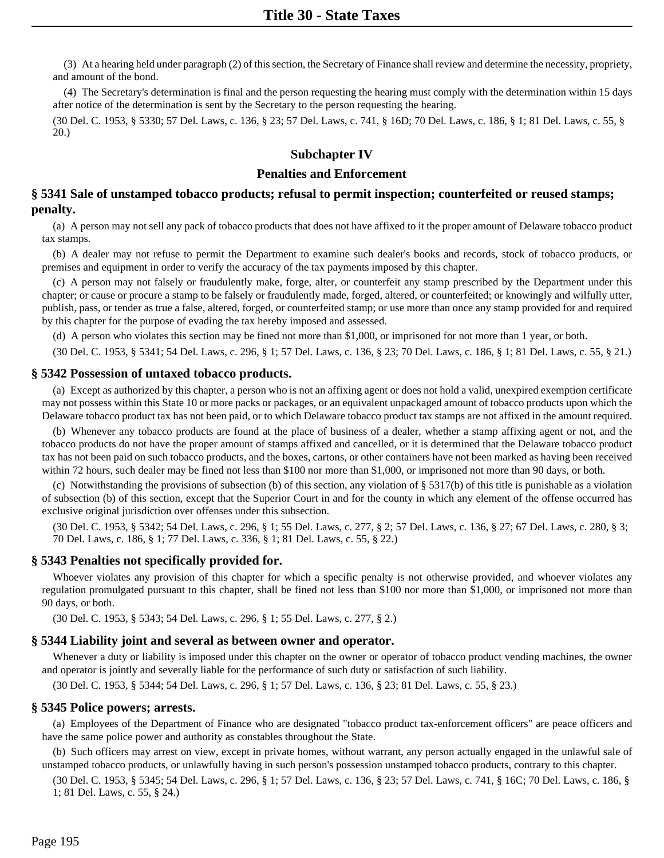(3) At a hearing held under paragraph (2) of this section, the Secretary of Finance shall review and determine the necessity, propriety, and amount of the bond.

(4) The Secretary's determination is final and the person requesting the hearing must comply with the determination within 15 days after notice of the determination is sent by the Secretary to the person requesting the hearing.

(30 Del. C. 1953, § 5330; 57 Del. Laws, c. 136, § 23; 57 Del. Laws, c. 741, § 16D; 70 Del. Laws, c. 186, § 1; 81 Del. Laws, c. 55, § 20.)

## **Subchapter IV**

#### **Penalties and Enforcement**

## **§ 5341 Sale of unstamped tobacco products; refusal to permit inspection; counterfeited or reused stamps; penalty.**

(a) A person may not sell any pack of tobacco products that does not have affixed to it the proper amount of Delaware tobacco product tax stamps.

(b) A dealer may not refuse to permit the Department to examine such dealer's books and records, stock of tobacco products, or premises and equipment in order to verify the accuracy of the tax payments imposed by this chapter.

(c) A person may not falsely or fraudulently make, forge, alter, or counterfeit any stamp prescribed by the Department under this chapter; or cause or procure a stamp to be falsely or fraudulently made, forged, altered, or counterfeited; or knowingly and wilfully utter, publish, pass, or tender as true a false, altered, forged, or counterfeited stamp; or use more than once any stamp provided for and required by this chapter for the purpose of evading the tax hereby imposed and assessed.

(d) A person who violates this section may be fined not more than \$1,000, or imprisoned for not more than 1 year, or both.

(30 Del. C. 1953, § 5341; 54 Del. Laws, c. 296, § 1; 57 Del. Laws, c. 136, § 23; 70 Del. Laws, c. 186, § 1; 81 Del. Laws, c. 55, § 21.)

#### **§ 5342 Possession of untaxed tobacco products.**

(a) Except as authorized by this chapter, a person who is not an affixing agent or does not hold a valid, unexpired exemption certificate may not possess within this State 10 or more packs or packages, or an equivalent unpackaged amount of tobacco products upon which the Delaware tobacco product tax has not been paid, or to which Delaware tobacco product tax stamps are not affixed in the amount required.

(b) Whenever any tobacco products are found at the place of business of a dealer, whether a stamp affixing agent or not, and the tobacco products do not have the proper amount of stamps affixed and cancelled, or it is determined that the Delaware tobacco product tax has not been paid on such tobacco products, and the boxes, cartons, or other containers have not been marked as having been received within 72 hours, such dealer may be fined not less than \$100 nor more than \$1,000, or imprisoned not more than 90 days, or both.

(c) Notwithstanding the provisions of subsection (b) of this section, any violation of § 5317(b) of this title is punishable as a violation of subsection (b) of this section, except that the Superior Court in and for the county in which any element of the offense occurred has exclusive original jurisdiction over offenses under this subsection.

(30 Del. C. 1953, § 5342; 54 Del. Laws, c. 296, § 1; 55 Del. Laws, c. 277, § 2; 57 Del. Laws, c. 136, § 27; 67 Del. Laws, c. 280, § 3; 70 Del. Laws, c. 186, § 1; 77 Del. Laws, c. 336, § 1; 81 Del. Laws, c. 55, § 22.)

#### **§ 5343 Penalties not specifically provided for.**

Whoever violates any provision of this chapter for which a specific penalty is not otherwise provided, and whoever violates any regulation promulgated pursuant to this chapter, shall be fined not less than \$100 nor more than \$1,000, or imprisoned not more than 90 days, or both.

(30 Del. C. 1953, § 5343; 54 Del. Laws, c. 296, § 1; 55 Del. Laws, c. 277, § 2.)

#### **§ 5344 Liability joint and several as between owner and operator.**

Whenever a duty or liability is imposed under this chapter on the owner or operator of tobacco product vending machines, the owner and operator is jointly and severally liable for the performance of such duty or satisfaction of such liability.

(30 Del. C. 1953, § 5344; 54 Del. Laws, c. 296, § 1; 57 Del. Laws, c. 136, § 23; 81 Del. Laws, c. 55, § 23.)

#### **§ 5345 Police powers; arrests.**

(a) Employees of the Department of Finance who are designated "tobacco product tax-enforcement officers" are peace officers and have the same police power and authority as constables throughout the State.

(b) Such officers may arrest on view, except in private homes, without warrant, any person actually engaged in the unlawful sale of unstamped tobacco products, or unlawfully having in such person's possession unstamped tobacco products, contrary to this chapter.

(30 Del. C. 1953, § 5345; 54 Del. Laws, c. 296, § 1; 57 Del. Laws, c. 136, § 23; 57 Del. Laws, c. 741, § 16C; 70 Del. Laws, c. 186, § 1; 81 Del. Laws, c. 55, § 24.)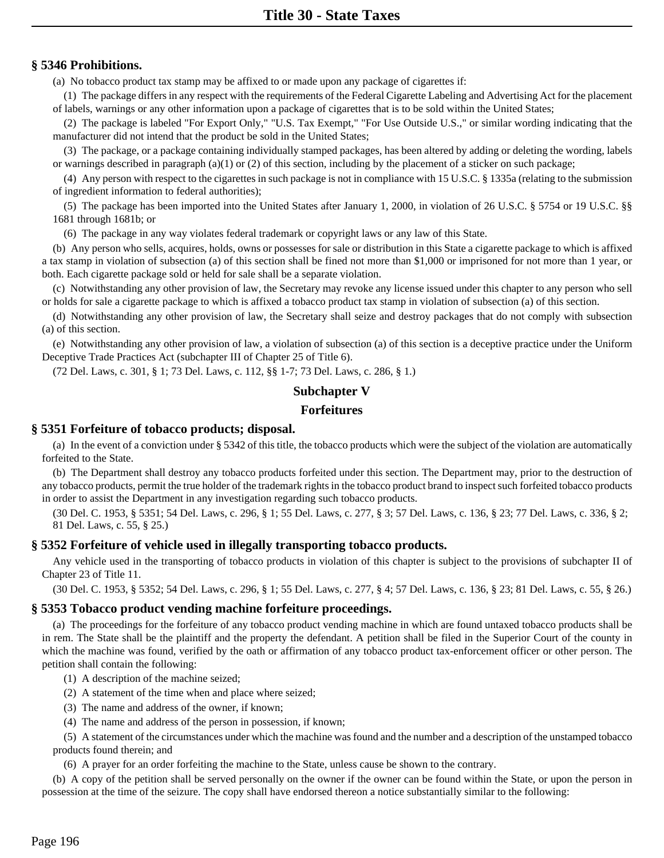# **§ 5346 Prohibitions.**

(a) No tobacco product tax stamp may be affixed to or made upon any package of cigarettes if:

(1) The package differs in any respect with the requirements of the Federal Cigarette Labeling and Advertising Act for the placement of labels, warnings or any other information upon a package of cigarettes that is to be sold within the United States;

(2) The package is labeled "For Export Only," "U.S. Tax Exempt," "For Use Outside U.S.," or similar wording indicating that the manufacturer did not intend that the product be sold in the United States;

(3) The package, or a package containing individually stamped packages, has been altered by adding or deleting the wording, labels or warnings described in paragraph (a)(1) or (2) of this section, including by the placement of a sticker on such package;

(4) Any person with respect to the cigarettes in such package is not in compliance with 15 U.S.C. § 1335a (relating to the submission of ingredient information to federal authorities);

(5) The package has been imported into the United States after January 1, 2000, in violation of 26 U.S.C. § 5754 or 19 U.S.C. §§ 1681 through 1681b; or

(6) The package in any way violates federal trademark or copyright laws or any law of this State.

(b) Any person who sells, acquires, holds, owns or possesses for sale or distribution in this State a cigarette package to which is affixed a tax stamp in violation of subsection (a) of this section shall be fined not more than \$1,000 or imprisoned for not more than 1 year, or both. Each cigarette package sold or held for sale shall be a separate violation.

(c) Notwithstanding any other provision of law, the Secretary may revoke any license issued under this chapter to any person who sell or holds for sale a cigarette package to which is affixed a tobacco product tax stamp in violation of subsection (a) of this section.

(d) Notwithstanding any other provision of law, the Secretary shall seize and destroy packages that do not comply with subsection (a) of this section.

(e) Notwithstanding any other provision of law, a violation of subsection (a) of this section is a deceptive practice under the Uniform Deceptive Trade Practices Act (subchapter III of Chapter 25 of Title 6).

(72 Del. Laws, c. 301, § 1; 73 Del. Laws, c. 112, §§ 1-7; 73 Del. Laws, c. 286, § 1.)

#### **Subchapter V**

#### **Forfeitures**

#### **§ 5351 Forfeiture of tobacco products; disposal.**

(a) In the event of a conviction under § 5342 of this title, the tobacco products which were the subject of the violation are automatically forfeited to the State.

(b) The Department shall destroy any tobacco products forfeited under this section. The Department may, prior to the destruction of any tobacco products, permit the true holder of the trademark rights in the tobacco product brand to inspect such forfeited tobacco products in order to assist the Department in any investigation regarding such tobacco products.

(30 Del. C. 1953, § 5351; 54 Del. Laws, c. 296, § 1; 55 Del. Laws, c. 277, § 3; 57 Del. Laws, c. 136, § 23; 77 Del. Laws, c. 336, § 2; 81 Del. Laws, c. 55, § 25.)

## **§ 5352 Forfeiture of vehicle used in illegally transporting tobacco products.**

Any vehicle used in the transporting of tobacco products in violation of this chapter is subject to the provisions of subchapter II of Chapter 23 of Title 11.

(30 Del. C. 1953, § 5352; 54 Del. Laws, c. 296, § 1; 55 Del. Laws, c. 277, § 4; 57 Del. Laws, c. 136, § 23; 81 Del. Laws, c. 55, § 26.)

#### **§ 5353 Tobacco product vending machine forfeiture proceedings.**

(a) The proceedings for the forfeiture of any tobacco product vending machine in which are found untaxed tobacco products shall be in rem. The State shall be the plaintiff and the property the defendant. A petition shall be filed in the Superior Court of the county in which the machine was found, verified by the oath or affirmation of any tobacco product tax-enforcement officer or other person. The petition shall contain the following:

- (1) A description of the machine seized;
- (2) A statement of the time when and place where seized;
- (3) The name and address of the owner, if known;
- (4) The name and address of the person in possession, if known;

(5) A statement of the circumstances under which the machine was found and the number and a description of the unstamped tobacco products found therein; and

(6) A prayer for an order forfeiting the machine to the State, unless cause be shown to the contrary.

(b) A copy of the petition shall be served personally on the owner if the owner can be found within the State, or upon the person in possession at the time of the seizure. The copy shall have endorsed thereon a notice substantially similar to the following: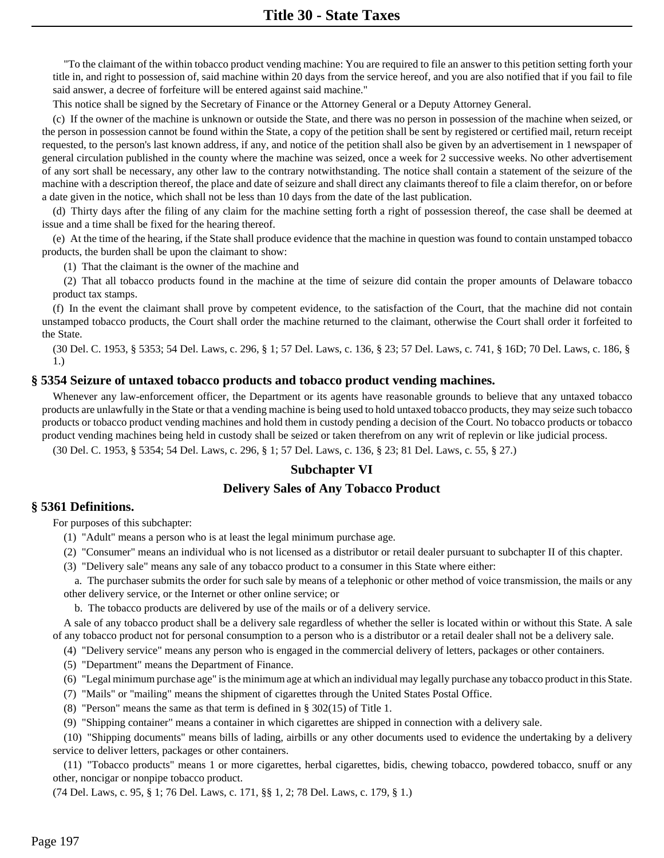"To the claimant of the within tobacco product vending machine: You are required to file an answer to this petition setting forth your title in, and right to possession of, said machine within 20 days from the service hereof, and you are also notified that if you fail to file said answer, a decree of forfeiture will be entered against said machine."

This notice shall be signed by the Secretary of Finance or the Attorney General or a Deputy Attorney General.

(c) If the owner of the machine is unknown or outside the State, and there was no person in possession of the machine when seized, or the person in possession cannot be found within the State, a copy of the petition shall be sent by registered or certified mail, return receipt requested, to the person's last known address, if any, and notice of the petition shall also be given by an advertisement in 1 newspaper of general circulation published in the county where the machine was seized, once a week for 2 successive weeks. No other advertisement of any sort shall be necessary, any other law to the contrary notwithstanding. The notice shall contain a statement of the seizure of the machine with a description thereof, the place and date of seizure and shall direct any claimants thereof to file a claim therefor, on or before a date given in the notice, which shall not be less than 10 days from the date of the last publication.

(d) Thirty days after the filing of any claim for the machine setting forth a right of possession thereof, the case shall be deemed at issue and a time shall be fixed for the hearing thereof.

(e) At the time of the hearing, if the State shall produce evidence that the machine in question was found to contain unstamped tobacco products, the burden shall be upon the claimant to show:

(1) That the claimant is the owner of the machine and

(2) That all tobacco products found in the machine at the time of seizure did contain the proper amounts of Delaware tobacco product tax stamps.

(f) In the event the claimant shall prove by competent evidence, to the satisfaction of the Court, that the machine did not contain unstamped tobacco products, the Court shall order the machine returned to the claimant, otherwise the Court shall order it forfeited to the State.

(30 Del. C. 1953, § 5353; 54 Del. Laws, c. 296, § 1; 57 Del. Laws, c. 136, § 23; 57 Del. Laws, c. 741, § 16D; 70 Del. Laws, c. 186, § 1.)

#### **§ 5354 Seizure of untaxed tobacco products and tobacco product vending machines.**

Whenever any law-enforcement officer, the Department or its agents have reasonable grounds to believe that any untaxed tobacco products are unlawfully in the State or that a vending machine is being used to hold untaxed tobacco products, they may seize such tobacco products or tobacco product vending machines and hold them in custody pending a decision of the Court. No tobacco products or tobacco product vending machines being held in custody shall be seized or taken therefrom on any writ of replevin or like judicial process.

(30 Del. C. 1953, § 5354; 54 Del. Laws, c. 296, § 1; 57 Del. Laws, c. 136, § 23; 81 Del. Laws, c. 55, § 27.)

## **Subchapter VI**

# **Delivery Sales of Any Tobacco Product**

## **§ 5361 Definitions.**

For purposes of this subchapter:

- (1) "Adult" means a person who is at least the legal minimum purchase age.
- (2) "Consumer" means an individual who is not licensed as a distributor or retail dealer pursuant to subchapter II of this chapter.
- (3) "Delivery sale" means any sale of any tobacco product to a consumer in this State where either:

a. The purchaser submits the order for such sale by means of a telephonic or other method of voice transmission, the mails or any other delivery service, or the Internet or other online service; or

b. The tobacco products are delivered by use of the mails or of a delivery service.

A sale of any tobacco product shall be a delivery sale regardless of whether the seller is located within or without this State. A sale of any tobacco product not for personal consumption to a person who is a distributor or a retail dealer shall not be a delivery sale.

- (4) "Delivery service" means any person who is engaged in the commercial delivery of letters, packages or other containers.
- (5) "Department" means the Department of Finance.
- (6) "Legal minimum purchase age" is the minimum age at which an individual may legally purchase any tobacco product in this State.
- (7) "Mails" or "mailing" means the shipment of cigarettes through the United States Postal Office.
- (8) "Person" means the same as that term is defined in § 302(15) of Title 1.
- (9) "Shipping container" means a container in which cigarettes are shipped in connection with a delivery sale.

(10) "Shipping documents" means bills of lading, airbills or any other documents used to evidence the undertaking by a delivery service to deliver letters, packages or other containers.

(11) "Tobacco products" means 1 or more cigarettes, herbal cigarettes, bidis, chewing tobacco, powdered tobacco, snuff or any other, noncigar or nonpipe tobacco product.

(74 Del. Laws, c. 95, § 1; 76 Del. Laws, c. 171, §§ 1, 2; 78 Del. Laws, c. 179, § 1.)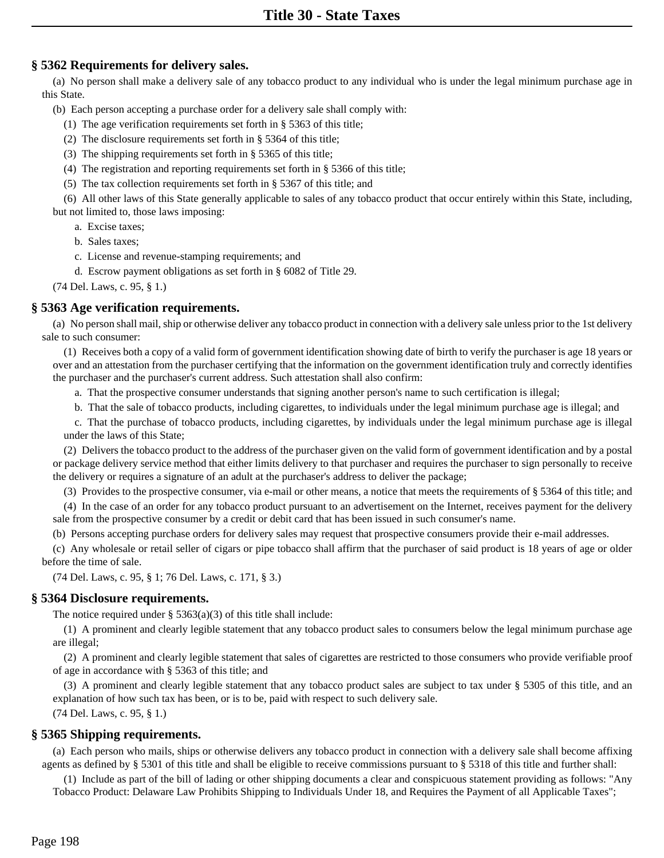# **§ 5362 Requirements for delivery sales.**

(a) No person shall make a delivery sale of any tobacco product to any individual who is under the legal minimum purchase age in this State.

(b) Each person accepting a purchase order for a delivery sale shall comply with:

- (1) The age verification requirements set forth in § 5363 of this title;
- (2) The disclosure requirements set forth in § 5364 of this title;
- (3) The shipping requirements set forth in § 5365 of this title;
- (4) The registration and reporting requirements set forth in § 5366 of this title;
- (5) The tax collection requirements set forth in § 5367 of this title; and

(6) All other laws of this State generally applicable to sales of any tobacco product that occur entirely within this State, including, but not limited to, those laws imposing:

- a. Excise taxes;
- b. Sales taxes;
- c. License and revenue-stamping requirements; and
- d. Escrow payment obligations as set forth in § 6082 of Title 29.
- (74 Del. Laws, c. 95, § 1.)

# **§ 5363 Age verification requirements.**

(a) No person shall mail, ship or otherwise deliver any tobacco product in connection with a delivery sale unless prior to the 1st delivery sale to such consumer:

(1) Receives both a copy of a valid form of government identification showing date of birth to verify the purchaser is age 18 years or over and an attestation from the purchaser certifying that the information on the government identification truly and correctly identifies the purchaser and the purchaser's current address. Such attestation shall also confirm:

- a. That the prospective consumer understands that signing another person's name to such certification is illegal;
- b. That the sale of tobacco products, including cigarettes, to individuals under the legal minimum purchase age is illegal; and

c. That the purchase of tobacco products, including cigarettes, by individuals under the legal minimum purchase age is illegal under the laws of this State;

(2) Delivers the tobacco product to the address of the purchaser given on the valid form of government identification and by a postal or package delivery service method that either limits delivery to that purchaser and requires the purchaser to sign personally to receive the delivery or requires a signature of an adult at the purchaser's address to deliver the package;

(3) Provides to the prospective consumer, via e-mail or other means, a notice that meets the requirements of § 5364 of this title; and

(4) In the case of an order for any tobacco product pursuant to an advertisement on the Internet, receives payment for the delivery sale from the prospective consumer by a credit or debit card that has been issued in such consumer's name.

(b) Persons accepting purchase orders for delivery sales may request that prospective consumers provide their e-mail addresses.

(c) Any wholesale or retail seller of cigars or pipe tobacco shall affirm that the purchaser of said product is 18 years of age or older before the time of sale.

(74 Del. Laws, c. 95, § 1; 76 Del. Laws, c. 171, § 3.)

## **§ 5364 Disclosure requirements.**

The notice required under  $\S$  5363(a)(3) of this title shall include:

(1) A prominent and clearly legible statement that any tobacco product sales to consumers below the legal minimum purchase age are illegal;

(2) A prominent and clearly legible statement that sales of cigarettes are restricted to those consumers who provide verifiable proof of age in accordance with § 5363 of this title; and

(3) A prominent and clearly legible statement that any tobacco product sales are subject to tax under § 5305 of this title, and an explanation of how such tax has been, or is to be, paid with respect to such delivery sale.

(74 Del. Laws, c. 95, § 1.)

## **§ 5365 Shipping requirements.**

(a) Each person who mails, ships or otherwise delivers any tobacco product in connection with a delivery sale shall become affixing agents as defined by § 5301 of this title and shall be eligible to receive commissions pursuant to § 5318 of this title and further shall:

(1) Include as part of the bill of lading or other shipping documents a clear and conspicuous statement providing as follows: "Any Tobacco Product: Delaware Law Prohibits Shipping to Individuals Under 18, and Requires the Payment of all Applicable Taxes";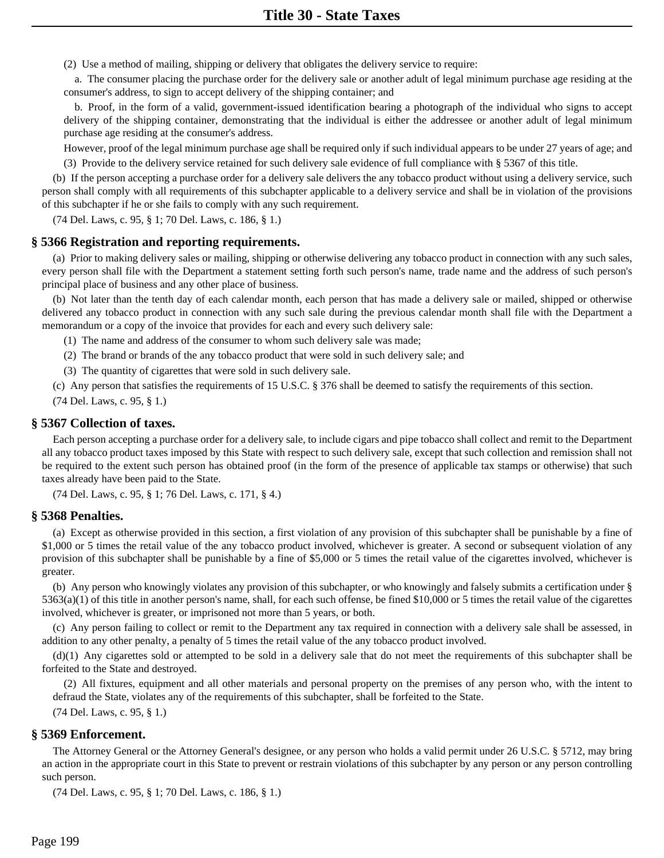(2) Use a method of mailing, shipping or delivery that obligates the delivery service to require:

a. The consumer placing the purchase order for the delivery sale or another adult of legal minimum purchase age residing at the consumer's address, to sign to accept delivery of the shipping container; and

b. Proof, in the form of a valid, government-issued identification bearing a photograph of the individual who signs to accept delivery of the shipping container, demonstrating that the individual is either the addressee or another adult of legal minimum purchase age residing at the consumer's address.

However, proof of the legal minimum purchase age shall be required only if such individual appears to be under 27 years of age; and

(3) Provide to the delivery service retained for such delivery sale evidence of full compliance with § 5367 of this title.

(b) If the person accepting a purchase order for a delivery sale delivers the any tobacco product without using a delivery service, such person shall comply with all requirements of this subchapter applicable to a delivery service and shall be in violation of the provisions of this subchapter if he or she fails to comply with any such requirement.

(74 Del. Laws, c. 95, § 1; 70 Del. Laws, c. 186, § 1.)

#### **§ 5366 Registration and reporting requirements.**

(a) Prior to making delivery sales or mailing, shipping or otherwise delivering any tobacco product in connection with any such sales, every person shall file with the Department a statement setting forth such person's name, trade name and the address of such person's principal place of business and any other place of business.

(b) Not later than the tenth day of each calendar month, each person that has made a delivery sale or mailed, shipped or otherwise delivered any tobacco product in connection with any such sale during the previous calendar month shall file with the Department a memorandum or a copy of the invoice that provides for each and every such delivery sale:

(1) The name and address of the consumer to whom such delivery sale was made;

(2) The brand or brands of the any tobacco product that were sold in such delivery sale; and

(3) The quantity of cigarettes that were sold in such delivery sale.

(c) Any person that satisfies the requirements of 15 U.S.C. § 376 shall be deemed to satisfy the requirements of this section.

(74 Del. Laws, c. 95, § 1.)

#### **§ 5367 Collection of taxes.**

Each person accepting a purchase order for a delivery sale, to include cigars and pipe tobacco shall collect and remit to the Department all any tobacco product taxes imposed by this State with respect to such delivery sale, except that such collection and remission shall not be required to the extent such person has obtained proof (in the form of the presence of applicable tax stamps or otherwise) that such taxes already have been paid to the State.

(74 Del. Laws, c. 95, § 1; 76 Del. Laws, c. 171, § 4.)

## **§ 5368 Penalties.**

(a) Except as otherwise provided in this section, a first violation of any provision of this subchapter shall be punishable by a fine of \$1,000 or 5 times the retail value of the any tobacco product involved, whichever is greater. A second or subsequent violation of any provision of this subchapter shall be punishable by a fine of \$5,000 or 5 times the retail value of the cigarettes involved, whichever is greater.

(b) Any person who knowingly violates any provision of this subchapter, or who knowingly and falsely submits a certification under §  $5363(a)(1)$  of this title in another person's name, shall, for each such offense, be fined \$10,000 or 5 times the retail value of the cigarettes involved, whichever is greater, or imprisoned not more than 5 years, or both.

(c) Any person failing to collect or remit to the Department any tax required in connection with a delivery sale shall be assessed, in addition to any other penalty, a penalty of 5 times the retail value of the any tobacco product involved.

(d)(1) Any cigarettes sold or attempted to be sold in a delivery sale that do not meet the requirements of this subchapter shall be forfeited to the State and destroyed.

(2) All fixtures, equipment and all other materials and personal property on the premises of any person who, with the intent to defraud the State, violates any of the requirements of this subchapter, shall be forfeited to the State.

(74 Del. Laws, c. 95, § 1.)

## **§ 5369 Enforcement.**

The Attorney General or the Attorney General's designee, or any person who holds a valid permit under 26 U.S.C. § 5712, may bring an action in the appropriate court in this State to prevent or restrain violations of this subchapter by any person or any person controlling such person.

(74 Del. Laws, c. 95, § 1; 70 Del. Laws, c. 186, § 1.)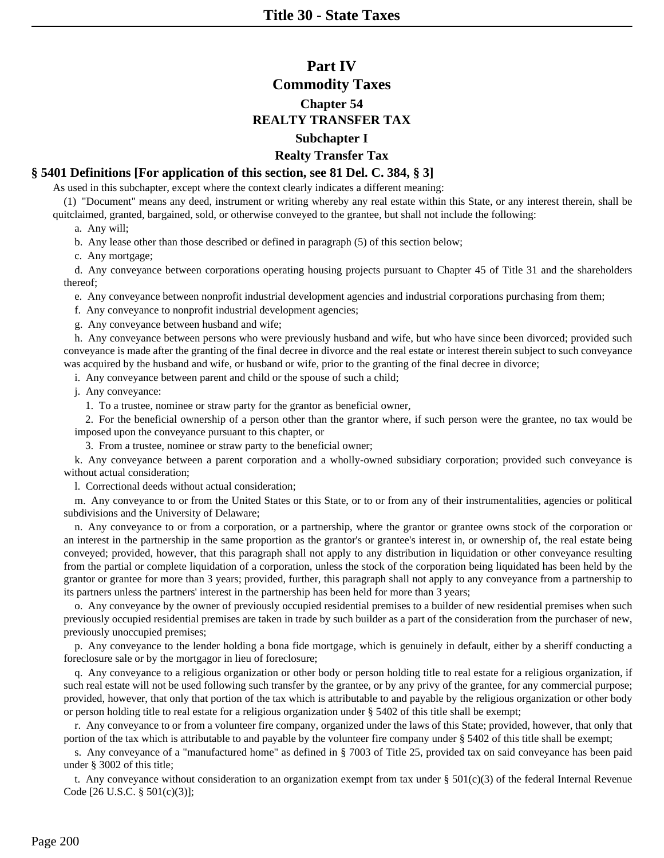# **Part IV Commodity Taxes Chapter 54 REALTY TRANSFER TAX Subchapter I Realty Transfer Tax**

# **§ 5401 Definitions [For application of this section, see 81 Del. C. 384, § 3]**

As used in this subchapter, except where the context clearly indicates a different meaning:

(1) "Document" means any deed, instrument or writing whereby any real estate within this State, or any interest therein, shall be quitclaimed, granted, bargained, sold, or otherwise conveyed to the grantee, but shall not include the following:

a. Any will;

b. Any lease other than those described or defined in paragraph (5) of this section below;

c. Any mortgage;

d. Any conveyance between corporations operating housing projects pursuant to Chapter 45 of Title 31 and the shareholders thereof;

e. Any conveyance between nonprofit industrial development agencies and industrial corporations purchasing from them;

f. Any conveyance to nonprofit industrial development agencies;

g. Any conveyance between husband and wife;

h. Any conveyance between persons who were previously husband and wife, but who have since been divorced; provided such conveyance is made after the granting of the final decree in divorce and the real estate or interest therein subject to such conveyance was acquired by the husband and wife, or husband or wife, prior to the granting of the final decree in divorce;

i. Any conveyance between parent and child or the spouse of such a child;

j. Any conveyance:

1. To a trustee, nominee or straw party for the grantor as beneficial owner,

2. For the beneficial ownership of a person other than the grantor where, if such person were the grantee, no tax would be imposed upon the conveyance pursuant to this chapter, or

3. From a trustee, nominee or straw party to the beneficial owner;

k. Any conveyance between a parent corporation and a wholly-owned subsidiary corporation; provided such conveyance is without actual consideration;

l. Correctional deeds without actual consideration;

m. Any conveyance to or from the United States or this State, or to or from any of their instrumentalities, agencies or political subdivisions and the University of Delaware;

n. Any conveyance to or from a corporation, or a partnership, where the grantor or grantee owns stock of the corporation or an interest in the partnership in the same proportion as the grantor's or grantee's interest in, or ownership of, the real estate being conveyed; provided, however, that this paragraph shall not apply to any distribution in liquidation or other conveyance resulting from the partial or complete liquidation of a corporation, unless the stock of the corporation being liquidated has been held by the grantor or grantee for more than 3 years; provided, further, this paragraph shall not apply to any conveyance from a partnership to its partners unless the partners' interest in the partnership has been held for more than 3 years;

o. Any conveyance by the owner of previously occupied residential premises to a builder of new residential premises when such previously occupied residential premises are taken in trade by such builder as a part of the consideration from the purchaser of new, previously unoccupied premises;

p. Any conveyance to the lender holding a bona fide mortgage, which is genuinely in default, either by a sheriff conducting a foreclosure sale or by the mortgagor in lieu of foreclosure;

q. Any conveyance to a religious organization or other body or person holding title to real estate for a religious organization, if such real estate will not be used following such transfer by the grantee, or by any privy of the grantee, for any commercial purpose; provided, however, that only that portion of the tax which is attributable to and payable by the religious organization or other body or person holding title to real estate for a religious organization under § 5402 of this title shall be exempt;

r. Any conveyance to or from a volunteer fire company, organized under the laws of this State; provided, however, that only that portion of the tax which is attributable to and payable by the volunteer fire company under § 5402 of this title shall be exempt;

s. Any conveyance of a "manufactured home" as defined in § 7003 of Title 25, provided tax on said conveyance has been paid under § 3002 of this title;

t. Any conveyance without consideration to an organization exempt from tax under  $\S 501(c)(3)$  of the federal Internal Revenue Code [26 U.S.C. § 501(c)(3)];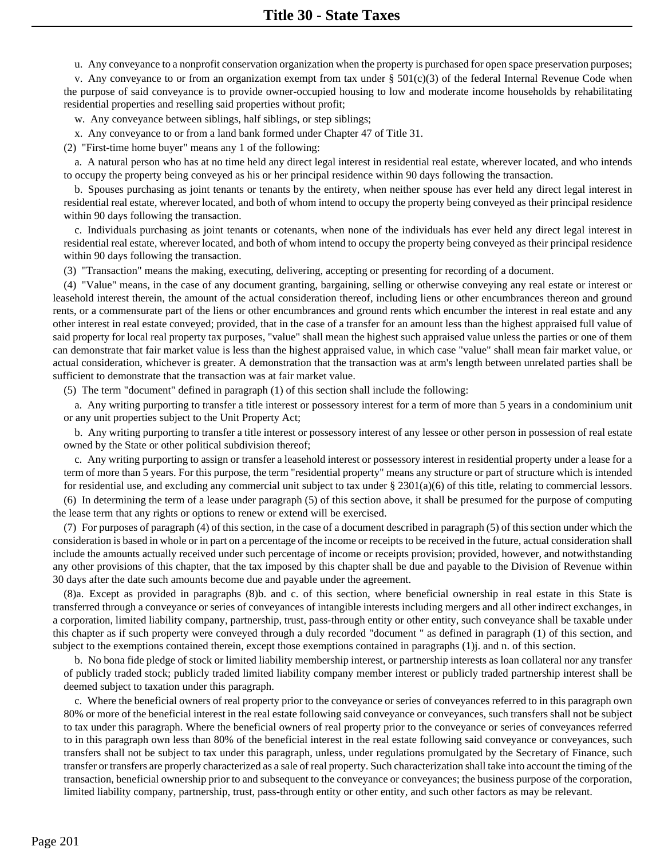u. Any conveyance to a nonprofit conservation organization when the property is purchased for open space preservation purposes;

v. Any conveyance to or from an organization exempt from tax under  $\S 501(c)(3)$  of the federal Internal Revenue Code when the purpose of said conveyance is to provide owner-occupied housing to low and moderate income households by rehabilitating residential properties and reselling said properties without profit;

w. Any conveyance between siblings, half siblings, or step siblings;

x. Any conveyance to or from a land bank formed under Chapter 47 of Title 31.

(2) "First-time home buyer" means any 1 of the following:

a. A natural person who has at no time held any direct legal interest in residential real estate, wherever located, and who intends to occupy the property being conveyed as his or her principal residence within 90 days following the transaction.

b. Spouses purchasing as joint tenants or tenants by the entirety, when neither spouse has ever held any direct legal interest in residential real estate, wherever located, and both of whom intend to occupy the property being conveyed as their principal residence within 90 days following the transaction.

c. Individuals purchasing as joint tenants or cotenants, when none of the individuals has ever held any direct legal interest in residential real estate, wherever located, and both of whom intend to occupy the property being conveyed as their principal residence within 90 days following the transaction.

(3) "Transaction" means the making, executing, delivering, accepting or presenting for recording of a document.

(4) "Value" means, in the case of any document granting, bargaining, selling or otherwise conveying any real estate or interest or leasehold interest therein, the amount of the actual consideration thereof, including liens or other encumbrances thereon and ground rents, or a commensurate part of the liens or other encumbrances and ground rents which encumber the interest in real estate and any other interest in real estate conveyed; provided, that in the case of a transfer for an amount less than the highest appraised full value of said property for local real property tax purposes, "value" shall mean the highest such appraised value unless the parties or one of them can demonstrate that fair market value is less than the highest appraised value, in which case "value" shall mean fair market value, or actual consideration, whichever is greater. A demonstration that the transaction was at arm's length between unrelated parties shall be sufficient to demonstrate that the transaction was at fair market value.

(5) The term "document" defined in paragraph (1) of this section shall include the following:

a. Any writing purporting to transfer a title interest or possessory interest for a term of more than 5 years in a condominium unit or any unit properties subject to the Unit Property Act;

b. Any writing purporting to transfer a title interest or possessory interest of any lessee or other person in possession of real estate owned by the State or other political subdivision thereof;

c. Any writing purporting to assign or transfer a leasehold interest or possessory interest in residential property under a lease for a term of more than 5 years. For this purpose, the term "residential property" means any structure or part of structure which is intended for residential use, and excluding any commercial unit subject to tax under  $\S 2301(a)(6)$  of this title, relating to commercial lessors. (6) In determining the term of a lease under paragraph (5) of this section above, it shall be presumed for the purpose of computing

the lease term that any rights or options to renew or extend will be exercised.

(7) For purposes of paragraph (4) of this section, in the case of a document described in paragraph (5) of this section under which the consideration is based in whole or in part on a percentage of the income or receipts to be received in the future, actual consideration shall include the amounts actually received under such percentage of income or receipts provision; provided, however, and notwithstanding any other provisions of this chapter, that the tax imposed by this chapter shall be due and payable to the Division of Revenue within 30 days after the date such amounts become due and payable under the agreement.

(8)a. Except as provided in paragraphs (8)b. and c. of this section, where beneficial ownership in real estate in this State is transferred through a conveyance or series of conveyances of intangible interests including mergers and all other indirect exchanges, in a corporation, limited liability company, partnership, trust, pass-through entity or other entity, such conveyance shall be taxable under this chapter as if such property were conveyed through a duly recorded "document " as defined in paragraph (1) of this section, and subject to the exemptions contained therein, except those exemptions contained in paragraphs (1)j. and n. of this section.

b. No bona fide pledge of stock or limited liability membership interest, or partnership interests as loan collateral nor any transfer of publicly traded stock; publicly traded limited liability company member interest or publicly traded partnership interest shall be deemed subject to taxation under this paragraph.

c. Where the beneficial owners of real property prior to the conveyance or series of conveyances referred to in this paragraph own 80% or more of the beneficial interest in the real estate following said conveyance or conveyances, such transfers shall not be subject to tax under this paragraph. Where the beneficial owners of real property prior to the conveyance or series of conveyances referred to in this paragraph own less than 80% of the beneficial interest in the real estate following said conveyance or conveyances, such transfers shall not be subject to tax under this paragraph, unless, under regulations promulgated by the Secretary of Finance, such transfer or transfers are properly characterized as a sale of real property. Such characterization shall take into account the timing of the transaction, beneficial ownership prior to and subsequent to the conveyance or conveyances; the business purpose of the corporation, limited liability company, partnership, trust, pass-through entity or other entity, and such other factors as may be relevant.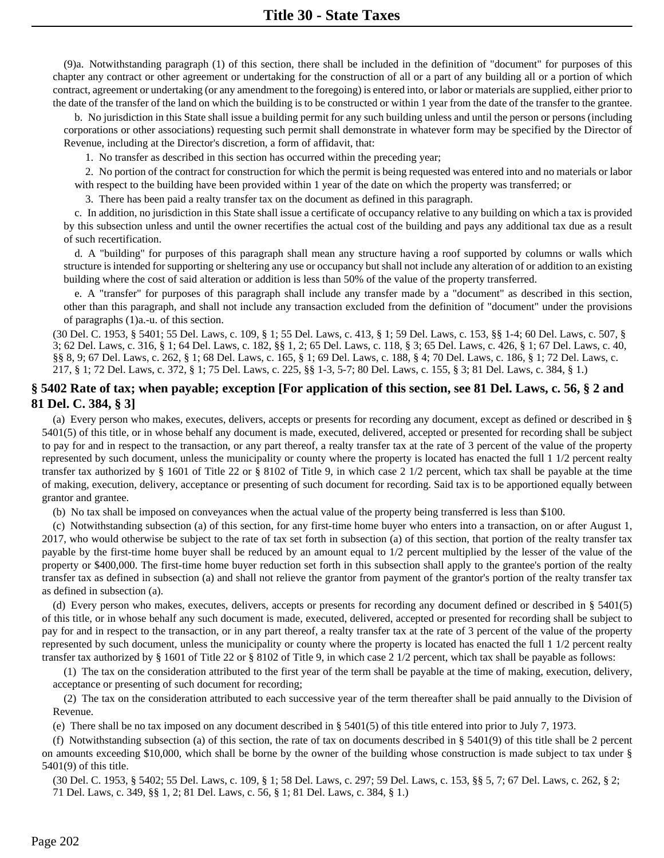(9)a. Notwithstanding paragraph (1) of this section, there shall be included in the definition of "document" for purposes of this chapter any contract or other agreement or undertaking for the construction of all or a part of any building all or a portion of which contract, agreement or undertaking (or any amendment to the foregoing) is entered into, or labor or materials are supplied, either prior to the date of the transfer of the land on which the building is to be constructed or within 1 year from the date of the transfer to the grantee.

b. No jurisdiction in this State shall issue a building permit for any such building unless and until the person or persons (including corporations or other associations) requesting such permit shall demonstrate in whatever form may be specified by the Director of Revenue, including at the Director's discretion, a form of affidavit, that:

1. No transfer as described in this section has occurred within the preceding year;

2. No portion of the contract for construction for which the permit is being requested was entered into and no materials or labor with respect to the building have been provided within 1 year of the date on which the property was transferred; or

3. There has been paid a realty transfer tax on the document as defined in this paragraph.

c. In addition, no jurisdiction in this State shall issue a certificate of occupancy relative to any building on which a tax is provided by this subsection unless and until the owner recertifies the actual cost of the building and pays any additional tax due as a result of such recertification.

d. A "building" for purposes of this paragraph shall mean any structure having a roof supported by columns or walls which structure is intended for supporting or sheltering any use or occupancy but shall not include any alteration of or addition to an existing building where the cost of said alteration or addition is less than 50% of the value of the property transferred.

e. A "transfer" for purposes of this paragraph shall include any transfer made by a "document" as described in this section, other than this paragraph, and shall not include any transaction excluded from the definition of "document" under the provisions of paragraphs (1)a.-u. of this section.

(30 Del. C. 1953, § 5401; 55 Del. Laws, c. 109, § 1; 55 Del. Laws, c. 413, § 1; 59 Del. Laws, c. 153, §§ 1-4; 60 Del. Laws, c. 507, § 3; 62 Del. Laws, c. 316, § 1; 64 Del. Laws, c. 182, §§ 1, 2; 65 Del. Laws, c. 118, § 3; 65 Del. Laws, c. 426, § 1; 67 Del. Laws, c. 40, §§ 8, 9; 67 Del. Laws, c. 262, § 1; 68 Del. Laws, c. 165, § 1; 69 Del. Laws, c. 188, § 4; 70 Del. Laws, c. 186, § 1; 72 Del. Laws, c. 217, § 1; 72 Del. Laws, c. 372, § 1; 75 Del. Laws, c. 225, §§ 1-3, 5-7; 80 Del. Laws, c. 155, § 3; 81 Del. Laws, c. 384, § 1.)

# **§ 5402 Rate of tax; when payable; exception [For application of this section, see 81 Del. Laws, c. 56, § 2 and 81 Del. C. 384, § 3]**

(a) Every person who makes, executes, delivers, accepts or presents for recording any document, except as defined or described in § 5401(5) of this title, or in whose behalf any document is made, executed, delivered, accepted or presented for recording shall be subject to pay for and in respect to the transaction, or any part thereof, a realty transfer tax at the rate of 3 percent of the value of the property represented by such document, unless the municipality or county where the property is located has enacted the full 1 1/2 percent realty transfer tax authorized by § 1601 of Title 22 or § 8102 of Title 9, in which case 2 1/2 percent, which tax shall be payable at the time of making, execution, delivery, acceptance or presenting of such document for recording. Said tax is to be apportioned equally between grantor and grantee.

(b) No tax shall be imposed on conveyances when the actual value of the property being transferred is less than \$100.

(c) Notwithstanding subsection (a) of this section, for any first-time home buyer who enters into a transaction, on or after August 1, 2017, who would otherwise be subject to the rate of tax set forth in subsection (a) of this section, that portion of the realty transfer tax payable by the first-time home buyer shall be reduced by an amount equal to 1/2 percent multiplied by the lesser of the value of the property or \$400,000. The first-time home buyer reduction set forth in this subsection shall apply to the grantee's portion of the realty transfer tax as defined in subsection (a) and shall not relieve the grantor from payment of the grantor's portion of the realty transfer tax as defined in subsection (a).

(d) Every person who makes, executes, delivers, accepts or presents for recording any document defined or described in § 5401(5) of this title, or in whose behalf any such document is made, executed, delivered, accepted or presented for recording shall be subject to pay for and in respect to the transaction, or in any part thereof, a realty transfer tax at the rate of 3 percent of the value of the property represented by such document, unless the municipality or county where the property is located has enacted the full 1 1/2 percent realty transfer tax authorized by § 1601 of Title 22 or § 8102 of Title 9, in which case 2 1/2 percent, which tax shall be payable as follows:

(1) The tax on the consideration attributed to the first year of the term shall be payable at the time of making, execution, delivery, acceptance or presenting of such document for recording;

(2) The tax on the consideration attributed to each successive year of the term thereafter shall be paid annually to the Division of Revenue.

(e) There shall be no tax imposed on any document described in § 5401(5) of this title entered into prior to July 7, 1973.

(f) Notwithstanding subsection (a) of this section, the rate of tax on documents described in  $\S$  5401(9) of this title shall be 2 percent on amounts exceeding \$10,000, which shall be borne by the owner of the building whose construction is made subject to tax under § 5401(9) of this title.

(30 Del. C. 1953, § 5402; 55 Del. Laws, c. 109, § 1; 58 Del. Laws, c. 297; 59 Del. Laws, c. 153, §§ 5, 7; 67 Del. Laws, c. 262, § 2; 71 Del. Laws, c. 349, §§ 1, 2; 81 Del. Laws, c. 56, § 1; 81 Del. Laws, c. 384, § 1.)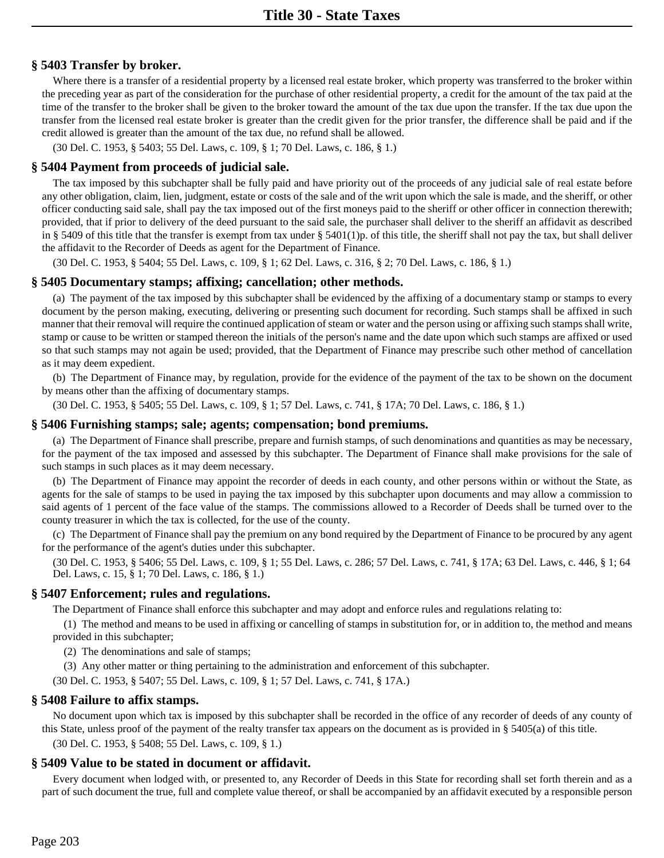## **§ 5403 Transfer by broker.**

Where there is a transfer of a residential property by a licensed real estate broker, which property was transferred to the broker within the preceding year as part of the consideration for the purchase of other residential property, a credit for the amount of the tax paid at the time of the transfer to the broker shall be given to the broker toward the amount of the tax due upon the transfer. If the tax due upon the transfer from the licensed real estate broker is greater than the credit given for the prior transfer, the difference shall be paid and if the credit allowed is greater than the amount of the tax due, no refund shall be allowed.

(30 Del. C. 1953, § 5403; 55 Del. Laws, c. 109, § 1; 70 Del. Laws, c. 186, § 1.)

#### **§ 5404 Payment from proceeds of judicial sale.**

The tax imposed by this subchapter shall be fully paid and have priority out of the proceeds of any judicial sale of real estate before any other obligation, claim, lien, judgment, estate or costs of the sale and of the writ upon which the sale is made, and the sheriff, or other officer conducting said sale, shall pay the tax imposed out of the first moneys paid to the sheriff or other officer in connection therewith; provided, that if prior to delivery of the deed pursuant to the said sale, the purchaser shall deliver to the sheriff an affidavit as described in § 5409 of this title that the transfer is exempt from tax under § 5401(1)p. of this title, the sheriff shall not pay the tax, but shall deliver the affidavit to the Recorder of Deeds as agent for the Department of Finance.

(30 Del. C. 1953, § 5404; 55 Del. Laws, c. 109, § 1; 62 Del. Laws, c. 316, § 2; 70 Del. Laws, c. 186, § 1.)

#### **§ 5405 Documentary stamps; affixing; cancellation; other methods.**

(a) The payment of the tax imposed by this subchapter shall be evidenced by the affixing of a documentary stamp or stamps to every document by the person making, executing, delivering or presenting such document for recording. Such stamps shall be affixed in such manner that their removal will require the continued application of steam or water and the person using or affixing such stamps shall write, stamp or cause to be written or stamped thereon the initials of the person's name and the date upon which such stamps are affixed or used so that such stamps may not again be used; provided, that the Department of Finance may prescribe such other method of cancellation as it may deem expedient.

(b) The Department of Finance may, by regulation, provide for the evidence of the payment of the tax to be shown on the document by means other than the affixing of documentary stamps.

(30 Del. C. 1953, § 5405; 55 Del. Laws, c. 109, § 1; 57 Del. Laws, c. 741, § 17A; 70 Del. Laws, c. 186, § 1.)

#### **§ 5406 Furnishing stamps; sale; agents; compensation; bond premiums.**

(a) The Department of Finance shall prescribe, prepare and furnish stamps, of such denominations and quantities as may be necessary, for the payment of the tax imposed and assessed by this subchapter. The Department of Finance shall make provisions for the sale of such stamps in such places as it may deem necessary.

(b) The Department of Finance may appoint the recorder of deeds in each county, and other persons within or without the State, as agents for the sale of stamps to be used in paying the tax imposed by this subchapter upon documents and may allow a commission to said agents of 1 percent of the face value of the stamps. The commissions allowed to a Recorder of Deeds shall be turned over to the county treasurer in which the tax is collected, for the use of the county.

(c) The Department of Finance shall pay the premium on any bond required by the Department of Finance to be procured by any agent for the performance of the agent's duties under this subchapter.

(30 Del. C. 1953, § 5406; 55 Del. Laws, c. 109, § 1; 55 Del. Laws, c. 286; 57 Del. Laws, c. 741, § 17A; 63 Del. Laws, c. 446, § 1; 64 Del. Laws, c. 15, § 1; 70 Del. Laws, c. 186, § 1.)

#### **§ 5407 Enforcement; rules and regulations.**

The Department of Finance shall enforce this subchapter and may adopt and enforce rules and regulations relating to:

(1) The method and means to be used in affixing or cancelling of stamps in substitution for, or in addition to, the method and means provided in this subchapter;

(2) The denominations and sale of stamps;

(3) Any other matter or thing pertaining to the administration and enforcement of this subchapter.

(30 Del. C. 1953, § 5407; 55 Del. Laws, c. 109, § 1; 57 Del. Laws, c. 741, § 17A.)

#### **§ 5408 Failure to affix stamps.**

No document upon which tax is imposed by this subchapter shall be recorded in the office of any recorder of deeds of any county of this State, unless proof of the payment of the realty transfer tax appears on the document as is provided in § 5405(a) of this title. (30 Del. C. 1953, § 5408; 55 Del. Laws, c. 109, § 1.)

## **§ 5409 Value to be stated in document or affidavit.**

Every document when lodged with, or presented to, any Recorder of Deeds in this State for recording shall set forth therein and as a part of such document the true, full and complete value thereof, or shall be accompanied by an affidavit executed by a responsible person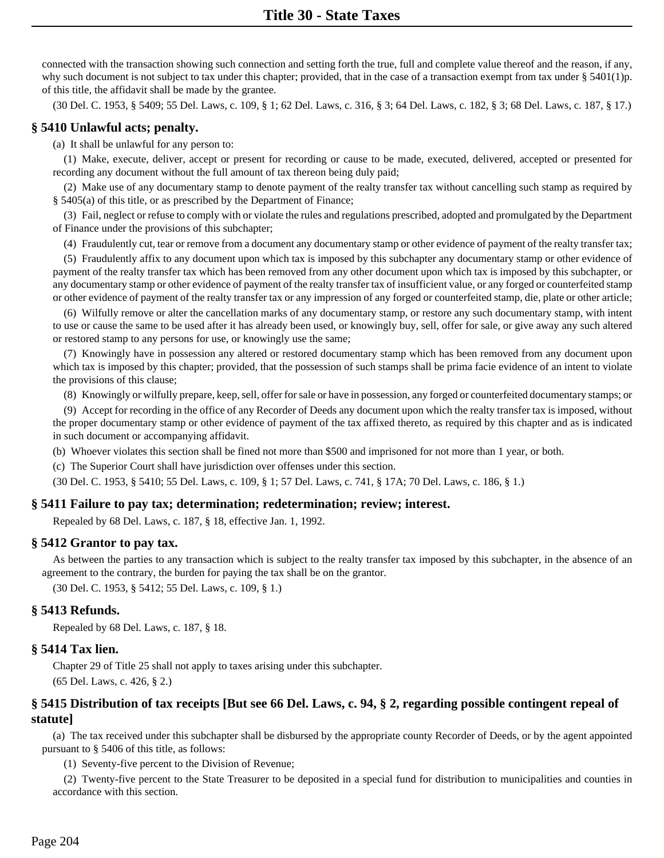connected with the transaction showing such connection and setting forth the true, full and complete value thereof and the reason, if any, why such document is not subject to tax under this chapter; provided, that in the case of a transaction exempt from tax under § 5401(1)p. of this title, the affidavit shall be made by the grantee.

(30 Del. C. 1953, § 5409; 55 Del. Laws, c. 109, § 1; 62 Del. Laws, c. 316, § 3; 64 Del. Laws, c. 182, § 3; 68 Del. Laws, c. 187, § 17.)

# **§ 5410 Unlawful acts; penalty.**

(a) It shall be unlawful for any person to:

(1) Make, execute, deliver, accept or present for recording or cause to be made, executed, delivered, accepted or presented for recording any document without the full amount of tax thereon being duly paid;

(2) Make use of any documentary stamp to denote payment of the realty transfer tax without cancelling such stamp as required by § 5405(a) of this title, or as prescribed by the Department of Finance;

(3) Fail, neglect or refuse to comply with or violate the rules and regulations prescribed, adopted and promulgated by the Department of Finance under the provisions of this subchapter;

(4) Fraudulently cut, tear or remove from a document any documentary stamp or other evidence of payment of the realty transfer tax;

(5) Fraudulently affix to any document upon which tax is imposed by this subchapter any documentary stamp or other evidence of payment of the realty transfer tax which has been removed from any other document upon which tax is imposed by this subchapter, or any documentary stamp or other evidence of payment of the realty transfer tax of insufficient value, or any forged or counterfeited stamp or other evidence of payment of the realty transfer tax or any impression of any forged or counterfeited stamp, die, plate or other article;

(6) Wilfully remove or alter the cancellation marks of any documentary stamp, or restore any such documentary stamp, with intent to use or cause the same to be used after it has already been used, or knowingly buy, sell, offer for sale, or give away any such altered or restored stamp to any persons for use, or knowingly use the same;

(7) Knowingly have in possession any altered or restored documentary stamp which has been removed from any document upon which tax is imposed by this chapter; provided, that the possession of such stamps shall be prima facie evidence of an intent to violate the provisions of this clause;

(8) Knowingly or wilfully prepare, keep, sell, offer for sale or have in possession, any forged or counterfeited documentary stamps; or

(9) Accept for recording in the office of any Recorder of Deeds any document upon which the realty transfer tax is imposed, without the proper documentary stamp or other evidence of payment of the tax affixed thereto, as required by this chapter and as is indicated in such document or accompanying affidavit.

(b) Whoever violates this section shall be fined not more than \$500 and imprisoned for not more than 1 year, or both.

(c) The Superior Court shall have jurisdiction over offenses under this section.

(30 Del. C. 1953, § 5410; 55 Del. Laws, c. 109, § 1; 57 Del. Laws, c. 741, § 17A; 70 Del. Laws, c. 186, § 1.)

## **§ 5411 Failure to pay tax; determination; redetermination; review; interest.**

Repealed by 68 Del. Laws, c. 187, § 18, effective Jan. 1, 1992.

## **§ 5412 Grantor to pay tax.**

As between the parties to any transaction which is subject to the realty transfer tax imposed by this subchapter, in the absence of an agreement to the contrary, the burden for paying the tax shall be on the grantor.

(30 Del. C. 1953, § 5412; 55 Del. Laws, c. 109, § 1.)

# **§ 5413 Refunds.**

Repealed by 68 Del. Laws, c. 187, § 18.

## **§ 5414 Tax lien.**

Chapter 29 of Title 25 shall not apply to taxes arising under this subchapter. (65 Del. Laws, c. 426, § 2.)

# **§ 5415 Distribution of tax receipts [But see 66 Del. Laws, c. 94, § 2, regarding possible contingent repeal of statute]**

(a) The tax received under this subchapter shall be disbursed by the appropriate county Recorder of Deeds, or by the agent appointed pursuant to § 5406 of this title, as follows:

(1) Seventy-five percent to the Division of Revenue;

(2) Twenty-five percent to the State Treasurer to be deposited in a special fund for distribution to municipalities and counties in accordance with this section.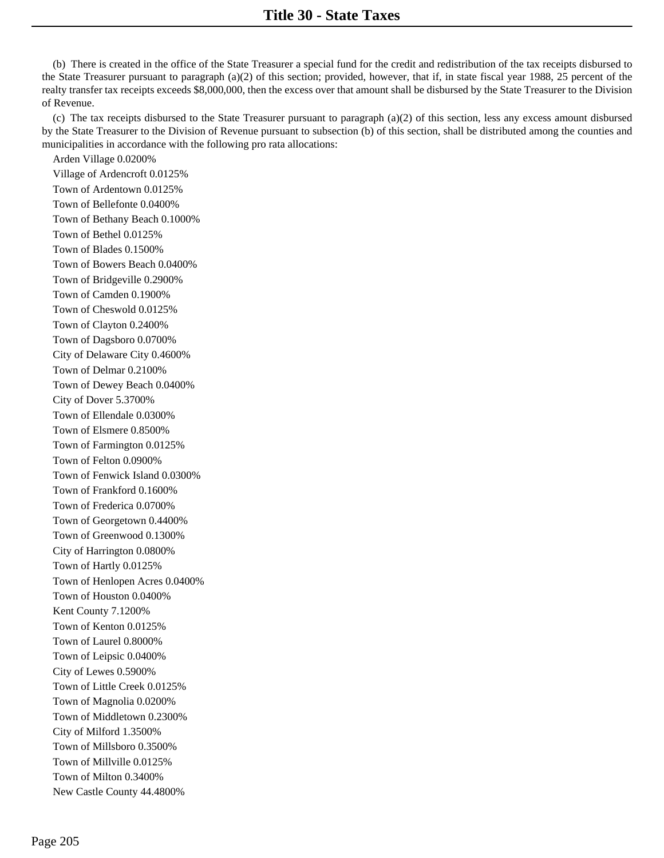(b) There is created in the office of the State Treasurer a special fund for the credit and redistribution of the tax receipts disbursed to the State Treasurer pursuant to paragraph (a)(2) of this section; provided, however, that if, in state fiscal year 1988, 25 percent of the realty transfer tax receipts exceeds \$8,000,000, then the excess over that amount shall be disbursed by the State Treasurer to the Division of Revenue.

(c) The tax receipts disbursed to the State Treasurer pursuant to paragraph (a)(2) of this section, less any excess amount disbursed by the State Treasurer to the Division of Revenue pursuant to subsection (b) of this section, shall be distributed among the counties and municipalities in accordance with the following pro rata allocations:

Arden Village 0.0200% Village of Ardencroft 0.0125% Town of Ardentown 0.0125% Town of Bellefonte 0.0400% Town of Bethany Beach 0.1000% Town of Bethel 0.0125% Town of Blades 0.1500% Town of Bowers Beach 0.0400% Town of Bridgeville 0.2900% Town of Camden 0.1900% Town of Cheswold 0.0125% Town of Clayton 0.2400% Town of Dagsboro 0.0700% City of Delaware City 0.4600% Town of Delmar 0.2100% Town of Dewey Beach 0.0400% City of Dover 5.3700% Town of Ellendale 0.0300% Town of Elsmere 0.8500% Town of Farmington 0.0125% Town of Felton 0.0900% Town of Fenwick Island 0.0300% Town of Frankford 0.1600% Town of Frederica 0.0700% Town of Georgetown 0.4400% Town of Greenwood 0.1300% City of Harrington 0.0800% Town of Hartly 0.0125% Town of Henlopen Acres 0.0400% Town of Houston 0.0400% Kent County 7.1200% Town of Kenton 0.0125% Town of Laurel 0.8000% Town of Leipsic 0.0400% City of Lewes 0.5900% Town of Little Creek 0.0125% Town of Magnolia 0.0200% Town of Middletown 0.2300% City of Milford 1.3500% Town of Millsboro 0.3500% Town of Millville 0.0125% Town of Milton 0.3400% New Castle County 44.4800%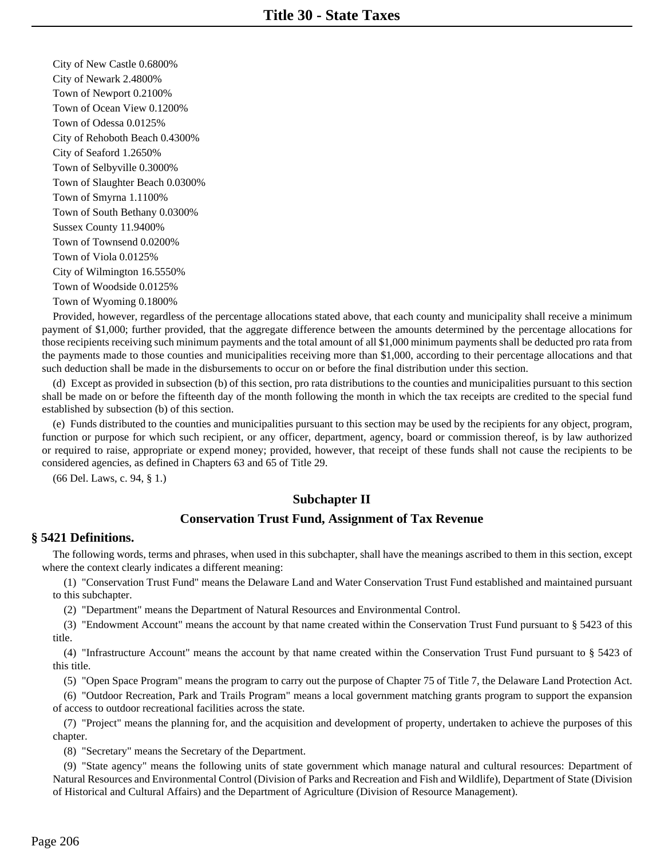City of New Castle 0.6800% City of Newark 2.4800% Town of Newport 0.2100% Town of Ocean View 0.1200% Town of Odessa 0.0125% City of Rehoboth Beach 0.4300% City of Seaford 1.2650% Town of Selbyville 0.3000% Town of Slaughter Beach 0.0300% Town of Smyrna 1.1100% Town of South Bethany 0.0300% Sussex County 11.9400% Town of Townsend 0.0200% Town of Viola 0.0125% City of Wilmington 16.5550% Town of Woodside 0.0125% Town of Wyoming 0.1800%

Provided, however, regardless of the percentage allocations stated above, that each county and municipality shall receive a minimum payment of \$1,000; further provided, that the aggregate difference between the amounts determined by the percentage allocations for those recipients receiving such minimum payments and the total amount of all \$1,000 minimum payments shall be deducted pro rata from the payments made to those counties and municipalities receiving more than \$1,000, according to their percentage allocations and that such deduction shall be made in the disbursements to occur on or before the final distribution under this section.

(d) Except as provided in subsection (b) of this section, pro rata distributions to the counties and municipalities pursuant to this section shall be made on or before the fifteenth day of the month following the month in which the tax receipts are credited to the special fund established by subsection (b) of this section.

(e) Funds distributed to the counties and municipalities pursuant to this section may be used by the recipients for any object, program, function or purpose for which such recipient, or any officer, department, agency, board or commission thereof, is by law authorized or required to raise, appropriate or expend money; provided, however, that receipt of these funds shall not cause the recipients to be considered agencies, as defined in Chapters 63 and 65 of Title 29.

(66 Del. Laws, c. 94, § 1.)

### **Subchapter II**

#### **Conservation Trust Fund, Assignment of Tax Revenue**

#### **§ 5421 Definitions.**

The following words, terms and phrases, when used in this subchapter, shall have the meanings ascribed to them in this section, except where the context clearly indicates a different meaning:

(1) "Conservation Trust Fund" means the Delaware Land and Water Conservation Trust Fund established and maintained pursuant to this subchapter.

(2) "Department" means the Department of Natural Resources and Environmental Control.

(3) "Endowment Account" means the account by that name created within the Conservation Trust Fund pursuant to § 5423 of this title.

(4) "Infrastructure Account" means the account by that name created within the Conservation Trust Fund pursuant to § 5423 of this title.

(5) "Open Space Program" means the program to carry out the purpose of Chapter 75 of Title 7, the Delaware Land Protection Act.

(6) "Outdoor Recreation, Park and Trails Program" means a local government matching grants program to support the expansion of access to outdoor recreational facilities across the state.

(7) "Project" means the planning for, and the acquisition and development of property, undertaken to achieve the purposes of this chapter.

(8) "Secretary" means the Secretary of the Department.

(9) "State agency" means the following units of state government which manage natural and cultural resources: Department of Natural Resources and Environmental Control (Division of Parks and Recreation and Fish and Wildlife), Department of State (Division of Historical and Cultural Affairs) and the Department of Agriculture (Division of Resource Management).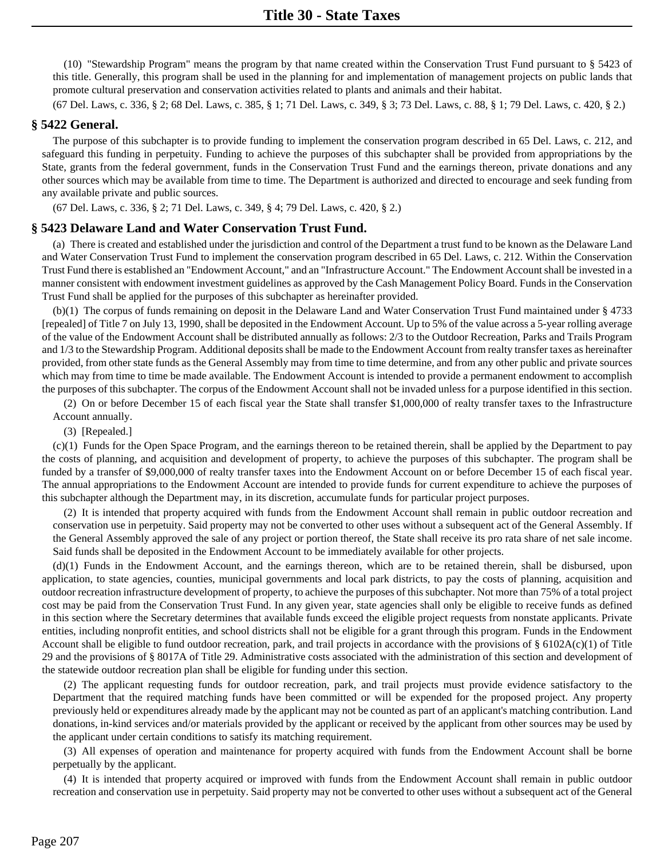(10) "Stewardship Program" means the program by that name created within the Conservation Trust Fund pursuant to § 5423 of this title. Generally, this program shall be used in the planning for and implementation of management projects on public lands that promote cultural preservation and conservation activities related to plants and animals and their habitat.

(67 Del. Laws, c. 336, § 2; 68 Del. Laws, c. 385, § 1; 71 Del. Laws, c. 349, § 3; 73 Del. Laws, c. 88, § 1; 79 Del. Laws, c. 420, § 2.)

#### **§ 5422 General.**

The purpose of this subchapter is to provide funding to implement the conservation program described in 65 Del. Laws, c. 212, and safeguard this funding in perpetuity. Funding to achieve the purposes of this subchapter shall be provided from appropriations by the State, grants from the federal government, funds in the Conservation Trust Fund and the earnings thereon, private donations and any other sources which may be available from time to time. The Department is authorized and directed to encourage and seek funding from any available private and public sources.

(67 Del. Laws, c. 336, § 2; 71 Del. Laws, c. 349, § 4; 79 Del. Laws, c. 420, § 2.)

#### **§ 5423 Delaware Land and Water Conservation Trust Fund.**

(a) There is created and established under the jurisdiction and control of the Department a trust fund to be known as the Delaware Land and Water Conservation Trust Fund to implement the conservation program described in 65 Del. Laws, c. 212. Within the Conservation Trust Fund there is established an "Endowment Account," and an "Infrastructure Account." The Endowment Account shall be invested in a manner consistent with endowment investment guidelines as approved by the Cash Management Policy Board. Funds in the Conservation Trust Fund shall be applied for the purposes of this subchapter as hereinafter provided.

(b)(1) The corpus of funds remaining on deposit in the Delaware Land and Water Conservation Trust Fund maintained under § 4733 [repealed] of Title 7 on July 13, 1990, shall be deposited in the Endowment Account. Up to 5% of the value across a 5-year rolling average of the value of the Endowment Account shall be distributed annually as follows: 2/3 to the Outdoor Recreation, Parks and Trails Program and 1/3 to the Stewardship Program. Additional deposits shall be made to the Endowment Account from realty transfer taxes as hereinafter provided, from other state funds as the General Assembly may from time to time determine, and from any other public and private sources which may from time to time be made available. The Endowment Account is intended to provide a permanent endowment to accomplish the purposes of this subchapter. The corpus of the Endowment Account shall not be invaded unless for a purpose identified in this section.

(2) On or before December 15 of each fiscal year the State shall transfer \$1,000,000 of realty transfer taxes to the Infrastructure Account annually.

(3) [Repealed.]

(c)(1) Funds for the Open Space Program, and the earnings thereon to be retained therein, shall be applied by the Department to pay the costs of planning, and acquisition and development of property, to achieve the purposes of this subchapter. The program shall be funded by a transfer of \$9,000,000 of realty transfer taxes into the Endowment Account on or before December 15 of each fiscal year. The annual appropriations to the Endowment Account are intended to provide funds for current expenditure to achieve the purposes of this subchapter although the Department may, in its discretion, accumulate funds for particular project purposes.

(2) It is intended that property acquired with funds from the Endowment Account shall remain in public outdoor recreation and conservation use in perpetuity. Said property may not be converted to other uses without a subsequent act of the General Assembly. If the General Assembly approved the sale of any project or portion thereof, the State shall receive its pro rata share of net sale income. Said funds shall be deposited in the Endowment Account to be immediately available for other projects.

(d)(1) Funds in the Endowment Account, and the earnings thereon, which are to be retained therein, shall be disbursed, upon application, to state agencies, counties, municipal governments and local park districts, to pay the costs of planning, acquisition and outdoor recreation infrastructure development of property, to achieve the purposes of this subchapter. Not more than 75% of a total project cost may be paid from the Conservation Trust Fund. In any given year, state agencies shall only be eligible to receive funds as defined in this section where the Secretary determines that available funds exceed the eligible project requests from nonstate applicants. Private entities, including nonprofit entities, and school districts shall not be eligible for a grant through this program. Funds in the Endowment Account shall be eligible to fund outdoor recreation, park, and trail projects in accordance with the provisions of  $\S 6102A(c)(1)$  of Title 29 and the provisions of § 8017A of Title 29. Administrative costs associated with the administration of this section and development of the statewide outdoor recreation plan shall be eligible for funding under this section.

(2) The applicant requesting funds for outdoor recreation, park, and trail projects must provide evidence satisfactory to the Department that the required matching funds have been committed or will be expended for the proposed project. Any property previously held or expenditures already made by the applicant may not be counted as part of an applicant's matching contribution. Land donations, in-kind services and/or materials provided by the applicant or received by the applicant from other sources may be used by the applicant under certain conditions to satisfy its matching requirement.

(3) All expenses of operation and maintenance for property acquired with funds from the Endowment Account shall be borne perpetually by the applicant.

(4) It is intended that property acquired or improved with funds from the Endowment Account shall remain in public outdoor recreation and conservation use in perpetuity. Said property may not be converted to other uses without a subsequent act of the General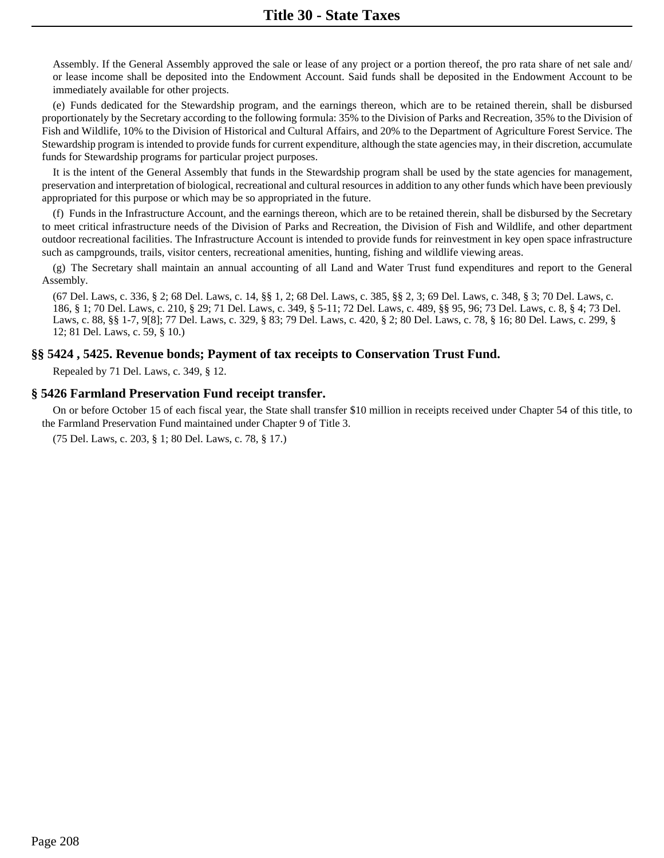Assembly. If the General Assembly approved the sale or lease of any project or a portion thereof, the pro rata share of net sale and/ or lease income shall be deposited into the Endowment Account. Said funds shall be deposited in the Endowment Account to be immediately available for other projects.

(e) Funds dedicated for the Stewardship program, and the earnings thereon, which are to be retained therein, shall be disbursed proportionately by the Secretary according to the following formula: 35% to the Division of Parks and Recreation, 35% to the Division of Fish and Wildlife, 10% to the Division of Historical and Cultural Affairs, and 20% to the Department of Agriculture Forest Service. The Stewardship program is intended to provide funds for current expenditure, although the state agencies may, in their discretion, accumulate funds for Stewardship programs for particular project purposes.

It is the intent of the General Assembly that funds in the Stewardship program shall be used by the state agencies for management, preservation and interpretation of biological, recreational and cultural resources in addition to any other funds which have been previously appropriated for this purpose or which may be so appropriated in the future.

(f) Funds in the Infrastructure Account, and the earnings thereon, which are to be retained therein, shall be disbursed by the Secretary to meet critical infrastructure needs of the Division of Parks and Recreation, the Division of Fish and Wildlife, and other department outdoor recreational facilities. The Infrastructure Account is intended to provide funds for reinvestment in key open space infrastructure such as campgrounds, trails, visitor centers, recreational amenities, hunting, fishing and wildlife viewing areas.

(g) The Secretary shall maintain an annual accounting of all Land and Water Trust fund expenditures and report to the General Assembly.

(67 Del. Laws, c. 336, § 2; 68 Del. Laws, c. 14, §§ 1, 2; 68 Del. Laws, c. 385, §§ 2, 3; 69 Del. Laws, c. 348, § 3; 70 Del. Laws, c. 186, § 1; 70 Del. Laws, c. 210, § 29; 71 Del. Laws, c. 349, § 5-11; 72 Del. Laws, c. 489, §§ 95, 96; 73 Del. Laws, c. 8, § 4; 73 Del. Laws, c. 88, §§ 1-7, 9[8]; 77 Del. Laws, c. 329, § 83; 79 Del. Laws, c. 420, § 2; 80 Del. Laws, c. 78, § 16; 80 Del. Laws, c. 299, § 12; 81 Del. Laws, c. 59, § 10.)

## **§§ 5424 , 5425. Revenue bonds; Payment of tax receipts to Conservation Trust Fund.**

Repealed by 71 Del. Laws, c. 349, § 12.

#### **§ 5426 Farmland Preservation Fund receipt transfer.**

On or before October 15 of each fiscal year, the State shall transfer \$10 million in receipts received under Chapter 54 of this title, to the Farmland Preservation Fund maintained under Chapter 9 of Title 3.

(75 Del. Laws, c. 203, § 1; 80 Del. Laws, c. 78, § 17.)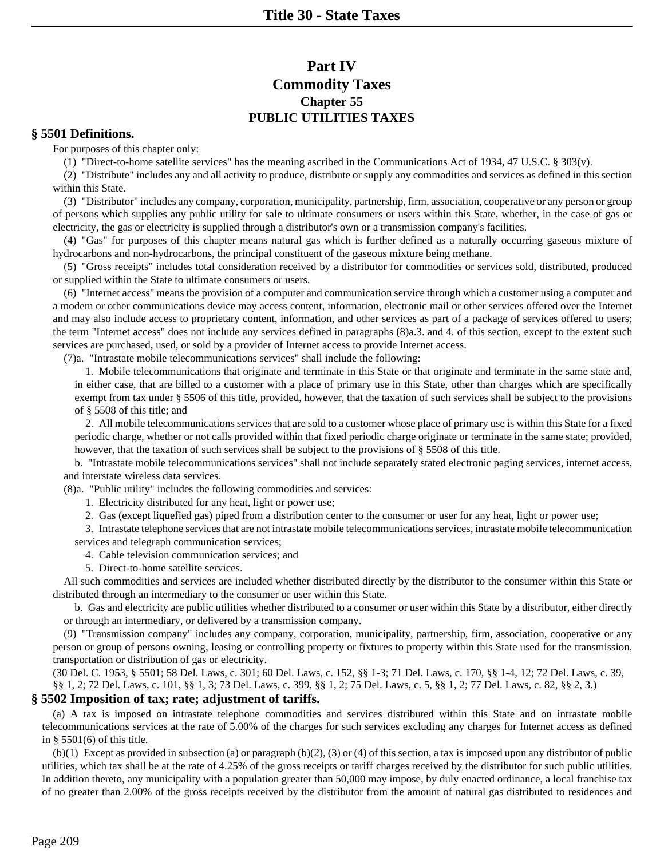# **Part IV Commodity Taxes Chapter 55 PUBLIC UTILITIES TAXES**

#### **§ 5501 Definitions.**

For purposes of this chapter only:

(1) "Direct-to-home satellite services" has the meaning ascribed in the Communications Act of 1934, 47 U.S.C. § 303(v).

(2) "Distribute" includes any and all activity to produce, distribute or supply any commodities and services as defined in this section within this State.

(3) "Distributor" includes any company, corporation, municipality, partnership, firm, association, cooperative or any person or group of persons which supplies any public utility for sale to ultimate consumers or users within this State, whether, in the case of gas or electricity, the gas or electricity is supplied through a distributor's own or a transmission company's facilities.

(4) "Gas" for purposes of this chapter means natural gas which is further defined as a naturally occurring gaseous mixture of hydrocarbons and non-hydrocarbons, the principal constituent of the gaseous mixture being methane.

(5) "Gross receipts" includes total consideration received by a distributor for commodities or services sold, distributed, produced or supplied within the State to ultimate consumers or users.

(6) "Internet access" means the provision of a computer and communication service through which a customer using a computer and a modem or other communications device may access content, information, electronic mail or other services offered over the Internet and may also include access to proprietary content, information, and other services as part of a package of services offered to users; the term "Internet access" does not include any services defined in paragraphs (8)a.3. and 4. of this section, except to the extent such services are purchased, used, or sold by a provider of Internet access to provide Internet access.

(7)a. "Intrastate mobile telecommunications services" shall include the following:

1. Mobile telecommunications that originate and terminate in this State or that originate and terminate in the same state and, in either case, that are billed to a customer with a place of primary use in this State, other than charges which are specifically exempt from tax under § 5506 of this title, provided, however, that the taxation of such services shall be subject to the provisions of § 5508 of this title; and

2. All mobile telecommunications services that are sold to a customer whose place of primary use is within this State for a fixed periodic charge, whether or not calls provided within that fixed periodic charge originate or terminate in the same state; provided, however, that the taxation of such services shall be subject to the provisions of § 5508 of this title.

b. "Intrastate mobile telecommunications services" shall not include separately stated electronic paging services, internet access, and interstate wireless data services.

(8)a. "Public utility" includes the following commodities and services:

1. Electricity distributed for any heat, light or power use;

2. Gas (except liquefied gas) piped from a distribution center to the consumer or user for any heat, light or power use;

3. Intrastate telephone services that are not intrastate mobile telecommunications services, intrastate mobile telecommunication services and telegraph communication services;

- 4. Cable television communication services; and
- 5. Direct-to-home satellite services.

All such commodities and services are included whether distributed directly by the distributor to the consumer within this State or distributed through an intermediary to the consumer or user within this State.

b. Gas and electricity are public utilities whether distributed to a consumer or user within this State by a distributor, either directly or through an intermediary, or delivered by a transmission company.

(9) "Transmission company" includes any company, corporation, municipality, partnership, firm, association, cooperative or any person or group of persons owning, leasing or controlling property or fixtures to property within this State used for the transmission, transportation or distribution of gas or electricity.

(30 Del. C. 1953, § 5501; 58 Del. Laws, c. 301; 60 Del. Laws, c. 152, §§ 1-3; 71 Del. Laws, c. 170, §§ 1-4, 12; 72 Del. Laws, c. 39, §§ 1, 2; 72 Del. Laws, c. 101, §§ 1, 3; 73 Del. Laws, c. 399, §§ 1, 2; 75 Del. Laws, c. 5, §§ 1, 2; 77 Del. Laws, c. 82, §§ 2, 3.)

#### **§ 5502 Imposition of tax; rate; adjustment of tariffs.**

(a) A tax is imposed on intrastate telephone commodities and services distributed within this State and on intrastate mobile telecommunications services at the rate of 5.00% of the charges for such services excluding any charges for Internet access as defined in § 5501(6) of this title.

(b)(1) Except as provided in subsection (a) or paragraph (b)(2), (3) or (4) of this section, a tax is imposed upon any distributor of public utilities, which tax shall be at the rate of 4.25% of the gross receipts or tariff charges received by the distributor for such public utilities. In addition thereto, any municipality with a population greater than 50,000 may impose, by duly enacted ordinance, a local franchise tax of no greater than 2.00% of the gross receipts received by the distributor from the amount of natural gas distributed to residences and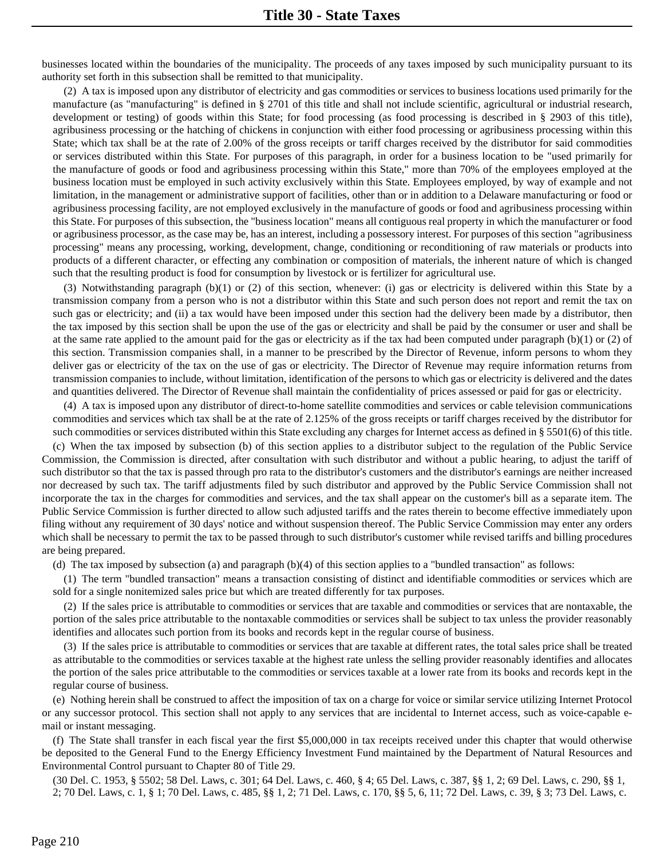businesses located within the boundaries of the municipality. The proceeds of any taxes imposed by such municipality pursuant to its authority set forth in this subsection shall be remitted to that municipality.

(2) A tax is imposed upon any distributor of electricity and gas commodities or services to business locations used primarily for the manufacture (as "manufacturing" is defined in § 2701 of this title and shall not include scientific, agricultural or industrial research, development or testing) of goods within this State; for food processing (as food processing is described in § 2903 of this title), agribusiness processing or the hatching of chickens in conjunction with either food processing or agribusiness processing within this State; which tax shall be at the rate of 2.00% of the gross receipts or tariff charges received by the distributor for said commodities or services distributed within this State. For purposes of this paragraph, in order for a business location to be "used primarily for the manufacture of goods or food and agribusiness processing within this State," more than 70% of the employees employed at the business location must be employed in such activity exclusively within this State. Employees employed, by way of example and not limitation, in the management or administrative support of facilities, other than or in addition to a Delaware manufacturing or food or agribusiness processing facility, are not employed exclusively in the manufacture of goods or food and agribusiness processing within this State. For purposes of this subsection, the "business location" means all contiguous real property in which the manufacturer or food or agribusiness processor, as the case may be, has an interest, including a possessory interest. For purposes of this section "agribusiness processing" means any processing, working, development, change, conditioning or reconditioning of raw materials or products into products of a different character, or effecting any combination or composition of materials, the inherent nature of which is changed such that the resulting product is food for consumption by livestock or is fertilizer for agricultural use.

(3) Notwithstanding paragraph (b)(1) or (2) of this section, whenever: (i) gas or electricity is delivered within this State by a transmission company from a person who is not a distributor within this State and such person does not report and remit the tax on such gas or electricity; and (ii) a tax would have been imposed under this section had the delivery been made by a distributor, then the tax imposed by this section shall be upon the use of the gas or electricity and shall be paid by the consumer or user and shall be at the same rate applied to the amount paid for the gas or electricity as if the tax had been computed under paragraph  $(b)(1)$  or  $(2)$  of this section. Transmission companies shall, in a manner to be prescribed by the Director of Revenue, inform persons to whom they deliver gas or electricity of the tax on the use of gas or electricity. The Director of Revenue may require information returns from transmission companies to include, without limitation, identification of the persons to which gas or electricity is delivered and the dates and quantities delivered. The Director of Revenue shall maintain the confidentiality of prices assessed or paid for gas or electricity.

(4) A tax is imposed upon any distributor of direct-to-home satellite commodities and services or cable television communications commodities and services which tax shall be at the rate of 2.125% of the gross receipts or tariff charges received by the distributor for such commodities or services distributed within this State excluding any charges for Internet access as defined in § 5501(6) of this title.

(c) When the tax imposed by subsection (b) of this section applies to a distributor subject to the regulation of the Public Service Commission, the Commission is directed, after consultation with such distributor and without a public hearing, to adjust the tariff of such distributor so that the tax is passed through pro rata to the distributor's customers and the distributor's earnings are neither increased nor decreased by such tax. The tariff adjustments filed by such distributor and approved by the Public Service Commission shall not incorporate the tax in the charges for commodities and services, and the tax shall appear on the customer's bill as a separate item. The Public Service Commission is further directed to allow such adjusted tariffs and the rates therein to become effective immediately upon filing without any requirement of 30 days' notice and without suspension thereof. The Public Service Commission may enter any orders which shall be necessary to permit the tax to be passed through to such distributor's customer while revised tariffs and billing procedures are being prepared.

(d) The tax imposed by subsection (a) and paragraph (b)(4) of this section applies to a "bundled transaction" as follows:

(1) The term "bundled transaction" means a transaction consisting of distinct and identifiable commodities or services which are sold for a single nonitemized sales price but which are treated differently for tax purposes.

(2) If the sales price is attributable to commodities or services that are taxable and commodities or services that are nontaxable, the portion of the sales price attributable to the nontaxable commodities or services shall be subject to tax unless the provider reasonably identifies and allocates such portion from its books and records kept in the regular course of business.

(3) If the sales price is attributable to commodities or services that are taxable at different rates, the total sales price shall be treated as attributable to the commodities or services taxable at the highest rate unless the selling provider reasonably identifies and allocates the portion of the sales price attributable to the commodities or services taxable at a lower rate from its books and records kept in the regular course of business.

(e) Nothing herein shall be construed to affect the imposition of tax on a charge for voice or similar service utilizing Internet Protocol or any successor protocol. This section shall not apply to any services that are incidental to Internet access, such as voice-capable email or instant messaging.

(f) The State shall transfer in each fiscal year the first \$5,000,000 in tax receipts received under this chapter that would otherwise be deposited to the General Fund to the Energy Efficiency Investment Fund maintained by the Department of Natural Resources and Environmental Control pursuant to Chapter 80 of Title 29.

(30 Del. C. 1953, § 5502; 58 Del. Laws, c. 301; 64 Del. Laws, c. 460, § 4; 65 Del. Laws, c. 387, §§ 1, 2; 69 Del. Laws, c. 290, §§ 1, 2; 70 Del. Laws, c. 1, § 1; 70 Del. Laws, c. 485, §§ 1, 2; 71 Del. Laws, c. 170, §§ 5, 6, 11; 72 Del. Laws, c. 39, § 3; 73 Del. Laws, c.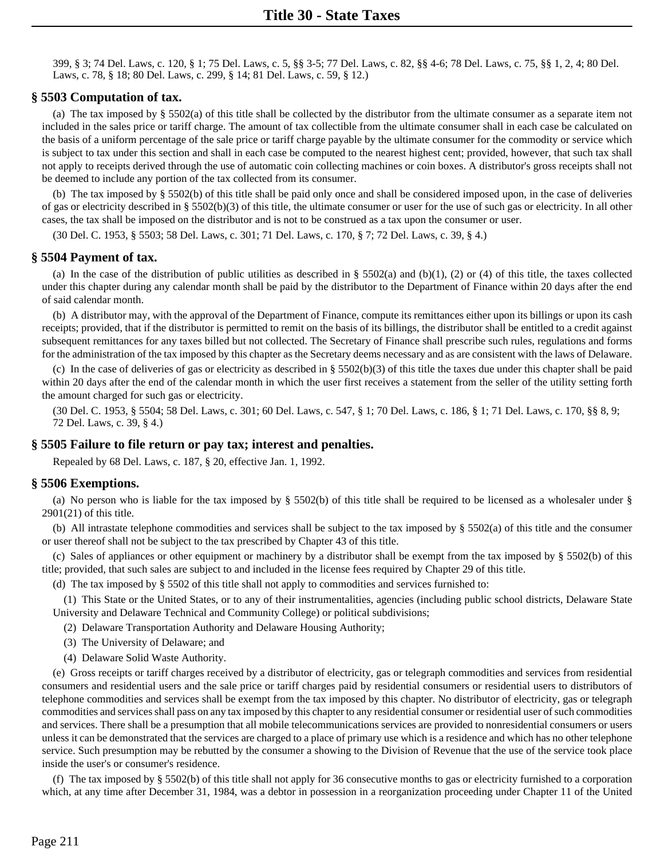399, § 3; 74 Del. Laws, c. 120, § 1; 75 Del. Laws, c. 5, §§ 3-5; 77 Del. Laws, c. 82, §§ 4-6; 78 Del. Laws, c. 75, §§ 1, 2, 4; 80 Del. Laws, c. 78, § 18; 80 Del. Laws, c. 299, § 14; 81 Del. Laws, c. 59, § 12.)

#### **§ 5503 Computation of tax.**

(a) The tax imposed by § 5502(a) of this title shall be collected by the distributor from the ultimate consumer as a separate item not included in the sales price or tariff charge. The amount of tax collectible from the ultimate consumer shall in each case be calculated on the basis of a uniform percentage of the sale price or tariff charge payable by the ultimate consumer for the commodity or service which is subject to tax under this section and shall in each case be computed to the nearest highest cent; provided, however, that such tax shall not apply to receipts derived through the use of automatic coin collecting machines or coin boxes. A distributor's gross receipts shall not be deemed to include any portion of the tax collected from its consumer.

(b) The tax imposed by § 5502(b) of this title shall be paid only once and shall be considered imposed upon, in the case of deliveries of gas or electricity described in § 5502(b)(3) of this title, the ultimate consumer or user for the use of such gas or electricity. In all other cases, the tax shall be imposed on the distributor and is not to be construed as a tax upon the consumer or user.

(30 Del. C. 1953, § 5503; 58 Del. Laws, c. 301; 71 Del. Laws, c. 170, § 7; 72 Del. Laws, c. 39, § 4.)

#### **§ 5504 Payment of tax.**

(a) In the case of the distribution of public utilities as described in § 5502(a) and (b)(1), (2) or (4) of this title, the taxes collected under this chapter during any calendar month shall be paid by the distributor to the Department of Finance within 20 days after the end of said calendar month.

(b) A distributor may, with the approval of the Department of Finance, compute its remittances either upon its billings or upon its cash receipts; provided, that if the distributor is permitted to remit on the basis of its billings, the distributor shall be entitled to a credit against subsequent remittances for any taxes billed but not collected. The Secretary of Finance shall prescribe such rules, regulations and forms for the administration of the tax imposed by this chapter as the Secretary deems necessary and as are consistent with the laws of Delaware.

(c) In the case of deliveries of gas or electricity as described in  $\S 5502(b)(3)$  of this title the taxes due under this chapter shall be paid within 20 days after the end of the calendar month in which the user first receives a statement from the seller of the utility setting forth the amount charged for such gas or electricity.

(30 Del. C. 1953, § 5504; 58 Del. Laws, c. 301; 60 Del. Laws, c. 547, § 1; 70 Del. Laws, c. 186, § 1; 71 Del. Laws, c. 170, §§ 8, 9; 72 Del. Laws, c. 39, § 4.)

#### **§ 5505 Failure to file return or pay tax; interest and penalties.**

Repealed by 68 Del. Laws, c. 187, § 20, effective Jan. 1, 1992.

#### **§ 5506 Exemptions.**

(a) No person who is liable for the tax imposed by § 5502(b) of this title shall be required to be licensed as a wholesaler under § 2901(21) of this title.

(b) All intrastate telephone commodities and services shall be subject to the tax imposed by § 5502(a) of this title and the consumer or user thereof shall not be subject to the tax prescribed by Chapter 43 of this title.

(c) Sales of appliances or other equipment or machinery by a distributor shall be exempt from the tax imposed by § 5502(b) of this title; provided, that such sales are subject to and included in the license fees required by Chapter 29 of this title.

(d) The tax imposed by § 5502 of this title shall not apply to commodities and services furnished to:

(1) This State or the United States, or to any of their instrumentalities, agencies (including public school districts, Delaware State University and Delaware Technical and Community College) or political subdivisions;

- (2) Delaware Transportation Authority and Delaware Housing Authority;
- (3) The University of Delaware; and
- (4) Delaware Solid Waste Authority.

(e) Gross receipts or tariff charges received by a distributor of electricity, gas or telegraph commodities and services from residential consumers and residential users and the sale price or tariff charges paid by residential consumers or residential users to distributors of telephone commodities and services shall be exempt from the tax imposed by this chapter. No distributor of electricity, gas or telegraph commodities and services shall pass on any tax imposed by this chapter to any residential consumer or residential user of such commodities and services. There shall be a presumption that all mobile telecommunications services are provided to nonresidential consumers or users unless it can be demonstrated that the services are charged to a place of primary use which is a residence and which has no other telephone service. Such presumption may be rebutted by the consumer a showing to the Division of Revenue that the use of the service took place inside the user's or consumer's residence.

(f) The tax imposed by § 5502(b) of this title shall not apply for 36 consecutive months to gas or electricity furnished to a corporation which, at any time after December 31, 1984, was a debtor in possession in a reorganization proceeding under Chapter 11 of the United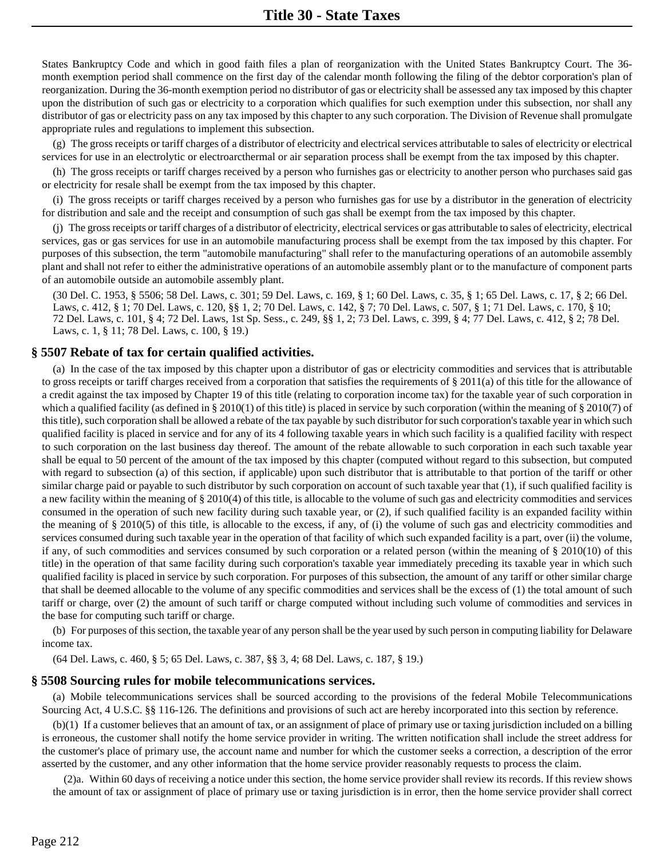States Bankruptcy Code and which in good faith files a plan of reorganization with the United States Bankruptcy Court. The 36 month exemption period shall commence on the first day of the calendar month following the filing of the debtor corporation's plan of reorganization. During the 36-month exemption period no distributor of gas or electricity shall be assessed any tax imposed by this chapter upon the distribution of such gas or electricity to a corporation which qualifies for such exemption under this subsection, nor shall any distributor of gas or electricity pass on any tax imposed by this chapter to any such corporation. The Division of Revenue shall promulgate appropriate rules and regulations to implement this subsection.

(g) The gross receipts or tariff charges of a distributor of electricity and electrical services attributable to sales of electricity or electrical services for use in an electrolytic or electroarcthermal or air separation process shall be exempt from the tax imposed by this chapter.

(h) The gross receipts or tariff charges received by a person who furnishes gas or electricity to another person who purchases said gas or electricity for resale shall be exempt from the tax imposed by this chapter.

(i) The gross receipts or tariff charges received by a person who furnishes gas for use by a distributor in the generation of electricity for distribution and sale and the receipt and consumption of such gas shall be exempt from the tax imposed by this chapter.

(j) The gross receipts or tariff charges of a distributor of electricity, electrical services or gas attributable to sales of electricity, electrical services, gas or gas services for use in an automobile manufacturing process shall be exempt from the tax imposed by this chapter. For purposes of this subsection, the term "automobile manufacturing" shall refer to the manufacturing operations of an automobile assembly plant and shall not refer to either the administrative operations of an automobile assembly plant or to the manufacture of component parts of an automobile outside an automobile assembly plant.

(30 Del. C. 1953, § 5506; 58 Del. Laws, c. 301; 59 Del. Laws, c. 169, § 1; 60 Del. Laws, c. 35, § 1; 65 Del. Laws, c. 17, § 2; 66 Del. Laws, c. 412, § 1; 70 Del. Laws, c. 120, §§ 1, 2; 70 Del. Laws, c. 142, § 7; 70 Del. Laws, c. 507, § 1; 71 Del. Laws, c. 170, § 10; 72 Del. Laws, c. 101, § 4; 72 Del. Laws, 1st Sp. Sess., c. 249, §§ 1, 2; 73 Del. Laws, c. 399, § 4; 77 Del. Laws, c. 412, § 2; 78 Del. Laws, c. 1, § 11; 78 Del. Laws, c. 100, § 19.)

## **§ 5507 Rebate of tax for certain qualified activities.**

(a) In the case of the tax imposed by this chapter upon a distributor of gas or electricity commodities and services that is attributable to gross receipts or tariff charges received from a corporation that satisfies the requirements of  $\S 2011(a)$  of this title for the allowance of a credit against the tax imposed by Chapter 19 of this title (relating to corporation income tax) for the taxable year of such corporation in which a qualified facility (as defined in § 2010(1) of this title) is placed in service by such corporation (within the meaning of § 2010(7) of this title), such corporation shall be allowed a rebate of the tax payable by such distributor for such corporation's taxable year in which such qualified facility is placed in service and for any of its 4 following taxable years in which such facility is a qualified facility with respect to such corporation on the last business day thereof. The amount of the rebate allowable to such corporation in each such taxable year shall be equal to 50 percent of the amount of the tax imposed by this chapter (computed without regard to this subsection, but computed with regard to subsection (a) of this section, if applicable) upon such distributor that is attributable to that portion of the tariff or other similar charge paid or payable to such distributor by such corporation on account of such taxable year that (1), if such qualified facility is a new facility within the meaning of § 2010(4) of this title, is allocable to the volume of such gas and electricity commodities and services consumed in the operation of such new facility during such taxable year, or (2), if such qualified facility is an expanded facility within the meaning of § 2010(5) of this title, is allocable to the excess, if any, of (i) the volume of such gas and electricity commodities and services consumed during such taxable year in the operation of that facility of which such expanded facility is a part, over (ii) the volume, if any, of such commodities and services consumed by such corporation or a related person (within the meaning of  $\S 2010(10)$  of this title) in the operation of that same facility during such corporation's taxable year immediately preceding its taxable year in which such qualified facility is placed in service by such corporation. For purposes of this subsection, the amount of any tariff or other similar charge that shall be deemed allocable to the volume of any specific commodities and services shall be the excess of (1) the total amount of such tariff or charge, over (2) the amount of such tariff or charge computed without including such volume of commodities and services in the base for computing such tariff or charge.

(b) For purposes of this section, the taxable year of any person shall be the year used by such person in computing liability for Delaware income tax.

(64 Del. Laws, c. 460, § 5; 65 Del. Laws, c. 387, §§ 3, 4; 68 Del. Laws, c. 187, § 19.)

#### **§ 5508 Sourcing rules for mobile telecommunications services.**

(a) Mobile telecommunications services shall be sourced according to the provisions of the federal Mobile Telecommunications Sourcing Act, 4 U.S.C. §§ 116-126. The definitions and provisions of such act are hereby incorporated into this section by reference.

(b)(1) If a customer believes that an amount of tax, or an assignment of place of primary use or taxing jurisdiction included on a billing is erroneous, the customer shall notify the home service provider in writing. The written notification shall include the street address for the customer's place of primary use, the account name and number for which the customer seeks a correction, a description of the error asserted by the customer, and any other information that the home service provider reasonably requests to process the claim.

(2)a. Within 60 days of receiving a notice under this section, the home service provider shall review its records. If this review shows the amount of tax or assignment of place of primary use or taxing jurisdiction is in error, then the home service provider shall correct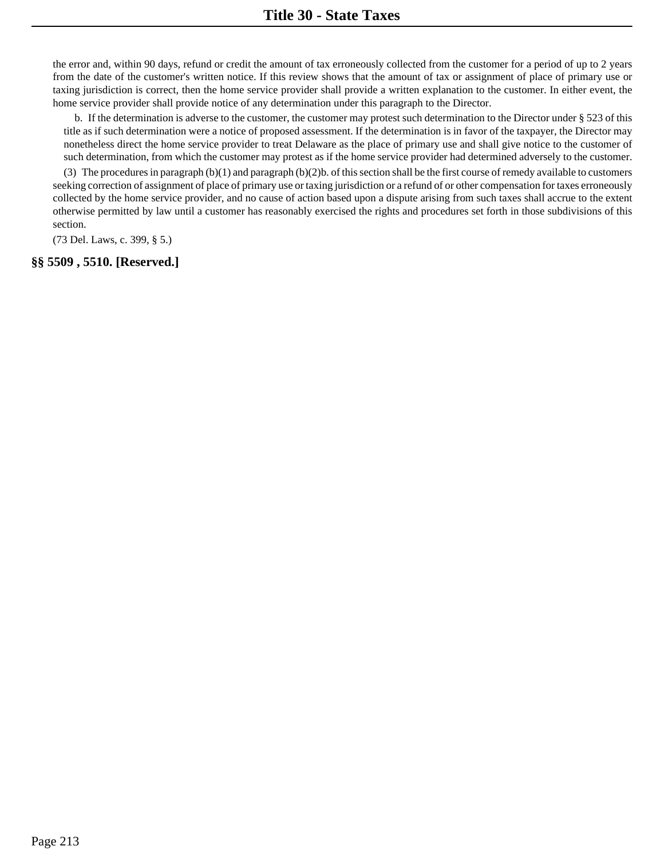the error and, within 90 days, refund or credit the amount of tax erroneously collected from the customer for a period of up to 2 years from the date of the customer's written notice. If this review shows that the amount of tax or assignment of place of primary use or taxing jurisdiction is correct, then the home service provider shall provide a written explanation to the customer. In either event, the home service provider shall provide notice of any determination under this paragraph to the Director.

b. If the determination is adverse to the customer, the customer may protest such determination to the Director under § 523 of this title as if such determination were a notice of proposed assessment. If the determination is in favor of the taxpayer, the Director may nonetheless direct the home service provider to treat Delaware as the place of primary use and shall give notice to the customer of such determination, from which the customer may protest as if the home service provider had determined adversely to the customer.

(3) The procedures in paragraph (b)(1) and paragraph (b)(2)b. of this section shall be the first course of remedy available to customers seeking correction of assignment of place of primary use or taxing jurisdiction or a refund of or other compensation for taxes erroneously collected by the home service provider, and no cause of action based upon a dispute arising from such taxes shall accrue to the extent otherwise permitted by law until a customer has reasonably exercised the rights and procedures set forth in those subdivisions of this section.

(73 Del. Laws, c. 399, § 5.)

## **§§ 5509 , 5510. [Reserved.]**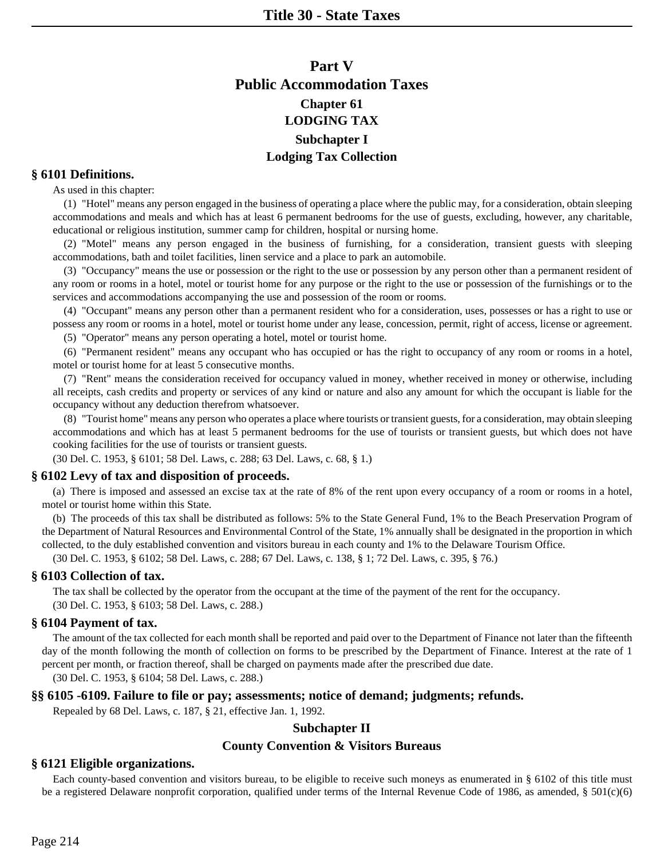# **Part V Public Accommodation Taxes Chapter 61 LODGING TAX Subchapter I Lodging Tax Collection**

#### **§ 6101 Definitions.**

As used in this chapter:

(1) "Hotel" means any person engaged in the business of operating a place where the public may, for a consideration, obtain sleeping accommodations and meals and which has at least 6 permanent bedrooms for the use of guests, excluding, however, any charitable, educational or religious institution, summer camp for children, hospital or nursing home.

(2) "Motel" means any person engaged in the business of furnishing, for a consideration, transient guests with sleeping accommodations, bath and toilet facilities, linen service and a place to park an automobile.

(3) "Occupancy" means the use or possession or the right to the use or possession by any person other than a permanent resident of any room or rooms in a hotel, motel or tourist home for any purpose or the right to the use or possession of the furnishings or to the services and accommodations accompanying the use and possession of the room or rooms.

(4) "Occupant" means any person other than a permanent resident who for a consideration, uses, possesses or has a right to use or possess any room or rooms in a hotel, motel or tourist home under any lease, concession, permit, right of access, license or agreement. (5) "Operator" means any person operating a hotel, motel or tourist home.

(6) "Permanent resident" means any occupant who has occupied or has the right to occupancy of any room or rooms in a hotel, motel or tourist home for at least 5 consecutive months.

(7) "Rent" means the consideration received for occupancy valued in money, whether received in money or otherwise, including all receipts, cash credits and property or services of any kind or nature and also any amount for which the occupant is liable for the occupancy without any deduction therefrom whatsoever.

(8) "Tourist home" means any person who operates a place where tourists or transient guests, for a consideration, may obtain sleeping accommodations and which has at least 5 permanent bedrooms for the use of tourists or transient guests, but which does not have cooking facilities for the use of tourists or transient guests.

(30 Del. C. 1953, § 6101; 58 Del. Laws, c. 288; 63 Del. Laws, c. 68, § 1.)

#### **§ 6102 Levy of tax and disposition of proceeds.**

(a) There is imposed and assessed an excise tax at the rate of 8% of the rent upon every occupancy of a room or rooms in a hotel, motel or tourist home within this State.

(b) The proceeds of this tax shall be distributed as follows: 5% to the State General Fund, 1% to the Beach Preservation Program of the Department of Natural Resources and Environmental Control of the State, 1% annually shall be designated in the proportion in which collected, to the duly established convention and visitors bureau in each county and 1% to the Delaware Tourism Office.

(30 Del. C. 1953, § 6102; 58 Del. Laws, c. 288; 67 Del. Laws, c. 138, § 1; 72 Del. Laws, c. 395, § 76.)

#### **§ 6103 Collection of tax.**

The tax shall be collected by the operator from the occupant at the time of the payment of the rent for the occupancy. (30 Del. C. 1953, § 6103; 58 Del. Laws, c. 288.)

#### **§ 6104 Payment of tax.**

The amount of the tax collected for each month shall be reported and paid over to the Department of Finance not later than the fifteenth day of the month following the month of collection on forms to be prescribed by the Department of Finance. Interest at the rate of 1 percent per month, or fraction thereof, shall be charged on payments made after the prescribed due date.

(30 Del. C. 1953, § 6104; 58 Del. Laws, c. 288.)

#### **§§ 6105 -6109. Failure to file or pay; assessments; notice of demand; judgments; refunds.**

Repealed by 68 Del. Laws, c. 187, § 21, effective Jan. 1, 1992.

#### **Subchapter II**

#### **County Convention & Visitors Bureaus**

#### **§ 6121 Eligible organizations.**

Each county-based convention and visitors bureau, to be eligible to receive such moneys as enumerated in § 6102 of this title must be a registered Delaware nonprofit corporation, qualified under terms of the Internal Revenue Code of 1986, as amended,  $\S 501(c)(6)$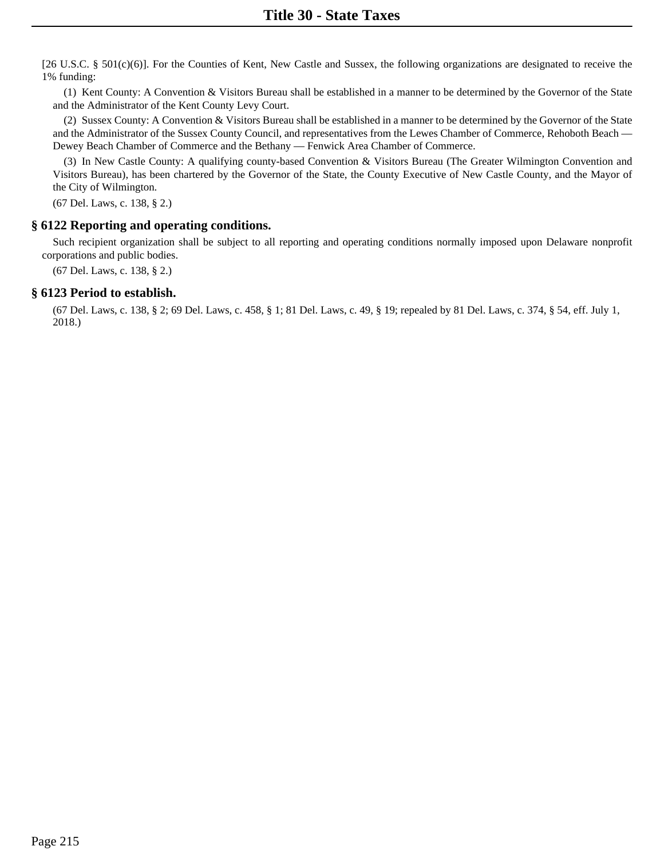[26 U.S.C. § 501(c)(6)]. For the Counties of Kent, New Castle and Sussex, the following organizations are designated to receive the 1% funding:

(1) Kent County: A Convention & Visitors Bureau shall be established in a manner to be determined by the Governor of the State and the Administrator of the Kent County Levy Court.

(2) Sussex County: A Convention & Visitors Bureau shall be established in a manner to be determined by the Governor of the State and the Administrator of the Sussex County Council, and representatives from the Lewes Chamber of Commerce, Rehoboth Beach — Dewey Beach Chamber of Commerce and the Bethany — Fenwick Area Chamber of Commerce.

(3) In New Castle County: A qualifying county-based Convention & Visitors Bureau (The Greater Wilmington Convention and Visitors Bureau), has been chartered by the Governor of the State, the County Executive of New Castle County, and the Mayor of the City of Wilmington.

(67 Del. Laws, c. 138, § 2.)

### **§ 6122 Reporting and operating conditions.**

Such recipient organization shall be subject to all reporting and operating conditions normally imposed upon Delaware nonprofit corporations and public bodies.

(67 Del. Laws, c. 138, § 2.)

#### **§ 6123 Period to establish.**

(67 Del. Laws, c. 138, § 2; 69 Del. Laws, c. 458, § 1; 81 Del. Laws, c. 49, § 19; repealed by 81 Del. Laws, c. 374, § 54, eff. July 1, 2018.)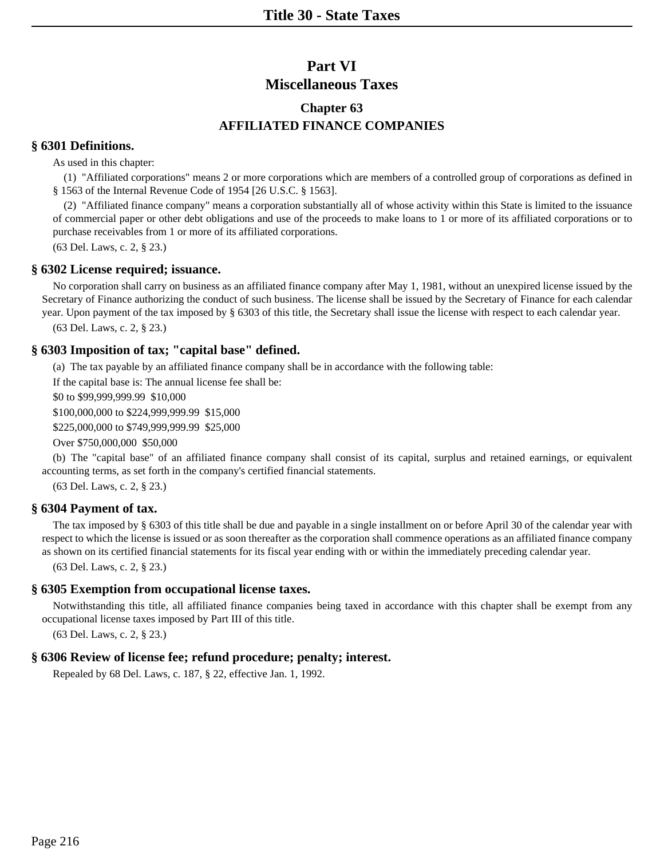# **Part VI Miscellaneous Taxes**

# **Chapter 63 AFFILIATED FINANCE COMPANIES**

## **§ 6301 Definitions.**

As used in this chapter:

(1) "Affiliated corporations" means 2 or more corporations which are members of a controlled group of corporations as defined in § 1563 of the Internal Revenue Code of 1954 [26 U.S.C. § 1563].

(2) "Affiliated finance company" means a corporation substantially all of whose activity within this State is limited to the issuance of commercial paper or other debt obligations and use of the proceeds to make loans to 1 or more of its affiliated corporations or to purchase receivables from 1 or more of its affiliated corporations.

(63 Del. Laws, c. 2, § 23.)

#### **§ 6302 License required; issuance.**

No corporation shall carry on business as an affiliated finance company after May 1, 1981, without an unexpired license issued by the Secretary of Finance authorizing the conduct of such business. The license shall be issued by the Secretary of Finance for each calendar year. Upon payment of the tax imposed by § 6303 of this title, the Secretary shall issue the license with respect to each calendar year.

(63 Del. Laws, c. 2, § 23.)

### **§ 6303 Imposition of tax; "capital base" defined.**

(a) The tax payable by an affiliated finance company shall be in accordance with the following table:

If the capital base is: The annual license fee shall be:

\$0 to \$99,999,999.99 \$10,000

\$100,000,000 to \$224,999,999.99 \$15,000

\$225,000,000 to \$749,999,999.99 \$25,000

Over \$750,000,000 \$50,000

(b) The "capital base" of an affiliated finance company shall consist of its capital, surplus and retained earnings, or equivalent accounting terms, as set forth in the company's certified financial statements.

(63 Del. Laws, c. 2, § 23.)

### **§ 6304 Payment of tax.**

The tax imposed by § 6303 of this title shall be due and payable in a single installment on or before April 30 of the calendar year with respect to which the license is issued or as soon thereafter as the corporation shall commence operations as an affiliated finance company as shown on its certified financial statements for its fiscal year ending with or within the immediately preceding calendar year.

(63 Del. Laws, c. 2, § 23.)

#### **§ 6305 Exemption from occupational license taxes.**

Notwithstanding this title, all affiliated finance companies being taxed in accordance with this chapter shall be exempt from any occupational license taxes imposed by Part III of this title.

(63 Del. Laws, c. 2, § 23.)

## **§ 6306 Review of license fee; refund procedure; penalty; interest.**

Repealed by 68 Del. Laws, c. 187, § 22, effective Jan. 1, 1992.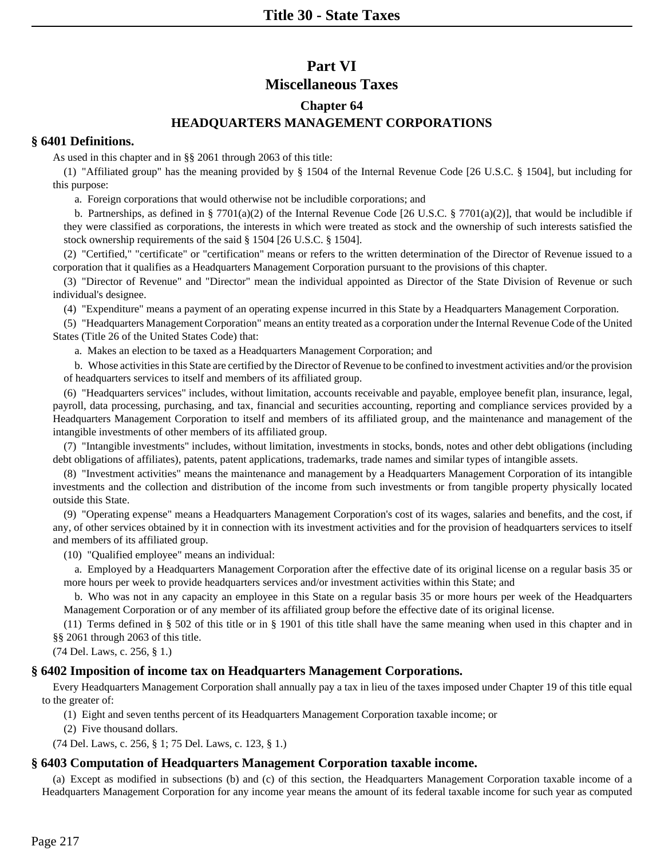# **Part VI Miscellaneous Taxes**

## **Chapter 64 HEADQUARTERS MANAGEMENT CORPORATIONS**

#### **§ 6401 Definitions.**

As used in this chapter and in §§ 2061 through 2063 of this title:

(1) "Affiliated group" has the meaning provided by § 1504 of the Internal Revenue Code [26 U.S.C. § 1504], but including for this purpose:

a. Foreign corporations that would otherwise not be includible corporations; and

b. Partnerships, as defined in § 7701(a)(2) of the Internal Revenue Code [26 U.S.C. § 7701(a)(2)], that would be includible if they were classified as corporations, the interests in which were treated as stock and the ownership of such interests satisfied the stock ownership requirements of the said § 1504 [26 U.S.C. § 1504].

(2) "Certified," "certificate" or "certification" means or refers to the written determination of the Director of Revenue issued to a corporation that it qualifies as a Headquarters Management Corporation pursuant to the provisions of this chapter.

(3) "Director of Revenue" and "Director" mean the individual appointed as Director of the State Division of Revenue or such individual's designee.

(4) "Expenditure" means a payment of an operating expense incurred in this State by a Headquarters Management Corporation.

(5) "Headquarters Management Corporation" means an entity treated as a corporation under the Internal Revenue Code of the United States (Title 26 of the United States Code) that:

a. Makes an election to be taxed as a Headquarters Management Corporation; and

b. Whose activities in this State are certified by the Director of Revenue to be confined to investment activities and/or the provision of headquarters services to itself and members of its affiliated group.

(6) "Headquarters services" includes, without limitation, accounts receivable and payable, employee benefit plan, insurance, legal, payroll, data processing, purchasing, and tax, financial and securities accounting, reporting and compliance services provided by a Headquarters Management Corporation to itself and members of its affiliated group, and the maintenance and management of the intangible investments of other members of its affiliated group.

(7) "Intangible investments" includes, without limitation, investments in stocks, bonds, notes and other debt obligations (including debt obligations of affiliates), patents, patent applications, trademarks, trade names and similar types of intangible assets.

(8) "Investment activities" means the maintenance and management by a Headquarters Management Corporation of its intangible investments and the collection and distribution of the income from such investments or from tangible property physically located outside this State.

(9) "Operating expense" means a Headquarters Management Corporation's cost of its wages, salaries and benefits, and the cost, if any, of other services obtained by it in connection with its investment activities and for the provision of headquarters services to itself and members of its affiliated group.

(10) "Qualified employee" means an individual:

a. Employed by a Headquarters Management Corporation after the effective date of its original license on a regular basis 35 or more hours per week to provide headquarters services and/or investment activities within this State; and

b. Who was not in any capacity an employee in this State on a regular basis 35 or more hours per week of the Headquarters Management Corporation or of any member of its affiliated group before the effective date of its original license.

(11) Terms defined in § 502 of this title or in § 1901 of this title shall have the same meaning when used in this chapter and in §§ 2061 through 2063 of this title.

(74 Del. Laws, c. 256, § 1.)

### **§ 6402 Imposition of income tax on Headquarters Management Corporations.**

Every Headquarters Management Corporation shall annually pay a tax in lieu of the taxes imposed under Chapter 19 of this title equal to the greater of:

(1) Eight and seven tenths percent of its Headquarters Management Corporation taxable income; or

(2) Five thousand dollars.

(74 Del. Laws, c. 256, § 1; 75 Del. Laws, c. 123, § 1.)

### **§ 6403 Computation of Headquarters Management Corporation taxable income.**

(a) Except as modified in subsections (b) and (c) of this section, the Headquarters Management Corporation taxable income of a Headquarters Management Corporation for any income year means the amount of its federal taxable income for such year as computed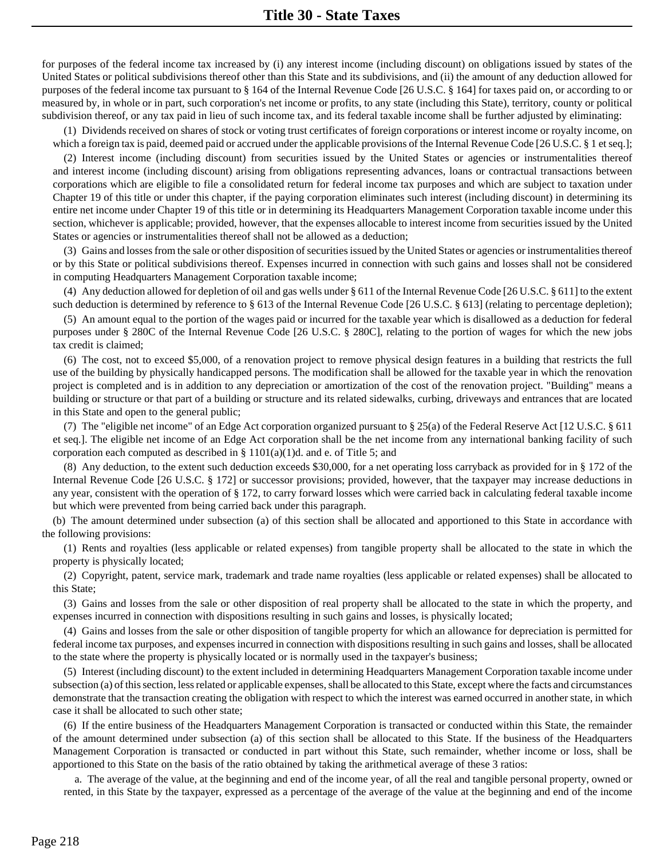for purposes of the federal income tax increased by (i) any interest income (including discount) on obligations issued by states of the United States or political subdivisions thereof other than this State and its subdivisions, and (ii) the amount of any deduction allowed for purposes of the federal income tax pursuant to § 164 of the Internal Revenue Code [26 U.S.C. § 164] for taxes paid on, or according to or measured by, in whole or in part, such corporation's net income or profits, to any state (including this State), territory, county or political subdivision thereof, or any tax paid in lieu of such income tax, and its federal taxable income shall be further adjusted by eliminating:

(1) Dividends received on shares of stock or voting trust certificates of foreign corporations or interest income or royalty income, on which a foreign tax is paid, deemed paid or accrued under the applicable provisions of the Internal Revenue Code [26 U.S.C. § 1 et seq.];

(2) Interest income (including discount) from securities issued by the United States or agencies or instrumentalities thereof and interest income (including discount) arising from obligations representing advances, loans or contractual transactions between corporations which are eligible to file a consolidated return for federal income tax purposes and which are subject to taxation under Chapter 19 of this title or under this chapter, if the paying corporation eliminates such interest (including discount) in determining its entire net income under Chapter 19 of this title or in determining its Headquarters Management Corporation taxable income under this section, whichever is applicable; provided, however, that the expenses allocable to interest income from securities issued by the United States or agencies or instrumentalities thereof shall not be allowed as a deduction;

(3) Gains and losses from the sale or other disposition of securities issued by the United States or agencies or instrumentalities thereof or by this State or political subdivisions thereof. Expenses incurred in connection with such gains and losses shall not be considered in computing Headquarters Management Corporation taxable income;

(4) Any deduction allowed for depletion of oil and gas wells under § 611 of the Internal Revenue Code [26 U.S.C. § 611] to the extent such deduction is determined by reference to § 613 of the Internal Revenue Code [26 U.S.C. § 613] (relating to percentage depletion);

(5) An amount equal to the portion of the wages paid or incurred for the taxable year which is disallowed as a deduction for federal purposes under § 280C of the Internal Revenue Code [26 U.S.C. § 280C], relating to the portion of wages for which the new jobs tax credit is claimed;

(6) The cost, not to exceed \$5,000, of a renovation project to remove physical design features in a building that restricts the full use of the building by physically handicapped persons. The modification shall be allowed for the taxable year in which the renovation project is completed and is in addition to any depreciation or amortization of the cost of the renovation project. "Building" means a building or structure or that part of a building or structure and its related sidewalks, curbing, driveways and entrances that are located in this State and open to the general public;

(7) The "eligible net income" of an Edge Act corporation organized pursuant to § 25(a) of the Federal Reserve Act [12 U.S.C. § 611 et seq.]. The eligible net income of an Edge Act corporation shall be the net income from any international banking facility of such corporation each computed as described in § 1101(a)(1)d. and e. of Title 5; and

(8) Any deduction, to the extent such deduction exceeds \$30,000, for a net operating loss carryback as provided for in § 172 of the Internal Revenue Code [26 U.S.C. § 172] or successor provisions; provided, however, that the taxpayer may increase deductions in any year, consistent with the operation of § 172, to carry forward losses which were carried back in calculating federal taxable income but which were prevented from being carried back under this paragraph.

(b) The amount determined under subsection (a) of this section shall be allocated and apportioned to this State in accordance with the following provisions:

(1) Rents and royalties (less applicable or related expenses) from tangible property shall be allocated to the state in which the property is physically located;

(2) Copyright, patent, service mark, trademark and trade name royalties (less applicable or related expenses) shall be allocated to this State;

(3) Gains and losses from the sale or other disposition of real property shall be allocated to the state in which the property, and expenses incurred in connection with dispositions resulting in such gains and losses, is physically located;

(4) Gains and losses from the sale or other disposition of tangible property for which an allowance for depreciation is permitted for federal income tax purposes, and expenses incurred in connection with dispositions resulting in such gains and losses, shall be allocated to the state where the property is physically located or is normally used in the taxpayer's business;

(5) Interest (including discount) to the extent included in determining Headquarters Management Corporation taxable income under subsection (a) of this section, less related or applicable expenses, shall be allocated to this State, except where the facts and circumstances demonstrate that the transaction creating the obligation with respect to which the interest was earned occurred in another state, in which case it shall be allocated to such other state;

(6) If the entire business of the Headquarters Management Corporation is transacted or conducted within this State, the remainder of the amount determined under subsection (a) of this section shall be allocated to this State. If the business of the Headquarters Management Corporation is transacted or conducted in part without this State, such remainder, whether income or loss, shall be apportioned to this State on the basis of the ratio obtained by taking the arithmetical average of these 3 ratios:

a. The average of the value, at the beginning and end of the income year, of all the real and tangible personal property, owned or rented, in this State by the taxpayer, expressed as a percentage of the average of the value at the beginning and end of the income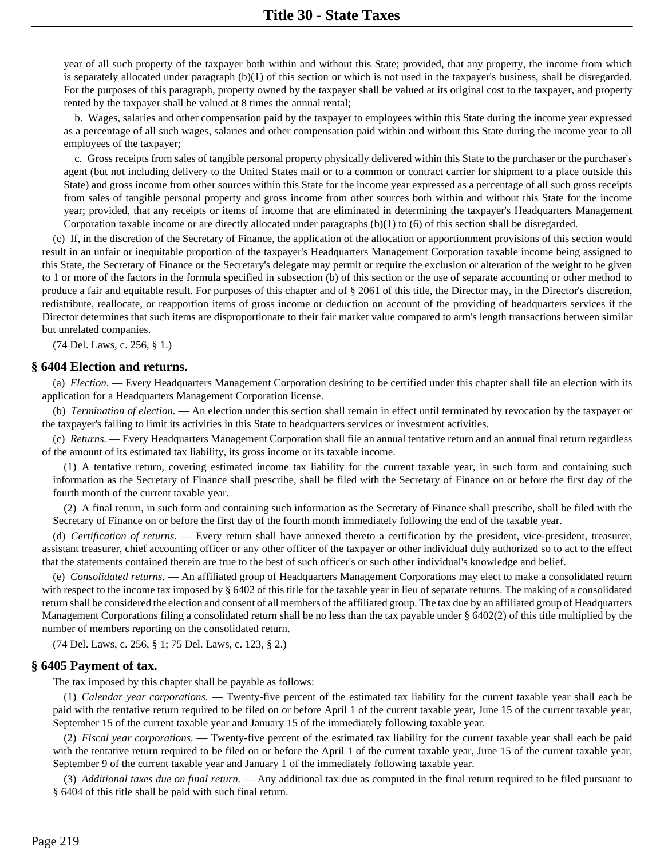year of all such property of the taxpayer both within and without this State; provided, that any property, the income from which is separately allocated under paragraph (b)(1) of this section or which is not used in the taxpayer's business, shall be disregarded. For the purposes of this paragraph, property owned by the taxpayer shall be valued at its original cost to the taxpayer, and property rented by the taxpayer shall be valued at 8 times the annual rental;

b. Wages, salaries and other compensation paid by the taxpayer to employees within this State during the income year expressed as a percentage of all such wages, salaries and other compensation paid within and without this State during the income year to all employees of the taxpayer;

c. Gross receipts from sales of tangible personal property physically delivered within this State to the purchaser or the purchaser's agent (but not including delivery to the United States mail or to a common or contract carrier for shipment to a place outside this State) and gross income from other sources within this State for the income year expressed as a percentage of all such gross receipts from sales of tangible personal property and gross income from other sources both within and without this State for the income year; provided, that any receipts or items of income that are eliminated in determining the taxpayer's Headquarters Management Corporation taxable income or are directly allocated under paragraphs (b)(1) to (6) of this section shall be disregarded.

(c) If, in the discretion of the Secretary of Finance, the application of the allocation or apportionment provisions of this section would result in an unfair or inequitable proportion of the taxpayer's Headquarters Management Corporation taxable income being assigned to this State, the Secretary of Finance or the Secretary's delegate may permit or require the exclusion or alteration of the weight to be given to 1 or more of the factors in the formula specified in subsection (b) of this section or the use of separate accounting or other method to produce a fair and equitable result. For purposes of this chapter and of § 2061 of this title, the Director may, in the Director's discretion, redistribute, reallocate, or reapportion items of gross income or deduction on account of the providing of headquarters services if the Director determines that such items are disproportionate to their fair market value compared to arm's length transactions between similar but unrelated companies.

(74 Del. Laws, c. 256, § 1.)

#### **§ 6404 Election and returns.**

(a) *Election.* — Every Headquarters Management Corporation desiring to be certified under this chapter shall file an election with its application for a Headquarters Management Corporation license.

(b) *Termination of election.* — An election under this section shall remain in effect until terminated by revocation by the taxpayer or the taxpayer's failing to limit its activities in this State to headquarters services or investment activities.

(c) *Returns.* — Every Headquarters Management Corporation shall file an annual tentative return and an annual final return regardless of the amount of its estimated tax liability, its gross income or its taxable income.

(1) A tentative return, covering estimated income tax liability for the current taxable year, in such form and containing such information as the Secretary of Finance shall prescribe, shall be filed with the Secretary of Finance on or before the first day of the fourth month of the current taxable year.

(2) A final return, in such form and containing such information as the Secretary of Finance shall prescribe, shall be filed with the Secretary of Finance on or before the first day of the fourth month immediately following the end of the taxable year.

(d) *Certification of returns.* — Every return shall have annexed thereto a certification by the president, vice-president, treasurer, assistant treasurer, chief accounting officer or any other officer of the taxpayer or other individual duly authorized so to act to the effect that the statements contained therein are true to the best of such officer's or such other individual's knowledge and belief.

(e) *Consolidated returns.* — An affiliated group of Headquarters Management Corporations may elect to make a consolidated return with respect to the income tax imposed by § 6402 of this title for the taxable year in lieu of separate returns. The making of a consolidated return shall be considered the election and consent of all members of the affiliated group. The tax due by an affiliated group of Headquarters Management Corporations filing a consolidated return shall be no less than the tax payable under § 6402(2) of this title multiplied by the number of members reporting on the consolidated return.

(74 Del. Laws, c. 256, § 1; 75 Del. Laws, c. 123, § 2.)

#### **§ 6405 Payment of tax.**

The tax imposed by this chapter shall be payable as follows:

(1) *Calendar year corporations.* — Twenty-five percent of the estimated tax liability for the current taxable year shall each be paid with the tentative return required to be filed on or before April 1 of the current taxable year, June 15 of the current taxable year, September 15 of the current taxable year and January 15 of the immediately following taxable year.

(2) *Fiscal year corporations.* — Twenty-five percent of the estimated tax liability for the current taxable year shall each be paid with the tentative return required to be filed on or before the April 1 of the current taxable year, June 15 of the current taxable year, September 9 of the current taxable year and January 1 of the immediately following taxable year.

(3) *Additional taxes due on final return.* — Any additional tax due as computed in the final return required to be filed pursuant to § 6404 of this title shall be paid with such final return.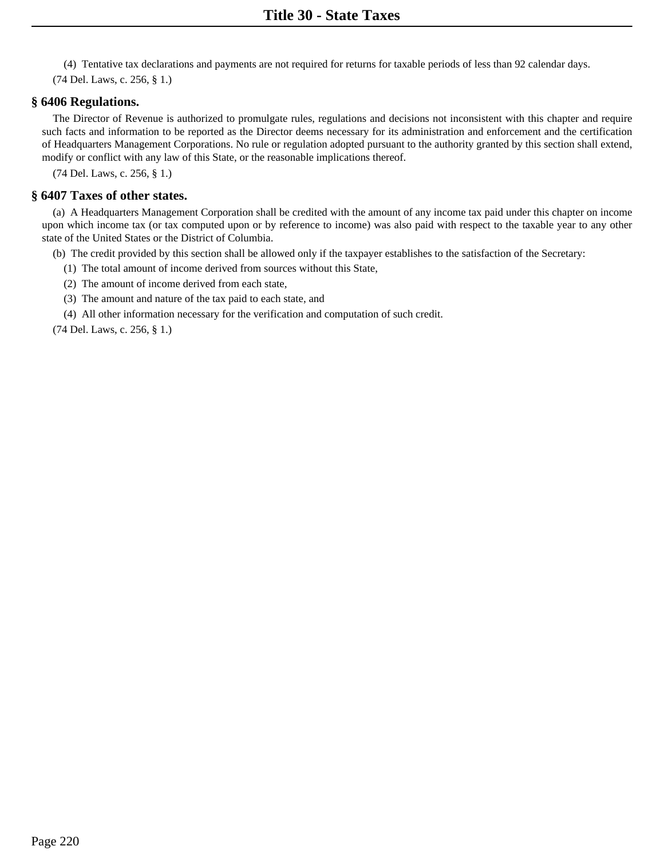(4) Tentative tax declarations and payments are not required for returns for taxable periods of less than 92 calendar days.

(74 Del. Laws, c. 256, § 1.)

### **§ 6406 Regulations.**

The Director of Revenue is authorized to promulgate rules, regulations and decisions not inconsistent with this chapter and require such facts and information to be reported as the Director deems necessary for its administration and enforcement and the certification of Headquarters Management Corporations. No rule or regulation adopted pursuant to the authority granted by this section shall extend, modify or conflict with any law of this State, or the reasonable implications thereof.

(74 Del. Laws, c. 256, § 1.)

### **§ 6407 Taxes of other states.**

(a) A Headquarters Management Corporation shall be credited with the amount of any income tax paid under this chapter on income upon which income tax (or tax computed upon or by reference to income) was also paid with respect to the taxable year to any other state of the United States or the District of Columbia.

(b) The credit provided by this section shall be allowed only if the taxpayer establishes to the satisfaction of the Secretary:

- (1) The total amount of income derived from sources without this State,
- (2) The amount of income derived from each state,
- (3) The amount and nature of the tax paid to each state, and
- (4) All other information necessary for the verification and computation of such credit.

(74 Del. Laws, c. 256, § 1.)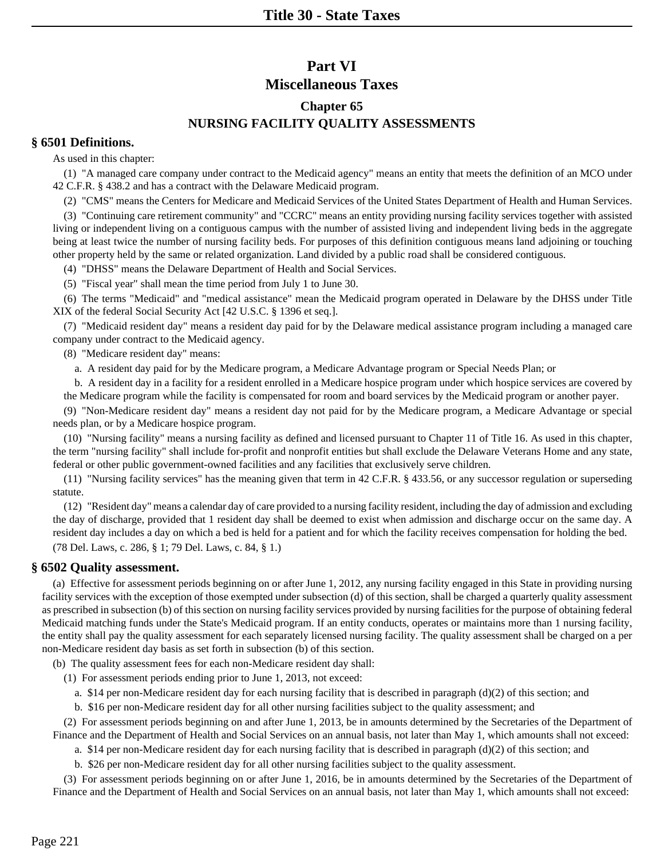# **Part VI Miscellaneous Taxes**

# **Chapter 65 NURSING FACILITY QUALITY ASSESSMENTS**

## **§ 6501 Definitions.**

As used in this chapter:

(1) "A managed care company under contract to the Medicaid agency" means an entity that meets the definition of an MCO under 42 C.F.R. § 438.2 and has a contract with the Delaware Medicaid program.

(2) "CMS" means the Centers for Medicare and Medicaid Services of the United States Department of Health and Human Services.

(3) "Continuing care retirement community" and "CCRC" means an entity providing nursing facility services together with assisted living or independent living on a contiguous campus with the number of assisted living and independent living beds in the aggregate being at least twice the number of nursing facility beds. For purposes of this definition contiguous means land adjoining or touching other property held by the same or related organization. Land divided by a public road shall be considered contiguous.

(4) "DHSS" means the Delaware Department of Health and Social Services.

(5) "Fiscal year" shall mean the time period from July 1 to June 30.

(6) The terms "Medicaid" and "medical assistance" mean the Medicaid program operated in Delaware by the DHSS under Title XIX of the federal Social Security Act [42 U.S.C. § 1396 et seq.].

(7) "Medicaid resident day" means a resident day paid for by the Delaware medical assistance program including a managed care company under contract to the Medicaid agency.

(8) "Medicare resident day" means:

a. A resident day paid for by the Medicare program, a Medicare Advantage program or Special Needs Plan; or

b. A resident day in a facility for a resident enrolled in a Medicare hospice program under which hospice services are covered by the Medicare program while the facility is compensated for room and board services by the Medicaid program or another payer.

(9) "Non-Medicare resident day" means a resident day not paid for by the Medicare program, a Medicare Advantage or special needs plan, or by a Medicare hospice program.

(10) "Nursing facility" means a nursing facility as defined and licensed pursuant to Chapter 11 of Title 16. As used in this chapter, the term "nursing facility" shall include for-profit and nonprofit entities but shall exclude the Delaware Veterans Home and any state, federal or other public government-owned facilities and any facilities that exclusively serve children.

(11) "Nursing facility services" has the meaning given that term in 42 C.F.R. § 433.56, or any successor regulation or superseding statute.

(12) "Resident day" means a calendar day of care provided to a nursing facility resident, including the day of admission and excluding the day of discharge, provided that 1 resident day shall be deemed to exist when admission and discharge occur on the same day. A resident day includes a day on which a bed is held for a patient and for which the facility receives compensation for holding the bed. (78 Del. Laws, c. 286, § 1; 79 Del. Laws, c. 84, § 1.)

### **§ 6502 Quality assessment.**

(a) Effective for assessment periods beginning on or after June 1, 2012, any nursing facility engaged in this State in providing nursing facility services with the exception of those exempted under subsection (d) of this section, shall be charged a quarterly quality assessment as prescribed in subsection (b) of this section on nursing facility services provided by nursing facilities for the purpose of obtaining federal Medicaid matching funds under the State's Medicaid program. If an entity conducts, operates or maintains more than 1 nursing facility, the entity shall pay the quality assessment for each separately licensed nursing facility. The quality assessment shall be charged on a per non-Medicare resident day basis as set forth in subsection (b) of this section.

(b) The quality assessment fees for each non-Medicare resident day shall:

(1) For assessment periods ending prior to June 1, 2013, not exceed:

- a. \$14 per non-Medicare resident day for each nursing facility that is described in paragraph (d)(2) of this section; and
- b. \$16 per non-Medicare resident day for all other nursing facilities subject to the quality assessment; and

(2) For assessment periods beginning on and after June 1, 2013, be in amounts determined by the Secretaries of the Department of Finance and the Department of Health and Social Services on an annual basis, not later than May 1, which amounts shall not exceed:

a. \$14 per non-Medicare resident day for each nursing facility that is described in paragraph (d)(2) of this section; and

b. \$26 per non-Medicare resident day for all other nursing facilities subject to the quality assessment.

(3) For assessment periods beginning on or after June 1, 2016, be in amounts determined by the Secretaries of the Department of Finance and the Department of Health and Social Services on an annual basis, not later than May 1, which amounts shall not exceed: